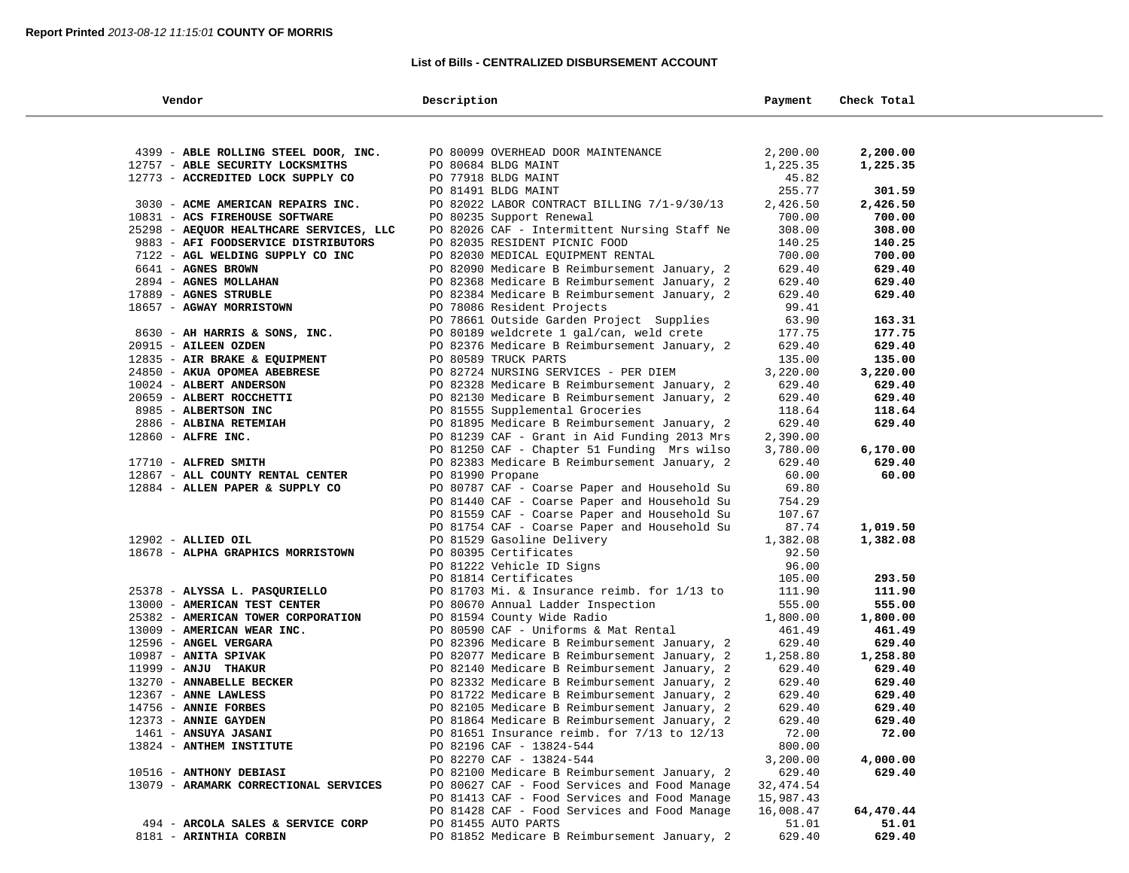## **List of Bills - CENTRALIZED DISBURSEMENT ACCOUNT**

| Vendor                                  | Description                                                                | Payment         | Check Total |  |
|-----------------------------------------|----------------------------------------------------------------------------|-----------------|-------------|--|
|                                         |                                                                            |                 |             |  |
| 4399 - ABLE ROLLING STEEL DOOR, INC.    | PO 80099 OVERHEAD DOOR MAINTENANCE                                         | 2,200.00        | 2,200.00    |  |
| 12757 - ABLE SECURITY LOCKSMITHS        | PO 80684 BLDG MAINT                                                        | 1,225.35        | 1,225.35    |  |
| 12773 - ACCREDITED LOCK SUPPLY CO       | PO 77918 BLDG MAINT                                                        | 45.82           |             |  |
|                                         | PO 81491 BLDG MAINT                                                        | 255.77          | 301.59      |  |
| 3030 - ACME AMERICAN REPAIRS INC.       | PO 82022 LABOR CONTRACT BILLING 7/1-9/30/13                                | 2,426.50        | 2,426.50    |  |
| 10831 - ACS FIREHOUSE SOFTWARE          | PO 80235 Support Renewal                                                   | 700.00          | 700.00      |  |
| 25298 - AEQUOR HEALTHCARE SERVICES, LLC | PO 82026 CAF - Intermittent Nursing Staff Ne                               | 308.00          | 308.00      |  |
| 9883 - AFI FOODSERVICE DISTRIBUTORS     | PO 82035 RESIDENT PICNIC FOOD                                              | 140.25          | 140.25      |  |
| 7122 - AGL WELDING SUPPLY CO INC        | PO 82030 MEDICAL EQUIPMENT RENTAL                                          | 700.00          | 700.00      |  |
| 6641 - AGNES BROWN                      | PO 82090 Medicare B Reimbursement January, 2                               | 629.40          | 629.40      |  |
| 2894 - AGNES MOLLAHAN                   | PO 82368 Medicare B Reimbursement January, 2                               | 629.40          | 629.40      |  |
| 17889 - AGNES STRUBLE                   | PO 82384 Medicare B Reimbursement January, 2                               | 629.40          | 629.40      |  |
| 18657 - AGWAY MORRISTOWN                | PO 78086 Resident Projects                                                 | 99.41           |             |  |
|                                         | PO 78661 Outside Garden Project Supplies                                   | 63.90           | 163.31      |  |
| 8630 - AH HARRIS & SONS, INC.           | PO 80189 weldcrete 1 gal/can, weld crete                                   | 177.75          | 177.75      |  |
| 20915 - AILEEN OZDEN                    | PO 82376 Medicare B Reimbursement January, 2                               | 629.40          | 629.40      |  |
| 12835 - AIR BRAKE & EQUIPMENT           | PO 80589 TRUCK PARTS                                                       | 135.00          | 135.00      |  |
| 24850 - AKUA OPOMEA ABEBRESE            | PO 82724 NURSING SERVICES - PER DIEM                                       | 3,220.00        | 3,220.00    |  |
| 10024 - ALBERT ANDERSON                 | PO 82328 Medicare B Reimbursement January, 2                               | 629.40          | 629.40      |  |
| 20659 - ALBERT ROCCHETTI                | PO 82130 Medicare B Reimbursement January, 2                               | 629.40          | 629.40      |  |
| 8985 - ALBERTSON INC                    | PO 81555 Supplemental Groceries                                            | 118.64          | 118.64      |  |
| 2886 - ALBINA RETEMIAH                  | PO 81895 Medicare B Reimbursement January, 2                               | 629.40          | 629.40      |  |
| 12860 - ALFRE INC.                      | PO 81239 CAF - Grant in Aid Funding 2013 Mrs                               | 2,390.00        |             |  |
|                                         | PO 81250 CAF - Chapter 51 Funding Mrs wilso                                | 3,780.00        | 6,170.00    |  |
| 17710 - ALFRED SMITH                    | PO 82383 Medicare B Reimbursement January, 2                               | 629.40          | 629.40      |  |
| 12867 - ALL COUNTY RENTAL CENTER        | PO 81990 Propane                                                           | 60.00           | 60.00       |  |
| 12884 - ALLEN PAPER & SUPPLY CO         | PO 80787 CAF - Coarse Paper and Household Su                               | 69.80           |             |  |
|                                         | PO 81440 CAF - Coarse Paper and Household Su                               | 754.29          |             |  |
|                                         | PO 81559 CAF - Coarse Paper and Household Su                               | 107.67<br>87.74 | 1,019.50    |  |
| 12902 - ALLIED OIL                      | PO 81754 CAF - Coarse Paper and Household Su<br>PO 81529 Gasoline Delivery | 1,382.08        | 1,382.08    |  |
| 18678 - ALPHA GRAPHICS MORRISTOWN       | PO 80395 Certificates                                                      | 92.50           |             |  |
|                                         | PO 81222 Vehicle ID Signs                                                  | 96.00           |             |  |
|                                         | PO 81814 Certificates                                                      | 105.00          | 293.50      |  |
| 25378 - ALYSSA L. PASQURIELLO           | PO 81703 Mi. & Insurance reimb. for 1/13 to                                | 111.90          | 111.90      |  |
| 13000 - AMERICAN TEST CENTER            | PO 80670 Annual Ladder Inspection                                          | 555.00          | 555.00      |  |
| 25382 - AMERICAN TOWER CORPORATION      | PO 81594 County Wide Radio                                                 | 1,800.00        | 1,800.00    |  |
| 13009 - AMERICAN WEAR INC.              | PO 80590 CAF - Uniforms & Mat Rental                                       | 461.49          | 461.49      |  |
| 12596 - ANGEL VERGARA                   | PO 82396 Medicare B Reimbursement January, 2                               | 629.40          | 629.40      |  |
| 10987 - ANITA SPIVAK                    | PO 82077 Medicare B Reimbursement January, 2                               | 1,258.80        | 1,258.80    |  |
| 11999 - ANJU THAKUR                     | PO 82140 Medicare B Reimbursement January, 2                               | 629.40          | 629.40      |  |
| 13270 - ANNABELLE BECKER                | PO 82332 Medicare B Reimbursement January, 2                               | 629.40          | 629.40      |  |
| 12367 - ANNE LAWLESS                    | PO 81722 Medicare B Reimbursement January, 2                               | 629.40          | 629.40      |  |
| 14756 - ANNIE FORBES                    | PO 82105 Medicare B Reimbursement January, 2                               | 629.40          | 629.40      |  |
| 12373 - ANNIE GAYDEN                    | PO 81864 Medicare B Reimbursement January, 2                               | 629.40          | 629.40      |  |
| 1461 - ANSUYA JASANI                    | PO 81651 Insurance reimb. for 7/13 to 12/13                                | 72.00           | 72.00       |  |
| 13824 - ANTHEM INSTITUTE                | PO 82196 CAF - 13824-544                                                   | 800.00          |             |  |
|                                         | PO 82270 CAF - 13824-544                                                   | 3,200.00        | 4,000.00    |  |
| 10516 - ANTHONY DEBIASI                 | PO 82100 Medicare B Reimbursement January, 2                               | 629.40          | 629.40      |  |
| 13079 - ARAMARK CORRECTIONAL SERVICES   | PO 80627 CAF - Food Services and Food Manage                               | 32, 474.54      |             |  |
|                                         | PO 81413 CAF - Food Services and Food Manage                               | 15,987.43       |             |  |
|                                         | PO 81428 CAF - Food Services and Food Manage                               | 16,008.47       | 64,470.44   |  |
| 494 - ARCOLA SALES & SERVICE CORP       | PO 81455 AUTO PARTS                                                        | 51.01           | 51.01       |  |
| 8181 - ARINTHIA CORBIN                  | PO 81852 Medicare B Reimbursement January, 2                               | 629.40          | 629.40      |  |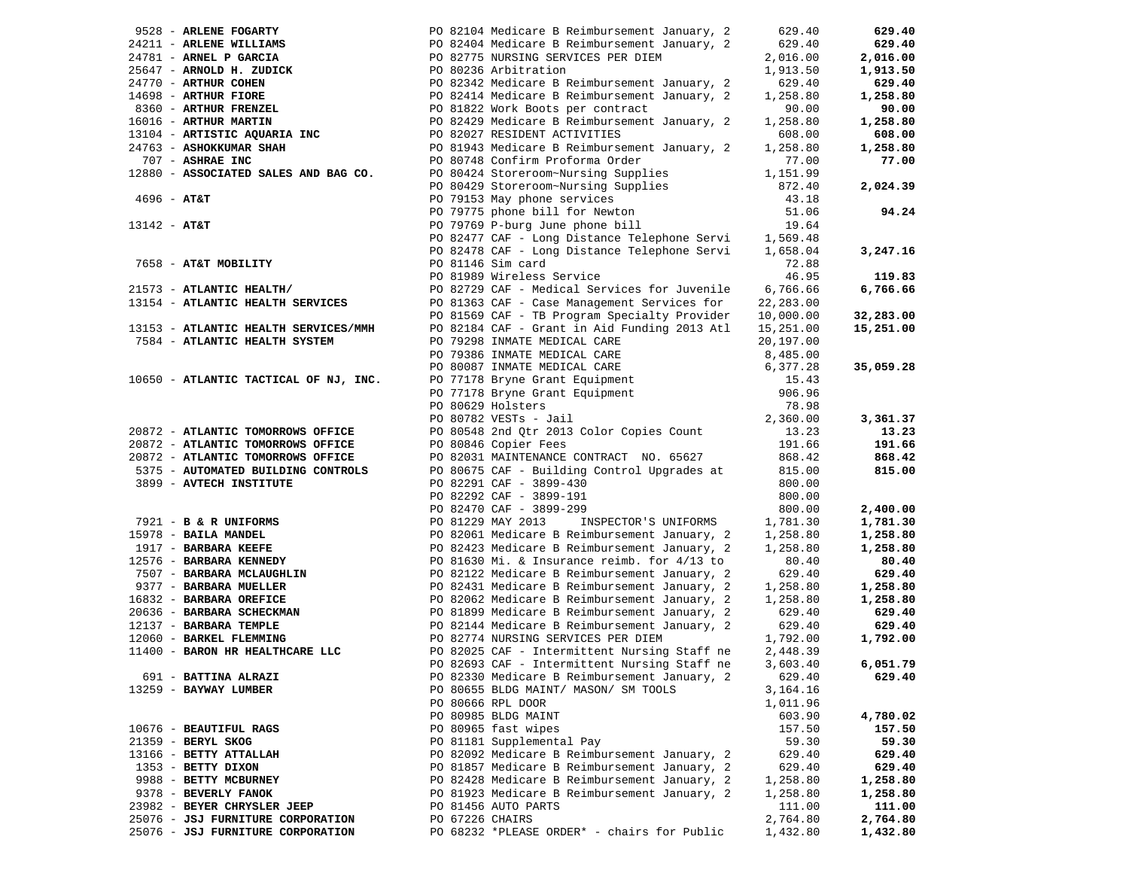|                |                                       |                 | 9528 - ARLENE FOGARTY<br>24211 - ARLENE WILLIAMS<br>24781 - ARNEL P GARCIA<br>24781 - ARNEL P GARCIA<br>24781 - ARNEL P GARCIA<br>24781 - ARNEL P GARCIA<br>2008/2775 NURSING SERVICES PER DIEM                                                   | 629.40    | 629.40               |
|----------------|---------------------------------------|-----------------|---------------------------------------------------------------------------------------------------------------------------------------------------------------------------------------------------------------------------------------------------|-----------|----------------------|
|                |                                       |                 |                                                                                                                                                                                                                                                   | 629.40    | 629.40               |
|                |                                       |                 |                                                                                                                                                                                                                                                   | 2,016.00  | 2,016.00             |
|                |                                       |                 |                                                                                                                                                                                                                                                   | 1,913.50  | 1,913.50             |
|                |                                       |                 |                                                                                                                                                                                                                                                   | 629.40    | 629.40               |
|                |                                       |                 | 24781 - ARNEL P GARCIA<br>26647 - ARNOLD H. ZUDICK<br>24770 - ARTHUR COHEN<br>24770 - ARTHUR COHEN<br>24770 - ARTHUR COHEN<br>24770 - ARTHUR COHEN<br>2688 - ARTHUR FIORE<br>2688 - ARTHUR FIORE<br>26822 Medicare B Reimbursement January, 2<br> | 1,258.80  | 1,258.80             |
|                |                                       |                 |                                                                                                                                                                                                                                                   | 90.00     | 90.00                |
|                |                                       |                 |                                                                                                                                                                                                                                                   | 1,258.80  | 1,258.80             |
|                |                                       |                 |                                                                                                                                                                                                                                                   | 608.00    | 608.00               |
|                | 24763 - ASHOKKUMAR SHAH               |                 | PO 81943 Medicare B Reimbursement January, 2                                                                                                                                                                                                      | 1,258.80  | 1,258.80             |
|                | 707 - ASHRAE INC                      |                 | PO 80748 Confirm Proforma Order                                                                                                                                                                                                                   | 77.00     | 77.00                |
|                | 12880 - ASSOCIATED SALES AND BAG CO.  |                 | PO 80424 Storeroom~Nursing Supplies                                                                                                                                                                                                               | 1,151.99  |                      |
|                |                                       |                 | PO 80429 Storeroom~Nursing Supplies                                                                                                                                                                                                               | 872.40    | 2,024.39             |
| 4696 - АТ&Т    |                                       |                 | PO 79153 May phone services                                                                                                                                                                                                                       | 43.18     |                      |
|                |                                       |                 | PO 79775 phone bill for Newton                                                                                                                                                                                                                    | 51.06     | 94.24                |
| $13142 - AT&T$ |                                       |                 | PO 79769 P-burg June phone bill                                                                                                                                                                                                                   | 19.64     |                      |
|                |                                       |                 | PO 82477 CAF - Long Distance Telephone Servi                                                                                                                                                                                                      | 1,569.48  |                      |
|                |                                       |                 | PO 82478 CAF - Long Distance Telephone Servi                                                                                                                                                                                                      | 1,658.04  | 3,247.16             |
|                | 7658 - AT&T MOBILITY                  |                 | PO 81146 Sim card                                                                                                                                                                                                                                 | 72.88     |                      |
|                |                                       |                 | PO 81989 Wireless Service                                                                                                                                                                                                                         | 46.95     | 119.83               |
|                | 21573 - ATLANTIC HEALTH/              |                 | PO 82729 CAF - Medical Services for Juvenile                                                                                                                                                                                                      | 6,766.66  | 6,766.66             |
|                | 13154 - ATLANTIC HEALTH SERVICES      |                 | PO 81363 CAF - Case Management Services for                                                                                                                                                                                                       | 22,283.00 |                      |
|                |                                       |                 | PO 81569 CAF - TB Program Specialty Provider                                                                                                                                                                                                      | 10,000.00 | 32,283.00            |
|                | 13153 - ATLANTIC HEALTH SERVICES/MMH  |                 | PO 82184 CAF - Grant in Aid Funding 2013 Atl                                                                                                                                                                                                      | 15,251.00 | 15,251.00            |
|                | 7584 - ATLANTIC HEALTH SYSTEM         |                 | PO 79298 INMATE MEDICAL CARE                                                                                                                                                                                                                      | 20,197.00 |                      |
|                |                                       |                 | PO 79386 INMATE MEDICAL CARE                                                                                                                                                                                                                      | 8,485.00  |                      |
|                |                                       |                 | PO 80087 INMATE MEDICAL CARE                                                                                                                                                                                                                      | 6,377.28  | 35,059.28            |
|                | 10650 - ATLANTIC TACTICAL OF NJ, INC. |                 | PO 77178 Bryne Grant Equipment                                                                                                                                                                                                                    | 15.43     |                      |
|                |                                       |                 |                                                                                                                                                                                                                                                   | 906.96    |                      |
|                |                                       |                 | PO 77178 Bryne Grant Equipment<br>PO 80629 Holsters                                                                                                                                                                                               | 78.98     |                      |
|                |                                       |                 | PO 80629 Holsters<br>PO 80782 VESTs - Jail                                                                                                                                                                                                        | 2,360.00  | 3,361.37             |
|                | 20872 - ATLANTIC TOMORROWS OFFICE     |                 | PO 80548 2nd Qtr 2013 Color Copies Count                                                                                                                                                                                                          | 13.23     | 13.23                |
|                | 20872 - ATLANTIC TOMORROWS OFFICE     |                 | PO 80846 Copier Fees                                                                                                                                                                                                                              | 191.66    | 191.66               |
|                | 20872 - ATLANTIC TOMORROWS OFFICE     |                 | PO 82031 MAINTENANCE CONTRACT NO. 65627                                                                                                                                                                                                           | 868.42    | 868.42               |
|                | 5375 - AUTOMATED BUILDING CONTROLS    |                 | PO 80675 CAF - Building Control Upgrades at                                                                                                                                                                                                       | 815.00    | 815.00               |
|                | 3899 - AVTECH INSTITUTE               |                 | PO 82291 CAF - 3899-430                                                                                                                                                                                                                           | 800.00    |                      |
|                |                                       |                 | PO 82292 CAF - 3899-191                                                                                                                                                                                                                           | 800.00    |                      |
|                |                                       |                 | PO 82470 CAF - 3899-299                                                                                                                                                                                                                           | 800.00    | 2,400.00             |
|                | 7921 - B & R UNIFORMS                 |                 | PO 81229 MAY 2013<br>INSPECTOR'S UNIFORMS                                                                                                                                                                                                         | 1,781.30  | 1,781.30             |
|                | 15978 - BAILA MANDEL                  |                 | PO 82061 Medicare B Reimbursement January, 2                                                                                                                                                                                                      | 1,258.80  | 1,258.80             |
|                | 1917 - BARBARA KEEFE                  |                 | PO 82423 Medicare B Reimbursement January, 2                                                                                                                                                                                                      | 1,258.80  | 1,258.80             |
|                | 12576 - BARBARA KENNEDY               |                 | PO 81630 Mi. & Insurance reimb. for 4/13 to                                                                                                                                                                                                       | 80.40     | 80.40                |
|                | 7507 - <b>BARBARA MCLAUGHLIN</b>      |                 | PO 82122 Medicare B Reimbursement January, 2                                                                                                                                                                                                      | 629.40    | 629.40               |
|                | 9377 - BARBARA MUELLER                |                 |                                                                                                                                                                                                                                                   | 1,258.80  |                      |
|                | 16832 - BARBARA OREFICE               |                 | PO 82431 Medicare B Reimbursement January, 2<br>PO 82062 Medicare B Reimbursement January, 2                                                                                                                                                      | 1,258.80  | 1,258.80<br>1,258.80 |
|                | 20636 - BARBARA SCHECKMAN             |                 | PO 81899 Medicare B Reimbursement January, 2                                                                                                                                                                                                      | 629.40    | 629.40               |
|                | 12137 - BARBARA TEMPLE                |                 | PO 82144 Medicare B Reimbursement January, 2                                                                                                                                                                                                      | 629.40    | 629.40               |
|                | 12060 - BARKEL FLEMMING               |                 | PO 82774 NURSING SERVICES PER DIEM                                                                                                                                                                                                                | 1,792.00  | 1,792.00             |
|                | 11400 - BARON HR HEALTHCARE LLC       |                 | PO 82025 CAF - Intermittent Nursing Staff ne                                                                                                                                                                                                      | 2,448.39  |                      |
|                |                                       |                 | PO 82693 CAF - Intermittent Nursing Staff ne                                                                                                                                                                                                      | 3,603.40  | 6,051.79             |
|                | 691 - BATTINA ALRAZI                  |                 | PO 82330 Medicare B Reimbursement January, 2                                                                                                                                                                                                      | 629.40    | 629.40               |
|                | 13259 - BAYWAY LUMBER                 |                 | PO 80655 BLDG MAINT/ MASON/ SM TOOLS                                                                                                                                                                                                              | 3,164.16  |                      |
|                |                                       |                 | PO 80666 RPL DOOR                                                                                                                                                                                                                                 | 1,011.96  |                      |
|                |                                       |                 | PO 80985 BLDG MAINT                                                                                                                                                                                                                               | 603.90    | 4,780.02             |
|                | 10676 - BEAUTIFUL RAGS                |                 | PO 80965 fast wipes                                                                                                                                                                                                                               | 157.50    | 157.50               |
|                | 21359 - BERYL SKOG                    |                 | PO 81181 Supplemental Pay                                                                                                                                                                                                                         | 59.30     | 59.30                |
|                | 13166 - BETTY ATTALLAH                |                 | PO 82092 Medicare B Reimbursement January, 2                                                                                                                                                                                                      | 629.40    | 629.40               |
|                | 1353 - BETTY DIXON                    |                 | PO 81857 Medicare B Reimbursement January, 2                                                                                                                                                                                                      | 629.40    | 629.40               |
|                | 9988 - BETTY MCBURNEY                 |                 | PO 82428 Medicare B Reimbursement January, 2                                                                                                                                                                                                      | 1,258.80  | 1,258.80             |
|                | 9378 - BEVERLY FANOK                  |                 | PO 81923 Medicare B Reimbursement January, 2                                                                                                                                                                                                      | 1,258.80  | 1,258.80             |
|                | 23982 - BEYER CHRYSLER JEEP           |                 | PO 81456 AUTO PARTS                                                                                                                                                                                                                               | 111.00    | 111.00               |
|                | 25076 - JSJ FURNITURE CORPORATION     | PO 67226 CHAIRS |                                                                                                                                                                                                                                                   | 2,764.80  | 2,764.80             |
|                | 25076 - JSJ FURNITURE CORPORATION     |                 | PO 68232 *PLEASE ORDER* - chairs for Public                                                                                                                                                                                                       | 1,432.80  | 1,432.80             |
|                |                                       |                 |                                                                                                                                                                                                                                                   |           |                      |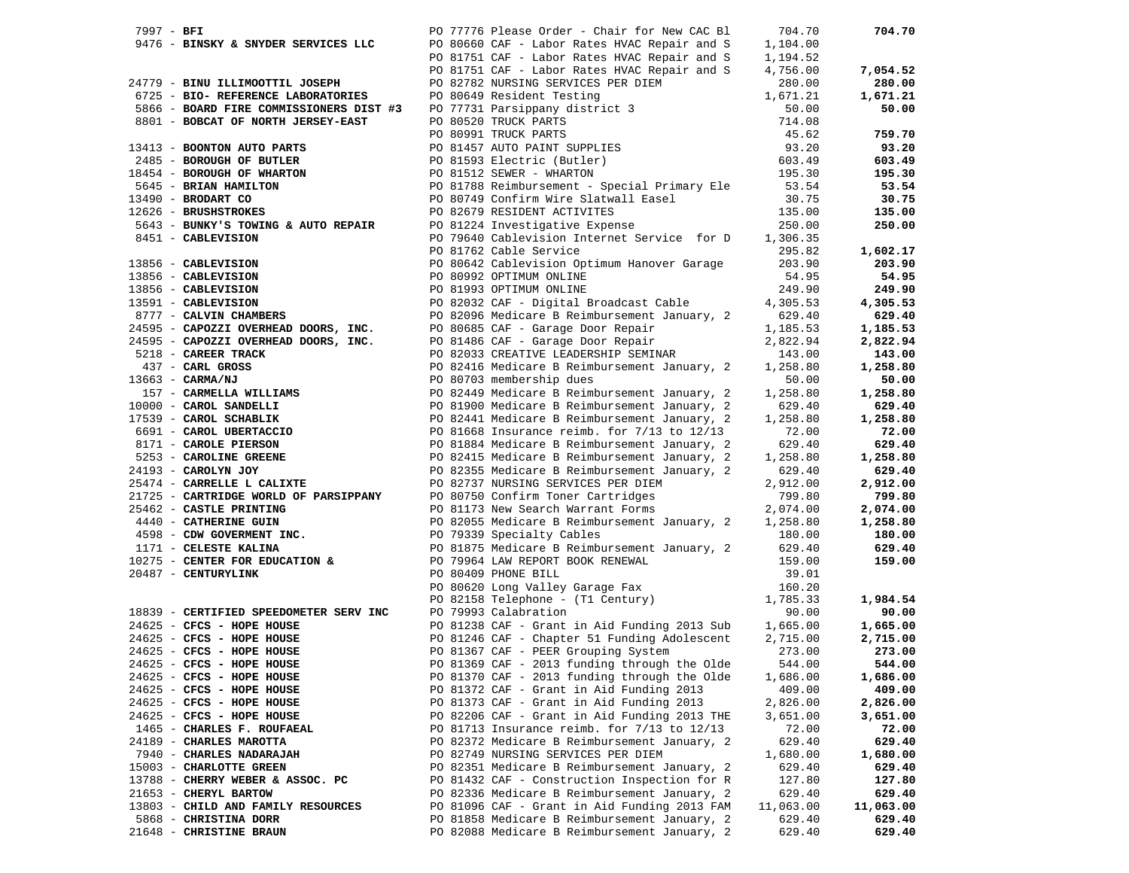| 7997 - BFI |                                                                                                                    | PO 77776 Please Order - Chair for New CAC Bl                                                                                                                                                                                                 | 704.70    | 704.70               |
|------------|--------------------------------------------------------------------------------------------------------------------|----------------------------------------------------------------------------------------------------------------------------------------------------------------------------------------------------------------------------------------------|-----------|----------------------|
|            |                                                                                                                    | 9476 - BINSKY & SNYDER SERVICES LLC PO 80660 CAF - Labor Rates HVAC Repair and S                                                                                                                                                             | 1,104.00  |                      |
|            |                                                                                                                    | PO 81751 CAF - Labor Rates HVAC Repair and S                                                                                                                                                                                                 | 1,194.52  |                      |
|            |                                                                                                                    | PO 81751 CAF - Labor Rates HVAC Repair and S                                                                                                                                                                                                 | 4,756.00  | 7,054.52             |
|            | 24779 - BINU ILLIMOOTTIL JOSEPH                                                                                    | PO 82782 NURSING SERVICES PER DIEM                                                                                                                                                                                                           | 280.00    | 280.00               |
|            | 6725 - BIO- REFERENCE LABORATORIES                                                                                 |                                                                                                                                                                                                                                              |           | 1,671.21             |
|            | 5866 - BOARD FIRE COMMISSIONERS DIST #3                                                                            |                                                                                                                                                                                                                                              |           | 50.00                |
|            | 8801 - BOBCAT OF NORTH JERSEY-EAST                                                                                 |                                                                                                                                                                                                                                              |           |                      |
|            |                                                                                                                    |                                                                                                                                                                                                                                              |           | 759.70               |
|            | 13413 - BOONTON AUTO PARTS                                                                                         |                                                                                                                                                                                                                                              |           | 93.20                |
|            | 2485 - BOROUGH OF BUTLER                                                                                           |                                                                                                                                                                                                                                              |           | 603.49               |
|            | 18454 - BOROUGH OF WHARTON                                                                                         | PO 82762 NORSING SERVICES PER DIENT<br>PO 80649 Resident Testing<br>DO 77731 Parsippany district 3<br>PO 77731 Parsippany district 3<br>PO 80520 TRUCK PARTS<br>PO 80991 TRUCK PARTS<br>PO 81457 AUTO PAINT SUPPLIES<br>PO 81788 Reinburseme |           | 195.30               |
|            | 5645 - BRIAN HAMILTON                                                                                              |                                                                                                                                                                                                                                              |           | 53.54                |
|            | 13490 - BRODART CO                                                                                                 | PO 80749 Confirm Wire Slatwall Easel                                                                                                                                                                                                         | 30.75     | 30.75                |
|            | 12626 - BRUSHSTROKES                                                                                               |                                                                                                                                                                                                                                              | 135.00    | 135.00               |
|            | 5643 - BUNKY'S TOWING & AUTO REPAIR                                                                                | PO 82679 RESIDENT ACTIVITES<br>PO 81224 Investigative Expense                                                                                                                                                                                | 250.00    | 250.00               |
|            | 8451 - CABLEVISION                                                                                                 | PO 79640 Cablevision Internet Service for D 1,306.35                                                                                                                                                                                         |           |                      |
|            |                                                                                                                    | PO 81762 Cable Service                                                                                                                                                                                                                       | 295.82    | 1,602.17             |
|            |                                                                                                                    | PO 80642 Cablevision Optimum Hanover Garage                                                                                                                                                                                                  | 203.90    | 203.90               |
|            |                                                                                                                    | PO 80992 OPTIMUM ONLINE                                                                                                                                                                                                                      | 54.95     | 54.95                |
|            |                                                                                                                    | PO 81993 OPTIMUM ONLINE                                                                                                                                                                                                                      | 249.90    | 249.90               |
|            | 13856 - CABLEVISION<br>13856 - CABLEVISION<br>13856 - CABLEVISION<br>13591 - CABLEVISION<br>8777 - CALVIN CHAMBERS | PO 82032 CAF - Digital Broadcast Cable                                                                                                                                                                                                       | 4,305.53  | 4,305.53             |
|            |                                                                                                                    | PO 82096 Medicare B Reimbursement January, 2                                                                                                                                                                                                 | 629.40    | 629.40               |
|            | 24595 - CAPOZZI OVERHEAD DOORS, INC.                                                                               | PO 80685 CAF - Garage Door Repair                                                                                                                                                                                                            | 1,185.53  | 1,185.53             |
|            | 24595 - CAPOZZI OVERHEAD DOORS, INC.                                                                               | PO 81486 CAF - Garage Door Repair                                                                                                                                                                                                            | 2,822.94  | 2,822.94             |
|            | 5218 - CAREER TRACK                                                                                                | PO 82033 CREATIVE LEADERSHIP SEMINAR                                                                                                                                                                                                         | 143.00    | 143.00               |
|            | 437 - CARL GROSS                                                                                                   | PO 82416 Medicare B Reimbursement January, 2                                                                                                                                                                                                 | 1,258.80  | 1,258.80             |
|            | $13663 - CARMA/NJ$                                                                                                 | PO 80703 membership dues                                                                                                                                                                                                                     | 50.00     | 50.00                |
|            | 157 - CARMELLA WILLIAMS<br>10000 - CAROL SANDELLI                                                                  | PO 82449 Medicare B Reimbursement January, 2                                                                                                                                                                                                 | 1,258.80  | 1,258.80             |
|            |                                                                                                                    | PO 81900 Medicare B Reimbursement January, 2                                                                                                                                                                                                 | 629.40    | 629.40               |
|            |                                                                                                                    | PO 82441 Medicare B Reimbursement January, 2                                                                                                                                                                                                 | 1,258.80  | 1,258.80             |
|            | 17539 - CAROL SCHABLIK<br>6691 - CAROL UBERTACCIO<br>8171 - CAROLE PIERSON                                         | PO 81668 Insurance reimb. for 7/13 to 12/13                                                                                                                                                                                                  | 72.00     | 72.00                |
|            | 8171 - CAROLE PIERSON<br>5253 - CAROLINE GREENE                                                                    | PO 81884 Medicare B Reimbursement January, 2                                                                                                                                                                                                 | 629.40    | 629.40               |
|            |                                                                                                                    | PO 82415 Medicare B Reimbursement January, 2                                                                                                                                                                                                 | 1,258.80  | 1,258.80             |
|            | 24193 - CAROLYN JOY<br>25474 - CARRELLE L CALIXTE                                                                  | PO 82355 Medicare B Reimbursement January, 2                                                                                                                                                                                                 | 629.40    | 629.40               |
|            |                                                                                                                    | PO 82737 NURSING SERVICES PER DIEM                                                                                                                                                                                                           | 2,912.00  | 2,912.00             |
|            | 21725 - CARTRIDGE WORLD OF PARSIPPANY<br>25462 - CASTLE PRINTING                                                   | PO 80750 Confirm Toner Cartridges<br>PO 81173 New Search Warrant Forms                                                                                                                                                                       | 799.80    | 799.80               |
|            | 4440 - CATHERINE GUIN                                                                                              | PO 82055 Medicare B Reimbursement January, 2 1,258.80                                                                                                                                                                                        | 2,074.00  | 2,074.00<br>1,258.80 |
|            | 4598 - CDW GOVERMENT INC.                                                                                          | PO 79339 Specialty Cables                                                                                                                                                                                                                    | 180.00    | 180.00               |
|            | 1171 - CELESTE KALINA                                                                                              |                                                                                                                                                                                                                                              |           | 629.40               |
|            | 10275 - CENTER FOR EDUCATION &                                                                                     | PO 81875 Medicare B Reimbursement January, 2 629.40<br>PO 79964 LAW REPORT BOOK RENEWAL                                                                                                                                                      | 159.00    | 159.00               |
|            | 20487 - CENTURYLINK                                                                                                | PO 80409 PHONE BILL                                                                                                                                                                                                                          | 39.01     |                      |
|            |                                                                                                                    | PO 80620 Long Valley Garage Fax                                                                                                                                                                                                              | 160.20    |                      |
|            |                                                                                                                    |                                                                                                                                                                                                                                              |           | 1,984.54             |
|            | 18839 - CERTIFIED SPEEDOMETER SERV INC                                                                             | PO 82158 Telephone - (T1 Century) 1,785.33<br>90.00 90.00<br>PO 79993 Calabration                                                                                                                                                            | 90.00     | 90.00                |
|            |                                                                                                                    |                                                                                                                                                                                                                                              |           | 1,665.00             |
|            | $24625$ - CFCS - HOPE HOUSE<br>$24625$ - CFCS - HOPE HOUSE                                                         | PO 81238 CAF - Grant in Aid Funding 2013 Sub 1,665.00<br>PO 81246 CAF - Chapter 51 Funding Adolescent 2,715.00                                                                                                                               |           | 2,715.00             |
|            | 24625 - CFCS - HOPE HOUSE                                                                                          | PO 81367 CAF - PEER Grouping System                                                                                                                                                                                                          | 273.00    | 273.00               |
|            | 24625 - CFCS - HOPE HOUSE                                                                                          | PO 81369 CAF - 2013 funding through the Olde 544.00                                                                                                                                                                                          |           | 544.00               |
|            | 24625 - CFCS - HOPE HOUSE                                                                                          | PO 81370 CAF - 2013 funding through the Olde                                                                                                                                                                                                 | 1,686.00  | 1,686.00             |
|            | 24625 - CFCS - HOPE HOUSE                                                                                          | PO 81372 CAF - Grant in Aid Funding 2013                                                                                                                                                                                                     | 409.00    | 409.00               |
|            | 24625 - CFCS - HOPE HOUSE                                                                                          | PO 81373 CAF - Grant in Aid Funding 2013                                                                                                                                                                                                     | 2,826.00  | 2,826.00             |
|            | 24625 - CFCS - HOPE HOUSE                                                                                          | PO 82206 CAF - Grant in Aid Funding 2013 THE                                                                                                                                                                                                 | 3,651.00  | 3,651.00             |
|            | 1465 - CHARLES F. ROUFAEAL                                                                                         | PO 81713 Insurance reimb. for $7/13$ to $12/13$                                                                                                                                                                                              | 72.00     | 72.00                |
|            | 24189 - CHARLES MAROTTA                                                                                            | PO 82372 Medicare B Reimbursement January, 2                                                                                                                                                                                                 | 629.40    | 629.40               |
|            | 7940 - CHARLES NADARAJAH                                                                                           | PO 82749 NURSING SERVICES PER DIEM                                                                                                                                                                                                           | 1,680.00  | 1,680.00             |
|            | 15003 - CHARLOTTE GREEN                                                                                            | PO 82351 Medicare B Reimbursement January, 2                                                                                                                                                                                                 | 629.40    | 629.40               |
|            | 13788 - CHERRY WEBER & ASSOC. PC                                                                                   | PO 81432 CAF - Construction Inspection for R                                                                                                                                                                                                 | 127.80    | 127.80               |
|            | 21653 - CHERYL BARTOW                                                                                              | PO 82336 Medicare B Reimbursement January, 2                                                                                                                                                                                                 | 629.40    | 629.40               |
|            | 13803 - CHILD AND FAMILY RESOURCES                                                                                 | PO 81096 CAF - Grant in Aid Funding 2013 FAM                                                                                                                                                                                                 | 11,063.00 | 11,063.00            |
|            | 5868 - CHRISTINA DORR                                                                                              | PO 81858 Medicare B Reimbursement January, 2                                                                                                                                                                                                 | 629.40    | 629.40               |
|            | 21648 - CHRISTINE BRAUN                                                                                            | PO 82088 Medicare B Reimbursement January, 2                                                                                                                                                                                                 | 629.40    | 629.40               |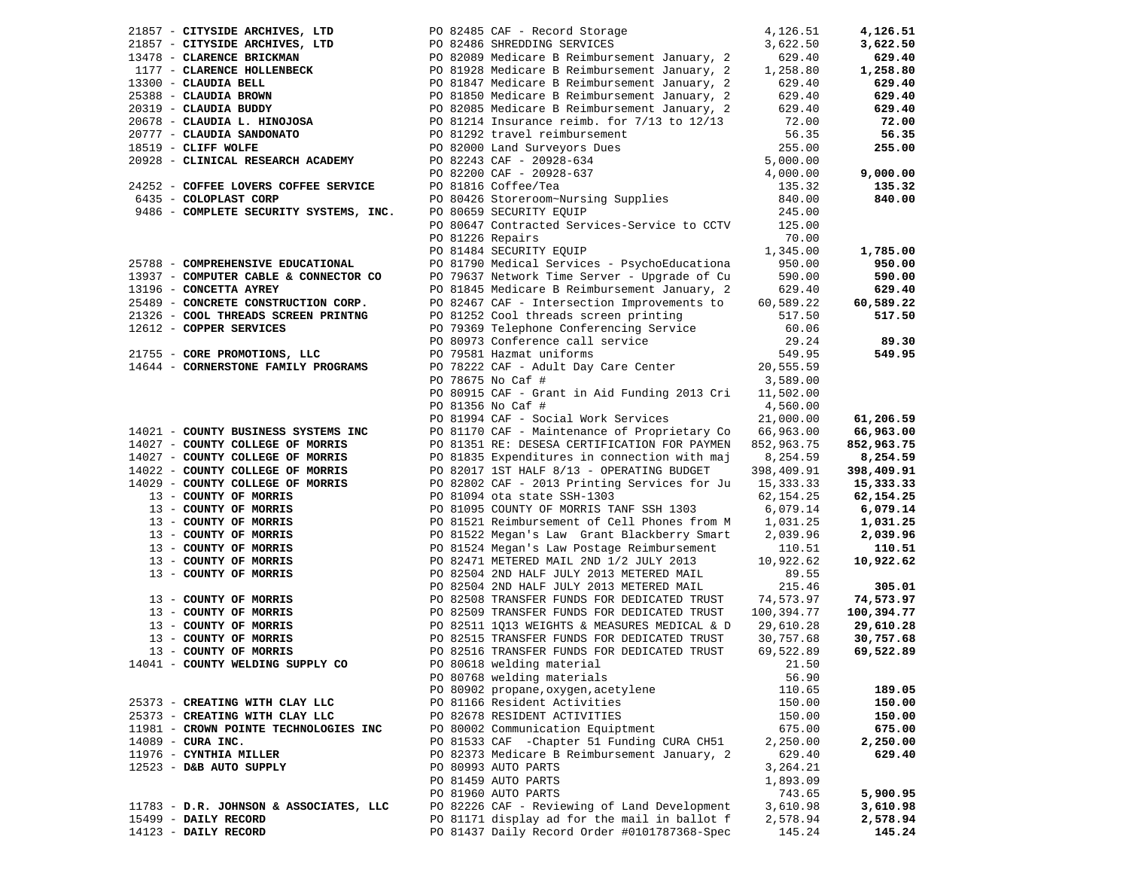| 21857 - CITYSIDE ARCHIVES, LTD         |                  | PO 82485 CAF - Record Storage                                                                                              | 4,126.51   | 4,126.51   |
|----------------------------------------|------------------|----------------------------------------------------------------------------------------------------------------------------|------------|------------|
|                                        |                  |                                                                                                                            | 3,622.50   | 3,622.50   |
|                                        |                  |                                                                                                                            | 629.40     | 629.40     |
|                                        |                  |                                                                                                                            | 1,258.80   | 1,258.80   |
|                                        |                  | 1177 - CLARENCE HOLLENBECK<br>1177 - CLARENCE HOLLENBECK 13300 - CLAUDIA BELL<br>13300 - CLAUDIA BELL 13900 - CLAUDIA BELL |            |            |
| 13300 - CLAUDIA BELL                   |                  |                                                                                                                            | 629.40     | 629.40     |
| 25388 - CLAUDIA BROWN                  |                  | PO 81850 Medicare B Reimbursement January, 2                                                                               | 629.40     | 629.40     |
| 20319 - CLAUDIA BUDDY                  |                  | PO 82085 Medicare B Reimbursement January, 2                                                                               | 629.40     | 629.40     |
| 20678 - CLAUDIA L. HINOJOSA            |                  | PO 81214 Insurance reimb. for 7/13 to 12/13                                                                                | 72.00      | 72.00      |
| 20777 - CLAUDIA SANDONATO              |                  | PO 81292 travel reimbursement                                                                                              | 56.35      | 56.35      |
| 18519 - CLIFF WOLFE                    |                  | PO 82000 Land Surveyors Dues                                                                                               | 255.00     | 255.00     |
| 20928 - CLINICAL RESEARCH ACADEMY      |                  | PO 82243 CAF - 20928-634                                                                                                   | 5,000.00   |            |
|                                        |                  |                                                                                                                            | 4,000.00   | 9,000.00   |
| 24252 - COFFEE LOVERS COFFEE SERVICE   |                  | PO 82243 CAF - 20928-637<br>PO 82200 CAF - 20928-637<br>PO 81816 Coffee/Tea<br>PO 80426 Storeroom~Nursing Supplies         | 135.32     | 135.32     |
| 6435 - COLOPLAST CORP                  |                  |                                                                                                                            | 840.00     | 840.00     |
| 9486 - COMPLETE SECURITY SYSTEMS, INC. |                  |                                                                                                                            | 245.00     |            |
|                                        |                  | PO 80659 SECURITY EQUIP                                                                                                    |            |            |
|                                        |                  | PO 80647 Contracted Services-Service to CCTV 125.00                                                                        |            |            |
|                                        | PO 81226 Repairs |                                                                                                                            | 70.00      |            |
|                                        |                  | PO 81484 SECURITY EQUIP                                                                                                    | 1,345.00   | 1,785.00   |
| 25788 - COMPREHENSIVE EDUCATIONAL      |                  | PO 81790 Medical Services - PsychoEducationa                                                                               | 950.00     | 950.00     |
| 13937 - COMPUTER CABLE & CONNECTOR CO  |                  | PO 79637 Network Time Server - Upgrade of Cu                                                                               | 590.00     | 590.00     |
| 13196 - CONCETTA AYREY                 |                  | PO 81845 Medicare B Reimbursement January, 2                                                                               | 629.40     | 629.40     |
| 25489 - CONCRETE CONSTRUCTION CORP.    |                  | PO 82467 CAF - Intersection Improvements to                                                                                | 60,589.22  | 60,589.22  |
| 21326 - COOL THREADS SCREEN PRINTNG    |                  | PO 81252 Cool threads screen printing                                                                                      | 517.50     | 517.50     |
| 12612 - COPPER SERVICES                |                  | PO 79369 Telephone Conferencing Service                                                                                    | 60.06      |            |
|                                        |                  | PO 80973 Conference call service                                                                                           | 29.24      | 89.30      |
| 21755 - CORE PROMOTIONS, LLC           |                  | PO 79581 Hazmat uniforms                                                                                                   | 549.95     | 549.95     |
| 14644 - CORNERSTONE FAMILY PROGRAMS    |                  | PO 78222 CAF - Adult Day Care Center                                                                                       | 20,555.59  |            |
|                                        |                  |                                                                                                                            |            |            |
|                                        |                  | PO 78675 No Caf #                                                                                                          | 3,589.00   |            |
|                                        |                  | PO 80915 CAF - Grant in Aid Funding 2013 Cri                                                                               | 11,502.00  |            |
|                                        |                  | PO 81356 No Caf #                                                                                                          | 4,560.00   |            |
|                                        |                  | PO 81994 CAF - Social Work Services                                                                                        | 21,000.00  | 61,206.59  |
| 14021 - COUNTY BUSINESS SYSTEMS INC    |                  | PO 81170 CAF - Maintenance of Proprietary Co                                                                               | 66,963.00  | 66,963.00  |
| 14027 - COUNTY COLLEGE OF MORRIS       |                  | PO 81351 RE: DESESA CERTIFICATION FOR PAYMEN                                                                               | 852,963.75 | 852,963.75 |
| 14027 - COUNTY COLLEGE OF MORRIS       |                  | PO 81835 Expenditures in connection with maj                                                                               | 8,254.59   | 8,254.59   |
| 14022 - COUNTY COLLEGE OF MORRIS       |                  | PO 82017 1ST HALF 8/13 - OPERATING BUDGET                                                                                  | 398,409.91 | 398,409.91 |
| 14029 - COUNTY COLLEGE OF MORRIS       |                  | PO 82802 CAF - 2013 Printing Services for Ju                                                                               | 15,333.33  | 15,333.33  |
| 13 - COUNTY OF MORRIS                  |                  | PO 81094 ota state SSH-1303                                                                                                | 62,154.25  | 62,154.25  |
| 13 - COUNTY OF MORRIS                  |                  | PO 81095 COUNTY OF MORRIS TANF SSH 1303                                                                                    | 6,079.14   | 6,079.14   |
| 13 - COUNTY OF MORRIS                  |                  | PO 81521 Reimbursement of Cell Phones from M                                                                               | 1,031.25   | 1,031.25   |
| 13 - COUNTY OF MORRIS                  |                  | PO 81522 Megan's Law Grant Blackberry Smart                                                                                | 2,039.96   | 2,039.96   |
| 13 - COUNTY OF MORRIS                  |                  | PO 81524 Megan's Law Postage Reimbursement                                                                                 | 110.51     | 110.51     |
| 13 - COUNTY OF MORRIS                  |                  | PO 82471 METERED MAIL 2ND 1/2 JULY 2013                                                                                    | 10,922.62  | 10,922.62  |
| 13 - COUNTY OF MORRIS                  |                  | PO 82504 2ND HALF JULY 2013 METERED MAIL                                                                                   | 89.55      |            |
|                                        |                  | PO 82504 2ND HALF JULY 2013 METERED MAIL                                                                                   | 215.46     | 305.01     |
| 13 - COUNTY OF MORRIS                  |                  | PO 82508 TRANSFER FUNDS FOR DEDICATED TRUST                                                                                | 74,573.97  | 74,573.97  |
| 13 - COUNTY OF MORRIS                  |                  | PO 82509 TRANSFER FUNDS FOR DEDICATED TRUST                                                                                | 100,394.77 | 100,394.77 |
| 13 - COUNTY OF MORRIS                  |                  | PO 82511 1Q13 WEIGHTS & MEASURES MEDICAL & D                                                                               | 29,610.28  | 29,610.28  |
| 13 - COUNTY OF MORRIS                  |                  | PO 82515 TRANSFER FUNDS FOR DEDICATED TRUST                                                                                | 30,757.68  | 30,757.68  |
| 13 - COUNTY OF MORRIS                  |                  | PO 82516 TRANSFER FUNDS FOR DEDICATED TRUST                                                                                | 69,522.89  | 69,522.89  |
| 14041 - COUNTY WELDING SUPPLY CO       |                  | PO 80618 welding material                                                                                                  | 21.50      |            |
|                                        |                  | PO 80768 welding materials                                                                                                 | 56.90      |            |
|                                        |                  |                                                                                                                            |            |            |
|                                        |                  | PO 80902 propane, oxygen, acetylene                                                                                        | 110.65     | 189.05     |
| 25373 - CREATING WITH CLAY LLC         |                  | PO 81166 Resident Activities                                                                                               | 150.00     | 150.00     |
| 25373 - CREATING WITH CLAY LLC         |                  | PO 82678 RESIDENT ACTIVITIES                                                                                               | 150.00     | 150.00     |
| 11981 - CROWN POINTE TECHNOLOGIES INC  |                  | PO 80002 Communication Equiptment                                                                                          | 675.00     | 675.00     |
| $14089$ - CURA INC.                    |                  | PO 81533 CAF - Chapter 51 Funding CURA CH51                                                                                | 2,250.00   | 2,250.00   |
| 11976 - CYNTHIA MILLER                 |                  | PO 82373 Medicare B Reimbursement January, 2                                                                               | 629.40     | 629.40     |
| 12523 - D&B AUTO SUPPLY                |                  | PO 80993 AUTO PARTS                                                                                                        | 3,264.21   |            |
|                                        |                  | PO 81459 AUTO PARTS                                                                                                        | 1,893.09   |            |
|                                        |                  | PO 81960 AUTO PARTS                                                                                                        | 743.65     | 5,900.95   |
| 11783 - D.R. JOHNSON & ASSOCIATES, LLC |                  | PO 82226 CAF - Reviewing of Land Development                                                                               | 3,610.98   | 3,610.98   |
| 15499 - DAILY RECORD                   |                  | PO 81171 display ad for the mail in ballot f                                                                               | 2,578.94   | 2,578.94   |
| 14123 - DAILY RECORD                   |                  | PO 81437 Daily Record Order #0101787368-Spec                                                                               | 145.24     | 145.24     |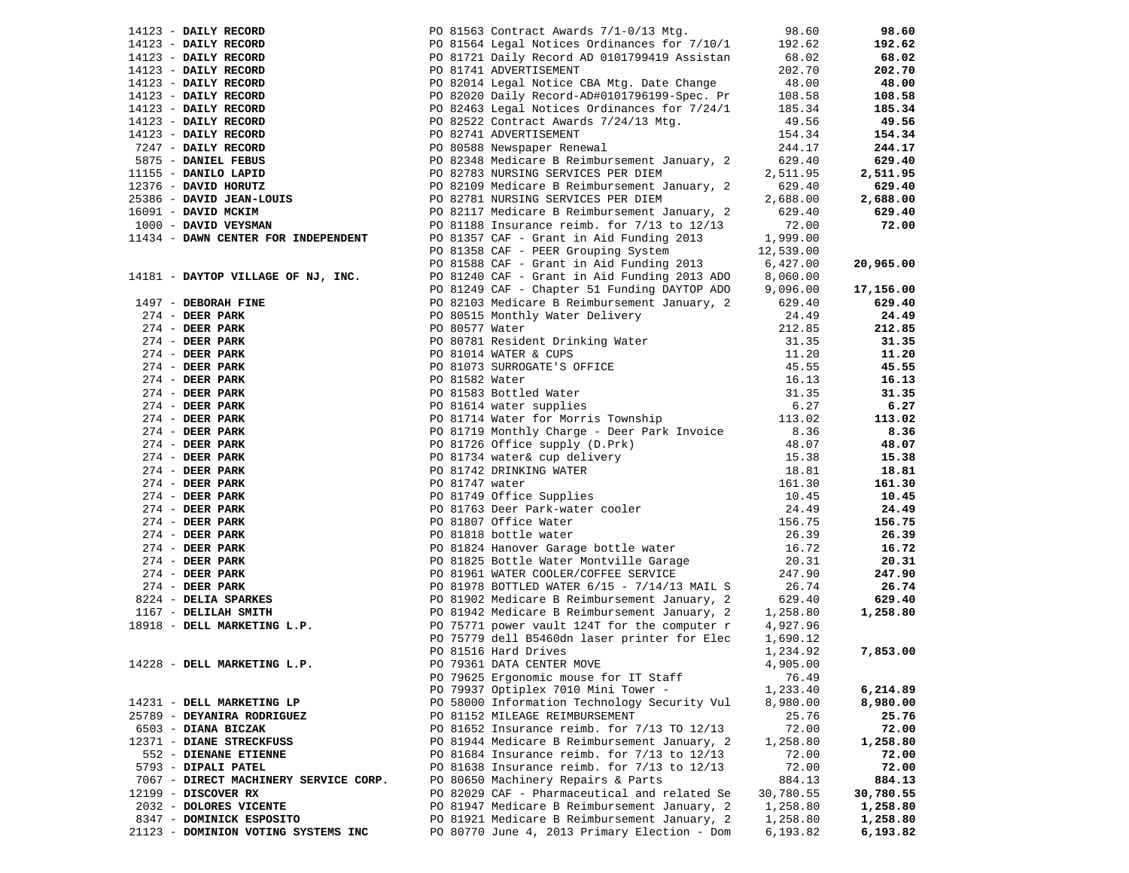|  | PO 81563 Contract Awards $7/1-0/13$ Mtg. | 98.60                                                                                                                                                                                                                                                                                                                                                                                                                                                                                                                                                                                                                                                                                                                                                                                                                                                                                                                                                                                                                                                                                                                                                                                                                                                                                                                                                                                                                                                                                                                                                                                                                                                                                                                                                                                                                                                                                                                                                                                                                                                                                                                                                                                                                                                                                                                                                                                                                                                                                                               | 98.60                                                                                                                                                                                                                                                                                                                                                                                                                                                                  |
|--|------------------------------------------|---------------------------------------------------------------------------------------------------------------------------------------------------------------------------------------------------------------------------------------------------------------------------------------------------------------------------------------------------------------------------------------------------------------------------------------------------------------------------------------------------------------------------------------------------------------------------------------------------------------------------------------------------------------------------------------------------------------------------------------------------------------------------------------------------------------------------------------------------------------------------------------------------------------------------------------------------------------------------------------------------------------------------------------------------------------------------------------------------------------------------------------------------------------------------------------------------------------------------------------------------------------------------------------------------------------------------------------------------------------------------------------------------------------------------------------------------------------------------------------------------------------------------------------------------------------------------------------------------------------------------------------------------------------------------------------------------------------------------------------------------------------------------------------------------------------------------------------------------------------------------------------------------------------------------------------------------------------------------------------------------------------------------------------------------------------------------------------------------------------------------------------------------------------------------------------------------------------------------------------------------------------------------------------------------------------------------------------------------------------------------------------------------------------------------------------------------------------------------------------------------------------------|------------------------------------------------------------------------------------------------------------------------------------------------------------------------------------------------------------------------------------------------------------------------------------------------------------------------------------------------------------------------------------------------------------------------------------------------------------------------|
|  |                                          | 192.62                                                                                                                                                                                                                                                                                                                                                                                                                                                                                                                                                                                                                                                                                                                                                                                                                                                                                                                                                                                                                                                                                                                                                                                                                                                                                                                                                                                                                                                                                                                                                                                                                                                                                                                                                                                                                                                                                                                                                                                                                                                                                                                                                                                                                                                                                                                                                                                                                                                                                                              | 192.62                                                                                                                                                                                                                                                                                                                                                                                                                                                                 |
|  |                                          | 68.02                                                                                                                                                                                                                                                                                                                                                                                                                                                                                                                                                                                                                                                                                                                                                                                                                                                                                                                                                                                                                                                                                                                                                                                                                                                                                                                                                                                                                                                                                                                                                                                                                                                                                                                                                                                                                                                                                                                                                                                                                                                                                                                                                                                                                                                                                                                                                                                                                                                                                                               | 68.02                                                                                                                                                                                                                                                                                                                                                                                                                                                                  |
|  |                                          | 202.70                                                                                                                                                                                                                                                                                                                                                                                                                                                                                                                                                                                                                                                                                                                                                                                                                                                                                                                                                                                                                                                                                                                                                                                                                                                                                                                                                                                                                                                                                                                                                                                                                                                                                                                                                                                                                                                                                                                                                                                                                                                                                                                                                                                                                                                                                                                                                                                                                                                                                                              | 202.70                                                                                                                                                                                                                                                                                                                                                                                                                                                                 |
|  |                                          | 48.00                                                                                                                                                                                                                                                                                                                                                                                                                                                                                                                                                                                                                                                                                                                                                                                                                                                                                                                                                                                                                                                                                                                                                                                                                                                                                                                                                                                                                                                                                                                                                                                                                                                                                                                                                                                                                                                                                                                                                                                                                                                                                                                                                                                                                                                                                                                                                                                                                                                                                                               | 48.00                                                                                                                                                                                                                                                                                                                                                                                                                                                                  |
|  |                                          |                                                                                                                                                                                                                                                                                                                                                                                                                                                                                                                                                                                                                                                                                                                                                                                                                                                                                                                                                                                                                                                                                                                                                                                                                                                                                                                                                                                                                                                                                                                                                                                                                                                                                                                                                                                                                                                                                                                                                                                                                                                                                                                                                                                                                                                                                                                                                                                                                                                                                                                     | 108.58                                                                                                                                                                                                                                                                                                                                                                                                                                                                 |
|  |                                          |                                                                                                                                                                                                                                                                                                                                                                                                                                                                                                                                                                                                                                                                                                                                                                                                                                                                                                                                                                                                                                                                                                                                                                                                                                                                                                                                                                                                                                                                                                                                                                                                                                                                                                                                                                                                                                                                                                                                                                                                                                                                                                                                                                                                                                                                                                                                                                                                                                                                                                                     | 185.34                                                                                                                                                                                                                                                                                                                                                                                                                                                                 |
|  |                                          |                                                                                                                                                                                                                                                                                                                                                                                                                                                                                                                                                                                                                                                                                                                                                                                                                                                                                                                                                                                                                                                                                                                                                                                                                                                                                                                                                                                                                                                                                                                                                                                                                                                                                                                                                                                                                                                                                                                                                                                                                                                                                                                                                                                                                                                                                                                                                                                                                                                                                                                     | 49.56                                                                                                                                                                                                                                                                                                                                                                                                                                                                  |
|  |                                          |                                                                                                                                                                                                                                                                                                                                                                                                                                                                                                                                                                                                                                                                                                                                                                                                                                                                                                                                                                                                                                                                                                                                                                                                                                                                                                                                                                                                                                                                                                                                                                                                                                                                                                                                                                                                                                                                                                                                                                                                                                                                                                                                                                                                                                                                                                                                                                                                                                                                                                                     | 154.34                                                                                                                                                                                                                                                                                                                                                                                                                                                                 |
|  |                                          |                                                                                                                                                                                                                                                                                                                                                                                                                                                                                                                                                                                                                                                                                                                                                                                                                                                                                                                                                                                                                                                                                                                                                                                                                                                                                                                                                                                                                                                                                                                                                                                                                                                                                                                                                                                                                                                                                                                                                                                                                                                                                                                                                                                                                                                                                                                                                                                                                                                                                                                     | 244.17                                                                                                                                                                                                                                                                                                                                                                                                                                                                 |
|  |                                          |                                                                                                                                                                                                                                                                                                                                                                                                                                                                                                                                                                                                                                                                                                                                                                                                                                                                                                                                                                                                                                                                                                                                                                                                                                                                                                                                                                                                                                                                                                                                                                                                                                                                                                                                                                                                                                                                                                                                                                                                                                                                                                                                                                                                                                                                                                                                                                                                                                                                                                                     | 629.40                                                                                                                                                                                                                                                                                                                                                                                                                                                                 |
|  |                                          |                                                                                                                                                                                                                                                                                                                                                                                                                                                                                                                                                                                                                                                                                                                                                                                                                                                                                                                                                                                                                                                                                                                                                                                                                                                                                                                                                                                                                                                                                                                                                                                                                                                                                                                                                                                                                                                                                                                                                                                                                                                                                                                                                                                                                                                                                                                                                                                                                                                                                                                     | 2,511.95                                                                                                                                                                                                                                                                                                                                                                                                                                                               |
|  |                                          |                                                                                                                                                                                                                                                                                                                                                                                                                                                                                                                                                                                                                                                                                                                                                                                                                                                                                                                                                                                                                                                                                                                                                                                                                                                                                                                                                                                                                                                                                                                                                                                                                                                                                                                                                                                                                                                                                                                                                                                                                                                                                                                                                                                                                                                                                                                                                                                                                                                                                                                     | 629.40                                                                                                                                                                                                                                                                                                                                                                                                                                                                 |
|  |                                          |                                                                                                                                                                                                                                                                                                                                                                                                                                                                                                                                                                                                                                                                                                                                                                                                                                                                                                                                                                                                                                                                                                                                                                                                                                                                                                                                                                                                                                                                                                                                                                                                                                                                                                                                                                                                                                                                                                                                                                                                                                                                                                                                                                                                                                                                                                                                                                                                                                                                                                                     | 2,688.00                                                                                                                                                                                                                                                                                                                                                                                                                                                               |
|  |                                          |                                                                                                                                                                                                                                                                                                                                                                                                                                                                                                                                                                                                                                                                                                                                                                                                                                                                                                                                                                                                                                                                                                                                                                                                                                                                                                                                                                                                                                                                                                                                                                                                                                                                                                                                                                                                                                                                                                                                                                                                                                                                                                                                                                                                                                                                                                                                                                                                                                                                                                                     | 629.40                                                                                                                                                                                                                                                                                                                                                                                                                                                                 |
|  |                                          |                                                                                                                                                                                                                                                                                                                                                                                                                                                                                                                                                                                                                                                                                                                                                                                                                                                                                                                                                                                                                                                                                                                                                                                                                                                                                                                                                                                                                                                                                                                                                                                                                                                                                                                                                                                                                                                                                                                                                                                                                                                                                                                                                                                                                                                                                                                                                                                                                                                                                                                     |                                                                                                                                                                                                                                                                                                                                                                                                                                                                        |
|  |                                          |                                                                                                                                                                                                                                                                                                                                                                                                                                                                                                                                                                                                                                                                                                                                                                                                                                                                                                                                                                                                                                                                                                                                                                                                                                                                                                                                                                                                                                                                                                                                                                                                                                                                                                                                                                                                                                                                                                                                                                                                                                                                                                                                                                                                                                                                                                                                                                                                                                                                                                                     | 72.00                                                                                                                                                                                                                                                                                                                                                                                                                                                                  |
|  |                                          |                                                                                                                                                                                                                                                                                                                                                                                                                                                                                                                                                                                                                                                                                                                                                                                                                                                                                                                                                                                                                                                                                                                                                                                                                                                                                                                                                                                                                                                                                                                                                                                                                                                                                                                                                                                                                                                                                                                                                                                                                                                                                                                                                                                                                                                                                                                                                                                                                                                                                                                     |                                                                                                                                                                                                                                                                                                                                                                                                                                                                        |
|  |                                          |                                                                                                                                                                                                                                                                                                                                                                                                                                                                                                                                                                                                                                                                                                                                                                                                                                                                                                                                                                                                                                                                                                                                                                                                                                                                                                                                                                                                                                                                                                                                                                                                                                                                                                                                                                                                                                                                                                                                                                                                                                                                                                                                                                                                                                                                                                                                                                                                                                                                                                                     |                                                                                                                                                                                                                                                                                                                                                                                                                                                                        |
|  |                                          |                                                                                                                                                                                                                                                                                                                                                                                                                                                                                                                                                                                                                                                                                                                                                                                                                                                                                                                                                                                                                                                                                                                                                                                                                                                                                                                                                                                                                                                                                                                                                                                                                                                                                                                                                                                                                                                                                                                                                                                                                                                                                                                                                                                                                                                                                                                                                                                                                                                                                                                     | 20,965.00                                                                                                                                                                                                                                                                                                                                                                                                                                                              |
|  |                                          |                                                                                                                                                                                                                                                                                                                                                                                                                                                                                                                                                                                                                                                                                                                                                                                                                                                                                                                                                                                                                                                                                                                                                                                                                                                                                                                                                                                                                                                                                                                                                                                                                                                                                                                                                                                                                                                                                                                                                                                                                                                                                                                                                                                                                                                                                                                                                                                                                                                                                                                     |                                                                                                                                                                                                                                                                                                                                                                                                                                                                        |
|  |                                          |                                                                                                                                                                                                                                                                                                                                                                                                                                                                                                                                                                                                                                                                                                                                                                                                                                                                                                                                                                                                                                                                                                                                                                                                                                                                                                                                                                                                                                                                                                                                                                                                                                                                                                                                                                                                                                                                                                                                                                                                                                                                                                                                                                                                                                                                                                                                                                                                                                                                                                                     | 17,156.00                                                                                                                                                                                                                                                                                                                                                                                                                                                              |
|  |                                          | 629.40                                                                                                                                                                                                                                                                                                                                                                                                                                                                                                                                                                                                                                                                                                                                                                                                                                                                                                                                                                                                                                                                                                                                                                                                                                                                                                                                                                                                                                                                                                                                                                                                                                                                                                                                                                                                                                                                                                                                                                                                                                                                                                                                                                                                                                                                                                                                                                                                                                                                                                              | 629.40                                                                                                                                                                                                                                                                                                                                                                                                                                                                 |
|  |                                          | 24.49                                                                                                                                                                                                                                                                                                                                                                                                                                                                                                                                                                                                                                                                                                                                                                                                                                                                                                                                                                                                                                                                                                                                                                                                                                                                                                                                                                                                                                                                                                                                                                                                                                                                                                                                                                                                                                                                                                                                                                                                                                                                                                                                                                                                                                                                                                                                                                                                                                                                                                               | 24.49                                                                                                                                                                                                                                                                                                                                                                                                                                                                  |
|  |                                          | 212.85                                                                                                                                                                                                                                                                                                                                                                                                                                                                                                                                                                                                                                                                                                                                                                                                                                                                                                                                                                                                                                                                                                                                                                                                                                                                                                                                                                                                                                                                                                                                                                                                                                                                                                                                                                                                                                                                                                                                                                                                                                                                                                                                                                                                                                                                                                                                                                                                                                                                                                              | 212.85                                                                                                                                                                                                                                                                                                                                                                                                                                                                 |
|  |                                          | 31.35                                                                                                                                                                                                                                                                                                                                                                                                                                                                                                                                                                                                                                                                                                                                                                                                                                                                                                                                                                                                                                                                                                                                                                                                                                                                                                                                                                                                                                                                                                                                                                                                                                                                                                                                                                                                                                                                                                                                                                                                                                                                                                                                                                                                                                                                                                                                                                                                                                                                                                               | 31.35                                                                                                                                                                                                                                                                                                                                                                                                                                                                  |
|  |                                          | 11.20                                                                                                                                                                                                                                                                                                                                                                                                                                                                                                                                                                                                                                                                                                                                                                                                                                                                                                                                                                                                                                                                                                                                                                                                                                                                                                                                                                                                                                                                                                                                                                                                                                                                                                                                                                                                                                                                                                                                                                                                                                                                                                                                                                                                                                                                                                                                                                                                                                                                                                               | 11.20                                                                                                                                                                                                                                                                                                                                                                                                                                                                  |
|  |                                          | 45.55                                                                                                                                                                                                                                                                                                                                                                                                                                                                                                                                                                                                                                                                                                                                                                                                                                                                                                                                                                                                                                                                                                                                                                                                                                                                                                                                                                                                                                                                                                                                                                                                                                                                                                                                                                                                                                                                                                                                                                                                                                                                                                                                                                                                                                                                                                                                                                                                                                                                                                               | 45.55                                                                                                                                                                                                                                                                                                                                                                                                                                                                  |
|  |                                          | 16.13                                                                                                                                                                                                                                                                                                                                                                                                                                                                                                                                                                                                                                                                                                                                                                                                                                                                                                                                                                                                                                                                                                                                                                                                                                                                                                                                                                                                                                                                                                                                                                                                                                                                                                                                                                                                                                                                                                                                                                                                                                                                                                                                                                                                                                                                                                                                                                                                                                                                                                               | 16.13                                                                                                                                                                                                                                                                                                                                                                                                                                                                  |
|  |                                          | 31.35                                                                                                                                                                                                                                                                                                                                                                                                                                                                                                                                                                                                                                                                                                                                                                                                                                                                                                                                                                                                                                                                                                                                                                                                                                                                                                                                                                                                                                                                                                                                                                                                                                                                                                                                                                                                                                                                                                                                                                                                                                                                                                                                                                                                                                                                                                                                                                                                                                                                                                               | 31.35                                                                                                                                                                                                                                                                                                                                                                                                                                                                  |
|  |                                          |                                                                                                                                                                                                                                                                                                                                                                                                                                                                                                                                                                                                                                                                                                                                                                                                                                                                                                                                                                                                                                                                                                                                                                                                                                                                                                                                                                                                                                                                                                                                                                                                                                                                                                                                                                                                                                                                                                                                                                                                                                                                                                                                                                                                                                                                                                                                                                                                                                                                                                                     | 6.27                                                                                                                                                                                                                                                                                                                                                                                                                                                                   |
|  |                                          |                                                                                                                                                                                                                                                                                                                                                                                                                                                                                                                                                                                                                                                                                                                                                                                                                                                                                                                                                                                                                                                                                                                                                                                                                                                                                                                                                                                                                                                                                                                                                                                                                                                                                                                                                                                                                                                                                                                                                                                                                                                                                                                                                                                                                                                                                                                                                                                                                                                                                                                     | 113.02                                                                                                                                                                                                                                                                                                                                                                                                                                                                 |
|  |                                          |                                                                                                                                                                                                                                                                                                                                                                                                                                                                                                                                                                                                                                                                                                                                                                                                                                                                                                                                                                                                                                                                                                                                                                                                                                                                                                                                                                                                                                                                                                                                                                                                                                                                                                                                                                                                                                                                                                                                                                                                                                                                                                                                                                                                                                                                                                                                                                                                                                                                                                                     | 8.36                                                                                                                                                                                                                                                                                                                                                                                                                                                                   |
|  |                                          |                                                                                                                                                                                                                                                                                                                                                                                                                                                                                                                                                                                                                                                                                                                                                                                                                                                                                                                                                                                                                                                                                                                                                                                                                                                                                                                                                                                                                                                                                                                                                                                                                                                                                                                                                                                                                                                                                                                                                                                                                                                                                                                                                                                                                                                                                                                                                                                                                                                                                                                     | 48.07                                                                                                                                                                                                                                                                                                                                                                                                                                                                  |
|  |                                          |                                                                                                                                                                                                                                                                                                                                                                                                                                                                                                                                                                                                                                                                                                                                                                                                                                                                                                                                                                                                                                                                                                                                                                                                                                                                                                                                                                                                                                                                                                                                                                                                                                                                                                                                                                                                                                                                                                                                                                                                                                                                                                                                                                                                                                                                                                                                                                                                                                                                                                                     | 15.38                                                                                                                                                                                                                                                                                                                                                                                                                                                                  |
|  |                                          |                                                                                                                                                                                                                                                                                                                                                                                                                                                                                                                                                                                                                                                                                                                                                                                                                                                                                                                                                                                                                                                                                                                                                                                                                                                                                                                                                                                                                                                                                                                                                                                                                                                                                                                                                                                                                                                                                                                                                                                                                                                                                                                                                                                                                                                                                                                                                                                                                                                                                                                     | 18.81                                                                                                                                                                                                                                                                                                                                                                                                                                                                  |
|  |                                          |                                                                                                                                                                                                                                                                                                                                                                                                                                                                                                                                                                                                                                                                                                                                                                                                                                                                                                                                                                                                                                                                                                                                                                                                                                                                                                                                                                                                                                                                                                                                                                                                                                                                                                                                                                                                                                                                                                                                                                                                                                                                                                                                                                                                                                                                                                                                                                                                                                                                                                                     | 161.30                                                                                                                                                                                                                                                                                                                                                                                                                                                                 |
|  |                                          |                                                                                                                                                                                                                                                                                                                                                                                                                                                                                                                                                                                                                                                                                                                                                                                                                                                                                                                                                                                                                                                                                                                                                                                                                                                                                                                                                                                                                                                                                                                                                                                                                                                                                                                                                                                                                                                                                                                                                                                                                                                                                                                                                                                                                                                                                                                                                                                                                                                                                                                     | 10.45                                                                                                                                                                                                                                                                                                                                                                                                                                                                  |
|  |                                          |                                                                                                                                                                                                                                                                                                                                                                                                                                                                                                                                                                                                                                                                                                                                                                                                                                                                                                                                                                                                                                                                                                                                                                                                                                                                                                                                                                                                                                                                                                                                                                                                                                                                                                                                                                                                                                                                                                                                                                                                                                                                                                                                                                                                                                                                                                                                                                                                                                                                                                                     | 24.49                                                                                                                                                                                                                                                                                                                                                                                                                                                                  |
|  |                                          |                                                                                                                                                                                                                                                                                                                                                                                                                                                                                                                                                                                                                                                                                                                                                                                                                                                                                                                                                                                                                                                                                                                                                                                                                                                                                                                                                                                                                                                                                                                                                                                                                                                                                                                                                                                                                                                                                                                                                                                                                                                                                                                                                                                                                                                                                                                                                                                                                                                                                                                     | 156.75                                                                                                                                                                                                                                                                                                                                                                                                                                                                 |
|  |                                          |                                                                                                                                                                                                                                                                                                                                                                                                                                                                                                                                                                                                                                                                                                                                                                                                                                                                                                                                                                                                                                                                                                                                                                                                                                                                                                                                                                                                                                                                                                                                                                                                                                                                                                                                                                                                                                                                                                                                                                                                                                                                                                                                                                                                                                                                                                                                                                                                                                                                                                                     | 26.39                                                                                                                                                                                                                                                                                                                                                                                                                                                                  |
|  |                                          |                                                                                                                                                                                                                                                                                                                                                                                                                                                                                                                                                                                                                                                                                                                                                                                                                                                                                                                                                                                                                                                                                                                                                                                                                                                                                                                                                                                                                                                                                                                                                                                                                                                                                                                                                                                                                                                                                                                                                                                                                                                                                                                                                                                                                                                                                                                                                                                                                                                                                                                     |                                                                                                                                                                                                                                                                                                                                                                                                                                                                        |
|  |                                          |                                                                                                                                                                                                                                                                                                                                                                                                                                                                                                                                                                                                                                                                                                                                                                                                                                                                                                                                                                                                                                                                                                                                                                                                                                                                                                                                                                                                                                                                                                                                                                                                                                                                                                                                                                                                                                                                                                                                                                                                                                                                                                                                                                                                                                                                                                                                                                                                                                                                                                                     | 16.72                                                                                                                                                                                                                                                                                                                                                                                                                                                                  |
|  |                                          |                                                                                                                                                                                                                                                                                                                                                                                                                                                                                                                                                                                                                                                                                                                                                                                                                                                                                                                                                                                                                                                                                                                                                                                                                                                                                                                                                                                                                                                                                                                                                                                                                                                                                                                                                                                                                                                                                                                                                                                                                                                                                                                                                                                                                                                                                                                                                                                                                                                                                                                     | 20.31                                                                                                                                                                                                                                                                                                                                                                                                                                                                  |
|  |                                          |                                                                                                                                                                                                                                                                                                                                                                                                                                                                                                                                                                                                                                                                                                                                                                                                                                                                                                                                                                                                                                                                                                                                                                                                                                                                                                                                                                                                                                                                                                                                                                                                                                                                                                                                                                                                                                                                                                                                                                                                                                                                                                                                                                                                                                                                                                                                                                                                                                                                                                                     | 247.90                                                                                                                                                                                                                                                                                                                                                                                                                                                                 |
|  |                                          |                                                                                                                                                                                                                                                                                                                                                                                                                                                                                                                                                                                                                                                                                                                                                                                                                                                                                                                                                                                                                                                                                                                                                                                                                                                                                                                                                                                                                                                                                                                                                                                                                                                                                                                                                                                                                                                                                                                                                                                                                                                                                                                                                                                                                                                                                                                                                                                                                                                                                                                     | 26.74                                                                                                                                                                                                                                                                                                                                                                                                                                                                  |
|  |                                          |                                                                                                                                                                                                                                                                                                                                                                                                                                                                                                                                                                                                                                                                                                                                                                                                                                                                                                                                                                                                                                                                                                                                                                                                                                                                                                                                                                                                                                                                                                                                                                                                                                                                                                                                                                                                                                                                                                                                                                                                                                                                                                                                                                                                                                                                                                                                                                                                                                                                                                                     | 629.40                                                                                                                                                                                                                                                                                                                                                                                                                                                                 |
|  |                                          |                                                                                                                                                                                                                                                                                                                                                                                                                                                                                                                                                                                                                                                                                                                                                                                                                                                                                                                                                                                                                                                                                                                                                                                                                                                                                                                                                                                                                                                                                                                                                                                                                                                                                                                                                                                                                                                                                                                                                                                                                                                                                                                                                                                                                                                                                                                                                                                                                                                                                                                     | 1,258.80                                                                                                                                                                                                                                                                                                                                                                                                                                                               |
|  |                                          |                                                                                                                                                                                                                                                                                                                                                                                                                                                                                                                                                                                                                                                                                                                                                                                                                                                                                                                                                                                                                                                                                                                                                                                                                                                                                                                                                                                                                                                                                                                                                                                                                                                                                                                                                                                                                                                                                                                                                                                                                                                                                                                                                                                                                                                                                                                                                                                                                                                                                                                     |                                                                                                                                                                                                                                                                                                                                                                                                                                                                        |
|  |                                          |                                                                                                                                                                                                                                                                                                                                                                                                                                                                                                                                                                                                                                                                                                                                                                                                                                                                                                                                                                                                                                                                                                                                                                                                                                                                                                                                                                                                                                                                                                                                                                                                                                                                                                                                                                                                                                                                                                                                                                                                                                                                                                                                                                                                                                                                                                                                                                                                                                                                                                                     |                                                                                                                                                                                                                                                                                                                                                                                                                                                                        |
|  |                                          |                                                                                                                                                                                                                                                                                                                                                                                                                                                                                                                                                                                                                                                                                                                                                                                                                                                                                                                                                                                                                                                                                                                                                                                                                                                                                                                                                                                                                                                                                                                                                                                                                                                                                                                                                                                                                                                                                                                                                                                                                                                                                                                                                                                                                                                                                                                                                                                                                                                                                                                     | 7,853.00                                                                                                                                                                                                                                                                                                                                                                                                                                                               |
|  |                                          |                                                                                                                                                                                                                                                                                                                                                                                                                                                                                                                                                                                                                                                                                                                                                                                                                                                                                                                                                                                                                                                                                                                                                                                                                                                                                                                                                                                                                                                                                                                                                                                                                                                                                                                                                                                                                                                                                                                                                                                                                                                                                                                                                                                                                                                                                                                                                                                                                                                                                                                     |                                                                                                                                                                                                                                                                                                                                                                                                                                                                        |
|  |                                          |                                                                                                                                                                                                                                                                                                                                                                                                                                                                                                                                                                                                                                                                                                                                                                                                                                                                                                                                                                                                                                                                                                                                                                                                                                                                                                                                                                                                                                                                                                                                                                                                                                                                                                                                                                                                                                                                                                                                                                                                                                                                                                                                                                                                                                                                                                                                                                                                                                                                                                                     |                                                                                                                                                                                                                                                                                                                                                                                                                                                                        |
|  |                                          |                                                                                                                                                                                                                                                                                                                                                                                                                                                                                                                                                                                                                                                                                                                                                                                                                                                                                                                                                                                                                                                                                                                                                                                                                                                                                                                                                                                                                                                                                                                                                                                                                                                                                                                                                                                                                                                                                                                                                                                                                                                                                                                                                                                                                                                                                                                                                                                                                                                                                                                     | 6,214.89                                                                                                                                                                                                                                                                                                                                                                                                                                                               |
|  |                                          | 8,980.00                                                                                                                                                                                                                                                                                                                                                                                                                                                                                                                                                                                                                                                                                                                                                                                                                                                                                                                                                                                                                                                                                                                                                                                                                                                                                                                                                                                                                                                                                                                                                                                                                                                                                                                                                                                                                                                                                                                                                                                                                                                                                                                                                                                                                                                                                                                                                                                                                                                                                                            | 8,980.00                                                                                                                                                                                                                                                                                                                                                                                                                                                               |
|  |                                          |                                                                                                                                                                                                                                                                                                                                                                                                                                                                                                                                                                                                                                                                                                                                                                                                                                                                                                                                                                                                                                                                                                                                                                                                                                                                                                                                                                                                                                                                                                                                                                                                                                                                                                                                                                                                                                                                                                                                                                                                                                                                                                                                                                                                                                                                                                                                                                                                                                                                                                                     | 25.76                                                                                                                                                                                                                                                                                                                                                                                                                                                                  |
|  |                                          | 72.00                                                                                                                                                                                                                                                                                                                                                                                                                                                                                                                                                                                                                                                                                                                                                                                                                                                                                                                                                                                                                                                                                                                                                                                                                                                                                                                                                                                                                                                                                                                                                                                                                                                                                                                                                                                                                                                                                                                                                                                                                                                                                                                                                                                                                                                                                                                                                                                                                                                                                                               | 72.00                                                                                                                                                                                                                                                                                                                                                                                                                                                                  |
|  |                                          | 1,258.80                                                                                                                                                                                                                                                                                                                                                                                                                                                                                                                                                                                                                                                                                                                                                                                                                                                                                                                                                                                                                                                                                                                                                                                                                                                                                                                                                                                                                                                                                                                                                                                                                                                                                                                                                                                                                                                                                                                                                                                                                                                                                                                                                                                                                                                                                                                                                                                                                                                                                                            | 1,258.80                                                                                                                                                                                                                                                                                                                                                                                                                                                               |
|  |                                          | 72.00                                                                                                                                                                                                                                                                                                                                                                                                                                                                                                                                                                                                                                                                                                                                                                                                                                                                                                                                                                                                                                                                                                                                                                                                                                                                                                                                                                                                                                                                                                                                                                                                                                                                                                                                                                                                                                                                                                                                                                                                                                                                                                                                                                                                                                                                                                                                                                                                                                                                                                               | 72.00                                                                                                                                                                                                                                                                                                                                                                                                                                                                  |
|  |                                          | 72.00                                                                                                                                                                                                                                                                                                                                                                                                                                                                                                                                                                                                                                                                                                                                                                                                                                                                                                                                                                                                                                                                                                                                                                                                                                                                                                                                                                                                                                                                                                                                                                                                                                                                                                                                                                                                                                                                                                                                                                                                                                                                                                                                                                                                                                                                                                                                                                                                                                                                                                               | 72.00                                                                                                                                                                                                                                                                                                                                                                                                                                                                  |
|  |                                          | 884.13                                                                                                                                                                                                                                                                                                                                                                                                                                                                                                                                                                                                                                                                                                                                                                                                                                                                                                                                                                                                                                                                                                                                                                                                                                                                                                                                                                                                                                                                                                                                                                                                                                                                                                                                                                                                                                                                                                                                                                                                                                                                                                                                                                                                                                                                                                                                                                                                                                                                                                              | 884.13                                                                                                                                                                                                                                                                                                                                                                                                                                                                 |
|  |                                          | 30,780.55                                                                                                                                                                                                                                                                                                                                                                                                                                                                                                                                                                                                                                                                                                                                                                                                                                                                                                                                                                                                                                                                                                                                                                                                                                                                                                                                                                                                                                                                                                                                                                                                                                                                                                                                                                                                                                                                                                                                                                                                                                                                                                                                                                                                                                                                                                                                                                                                                                                                                                           | 30,780.55                                                                                                                                                                                                                                                                                                                                                                                                                                                              |
|  |                                          | 1,258.80                                                                                                                                                                                                                                                                                                                                                                                                                                                                                                                                                                                                                                                                                                                                                                                                                                                                                                                                                                                                                                                                                                                                                                                                                                                                                                                                                                                                                                                                                                                                                                                                                                                                                                                                                                                                                                                                                                                                                                                                                                                                                                                                                                                                                                                                                                                                                                                                                                                                                                            | 1,258.80                                                                                                                                                                                                                                                                                                                                                                                                                                                               |
|  |                                          | 1,258.80                                                                                                                                                                                                                                                                                                                                                                                                                                                                                                                                                                                                                                                                                                                                                                                                                                                                                                                                                                                                                                                                                                                                                                                                                                                                                                                                                                                                                                                                                                                                                                                                                                                                                                                                                                                                                                                                                                                                                                                                                                                                                                                                                                                                                                                                                                                                                                                                                                                                                                            | 1,258.80                                                                                                                                                                                                                                                                                                                                                                                                                                                               |
|  |                                          | 6,193.82                                                                                                                                                                                                                                                                                                                                                                                                                                                                                                                                                                                                                                                                                                                                                                                                                                                                                                                                                                                                                                                                                                                                                                                                                                                                                                                                                                                                                                                                                                                                                                                                                                                                                                                                                                                                                                                                                                                                                                                                                                                                                                                                                                                                                                                                                                                                                                                                                                                                                                            | 6,193.82                                                                                                                                                                                                                                                                                                                                                                                                                                                               |
|  |                                          | PO 81564 Legal Notices Ordinances for 7/10/1<br>PO 81721 Daily Record AD 0101799419 Assistan<br>PO 81741 ADVERTISEMENT<br>PO 82014 Legal Notice CBA Mtg. Date Change<br>PO 82020 Daily Record-AD#0101796199-Spec. Pr<br>PO 82463 Legal Notices Ordinances for 7/24/1<br>PO 82522 Contract Awards 7/24/13 Mtg.<br>PO 82741 ADVERTISEMENT<br>PO 80588 Newspaper Renewal<br>PO 82348 Medicare B Reimbursement January, 2<br>PO 82783 NURSING SERVICES PER DIEM<br>PO 82109 Medicare B Reimbursement January, 2<br>PO 82781 NURSING SERVICES PER DIEM<br>PO 82117 Medicare B Reimbursement January, 2<br>PO 81188 Insurance reimb. for 7/13 to 12/13<br>PO 81357 CAF - Grant in Aid Funding 2013<br>PO 81358 CAF - PEER Grouping System<br>PO 81588 CAF - Grant in Aid Funding 2013<br>PO 81240 CAF - Grant in Aid Funding 2013 ADO<br>PO 82103 Medicare B Reimbursement January, 2<br>PO 80515 Monthly Water Delivery<br>PO 80577 Water<br>10 80781 Resident Drinking Water<br>PO 80781 Resident Drinking Water<br>PO 81073 SURROGATE'S OFFICE<br>PO 81582 Water<br>PO 81583 Bottled Water<br>PO 81614 Water for Morris Township<br>PO 81714 Water for Morris Township<br>PO 81719 Monthly Charge - Deer Park Invoice<br>PO 81726 Office supply (D.Prk)<br>PO 81734 water& cup delivery<br>PO 81742 DRINKING WATER<br>PO 81747 water<br>PO 81749 Office Supplies<br>PO 81763 Deer Park-water cooler<br>PO 81807 Office Water<br>PO 81818 bottle water<br>PO 81818 bottle water<br>PO 81824 Hanover Garage bottle water<br>PO 81825 Bottle Water Montville Garage<br>PO 81961 WATER COOLER/COFFEE SERVICE<br>PO 81978 BOTTLED WATER 6/15 - 7/14/13 MAIL S<br>PO 81902 Medicare B Reimbursement January, 2<br>PO 81942 Medicare B Reimbursement January, 2<br>PO 75771 power vault 124T for the computer r<br>PO 75779 dell B5460dn laser printer for Elec<br>PO 81516 Hard Drives<br>PO 79361 DATA CENTER MOVE<br>PO 79625 Ergonomic mouse for IT Staff<br>PO 79937 Optiplex 7010 Mini Tower -<br>PO 58000 Information Technology Security Vul<br>PO 81152 MILEAGE REIMBURSEMENT<br>PO 81652 Insurance reimb. for 7/13 TO 12/13<br>PO 81944 Medicare B Reimbursement January, 2<br>PO 81684 Insurance reimb. for 7/13 to 12/13<br>PO 81638 Insurance reimb. for $7/13$ to $12/13$<br>PO 80650 Machinery Repairs & Parts<br>PO 82029 CAF - Pharmaceutical and related Se<br>PO 81947 Medicare B Reimbursement January, 2<br>PO 81921 Medicare B Reimbursement January, 2<br>PO 80770 June 4, 2013 Primary Election - Dom | 108.58<br>185.34<br>49.56<br>154.34<br>244.17<br>629.40<br>2,511.95<br>629.40<br>2,688.00<br>629.40<br>72.00<br>1,999.00<br>12,539.00<br>6,427.00<br>8,060.00<br>PO 81249 CAF - Chapter 51 Funding DAYTOP ADO<br>9,096.00<br>6.27<br>113.02<br>8.36<br>48.07<br>15.38<br>18.81<br>161.30<br>10.45<br>24.49<br>156.75<br>26.39<br>16.72<br>20.31<br>247.90<br>26.74<br>629.40<br>1,258.80<br>4,927.96<br>1,690.12<br>1,234.92<br>4,905.00<br>76.49<br>1,233.40<br>25.76 |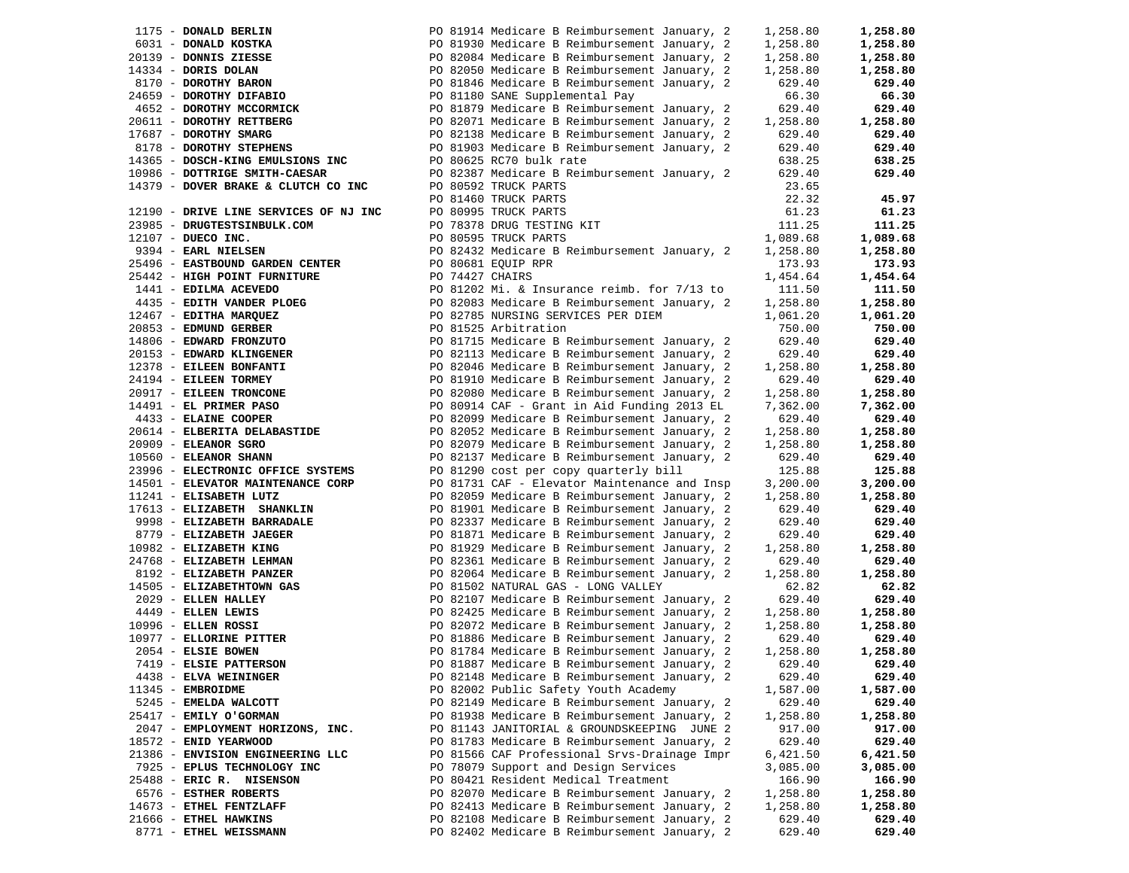| 1175 - DONALD BERLIN                  |                 | PO 81914 Medicare B Reimbursement January, 2 | 1,258.80 | 1,258.80 |
|---------------------------------------|-----------------|----------------------------------------------|----------|----------|
| 6031 - DONALD KOSTKA                  |                 | PO 81930 Medicare B Reimbursement January, 2 | 1,258.80 | 1,258.80 |
|                                       |                 |                                              |          |          |
| 20139 - DONNIS ZIESSE                 |                 | PO 82084 Medicare B Reimbursement January, 2 | 1,258.80 | 1,258.80 |
| 14334 - DORIS DOLAN                   |                 | PO 82050 Medicare B Reimbursement January, 2 | 1,258.80 | 1,258.80 |
| 8170 - DOROTHY BARON                  |                 | PO 81846 Medicare B Reimbursement January, 2 | 629.40   | 629.40   |
| 24659 - DOROTHY DIFABIO               |                 | PO 81180 SANE Supplemental Pay               | 66.30    | 66.30    |
| 4652 - DOROTHY MCCORMICK              |                 | PO 81879 Medicare B Reimbursement January, 2 | 629.40   | 629.40   |
| 20611 - DOROTHY RETTBERG              |                 | PO 82071 Medicare B Reimbursement January, 2 | 1,258.80 | 1,258.80 |
| 17687 - DOROTHY SMARG                 |                 | PO 82138 Medicare B Reimbursement January, 2 | 629.40   | 629.40   |
| 8178 - DOROTHY STEPHENS               |                 | PO 81903 Medicare B Reimbursement January, 2 | 629.40   | 629.40   |
|                                       |                 |                                              |          |          |
| 14365 - DOSCH-KING EMULSIONS INC      |                 | PO 80625 RC70 bulk rate                      | 638.25   | 638.25   |
| 10986 - DOTTRIGE SMITH-CAESAR         |                 | PO 82387 Medicare B Reimbursement January, 2 | 629.40   | 629.40   |
| 14379 - DOVER BRAKE & CLUTCH CO INC   |                 | PO 80592 TRUCK PARTS                         | 23.65    |          |
|                                       |                 | PO 81460 TRUCK PARTS                         | 22.32    | 45.97    |
| 12190 - DRIVE LINE SERVICES OF NJ INC |                 | PO 80995 TRUCK PARTS                         | 61.23    | 61.23    |
| 23985 - DRUGTESTSINBULK.COM           |                 | PO 78378 DRUG TESTING KIT                    | 111.25   | 111.25   |
| 12107 - DUECO INC.                    |                 | PO 80595 TRUCK PARTS                         | 1,089.68 | 1,089.68 |
| 9394 - EARL NIELSEN                   |                 |                                              | 1,258.80 | 1,258.80 |
|                                       |                 | PO 82432 Medicare B Reimbursement January, 2 |          |          |
| 25496 - EASTBOUND GARDEN CENTER       |                 | PO 80681 EQUIP RPR                           | 173.93   | 173.93   |
| 25442 - HIGH POINT FURNITURE          | PO 74427 CHAIRS |                                              | 1,454.64 | 1,454.64 |
| 1441 - EDILMA ACEVEDO                 |                 | PO 81202 Mi. & Insurance reimb. for 7/13 to  | 111.50   | 111.50   |
| 4435 - EDITH VANDER PLOEG             |                 | PO 82083 Medicare B Reimbursement January, 2 | 1,258.80 | 1,258.80 |
| 12467 - EDITHA MARQUEZ                |                 | PO 82785 NURSING SERVICES PER DIEM           | 1,061.20 | 1,061.20 |
| 20853 - EDMUND GERBER                 |                 | PO 81525 Arbitration                         | 750.00   | 750.00   |
| 14806 - EDWARD FRONZUTO               |                 | PO 81715 Medicare B Reimbursement January, 2 | 629.40   | 629.40   |
| 20153 - EDWARD KLINGENER              |                 | PO 82113 Medicare B Reimbursement January, 2 | 629.40   | 629.40   |
|                                       |                 |                                              |          |          |
| 12378 - EILEEN BONFANTI               |                 | PO 82046 Medicare B Reimbursement January, 2 | 1,258.80 | 1,258.80 |
| 24194 - EILEEN TORMEY                 |                 | PO 81910 Medicare B Reimbursement January, 2 | 629.40   | 629.40   |
| 20917 - EILEEN TRONCONE               |                 | PO 82080 Medicare B Reimbursement January, 2 | 1,258.80 | 1,258.80 |
| 14491 - EL PRIMER PASO                |                 | PO 80914 CAF - Grant in Aid Funding 2013 EL  | 7,362.00 | 7,362.00 |
| 4433 - ELAINE COOPER                  |                 | PO 82099 Medicare B Reimbursement January, 2 | 629.40   | 629.40   |
| 20614 - ELBERITA DELABASTIDE          |                 | PO 82052 Medicare B Reimbursement January, 2 | 1,258.80 | 1,258.80 |
| 20909 - ELEANOR SGRO                  |                 | PO 82079 Medicare B Reimbursement January, 2 | 1,258.80 | 1,258.80 |
| 10560 - ELEANOR SHANN                 |                 | PO 82137 Medicare B Reimbursement January, 2 | 629.40   | 629.40   |
| 23996 - ELECTRONIC OFFICE SYSTEMS     |                 | PO 81290 cost per copy quarterly bill        | 125.88   | 125.88   |
|                                       |                 |                                              |          |          |
| 14501 - ELEVATOR MAINTENANCE CORP     |                 | PO 81731 CAF - Elevator Maintenance and Insp | 3,200.00 | 3,200.00 |
| 11241 - ELISABETH LUTZ                |                 | PO 82059 Medicare B Reimbursement January, 2 | 1,258.80 | 1,258.80 |
| 17613 - ELIZABETH SHANKLIN            |                 | PO 81901 Medicare B Reimbursement January, 2 | 629.40   | 629.40   |
| 9998 - ELIZABETH BARRADALE            |                 | PO 82337 Medicare B Reimbursement January, 2 | 629.40   | 629.40   |
| 8779 - ELIZABETH JAEGER               |                 | PO 81871 Medicare B Reimbursement January, 2 | 629.40   | 629.40   |
| 10982 - ELIZABETH KING                |                 | PO 81929 Medicare B Reimbursement January, 2 | 1,258.80 | 1,258.80 |
| 24768 - ELIZABETH LEHMAN              |                 | PO 82361 Medicare B Reimbursement January, 2 | 629.40   | 629.40   |
| 8192 - ELIZABETH PANZER               |                 | PO 82064 Medicare B Reimbursement January, 2 | 1,258.80 | 1,258.80 |
| 14505 - ELIZABETHTOWN GAS             |                 | PO 81502 NATURAL GAS - LONG VALLEY           | 62.82    | 62.82    |
| 2029 - ELLEN HALLEY                   |                 | PO 82107 Medicare B Reimbursement January, 2 | 629.40   | 629.40   |
|                                       |                 |                                              |          |          |
| $4449$ - ELLEN LEWIS                  |                 | PO 82425 Medicare B Reimbursement January, 2 | 1,258.80 | 1,258.80 |
| 10996 - ELLEN ROSSI                   |                 | PO 82072 Medicare B Reimbursement January, 2 | 1,258.80 | 1,258.80 |
| 10977 - ELLORINE PITTER               |                 | PO 81886 Medicare B Reimbursement January, 2 | 629.40   | 629.40   |
| 2054 - ELSIE BOWEN                    |                 | PO 81784 Medicare B Reimbursement January, 2 | 1,258.80 | 1,258.80 |
| 7419 - ELSIE PATTERSON                |                 | PO 81887 Medicare B Reimbursement January, 2 | 629.40   | 629.40   |
| 4438 - ELVA WEININGER                 |                 | PO 82148 Medicare B Reimbursement January, 2 | 629.40   | 629.40   |
| 11345 - EMBROIDME                     |                 | PO 82002 Public Safety Youth Academy         | 1,587.00 | 1,587.00 |
| 5245 - EMELDA WALCOTT                 |                 | PO 82149 Medicare B Reimbursement January, 2 | 629.40   | 629.40   |
| 25417 - EMILY O'GORMAN                |                 | PO 81938 Medicare B Reimbursement January, 2 | 1,258.80 | 1,258.80 |
| 2047 - EMPLOYMENT HORIZONS, INC.      |                 |                                              |          |          |
|                                       |                 | PO 81143 JANITORIAL & GROUNDSKEEPING JUNE 2  | 917.00   | 917.00   |
| 18572 - ENID YEARWOOD                 |                 | PO 81783 Medicare B Reimbursement January, 2 | 629.40   | 629.40   |
| 21386 - ENVISION ENGINEERING LLC      |                 | PO 81566 CAF Professional Srvs-Drainage Impr | 6,421.50 | 6,421.50 |
| 7925 - EPLUS TECHNOLOGY INC           |                 | PO 78079 Support and Design Services         | 3,085.00 | 3,085.00 |
| 25488 - ERIC R. NISENSON              |                 | PO 80421 Resident Medical Treatment          | 166.90   | 166.90   |
| 6576 - ESTHER ROBERTS                 |                 | PO 82070 Medicare B Reimbursement January, 2 | 1,258.80 | 1,258.80 |
| 14673 - ETHEL FENTZLAFF               |                 | PO 82413 Medicare B Reimbursement January, 2 | 1,258.80 | 1,258.80 |
| 21666 - ETHEL HAWKINS                 |                 | PO 82108 Medicare B Reimbursement January, 2 | 629.40   | 629.40   |
| 8771 - ETHEL WEISSMANN                |                 | PO 82402 Medicare B Reimbursement January, 2 | 629.40   | 629.40   |
|                                       |                 |                                              |          |          |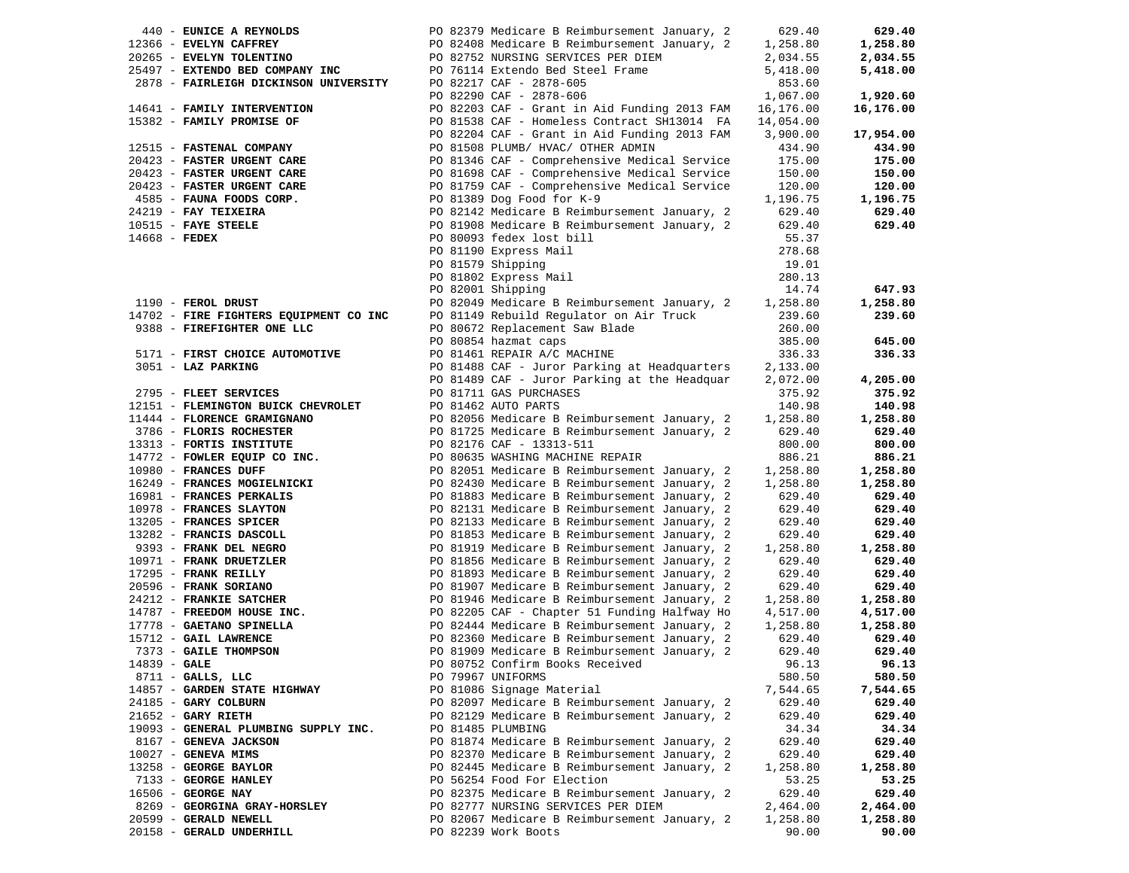|                | 440 - EUNICE A REYNOLDS                | PO 82379 Medicare B Reimbursement January, 2 | 629.40    | 629.40    |
|----------------|----------------------------------------|----------------------------------------------|-----------|-----------|
|                | 12366 - EVELYN CAFFREY                 | PO 82408 Medicare B Reimbursement January, 2 | 1,258.80  | 1,258.80  |
|                | 20265 - EVELYN TOLENTINO               | PO 82752 NURSING SERVICES PER DIEM           | 2,034.55  | 2,034.55  |
|                | 25497 - EXTENDO BED COMPANY INC        | PO 76114 Extendo Bed Steel Frame             | 5,418.00  | 5,418.00  |
|                | 2878 - FAIRLEIGH DICKINSON UNIVERSITY  | PO 82217 CAF - 2878-605                      | 853.60    |           |
|                |                                        | PO 82290 CAF - 2878-606                      | 1,067.00  | 1,920.60  |
|                | 14641 - FAMILY INTERVENTION            | PO 82203 CAF - Grant in Aid Funding 2013 FAM | 16,176.00 | 16,176.00 |
|                | 15382 - FAMILY PROMISE OF              | PO 81538 CAF - Homeless Contract SH13014 FA  | 14,054.00 |           |
|                |                                        | PO 82204 CAF - Grant in Aid Funding 2013 FAM | 3,900.00  | 17,954.00 |
|                | 12515 - FASTENAL COMPANY               | PO 81508 PLUMB/ HVAC/ OTHER ADMIN            | 434.90    | 434.90    |
|                | 20423 - FASTER URGENT CARE             | PO 81346 CAF - Comprehensive Medical Service | 175.00    | 175.00    |
|                | 20423 - FASTER URGENT CARE             | PO 81698 CAF - Comprehensive Medical Service | 150.00    | 150.00    |
|                | 20423 - FASTER URGENT CARE             | PO 81759 CAF - Comprehensive Medical Service | 120.00    | 120.00    |
|                | 4585 - FAUNA FOODS CORP.               | PO 81389 Dog Food for K-9                    | 1,196.75  | 1,196.75  |
|                | $24219$ - FAY TEIXEIRA                 | PO 82142 Medicare B Reimbursement January, 2 | 629.40    | 629.40    |
|                | $10515$ - FAYE STEELE                  | PO 81908 Medicare B Reimbursement January, 2 | 629.40    | 629.40    |
| 14668 - FEDEX  |                                        | PO 80093 fedex lost bill                     | 55.37     |           |
|                |                                        | PO 81190 Express Mail                        | 278.68    |           |
|                |                                        | PO 81579 Shipping                            | 19.01     |           |
|                |                                        | PO 81802 Express Mail                        | 280.13    |           |
|                |                                        | PO 82001 Shipping                            | 14.74     | 647.93    |
|                | 1190 - FEROL DRUST                     | PO 82049 Medicare B Reimbursement January, 2 | 1,258.80  | 1,258.80  |
|                | 14702 - FIRE FIGHTERS EQUIPMENT CO INC | PO 81149 Rebuild Regulator on Air Truck      | 239.60    | 239.60    |
|                | 9388 - FIREFIGHTER ONE LLC             | PO 80672 Replacement Saw Blade               | 260.00    |           |
|                |                                        | PO 80854 hazmat caps                         | 385.00    | 645.00    |
|                | 5171 - FIRST CHOICE AUTOMOTIVE         | PO 81461 REPAIR A/C MACHINE                  | 336.33    | 336.33    |
|                | 3051 - LAZ PARKING                     | PO 81488 CAF - Juror Parking at Headquarters | 2,133.00  |           |
|                |                                        | PO 81489 CAF - Juror Parking at the Headquar | 2,072.00  | 4,205.00  |
|                | 2795 - FLEET SERVICES                  | PO 81711 GAS PURCHASES                       | 375.92    | 375.92    |
|                | 12151 - FLEMINGTON BUICK CHEVROLET     | PO 81462 AUTO PARTS                          | 140.98    | 140.98    |
|                | 11444 - FLORENCE GRAMIGNANO            | PO 82056 Medicare B Reimbursement January, 2 | 1,258.80  | 1,258.80  |
|                | 3786 - FLORIS ROCHESTER                | PO 81725 Medicare B Reimbursement January, 2 | 629.40    | 629.40    |
|                | 13313 - FORTIS INSTITUTE               | PO 82176 CAF - 13313-511                     | 800.00    | 800.00    |
|                | 14772 - FOWLER EQUIP CO INC.           | PO 80635 WASHING MACHINE REPAIR              | 886.21    | 886.21    |
|                | 10980 - FRANCES DUFF                   | PO 82051 Medicare B Reimbursement January, 2 | 1,258.80  | 1,258.80  |
|                | 16249 - FRANCES MOGIELNICKI            | PO 82430 Medicare B Reimbursement January, 2 | 1,258.80  | 1,258.80  |
|                | 16981 - FRANCES PERKALIS               | PO 81883 Medicare B Reimbursement January, 2 | 629.40    | 629.40    |
|                | 10978 - FRANCES SLAYTON                | PO 82131 Medicare B Reimbursement January, 2 | 629.40    | 629.40    |
|                | 13205 - FRANCES SPICER                 | PO 82133 Medicare B Reimbursement January, 2 | 629.40    | 629.40    |
|                | 13282 - FRANCIS DASCOLL                | PO 81853 Medicare B Reimbursement January, 2 | 629.40    | 629.40    |
|                | 9393 - FRANK DEL NEGRO                 | PO 81919 Medicare B Reimbursement January, 2 | 1,258.80  | 1,258.80  |
|                | 10971 - FRANK DRUETZLER                | PO 81856 Medicare B Reimbursement January, 2 | 629.40    | 629.40    |
|                | 17295 - FRANK REILLY                   | PO 81893 Medicare B Reimbursement January, 2 | 629.40    | 629.40    |
|                | 20596 - FRANK SORIANO                  | PO 81907 Medicare B Reimbursement January, 2 | 629.40    | 629.40    |
|                | 24212 - FRANKIE SATCHER                | PO 81946 Medicare B Reimbursement January, 2 | 1,258.80  | 1,258.80  |
|                | 14787 - FREEDOM HOUSE INC.             | PO 82205 CAF - Chapter 51 Funding Halfway Ho | 4,517.00  | 4,517.00  |
|                | 17778 - GAETANO SPINELLA               | PO 82444 Medicare B Reimbursement January, 2 | 1,258.80  | 1,258.80  |
|                | 15712 - GAIL LAWRENCE                  | PO 82360 Medicare B Reimbursement January, 2 | 629.40    | 629.40    |
|                | 7373 - GAILE THOMPSON                  | PO 81909 Medicare B Reimbursement January, 2 | 629.40    | 629.40    |
| $14839 - GALE$ |                                        | PO 80752 Confirm Books Received              | 96.13     | 96.13     |
|                | $8711 - GALLS$ , LLC                   | PO 79967 UNIFORMS                            | 580.50    | 580.50    |
|                | 14857 - GARDEN STATE HIGHWAY           | PO 81086 Signage Material                    | 7,544.65  | 7,544.65  |
|                | 24185 - GARY COLBURN                   | PO 82097 Medicare B Reimbursement January, 2 | 629.40    | 629.40    |
|                | $21652$ - GARY RIETH                   | PO 82129 Medicare B Reimbursement January, 2 | 629.40    | 629.40    |
|                | 19093 - GENERAL PLUMBING SUPPLY INC.   | PO 81485 PLUMBING                            | 34.34     | 34.34     |
|                | 8167 - GENEVA JACKSON                  | PO 81874 Medicare B Reimbursement January, 2 | 629.40    | 629.40    |
|                | $10027$ - GENEVA MIMS                  | PO 82370 Medicare B Reimbursement January, 2 | 629.40    | 629.40    |
|                | 13258 - GEORGE BAYLOR                  | PO 82445 Medicare B Reimbursement January, 2 | 1,258.80  | 1,258.80  |
|                | 7133 - GEORGE HANLEY                   | PO 56254 Food For Election                   | 53.25     | 53.25     |
|                | $16506$ - GEORGE NAY                   | PO 82375 Medicare B Reimbursement January, 2 | 629.40    | 629.40    |
|                | 8269 - GEORGINA GRAY-HORSLEY           | PO 82777 NURSING SERVICES PER DIEM           | 2,464.00  | 2,464.00  |
|                | 20599 - GERALD NEWELL                  | PO 82067 Medicare B Reimbursement January, 2 | 1,258.80  | 1,258.80  |
|                | 20158 - GERALD UNDERHILL               | PO 82239 Work Boots                          | 90.00     | 90.00     |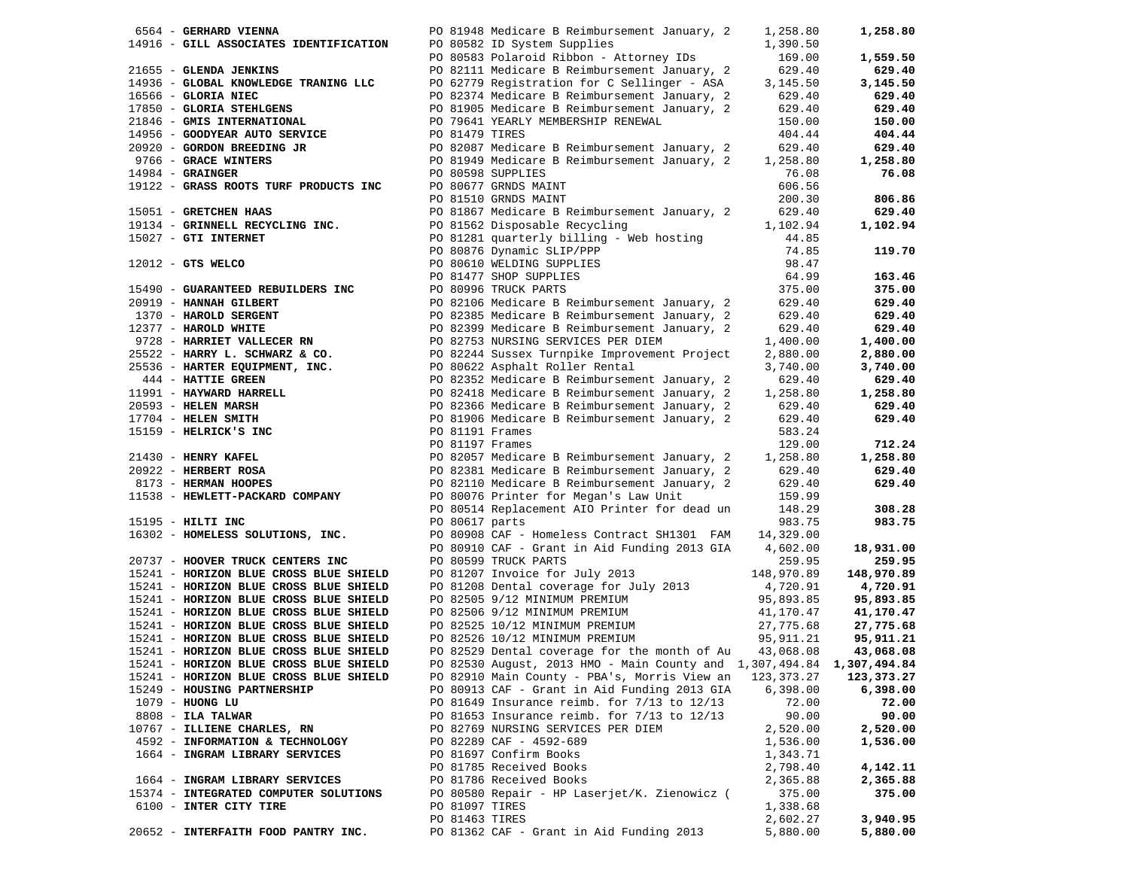| 6564 - GERHARD VIENNA                                                                                                                                                                                                                            |                   | PO 81948 Medicare B Reimbursement January, 2                                                                                                                  | 1,258.80               | 1,258.80   |
|--------------------------------------------------------------------------------------------------------------------------------------------------------------------------------------------------------------------------------------------------|-------------------|---------------------------------------------------------------------------------------------------------------------------------------------------------------|------------------------|------------|
|                                                                                                                                                                                                                                                  |                   | 14916 - GILL ASSOCIATES IDENTIFICATION PO 80582 ID System Supplies<br>PO 80583 Polaroid Ribbon - Attorney IDs<br>PO 82111 Medicare B Reimbursement January, 2 | 1,390.50               |            |
|                                                                                                                                                                                                                                                  |                   |                                                                                                                                                               | 169.00                 | 1,559.50   |
|                                                                                                                                                                                                                                                  |                   |                                                                                                                                                               |                        |            |
|                                                                                                                                                                                                                                                  |                   | PO 82111 Medicare B Reimbursement January, 2                                                                                                                  | 629.40                 | 629.40     |
| 14936 - GLOBAL KNOWLEDGE TRANING LLC                                                                                                                                                                                                             |                   | PO 62779 Registration for C Sellinger - ASA                                                                                                                   | 3,145.50               | 3,145.50   |
| 16566 - GLORIA NIEC                                                                                                                                                                                                                              |                   | PO 82374 Medicare B Reimbursement January, 2                                                                                                                  | 629.40                 | 629.40     |
| 17850 - GLORIA STEHLGENS                                                                                                                                                                                                                         |                   | PO 81905 Medicare B Reimbursement January, 2                                                                                                                  | 629.40                 | 629.40     |
| 21846 - GMIS INTERNATIONAL                                                                                                                                                                                                                       |                   | PO 79641 YEARLY MEMBERSHIP RENEWAL                                                                                                                            | 150.00                 | 150.00     |
| 14956 - GOODYEAR AUTO SERVICE                                                                                                                                                                                                                    | PO 81479 TIRES    |                                                                                                                                                               |                        |            |
|                                                                                                                                                                                                                                                  |                   |                                                                                                                                                               | 404.44                 | 404.44     |
|                                                                                                                                                                                                                                                  |                   | PO 82087 Medicare B Reimbursement January, 2                                                                                                                  | 629.40                 | 629.40     |
|                                                                                                                                                                                                                                                  |                   | PO 81949 Medicare B Reimbursement January, 2                                                                                                                  | 1,258.80               | 1,258.80   |
| 20920 - GORDON BREEDING JR<br>9766 - GRACE WINTERS<br>14984 - GRAINGER                                                                                                                                                                           | PO 80598 SUPPLIES |                                                                                                                                                               | 76.08                  | 76.08      |
| 19122 - GRASS ROOTS TURF PRODUCTS INC                                                                                                                                                                                                            |                   | PO 80677 GRNDS MAINT                                                                                                                                          | 606.56                 |            |
|                                                                                                                                                                                                                                                  |                   |                                                                                                                                                               |                        |            |
|                                                                                                                                                                                                                                                  |                   | PO 81510 GRNDS MAINT                                                                                                                                          | 200.30                 | 806.86     |
| 15051 - GRETCHEN HAAS                                                                                                                                                                                                                            |                   | PO 81867 Medicare B Reimbursement January, 2                                                                                                                  | 629.40                 | 629.40     |
| 19134 - GRINNELL RECYCLING INC.                                                                                                                                                                                                                  |                   | PO 81562 Disposable Recycling                                                                                                                                 | 1,102.94               | 1,102.94   |
| 15027 - GTI INTERNET                                                                                                                                                                                                                             |                   | PO 81281 quarterly billing - Web hosting                                                                                                                      | 44.85                  |            |
|                                                                                                                                                                                                                                                  |                   | PO 80876 Dynamic SLIP/PPP                                                                                                                                     | 74.85                  | 119.70     |
|                                                                                                                                                                                                                                                  |                   |                                                                                                                                                               |                        |            |
| $12012$ - GTS WELCO                                                                                                                                                                                                                              |                   | PO 80610 WELDING SUPPLIES                                                                                                                                     | 98.47                  |            |
|                                                                                                                                                                                                                                                  |                   | PO 81477 SHOP SUPPLIES                                                                                                                                        | 64.99                  | 163.46     |
| 15490 - GUARANTEED REBUILDERS INC                                                                                                                                                                                                                |                   | PO 80996 TRUCK PARTS                                                                                                                                          | 375.00                 | 375.00     |
| 20919 - HANNAH GILBERT<br>1370 - HAROLD SERGENT<br>12377 - HAROLD WHITE<br>9728 - HARRIET VALLECER RN                                                                                                                                            |                   | PO 82106 Medicare B Reimbursement January, 2                                                                                                                  | 629.40                 | 629.40     |
|                                                                                                                                                                                                                                                  |                   | PO 82385 Medicare B Reimbursement January, 2                                                                                                                  | 629.40                 | 629.40     |
|                                                                                                                                                                                                                                                  |                   |                                                                                                                                                               | 629.40                 | 629.40     |
|                                                                                                                                                                                                                                                  |                   | PO 82399 Medicare B Reimbursement January, 2                                                                                                                  |                        |            |
|                                                                                                                                                                                                                                                  |                   | PO 82753 NURSING SERVICES PER DIEM                                                                                                                            | 1,400.00               | 1,400.00   |
| 25522 - HARRY L. SCHWARZ & CO.<br>25536 - HARTER EQUIPMENT, INC.<br>444 - HARTER GREEN                                                                                                                                                           |                   | PO 82244 Sussex Turnpike Improvement Project                                                                                                                  | 2,880.00               | 2,880.00   |
|                                                                                                                                                                                                                                                  |                   | PO 80622 Asphalt Roller Rental                                                                                                                                | 3,740.00               | 3,740.00   |
|                                                                                                                                                                                                                                                  |                   | PO 82352 Medicare B Reimbursement January, 2                                                                                                                  | 629.40                 | 629.40     |
|                                                                                                                                                                                                                                                  |                   | PO 82418 Medicare B Reimbursement January, 2                                                                                                                  | 1,258.80               | 1,258.80   |
|                                                                                                                                                                                                                                                  |                   |                                                                                                                                                               |                        |            |
|                                                                                                                                                                                                                                                  |                   | PO 82366 Medicare B Reimbursement January, 2 629.40<br>PO 81906 Medicare B Reimbursement January, 2 629.40                                                    |                        | 629.40     |
|                                                                                                                                                                                                                                                  |                   | PO 81906 Medicare B Reimbursement January, 2                                                                                                                  | 629.40                 | 629.40     |
|                                                                                                                                                                                                                                                  | PO 81191 Frames   |                                                                                                                                                               | 583.24                 |            |
| 25536 - HARTER EQUIPMENT, INC.<br>444 - HATTIE GREEN<br>11991 - HAYMARD HARRELL<br>20593 - HELEN MARSH<br>17704 - HELEN SMITH<br>15159 - HELRICK'S INC<br>21430 - HENRY KAFEL<br>2022 - HERBERT ROSA<br>8173 - HERBERT ROOPES<br>11538 - HEWLETT | PO 81197 Frames   |                                                                                                                                                               | 129.00                 | 712.24     |
|                                                                                                                                                                                                                                                  |                   | PO 82057 Medicare B Reimbursement January, 2                                                                                                                  | 1,258.80               | 1,258.80   |
|                                                                                                                                                                                                                                                  |                   |                                                                                                                                                               |                        |            |
|                                                                                                                                                                                                                                                  |                   | PO 82381 Medicare B Reimbursement January, 2                                                                                                                  | 629.40                 | 629.40     |
|                                                                                                                                                                                                                                                  |                   | PO 82110 Medicare B Reimbursement January, 2                                                                                                                  | 629.40                 | 629.40     |
| 11538 - HEWLETT-PACKARD COMPANY                                                                                                                                                                                                                  |                   | PO 80076 Printer for Megan's Law Unit                                                                                                                         | 159.99                 |            |
|                                                                                                                                                                                                                                                  |                   | PO 80514 Replacement AIO Printer for dead un                                                                                                                  | 148.29                 | 308.28     |
| 15195 - HILTI INC                                                                                                                                                                                                                                | PO 80617 parts    |                                                                                                                                                               | 983.75                 | 983.75     |
|                                                                                                                                                                                                                                                  |                   |                                                                                                                                                               |                        |            |
| 16302 - HOMELESS SOLUTIONS, INC.                                                                                                                                                                                                                 |                   | PO 80908 CAF - Homeless Contract SH1301 FAM                                                                                                                   | 14,329.00              |            |
|                                                                                                                                                                                                                                                  |                   | PO 80910 CAF - Grant in Aid Funding 2013 GIA 4,602.00                                                                                                         |                        | 18,931.00  |
| 20737 - HOOVER TRUCK CENTERS INC                                                                                                                                                                                                                 |                   | PO 80599 TRUCK PARTS                                                                                                                                          | 259.95                 | 259.95     |
| 15241 - HORIZON BLUE CROSS BLUE SHIELD                                                                                                                                                                                                           |                   | PO 81207 Invoice for July 2013                                                                                                                                | 148,970.89             | 148,970.89 |
| 15241 - HORIZON BLUE CROSS BLUE SHIELD                                                                                                                                                                                                           |                   | PO 81208 Dental coverage for July 2013 4,720.91<br>PO 82505 9/12 MINIMUM PREMIUM 95,893.85                                                                    |                        | 4,720.91   |
| 15241 - HORIZON BLUE CROSS BLUE SHIELD                                                                                                                                                                                                           |                   |                                                                                                                                                               | 95,893.85              | 95,893.85  |
|                                                                                                                                                                                                                                                  |                   |                                                                                                                                                               |                        |            |
| 15241 - HORIZON BLUE CROSS BLUE SHIELD                                                                                                                                                                                                           |                   | PO 82506 9/12 MINIMUM PREMIUM<br>PO 82525 10/12 MINIMUM PREMIUM<br>PO 82526 10/12 MINIMUM PREMIUM                                                             | 41,170.47<br>27,775.68 | 41,170.47  |
| 15241 - HORIZON BLUE CROSS BLUE SHIELD                                                                                                                                                                                                           |                   |                                                                                                                                                               |                        | 27,775.68  |
| 15241 - HORIZON BLUE CROSS BLUE SHIELD                                                                                                                                                                                                           |                   |                                                                                                                                                               | 95, 911.21             | 95,911.21  |
| 15241 - HORIZON BLUE CROSS BLUE SHIELD                                                                                                                                                                                                           |                   | PO 82529 Dental coverage for the month of Au 43,068.08                                                                                                        |                        | 43,068.08  |
| 15241 - HORIZON BLUE CROSS BLUE SHIELD                                                                                                                                                                                                           |                   | PO 82530 August, 2013 HMO - Main County and 1,307,494.84 1,307,494.84                                                                                         |                        |            |
| 15241 - HORIZON BLUE CROSS BLUE SHIELD                                                                                                                                                                                                           |                   | PO 82910 Main County - PBA's, Morris View an                                                                                                                  |                        |            |
|                                                                                                                                                                                                                                                  |                   |                                                                                                                                                               | 123, 373. 27           | 123,373.27 |
| 15249 - HOUSING PARTNERSHIP                                                                                                                                                                                                                      |                   | PO 80913 CAF - Grant in Aid Funding 2013 GIA                                                                                                                  | 6,398.00               | 6,398.00   |
| 1079 - HUONG LU                                                                                                                                                                                                                                  |                   | PO 81649 Insurance reimb. for 7/13 to 12/13                                                                                                                   | 72.00                  | 72.00      |
| $8808$ - ILA TALWAR                                                                                                                                                                                                                              |                   | PO 81653 Insurance reimb. for 7/13 to 12/13                                                                                                                   | 90.00                  | 90.00      |
| 10767 - ILLIENE CHARLES, RN                                                                                                                                                                                                                      |                   | PO 82769 NURSING SERVICES PER DIEM                                                                                                                            | 2,520.00               | 2,520.00   |
| 4592 - INFORMATION & TECHNOLOGY                                                                                                                                                                                                                  |                   | PO 82289 CAF - 4592-689                                                                                                                                       | 1,536.00               | 1,536.00   |
|                                                                                                                                                                                                                                                  |                   |                                                                                                                                                               |                        |            |
| 1664 - INGRAM LIBRARY SERVICES                                                                                                                                                                                                                   |                   | PO 81697 Confirm Books                                                                                                                                        | 1,343.71               |            |
|                                                                                                                                                                                                                                                  |                   | PO 81785 Received Books                                                                                                                                       | 2,798.40               | 4,142.11   |
| 1664 - INGRAM LIBRARY SERVICES                                                                                                                                                                                                                   |                   | PO 81786 Received Books                                                                                                                                       | 2,365.88               | 2,365.88   |
| 15374 - INTEGRATED COMPUTER SOLUTIONS                                                                                                                                                                                                            |                   | PO 80580 Repair - HP Laserjet/K. Zienowicz (                                                                                                                  | 375.00                 | 375.00     |
| 6100 - INTER CITY TIRE                                                                                                                                                                                                                           | PO 81097 TIRES    |                                                                                                                                                               | 1,338.68               |            |
|                                                                                                                                                                                                                                                  |                   |                                                                                                                                                               |                        |            |
|                                                                                                                                                                                                                                                  | PO 81463 TIRES    |                                                                                                                                                               | 2,602.27               | 3,940.95   |
| 20652 - INTERFAITH FOOD PANTRY INC.                                                                                                                                                                                                              |                   | PO 81362 CAF - Grant in Aid Funding 2013                                                                                                                      | 5,880.00               | 5,880.00   |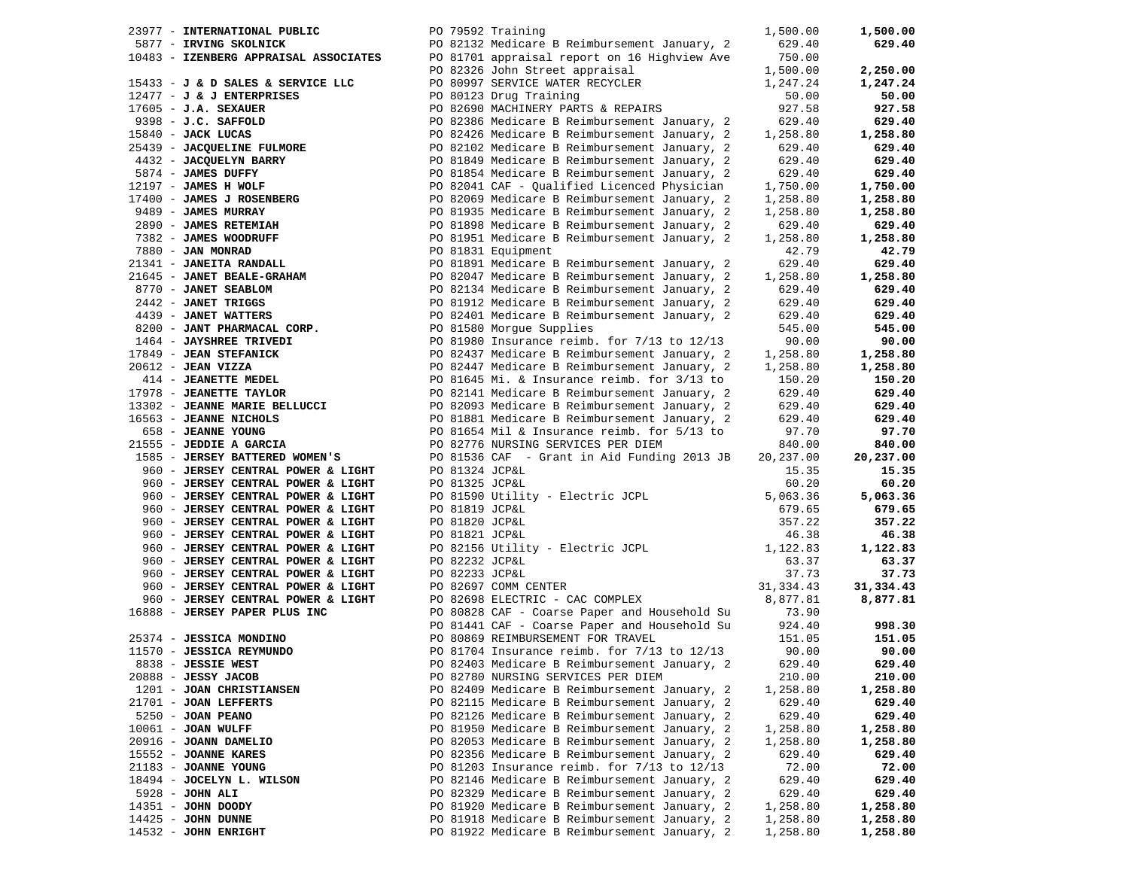| 23977 - INTERNATIONAL PUBLIC                                                                                                                                                                                                   |                | PO 79592 Training                                                                                               | 1,500.00  | 1,500.00  |
|--------------------------------------------------------------------------------------------------------------------------------------------------------------------------------------------------------------------------------|----------------|-----------------------------------------------------------------------------------------------------------------|-----------|-----------|
| 5877 - IRVING SKOLNICK                                                                                                                                                                                                         |                | PO 82132 Medicare B Reimbursement January, 2                                                                    | 629.40    | 629.40    |
|                                                                                                                                                                                                                                |                | 10483 - IZENBERG APPRAISAL ASSOCIATES PO 81701 appraisal report on 16 Highview Ave                              | 750.00    |           |
|                                                                                                                                                                                                                                |                |                                                                                                                 | 1,500.00  | 2,250.00  |
| 15433 - J & D SALES & SERVICE LLC                                                                                                                                                                                              |                | PO 82326 John Street appraisal<br>PO 80997 SERVICE WATER RECYCLER                                               | 1,247.24  | 1,247.24  |
| $12477 - J$ & J ENTERPRISES                                                                                                                                                                                                    |                | PO 80123 Drug Training                                                                                          | 50.00     | 50.00     |
| $17605 - J.A.$ SEXAUER                                                                                                                                                                                                         |                | PO 82690 MACHINERY PARTS & REPAIRS                                                                              | 927.58    | 927.58    |
|                                                                                                                                                                                                                                |                | PO 82386 Medicare B Reimbursement January, 2                                                                    | 629.40    | 629.40    |
|                                                                                                                                                                                                                                |                | PO 82426 Medicare B Reimbursement January, 2                                                                    | 1,258.80  | 1,258.80  |
|                                                                                                                                                                                                                                |                | PO 82102 Medicare B Reimbursement January, 2                                                                    | 629.40    | 629.40    |
| 17605 - J.A. DENGELIN<br>9398 - J.C. SAFFOLD<br>15840 - JACK LUCAS<br>25439 - JACQUELINE FULMORE<br>4432 - JACQUELYN BARRY                                                                                                     |                | PO 81849 Medicare B Reimbursement January, 2                                                                    | 629.40    | 629.40    |
| 5874 - JAMES DUFFY                                                                                                                                                                                                             |                | PO 81854 Medicare B Reimbursement January, 2                                                                    | 629.40    | 629.40    |
| 12197 - JAMES H WOLF                                                                                                                                                                                                           |                | PO 82041 CAF - Qualified Licenced Physician                                                                     | 1,750.00  | 1,750.00  |
| 17400 - JAMES J ROSENBERG<br>9489 - JAMES MURRAY                                                                                                                                                                               |                | PO 82069 Medicare B Reimbursement January, 2                                                                    | 1,258.80  | 1,258.80  |
|                                                                                                                                                                                                                                |                | PO 81935 Medicare B Reimbursement January, 2                                                                    | 1,258.80  | 1,258.80  |
| 2890 - <b>JAMES RETEMIAH</b><br>7382 - <b>JAMES WOODRUFF</b>                                                                                                                                                                   |                | PO 81898 Medicare B Reimbursement January, 2                                                                    | 629.40    | 629.40    |
|                                                                                                                                                                                                                                |                | PO 81951 Medicare B Reimbursement January, 2                                                                    | 1,258.80  | 1,258.80  |
|                                                                                                                                                                                                                                |                |                                                                                                                 | 42.79     | 42.79     |
|                                                                                                                                                                                                                                |                | 1980 - JAN MONRAD<br>21341 - JAN MONRAD<br>21341 - JANEITA RANDALL PO 81891 Medicare B Reimbursement January, 2 | 629.40    | 629.40    |
|                                                                                                                                                                                                                                |                | 21341 - JANEILA KANDADU<br>21645 - JANET BEALE-GRAHAM (2008) 2004 Medicare B Reimbursement January, 2           | 1,258.80  | 1,258.80  |
|                                                                                                                                                                                                                                |                | PO 82134 Medicare B Reimbursement January, 2                                                                    | 629.40    | 629.40    |
|                                                                                                                                                                                                                                |                | PO 81912 Medicare B Reimbursement January, 2                                                                    | 629.40    | 629.40    |
|                                                                                                                                                                                                                                |                | PO 82401 Medicare B Reimbursement January, 2                                                                    | 629.40    | 629.40    |
|                                                                                                                                                                                                                                |                |                                                                                                                 | 545.00    | 545.00    |
| And the set of the set of the set of the set of the set of the set of the set of the set of the set of the set of the set of the set of the set of the set of the set of the set of the set of the set of the set of the set o |                | PO 81980 Insurance reimb. for 7/13 to 12/13                                                                     | 90.00     | 90.00     |
| 17849 - JEAN STEFANICK                                                                                                                                                                                                         |                | PO 82437 Medicare B Reimbursement January, 2                                                                    | 1,258.80  | 1,258.80  |
| $20612$ - JEAN VIZZA                                                                                                                                                                                                           |                | PO 82447 Medicare B Reimbursement January, 2                                                                    | 1,258.80  | 1,258.80  |
| 1612 - JEAN VIZZA<br>414 - JEANETTE MEDEL<br>1978 - JEANETTE TAYLOR                                                                                                                                                            |                | PO 81645 Mi. & Insurance reimb. for 3/13 to                                                                     | 150.20    | 150.20    |
| 17978 - JEANETTE TAYLOR                                                                                                                                                                                                        |                | PO 82141 Medicare B Reimbursement January, 2                                                                    | 629.40    | 629.40    |
| 13302 - JEANNE MARIE BELLUCCI                                                                                                                                                                                                  |                | PO 82093 Medicare B Reimbursement January, 2                                                                    | 629.40    | 629.40    |
| 16563 - JEANNE NICHOLS                                                                                                                                                                                                         |                | PO 81881 Medicare B Reimbursement January, 2                                                                    | 629.40    | 629.40    |
| 658 - JEANNE YOUNG                                                                                                                                                                                                             |                | PO 81654 Mil & Insurance reimb. for 5/13 to                                                                     | 97.70     | 97.70     |
| 21555 - JEDDIE A GARCIA                                                                                                                                                                                                        |                | PO 82776 NURSING SERVICES PER DIEM                                                                              | 840.00    | 840.00    |
| 1585 - JERSEY BATTERED WOMEN'S                                                                                                                                                                                                 |                | PO 81536 CAF - Grant in Aid Funding 2013 JB                                                                     | 20,237.00 | 20,237.00 |
| 960 - JERSEY CENTRAL POWER & LIGHT                                                                                                                                                                                             | PO 81324 JCP&L |                                                                                                                 | 15.35     | 15.35     |
| 960 - JERSEY CENTRAL POWER & LIGHT                                                                                                                                                                                             | PO 81325 JCP&L |                                                                                                                 | 60.20     | 60.20     |
| 960 - JERSEY CENTRAL POWER & LIGHT                                                                                                                                                                                             |                | PO 81590 Utility - Electric JCPL                                                                                | 5,063.36  | 5,063.36  |
| 960 - JERSEY CENTRAL POWER & LIGHT                                                                                                                                                                                             | PO 81819 JCP&L |                                                                                                                 | 679.65    | 679.65    |
| 960 - JERSEY CENTRAL POWER & LIGHT                                                                                                                                                                                             | PO 81820 JCP&L |                                                                                                                 | 357.22    | 357.22    |
| 960 - JERSEY CENTRAL POWER & LIGHT                                                                                                                                                                                             | PO 81821 JCP&L |                                                                                                                 | 46.38     | 46.38     |
| 960 - JERSEY CENTRAL POWER & LIGHT                                                                                                                                                                                             |                | PO 82156 Utility - Electric JCPL<br>PO 82222 JODEL                                                              | 1,122.83  | 1,122.83  |
| 960 - JERSEY CENTRAL POWER & LIGHT                                                                                                                                                                                             | PO 82232 JCP&L |                                                                                                                 | 63.37     | 63.37     |
| 960 - JERSEY CENTRAL POWER & LIGHT                                                                                                                                                                                             | PO 82233 JCP&L |                                                                                                                 | 37.73     | 37.73     |
| 960 - JERSEY CENTRAL POWER & LIGHT                                                                                                                                                                                             |                |                                                                                                                 |           | 31,334.43 |
| 960 - JERSEY CENTRAL POWER & LIGHT                                                                                                                                                                                             |                | PO 82697 COMM CENTER<br>PO 82698 ELECTRIC - CAC COMPLEX<br>8,877.81                                             |           | 8,877.81  |
| 16888 - JERSEY PAPER PLUS INC                                                                                                                                                                                                  |                | PO 80828 CAF - Coarse Paper and Household Su                                                                    | 73.90     |           |
|                                                                                                                                                                                                                                |                | PO 81441 CAF - Coarse Paper and Household Su                                                                    | 924.40    | 998.30    |
| 25374 - JESSICA MONDINO                                                                                                                                                                                                        |                | PO 80869 REIMBURSEMENT FOR TRAVEL                                                                               | 151.05    | 151.05    |
| 11570 - JESSICA REYMUNDO                                                                                                                                                                                                       |                | PO 81704 Insurance reimb. for $7/13$ to $12/13$                                                                 | 90.00     | 90.00     |
| 8838 - JESSIE WEST                                                                                                                                                                                                             |                | PO 82403 Medicare B Reimbursement January, 2                                                                    | 629.40    | 629.40    |
| 20888 - JESSY JACOB                                                                                                                                                                                                            |                | PO 82780 NURSING SERVICES PER DIEM                                                                              | 210.00    | 210.00    |
| 1201 - JOAN CHRISTIANSEN                                                                                                                                                                                                       |                | PO 82409 Medicare B Reimbursement January, 2                                                                    | 1,258.80  | 1,258.80  |
| 21701 - JOAN LEFFERTS                                                                                                                                                                                                          |                | PO 82115 Medicare B Reimbursement January, 2                                                                    | 629.40    | 629.40    |
| 5250 - JOAN PEANO                                                                                                                                                                                                              |                | PO 82126 Medicare B Reimbursement January, 2                                                                    | 629.40    | 629.40    |
| $10061$ - JOAN WULFF                                                                                                                                                                                                           |                | PO 81950 Medicare B Reimbursement January, 2                                                                    | 1,258.80  | 1,258.80  |
| 20916 - JOANN DAMELIO                                                                                                                                                                                                          |                | PO 82053 Medicare B Reimbursement January, 2                                                                    | 1,258.80  | 1,258.80  |
| 15552 - JOANNE KARES                                                                                                                                                                                                           |                | PO 82356 Medicare B Reimbursement January, 2                                                                    | 629.40    | 629.40    |
| 21183 - JOANNE YOUNG                                                                                                                                                                                                           |                | PO 81203 Insurance reimb. for $7/13$ to $12/13$                                                                 | 72.00     | 72.00     |
| 18494 - JOCELYN L. WILSON                                                                                                                                                                                                      |                | PO 82146 Medicare B Reimbursement January, 2                                                                    | 629.40    | 629.40    |
| $5928 - JOHN ALI$                                                                                                                                                                                                              |                | PO 82329 Medicare B Reimbursement January, 2                                                                    | 629.40    | 629.40    |
| 14351 - JOHN DOODY                                                                                                                                                                                                             |                | PO 81920 Medicare B Reimbursement January, 2                                                                    | 1,258.80  | 1,258.80  |
| 14425 - JOHN DUNNE                                                                                                                                                                                                             |                | PO 81918 Medicare B Reimbursement January, 2                                                                    | 1,258.80  | 1,258.80  |
| $14532$ - JOHN ENRIGHT                                                                                                                                                                                                         |                | PO 81922 Medicare B Reimbursement January, 2                                                                    | 1,258.80  | 1,258.80  |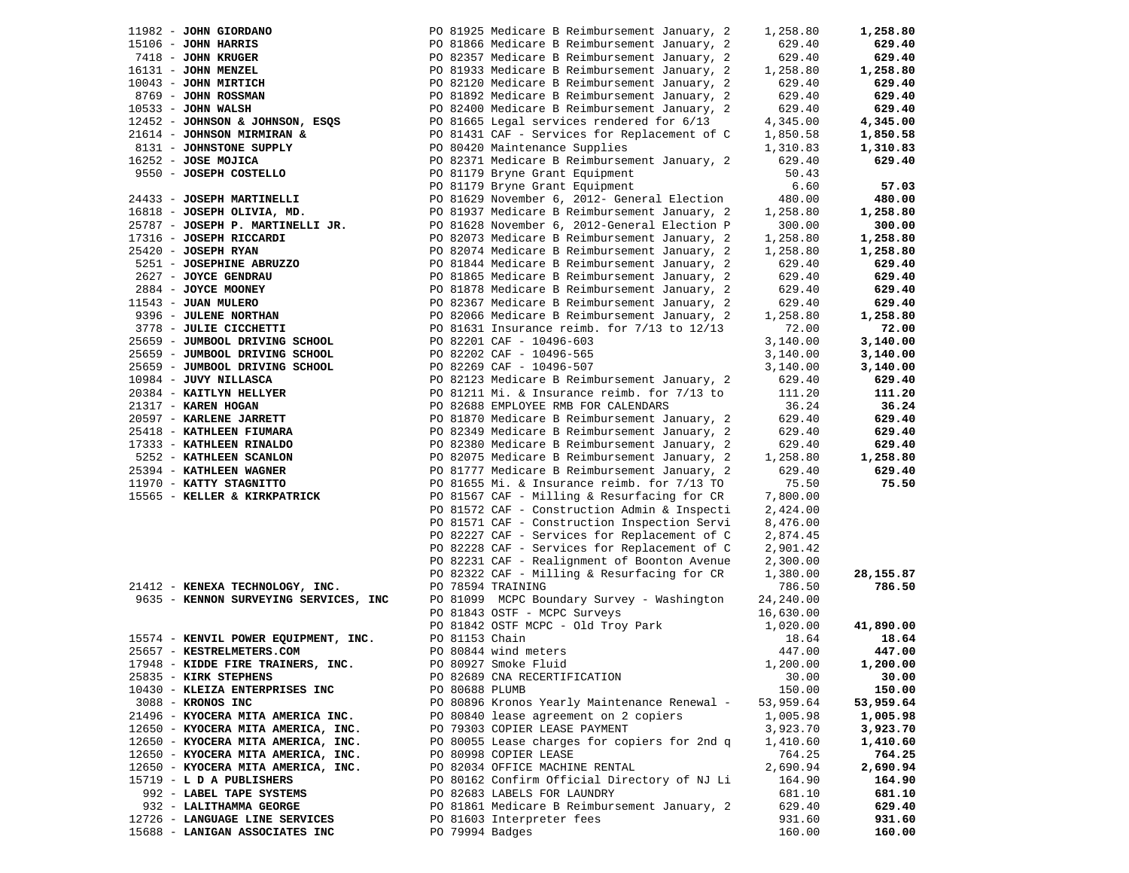| 11982 - JOHN GIORDANO                 |                 | PO 81925 Medicare B Reimbursement January, 2    | 1,258.80          | 1,258.80  |
|---------------------------------------|-----------------|-------------------------------------------------|-------------------|-----------|
| $15106$ - JOHN HARRIS                 |                 | PO 81866 Medicare B Reimbursement January, 2    | 629.40            | 629.40    |
| 7418 - JOHN KRUGER                    |                 | PO 82357 Medicare B Reimbursement January, 2    | 629.40            | 629.40    |
| 16131 - JOHN MENZEL                   |                 | PO 81933 Medicare B Reimbursement January, 2    | 1,258.80          | 1,258.80  |
| 10043 - JOHN MIRTICH                  |                 | PO 82120 Medicare B Reimbursement January, 2    | 629.40            | 629.40    |
| 8769 - JOHN ROSSMAN                   |                 | PO 81892 Medicare B Reimbursement January, 2    | 629.40            | 629.40    |
| $10533 - JOHN WALSH$                  |                 | PO 82400 Medicare B Reimbursement January, 2    | 629.40            | 629.40    |
|                                       |                 |                                                 |                   |           |
| 12452 - JOHNSON & JOHNSON, ESQS       |                 | PO 81665 Legal services rendered for 6/13       | 4,345.00          | 4,345.00  |
| 21614 - JOHNSON MIRMIRAN &            |                 | PO 81431 CAF - Services for Replacement of C    | 1,850.58          | 1,850.58  |
| 8131 - JOHNSTONE SUPPLY               |                 | PO 80420 Maintenance Supplies                   | 1,310.83          | 1,310.83  |
| 16252 - JOSE MOJICA                   |                 | PO 82371 Medicare B Reimbursement January, 2    | 629.40            | 629.40    |
| 9550 - JOSEPH COSTELLO                |                 | PO 81179 Bryne Grant Equipment                  | 50.43             |           |
|                                       |                 | PO 81179 Bryne Grant Equipment                  | 6.60              | 57.03     |
| 24433 - JOSEPH MARTINELLI             |                 | PO 81629 November 6, 2012- General Election     | 480.00            | 480.00    |
| 16818 - JOSEPH OLIVIA, MD.            |                 | PO 81937 Medicare B Reimbursement January, 2    | 1,258.80          | 1,258.80  |
| 25787 - JOSEPH P. MARTINELLI JR.      |                 | PO 81628 November 6, 2012-General Election P    | 300.00            | 300.00    |
| 17316 - JOSEPH RICCARDI               |                 | PO 82073 Medicare B Reimbursement January, 2    | 1,258.80          | 1,258.80  |
| 25420 - JOSEPH RYAN                   |                 | PO 82074 Medicare B Reimbursement January, 2    | 1,258.80          | 1,258.80  |
| 5251 - JOSEPHINE ABRUZZO              |                 | PO 81844 Medicare B Reimbursement January, 2    | 629.40            | 629.40    |
| 2627 - JOYCE GENDRAU                  |                 | PO 81865 Medicare B Reimbursement January, 2    | 629.40            | 629.40    |
| 2884 - JOYCE MOONEY                   |                 | PO 81878 Medicare B Reimbursement January, 2    | 629.40            | 629.40    |
| 11543 - JUAN MULERO                   |                 | PO 82367 Medicare B Reimbursement January, 2    | 629.40            | 629.40    |
| 9396 - JULENE NORTHAN                 |                 | PO 82066 Medicare B Reimbursement January, 2    | 1,258.80          | 1,258.80  |
| 3778 - JULIE CICCHETTI                |                 | PO 81631 Insurance reimb. for $7/13$ to $12/13$ | 72.00             | 72.00     |
| 25659 - JUMBOOL DRIVING SCHOOL        |                 | PO 82201 CAF - 10496-603                        | 3,140.00          | 3,140.00  |
| 25659 - JUMBOOL DRIVING SCHOOL        |                 |                                                 |                   |           |
|                                       |                 | PO 82202 CAF - 10496-565                        | 3,140.00          | 3,140.00  |
| 25659 - JUMBOOL DRIVING SCHOOL        |                 | PO 82269 CAF - 10496-507                        | 3,140.00          | 3,140.00  |
| 10984 - JUVY NILLASCA                 |                 | PO 82123 Medicare B Reimbursement January, 2    | 629.40            | 629.40    |
| 20384 - KAITLYN HELLYER               |                 | PO 81211 Mi. & Insurance reimb. for 7/13 to     | 111.20            | 111.20    |
| 21317 - KAREN HOGAN                   |                 | PO 82688 EMPLOYEE RMB FOR CALENDARS             | 36.24             | 36.24     |
| 20597 - KARLENE JARRETT               |                 | PO 81870 Medicare B Reimbursement January, 2    | 629.40            | 629.40    |
| 25418 - KATHLEEN FIUMARA              |                 | PO 82349 Medicare B Reimbursement January, 2    | 629.40            | 629.40    |
| 17333 - KATHLEEN RINALDO              |                 | PO 82380 Medicare B Reimbursement January, 2    | 629.40            | 629.40    |
| 5252 - KATHLEEN SCANLON               |                 | PO 82075 Medicare B Reimbursement January, 2    | 1,258.80          | 1,258.80  |
| 25394 - KATHLEEN WAGNER               |                 | PO 81777 Medicare B Reimbursement January, 2    | 629.40            | 629.40    |
| 11970 - KATTY STAGNITTO               |                 | PO 81655 Mi. & Insurance reimb. for $7/13$ TO   | 75.50             | 75.50     |
| 15565 - KELLER & KIRKPATRICK          |                 | PO 81567 CAF - Milling & Resurfacing for CR     | 7,800.00          |           |
|                                       |                 | PO 81572 CAF - Construction Admin & Inspecti    | 2,424.00          |           |
|                                       |                 | PO 81571 CAF - Construction Inspection Servi    | 8,476.00          |           |
|                                       |                 | PO 82227 CAF - Services for Replacement of C    | 2,874.45          |           |
|                                       |                 | PO 82228 CAF - Services for Replacement of C    | 2,901.42          |           |
|                                       |                 | PO 82231 CAF - Realignment of Boonton Avenue    | 2,300.00          |           |
|                                       |                 | PO 82322 CAF - Milling & Resurfacing for CR     | 1,380.00          | 28,155.87 |
| 21412 - KENEXA TECHNOLOGY, INC.       |                 | PO 78594 TRAINING                               | 786.50            | 786.50    |
| 9635 - KENNON SURVEYING SERVICES, INC |                 | PO 81099 MCPC Boundary Survey - Washington      | 24,240.00         |           |
|                                       |                 | PO 81843 OSTF - MCPC Surveys                    | 16,630.00         |           |
|                                       |                 |                                                 |                   | 41,890.00 |
|                                       | PO 81153 Chain  | PO 81842 OSTF MCPC - Old Troy Park              | 1,020.00<br>18.64 | 18.64     |
| 15574 - KENVIL POWER EQUIPMENT, INC.  |                 |                                                 |                   |           |
| 25657 - KESTRELMETERS.COM             |                 | PO 80844 wind meters                            | 447.00            | 447.00    |
| 17948 - KIDDE FIRE TRAINERS, INC.     |                 | PO 80927 Smoke Fluid                            | 1,200.00          | 1,200.00  |
| 25835 - KIRK STEPHENS                 |                 | PO 82689 CNA RECERTIFICATION                    | 30.00             | 30.00     |
| 10430 - KLEIZA ENTERPRISES INC        | PO 80688 PLUMB  |                                                 | 150.00            | 150.00    |
| 3088 - KRONOS INC                     |                 | PO 80896 Kronos Yearly Maintenance Renewal -    | 53,959.64         | 53,959.64 |
| 21496 - KYOCERA MITA AMERICA INC.     |                 | PO 80840 lease agreement on 2 copiers           | 1,005.98          | 1,005.98  |
| 12650 - KYOCERA MITA AMERICA, INC.    |                 | PO 79303 COPIER LEASE PAYMENT                   | 3,923.70          | 3,923.70  |
| 12650 - KYOCERA MITA AMERICA, INC.    |                 | PO 80055 Lease charges for copiers for 2nd q    | 1,410.60          | 1,410.60  |
| 12650 - KYOCERA MITA AMERICA, INC.    |                 | PO 80998 COPIER LEASE                           | 764.25            | 764.25    |
| 12650 - KYOCERA MITA AMERICA, INC.    |                 | PO 82034 OFFICE MACHINE RENTAL                  | 2,690.94          | 2,690.94  |
| 15719 - L D A PUBLISHERS              |                 | PO 80162 Confirm Official Directory of NJ Li    | 164.90            | 164.90    |
| 992 - LABEL TAPE SYSTEMS              |                 | PO 82683 LABELS FOR LAUNDRY                     | 681.10            | 681.10    |
| 932 - LALITHAMMA GEORGE               |                 | PO 81861 Medicare B Reimbursement January, 2    | 629.40            | 629.40    |
| 12726 - LANGUAGE LINE SERVICES        |                 | PO 81603 Interpreter fees                       | 931.60            | 931.60    |
| 15688 - LANIGAN ASSOCIATES INC        | PO 79994 Badges |                                                 | 160.00            | 160.00    |
|                                       |                 |                                                 |                   |           |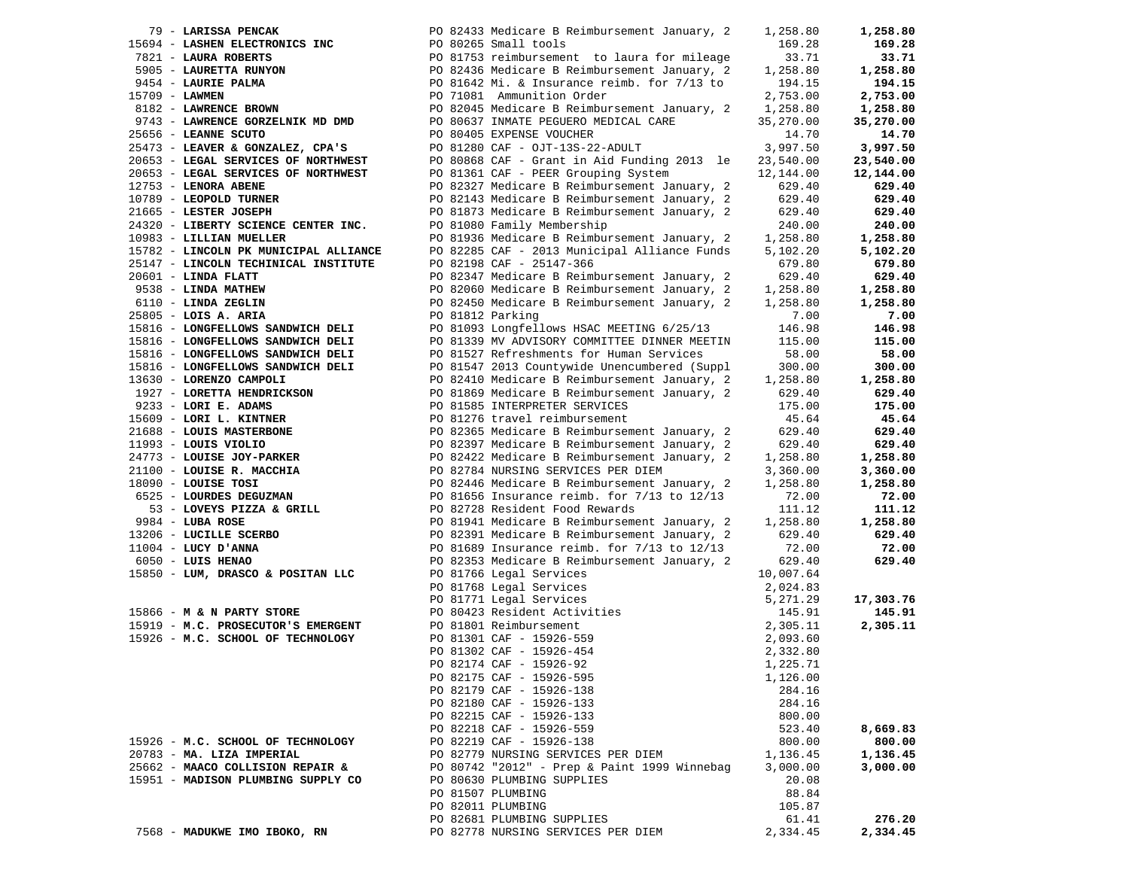| 79 - LARISSA PENCAK                   |                  | PO 82433 Medicare B Reimbursement January, 2                                                                                                                                                                                                     | 1,258.80  | 1,258.80  |
|---------------------------------------|------------------|--------------------------------------------------------------------------------------------------------------------------------------------------------------------------------------------------------------------------------------------------|-----------|-----------|
|                                       |                  |                                                                                                                                                                                                                                                  | 169.28    | 169.28    |
|                                       |                  |                                                                                                                                                                                                                                                  | 33.71     | 33.71     |
|                                       |                  |                                                                                                                                                                                                                                                  | 1,258.80  | 1,258.80  |
|                                       |                  | 15694 - LASHEN ELECTRONICS INC<br>7821 - LAURA ROBERTS<br>5905 - LAURETTA RUNYON<br>9454 - LAURET PALMA<br>2945 Medicare B Reimbursement January, 2<br>2945 Medicare B Reimbursement January, 2<br>2954 - LAURIE PALMA<br>2091642 Mi. & Insu     | 194.15    | 194.15    |
|                                       |                  |                                                                                                                                                                                                                                                  |           |           |
| 15709 - LAWMEN                        |                  | PO 71081 Ammunition Order                                                                                                                                                                                                                        | 2,753.00  | 2,753.00  |
| 8182 - LAWRENCE BROWN                 |                  | PO 82045 Medicare B Reimbursement January, 2                                                                                                                                                                                                     | 1,258.80  | 1,258.80  |
| 9743 - LAWRENCE GORZELNIK MD DMD      |                  | PO 80637 INMATE PEGUERO MEDICAL CARE                                                                                                                                                                                                             | 35,270.00 | 35,270.00 |
| 25656 - LEANNE SCUTO                  |                  | PO 80405 EXPENSE VOUCHER                                                                                                                                                                                                                         | 14.70     | 14.70     |
| 25473 - LEAVER & GONZALEZ, CPA'S      |                  | PO 81280 CAF - OJT-13S-22-ADULT                                                                                                                                                                                                                  | 3,997.50  | 3,997.50  |
| 20653 - LEGAL SERVICES OF NORTHWEST   |                  | PO 80868 CAF - Grant in Aid Funding 2013 le                                                                                                                                                                                                      | 23,540.00 | 23,540.00 |
| 20653 - LEGAL SERVICES OF NORTHWEST   |                  | PO 81361 CAF - PEER Grouping System                                                                                                                                                                                                              | 12,144.00 | 12,144.00 |
| 12753 - LENORA ABENE                  |                  | PO 82327 Medicare B Reimbursement January, 2                                                                                                                                                                                                     | 629.40    | 629.40    |
| 10789 - LEOPOLD TURNER                |                  | PO 82143 Medicare B Reimbursement January, 2                                                                                                                                                                                                     | 629.40    | 629.40    |
|                                       |                  |                                                                                                                                                                                                                                                  |           |           |
| 21665 - LESTER JOSEPH                 |                  | PO 81873 Medicare B Reimbursement January, 2                                                                                                                                                                                                     | 629.40    | 629.40    |
| 24320 - LIBERTY SCIENCE CENTER INC.   |                  | PO 81080 Family Membership                                                                                                                                                                                                                       | 240.00    | 240.00    |
| 10983 - LILLIAN MUELLER               |                  | PO 81936 Medicare B Reimbursement January, 2                                                                                                                                                                                                     | 1,258.80  | 1,258.80  |
| 15782 - LINCOLN PK MUNICIPAL ALLIANCE |                  | PO 82285 CAF - 2013 Municipal Alliance Funds                                                                                                                                                                                                     | 5,102.20  | 5,102.20  |
| 25147 - LINCOLN TECHINICAL INSTITUTE  |                  | PO 82198 CAF - 25147-366                                                                                                                                                                                                                         | 679.80    | 679.80    |
| $20601$ - LINDA FLATT                 |                  | PO 82347 Medicare B Reimbursement January, 2                                                                                                                                                                                                     | 629.40    | 629.40    |
| 9538 - LINDA MATHEW                   |                  | PO 82060 Medicare B Reimbursement January, 2 1,258.80                                                                                                                                                                                            |           | 1,258.80  |
| 6110 - LINDA ZEGLIN                   |                  | PO 82450 Medicare B Reimbursement January, 2                                                                                                                                                                                                     | 1,258.80  | 1,258.80  |
|                                       |                  |                                                                                                                                                                                                                                                  |           |           |
| $25805$ - LOIS A. ARIA                | PO 81812 Parking |                                                                                                                                                                                                                                                  | 7.00      | 7.00      |
| 15816 - LONGFELLOWS SANDWICH DELI     |                  | PO 81093 Longfellows HSAC MEETING 6/25/13                                                                                                                                                                                                        | 146.98    | 146.98    |
| 15816 - LONGFELLOWS SANDWICH DELI     |                  | PO 81339 MV ADVISORY COMMITTEE DINNER MEETIN                                                                                                                                                                                                     | 115.00    | 115.00    |
| 15816 - LONGFELLOWS SANDWICH DELI     |                  | PO 81527 Refreshments for Human Services                                                                                                                                                                                                         | 58.00     | 58.00     |
| 15816 - LONGFELLOWS SANDWICH DELI     |                  | PO 81547 2013 Countywide Unencumbered (Suppl                                                                                                                                                                                                     | 300.00    | 300.00    |
| 13630 - LORENZO CAMPOLI               |                  | PO 82410 Medicare B Reimbursement January, 2                                                                                                                                                                                                     | 1,258.80  | 1,258.80  |
| 1927 - LORETTA HENDRICKSON            |                  | PO 81869 Medicare B Reimbursement January, 2                                                                                                                                                                                                     | 629.40    | 629.40    |
|                                       |                  |                                                                                                                                                                                                                                                  | 175.00    | 175.00    |
|                                       |                  |                                                                                                                                                                                                                                                  | 45.64     | 45.64     |
|                                       |                  |                                                                                                                                                                                                                                                  | 629.40    |           |
|                                       |                  | 1927 - LORETTA HENDRICKSON<br>2023 - LORI E. ADAMS<br>2023 - LORI L. KINTNER<br>21689 - LORI L. KINTNER<br>21688 - LOUIS VIOLIO<br>2176 - LOUIS VIOLIO<br>2176 - LOUIS VIOLIO<br>21778 - LOUIS CONTRESS DES<br>21778 - LOUIS CONTRESS DES<br>21  |           | 629.40    |
|                                       |                  |                                                                                                                                                                                                                                                  | 629.40    | 629.40    |
|                                       |                  |                                                                                                                                                                                                                                                  | 1,258.80  | 1,258.80  |
|                                       |                  |                                                                                                                                                                                                                                                  | 3,360.00  | 3,360.00  |
|                                       |                  |                                                                                                                                                                                                                                                  | 1,258.80  | 1,258.80  |
|                                       |                  |                                                                                                                                                                                                                                                  | 72.00     | 72.00     |
|                                       |                  |                                                                                                                                                                                                                                                  | 111.12    | 111.12    |
|                                       |                  |                                                                                                                                                                                                                                                  | 1,258.80  | 1,258.80  |
|                                       |                  |                                                                                                                                                                                                                                                  | 629.40    | 629.40    |
| $11004$ - LUCY D'ANNA                 |                  | PO 81689 Insurance reimb. for 7/13 to 12/13                                                                                                                                                                                                      | 72.00     | 72.00     |
| 6050 - LUIS HENAO                     |                  | PO 82353 Medicare B Reimbursement January, 2                                                                                                                                                                                                     | 629.40    | 629.40    |
|                                       |                  |                                                                                                                                                                                                                                                  |           |           |
| 15850 - LUM, DRASCO & POSITAN LLC     |                  |                                                                                                                                                                                                                                                  |           |           |
|                                       |                  |                                                                                                                                                                                                                                                  |           |           |
|                                       |                  |                                                                                                                                                                                                                                                  |           | 17,303.76 |
| 15866 - M & N PARTY STORE             |                  |                                                                                                                                                                                                                                                  |           | 145.91    |
| 15919 - M.C. PROSECUTOR'S EMERGENT    |                  | 90 81766 Legal Services<br>2,024.83<br>90 81771 Legal Services<br>90 80423 Resident Activities<br>90 80423 Resident Activities<br>90 81801 Reimbursement<br>90 81301 CAF - 15926-559<br>90 81302 CAF - 15926-454<br>90 82174 CAF - 15926-92<br>9 |           | 2,305.11  |
| 15926 - M.C. SCHOOL OF TECHNOLOGY     |                  |                                                                                                                                                                                                                                                  |           |           |
|                                       |                  |                                                                                                                                                                                                                                                  |           |           |
|                                       |                  | PO 82174 CAF - 15926-92                                                                                                                                                                                                                          | 1,225.71  |           |
|                                       |                  | PO 82175 CAF - 15926-595                                                                                                                                                                                                                         | 1,126.00  |           |
|                                       |                  | PO 82179 CAF - 15926-138                                                                                                                                                                                                                         | 284.16    |           |
|                                       |                  | PO 82180 CAF - 15926-133                                                                                                                                                                                                                         | 284.16    |           |
|                                       |                  | PO 82215 CAF - 15926-133                                                                                                                                                                                                                         | 800.00    |           |
|                                       |                  |                                                                                                                                                                                                                                                  |           |           |
|                                       |                  | PO 82218 CAF - 15926-559                                                                                                                                                                                                                         | 523.40    | 8,669.83  |
| 15926 - M.C. SCHOOL OF TECHNOLOGY     |                  | PO 82219 CAF - 15926-138                                                                                                                                                                                                                         | 800.00    | 800.00    |
| 20783 - MA. LIZA IMPERIAL             |                  | PO 82779 NURSING SERVICES PER DIEM                                                                                                                                                                                                               | 1,136.45  | 1,136.45  |
| 25662 - MAACO COLLISION REPAIR &      |                  | PO 80742 "2012" - Prep & Paint 1999 Winnebag                                                                                                                                                                                                     | 3,000.00  | 3,000.00  |
| 15951 - MADISON PLUMBING SUPPLY CO    |                  | PO 80630 PLUMBING SUPPLIES                                                                                                                                                                                                                       | 20.08     |           |
|                                       |                  | PO 81507 PLUMBING                                                                                                                                                                                                                                | 88.84     |           |
|                                       |                  | PO 82011 PLUMBING                                                                                                                                                                                                                                | 105.87    |           |
|                                       |                  | PO 82681 PLUMBING SUPPLIES                                                                                                                                                                                                                       | 61.41     | 276.20    |
| 7568 - MADUKWE IMO IBOKO, RN          |                  | PO 82778 NURSING SERVICES PER DIEM                                                                                                                                                                                                               | 2,334.45  | 2,334.45  |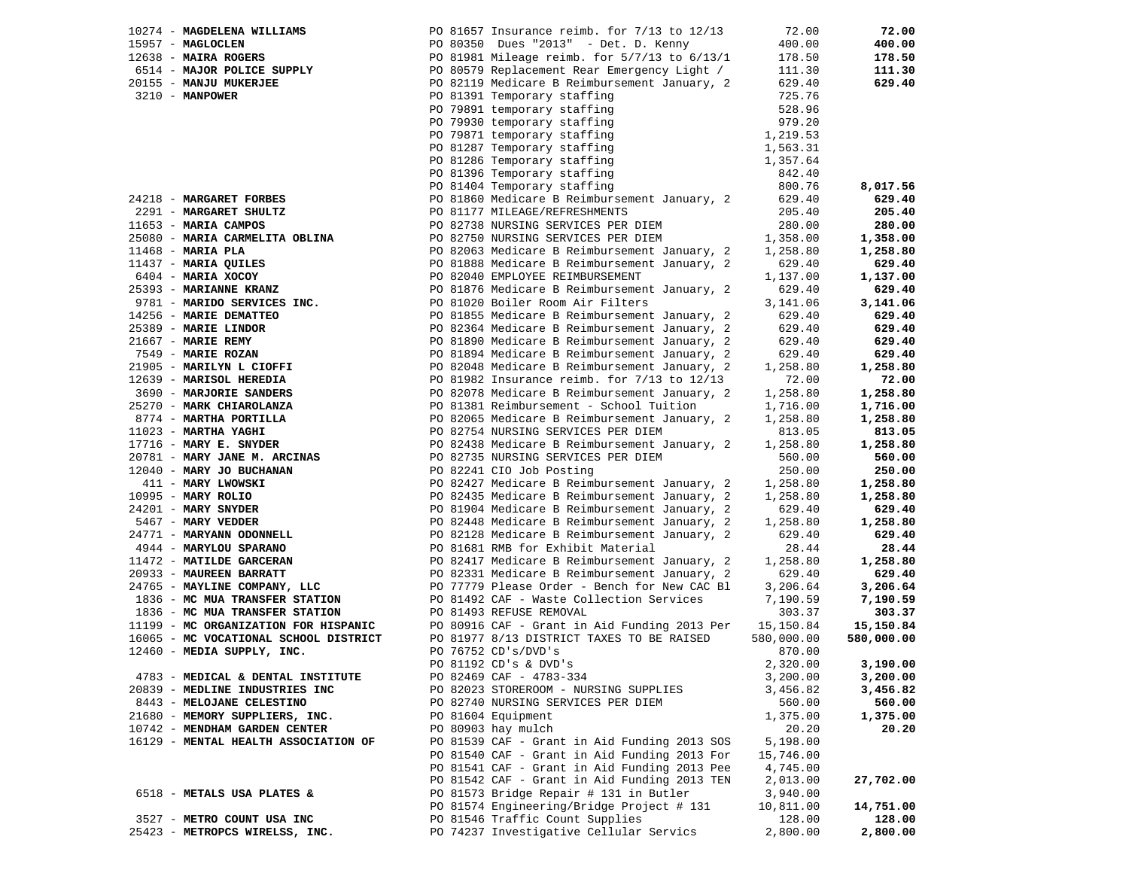| 10274 - MAGDELENA WILLIAMS                                                     | PO 81657 Insurance reimb. for $7/13$ to $12/13$                                                                                                         | 72.00      | 72.00      |
|--------------------------------------------------------------------------------|---------------------------------------------------------------------------------------------------------------------------------------------------------|------------|------------|
| 15957 - MAGLOCLEN                                                              | PO 80350 Dues "2013" - Det. D. Kenny                                                                                                                    | 400.00     | 400.00     |
| 12638 - MAIRA ROGERS                                                           | PO 81981 Mileage reimb. for 5/7/13 to 6/13/1                                                                                                            | 178.50     | 178.50     |
|                                                                                | PO 80579 Replacement Rear Emergency Light /                                                                                                             | 111.30     | 111.30     |
| 6514 - MAJOR POLICE SUPPLY<br>20155 - MANJU MUKERJEE<br>20155 - MANJU MUKERJEE | PO 82119 Medicare B Reimbursement January, 2                                                                                                            | 629.40     | 629.40     |
| 3210 - MANPOWER                                                                | PO 81391 Temporary staffing                                                                                                                             | 725.76     |            |
|                                                                                | PO 79891 temporary staffing<br>PO 79930 temporary staffing                                                                                              | 528.96     |            |
|                                                                                |                                                                                                                                                         | 979.20     |            |
|                                                                                | PO 79871 temporary staffing                                                                                                                             | 1,219.53   |            |
|                                                                                |                                                                                                                                                         | 1,563.31   |            |
|                                                                                |                                                                                                                                                         | 1,357.64   |            |
|                                                                                |                                                                                                                                                         | 842.40     |            |
|                                                                                | PO 79871 temporary stailing<br>PO 81287 Temporary staffing<br>PO 81286 Temporary staffing<br>PO 81396 Temporary staffing<br>PO 81404 Temporary staffing | 800.76     | 8,017.56   |
| 24218 - MARGARET FORBES                                                        | PO 81860 Medicare B Reimbursement January, 2                                                                                                            | 629.40     | 629.40     |
| 2291 - MARGARET SHULTZ                                                         | PO 81177 MILEAGE/REFRESHMENTS                                                                                                                           | 205.40     | 205.40     |
| 11653 - MARIA CAMPOS                                                           | PO 82738 NURSING SERVICES PER DIEM                                                                                                                      | 280.00     | 280.00     |
| 25080 - MARIA CARMELITA OBLINA                                                 | PO 82750 NURSING SERVICES PER DIEM                                                                                                                      | 1,358.00   | 1,358.00   |
| $11468$ - MARIA PLA                                                            | PO 82063 Medicare B Reimbursement January, 2                                                                                                            | 1,258.80   | 1,258.80   |
| 11437 - MARIA QUILES                                                           | PO 81888 Medicare B Reimbursement January, 2                                                                                                            | 629.40     | 629.40     |
| 6404 - MARIA XOCOY                                                             | PO 82040 EMPLOYEE REIMBURSEMENT                                                                                                                         | 1,137.00   | 1,137.00   |
| 25393 - MARIANNE KRANZ                                                         | PO 81876 Medicare B Reimbursement January, 2                                                                                                            | 629.40     | 629.40     |
| 9781 - MARIDO SERVICES INC.                                                    | PO 81020 Boiler Room Air Filters                                                                                                                        | 3,141.06   | 3,141.06   |
| 14256 - MARIE DEMATTEO                                                         | PO 81855 Medicare B Reimbursement January, 2                                                                                                            | 629.40     | 629.40     |
| 25389 - MARIE LINDOR                                                           | PO 82364 Medicare B Reimbursement January, 2                                                                                                            | 629.40     | 629.40     |
| $21667$ - MARIE REMY                                                           | PO 81890 Medicare B Reimbursement January, 2                                                                                                            | 629.40     | 629.40     |
| 7549 - MARIE ROZAN                                                             | PO 81894 Medicare B Reimbursement January, 2                                                                                                            | 629.40     | 629.40     |
| 21905 - MARILYN L CIOFFI                                                       | PO 82048 Medicare B Reimbursement January, 2                                                                                                            | 1,258.80   | 1,258.80   |
| 12639 - MARISOL HEREDIA                                                        | PO 81982 Insurance reimb. for $7/13$ to $12/13$                                                                                                         | 72.00      | 72.00      |
| 3690 - MARJORIE SANDERS                                                        | PO 82078 Medicare B Reimbursement January, 2                                                                                                            | 1,258.80   | 1,258.80   |
| 25270 - MARK CHIAROLANZA                                                       | PO 81381 Reimbursement - School Tuition                                                                                                                 | 1,716.00   | 1,716.00   |
| 8774 - MARTHA PORTILLA                                                         | PO 82065 Medicare B Reimbursement January, 2                                                                                                            | 1,258.80   | 1,258.80   |
| $11023$ - MARTHA YAGHI                                                         | PO 82754 NURSING SERVICES PER DIEM                                                                                                                      | 813.05     | 813.05     |
| $17716$ - MARY E. SNYDER                                                       | PO 82438 Medicare B Reimbursement January, 2                                                                                                            | 1,258.80   | 1,258.80   |
| 20781 - MARY JANE M. ARCINAS                                                   | PO 82735 NURSING SERVICES PER DIEM                                                                                                                      | 560.00     | 560.00     |
| 12040 - MARY JO BUCHANAN                                                       | PO 82241 CIO Job Posting                                                                                                                                | 250.00     | 250.00     |
| 411 - MARY LWOWSKI                                                             | PO 82427 Medicare B Reimbursement January, 2                                                                                                            | 1,258.80   | 1,258.80   |
| 10995 - MARY ROLIO                                                             | PO 82435 Medicare B Reimbursement January, 2                                                                                                            | 1,258.80   | 1,258.80   |
| 24201 - MARY SNYDER                                                            | PO 81904 Medicare B Reimbursement January, 2                                                                                                            | 629.40     | 629.40     |
| 5467 - MARY VEDDER                                                             | PO 82448 Medicare B Reimbursement January, 2                                                                                                            | 1,258.80   | 1,258.80   |
| 24771 - MARYANN ODONNELL                                                       | PO 82128 Medicare B Reimbursement January, 2                                                                                                            | 629.40     | 629.40     |
| 4944 - MARYLOU SPARANO                                                         | PO 81681 RMB for Exhibit Material                                                                                                                       | 28.44      | 28.44      |
| 11472 - MATILDE GARCERAN                                                       | PO 82417 Medicare B Reimbursement January, 2                                                                                                            | 1,258.80   | 1,258.80   |
| 20933 - MAUREEN BARRATT                                                        | PO 82331 Medicare B Reimbursement January, 2                                                                                                            | 629.40     | 629.40     |
| 24765 - MAYLINE COMPANY, LLC                                                   | PO 77779 Please Order - Bench for New CAC Bl                                                                                                            | 3,206.64   | 3,206.64   |
| 1836 - MC MUA TRANSFER STATION                                                 | PO 81492 CAF - Waste Collection Services                                                                                                                | 7,190.59   | 7,190.59   |
| 1836 - MC MUA TRANSFER STATION                                                 | PO 81493 REFUSE REMOVAL                                                                                                                                 | 303.37     | 303.37     |
| 11199 - MC ORGANIZATION FOR HISPANIC                                           | PO 80916 CAF - Grant in Aid Funding 2013 Per                                                                                                            | 15,150.84  | 15,150.84  |
| 16065 - MC VOCATIONAL SCHOOL DISTRICT                                          | PO 81977 8/13 DISTRICT TAXES TO BE RAISED                                                                                                               | 580,000.00 | 580,000.00 |
| 12460 - MEDIA SUPPLY, INC.                                                     | PO 76752 CD's/DVD's                                                                                                                                     | 870.00     |            |
|                                                                                | PO 81192 CD's & DVD's                                                                                                                                   | 2,320.00   | 3,190.00   |
| 4783 - MEDICAL & DENTAL INSTITUTE                                              | PO 82469 CAF - 4783-334                                                                                                                                 | 3,200.00   | 3,200.00   |
| 20839 - MEDLINE INDUSTRIES INC                                                 | PO 82023 STOREROOM - NURSING SUPPLIES                                                                                                                   | 3,456.82   | 3,456.82   |
| 8443 - MELOJANE CELESTINO                                                      | PO 82740 NURSING SERVICES PER DIEM                                                                                                                      | 560.00     | 560.00     |
| 21680 - MEMORY SUPPLIERS, INC.                                                 | PO 81604 Equipment                                                                                                                                      | 1,375.00   | 1,375.00   |
| 10742 - MENDHAM GARDEN CENTER                                                  | PO 80903 hay mulch                                                                                                                                      | 20.20      | 20.20      |
| 16129 - MENTAL HEALTH ASSOCIATION OF                                           | PO 81539 CAF - Grant in Aid Funding 2013 SOS                                                                                                            | 5,198.00   |            |
|                                                                                | PO 81540 CAF - Grant in Aid Funding 2013 For                                                                                                            | 15,746.00  |            |
|                                                                                | PO 81541 CAF - Grant in Aid Funding 2013 Pee                                                                                                            | 4,745.00   |            |
|                                                                                | PO 81542 CAF - Grant in Aid Funding 2013 TEN                                                                                                            | 2,013.00   | 27,702.00  |
| 6518 - METALS USA PLATES &                                                     | PO 81573 Bridge Repair # 131 in Butler                                                                                                                  | 3,940.00   |            |
|                                                                                | PO 81574 Engineering/Bridge Project # 131                                                                                                               | 10,811.00  | 14,751.00  |
| 3527 - METRO COUNT USA INC                                                     | PO 81546 Traffic Count Supplies                                                                                                                         | 128.00     | 128.00     |
| 25423 - METROPCS WIRELSS, INC.                                                 | PO 74237 Investigative Cellular Servics                                                                                                                 | 2,800.00   | 2,800.00   |
|                                                                                |                                                                                                                                                         |            |            |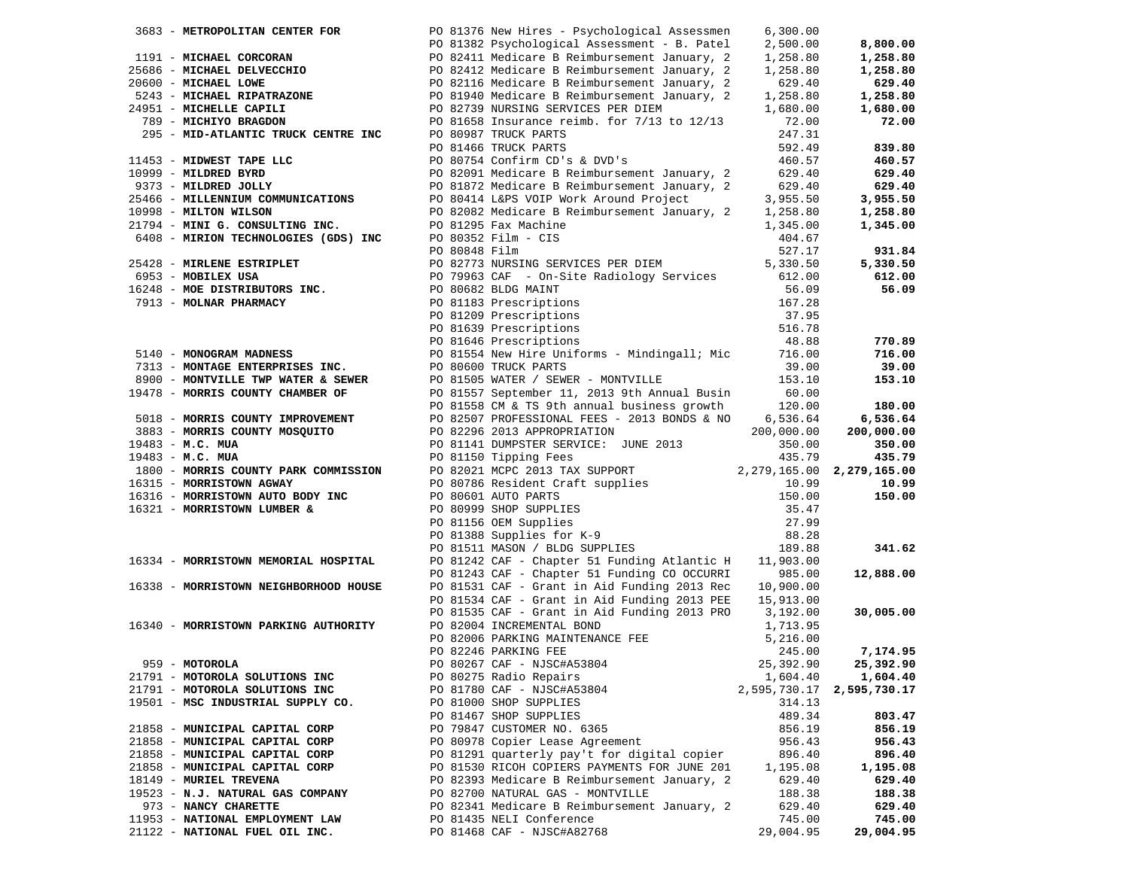| 3683 - METROPOLITAN CENTER FOR        |               | PO 81376 New Hires - Psychological Assessmen                                                                                                 | 6,300.00     |                               |
|---------------------------------------|---------------|----------------------------------------------------------------------------------------------------------------------------------------------|--------------|-------------------------------|
|                                       |               | PO 81382 Psychological Assessment - B. Patel                                                                                                 | 2,500.00     | 8,800.00                      |
| 1191 - MICHAEL CORCORAN               |               |                                                                                                                                              | 1,258.80     | 1,258.80                      |
| 25686 - MICHAEL DELVECCHIO            |               |                                                                                                                                              | 1,258.80     | 1,258.80                      |
| 20600 - MICHAEL LOWE                  |               | PO 82411 Medicare B Reimbursement January, 2<br>PO 82412 Medicare B Reimbursement January, 2<br>PO 82116 Medicare B Reimbursement January, 2 | 629.40       | 629.40                        |
| 5243 - MICHAEL RIPATRAZONE            |               |                                                                                                                                              |              |                               |
|                                       |               | PO 81940 Medicare B Reimbursement January, 2                                                                                                 | 1,258.80     | 1,258.80                      |
| 24951 - MICHELLE CAPILI               |               | PO 82739 NURSING SERVICES PER DIEM                                                                                                           | 1,680.00     | 1,680.00                      |
| 789 - MICHIYO BRAGDON                 |               | PO 81658 Insurance reimb. for 7/13 to 12/13                                                                                                  | 72.00        | 72.00                         |
| 295 - MID-ATLANTIC TRUCK CENTRE INC   |               | PO 80987 TRUCK PARTS                                                                                                                         | 247.31       |                               |
|                                       |               | PO 81466 TRUCK PARTS                                                                                                                         | 592.49       | 839.80                        |
| 11453 - MIDWEST TAPE LLC              |               | PO 80754 Confirm CD's & DVD's                                                                                                                | 460.57       | 460.57                        |
| 10999 - MILDRED BYRD                  |               | PO 82091 Medicare B Reimbursement January, 2                                                                                                 | 629.40       | 629.40                        |
| 9373 - MILDRED JOLLY                  |               | PO 81872 Medicare B Reimbursement January, 2                                                                                                 | 629.40       | 629.40                        |
| 25466 - MILLENNIUM COMMUNICATIONS     |               | PO 80414 L&PS VOIP Work Around Project                                                                                                       | 3,955.50     | 3,955.50                      |
|                                       |               |                                                                                                                                              |              |                               |
| 10998 - MILTON WILSON                 |               | PO 82082 Medicare B Reimbursement January, 2                                                                                                 | 1,258.80     | 1,258.80                      |
| 21794 - MINI G. CONSULTING INC.       |               | PO 81295 Fax Machine                                                                                                                         | 1,345.00     | 1,345.00                      |
| 6408 - MIRION TECHNOLOGIES (GDS) INC  |               | PO 80352 Film - CIS                                                                                                                          | 404.67       |                               |
|                                       | PO 80848 Film |                                                                                                                                              | 527.17       | 931.84                        |
| 25428 - MIRLENE ESTRIPLET             |               | PO 82773 NURSING SERVICES PER DIEM                                                                                                           | 5,330.50     | 5,330.50                      |
| 6953 - MOBILEX USA                    |               | PO 79963 CAF - On-Site Radiology Services                                                                                                    | 612.00       | 612.00                        |
| 16248 - MOE DISTRIBUTORS INC.         |               | PO 80682 BLDG MAINT                                                                                                                          | 56.09        | 56.09                         |
| 7913 - MOLNAR PHARMACY                |               | PO 81183 Prescriptions                                                                                                                       | 167.28       |                               |
|                                       |               | PO 81209 Prescriptions                                                                                                                       | 37.95        |                               |
|                                       |               |                                                                                                                                              |              |                               |
|                                       |               | PO 81639 Prescriptions                                                                                                                       | 516.78       |                               |
|                                       |               | PO 81646 Prescriptions                                                                                                                       | 48.88        | 770.89                        |
| 5140 - MONOGRAM MADNESS               |               | PO 81554 New Hire Uniforms - Mindingall; Mic                                                                                                 | 716.00       | 716.00                        |
| 7313 - MONTAGE ENTERPRISES INC.       |               | PO 80600 TRUCK PARTS                                                                                                                         | 39.00        | 39.00                         |
| 8900 - MONTVILLE TWP WATER & SEWER    |               | PO 81505 WATER / SEWER - MONTVILLE                                                                                                           | 153.10       | 153.10                        |
| 19478 - MORRIS COUNTY CHAMBER OF      |               | PO 81557 September 11, 2013 9th Annual Busin                                                                                                 | 60.00        |                               |
|                                       |               | PO 81558 CM & TS 9th annual business growth                                                                                                  | 120.00       | 180.00                        |
| 5018 - MORRIS COUNTY IMPROVEMENT      |               | PO 82507 PROFESSIONAL FEES - 2013 BONDS & NO                                                                                                 | 6,536.64     | 6,536.64                      |
| 3883 - MORRIS COUNTY MOSQUITO         |               | PO 82296 2013 APPROPRIATION                                                                                                                  | 200,000.00   | 200,000.00                    |
| 19483 - M.C. MUA                      |               | PO 81141 DUMPSTER SERVICE: JUNE 2013                                                                                                         | 350.00       | 350.00                        |
|                                       |               |                                                                                                                                              |              |                               |
| 19483 - M.C. MUA                      |               | PO 81150 Tipping Fees                                                                                                                        | 435.79       | 435.79                        |
| 1800 - MORRIS COUNTY PARK COMMISSION  |               | PO 82021 MCPC 2013 TAX SUPPORT                                                                                                               |              | 2, 279, 165.00 2, 279, 165.00 |
| 16315 - MORRISTOWN AGWAY              |               | PO 80786 Resident Craft supplies                                                                                                             | 10.99        | 10.99                         |
| 16316 - MORRISTOWN AUTO BODY INC      |               | PO 80601 AUTO PARTS                                                                                                                          | 150.00       | 150.00                        |
| 16321 - MORRISTOWN LUMBER &           |               | PO 80999 SHOP SUPPLIES                                                                                                                       | 35.47        |                               |
|                                       |               | PO 81388 Supplies<br>PO 81388 Supplies for K-9<br>PO 81511 MASON / BLDG SUPPLIES                                                             | 27.99        |                               |
|                                       |               |                                                                                                                                              | 88.28        |                               |
|                                       |               |                                                                                                                                              | 189.88       | 341.62                        |
| 16334 - MORRISTOWN MEMORIAL HOSPITAL  |               | PO 81242 CAF - Chapter 51 Funding Atlantic H                                                                                                 | 11,903.00    |                               |
|                                       |               | PO 81243 CAF - Chapter 51 Funding CO OCCURRI                                                                                                 | 985.00       | 12,888.00                     |
| 16338 - MORRISTOWN NEIGHBORHOOD HOUSE |               | PO 81531 CAF - Grant in Aid Funding 2013 Rec                                                                                                 |              |                               |
|                                       |               |                                                                                                                                              | 10,900.00    |                               |
|                                       |               | PO 81534 CAF - Grant in Aid Funding 2013 PEE                                                                                                 | 15,913.00    |                               |
|                                       |               | PO 81535 CAF - Grant in Aid Funding 2013 PRO                                                                                                 | 3,192.00     | 30,005.00                     |
| 16340 - MORRISTOWN PARKING AUTHORITY  |               | PO 82004 INCREMENTAL BOND                                                                                                                    | 1,713.95     |                               |
|                                       |               | PO 82006 PARKING MAINTENANCE FEE                                                                                                             | 5,216.00     |                               |
|                                       |               | PO 82246 PARKING FEE                                                                                                                         | 245.00       | 7,174.95                      |
| 959 - MOTOROLA                        |               | PO 80267 CAF - NJSC#A53804                                                                                                                   | 25,392.90    | 25,392.90                     |
| 21791 - MOTOROLA SOLUTIONS INC        |               | PO 80275 Radio Repairs                                                                                                                       | 1,604.40     | 1,604.40                      |
| 21791 - MOTOROLA SOLUTIONS INC        |               | PO 81780 CAF - NJSC#A53804                                                                                                                   | 2,595,730.17 | 2,595,730.17                  |
| 19501 - MSC INDUSTRIAL SUPPLY CO.     |               | PO 81000 SHOP SUPPLIES                                                                                                                       | 314.13       |                               |
|                                       |               | PO 81467 SHOP SUPPLIES                                                                                                                       | 489.34       | 803.47                        |
| 21858 - MUNICIPAL CAPITAL CORP        |               | PO 79847 CUSTOMER NO. 6365                                                                                                                   | 856.19       | 856.19                        |
|                                       |               |                                                                                                                                              |              |                               |
| 21858 - MUNICIPAL CAPITAL CORP        |               | PO 80978 Copier Lease Agreement                                                                                                              | 956.43       | 956.43                        |
| 21858 - MUNICIPAL CAPITAL CORP        |               | PO 81291 quarterly pay't for digital copier                                                                                                  | 896.40       | 896.40                        |
| 21858 - MUNICIPAL CAPITAL CORP        |               | PO 81530 RICOH COPIERS PAYMENTS FOR JUNE 201                                                                                                 | 1,195.08     | 1,195.08                      |
| 18149 - MURIEL TREVENA                |               | PO 82393 Medicare B Reimbursement January, 2                                                                                                 | 629.40       | 629.40                        |
| 19523 - N.J. NATURAL GAS COMPANY      |               | PO 82700 NATURAL GAS - MONTVILLE                                                                                                             | 188.38       | 188.38                        |
| 973 - NANCY CHARETTE                  |               | PO 82341 Medicare B Reimbursement January, 2                                                                                                 | 629.40       | 629.40                        |
| 11953 - NATIONAL EMPLOYMENT LAW       |               | PO 81435 NELI Conference                                                                                                                     | 745.00       | 745.00                        |
| 21122 - NATIONAL FUEL OIL INC.        |               | PO 81468 CAF - NJSC#A82768                                                                                                                   | 29,004.95    | 29,004.95                     |
|                                       |               |                                                                                                                                              |              |                               |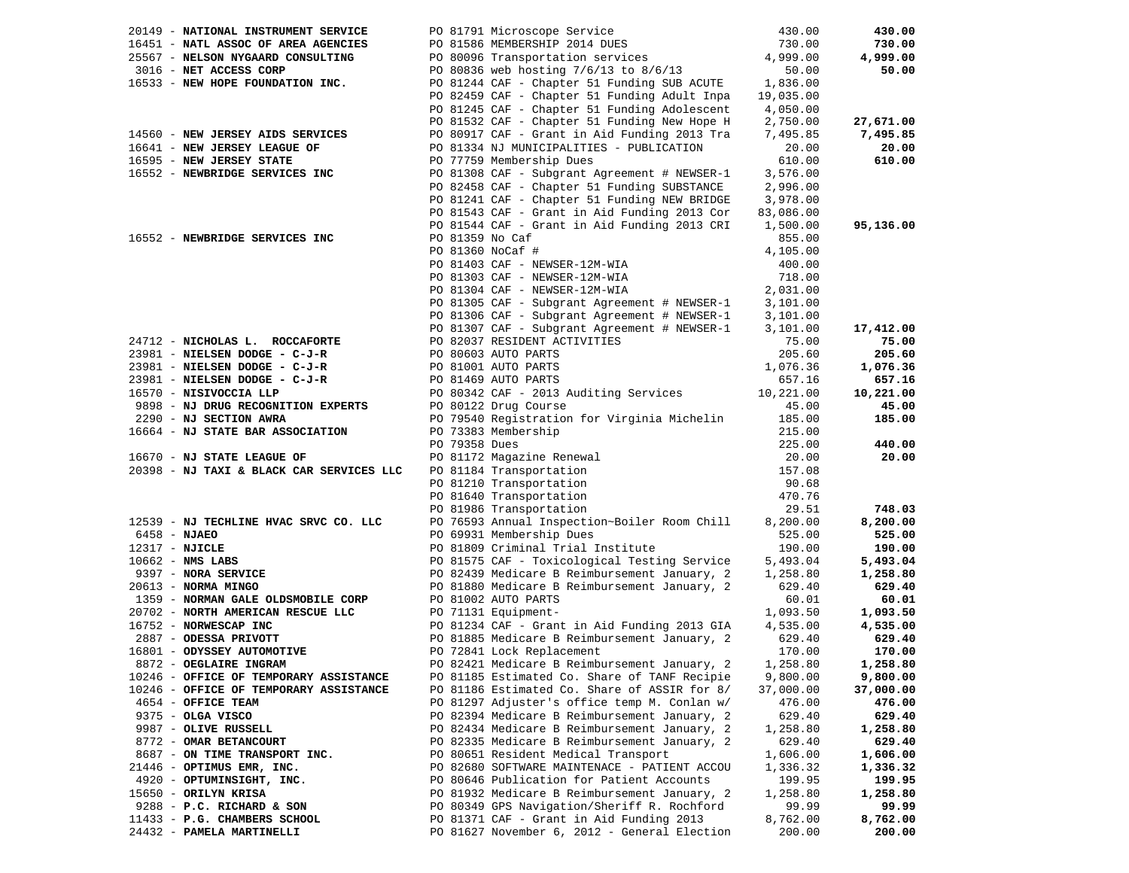| 20149 - NATIONAL INSTRUMENT SERVICE      |                  | PO 81791 Microscope Service                                                                                                           | 430.00    | 430.00    |
|------------------------------------------|------------------|---------------------------------------------------------------------------------------------------------------------------------------|-----------|-----------|
| 16451 - NATL ASSOC OF AREA AGENCIES      |                  | PO 81586 MEMBERSHIP 2014 DUES<br>PO 80096 Transportation services<br>PO 80836 web hosting 7/6/13 to 8/6/13                            | 730.00    | 730.00    |
| 25567 - NELSON NYGAARD CONSULTING        |                  |                                                                                                                                       | 4,999.00  | 4,999.00  |
| 3016 - NET ACCESS CORP                   |                  |                                                                                                                                       | 50.00     | 50.00     |
| 16533 - NEW HOPE FOUNDATION INC.         |                  | PO 80850 Web Hosting 770715 to 870713<br>PO 81244 CAF - Chapter 51 Funding SUB ACUTE 1,836.00                                         |           |           |
|                                          |                  | PO 82459 CAF - Chapter 51 Funding Adult Inpa                                                                                          | 19,035.00 |           |
|                                          |                  | PO 81245 CAF - Chapter 51 Funding Adolescent                                                                                          | 4,050.00  |           |
|                                          |                  | PO 81532 CAF - Chapter 51 Funding New Hope H                                                                                          | 2,750.00  | 27,671.00 |
| 14560 - NEW JERSEY AIDS SERVICES         |                  | PO 80917 CAF - Grant in Aid Funding 2013 Tra                                                                                          | 7,495.85  | 7,495.85  |
| 16641 - NEW JERSEY LEAGUE OF             |                  | PO 81334 NJ MUNICIPALITIES - PUBLICATION                                                                                              | 20.00     | 20.00     |
| 16595 - NEW JERSEY STATE                 |                  | PO 77759 Membership Dues                                                                                                              | 610.00    | 610.00    |
| 16552 - NEWBRIDGE SERVICES INC           |                  | PO 81308 CAF - Subgrant Agreement # NEWSER-1                                                                                          | 3,576.00  |           |
|                                          |                  | PO 82458 CAF - Chapter 51 Funding SUBSTANCE                                                                                           | 2,996.00  |           |
|                                          |                  | PO 81241 CAF - Chapter 51 Funding NEW BRIDGE                                                                                          | 3,978.00  |           |
|                                          |                  | PO 81543 CAF - Grant in Aid Funding 2013 Cor                                                                                          | 83,086.00 |           |
|                                          |                  | PO 81544 CAF - Grant in Aid Funding 2013 CRI                                                                                          | 1,500.00  | 95,136.00 |
| 16552 - NEWBRIDGE SERVICES INC           | PO 81359 No Caf  |                                                                                                                                       | 855.00    |           |
|                                          | PO 81360 NoCaf # |                                                                                                                                       | 4,105.00  |           |
|                                          |                  | PO 81403 CAF - NEWSER-12M-WIA                                                                                                         | 400.00    |           |
|                                          |                  | PO 81303 CAF - NEWSER-12M-WIA                                                                                                         | 718.00    |           |
|                                          |                  | PO 81304 CAF - NEWSER-12M-WIA                                                                                                         | 2,031.00  |           |
|                                          |                  | PO 81305 CAF - Subgrant Agreement # NEWSER-1                                                                                          | 3,101.00  |           |
|                                          |                  | PO 81306 CAF - Subgrant Agreement # NEWSER-1                                                                                          | 3,101.00  |           |
|                                          |                  | PO 81307 CAF - Subgrant Agreement # NEWSER-1                                                                                          | 3,101.00  | 17,412.00 |
| 24712 - NICHOLAS L. ROCCAFORTE           |                  | PO 82037 RESIDENT ACTIVITIES                                                                                                          | 75.00     | 75.00     |
| 23981 - NIELSEN DODGE - C-J-R            |                  | PO 80603 AUTO PARTS                                                                                                                   | 205.60    | 205.60    |
| 23981 - NIELSEN DODGE - C-J-R            |                  | PO 81001 AUTO PARTS                                                                                                                   | 1,076.36  | 1,076.36  |
| 23981 - NIELSEN DODGE - C-J-R            |                  | PO 81469 AUTO PARTS                                                                                                                   | 657.16    | 657.16    |
| 16570 - NISIVOCCIA LLP                   |                  | PO 80342 CAF - 2013 Auditing Services 10,221.00                                                                                       |           | 10,221.00 |
| 9898 - NJ DRUG RECOGNITION EXPERTS       |                  | PO 80122 Drug Course                                                                                                                  | 45.00     | 45.00     |
| 2290 - NJ SECTION AWRA                   |                  | PO 79540 Registration for Virginia Michelin                                                                                           | 185.00    | 185.00    |
| 16664 - NJ STATE BAR ASSOCIATION         |                  | PO 73383 Membership                                                                                                                   | 215.00    |           |
|                                          | PO 79358 Dues    |                                                                                                                                       | 225.00    | 440.00    |
| 16670 - NJ STATE LEAGUE OF               |                  |                                                                                                                                       | 20.00     | 20.00     |
| 20398 - NJ TAXI & BLACK CAR SERVICES LLC |                  | PO 81172 Magazine Renewal<br>PO 81184 Transportation<br>PO 81210 Transportation<br>PO 81640 Transportation<br>PO 81986 Transportation | 157.08    |           |
|                                          |                  |                                                                                                                                       | 90.68     |           |
|                                          |                  |                                                                                                                                       | 470.76    |           |
|                                          |                  | PO 81986 Transportation                                                                                                               | 29.51     | 748.03    |
| 12539 - NJ TECHLINE HVAC SRVC CO. LLC    |                  | PO 76593 Annual Inspection~Boiler Room Chill                                                                                          | 8,200.00  | 8,200.00  |
| $6458 - NJABO$                           |                  | PO 69931 Membership Dues                                                                                                              | 525.00    | 525.00    |
| 12317 - NJICLE                           |                  | PO 81809 Criminal Trial Institute                                                                                                     | 190.00    | 190.00    |
| $10662$ - NMS LABS                       |                  | PO 81575 CAF - Toxicological Testing Service                                                                                          | 5,493.04  | 5,493.04  |
| 9397 - NORA SERVICE                      |                  | PO 82439 Medicare B Reimbursement January, 2                                                                                          | 1,258.80  | 1,258.80  |
| $20613$ - NORMA MINGO                    |                  | PO 81880 Medicare B Reimbursement January, 2                                                                                          | 629.40    | 629.40    |
| 1359 - NORMAN GALE OLDSMOBILE CORP       |                  | PO 81002 AUTO PARTS                                                                                                                   | 60.01     | 60.01     |
| 20702 - NORTH AMERICAN RESCUE LLC        |                  | PO 71131 Equipment-                                                                                                                   | 1,093.50  | 1,093.50  |
| 16752 - NORWESCAP INC                    |                  | PO 81234 CAF - Grant in Aid Funding 2013 GIA                                                                                          | 4,535.00  | 4,535.00  |
| 2887 - ODESSA PRIVOTT                    |                  | PO 81885 Medicare B Reimbursement January, 2                                                                                          | 629.40    | 629.40    |
| 16801 - ODYSSEY AUTOMOTIVE               |                  | PO 72841 Lock Replacement                                                                                                             | 170.00    | 170.00    |
| 8872 - OEGLAIRE INGRAM                   |                  | PO 82421 Medicare B Reimbursement January, 2 1,258.80                                                                                 |           | 1,258.80  |
| 10246 - OFFICE OF TEMPORARY ASSISTANCE   |                  | PO 81185 Estimated Co. Share of TANF Recipie                                                                                          | 9,800.00  | 9,800.00  |
| 10246 - OFFICE OF TEMPORARY ASSISTANCE   |                  | PO 81186 Estimated Co. Share of ASSIR for 8/                                                                                          | 37,000.00 | 37,000.00 |
| 4654 - OFFICE TEAM                       |                  | PO 81297 Adjuster's office temp M. Conlan w/                                                                                          | 476.00    | 476.00    |
| 9375 - OLGA VISCO                        |                  | PO 82394 Medicare B Reimbursement January, 2                                                                                          | 629.40    | 629.40    |
| 9987 - OLIVE RUSSELL                     |                  | PO 82434 Medicare B Reimbursement January, 2                                                                                          | 1,258.80  | 1,258.80  |
| 8772 - OMAR BETANCOURT                   |                  | PO 82335 Medicare B Reimbursement January, 2                                                                                          | 629.40    | 629.40    |
| 8687 - ON TIME TRANSPORT INC.            |                  | PO 80651 Resident Medical Transport                                                                                                   | 1,606.00  | 1,606.00  |
| 21446 - OPTIMUS EMR, INC.                |                  | PO 82680 SOFTWARE MAINTENACE - PATIENT ACCOU                                                                                          | 1,336.32  | 1,336.32  |
| 4920 - OPTUMINSIGHT, INC.                |                  | PO 80646 Publication for Patient Accounts                                                                                             | 199.95    | 199.95    |
| 15650 - ORILYN KRISA                     |                  | PO 81932 Medicare B Reimbursement January, 2                                                                                          | 1,258.80  | 1,258.80  |
| 9288 - P.C. RICHARD & SON                |                  | PO 80349 GPS Navigation/Sheriff R. Rochford                                                                                           | 99.99     | 99.99     |
| 11433 - P.G. CHAMBERS SCHOOL             |                  | PO 81371 CAF - Grant in Aid Funding 2013                                                                                              | 8,762.00  | 8,762.00  |
| 24432 - PAMELA MARTINELLI                |                  | PO 81627 November 6, 2012 - General Election                                                                                          | 200.00    | 200.00    |
|                                          |                  |                                                                                                                                       |           |           |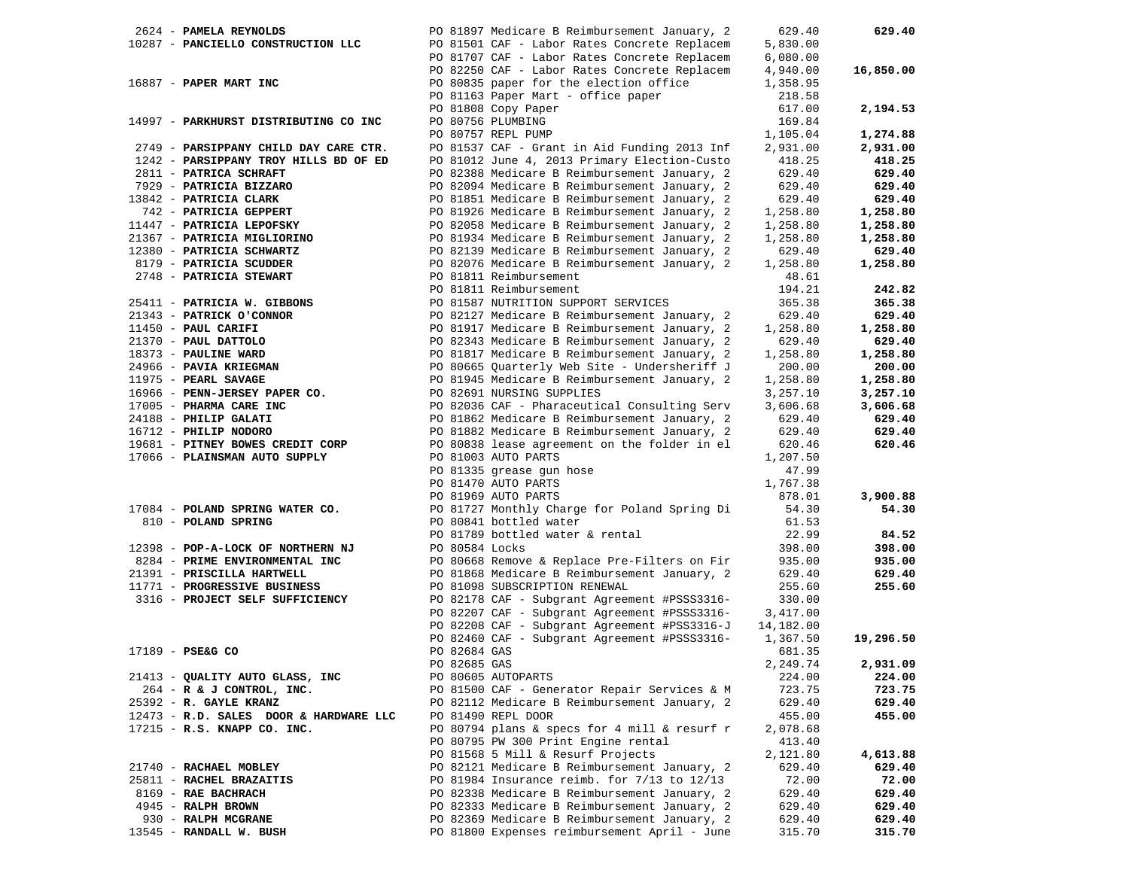|  | 2624 - PAMELA REYNOLDS                 |              | PO 81897 Medicare B Reimbursement January, 2 | 629.40    | 629.40    |
|--|----------------------------------------|--------------|----------------------------------------------|-----------|-----------|
|  | 10287 - PANCIELLO CONSTRUCTION LLC     |              | PO 81501 CAF - Labor Rates Concrete Replacem | 5,830.00  |           |
|  |                                        |              | PO 81707 CAF - Labor Rates Concrete Replacem | 6,080.00  |           |
|  |                                        |              | PO 82250 CAF - Labor Rates Concrete Replacem | 4,940.00  | 16,850.00 |
|  |                                        |              |                                              |           |           |
|  | 16887 - PAPER MART INC                 |              | PO 80835 paper for the election office       | 1,358.95  |           |
|  |                                        |              | PO 81163 Paper Mart - office paper           | 218.58    |           |
|  |                                        |              | PO 81808 Copy Paper                          | 617.00    | 2,194.53  |
|  | 14997 - PARKHURST DISTRIBUTING CO INC  |              | PO 80756 PLUMBING                            | 169.84    |           |
|  |                                        |              | PO 80757 REPL PUMP                           | 1,105.04  | 1,274.88  |
|  | 2749 - PARSIPPANY CHILD DAY CARE CTR.  |              | PO 81537 CAF - Grant in Aid Funding 2013 Inf | 2,931.00  | 2,931.00  |
|  | 1242 - PARSIPPANY TROY HILLS BD OF ED  |              | PO 81012 June 4, 2013 Primary Election-Custo | 418.25    | 418.25    |
|  | 2811 - PATRICA SCHRAFT                 |              | PO 82388 Medicare B Reimbursement January, 2 | 629.40    | 629.40    |
|  |                                        |              |                                              |           |           |
|  | 7929 - PATRICIA BIZZARO                |              | PO 82094 Medicare B Reimbursement January, 2 | 629.40    | 629.40    |
|  | 13842 - PATRICIA CLARK                 |              | PO 81851 Medicare B Reimbursement January, 2 | 629.40    | 629.40    |
|  | 742 - PATRICIA GEPPERT                 |              | PO 81926 Medicare B Reimbursement January, 2 | 1,258.80  | 1,258.80  |
|  | 11447 - PATRICIA LEPOFSKY              |              | PO 82058 Medicare B Reimbursement January, 2 | 1,258.80  | 1,258.80  |
|  | 21367 - PATRICIA MIGLIORINO            |              | PO 81934 Medicare B Reimbursement January, 2 | 1,258.80  | 1,258.80  |
|  | 12380 - PATRICIA SCHWARTZ              |              | PO 82139 Medicare B Reimbursement January, 2 | 629.40    | 629.40    |
|  | 8179 - PATRICIA SCUDDER                |              | PO 82076 Medicare B Reimbursement January, 2 | 1,258.80  | 1,258.80  |
|  |                                        |              | PO 81811 Reimbursement                       |           |           |
|  | 2748 - PATRICIA STEWART                |              |                                              | 48.61     |           |
|  |                                        |              | PO 81811 Reimbursement                       | 194.21    | 242.82    |
|  | 25411 - PATRICIA W. GIBBONS            |              | PO 81587 NUTRITION SUPPORT SERVICES          | 365.38    | 365.38    |
|  | 21343 - PATRICK O'CONNOR               |              | PO 82127 Medicare B Reimbursement January, 2 | 629.40    | 629.40    |
|  | 11450 - PAUL CARIFI                    |              | PO 81917 Medicare B Reimbursement January, 2 | 1,258.80  | 1,258.80  |
|  | 21370 - PAUL DATTOLO                   |              | PO 82343 Medicare B Reimbursement January, 2 | 629.40    | 629.40    |
|  | 18373 - PAULINE WARD                   |              | PO 81817 Medicare B Reimbursement January, 2 | 1,258.80  | 1,258.80  |
|  | 24966 - PAVIA KRIEGMAN                 |              | PO 80665 Quarterly Web Site - Undersheriff J | 200.00    | 200.00    |
|  |                                        |              |                                              |           |           |
|  | 11975 - PEARL SAVAGE                   |              | PO 81945 Medicare B Reimbursement January, 2 | 1,258.80  | 1,258.80  |
|  | 16966 - PENN-JERSEY PAPER CO.          |              | PO 82691 NURSING SUPPLIES                    | 3,257.10  | 3,257.10  |
|  | 17005 - PHARMA CARE INC                |              | PO 82036 CAF - Pharaceutical Consulting Serv | 3,606.68  | 3,606.68  |
|  | 24188 - PHILIP GALATI                  |              | PO 81862 Medicare B Reimbursement January, 2 | 629.40    | 629.40    |
|  | 16712 - PHILIP NODORO                  |              | PO 81882 Medicare B Reimbursement January, 2 | 629.40    | 629.40    |
|  | 19681 - PITNEY BOWES CREDIT CORP       |              | PO 80838 lease agreement on the folder in el | 620.46    | 620.46    |
|  | 17066 - PLAINSMAN AUTO SUPPLY          |              | PO 81003 AUTO PARTS                          | 1,207.50  |           |
|  |                                        |              | PO 81335 grease gun hose                     | 47.99     |           |
|  |                                        |              | PO 81470 AUTO PARTS                          |           |           |
|  |                                        |              |                                              | 1,767.38  |           |
|  |                                        |              | PO 81969 AUTO PARTS                          | 878.01    | 3,900.88  |
|  | 17084 - POLAND SPRING WATER CO.        |              | PO 81727 Monthly Charge for Poland Spring Di | 54.30     | 54.30     |
|  | 810 - POLAND SPRING                    |              | PO 80841 bottled water                       | 61.53     |           |
|  |                                        |              | PO 81789 bottled water & rental              | 22.99     | 84.52     |
|  | 12398 - POP-A-LOCK OF NORTHERN NJ      |              | PO 80584 Locks                               | 398.00    | 398.00    |
|  | 8284 - PRIME ENVIRONMENTAL INC         |              | PO 80668 Remove & Replace Pre-Filters on Fir | 935.00    | 935.00    |
|  | 21391 - PRISCILLA HARTWELL             |              | PO 81868 Medicare B Reimbursement January, 2 | 629.40    | 629.40    |
|  | 11771 - PROGRESSIVE BUSINESS           |              | PO 81098 SUBSCRIPTION RENEWAL                | 255.60    | 255.60    |
|  |                                        |              |                                              |           |           |
|  | 3316 - PROJECT SELF SUFFICIENCY        |              | PO 82178 CAF - Subgrant Agreement #PSSS3316- | 330.00    |           |
|  |                                        |              | PO 82207 CAF - Subgrant Agreement #PSSS3316- | 3,417.00  |           |
|  |                                        |              | PO 82208 CAF - Subgrant Agreement #PSS3316-J | 14,182.00 |           |
|  |                                        |              | PO 82460 CAF - Subgrant Agreement #PSSS3316- | 1,367.50  | 19,296.50 |
|  | 17189 - PSE&G CO                       | PO 82684 GAS |                                              | 681.35    |           |
|  |                                        | PO 82685 GAS |                                              | 2,249.74  | 2,931.09  |
|  | 21413 - QUALITY AUTO GLASS, INC        |              | PO 80605 AUTOPARTS                           | 224.00    | 224.00    |
|  | 264 - R & J CONTROL, INC.              |              | PO 81500 CAF - Generator Repair Services & M | 723.75    | 723.75    |
|  |                                        |              |                                              |           |           |
|  | 25392 - R. GAYLE KRANZ                 |              | PO 82112 Medicare B Reimbursement January, 2 | 629.40    | 629.40    |
|  | 12473 - R.D. SALES DOOR & HARDWARE LLC |              | PO 81490 REPL DOOR                           | 455.00    | 455.00    |
|  | 17215 - R.S. KNAPP CO. INC.            |              | PO 80794 plans & specs for 4 mill & resurf r | 2,078.68  |           |
|  |                                        |              | PO 80795 PW 300 Print Engine rental          | 413.40    |           |
|  |                                        |              | PO 81568 5 Mill & Resurf Projects            | 2,121.80  | 4,613.88  |
|  | 21740 - RACHAEL MOBLEY                 |              | PO 82121 Medicare B Reimbursement January, 2 | 629.40    | 629.40    |
|  | 25811 - RACHEL BRAZAITIS               |              | PO 81984 Insurance reimb. for 7/13 to 12/13  | 72.00     | 72.00     |
|  | 8169 - RAE BACHRACH                    |              | PO 82338 Medicare B Reimbursement January, 2 | 629.40    | 629.40    |
|  |                                        |              |                                              | 629.40    |           |
|  | 4945 - RALPH BROWN                     |              | PO 82333 Medicare B Reimbursement January, 2 |           | 629.40    |
|  | 930 - RALPH MCGRANE                    |              | PO 82369 Medicare B Reimbursement January, 2 | 629.40    | 629.40    |
|  | 13545 - RANDALL W. BUSH                |              | PO 81800 Expenses reimbursement April - June | 315.70    | 315.70    |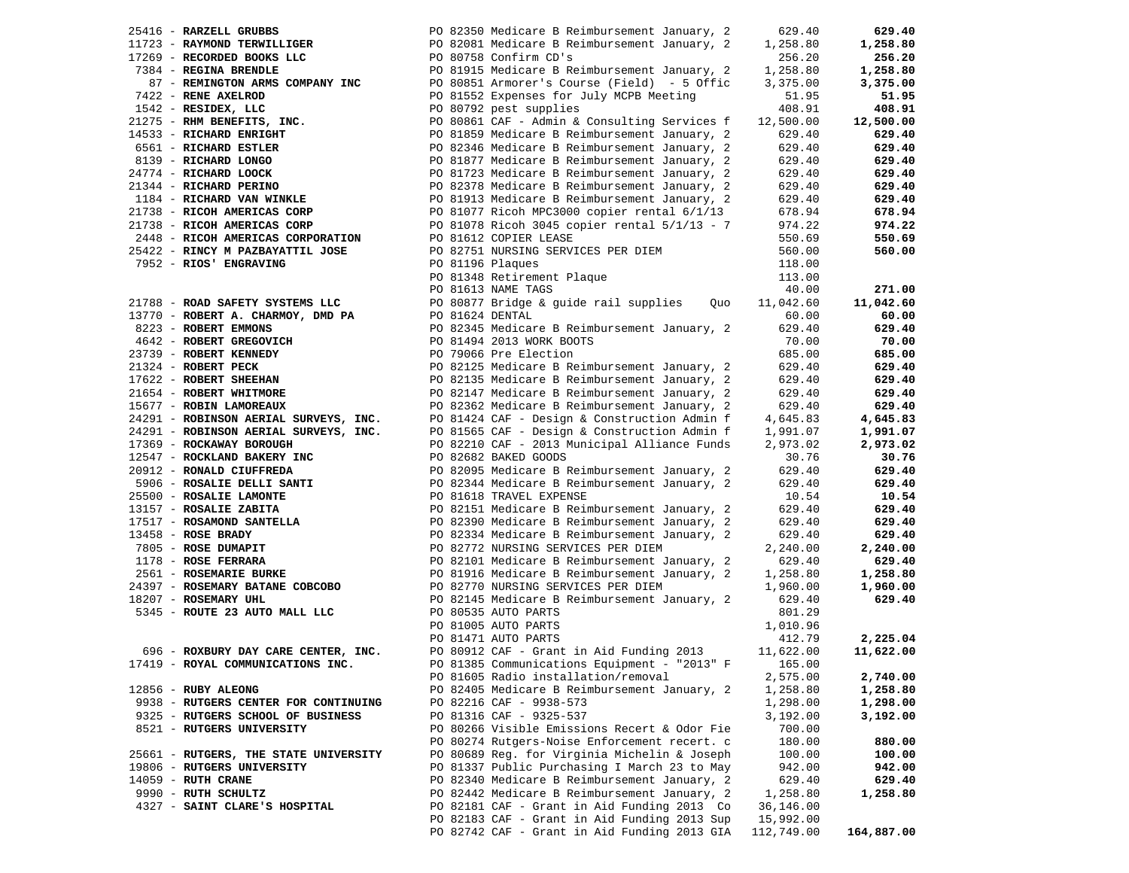| 25416 - RARZELL GRUBBS                                           |                                                            |                                                                                                                                                                                                                                                 | 629.40     | 629.40     |
|------------------------------------------------------------------|------------------------------------------------------------|-------------------------------------------------------------------------------------------------------------------------------------------------------------------------------------------------------------------------------------------------|------------|------------|
| 11723 - RAYMOND TERWILLIGER                                      |                                                            |                                                                                                                                                                                                                                                 | 1,258.80   | 1,258.80   |
| 17269 - RECORDED BOOKS LLC                                       |                                                            | FO 82350 Medicare B Reimbursement January, 2<br>Fo 82081 Medicare B Reimbursement January, 2<br>ELC PO 80758 Confirm CD's                                                                                                                       | 256.20     | 256.20     |
| 7384 - REGINA BRENDLE                                            |                                                            | PO 81915 Medicare B Reimbursement January, 2                                                                                                                                                                                                    | 1,258.80   | 1,258.80   |
| 87 - REMINGTON ARMS COMPANY INC                                  |                                                            | PO 80851 Armorer's Course (Field) - 5 Offic                                                                                                                                                                                                     | 3,375.00   | 3,375.00   |
|                                                                  |                                                            | 87 - RENE ANEEROD<br>1542 - RENE ANEEROD<br>1542 - RESIDEX, LLC<br>21275 - RIM BENEFITS, INC.<br>21275 - RIM BENEFITS, INC.<br>21275 - RIM BENEFITS, INC.<br>2275 - RICHARD ENRIGHT<br>2651 - RICHARD ESTLER<br>2474 - RICHARD LONGO<br>24774 - | 51.95      | 51.95      |
|                                                                  |                                                            |                                                                                                                                                                                                                                                 | 408.91     | 408.91     |
|                                                                  |                                                            |                                                                                                                                                                                                                                                 | 12,500.00  | 12,500.00  |
|                                                                  |                                                            |                                                                                                                                                                                                                                                 | 629.40     | 629.40     |
|                                                                  |                                                            |                                                                                                                                                                                                                                                 | 629.40     | 629.40     |
|                                                                  |                                                            |                                                                                                                                                                                                                                                 | 629.40     | 629.40     |
|                                                                  |                                                            |                                                                                                                                                                                                                                                 | 629.40     | 629.40     |
|                                                                  |                                                            |                                                                                                                                                                                                                                                 | 629.40     | 629.40     |
|                                                                  |                                                            |                                                                                                                                                                                                                                                 | 629.40     | 629.40     |
|                                                                  |                                                            |                                                                                                                                                                                                                                                 | 678.94     | 678.94     |
|                                                                  |                                                            |                                                                                                                                                                                                                                                 | 974.22     | 974.22     |
| 21738 - RICOH AMERICAS CORP<br>2448 - RICOH AMERICAS CORPORATION |                                                            | PO 81612 COPIER LEASE                                                                                                                                                                                                                           | 550.69     | 550.69     |
|                                                                  |                                                            |                                                                                                                                                                                                                                                 |            |            |
|                                                                  |                                                            |                                                                                                                                                                                                                                                 | 560.00     | 560.00     |
|                                                                  |                                                            |                                                                                                                                                                                                                                                 | 118.00     |            |
|                                                                  |                                                            | PO 81348 Retirement Plaque                                                                                                                                                                                                                      | 113.00     |            |
|                                                                  | PO 81348 ACOLLET<br>PO 81613 NAME TAGS<br>COSSERVIBRIDGE & |                                                                                                                                                                                                                                                 | 40.00      | 271.00     |
|                                                                  |                                                            |                                                                                                                                                                                                                                                 | 11,042.60  | 11,042.60  |
|                                                                  |                                                            |                                                                                                                                                                                                                                                 | 60.00      | 60.00      |
|                                                                  |                                                            |                                                                                                                                                                                                                                                 | 629.40     | 629.40     |
|                                                                  |                                                            |                                                                                                                                                                                                                                                 | 70.00      | 70.00      |
|                                                                  |                                                            |                                                                                                                                                                                                                                                 | 685.00     | 685.00     |
|                                                                  |                                                            |                                                                                                                                                                                                                                                 | 629.40     | 629.40     |
|                                                                  |                                                            |                                                                                                                                                                                                                                                 | 629.40     | 629.40     |
|                                                                  |                                                            | 21788 - ROAD SAFETY SYSTEMS LLC<br>13770 - ROBERT A. CHARMOY, DMD PA<br>2223 - ROBERT EMMONS<br>23739 - ROBERT GREGOVICH<br>23739 - ROBERT GREGOVICH<br>23739 - ROBERT GREGOVICH<br>23739 - ROBERT KENNEDY<br>21324 - ROBERT PECK<br>21564 - R  | 629.40     | 629.40     |
|                                                                  |                                                            |                                                                                                                                                                                                                                                 | 629.40     | 629.40     |
| $24291 -$ ROBINSON AERIAL SURVEYS, INC.                          |                                                            | PO 81424 CAF - Design & Construction Admin f                                                                                                                                                                                                    | 4,645.83   | 4,645.83   |
| 24291 - ROBINSON AERIAL SURVEYS, INC.                            |                                                            | PO 81565 CAF - Design & Construction Admin f                                                                                                                                                                                                    | 1,991.07   | 1,991.07   |
| 17369 - ROCKAWAY BOROUGH                                         |                                                            | PO 82210 CAF - 2013 Municipal Alliance Funds                                                                                                                                                                                                    | 2,973.02   | 2,973.02   |
| 17567 - ROCKLAND BAKERY INC                                      |                                                            | PO 82682 BAKED GOODS                                                                                                                                                                                                                            | 30.76      | 30.76      |
| 20912 - RONALD CIUFFREDA                                         |                                                            | PO 82095 Medicare B Reimbursement January, 2                                                                                                                                                                                                    | 629.40     | 629.40     |
|                                                                  |                                                            |                                                                                                                                                                                                                                                 | 629.40     | 629.40     |
|                                                                  |                                                            | 20912 - RONALD CIUFFREDA<br>25906 - ROSALIE DELLI SANTI<br>25906 - ROSALIE DELLI SANTI<br>25906 - ROSALIE LAMONTE<br>25900 - ROSALIE ZABITA<br>25157 - ROSALIE ZABITA<br>27517 - ROSALIE ZABITA<br>27517 - ROSALIE ZABITA<br>27517 - ROSALIE Z  | 10.54      | 10.54      |
|                                                                  |                                                            |                                                                                                                                                                                                                                                 | 629.40     | 629.40     |
|                                                                  |                                                            |                                                                                                                                                                                                                                                 | 629.40     | 629.40     |
|                                                                  |                                                            |                                                                                                                                                                                                                                                 | 629.40     | 629.40     |
|                                                                  |                                                            |                                                                                                                                                                                                                                                 | 2,240.00   | 2,240.00   |
|                                                                  |                                                            |                                                                                                                                                                                                                                                 | 629.40     | 629.40     |
|                                                                  |                                                            |                                                                                                                                                                                                                                                 | 1,258.80   | 1,258.80   |
|                                                                  |                                                            |                                                                                                                                                                                                                                                 | 1,960.00   | 1,960.00   |
| 18207 - ROSEMARY UHL                                             |                                                            | PO 82145 Medicare B Reimbursement January, 2                                                                                                                                                                                                    | 629.40     | 629.40     |
| 5345 - ROUTE 23 AUTO MALL LLC PO 80535 AUTO PARTS                |                                                            |                                                                                                                                                                                                                                                 | 801.29     |            |
|                                                                  |                                                            | PO 81005 AUTO PARTS                                                                                                                                                                                                                             | 1,010.96   |            |
|                                                                  |                                                            | PO 81471 AUTO PARTS                                                                                                                                                                                                                             | 412.79     | 2,225.04   |
| 696 - ROXBURY DAY CARE CENTER, INC.                              |                                                            | PO 80912 CAF - Grant in Aid Funding 2013                                                                                                                                                                                                        | 11,622.00  | 11,622.00  |
|                                                                  |                                                            |                                                                                                                                                                                                                                                 |            |            |
| 17419 - ROYAL COMMUNICATIONS INC.                                |                                                            | PO 81385 Communications Equipment - "2013" F                                                                                                                                                                                                    | 165.00     | 2,740.00   |
|                                                                  |                                                            | PO 81605 Radio installation/removal                                                                                                                                                                                                             | 2,575.00   |            |
| 12856 - RUBY ALEONG                                              |                                                            | PO 82405 Medicare B Reimbursement January, 2                                                                                                                                                                                                    | 1,258.80   | 1,258.80   |
| 9938 - RUTGERS CENTER FOR CONTINUING                             |                                                            | PO 82216 CAF - 9938-573                                                                                                                                                                                                                         | 1,298.00   | 1,298.00   |
| 9325 - RUTGERS SCHOOL OF BUSINESS                                |                                                            | PO 81316 CAF - 9325-537                                                                                                                                                                                                                         | 3,192.00   | 3,192.00   |
| 8521 - RUTGERS UNIVERSITY                                        |                                                            | PO 80266 Visible Emissions Recert & Odor Fie                                                                                                                                                                                                    | 700.00     |            |
|                                                                  |                                                            | PO 80274 Rutgers-Noise Enforcement recert. c                                                                                                                                                                                                    | 180.00     | 880.00     |
| 25661 - RUTGERS, THE STATE UNIVERSITY                            |                                                            | PO 80689 Reg. for Virginia Michelin & Joseph                                                                                                                                                                                                    | 100.00     | 100.00     |
| 19806 - RUTGERS UNIVERSITY                                       |                                                            | PO 81337 Public Purchasing I March 23 to May                                                                                                                                                                                                    | 942.00     | 942.00     |
| $14059$ - RUTH CRANE                                             |                                                            | PO 82340 Medicare B Reimbursement January, 2                                                                                                                                                                                                    | 629.40     | 629.40     |
| 9990 - RUTH SCHULTZ                                              |                                                            | PO 82442 Medicare B Reimbursement January, 2                                                                                                                                                                                                    | 1,258.80   | 1,258.80   |
| 4327 - SAINT CLARE'S HOSPITAL                                    |                                                            | PO 82181 CAF - Grant in Aid Funding 2013 Co                                                                                                                                                                                                     | 36,146.00  |            |
|                                                                  |                                                            | PO 82183 CAF - Grant in Aid Funding 2013 Sup                                                                                                                                                                                                    | 15,992.00  |            |
|                                                                  |                                                            | PO 82742 CAF - Grant in Aid Funding 2013 GIA                                                                                                                                                                                                    | 112,749.00 | 164,887.00 |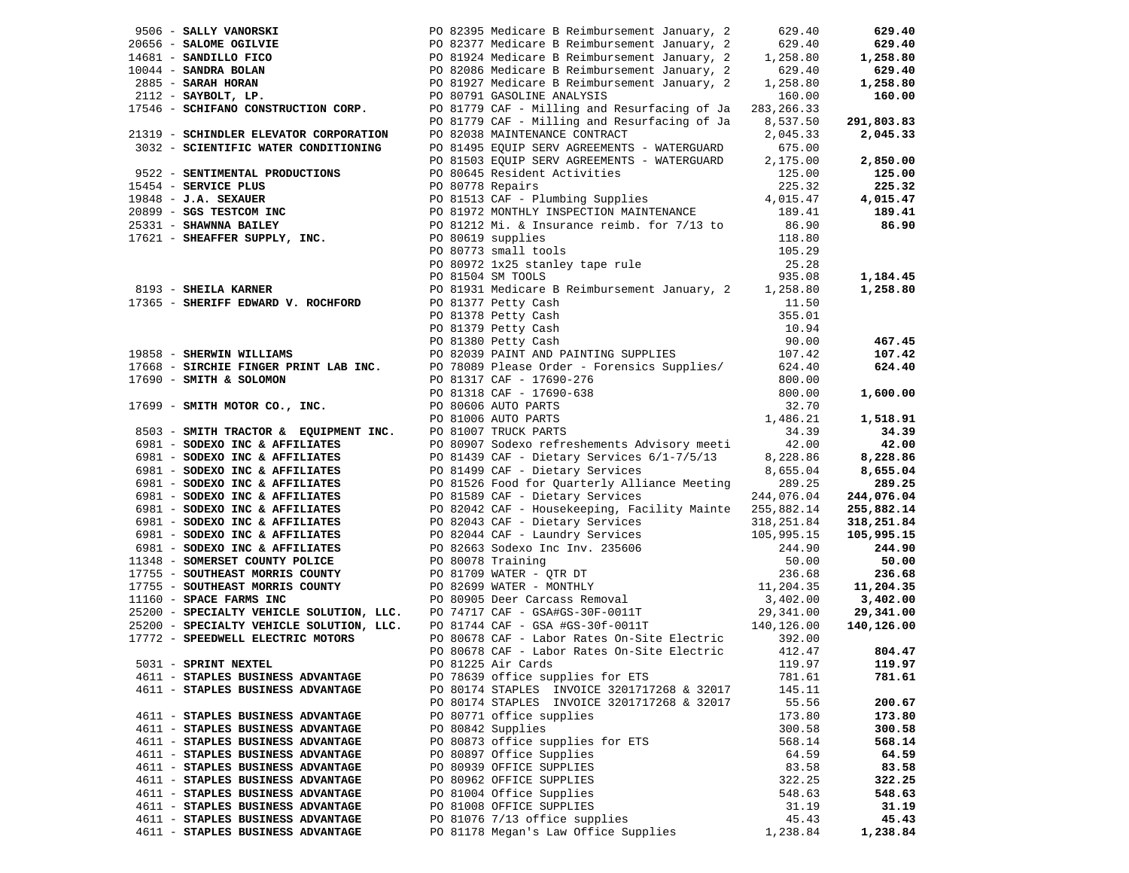|                                                   |                                                                                                                                                                                                                                                                                                                                |            | 629.40                        |
|---------------------------------------------------|--------------------------------------------------------------------------------------------------------------------------------------------------------------------------------------------------------------------------------------------------------------------------------------------------------------------------------|------------|-------------------------------|
|                                                   |                                                                                                                                                                                                                                                                                                                                |            | 629.40                        |
|                                                   |                                                                                                                                                                                                                                                                                                                                |            | 1,258.80                      |
|                                                   |                                                                                                                                                                                                                                                                                                                                |            | 629.40                        |
|                                                   |                                                                                                                                                                                                                                                                                                                                |            | 1,258.80                      |
|                                                   |                                                                                                                                                                                                                                                                                                                                |            | 160.00                        |
|                                                   | 9506 - <b>SALLY VANORSKI</b><br>20656 - <b>SALOME OGILVIE</b><br>20656 - <b>SALOME OGILVIE</b><br>20656 - <b>SALOME OGILVIE</b><br>20656 - <b>SALOME OGILVIE</b><br>2082377 Medicare B Reimbursement January, 2<br>2081924 Medicare B Reimbursement January, 2<br>208                                                          |            |                               |
|                                                   | PO 81779 CAF - Milling and Resurfacing of Ja 8,537.50                                                                                                                                                                                                                                                                          |            | 291,803.83                    |
| 21319 - SCHINDLER ELEVATOR CORPORATION            | PO 82038 MAINTENANCE CONTRACT                                                                                                                                                                                                                                                                                                  | 2,045.33   | 2,045.33                      |
| 3032 - SCIENTIFIC WATER CONDITIONING              |                                                                                                                                                                                                                                                                                                                                |            |                               |
|                                                   | PO 81495 EQUIP SERV AGREEMENTS - WATERGUARD 675.00<br>PO 81503 EQUIP SERV AGREEMENTS - WATERGUARD 2,175.00                                                                                                                                                                                                                     |            | 2,850.00                      |
|                                                   |                                                                                                                                                                                                                                                                                                                                |            | 125.00                        |
|                                                   |                                                                                                                                                                                                                                                                                                                                |            | 225.32                        |
|                                                   |                                                                                                                                                                                                                                                                                                                                |            | 4,015.47                      |
|                                                   |                                                                                                                                                                                                                                                                                                                                |            | 189.41                        |
|                                                   |                                                                                                                                                                                                                                                                                                                                |            | 86.90                         |
|                                                   | 9522 - SENTIMENTAL PRODUCTIONS<br>15454 - SERVICE PLUS<br>19848 - J.A. SEXAUER<br>20899 - SGS TESTCOM INC<br>20899 - SGS TESTCOM INC<br>20899 - SGS TESTCOM INC<br>20899 - SGS TESTCOM INC<br>20899 - SGS TESTCOM INC<br>20899 - SGS TESTCOM I<br>PO 80619 supplies<br>PO 80773 small tools<br>PO 80972 1x25 stanley tape rule |            |                               |
|                                                   |                                                                                                                                                                                                                                                                                                                                | 105.29     |                               |
|                                                   |                                                                                                                                                                                                                                                                                                                                | 25.28      |                               |
|                                                   |                                                                                                                                                                                                                                                                                                                                |            | 1,184.45                      |
| 8193 - <b>SHEILA KARNER</b><br>17365 - Gurritt II | PO 81504 SM TOOLS<br>PO 81931 Medicare B Reimbursement January, 2 1,258.80<br>PO 81277 Detter Cash                                                                                                                                                                                                                             |            | 1,258.80                      |
|                                                   |                                                                                                                                                                                                                                                                                                                                |            |                               |
|                                                   |                                                                                                                                                                                                                                                                                                                                |            |                               |
|                                                   |                                                                                                                                                                                                                                                                                                                                |            |                               |
|                                                   |                                                                                                                                                                                                                                                                                                                                |            | 467.45                        |
|                                                   |                                                                                                                                                                                                                                                                                                                                |            | 107.42                        |
|                                                   |                                                                                                                                                                                                                                                                                                                                |            | 624.40                        |
|                                                   |                                                                                                                                                                                                                                                                                                                                |            |                               |
|                                                   |                                                                                                                                                                                                                                                                                                                                |            | 1,600.00                      |
|                                                   | 9 3137 Neticlark RANER (17365 - SHERIFF EDWARD V. ROCHFORD (17365 - SHERIFF EDWARD V. ROCHFORD (1898) PAINT Petty Cash (1898) Petty Cash (1898) Petty Cash (1898) Petty Cash (1898) Petty Cash (1898) Petty Cash (1898) Petty                                                                                                  |            |                               |
|                                                   |                                                                                                                                                                                                                                                                                                                                |            | 1,518.91                      |
|                                                   |                                                                                                                                                                                                                                                                                                                                |            | 34.39                         |
|                                                   |                                                                                                                                                                                                                                                                                                                                |            | 42.00                         |
|                                                   |                                                                                                                                                                                                                                                                                                                                |            | 8,228.86                      |
|                                                   |                                                                                                                                                                                                                                                                                                                                |            | 8,655.04                      |
|                                                   | 6981 - SODEXO INC & AFFILIATES PO 81526 Food for Quarterly Alliance Meeting                                                                                                                                                                                                                                                    | 289.25     | 289.25                        |
| 6981 - SODEXO INC & AFFILIATES                    | PO 81589 CAF - Dietary Services<br>PO 82042 CAF - Housekeeping, Fac                                                                                                                                                                                                                                                            | 244,076.04 | 244,076.04                    |
| 6981 - SODEXO INC & AFFILIATES                    | PO 82042 CAF - Housekeeping, Facility Mainte 255,882.14                                                                                                                                                                                                                                                                        |            | 255,882.14                    |
|                                                   |                                                                                                                                                                                                                                                                                                                                |            | 318,251.84                    |
|                                                   |                                                                                                                                                                                                                                                                                                                                |            | 105,995.15                    |
|                                                   |                                                                                                                                                                                                                                                                                                                                |            | 244.90                        |
|                                                   |                                                                                                                                                                                                                                                                                                                                |            | 50.00                         |
|                                                   |                                                                                                                                                                                                                                                                                                                                |            | 236.68<br>236.00<br>11,204.35 |
|                                                   |                                                                                                                                                                                                                                                                                                                                |            |                               |
|                                                   |                                                                                                                                                                                                                                                                                                                                |            | 3,402.00                      |
|                                                   | 6981 - SODEXO INC & AFFILIATES<br>6981 - SODEXO INC & AFFILIATES<br>6981 - SODEXO INC & AFFILIATES<br>6981 - SODEXO INC & AFFILIATES<br>6981 - SODEXO INC & AFFILIATES<br>6981 - SODEXO INC & AFFILIATES<br>6981 - SODEXO INC & AFFILIATE                                                                                      |            | 29,341.00<br>140,126.00       |
| 17772 - SPEEDWELL ELECTRIC MOTORS                 | PO 80678 CAF - Labor Rates On-Site Electric 392.00                                                                                                                                                                                                                                                                             |            |                               |
|                                                   | PO 80678 CAF - Labor Rates On-Site Electric                                                                                                                                                                                                                                                                                    | 412.47     | 804.47                        |
| 5031 - SPRINT NEXTEL                              | PO 81225 Air Cards 119.97 119.97                                                                                                                                                                                                                                                                                               |            |                               |
| 4611 - STAPLES BUSINESS ADVANTAGE                 | PO 78639 office supplies for ETS                                                                                                                                                                                                                                                                                               | 781.61     | 781.61                        |
| 4611 - STAPLES BUSINESS ADVANTAGE                 | PO 80174 STAPLES INVOICE 3201717268 & 32017                                                                                                                                                                                                                                                                                    | 145.11     |                               |
|                                                   | PO 80174 STAPLES INVOICE 3201717268 & 32017                                                                                                                                                                                                                                                                                    | 55.56      | 200.67                        |
| 4611 - STAPLES BUSINESS ADVANTAGE                 | PO 80771 office supplies                                                                                                                                                                                                                                                                                                       | 173.80     | 173.80                        |
| 4611 - STAPLES BUSINESS ADVANTAGE                 | PO 80842 Supplies                                                                                                                                                                                                                                                                                                              | 300.58     | 300.58                        |
| 4611 - STAPLES BUSINESS ADVANTAGE                 | PO 80873 office supplies for ETS                                                                                                                                                                                                                                                                                               | 568.14     | 568.14                        |
| 4611 - STAPLES BUSINESS ADVANTAGE                 | PO 80897 Office Supplies                                                                                                                                                                                                                                                                                                       | 64.59      | 64.59                         |
| 4611 - STAPLES BUSINESS ADVANTAGE                 | PO 80939 OFFICE SUPPLIES                                                                                                                                                                                                                                                                                                       | 83.58      | 83.58                         |
| 4611 - STAPLES BUSINESS ADVANTAGE                 | PO 80962 OFFICE SUPPLIES                                                                                                                                                                                                                                                                                                       | 322.25     | 322.25                        |
| 4611 - STAPLES BUSINESS ADVANTAGE                 | PO 81004 Office Supplies                                                                                                                                                                                                                                                                                                       | 548.63     | 548.63                        |
| 4611 - STAPLES BUSINESS ADVANTAGE                 | PO 81008 OFFICE SUPPLIES                                                                                                                                                                                                                                                                                                       | 31.19      | 31.19                         |
| 4611 - STAPLES BUSINESS ADVANTAGE                 | PO 81076 7/13 office supplies                                                                                                                                                                                                                                                                                                  | 45.43      | 45.43                         |
| 4611 - STAPLES BUSINESS ADVANTAGE                 | PO 81178 Megan's Law Office Supplies                                                                                                                                                                                                                                                                                           | 1,238.84   | 1,238.84                      |
|                                                   |                                                                                                                                                                                                                                                                                                                                |            |                               |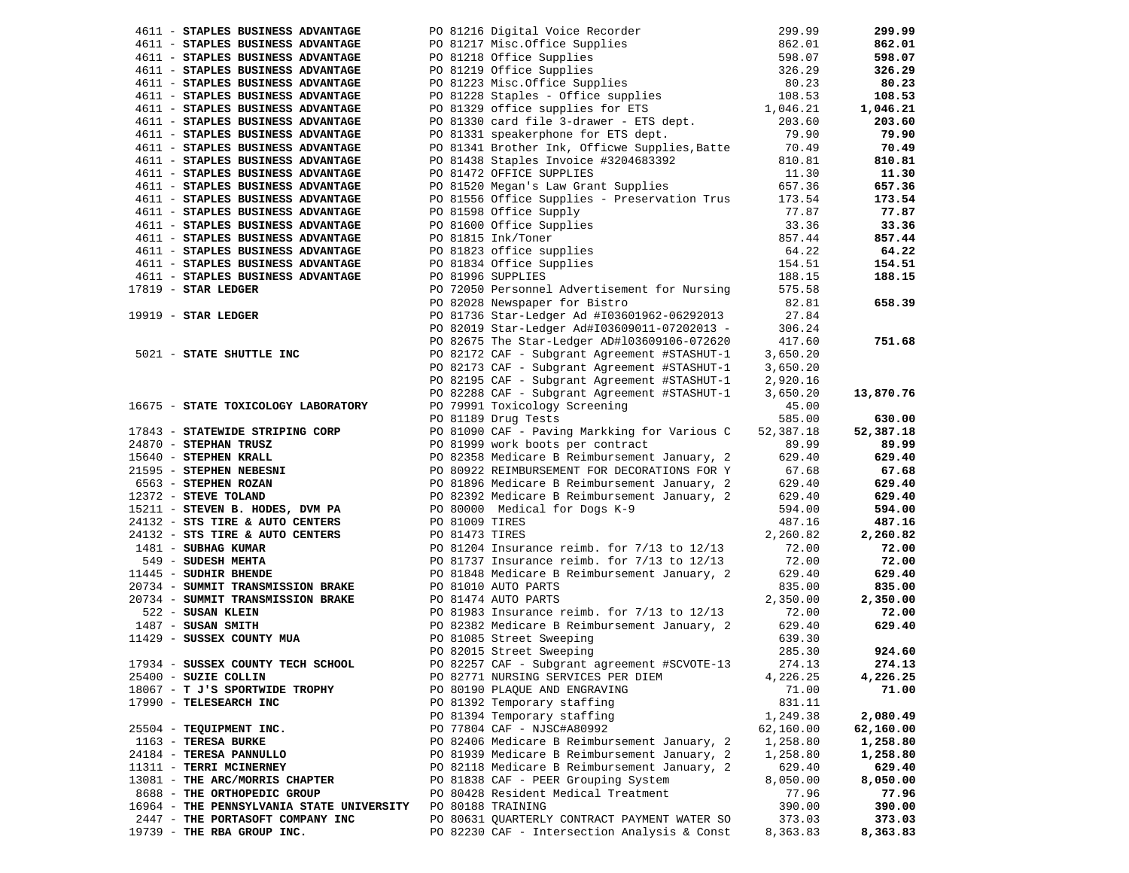| 4611 - STAPLES BUSINESS ADVANTAGE                                                                                                                                                                                                                                               |                                                                                                                                                                                                                                          |           | 299.99    |
|---------------------------------------------------------------------------------------------------------------------------------------------------------------------------------------------------------------------------------------------------------------------------------|------------------------------------------------------------------------------------------------------------------------------------------------------------------------------------------------------------------------------------------|-----------|-----------|
| 4611 - STAPLES BUSINESS ADVANTAGE                                                                                                                                                                                                                                               |                                                                                                                                                                                                                                          |           | 862.01    |
| 4611 - STAPLES BUSINESS ADVANTAGE                                                                                                                                                                                                                                               |                                                                                                                                                                                                                                          |           | 598.07    |
| 4611 - STAPLES BUSINESS ADVANTAGE                                                                                                                                                                                                                                               |                                                                                                                                                                                                                                          |           | 326.29    |
|                                                                                                                                                                                                                                                                                 |                                                                                                                                                                                                                                          |           |           |
| 4611 - STAPLES BUSINESS ADVANTAGE                                                                                                                                                                                                                                               | PO 81216 Digital Voice Recorder 299.99<br>PO 81217 Misc.Office Supplies 862.01<br>PO 81218 Office Supplies 598.07<br>PO 81219 Office Supplies 598.07<br>PO 81223 Misc.Office Supplies 80.23<br>PO 81228 Staples - Office supplies 108.53 |           | 80.23     |
| 4611 - STAPLES BUSINESS ADVANTAGE                                                                                                                                                                                                                                               |                                                                                                                                                                                                                                          |           | 108.53    |
| 4611 - STAPLES BUSINESS ADVANTAGE                                                                                                                                                                                                                                               |                                                                                                                                                                                                                                          |           | 1,046.21  |
| 4611 - STAPLES BUSINESS ADVANTAGE                                                                                                                                                                                                                                               |                                                                                                                                                                                                                                          |           | 203.60    |
| 4611 - STAPLES BUSINESS ADVANTAGE                                                                                                                                                                                                                                               |                                                                                                                                                                                                                                          |           | 79.90     |
| 4611 - STAPLES BUSINESS ADVANTAGE                                                                                                                                                                                                                                               |                                                                                                                                                                                                                                          |           | 70.49     |
| 4611 - STAPLES BUSINESS ADVANTAGE                                                                                                                                                                                                                                               | PO 81341 Brother Ink, Officwe Supplies, Batte 70.49<br>PO 81438 Staples Invoice #3204683392 810.81                                                                                                                                       |           | 810.81    |
|                                                                                                                                                                                                                                                                                 | PO 81438 Staples Invoice #3204683392<br>PO 81472 OFFICE SUPPLIES<br>PO 81520 Megan's Law Grant Supplies                                                                                                                                  |           |           |
| 4611 - STAPLES BUSINESS ADVANTAGE                                                                                                                                                                                                                                               |                                                                                                                                                                                                                                          | 11.30     | 11.30     |
| 4611 - STAPLES BUSINESS ADVANTAGE                                                                                                                                                                                                                                               |                                                                                                                                                                                                                                          | 657.36    | 657.36    |
| 4611 - STAPLES BUSINESS ADVANTAGE                                                                                                                                                                                                                                               | PO 81556 Office Supplies - Preservation Trus 173.54                                                                                                                                                                                      |           | 173.54    |
| 4611 - STAPLES BUSINESS ADVANTAGE                                                                                                                                                                                                                                               | PO 81598 Office Supply                                                                                                                                                                                                                   | 77.87     | 77.87     |
| 4611 - STAPLES BUSINESS ADVANTAGE                                                                                                                                                                                                                                               |                                                                                                                                                                                                                                          | 33.36     | 33.36     |
| 4611 - STAPLES BUSINESS ADVANTAGE                                                                                                                                                                                                                                               |                                                                                                                                                                                                                                          | 857.44    | 857.44    |
| 4611 - STAPLES BUSINESS ADVANTAGE                                                                                                                                                                                                                                               |                                                                                                                                                                                                                                          | 64.22     | 64.22     |
|                                                                                                                                                                                                                                                                                 | PO 81598 Office Supply<br>PO 81600 Office Supplies<br>PO 81815 Ink/Toner<br>PO 81823 office supplies<br>PO 81834 Office Supplies<br>PO 81996 SUPPLIES                                                                                    |           |           |
| 4611 - STAPLES BUSINESS ADVANTAGE                                                                                                                                                                                                                                               |                                                                                                                                                                                                                                          | 154.51    | 154.51    |
| 4611 - STAPLES BUSINESS ADVANTAGE                                                                                                                                                                                                                                               | PO 81996 SUPPLIES                                                                                                                                                                                                                        | 188.15    | 188.15    |
| $17819$ - STAR LEDGER                                                                                                                                                                                                                                                           | PO 72050 Personnel Advertisement for Nursing                                                                                                                                                                                             | 575.58    |           |
|                                                                                                                                                                                                                                                                                 | PO 82028 Newspaper for Bistro                                                                                                                                                                                                            | 82.81     | 658.39    |
| 19919 - STAR LEDGER                                                                                                                                                                                                                                                             | PO 81736 Star-Ledger Ad #I03601962-06292013                                                                                                                                                                                              | 27.84     |           |
|                                                                                                                                                                                                                                                                                 | PO 82019 Star-Ledger Ad#I03609011-07202013 -                                                                                                                                                                                             | 306.24    |           |
|                                                                                                                                                                                                                                                                                 | PO 82675 The Star-Ledger AD#103609106-072620                                                                                                                                                                                             | 417.60    | 751.68    |
| 5021 - STATE SHUTTLE INC                                                                                                                                                                                                                                                        |                                                                                                                                                                                                                                          |           |           |
|                                                                                                                                                                                                                                                                                 | PO 82172 CAF - Subgrant Agreement #STASHUT-1                                                                                                                                                                                             | 3,650.20  |           |
|                                                                                                                                                                                                                                                                                 | PO 82173 CAF - Subgrant Agreement #STASHUT-1                                                                                                                                                                                             | 3,650.20  |           |
|                                                                                                                                                                                                                                                                                 | PO 82195 CAF - Subgrant Agreement #STASHUT-1                                                                                                                                                                                             | 2,920.16  |           |
|                                                                                                                                                                                                                                                                                 | PO 82288 CAF - Subgrant Agreement #STASHUT-1                                                                                                                                                                                             | 3,650.20  | 13,870.76 |
| 16675 - STATE TOXICOLOGY LABORATORY                                                                                                                                                                                                                                             | PO 79991 Toxicology Screening                                                                                                                                                                                                            | 45.00     |           |
|                                                                                                                                                                                                                                                                                 | PO 81189 Drug Tests                                                                                                                                                                                                                      | 585.00    | 630.00    |
| 17843 - STATEWIDE STRIPING CORP                                                                                                                                                                                                                                                 | PO 81090 CAF - Paving Markking for Various C                                                                                                                                                                                             | 52,387.18 | 52,387.18 |
| FO 81999 Work - Paving Markking for Various C<br>24670 - <b>STEPHEN KRALL</b><br>215640 - <b>STEPHEN KRALL</b><br>21595 - <b>STEPHEN REBESNI</b><br>21595 - <b>STEPHEN REBESNI</b><br>2372 - <b>STEPHEN ROZAN</b><br>2372 - <b>STEPHEN ROZAN</b><br>2372 - <b>STEPHEN ROZAN</b> |                                                                                                                                                                                                                                          | 89.99     | 89.99     |
|                                                                                                                                                                                                                                                                                 |                                                                                                                                                                                                                                          |           |           |
|                                                                                                                                                                                                                                                                                 | PO 82358 Medicare B Reimbursement January, 2                                                                                                                                                                                             | 629.40    | 629.40    |
|                                                                                                                                                                                                                                                                                 |                                                                                                                                                                                                                                          | 67.68     | 67.68     |
|                                                                                                                                                                                                                                                                                 |                                                                                                                                                                                                                                          | 629.40    | 629.40    |
|                                                                                                                                                                                                                                                                                 |                                                                                                                                                                                                                                          | 629.40    | 629.40    |
|                                                                                                                                                                                                                                                                                 |                                                                                                                                                                                                                                          | 594.00    | 594.00    |
|                                                                                                                                                                                                                                                                                 |                                                                                                                                                                                                                                          | 487.16    | 487.16    |
|                                                                                                                                                                                                                                                                                 |                                                                                                                                                                                                                                          | 2,260.82  | 2,260.82  |
|                                                                                                                                                                                                                                                                                 |                                                                                                                                                                                                                                          | 72.00     | 72.00     |
|                                                                                                                                                                                                                                                                                 |                                                                                                                                                                                                                                          | 72.00     | 72.00     |
|                                                                                                                                                                                                                                                                                 |                                                                                                                                                                                                                                          |           |           |
| 11445 - SUDHIR BHENDE                                                                                                                                                                                                                                                           | PO 81848 Medicare B Reimbursement January, 2                                                                                                                                                                                             | 629.40    | 629.40    |
| 20734 - SUMMIT TRANSMISSION BRAKE                                                                                                                                                                                                                                               | PO 81010 AUTO PARTS                                                                                                                                                                                                                      | 835.00    | 835.00    |
| 20734 - SUMMIT TRANSMISSION BRAKE PO 81474 AUTO PARTS<br>522 - SUSAN KLEIN PO 81983 Insurance reimb. for 7/13 to 12/13                                                                                                                                                          |                                                                                                                                                                                                                                          | 2,350.00  | 2,350.00  |
|                                                                                                                                                                                                                                                                                 |                                                                                                                                                                                                                                          | 72.00     | 72.00     |
|                                                                                                                                                                                                                                                                                 | PO 82382 Medicare B Reimbursement January, 2                                                                                                                                                                                             | 629.40    | 629.40    |
| 1487 - SUSAN SMITH<br>11429 - SUSSEX COUNTY MUA                                                                                                                                                                                                                                 | PO 81085 Street Sweeping                                                                                                                                                                                                                 | 639.30    |           |
|                                                                                                                                                                                                                                                                                 | PO 82015 Street Sweeping                                                                                                                                                                                                                 | 285.30    | 924.60    |
| 17934 - SUSSEX COUNTY TECH SCHOOL                                                                                                                                                                                                                                               | PO 82257 CAF - Subgrant agreement #SCVOTE-13                                                                                                                                                                                             | 274.13    | 274.13    |
|                                                                                                                                                                                                                                                                                 |                                                                                                                                                                                                                                          |           |           |
| 25400 - SUZIE COLLIN                                                                                                                                                                                                                                                            | PO 82771 NURSING SERVICES PER DIEM                                                                                                                                                                                                       | 4,226.25  | 4,226.25  |
| 18067 - T J'S SPORTWIDE TROPHY                                                                                                                                                                                                                                                  | PO 80190 PLAQUE AND ENGRAVING                                                                                                                                                                                                            | 71.00     | 71.00     |
| 17990 - TELESEARCH INC                                                                                                                                                                                                                                                          | PO 81392 Temporary staffing                                                                                                                                                                                                              | 831.11    |           |
|                                                                                                                                                                                                                                                                                 | PO 81394 Temporary staffing                                                                                                                                                                                                              | 1,249.38  | 2,080.49  |
| 25504 - TEQUIPMENT INC.                                                                                                                                                                                                                                                         | PO 77804 CAF - NJSC#A80992                                                                                                                                                                                                               | 62,160.00 | 62,160.00 |
| 1163 - TERESA BURKE                                                                                                                                                                                                                                                             | PO 82406 Medicare B Reimbursement January, 2                                                                                                                                                                                             | 1,258.80  | 1,258.80  |
| 24184 - TERESA PANNULLO                                                                                                                                                                                                                                                         | PO 81939 Medicare B Reimbursement January, 2                                                                                                                                                                                             | 1,258.80  | 1,258.80  |
| 11311 - TERRI MCINERNEY                                                                                                                                                                                                                                                         | PO 82118 Medicare B Reimbursement January, 2                                                                                                                                                                                             | 629.40    | 629.40    |
| 13081 - THE ARC/MORRIS CHAPTER                                                                                                                                                                                                                                                  | PO 81838 CAF - PEER Grouping System                                                                                                                                                                                                      | 8,050.00  | 8,050.00  |
|                                                                                                                                                                                                                                                                                 |                                                                                                                                                                                                                                          |           |           |
| 8688 - THE ORTHOPEDIC GROUP                                                                                                                                                                                                                                                     | PO 80428 Resident Medical Treatment                                                                                                                                                                                                      | 77.96     | 77.96     |
| 16964 - THE PENNSYLVANIA STATE UNIVERSITY PO 80188 TRAINING                                                                                                                                                                                                                     |                                                                                                                                                                                                                                          | 390.00    | 390.00    |
| 2447 - THE PORTASOFT COMPANY INC                                                                                                                                                                                                                                                | PO 80631 QUARTERLY CONTRACT PAYMENT WATER SO                                                                                                                                                                                             | 373.03    | 373.03    |
| 19739 - THE RBA GROUP INC.                                                                                                                                                                                                                                                      | PO 82230 CAF - Intersection Analysis & Const                                                                                                                                                                                             | 8,363.83  | 8,363.83  |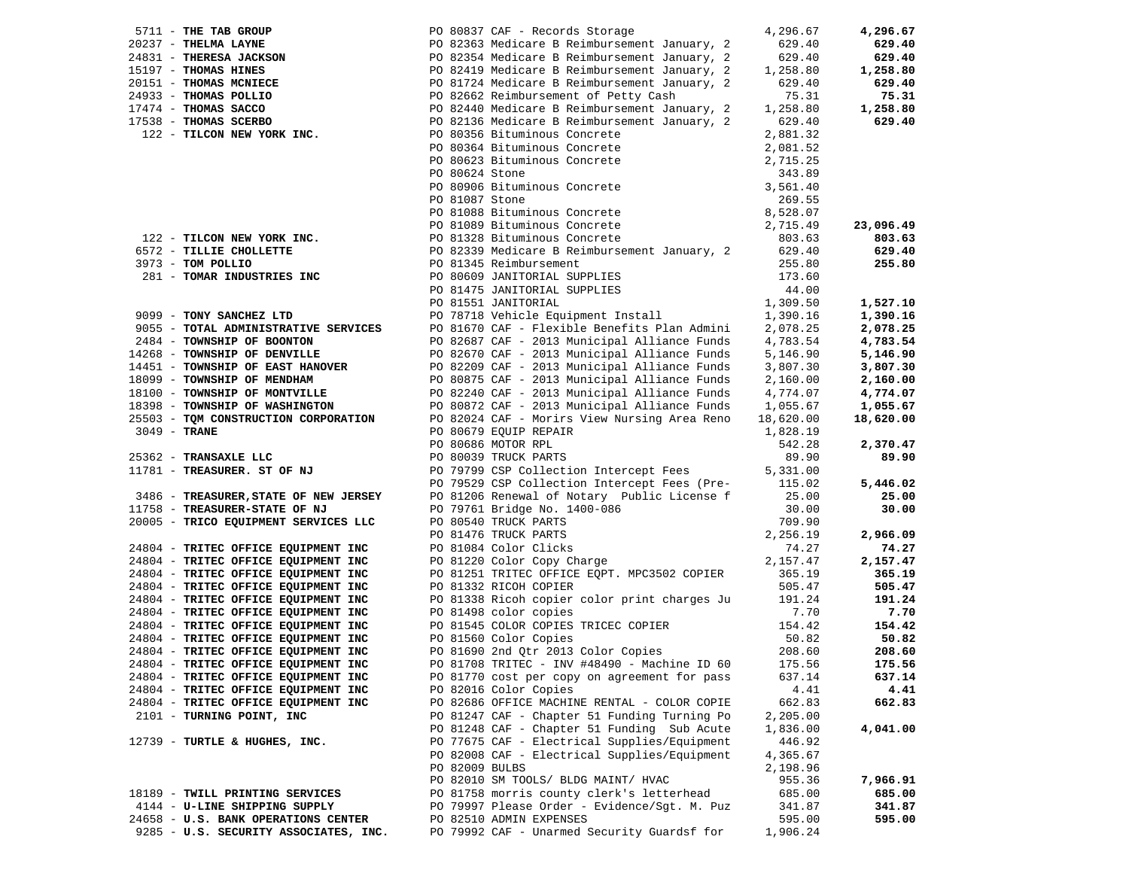|                |                                                                                                                                                                                                                                   |                | PO 80837 CAF - Records Storage                                                                                                                                                                   | 4,296.67  | 4,296.67  |
|----------------|-----------------------------------------------------------------------------------------------------------------------------------------------------------------------------------------------------------------------------------|----------------|--------------------------------------------------------------------------------------------------------------------------------------------------------------------------------------------------|-----------|-----------|
|                |                                                                                                                                                                                                                                   |                | PO 82363 Medicare B Reimbursement January, 2                                                                                                                                                     | 629.40    | 629.40    |
|                |                                                                                                                                                                                                                                   |                | PO 82354 Medicare B Reimbursement January, 2                                                                                                                                                     | 629.40    | 629.40    |
|                |                                                                                                                                                                                                                                   |                | PO 82419 Medicare B Reimbursement January, 2                                                                                                                                                     | 1,258.80  | 1,258.80  |
|                |                                                                                                                                                                                                                                   |                | PO 81724 Medicare B Reimbursement January, 2                                                                                                                                                     | 629.40    | 629.40    |
|                | 5711 - THE TAB GROUP<br>20237 - THELMA LAYNE<br>24831 - THERESA JACKSON<br>15197 - THOMAS HINES<br>20151 - THOMAS MCNIECE<br>24933 - THOMAS POLLIO<br>17474 - THOMAS SACCO<br>17538 - THOMAS SCERBO<br>122 - TILCON NEW YORK INC. |                | PO 82662 Reimbursement of Petty Cash                                                                                                                                                             | 75.31     | 75.31     |
|                |                                                                                                                                                                                                                                   |                | PO 82440 Medicare B Reimbursement January, 2                                                                                                                                                     | 1,258.80  | 1,258.80  |
|                |                                                                                                                                                                                                                                   |                | PO 82136 Medicare B Reimbursement January, 2                                                                                                                                                     | 629.40    | 629.40    |
|                |                                                                                                                                                                                                                                   |                | PO 80356 Bituminous Concrete                                                                                                                                                                     | 2,881.32  |           |
|                |                                                                                                                                                                                                                                   |                | PO 80364 Bituminous Concrete<br>PO 80364 Bituminous Concrete<br>PO 80624 Stone<br>PO 80906 Bituminous Concrete<br>PO 81087 Stone<br>PO 81088 Bituminous Concrete<br>PO 81088 Bituminous Concrete | 2,081.52  |           |
|                |                                                                                                                                                                                                                                   |                |                                                                                                                                                                                                  | 2,715.25  |           |
|                |                                                                                                                                                                                                                                   |                |                                                                                                                                                                                                  | 343.89    |           |
|                |                                                                                                                                                                                                                                   |                |                                                                                                                                                                                                  | 3,561.40  |           |
|                |                                                                                                                                                                                                                                   |                |                                                                                                                                                                                                  | 269.55    |           |
|                |                                                                                                                                                                                                                                   |                |                                                                                                                                                                                                  | 8,528.07  |           |
|                |                                                                                                                                                                                                                                   |                | PO 81089 Bituminous Concrete                                                                                                                                                                     | 2,715.49  | 23,096.49 |
|                | 122 - TILCON NEW YORK INC.                                                                                                                                                                                                        |                | PO 81328 Bituminous Concrete                                                                                                                                                                     | 803.63    | 803.63    |
|                | 6572 - TILLIE CHOLLETTE                                                                                                                                                                                                           |                | PO 82339 Medicare B Reimbursement January, 2 629.40                                                                                                                                              |           | 629.40    |
|                | 3973 - TOM POLLIO                                                                                                                                                                                                                 |                | PO 81345 Reimbursement                                                                                                                                                                           | 255.80    | 255.80    |
|                | 281 - TOMAR INDUSTRIES INC                                                                                                                                                                                                        |                |                                                                                                                                                                                                  | 173.60    |           |
|                |                                                                                                                                                                                                                                   |                | PO 80609 JANITORIAL SUPPLIES<br>PO 81475 JANITORIAL SUPPLIES<br>DO 81551 JANITORIAL                                                                                                              | 44.00     |           |
|                |                                                                                                                                                                                                                                   |                | PO 81551 JANITORIAL                                                                                                                                                                              | 1,309.50  | 1,527.10  |
|                | 9099 - TONY SANCHEZ LTD                                                                                                                                                                                                           |                | PO 78718 Vehicle Equipment Install                                                                                                                                                               | 1,390.16  | 1,390.16  |
|                | 9055 - TOTAL ADMINISTRATIVE SERVICES                                                                                                                                                                                              |                | PO 81670 CAF - Flexible Benefits Plan Admini                                                                                                                                                     | 2,078.25  | 2,078.25  |
|                | 2484 - TOWNSHIP OF BOONTON                                                                                                                                                                                                        |                | PO 82687 CAF - 2013 Municipal Alliance Funds                                                                                                                                                     | 4,783.54  | 4,783.54  |
|                | 14268 - TOWNSHIP OF DENVILLE                                                                                                                                                                                                      |                | PO 82670 CAF - 2013 Municipal Alliance Funds                                                                                                                                                     | 5,146.90  | 5,146.90  |
|                | 14451 - TOWNSHIP OF EAST HANOVER                                                                                                                                                                                                  |                | PO 82209 CAF - 2013 Municipal Alliance Funds                                                                                                                                                     | 3,807.30  | 3,807.30  |
|                | 18099 - TOWNSHIP OF MENDHAM                                                                                                                                                                                                       |                | PO 80875 CAF - 2013 Municipal Alliance Funds                                                                                                                                                     | 2,160.00  | 2,160.00  |
|                | 18100 - TOWNSHIP OF MONTVILLE                                                                                                                                                                                                     |                | PO 82240 CAF - 2013 Municipal Alliance Funds                                                                                                                                                     | 4,774.07  | 4,774.07  |
|                | 18398 - TOWNSHIP OF WASHINGTON                                                                                                                                                                                                    |                | PO 80872 CAF - 2013 Municipal Alliance Funds 1,055.67                                                                                                                                            |           | 1,055.67  |
|                | 25503 - TOM CONSTRUCTION CORPORATION                                                                                                                                                                                              |                | PO 82024 CAF - Morirs View Nursing Area Reno                                                                                                                                                     | 18,620.00 | 18,620.00 |
| $3049$ - TRANE |                                                                                                                                                                                                                                   |                | PO 80679 EQUIP REPAIR                                                                                                                                                                            | 1,828.19  |           |
|                |                                                                                                                                                                                                                                   |                | PO 80686 MOTOR RPL                                                                                                                                                                               | 542.28    | 2,370.47  |
|                | 25362 - TRANSAXLE LLC                                                                                                                                                                                                             |                | PO 80039 TRUCK PARTS                                                                                                                                                                             | 89.90     | 89.90     |
|                | 11781 - TREASURER. ST OF NJ                                                                                                                                                                                                       |                | PO 79799 CSP Collection Intercept Fees 5,331.00                                                                                                                                                  |           |           |
|                |                                                                                                                                                                                                                                   |                | PO 79529 CSP Collection Intercept Fees (Pre- 115.02                                                                                                                                              |           | 5,446.02  |
|                | 3486 - TREASURER, STATE OF NEW JERSEY                                                                                                                                                                                             |                | PO 81206 Renewal of Notary Public License f                                                                                                                                                      | 25.00     | 25.00     |
|                | 11758 - TREASURER-STATE OF NJ                                                                                                                                                                                                     |                | PO 79761 Bridge No. 1400-086                                                                                                                                                                     | 30.00     | 30.00     |
|                | 20005 - TRICO EQUIPMENT SERVICES LLC                                                                                                                                                                                              |                |                                                                                                                                                                                                  | 709.90    |           |
|                |                                                                                                                                                                                                                                   |                | PO 80540 TRUCK PARTS<br>PO 81476 TRUCK PARTS<br>PO 81084 Color Clicks<br>PO 81220 Color Copy Charge                                                                                              | 2,256.19  | 2,966.09  |
|                | 24804 - TRITEC OFFICE EQUIPMENT INC                                                                                                                                                                                               |                |                                                                                                                                                                                                  | 74.27     | 74.27     |
|                | 24804 - TRITEC OFFICE EQUIPMENT INC                                                                                                                                                                                               |                |                                                                                                                                                                                                  | 2,157.47  | 2,157.47  |
|                | 24804 - TRITEC OFFICE EQUIPMENT INC                                                                                                                                                                                               |                | PO 81251 TRITEC OFFICE EQPT. MPC3502 COPIER                                                                                                                                                      | 365.19    | 365.19    |
|                | 24804 - TRITEC OFFICE EQUIPMENT INC                                                                                                                                                                                               |                | PO 81332 RICOH COPIER                                                                                                                                                                            | 505.47    | 505.47    |
|                | 24804 - TRITEC OFFICE EQUIPMENT INC                                                                                                                                                                                               |                | PO 81338 Ricoh copier color print charges Ju 191.24                                                                                                                                              |           | 191.24    |
|                | 24804 - TRITEC OFFICE EQUIPMENT INC                                                                                                                                                                                               |                | PO 81498 color copies                                                                                                                                                                            | 7.70      | 7.70      |
|                | 24804 - TRITEC OFFICE EQUIPMENT INC                                                                                                                                                                                               |                | PO 81545 COLOR COPIES TRICEC COPIER                                                                                                                                                              | 154.42    | 154.42    |
|                | 24804 - TRITEC OFFICE EQUIPMENT INC                                                                                                                                                                                               |                |                                                                                                                                                                                                  | 50.82     | 50.82     |
|                | 24804 - TRITEC OFFICE EQUIPMENT INC                                                                                                                                                                                               |                |                                                                                                                                                                                                  | 208.60    | 208.60    |
|                | 24804 - TRITEC OFFICE EQUIPMENT INC                                                                                                                                                                                               |                | PO 81708 TRITEC - INV #48490 - Machine ID 60 175.56                                                                                                                                              |           | 175.56    |
|                | 24804 - TRITEC OFFICE EQUIPMENT INC                                                                                                                                                                                               |                | PO 81770 cost per copy on agreement for pass                                                                                                                                                     | 637.14    | 637.14    |
|                | 24804 - TRITEC OFFICE EQUIPMENT INC                                                                                                                                                                                               |                | PO 82016 Color Copies                                                                                                                                                                            | 4.41      | 4.41      |
|                | 24804 - TRITEC OFFICE EQUIPMENT INC                                                                                                                                                                                               |                | PO 82686 OFFICE MACHINE RENTAL - COLOR COPIE                                                                                                                                                     | 662.83    | 662.83    |
|                | 2101 - TURNING POINT, INC                                                                                                                                                                                                         |                | PO 81247 CAF - Chapter 51 Funding Turning Po                                                                                                                                                     | 2,205.00  |           |
|                |                                                                                                                                                                                                                                   |                | PO 81248 CAF - Chapter 51 Funding Sub Acute                                                                                                                                                      | 1,836.00  | 4,041.00  |
|                | 12739 - TURTLE & HUGHES, INC.                                                                                                                                                                                                     |                | PO 77675 CAF - Electrical Supplies/Equipment                                                                                                                                                     | 446.92    |           |
|                |                                                                                                                                                                                                                                   |                | PO 82008 CAF - Electrical Supplies/Equipment                                                                                                                                                     | 4,365.67  |           |
|                |                                                                                                                                                                                                                                   | PO 82009 BULBS |                                                                                                                                                                                                  | 2,198.96  |           |
|                |                                                                                                                                                                                                                                   |                | PO 82010 SM TOOLS/ BLDG MAINT/ HVAC                                                                                                                                                              | 955.36    | 7,966.91  |
|                | 18189 - TWILL PRINTING SERVICES                                                                                                                                                                                                   |                | PO 81758 morris county clerk's letterhead                                                                                                                                                        | 685.00    | 685.00    |
|                | 4144 - U-LINE SHIPPING SUPPLY                                                                                                                                                                                                     |                | PO 79997 Please Order - Evidence/Sgt. M. Puz                                                                                                                                                     | 341.87    | 341.87    |
|                | 24658 - U.S. BANK OPERATIONS CENTER                                                                                                                                                                                               |                | PO 82510 ADMIN EXPENSES                                                                                                                                                                          | 595.00    | 595.00    |
|                | 9285 - U.S. SECURITY ASSOCIATES, INC.                                                                                                                                                                                             |                | PO 79992 CAF - Unarmed Security Guardsf for                                                                                                                                                      | 1,906.24  |           |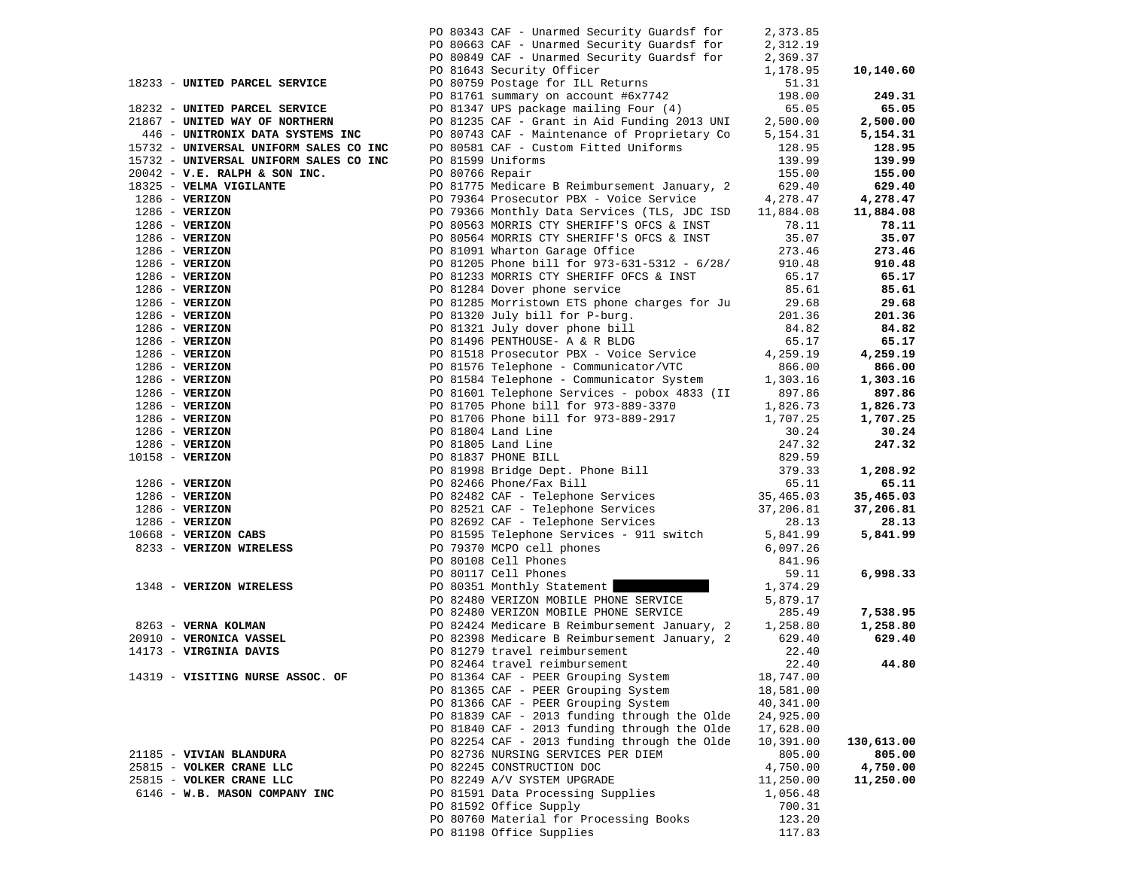|                                        |                 | PO 80343 CAF - Unarmed Security Guardsf for                                  | 2,373.85           |                        |
|----------------------------------------|-----------------|------------------------------------------------------------------------------|--------------------|------------------------|
|                                        |                 | PO 80663 CAF - Unarmed Security Guardsf for                                  | 2,312.19           |                        |
|                                        |                 | PO 80849 CAF - Unarmed Security Guardsf for                                  | 2,369.37           |                        |
|                                        |                 | PO 81643 Security Officer                                                    | 1,178.95           | 10,140.60              |
| 18233 - UNITED PARCEL SERVICE          |                 | PO 80759 Postage for ILL Returns                                             | 51.31              |                        |
|                                        |                 | PO 81761 summary on account #6x7742                                          | 198.00             | 249.31                 |
| 18232 - UNITED PARCEL SERVICE          |                 | PO 81347 UPS package mailing Four (4)                                        | 65.05              | 65.05                  |
| 21867 - UNITED WAY OF NORTHERN         |                 | PO 81235 CAF - Grant in Aid Funding 2013 UNI                                 | 2,500.00           | 2,500.00               |
| 446 - UNITRONIX DATA SYSTEMS INC       |                 | PO 80743 CAF - Maintenance of Proprietary Co                                 | 5,154.31           | 5,154.31               |
| 15732 - UNIVERSAL UNIFORM SALES CO INC |                 | PO 80581 CAF - Custom Fitted Uniforms                                        | 128.95             | 128.95                 |
| 15732 - UNIVERSAL UNIFORM SALES CO INC |                 | PO 81599 Uniforms                                                            | 139.99             | 139.99                 |
| $20042$ - V.E. RALPH & SON INC.        | PO 80766 Repair |                                                                              | 155.00             | 155.00                 |
| 18325 - VELMA VIGILANTE                |                 | PO 81775 Medicare B Reimbursement January, 2                                 | 629.40             | 629.40                 |
| $1286$ - VERIZON                       |                 | PO 79364 Prosecutor PBX - Voice Service                                      | 4,278.47           | 4,278.47               |
| $1286$ - VERIZON                       |                 | PO 79366 Monthly Data Services (TLS, JDC ISD                                 | 11,884.08          | 11,884.08              |
| $1286$ - VERIZON                       |                 | PO 80563 MORRIS CTY SHERIFF'S OFCS & INST                                    | 78.11              | 78.11                  |
| $1286$ - VERIZON                       |                 | PO 80564 MORRIS CTY SHERIFF'S OFCS & INST                                    | 35.07              | 35.07                  |
| $1286$ - VERIZON                       |                 | PO 81091 Wharton Garage Office                                               | 273.46             | 273.46                 |
| $1286$ - VERIZON                       |                 | PO 81205 Phone bill for 973-631-5312 - 6/28/                                 | 910.48             | 910.48                 |
| $1286$ - VERIZON                       |                 | PO 81233 MORRIS CTY SHERIFF OFCS & INST                                      | 65.17              | 65.17                  |
| $1286$ - VERIZON                       |                 | PO 81284 Dover phone service                                                 | 85.61              | 85.61                  |
| $1286$ - VERIZON                       |                 | PO 81285 Morristown ETS phone charges for Ju                                 | 29.68              | 29.68                  |
| $1286$ - VERIZON                       |                 | PO 81320 July bill for P-burg.                                               | 201.36             | 201.36                 |
| $1286 - VERIZON$                       |                 |                                                                              | 84.82              | 84.82                  |
| $1286 - VERIZON$                       |                 | PO 81321 July dover phone bill                                               |                    |                        |
| $1286$ - VERIZON                       |                 | PO 81496 PENTHOUSE- A & R BLDG                                               | 65.17              | 65.17                  |
| $1286$ - VERIZON                       |                 | PO 81518 Prosecutor PBX - Voice Service                                      | 4,259.19           | 4,259.19               |
|                                        |                 | PO 81576 Telephone - Communicator/VTC                                        | 866.00             | 866.00                 |
| $1286 - VERIZON$<br>$1286$ - VERIZON   |                 | PO 81584 Telephone - Communicator System                                     | 1,303.16<br>897.86 | 1,303.16<br>897.86     |
| $1286$ - VERIZON                       |                 | PO 81601 Telephone Services - pobox 4833 (II                                 |                    |                        |
|                                        |                 | PO 81705 Phone bill for 973-889-3370<br>PO 81706 Phone bill for 973-889-2917 | 1,826.73           | 1,826.73               |
| $1286$ - VERIZON                       |                 | PO 81804 Land Line                                                           | 1,707.25           | 1,707.25               |
| $1286 - VERIZON$                       |                 |                                                                              | 30.24              | 30.24                  |
| $1286 - VERIZON$                       |                 | PO 81805 Land Line                                                           | 247.32             | 247.32                 |
| $10158 - VERIZON$                      |                 | PO 81837 PHONE BILL                                                          | 829.59<br>379.33   | 1,208.92               |
| $1286 - VERIZON$                       |                 | PO 81998 Bridge Dept. Phone Bill                                             | 65.11              | 65.11                  |
| $1286$ - VERIZON                       |                 | PO 82466 Phone/Fax Bill<br>PO 82482 CAF - Telephone Services                 | 35,465.03          |                        |
| $1286$ - VERIZON                       |                 | PO 82521 CAF - Telephone Services                                            | 37,206.81          | 35,465.03<br>37,206.81 |
| $1286$ - VERIZON                       |                 | PO 82692 CAF - Telephone Services                                            | 28.13              | 28.13                  |
| $10668$ - VERIZON CABS                 |                 | PO 81595 Telephone Services - 911 switch                                     | 5,841.99           | 5,841.99               |
| 8233 - VERIZON WIRELESS                |                 | PO 79370 MCPO cell phones                                                    | 6,097.26           |                        |
|                                        |                 | PO 80108 Cell Phones                                                         | 841.96             |                        |
|                                        |                 | PO 80117 Cell Phones                                                         | 59.11              | 6,998.33               |
| 1348 - VERIZON WIRELESS                |                 | PO 80351 Monthly Statement                                                   | 1,374.29           |                        |
|                                        |                 | PO 82480 VERIZON MOBILE PHONE SERVICE                                        | 5,879.17           |                        |
|                                        |                 | PO 82480 VERIZON MOBILE PHONE SERVICE                                        | 285.49             | 7,538.95               |
| 8263 - VERNA KOLMAN                    |                 | PO 82424 Medicare B Reimbursement January, 2                                 | 1,258.80           | 1,258.80               |
| 20910 - VERONICA VASSEL                |                 | PO 82398 Medicare B Reimbursement January, 2                                 | 629.40             | 629.40                 |
| 14173 - VIRGINIA DAVIS                 |                 | PO 81279 travel reimbursement                                                | 22.40              |                        |
|                                        |                 | PO 82464 travel reimbursement                                                | 22.40              | 44.80                  |
| 14319 - VISITING NURSE ASSOC. OF       |                 | PO 81364 CAF - PEER Grouping System                                          | 18,747.00          |                        |
|                                        |                 | PO 81365 CAF - PEER Grouping System                                          | 18,581.00          |                        |
|                                        |                 | PO 81366 CAF - PEER Grouping System                                          | 40,341.00          |                        |
|                                        |                 | PO 81839 CAF - 2013 funding through the Olde                                 | 24,925.00          |                        |
|                                        |                 | PO 81840 CAF - 2013 funding through the Olde                                 | 17,628.00          |                        |
|                                        |                 | PO 82254 CAF - 2013 funding through the Olde                                 | 10,391.00          | 130,613.00             |
| 21185 - VIVIAN BLANDURA                |                 | PO 82736 NURSING SERVICES PER DIEM                                           | 805.00             | 805.00                 |
| 25815 - VOLKER CRANE LLC               |                 | PO 82245 CONSTRUCTION DOC                                                    | 4,750.00           | 4,750.00               |
| 25815 - VOLKER CRANE LLC               |                 | PO 82249 A/V SYSTEM UPGRADE                                                  | 11,250.00          | 11,250.00              |
| 6146 - W.B. MASON COMPANY INC          |                 | PO 81591 Data Processing Supplies                                            | 1,056.48           |                        |
|                                        |                 | PO 81592 Office Supply                                                       | 700.31             |                        |
|                                        |                 | PO 80760 Material for Processing Books                                       | 123.20             |                        |
|                                        |                 | PO 81198 Office Supplies                                                     | 117.83             |                        |
|                                        |                 |                                                                              |                    |                        |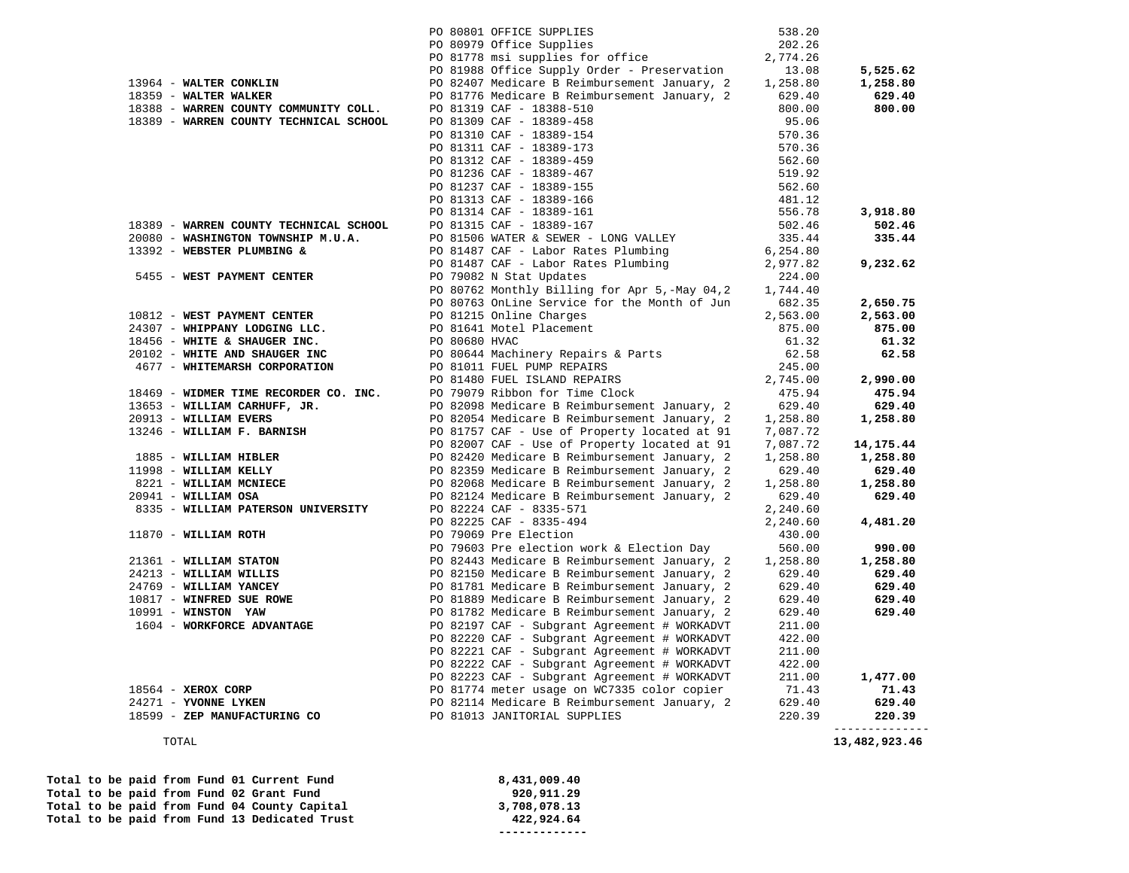|                                                  | PO 80801 OFFICE SUPPLIES                                                                                                                                                                                                    | 538.20   |                 |
|--------------------------------------------------|-----------------------------------------------------------------------------------------------------------------------------------------------------------------------------------------------------------------------------|----------|-----------------|
|                                                  | PO 80979 Office Supplies<br>PO 81778 msi supplies for office                                                                                                                                                                | 202.26   |                 |
|                                                  |                                                                                                                                                                                                                             | 2,774.26 |                 |
|                                                  | PO 81988 Office Supply Order - Preservation                                                                                                                                                                                 | 13.08    | 5,525.62        |
| 13964 - WALTER CONKLIN                           | PO 82407 Medicare B Reimbursement January, 2                                                                                                                                                                                | 1,258.80 | 1,258.80        |
| 18359 - WALTER WALKER                            | PO 81776 Medicare B Reimbursement January, 2                                                                                                                                                                                | 629.40   | 629.40          |
| 18388 - WARREN COUNTY COMMUNITY COLL.            | PO 81319 CAF - 18388-510                                                                                                                                                                                                    | 800.00   | 800.00          |
| 18389 - WARREN COUNTY TECHNICAL SCHOOL           | PO 81309 CAF - 18389-458                                                                                                                                                                                                    | 95.06    |                 |
|                                                  | PO 81310 CAF - 18389-154                                                                                                                                                                                                    | 570.36   |                 |
|                                                  | PO 81311 CAF - 18389-173                                                                                                                                                                                                    | 570.36   |                 |
|                                                  | PO 81312 CAF - 18389-459                                                                                                                                                                                                    | 562.60   |                 |
|                                                  | PO 81236 CAF - 18389-467                                                                                                                                                                                                    | 519.92   |                 |
|                                                  | PO 81237 CAF - 18389-155                                                                                                                                                                                                    | 562.60   |                 |
|                                                  | PO 81313 CAF - 18389-166                                                                                                                                                                                                    | 481.12   |                 |
|                                                  | PO 81314 CAF - 18389-161                                                                                                                                                                                                    | 556.78   | 3,918.80        |
| 18389 - WARREN COUNTY TECHNICAL SCHOOL           | PO 81315 CAF - 18389-167                                                                                                                                                                                                    | 502.46   | 502.46          |
| 20080 - WASHINGTON TOWNSHIP M.U.A.               | PO 81506 WATER & SEWER - LONG VALLEY                                                                                                                                                                                        | 335.44   | 335.44          |
| 13392 - WEBSTER PLUMBING &                       | PO 81487 CAF - Labor Rates Plumbing                                                                                                                                                                                         | 6,254.80 |                 |
|                                                  | PO 81487 CAF - Labor Rates Plumbing                                                                                                                                                                                         | 2,977.82 | 9,232.62        |
| 5455 - WEST PAYMENT CENTER                       | PO 79082 N Stat Updates                                                                                                                                                                                                     | 224.00   |                 |
|                                                  | PO 80762 Monthly Billing for Apr 5,-May 04,2                                                                                                                                                                                | 1,744.40 |                 |
|                                                  | PO 80763 OnLine Service for the Month of Jun                                                                                                                                                                                | 682.35   | 2,650.75        |
| 10812 - WEST PAYMENT CENTER                      | PO 81215 Online Charges                                                                                                                                                                                                     | 2,563.00 | 2,563.00        |
| 24307 - WHIPPANY LODGING LLC.                    | PO 81641 Motel Placement                                                                                                                                                                                                    | 875.00   | 875.00          |
| 18456 - WHITE & SHAUGER INC.                     | PO 80680 HVAC                                                                                                                                                                                                               | 61.32    | 61.32           |
| 20102 - WHITE AND SHAUGER INC                    | PO 80644 Machinery Repairs & Parts                                                                                                                                                                                          | 62.58    | 62.58           |
| 4677 - WHITEMARSH CORPORATION                    | PO 81011 FUEL PUMP REPAIRS                                                                                                                                                                                                  | 245.00   |                 |
|                                                  | PO 81480 FUEL ISLAND REPAIRS                                                                                                                                                                                                | 2,745.00 | 2,990.00        |
|                                                  | 18469 - WIDMER TIME RECORDER CO. INC. PO 79079 Ribbon for Time Clock                                                                                                                                                        | 475.94   | 475.94          |
| 13653 - WILLIAM CARHUFF, JR.                     | PO 82098 Medicare B Reimbursement January, 2                                                                                                                                                                                | 629.40   | 629.40          |
| 20913 - WILLIAM EVERS                            | PO 82054 Medicare B Reimbursement January, 2                                                                                                                                                                                | 1,258.80 | 1,258.80        |
| 13246 - WILLIAM F. BARNISH                       | PO 81757 CAF - Use of Property located at 91                                                                                                                                                                                | 7,087.72 |                 |
|                                                  | PO 82007 CAF - Use of Property located at 91                                                                                                                                                                                | 7,087.72 | 14, 175. 44     |
| 1885 - WILLIAM HIBLER                            | PO 82420 Medicare B Reimbursement January, 2                                                                                                                                                                                | 1,258.80 | 1,258.80        |
| 11998 - WILLIAM KELLY                            | PO 82359 Medicare B Reimbursement January, 2                                                                                                                                                                                | 629.40   | 629.40          |
| 8221 - WILLIAM MCNIECE                           | PO 82068 Medicare B Reimbursement January, 2                                                                                                                                                                                | 1,258.80 | 1,258.80        |
| 20941 - WILLIAM OSA                              | PO 82124 Medicare B Reimbursement January, 2                                                                                                                                                                                | 629.40   | 629.40          |
| 8335 - WILLIAM PATERSON UNIVERSITY               | PO 82224 CAF - 8335-571                                                                                                                                                                                                     | 2,240.60 |                 |
|                                                  | PO 82225 CAF - 8335-494                                                                                                                                                                                                     | 2,240.60 | 4,481.20        |
| 11870 - WILLIAM ROTH                             | PO 79069 Pre Election                                                                                                                                                                                                       | 430.00   |                 |
|                                                  | PO 79603 Pre election work & Election Day                                                                                                                                                                                   | 560.00   | 990.00          |
|                                                  | PO 82443 Medicare B Reimbursement January, 2                                                                                                                                                                                | 1,258.80 | 1,258.80        |
| 21361 - WILLIAM STATON<br>24213 - WILLIAM WILLIS |                                                                                                                                                                                                                             | 629.40   | 629.40          |
|                                                  | PO 82150 Medicare B Reimbursement January, 2<br>PO 81781 Medicare B Reimbursement January, 2                                                                                                                                | 629.40   | 629.40          |
|                                                  | PO 81889 Medicare B Reimbursement January, 2                                                                                                                                                                                | 629.40   | 629.40          |
|                                                  | PO 81782 Medicare B Reimbursement January, 2                                                                                                                                                                                | 629.40   | 629.40          |
| 1604 - WORKFORCE ADVANTAGE                       | PO 82197 CAF - Subgrant Agreement # WORKADVT                                                                                                                                                                                | 211.00   |                 |
|                                                  | PO 82220 CAF - Subgrant Agreement # WORKADVT                                                                                                                                                                                | 422.00   |                 |
|                                                  | PO 82221 CAF - Subgrant Agreement # WORKADVT                                                                                                                                                                                | 211.00   |                 |
|                                                  | PO 82222 CAF - Subgrant Agreement # WORKADVT                                                                                                                                                                                | 422.00   |                 |
|                                                  |                                                                                                                                                                                                                             | 211.00   | 1,477.00        |
| 18564 - XEROX CORP                               |                                                                                                                                                                                                                             | 71.43    | 71.43           |
| 24271 - YVONNE LYKEN                             |                                                                                                                                                                                                                             | 629.40   | 629.40          |
| 18599 - ZEP MANUFACTURING CO                     | PO 82222 CAF - Subgrant Agreement # WORKADVT<br>PO 82223 CAF - Subgrant Agreement # WORKADVT<br>PO 81774 meter usage on WC7335 color copier<br>PO 82114 Medicare B Reimbursement January, 2<br>PO 81013 JANITORIAL SUPPLIES | 220.39   | 220.39          |
|                                                  |                                                                                                                                                                                                                             |          | --------------- |
| TOTAL                                            |                                                                                                                                                                                                                             |          | 13,482,923.46   |

Total to be paid from Fund 01 Current Fund 8,431,009.40<br>Total to be paid from Fund 02 Grant Fund 920,911.29 Total to be paid from Fund 02 Grant Fund 920,911.29<br>
Total to be paid from Fund 04 County Capital 3,708,078.13 Total to be paid from Fund 04 County Capital 3,708,078.13<br>Total to be paid from Fund 13 Dedicated Trust 422,924.64 Total to be paid from Fund 13 Dedicated Trust

 **-------------**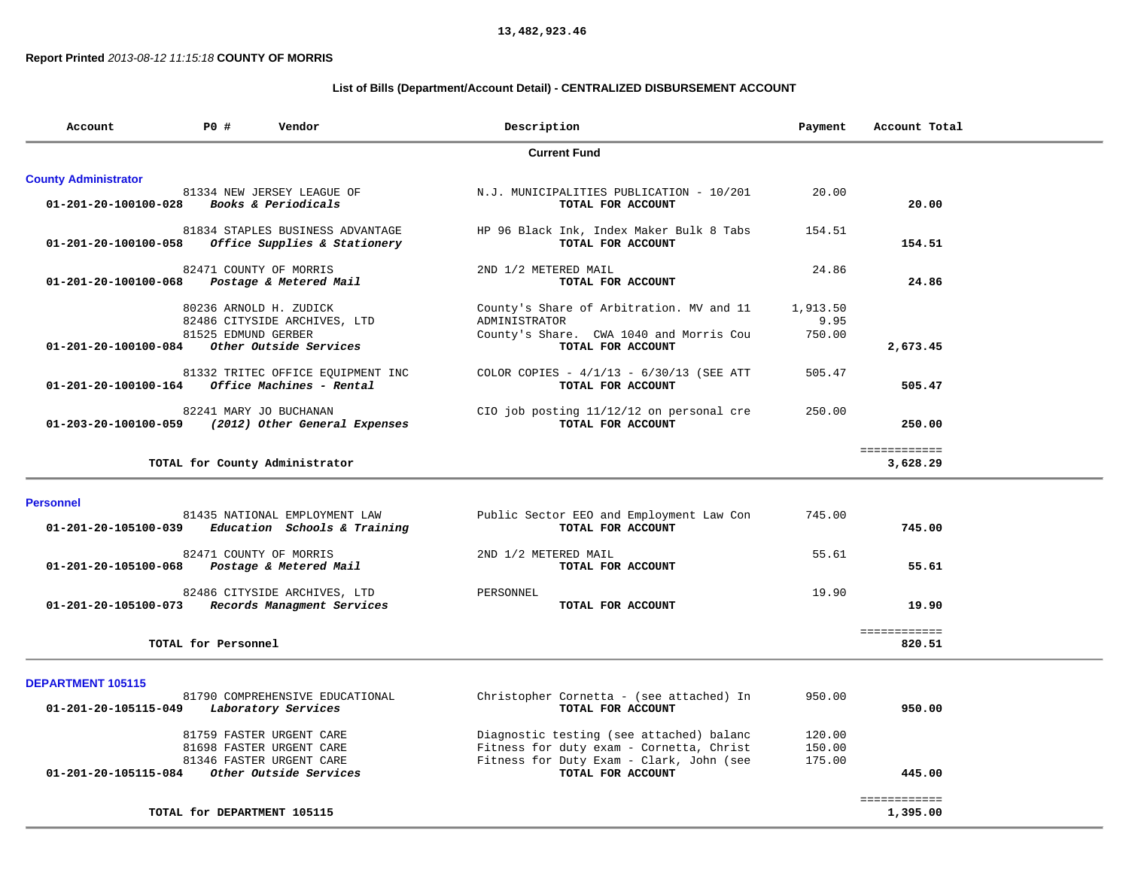**13,482,923.46** 

## **Report Printed** *2013-08-12 11:15:18* **COUNTY OF MORRIS**

## **List of Bills (Department/Account Detail) - CENTRALIZED DISBURSEMENT ACCOUNT**

| P0 #<br>Vendor<br>Account                                                                                                       | Description                                                                                                                      | Payment                    | Account Total            |
|---------------------------------------------------------------------------------------------------------------------------------|----------------------------------------------------------------------------------------------------------------------------------|----------------------------|--------------------------|
|                                                                                                                                 | <b>Current Fund</b>                                                                                                              |                            |                          |
| <b>County Administrator</b>                                                                                                     |                                                                                                                                  |                            |                          |
| 81334 NEW JERSEY LEAGUE OF<br>01-201-20-100100-028<br>Books & Periodicals                                                       | N.J. MUNICIPALITIES PUBLICATION - 10/201<br>TOTAL FOR ACCOUNT                                                                    | 20.00                      | 20.00                    |
| 81834 STAPLES BUSINESS ADVANTAGE<br>01-201-20-100100-058<br>Office Supplies & Stationery                                        | HP 96 Black Ink, Index Maker Bulk 8 Tabs<br>TOTAL FOR ACCOUNT                                                                    | 154.51                     | 154.51                   |
| 82471 COUNTY OF MORRIS<br>01-201-20-100100-068<br>Postage & Metered Mail                                                        | 2ND 1/2 METERED MAIL<br>TOTAL FOR ACCOUNT                                                                                        | 24.86                      | 24.86                    |
| 80236 ARNOLD H. ZUDICK<br>82486 CITYSIDE ARCHIVES, LTD<br>81525 EDMUND GERBER<br>01-201-20-100100-084<br>Other Outside Services | County's Share of Arbitration. MV and 11<br>ADMINISTRATOR<br>County's Share. CWA 1040 and Morris Cou<br>TOTAL FOR ACCOUNT        | 1,913.50<br>9.95<br>750.00 | 2,673.45                 |
| 81332 TRITEC OFFICE EOUIPMENT INC<br>Office Machines - Rental<br>01-201-20-100100-164                                           | COLOR COPIES - $4/1/13$ - $6/30/13$ (SEE ATT<br>TOTAL FOR ACCOUNT                                                                | 505.47                     | 505.47                   |
| 82241 MARY JO BUCHANAN<br>01-203-20-100100-059<br>(2012) Other General Expenses                                                 | CIO job posting 11/12/12 on personal cre<br>TOTAL FOR ACCOUNT                                                                    | 250.00                     | 250.00                   |
| TOTAL for County Administrator                                                                                                  |                                                                                                                                  |                            | ============<br>3,628.29 |
| <b>Personnel</b>                                                                                                                |                                                                                                                                  |                            |                          |
| 81435 NATIONAL EMPLOYMENT LAW<br>Education Schools & Training<br>01-201-20-105100-039                                           | Public Sector EEO and Employment Law Con<br>TOTAL FOR ACCOUNT                                                                    | 745.00                     | 745.00                   |
| 82471 COUNTY OF MORRIS<br>01-201-20-105100-068<br>Postage & Metered Mail                                                        | 2ND 1/2 METERED MAIL<br>TOTAL FOR ACCOUNT                                                                                        | 55.61                      | 55.61                    |
| 82486 CITYSIDE ARCHIVES, LTD<br>Records Managment Services<br>01-201-20-105100-073                                              | PERSONNEL<br>TOTAL FOR ACCOUNT                                                                                                   | 19.90                      | 19.90                    |
| TOTAL for Personnel                                                                                                             |                                                                                                                                  |                            | ============<br>820.51   |
| <b>DEPARTMENT 105115</b>                                                                                                        |                                                                                                                                  |                            |                          |
| 81790 COMPREHENSIVE EDUCATIONAL<br>01-201-20-105115-049<br>Laboratory Services                                                  | Christopher Cornetta - (see attached) In<br>TOTAL FOR ACCOUNT                                                                    | 950.00                     | 950.00                   |
| 81759 FASTER URGENT CARE<br>81698 FASTER URGENT CARE<br>81346 FASTER URGENT CARE                                                | Diagnostic testing (see attached) balanc<br>Fitness for duty exam - Cornetta, Christ<br>Fitness for Duty Exam - Clark, John (see | 120.00<br>150.00<br>175.00 |                          |
| Other Outside Services<br>01-201-20-105115-084                                                                                  | TOTAL FOR ACCOUNT                                                                                                                |                            | 445.00                   |
| TOTAL for DEPARTMENT 105115                                                                                                     |                                                                                                                                  |                            | ============<br>1,395.00 |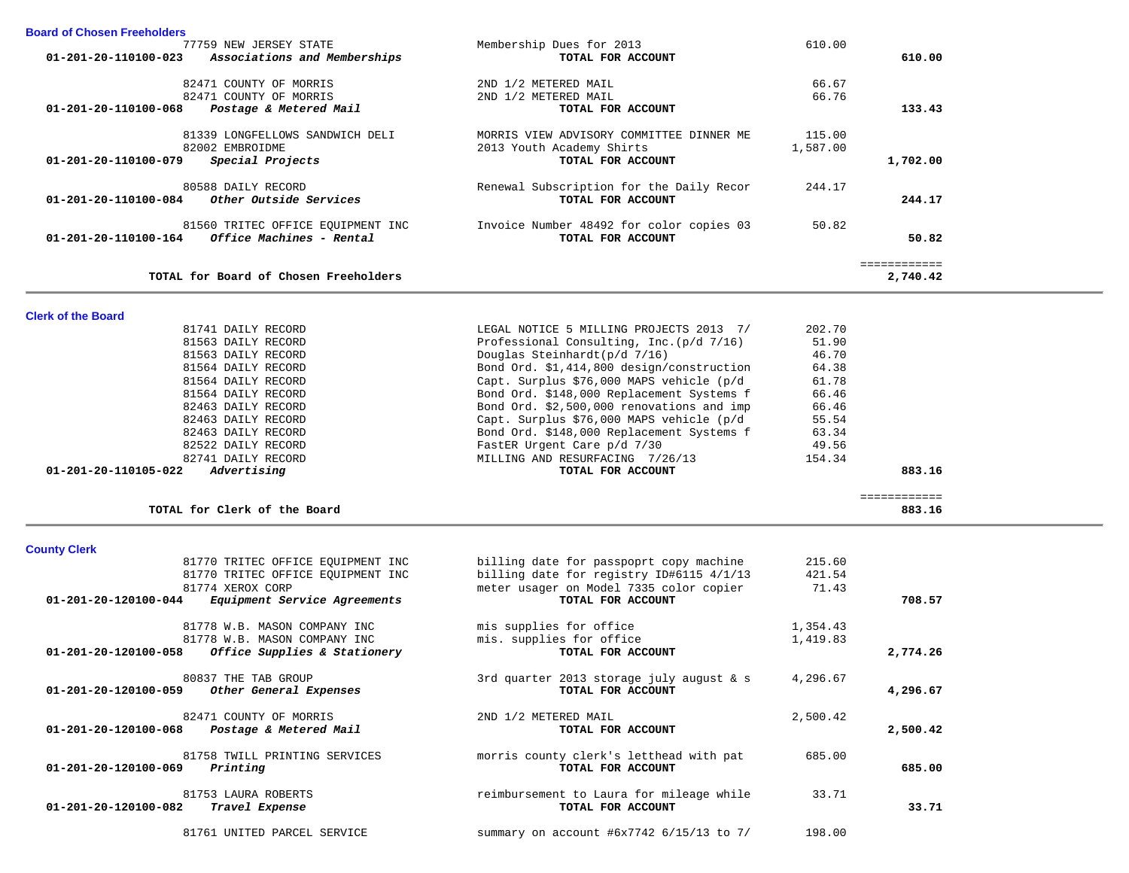| <b>Board of Chosen Freeholders</b>                                             |                                                               |                 |                        |  |
|--------------------------------------------------------------------------------|---------------------------------------------------------------|-----------------|------------------------|--|
| 77759 NEW JERSEY STATE<br>01-201-20-110100-023<br>Associations and Memberships | Membership Dues for 2013<br>TOTAL FOR ACCOUNT                 | 610.00          | 610.00                 |  |
|                                                                                |                                                               |                 |                        |  |
| 82471 COUNTY OF MORRIS                                                         | 2ND 1/2 METERED MAIL                                          | 66.67           |                        |  |
| 82471 COUNTY OF MORRIS                                                         | 2ND 1/2 METERED MAIL                                          | 66.76           |                        |  |
| 01-201-20-110100-068<br>Postage & Metered Mail                                 | TOTAL FOR ACCOUNT                                             |                 | 133.43                 |  |
| 81339 LONGFELLOWS SANDWICH DELI                                                | MORRIS VIEW ADVISORY COMMITTEE DINNER ME                      | 115.00          |                        |  |
| 82002 EMBROIDME                                                                | 2013 Youth Academy Shirts                                     | 1,587.00        |                        |  |
| Special Projects<br>01-201-20-110100-079                                       | TOTAL FOR ACCOUNT                                             |                 | 1,702.00               |  |
|                                                                                |                                                               |                 |                        |  |
| 80588 DAILY RECORD                                                             | Renewal Subscription for the Daily Recor                      | 244.17          |                        |  |
| Other Outside Services<br>01-201-20-110100-084                                 | TOTAL FOR ACCOUNT                                             |                 | 244.17                 |  |
| 81560 TRITEC OFFICE EOUIPMENT INC                                              | Invoice Number 48492 for color copies 03                      | 50.82           |                        |  |
| Office Machines - Rental<br>01-201-20-110100-164                               | TOTAL FOR ACCOUNT                                             |                 | 50.82                  |  |
|                                                                                |                                                               |                 |                        |  |
|                                                                                |                                                               |                 | ============           |  |
| TOTAL for Board of Chosen Freeholders                                          |                                                               |                 | 2,740.42               |  |
|                                                                                |                                                               |                 |                        |  |
| <b>Clerk of the Board</b>                                                      |                                                               |                 |                        |  |
| 81741 DAILY RECORD                                                             | LEGAL NOTICE 5 MILLING PROJECTS 2013 7/                       | 202.70          |                        |  |
| 81563 DAILY RECORD                                                             | Professional Consulting, Inc. (p/d 7/16)                      | 51.90           |                        |  |
| 81563 DAILY RECORD                                                             | Douglas Steinhardt(p/d 7/16)                                  | 46.70           |                        |  |
| 81564 DAILY RECORD                                                             | Bond Ord. \$1,414,800 design/construction                     | 64.38           |                        |  |
| 81564 DAILY RECORD                                                             | Capt. Surplus \$76,000 MAPS vehicle (p/d                      | 61.78           |                        |  |
| 81564 DAILY RECORD                                                             | Bond Ord. \$148,000 Replacement Systems f                     | 66.46           |                        |  |
| 82463 DAILY RECORD                                                             | Bond Ord. \$2,500,000 renovations and imp                     | 66.46           |                        |  |
| 82463 DAILY RECORD                                                             | Capt. Surplus \$76,000 MAPS vehicle (p/d                      | 55.54           |                        |  |
| 82463 DAILY RECORD                                                             | Bond Ord. \$148,000 Replacement Systems f                     | 63.34           |                        |  |
| 82522 DAILY RECORD                                                             | FastER Urgent Care p/d 7/30                                   | 49.56           |                        |  |
|                                                                                |                                                               |                 |                        |  |
| 82741 DAILY RECORD                                                             | MILLING AND RESURFACING 7/26/13                               | 154.34          |                        |  |
| 01-201-20-110105-022<br>Advertising                                            | TOTAL FOR ACCOUNT                                             |                 | 883.16                 |  |
|                                                                                |                                                               |                 |                        |  |
| TOTAL for Clerk of the Board                                                   |                                                               |                 | ============<br>883.16 |  |
|                                                                                |                                                               |                 |                        |  |
|                                                                                |                                                               |                 |                        |  |
| <b>County Clerk</b>                                                            |                                                               |                 |                        |  |
| 81770 TRITEC OFFICE EQUIPMENT INC                                              | billing date for passpoprt copy machine                       | 215.60          |                        |  |
| 81770 TRITEC OFFICE EQUIPMENT INC<br>81774 XEROX CORP                          | billing date for registry ID#6115 4/1/13                      | 421.54<br>71.43 |                        |  |
| Equipment Service Agreements<br>01-201-20-120100-044                           | meter usager on Model 7335 color copier<br>TOTAL FOR ACCOUNT  |                 | 708.57                 |  |
|                                                                                |                                                               |                 |                        |  |
| 81778 W.B. MASON COMPANY INC                                                   | mis supplies for office                                       | 1,354.43        |                        |  |
| 81778 W.B. MASON COMPANY INC                                                   | mis. supplies for office                                      | 1,419.83        |                        |  |
| Office Supplies & Stationery<br>01-201-20-120100-058                           | TOTAL FOR ACCOUNT                                             |                 | 2,774.26               |  |
|                                                                                |                                                               |                 |                        |  |
| 80837 THE TAB GROUP<br>01-201-20-120100-059                                    | 3rd quarter 2013 storage july august & s<br>TOTAL FOR ACCOUNT | 4,296.67        |                        |  |
| Other General Expenses                                                         |                                                               |                 | 4,296.67               |  |
| 82471 COUNTY OF MORRIS                                                         | 2ND 1/2 METERED MAIL                                          | 2,500.42        |                        |  |
| 01-201-20-120100-068<br>Postage & Metered Mail                                 | TOTAL FOR ACCOUNT                                             |                 | 2,500.42               |  |
|                                                                                |                                                               |                 |                        |  |
| 81758 TWILL PRINTING SERVICES                                                  | morris county clerk's letthead with pat                       | 685.00          |                        |  |
| Printing<br>01-201-20-120100-069                                               | TOTAL FOR ACCOUNT                                             |                 | 685.00                 |  |
|                                                                                |                                                               |                 |                        |  |
| 81753 LAURA ROBERTS                                                            | reimbursement to Laura for mileage while                      | 33.71           |                        |  |
| Travel Expense<br>01-201-20-120100-082                                         | TOTAL FOR ACCOUNT                                             |                 | 33.71                  |  |
| 81761 UNITED PARCEL SERVICE                                                    | summary on account #6x7742 6/15/13 to 7/                      | 198.00          |                        |  |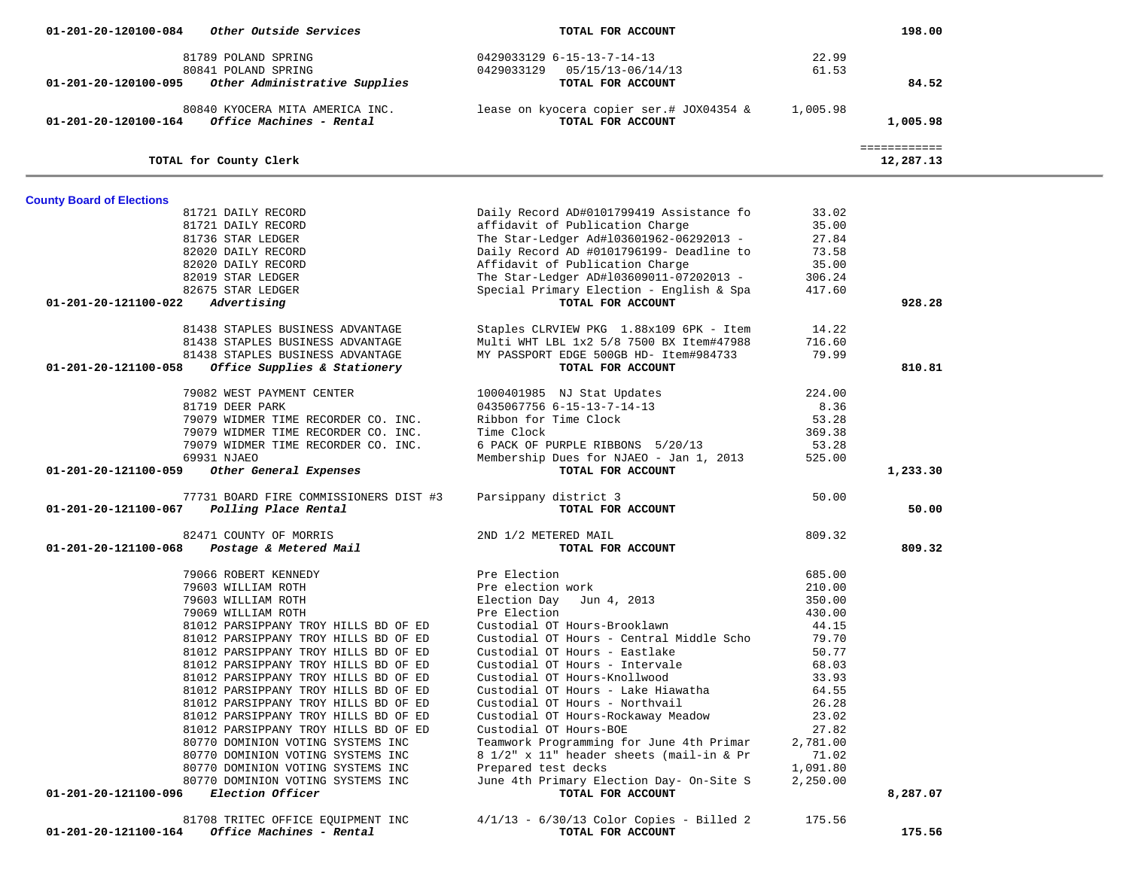| 01-201-20-120100-084             | Other Outside Services                                  | TOTAL FOR ACCOUNT                                                           |          | 198.00       |  |
|----------------------------------|---------------------------------------------------------|-----------------------------------------------------------------------------|----------|--------------|--|
|                                  | 81789 POLAND SPRING                                     | 0429033129 6-15-13-7-14-13                                                  | 22.99    |              |  |
|                                  | 80841 POLAND SPRING                                     | 0429033129  05/15/13-06/14/13                                               | 61.53    |              |  |
| 01-201-20-120100-095             | Other Administrative Supplies                           | TOTAL FOR ACCOUNT                                                           |          | 84.52        |  |
|                                  |                                                         |                                                                             |          |              |  |
|                                  | 80840 KYOCERA MITA AMERICA INC.                         | lease on kyocera copier ser.# JOX04354 &                                    | 1,005.98 |              |  |
|                                  | $01 - 201 - 20 - 120100 - 164$ Office Machines - Rental | TOTAL FOR ACCOUNT                                                           |          | 1,005.98     |  |
|                                  |                                                         |                                                                             |          |              |  |
|                                  |                                                         |                                                                             |          | ============ |  |
|                                  | TOTAL for County Clerk                                  |                                                                             |          | 12,287.13    |  |
|                                  |                                                         |                                                                             |          |              |  |
| <b>County Board of Elections</b> | 81721 DAILY RECORD                                      | Daily Record AD#0101799419 Assistance fo                                    | 33.02    |              |  |
|                                  | 81721 DAILY RECORD                                      | affidavit of Publication Charge                                             | 35.00    |              |  |
|                                  | 81736 STAR LEDGER                                       | The Star-Ledger Ad#103601962-06292013 -                                     | 27.84    |              |  |
|                                  |                                                         |                                                                             | 73.58    |              |  |
|                                  | 82020 DAILY RECORD<br>82020 DAILY RECORD                | Daily Record AD #0101796199- Deadline to<br>Affidavit of Publication Charge | 35.00    |              |  |
|                                  | 82019 STAR LEDGER                                       | The Star-Ledger AD#103609011-07202013 -                                     | 306.24   |              |  |
|                                  | 82675 STAR LEDGER                                       | Special Primary Election - English & Spa                                    | 417.60   |              |  |
| 01-201-20-121100-022             | Advertising                                             | TOTAL FOR ACCOUNT                                                           |          | 928.28       |  |
|                                  |                                                         |                                                                             |          |              |  |
|                                  | 81438 STAPLES BUSINESS ADVANTAGE                        | Staples CLRVIEW PKG 1.88x109 6PK - Item                                     | 14.22    |              |  |
|                                  | 81438 STAPLES BUSINESS ADVANTAGE                        | Multi WHT LBL 1x2 5/8 7500 BX Item#47988                                    | 716.60   |              |  |
|                                  | 81438 STAPLES BUSINESS ADVANTAGE                        | MY PASSPORT EDGE 500GB HD- Item#984733                                      | 79.99    |              |  |
| 01-201-20-121100-058             | Office Supplies & Stationery                            | TOTAL FOR ACCOUNT                                                           |          | 810.81       |  |
|                                  |                                                         |                                                                             |          |              |  |
|                                  | 79082 WEST PAYMENT CENTER                               | 1000401985 NJ Stat Updates                                                  | 224.00   |              |  |
|                                  | 81719 DEER PARK                                         | 0435067756 6-15-13-7-14-13                                                  | 8.36     |              |  |
|                                  | 79079 WIDMER TIME RECORDER CO. INC.                     | Ribbon for Time Clock                                                       | 53.28    |              |  |
|                                  | 79079 WIDMER TIME RECORDER CO. INC.                     | Time Clock                                                                  | 369.38   |              |  |
|                                  | 79079 WIDMER TIME RECORDER CO. INC.                     | 6 PACK OF PURPLE RIBBONS 5/20/13                                            | 53.28    |              |  |
|                                  | 69931 NJAEO                                             | Membership Dues for NJAEO - Jan 1, 2013                                     | 525.00   |              |  |
| 01-201-20-121100-059             | Other General Expenses                                  | TOTAL FOR ACCOUNT                                                           |          | 1,233.30     |  |
|                                  | 77731 BOARD FIRE COMMISSIONERS DIST #3                  | Parsippany district 3                                                       | 50.00    |              |  |
| 01-201-20-121100-067             | Polling Place Rental                                    | TOTAL FOR ACCOUNT                                                           |          | 50.00        |  |
|                                  |                                                         |                                                                             |          |              |  |
|                                  | 82471 COUNTY OF MORRIS                                  | 2ND 1/2 METERED MAIL                                                        | 809.32   |              |  |
|                                  | 01-201-20-121100-068 Postage & Metered Mail             | TOTAL FOR ACCOUNT                                                           |          | 809.32       |  |
|                                  | 79066 ROBERT KENNEDY                                    | Pre Election                                                                | 685.00   |              |  |
|                                  | 79603 WILLIAM ROTH                                      | Pre election work                                                           | 210.00   |              |  |
|                                  | 79603 WILLIAM ROTH                                      | Election Day Jun 4, 2013                                                    | 350.00   |              |  |
|                                  | 79069 WILLIAM ROTH                                      | Pre Election                                                                | 430.00   |              |  |
|                                  | 81012 PARSIPPANY TROY HILLS BD OF ED                    | Custodial OT Hours-Brooklawn                                                | 44.15    |              |  |
|                                  | 81012 PARSIPPANY TROY HILLS BD OF ED                    | Custodial OT Hours - Central Middle Scho                                    | 79.70    |              |  |
|                                  | 81012 PARSIPPANY TROY HILLS BD OF ED                    | Custodial OT Hours - Eastlake                                               | 50.77    |              |  |
|                                  | 81012 PARSIPPANY TROY HILLS BD OF ED                    | Custodial OT Hours - Intervale                                              | 68.03    |              |  |
|                                  | 81012 PARSIPPANY TROY HILLS BD OF ED                    | Custodial OT Hours-Knollwood                                                | 33.93    |              |  |
|                                  | 81012 PARSIPPANY TROY HILLS BD OF ED                    | Custodial OT Hours - Lake Hiawatha                                          | 64.55    |              |  |
|                                  | 81012 PARSIPPANY TROY HILLS BD OF ED                    | Custodial OT Hours - Northvail                                              | 26.28    |              |  |
|                                  | 81012 PARSIPPANY TROY HILLS BD OF ED                    | Custodial OT Hours-Rockaway Meadow                                          | 23.02    |              |  |
|                                  | 81012 PARSIPPANY TROY HILLS BD OF ED                    | Custodial OT Hours-BOE                                                      | 27.82    |              |  |
|                                  | 80770 DOMINION VOTING SYSTEMS INC                       | Teamwork Programming for June 4th Primar                                    | 2,781.00 |              |  |
|                                  | 80770 DOMINION VOTING SYSTEMS INC                       | 8 1/2" x 11" header sheets (mail-in & Pr                                    | 71.02    |              |  |
|                                  | 80770 DOMINION VOTING SYSTEMS INC                       | Prepared test decks                                                         | 1,091.80 |              |  |
|                                  | 80770 DOMINION VOTING SYSTEMS INC                       | June 4th Primary Election Day- On-Site S                                    | 2,250.00 |              |  |
| 01-201-20-121100-096             | Election Officer                                        | TOTAL FOR ACCOUNT                                                           |          | 8,287.07     |  |
|                                  |                                                         |                                                                             |          |              |  |
|                                  | 81708 TRITEC OFFICE EQUIPMENT INC                       | $4/1/13$ - $6/30/13$ Color Copies - Billed 2                                | 175.56   |              |  |
| 01-201-20-121100-164             | Office Machines - Rental                                | TOTAL FOR ACCOUNT                                                           |          | 175.56       |  |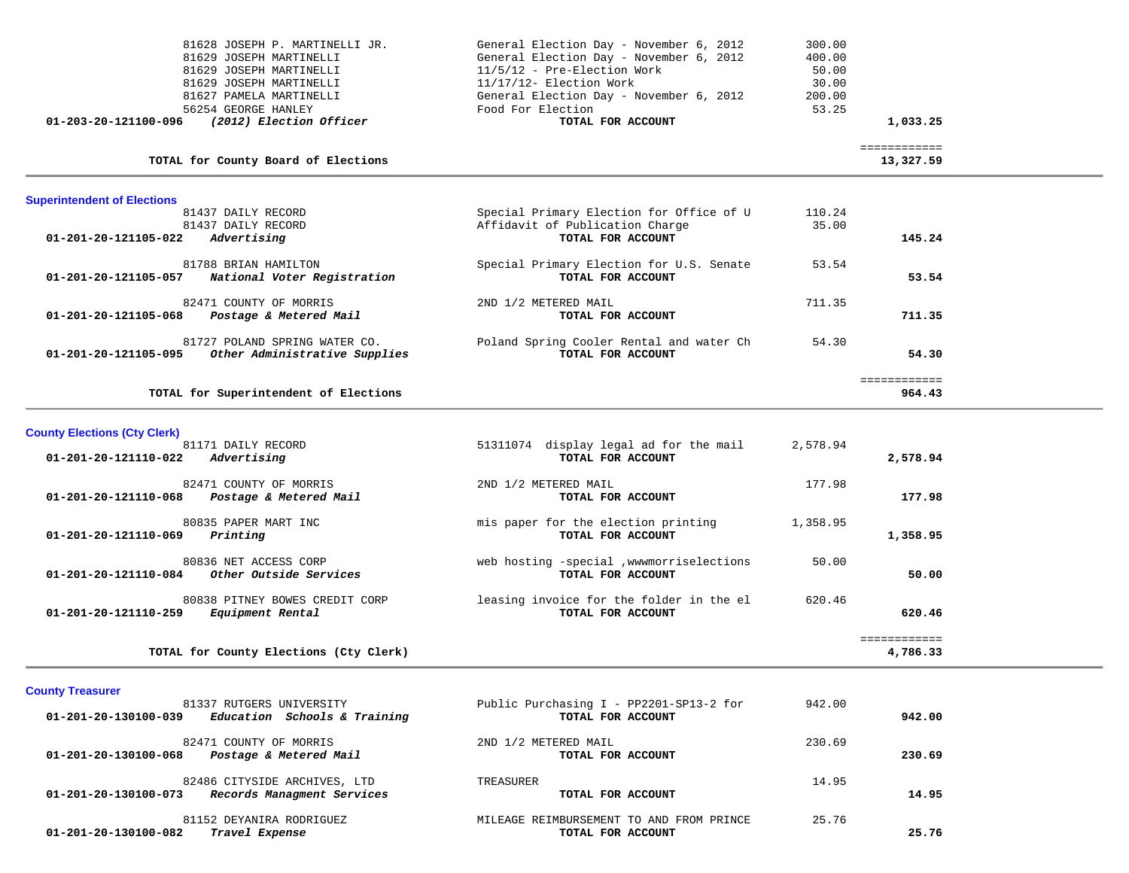| <b>Superintendent of Elections</b><br>81437 DAILY RECORD<br>81437 DAILY RECORD<br>01-201-20-121105-022<br>Advertising | Special Primary Election for Office of U<br>Affidavit of Publication Charge<br>TOTAL FOR ACCOUNT | 110.24<br>35.00<br>145.24 |  |
|-----------------------------------------------------------------------------------------------------------------------|--------------------------------------------------------------------------------------------------|---------------------------|--|
| TOTAL for County Board of Elections                                                                                   |                                                                                                  | ============<br>13,327.59 |  |
| 01-203-20-121100-096<br>(2012) Election Officer                                                                       | TOTAL FOR ACCOUNT                                                                                | 1,033.25                  |  |
| 81627 PAMELA MARTINELLI<br>56254 GEORGE HANLEY                                                                        | General Election Day - November 6, 2012<br>Food For Election                                     | 200.00<br>53.25           |  |
| 81629 JOSEPH MARTINELLI                                                                                               | $11/17/12$ - Election Work                                                                       | 30.00                     |  |
| 81629 JOSEPH MARTINELLI                                                                                               | $11/5/12$ - Pre-Election Work                                                                    | 50.00                     |  |
| 81629 JOSEPH MARTINELLI                                                                                               | General Election Day - November 6, 2012                                                          | 400.00                    |  |
| 81628 JOSEPH P. MARTINELLI JR.                                                                                        | General Election Day - November 6, 2012                                                          | 300.00                    |  |

| 81788 BRIAN HAMILTON<br>National Voter Registration<br>01-201-20-121105-057            | Special Primary Election for U.S. Senate<br>TOTAL FOR ACCOUNT | 53.54  | 53.54  |
|----------------------------------------------------------------------------------------|---------------------------------------------------------------|--------|--------|
| 82471 COUNTY OF MORRIS<br>Postage & Metered Mail<br>01-201-20-121105-068               | 2ND 1/2 METERED MAIL<br>TOTAL FOR ACCOUNT                     | 711.35 | 711.35 |
| 81727 POLAND SPRING WATER CO.<br>Other Administrative Supplies<br>01-201-20-121105-095 | Poland Spring Cooler Rental and water Ch<br>TOTAL FOR ACCOUNT | 54.30  | 54.30  |

|  | TOTAL for Superintendent of Elections |  | 964.43 |  |
|--|---------------------------------------|--|--------|--|
|  |                                       |  |        |  |

 ============ ============<br>964.43

| <b>County Elections (Cty Clerk)</b><br>81171 DAILY RECORD<br>01-201-20-121110-022<br>Advertising | 51311074 display legal ad for the mail<br>TOTAL FOR ACCOUNT     | 2,578.94 | 2,578.94 |
|--------------------------------------------------------------------------------------------------|-----------------------------------------------------------------|----------|----------|
| 82471 COUNTY OF MORRIS<br>Postage & Metered Mail<br>01-201-20-121110-068                         | 2ND 1/2 METERED MAIL<br>TOTAL FOR ACCOUNT                       | 177.98   | 177.98   |
| 80835 PAPER MART INC<br>Printing<br>01-201-20-121110-069                                         | mis paper for the election printing<br>TOTAL FOR ACCOUNT        | 1,358.95 | 1,358.95 |
| 80836 NET ACCESS CORP<br>Other Outside Services<br>01-201-20-121110-084                          | web hosting -special , www.morriselections<br>TOTAL FOR ACCOUNT | 50.00    | 50.00    |
| 80838 PITNEY BOWES CREDIT CORP<br>01-201-20-121110-259<br>Equipment Rental                       | leasing invoice for the folder in the el<br>TOTAL FOR ACCOUNT   | 620.46   | 620.46   |
| TOTAL for County Elections (Cty Clerk)                                                           |                                                                 |          | 4,786.33 |

| <b>County Treasurer</b> |
|-------------------------|
|                         |

| 81337 RUTGERS UNIVERSITY                             | Public Purchasing I - PP2201-SP13-2 for  | 942.00 |        |
|------------------------------------------------------|------------------------------------------|--------|--------|
| Education Schools & Training<br>01-201-20-130100-039 | TOTAL FOR ACCOUNT                        |        | 942.00 |
| 82471 COUNTY OF MORRIS<br>01-201-20-130100-068       | 2ND 1/2 METERED MAIL                     | 230.69 |        |
| Postage & Metered Mail                               | TOTAL FOR ACCOUNT                        |        | 230.69 |
| 82486 CITYSIDE ARCHIVES, LTD                         | TREASURER                                | 14.95  |        |
| Records Managment Services<br>01-201-20-130100-073   | TOTAL FOR ACCOUNT                        |        | 14.95  |
| 81152 DEYANIRA RODRIGUEZ                             | MILEAGE REIMBURSEMENT TO AND FROM PRINCE | 25.76  |        |
| Travel Expense<br>01-201-20-130100-082               | TOTAL FOR ACCOUNT                        |        | 25.76  |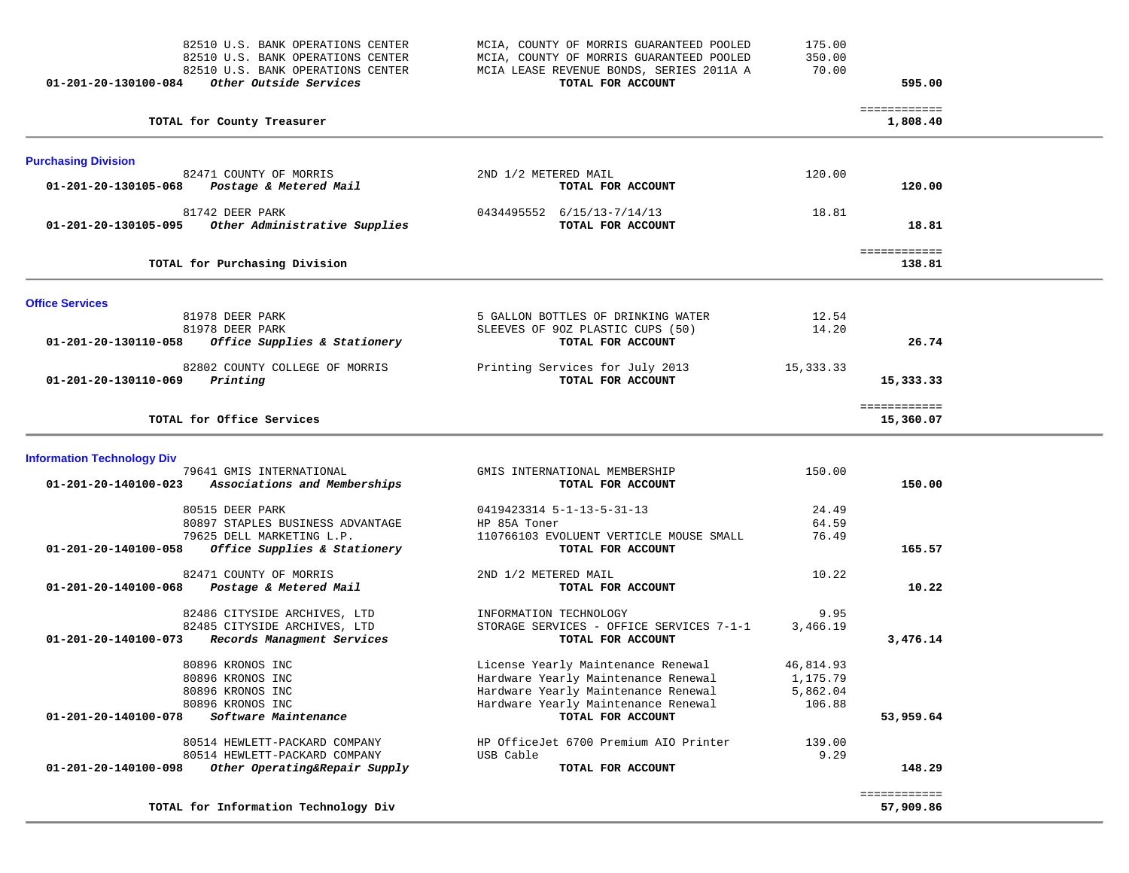| 01-201-20-130100-084              | 82510 U.S. BANK OPERATIONS CENTER<br>82510 U.S. BANK OPERATIONS CENTER<br>82510 U.S. BANK OPERATIONS CENTER<br>Other Outside Services | MCIA, COUNTY OF MORRIS GUARANTEED POOLED<br>MCIA, COUNTY OF MORRIS GUARANTEED POOLED<br>MCIA LEASE REVENUE BONDS, SERIES 2011A A<br>TOTAL FOR ACCOUNT | 175.00<br>350.00<br>70.00 | 595.00                    |  |
|-----------------------------------|---------------------------------------------------------------------------------------------------------------------------------------|-------------------------------------------------------------------------------------------------------------------------------------------------------|---------------------------|---------------------------|--|
|                                   | TOTAL for County Treasurer                                                                                                            |                                                                                                                                                       |                           | ============<br>1,808.40  |  |
| <b>Purchasing Division</b>        |                                                                                                                                       |                                                                                                                                                       |                           |                           |  |
| 01-201-20-130105-068              | 82471 COUNTY OF MORRIS<br>Postage & Metered Mail                                                                                      | 2ND 1/2 METERED MAIL<br>TOTAL FOR ACCOUNT                                                                                                             | 120.00                    | 120.00                    |  |
| 01-201-20-130105-095              | 81742 DEER PARK<br>Other Administrative Supplies                                                                                      | 0434495552 6/15/13-7/14/13<br>TOTAL FOR ACCOUNT                                                                                                       | 18.81                     | 18.81                     |  |
|                                   | TOTAL for Purchasing Division                                                                                                         |                                                                                                                                                       |                           | ============<br>138.81    |  |
| <b>Office Services</b>            |                                                                                                                                       |                                                                                                                                                       |                           |                           |  |
|                                   | 81978 DEER PARK                                                                                                                       | 5 GALLON BOTTLES OF DRINKING WATER                                                                                                                    | 12.54                     |                           |  |
| 01-201-20-130110-058              | 81978 DEER PARK<br>Office Supplies & Stationery                                                                                       | SLEEVES OF 90Z PLASTIC CUPS (50)<br>TOTAL FOR ACCOUNT                                                                                                 | 14.20                     | 26.74                     |  |
| 01-201-20-130110-069              | 82802 COUNTY COLLEGE OF MORRIS<br>Printing                                                                                            | Printing Services for July 2013<br>TOTAL FOR ACCOUNT                                                                                                  | 15,333.33                 | 15,333.33                 |  |
|                                   | TOTAL for Office Services                                                                                                             |                                                                                                                                                       |                           | ============<br>15,360.07 |  |
| <b>Information Technology Div</b> |                                                                                                                                       |                                                                                                                                                       |                           |                           |  |
| 01-201-20-140100-023              | 79641 GMIS INTERNATIONAL<br>Associations and Memberships                                                                              | GMIS INTERNATIONAL MEMBERSHIP<br>TOTAL FOR ACCOUNT                                                                                                    | 150.00                    | 150.00                    |  |
|                                   | 80515 DEER PARK                                                                                                                       | 0419423314 5-1-13-5-31-13                                                                                                                             | 24.49                     |                           |  |
|                                   | 80897 STAPLES BUSINESS ADVANTAGE                                                                                                      | HP 85A Toner                                                                                                                                          | 64.59                     |                           |  |
| 01-201-20-140100-058              | 79625 DELL MARKETING L.P.<br>Office Supplies & Stationery                                                                             | 110766103 EVOLUENT VERTICLE MOUSE SMALL<br>TOTAL FOR ACCOUNT                                                                                          | 76.49                     | 165.57                    |  |
| 01-201-20-140100-068              | 82471 COUNTY OF MORRIS<br>Postage & Metered Mail                                                                                      | 2ND 1/2 METERED MAIL<br>TOTAL FOR ACCOUNT                                                                                                             | 10.22                     | 10.22                     |  |
|                                   | 82486 CITYSIDE ARCHIVES, LTD                                                                                                          | INFORMATION TECHNOLOGY                                                                                                                                | 9.95                      |                           |  |
| 01-201-20-140100-073              | 82485 CITYSIDE ARCHIVES, LTD<br>Records Managment Services                                                                            | STORAGE SERVICES - OFFICE SERVICES 7-1-1<br>TOTAL FOR ACCOUNT                                                                                         | 3,466.19                  | 3,476.14                  |  |
|                                   | 80896 KRONOS INC                                                                                                                      | License Yearly Maintenance Renewal                                                                                                                    | 46,814.93                 |                           |  |
|                                   | 80896 KRONOS INC                                                                                                                      | Hardware Yearly Maintenance Renewal                                                                                                                   | 1,175.79                  |                           |  |
|                                   | 80896 KRONOS INC                                                                                                                      | Hardware Yearly Maintenance Renewal                                                                                                                   | 5,862.04                  |                           |  |
| 01-201-20-140100-078              | 80896 KRONOS INC<br>Software Maintenance                                                                                              | Hardware Yearly Maintenance Renewal<br>TOTAL FOR ACCOUNT                                                                                              | 106.88                    | 53,959.64                 |  |
|                                   | 80514 HEWLETT-PACKARD COMPANY                                                                                                         | HP OfficeJet 6700 Premium AIO Printer                                                                                                                 | 139.00                    |                           |  |
| 01-201-20-140100-098              | 80514 HEWLETT-PACKARD COMPANY<br>Other Operating&Repair Supply                                                                        | USB Cable<br>TOTAL FOR ACCOUNT                                                                                                                        | 9.29                      | 148.29                    |  |
|                                   |                                                                                                                                       |                                                                                                                                                       |                           | ============              |  |
|                                   | TOTAL for Information Technology Div                                                                                                  |                                                                                                                                                       |                           | 57,909.86                 |  |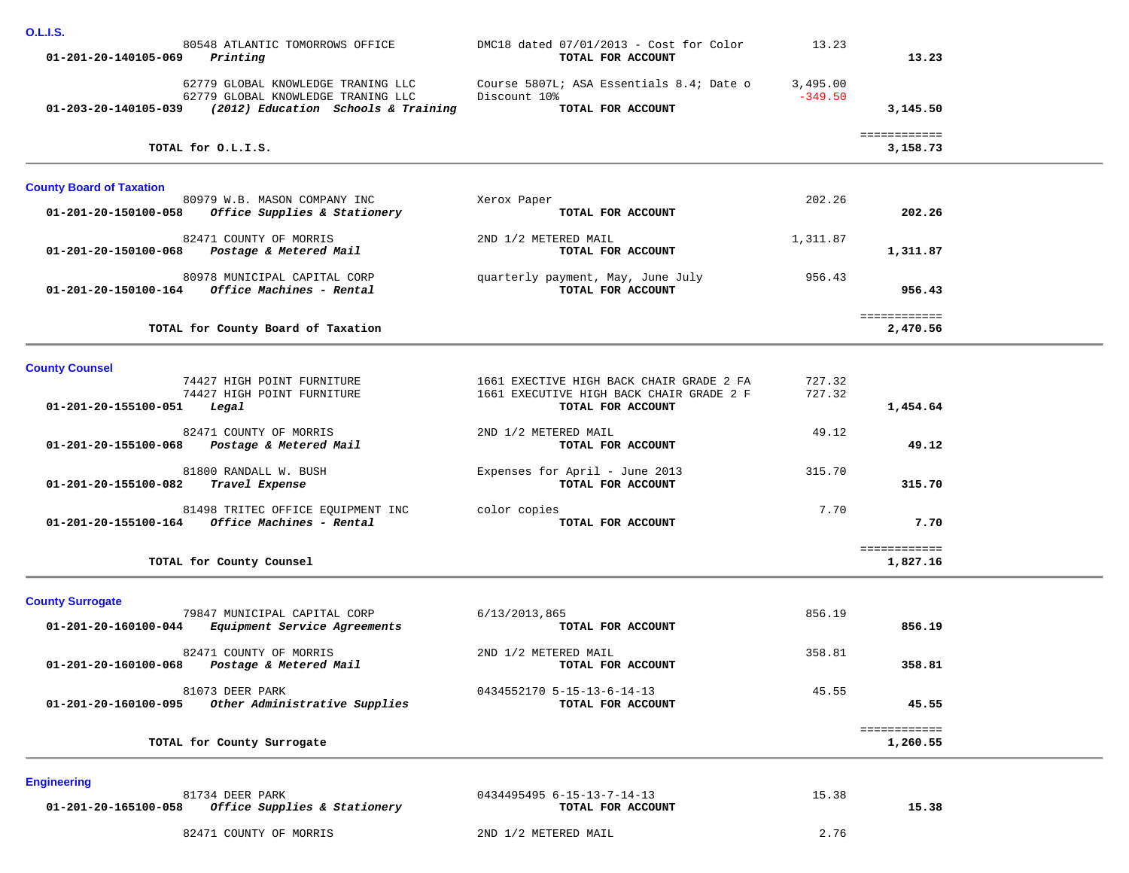| <u></u>                                 |                                                                                              |                                                                                                           |                       |                          |  |
|-----------------------------------------|----------------------------------------------------------------------------------------------|-----------------------------------------------------------------------------------------------------------|-----------------------|--------------------------|--|
| $01 - 201 - 20 - 140105 - 069$ Printing | 80548 ATLANTIC TOMORROWS OFFICE                                                              | DMC18 dated $07/01/2013$ - Cost for Color<br>TOTAL FOR ACCOUNT                                            | 13.23                 | 13.23                    |  |
|                                         | 62779 GLOBAL KNOWLEDGE TRANING LLC<br>62779 GLOBAL KNOWLEDGE TRANING LLC                     | Course 5807L; ASA Essentials 8.4; Date o<br>Discount 10%                                                  | 3,495.00<br>$-349.50$ |                          |  |
|                                         | 01-203-20-140105-039 (2012) Education Schools & Training                                     | TOTAL FOR ACCOUNT                                                                                         |                       | 3,145.50                 |  |
|                                         | TOTAL for O.L.I.S.                                                                           |                                                                                                           |                       | ============<br>3,158.73 |  |
| <b>County Board of Taxation</b>         | 80979 W.B. MASON COMPANY INC                                                                 |                                                                                                           | 202.26                |                          |  |
|                                         | 01-201-20-150100-058 Office Supplies & Stationery                                            | Xerox Paper<br>TOTAL FOR ACCOUNT                                                                          |                       | 202.26                   |  |
|                                         | 82471 COUNTY OF MORRIS<br>01-201-20-150100-068 Postage & Metered Mail                        | 2ND 1/2 METERED MAIL<br>TOTAL FOR ACCOUNT                                                                 | 1,311.87              | 1,311.87                 |  |
|                                         | 80978 MUNICIPAL CAPITAL CORP<br>01-201-20-150100-164 Office Machines - Rental                | quarterly payment, May, June July<br>TOTAL FOR ACCOUNT                                                    | 956.43                | 956.43                   |  |
|                                         | TOTAL for County Board of Taxation                                                           |                                                                                                           |                       | ============<br>2,470.56 |  |
| <b>County Counsel</b>                   |                                                                                              |                                                                                                           |                       |                          |  |
| 01-201-20-155100-051                    | 74427 HIGH POINT FURNITURE<br>74427 HIGH POINT FURNITURE<br>Legal                            | 1661 EXECTIVE HIGH BACK CHAIR GRADE 2 FA<br>1661 EXECUTIVE HIGH BACK CHAIR GRADE 2 F<br>TOTAL FOR ACCOUNT | 727.32<br>727.32      | 1,454.64                 |  |
|                                         | 82471 COUNTY OF MORRIS<br>01-201-20-155100-068 Postage & Metered Mail                        | 2ND 1/2 METERED MAIL<br>TOTAL FOR ACCOUNT                                                                 | 49.12                 | 49.12                    |  |
| 01-201-20-155100-082 Travel Expense     | 81800 RANDALL W. BUSH                                                                        | Expenses for April - June 2013<br>TOTAL FOR ACCOUNT                                                       | 315.70                | 315.70                   |  |
|                                         | 81498 TRITEC OFFICE EQUIPMENT INC<br>$01 - 201 - 20 - 155100 - 164$ Office Machines - Rental | color copies<br>TOTAL FOR ACCOUNT                                                                         | 7.70                  | 7.70                     |  |
|                                         | TOTAL for County Counsel                                                                     |                                                                                                           |                       | ============<br>1,827.16 |  |
| <b>County Surrogate</b>                 |                                                                                              |                                                                                                           |                       |                          |  |
| 01-201-20-160100-044                    | 79847 MUNICIPAL CAPITAL CORP<br>Equipment Service Agreements                                 | 6/13/2013,865<br>TOTAL FOR ACCOUNT                                                                        | 856.19                | 856.19                   |  |
| 01-201-20-160100-068                    | 82471 COUNTY OF MORRIS<br>Postage & Metered Mail                                             | 2ND 1/2 METERED MAIL<br>TOTAL FOR ACCOUNT                                                                 | 358.81                | 358.81                   |  |
| 01-201-20-160100-095                    | 81073 DEER PARK<br>Other Administrative Supplies                                             | 0434552170 5-15-13-6-14-13<br>TOTAL FOR ACCOUNT                                                           | 45.55                 | 45.55                    |  |
|                                         | TOTAL for County Surrogate                                                                   |                                                                                                           |                       | ============<br>1,260.55 |  |
| <b>Engineering</b>                      |                                                                                              |                                                                                                           |                       |                          |  |
| 01-201-20-165100-058                    | 81734 DEER PARK<br>Office Supplies & Stationery                                              | 0434495495 6-15-13-7-14-13<br>TOTAL FOR ACCOUNT                                                           | 15.38                 | 15.38                    |  |
|                                         | 82471 COUNTY OF MORRIS                                                                       | 2ND 1/2 METERED MAIL                                                                                      | 2.76                  |                          |  |

**O.L.I.S.**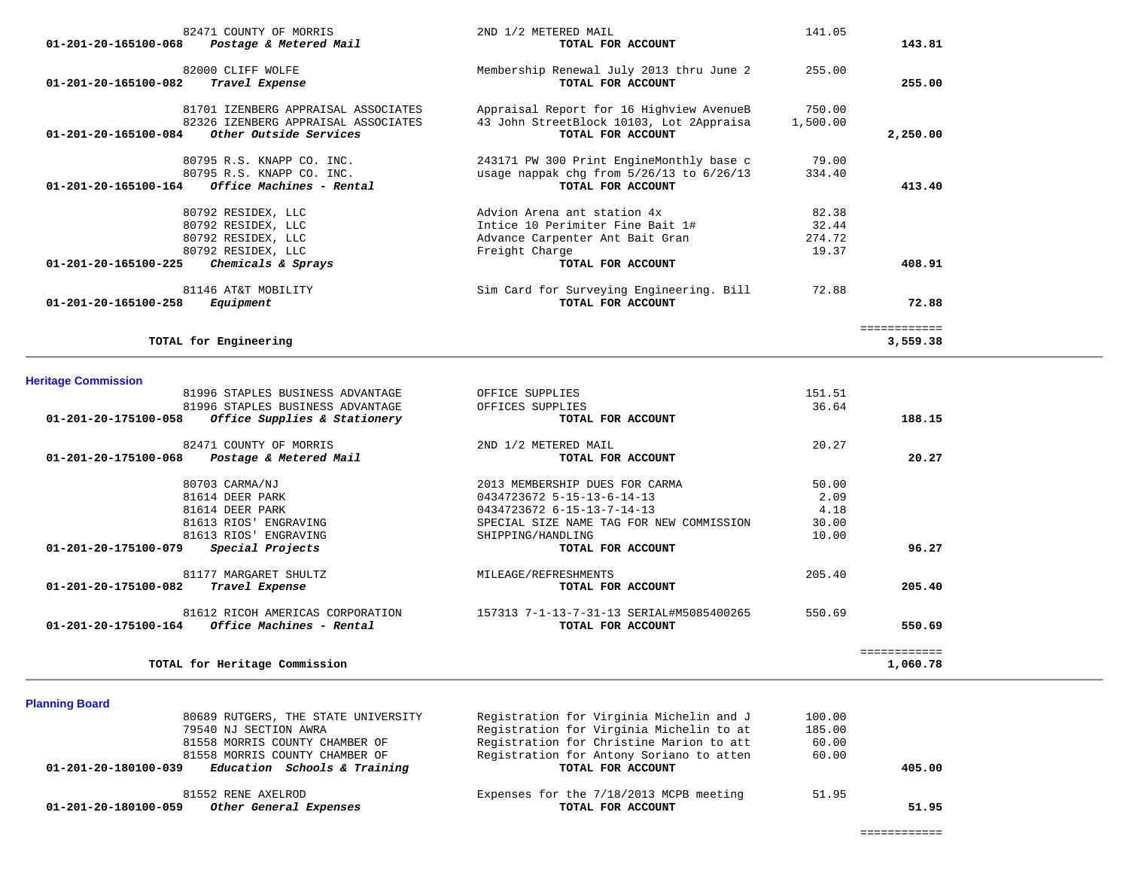| 82471 COUNTY OF MORRIS                           | 2ND 1/2 METERED MAIL                         | 141.05   |                          |
|--------------------------------------------------|----------------------------------------------|----------|--------------------------|
| Postage & Metered Mail<br>01-201-20-165100-068   | TOTAL FOR ACCOUNT                            |          | 143.81                   |
| 82000 CLIFF WOLFE                                | Membership Renewal July 2013 thru June 2     | 255.00   |                          |
| 01-201-20-165100-082<br>Travel Expense           | TOTAL FOR ACCOUNT                            |          | 255.00                   |
| 81701 IZENBERG APPRAISAL ASSOCIATES              | Appraisal Report for 16 Highview AvenueB     | 750.00   |                          |
| 82326 IZENBERG APPRAISAL ASSOCIATES              | 43 John StreetBlock 10103, Lot 2Appraisa     | 1,500.00 |                          |
| 01-201-20-165100-084<br>Other Outside Services   | TOTAL FOR ACCOUNT                            |          | 2,250.00                 |
| 80795 R.S. KNAPP CO. INC.                        | 243171 PW 300 Print EngineMonthly base c     | 79.00    |                          |
| 80795 R.S. KNAPP CO. INC.                        | usage nappak chg from $5/26/13$ to $6/26/13$ | 334.40   |                          |
| Office Machines - Rental<br>01-201-20-165100-164 | TOTAL FOR ACCOUNT                            |          | 413.40                   |
| 80792 RESIDEX, LLC                               | Advion Arena ant station 4x                  | 82.38    |                          |
| 80792 RESIDEX, LLC                               | Intice 10 Perimiter Fine Bait 1#             | 32.44    |                          |
| 80792 RESIDEX, LLC                               | Advance Carpenter Ant Bait Gran              | 274.72   |                          |
| 80792 RESIDEX, LLC                               | Freight Charge                               | 19.37    |                          |
| 01-201-20-165100-225<br>Chemicals & Sprays       | TOTAL FOR ACCOUNT                            |          | 408.91                   |
| 81146 AT&T MOBILITY                              | Sim Card for Surveying Engineering. Bill     | 72.88    |                          |
| 01-201-20-165100-258<br>Equipment                | TOTAL FOR ACCOUNT                            |          | 72.88                    |
| TOTAL for Engineering                            |                                              |          | ============<br>3,559.38 |
|                                                  |                                              |          |                          |

| atisa ntutang nantunga unitera                       |                                          |        |          |
|------------------------------------------------------|------------------------------------------|--------|----------|
| 81996 STAPLES BUSINESS ADVANTAGE                     | OFFICES SUPPLIES                         | 36.64  |          |
| Office Supplies & Stationery<br>01-201-20-175100-058 | TOTAL FOR ACCOUNT                        |        | 188.15   |
| 82471 COUNTY OF MORRIS                               | 2ND 1/2 METERED MAIL                     | 20.27  |          |
| Postage & Metered Mail<br>01-201-20-175100-068       | TOTAL FOR ACCOUNT                        |        | 20.27    |
| 80703 CARMA/NJ                                       | 2013 MEMBERSHIP DUES FOR CARMA           | 50.00  |          |
| 81614 DEER PARK                                      | 0434723672 5-15-13-6-14-13               | 2.09   |          |
| 81614 DEER PARK                                      | 0434723672 6-15-13-7-14-13               | 4.18   |          |
| 81613 RIOS' ENGRAVING                                | SPECIAL SIZE NAME TAG FOR NEW COMMISSION | 30.00  |          |
| 81613 RIOS' ENGRAVING                                | SHIPPING/HANDLING                        | 10.00  |          |
| 01-201-20-175100-079<br>Special Projects             | TOTAL FOR ACCOUNT                        |        | 96.27    |
| 81177 MARGARET SHULTZ                                | MILEAGE/REFRESHMENTS                     | 205.40 |          |
| 01-201-20-175100-082<br>Travel Expense               | TOTAL FOR ACCOUNT                        |        | 205.40   |
| 81612 RICOH AMERICAS CORPORATION                     | 157313 7-1-13-7-31-13 SERIAL#M5085400265 | 550.69 |          |
| 01-201-20-175100-164<br>Office Machines - Rental     | TOTAL FOR ACCOUNT                        |        | 550.69   |
|                                                      |                                          |        |          |
| TOTAL for Heritage Commission                        |                                          |        | 1,060.78 |

## **Planning Board**

| Other General Expenses<br>01-201-20-180100-059       | TOTAL FOR ACCOUNT                        |        | 51.95  |
|------------------------------------------------------|------------------------------------------|--------|--------|
| 81552 RENE AXELROD                                   | Expenses for the 7/18/2013 MCPB meeting  | 51.95  |        |
| Education Schools & Training<br>01-201-20-180100-039 | TOTAL FOR ACCOUNT                        |        | 405.00 |
| 81558 MORRIS COUNTY CHAMBER OF                       | Registration for Antony Soriano to atten | 60.00  |        |
| 81558 MORRIS COUNTY CHAMBER OF                       | Registration for Christine Marion to att | 60.00  |        |
| 79540 NJ SECTION AWRA                                | Registration for Virginia Michelin to at | 185.00 |        |
| 80689 RUTGERS, THE STATE UNIVERSITY                  | Registration for Virginia Michelin and J | 100.00 |        |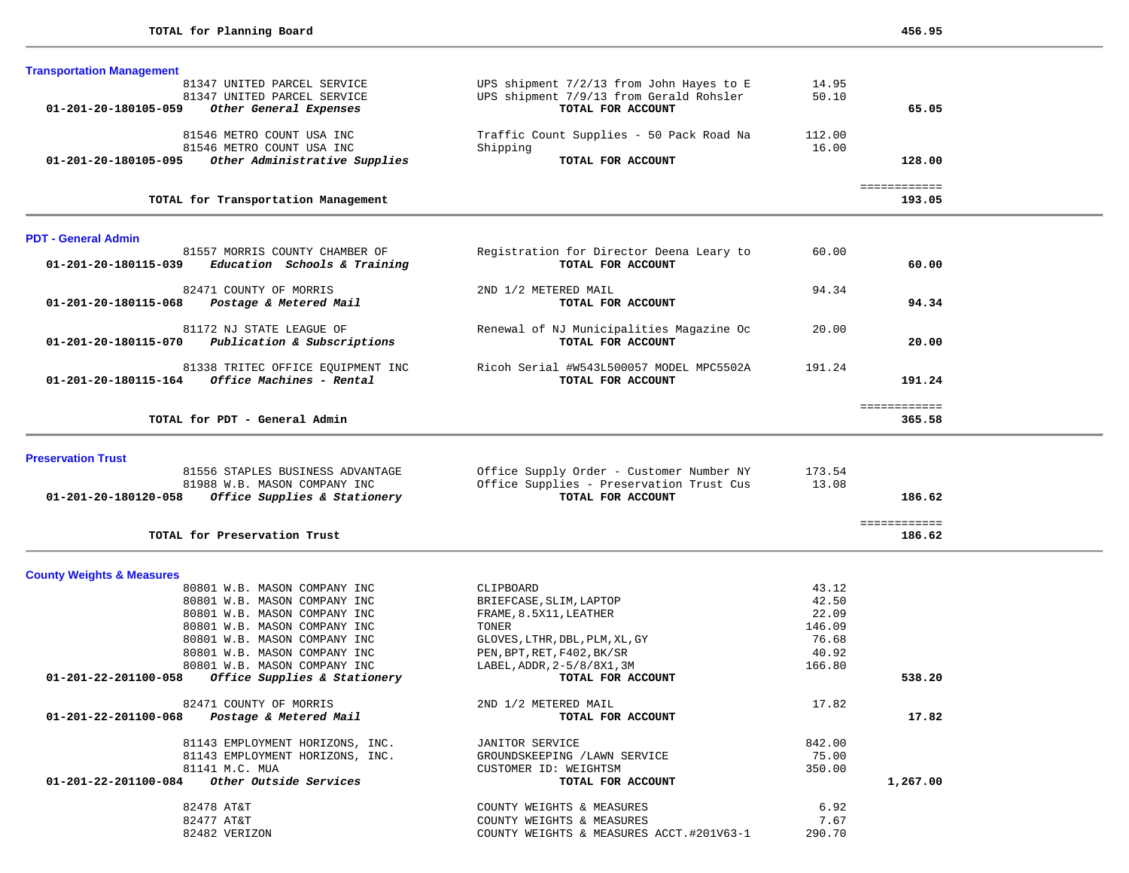| <b>Transportation Management</b>                                     |                                                                                      |                 |                        |  |
|----------------------------------------------------------------------|--------------------------------------------------------------------------------------|-----------------|------------------------|--|
| 81347 UNITED PARCEL SERVICE                                          | UPS shipment 7/2/13 from John Hayes to E                                             | 14.95           |                        |  |
| 81347 UNITED PARCEL SERVICE                                          | UPS shipment 7/9/13 from Gerald Rohsler                                              | 50.10           |                        |  |
| Other General Expenses<br>01-201-20-180105-059                       | TOTAL FOR ACCOUNT                                                                    |                 | 65.05                  |  |
| 81546 METRO COUNT USA INC                                            | Traffic Count Supplies - 50 Pack Road Na                                             | 112.00          |                        |  |
| 81546 METRO COUNT USA INC                                            | Shipping                                                                             | 16.00           |                        |  |
| Other Administrative Supplies<br>01-201-20-180105-095                | TOTAL FOR ACCOUNT                                                                    |                 | 128.00                 |  |
|                                                                      |                                                                                      |                 |                        |  |
| TOTAL for Transportation Management                                  |                                                                                      |                 | ============<br>193.05 |  |
| <b>PDT - General Admin</b>                                           |                                                                                      |                 |                        |  |
| 81557 MORRIS COUNTY CHAMBER OF                                       | Registration for Director Deena Leary to                                             | 60.00           |                        |  |
| Education Schools & Training<br>01-201-20-180115-039                 | TOTAL FOR ACCOUNT                                                                    |                 | 60.00                  |  |
| 82471 COUNTY OF MORRIS                                               | 2ND 1/2 METERED MAIL                                                                 | 94.34           |                        |  |
| 01-201-20-180115-068<br>Postage & Metered Mail                       | TOTAL FOR ACCOUNT                                                                    |                 | 94.34                  |  |
|                                                                      |                                                                                      |                 |                        |  |
| 81172 NJ STATE LEAGUE OF                                             | Renewal of NJ Municipalities Magazine Oc                                             | 20.00           |                        |  |
| Publication & Subscriptions<br>01-201-20-180115-070                  | TOTAL FOR ACCOUNT                                                                    |                 | 20.00                  |  |
| 81338 TRITEC OFFICE EOUIPMENT INC                                    | Ricoh Serial #W543L500057 MODEL MPC5502A                                             | 191.24          |                        |  |
| Office Machines - Rental<br>01-201-20-180115-164                     | TOTAL FOR ACCOUNT                                                                    |                 | 191.24                 |  |
|                                                                      |                                                                                      |                 |                        |  |
| TOTAL for PDT - General Admin                                        |                                                                                      |                 | ============<br>365.58 |  |
|                                                                      |                                                                                      |                 |                        |  |
|                                                                      |                                                                                      |                 |                        |  |
| <b>Preservation Trust</b>                                            |                                                                                      |                 |                        |  |
| 81556 STAPLES BUSINESS ADVANTAGE<br>81988 W.B. MASON COMPANY INC     | Office Supply Order - Customer Number NY<br>Office Supplies - Preservation Trust Cus | 173.54<br>13.08 |                        |  |
| Office Supplies & Stationery<br>01-201-20-180120-058                 | TOTAL FOR ACCOUNT                                                                    |                 | 186.62                 |  |
|                                                                      |                                                                                      |                 |                        |  |
| TOTAL for Preservation Trust                                         |                                                                                      |                 | ============<br>186.62 |  |
|                                                                      |                                                                                      |                 |                        |  |
|                                                                      |                                                                                      |                 |                        |  |
| <b>County Weights &amp; Measures</b><br>80801 W.B. MASON COMPANY INC | CLIPBOARD                                                                            | 43.12           |                        |  |
| 80801 W.B. MASON COMPANY INC                                         | BRIEFCASE, SLIM, LAPTOP                                                              | 42.50           |                        |  |
| 80801 W.B. MASON COMPANY INC                                         | FRAME, 8.5X11, LEATHER                                                               | 22.09           |                        |  |
| 80801 W.B. MASON COMPANY INC                                         | TONER                                                                                | 146.09          |                        |  |
| 80801 W.B. MASON COMPANY INC                                         | GLOVES, LTHR, DBL, PLM, XL, GY                                                       | 76.68           |                        |  |
| 80801 W.B. MASON COMPANY INC                                         | PEN, BPT, RET, F402, BK/SR                                                           | 40.92           |                        |  |
| 80801 W.B. MASON COMPANY INC                                         | LABEL, ADDR, 2-5/8/8X1, 3M                                                           | 166.80          |                        |  |
| 01-201-22-201100-058<br>Office Supplies & Stationery                 | TOTAL FOR ACCOUNT                                                                    |                 | 538.20                 |  |
| 82471 COUNTY OF MORRIS                                               | 2ND 1/2 METERED MAIL                                                                 | 17.82           |                        |  |
| 01-201-22-201100-068<br>Postage & Metered Mail                       | TOTAL FOR ACCOUNT                                                                    |                 | 17.82                  |  |
|                                                                      |                                                                                      |                 |                        |  |
| 81143 EMPLOYMENT HORIZONS, INC.                                      | JANITOR SERVICE                                                                      | 842.00          |                        |  |
| 81143 EMPLOYMENT HORIZONS, INC.                                      | GROUNDSKEEPING / LAWN SERVICE                                                        | 75.00           |                        |  |
| 81141 M.C. MUA<br>Other Outside Services<br>01-201-22-201100-084     | CUSTOMER ID: WEIGHTSM                                                                | 350.00          | 1,267.00               |  |
|                                                                      | TOTAL FOR ACCOUNT                                                                    |                 |                        |  |
| 82478 AT&T                                                           | COUNTY WEIGHTS & MEASURES                                                            | 6.92            |                        |  |
| 82477 AT&T                                                           | COUNTY WEIGHTS & MEASURES                                                            | 7.67            |                        |  |
| 82482 VERIZON                                                        | COUNTY WEIGHTS & MEASURES ACCT.#201V63-1                                             | 290.70          |                        |  |
|                                                                      |                                                                                      |                 |                        |  |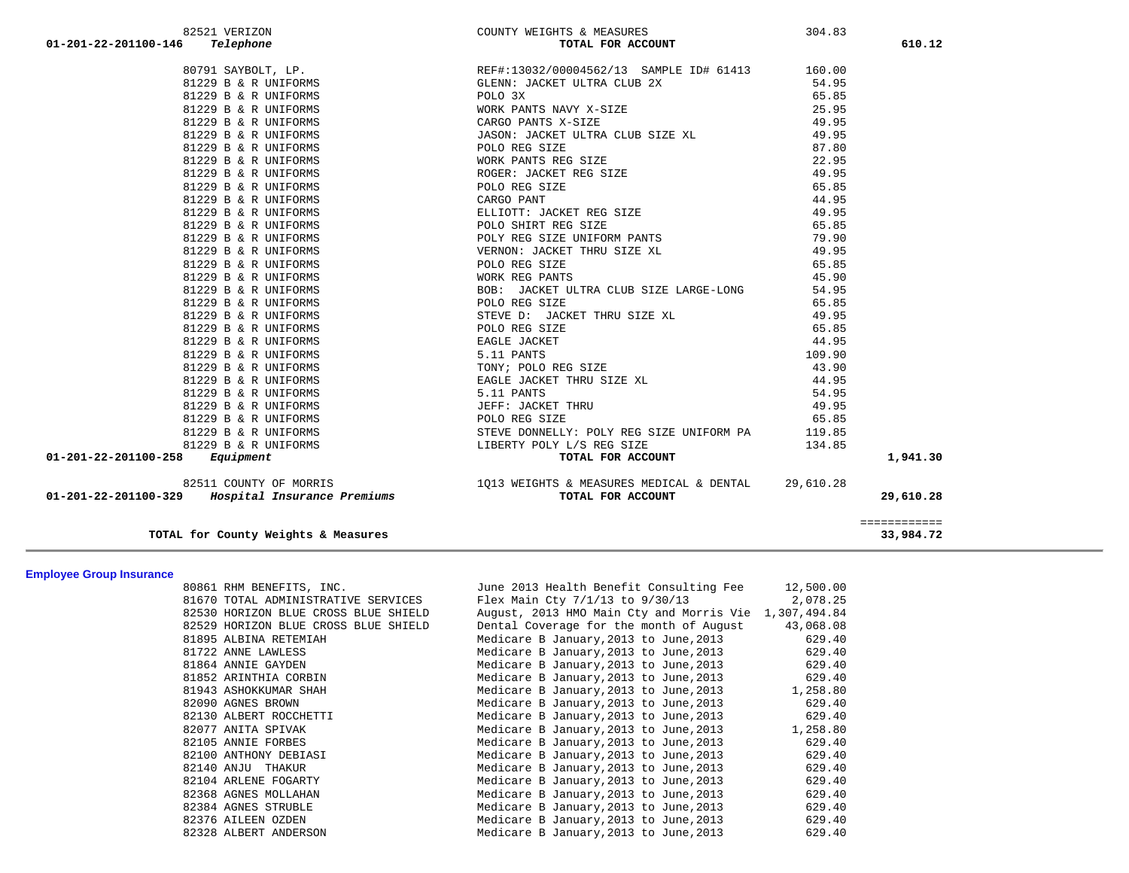| 01-201-22-201100-146<br>Telephone                | TOTAL FOR ACCOUNT                                                                                                                                                                                                                                        |       | 610.12       |
|--------------------------------------------------|----------------------------------------------------------------------------------------------------------------------------------------------------------------------------------------------------------------------------------------------------------|-------|--------------|
|                                                  |                                                                                                                                                                                                                                                          |       |              |
|                                                  |                                                                                                                                                                                                                                                          |       |              |
|                                                  |                                                                                                                                                                                                                                                          |       |              |
|                                                  | - OUR PANTS NAVY X-SIZE<br>CARGO PANTS X-SIZE<br>JASON: JACKET ULTRA CLUB SIZE XL                                                                                                                                                                        |       |              |
|                                                  |                                                                                                                                                                                                                                                          |       |              |
| 81229 B & R UNIFORMS                             |                                                                                                                                                                                                                                                          | 49.95 |              |
| 81229 B & R UNIFORMS                             | POLO REG SIZE                                                                                                                                                                                                                                            | 87.80 |              |
| 81229 B & R UNIFORMS                             |                                                                                                                                                                                                                                                          |       |              |
| 81229 B & R UNIFORMS                             |                                                                                                                                                                                                                                                          |       |              |
| 81229 B & R UNIFORMS                             |                                                                                                                                                                                                                                                          |       |              |
| 81229 B & R UNIFORMS                             |                                                                                                                                                                                                                                                          |       |              |
| 81229 B & R UNIFORMS                             |                                                                                                                                                                                                                                                          |       |              |
| 81229 B & R UNIFORMS                             |                                                                                                                                                                                                                                                          |       |              |
| 81229 B & R UNIFORMS                             |                                                                                                                                                                                                                                                          |       |              |
| 81229 B & R UNIFORMS                             |                                                                                                                                                                                                                                                          |       |              |
| 81229 B & R UNIFORMS                             |                                                                                                                                                                                                                                                          |       |              |
| 81229 B & R UNIFORMS                             |                                                                                                                                                                                                                                                          |       |              |
| 81229 B & R UNIFORMS                             |                                                                                                                                                                                                                                                          |       |              |
| 81229 B & R UNIFORMS                             |                                                                                                                                                                                                                                                          |       |              |
| 81229 B & R UNIFORMS                             |                                                                                                                                                                                                                                                          |       |              |
| 81229 B & R UNIFORMS                             |                                                                                                                                                                                                                                                          |       |              |
| 81229 B & R UNIFORMS                             |                                                                                                                                                                                                                                                          |       |              |
| 81229 B & R UNIFORMS                             |                                                                                                                                                                                                                                                          |       |              |
| 81229 B & R UNIFORMS                             |                                                                                                                                                                                                                                                          |       |              |
| 81229 B & R UNIFORMS                             |                                                                                                                                                                                                                                                          |       |              |
| 81229 B & R UNIFORMS                             |                                                                                                                                                                                                                                                          |       |              |
| 81229 B & R UNIFORMS                             |                                                                                                                                                                                                                                                          |       |              |
| 81229 B & R UNIFORMS                             |                                                                                                                                                                                                                                                          |       |              |
| 81229 B & R UNIFORMS                             |                                                                                                                                                                                                                                                          |       |              |
| 81229 B & R UNIFORMS                             |                                                                                                                                                                                                                                                          |       |              |
| $01 - 201 - 22 - 201100 - 258$ Equipment         | 95.30<br>WORK PARTS REG SIZE<br>WORK PARTS REG SIZE<br>ROGER: JACKET REG SIZE<br>CARGO PANT<br>CARGO PANT<br>ELLIOTT: JACKET REG SIZE<br>CARGO PANT<br>ELLIOTT: JACKET REG SIZE<br>POLO REG SIZE<br>POLO REG SIZE<br>POLO REG SIZE<br>POLO REG SIZE<br>P |       | 1,941.30     |
| 82511 COUNTY OF MORRIS                           | 1013 WEIGHTS & MEASURES MEDICAL & DENTAL 29,610.28                                                                                                                                                                                                       |       |              |
| 01-201-22-201100-329 Hospital Insurance Premiums | TOTAL FOR ACCOUNT                                                                                                                                                                                                                                        |       | 29,610.28    |
|                                                  |                                                                                                                                                                                                                                                          |       | ============ |

82521 VERIZON COUNTY WEIGHTS & MEASURES 304.83

**TOTAL for County Weights & Measures 33,984.72**

**Employee Group Insurance** 

| <b>Ellipiovee Gruup Ilisuranue</b> |                                      |                                                       |           |
|------------------------------------|--------------------------------------|-------------------------------------------------------|-----------|
|                                    | 80861 RHM BENEFITS, INC.             | June 2013 Health Benefit Consulting Fee               | 12,500.00 |
|                                    | 81670 TOTAL ADMINISTRATIVE SERVICES  | Flex Main Cty $7/1/13$ to $9/30/13$ 2,078.25          |           |
|                                    | 82530 HORIZON BLUE CROSS BLUE SHIELD | August, 2013 HMO Main Cty and Morris Vie 1,307,494.84 |           |
|                                    | 82529 HORIZON BLUE CROSS BLUE SHIELD | Dental Coverage for the month of August               | 43,068.08 |
|                                    | 81895 ALBINA RETEMIAH                | Medicare B January, 2013 to June, 2013                | 629.40    |
|                                    | 81722 ANNE LAWLESS                   | Medicare B January, 2013 to June, 2013                | 629.40    |
|                                    | 81864 ANNIE GAYDEN                   | Medicare B January, 2013 to June, 2013                | 629.40    |
|                                    | 81852 ARINTHIA CORBIN                | Medicare B January, 2013 to June, 2013                | 629.40    |
|                                    | 81943 ASHOKKUMAR SHAH                | Medicare B January, 2013 to June, 2013                | 1,258.80  |
|                                    | 82090 AGNES BROWN                    | Medicare B January, 2013 to June, 2013                | 629.40    |
|                                    | 82130 ALBERT ROCCHETTI               | Medicare B January, 2013 to June, 2013                | 629.40    |
|                                    | 82077 ANITA SPIVAK                   | Medicare B January, 2013 to June, 2013                | 1,258.80  |
|                                    | 82105 ANNIE FORBES                   | Medicare B January, 2013 to June, 2013                | 629.40    |
|                                    | 82100 ANTHONY DEBIASI                | Medicare B January, 2013 to June, 2013                | 629.40    |
|                                    | 82140 ANJU THAKUR                    | Medicare B January,2013 to June,2013                  | 629.40    |
|                                    | 82104 ARLENE FOGARTY                 | Medicare B January,2013 to June,2013                  | 629.40    |
|                                    | 82368 AGNES MOLLAHAN                 | Medicare B January, 2013 to June, 2013                | 629.40    |
|                                    | 82384 AGNES STRUBLE                  | Medicare B January, 2013 to June, 2013                | 629.40    |
|                                    | 82376 AILEEN OZDEN                   | Medicare B January, 2013 to June, 2013                | 629.40    |
|                                    | 82328 ALBERT ANDERSON                | Medicare B January, 2013 to June, 2013                | 629.40    |
|                                    |                                      |                                                       |           |

33,984.72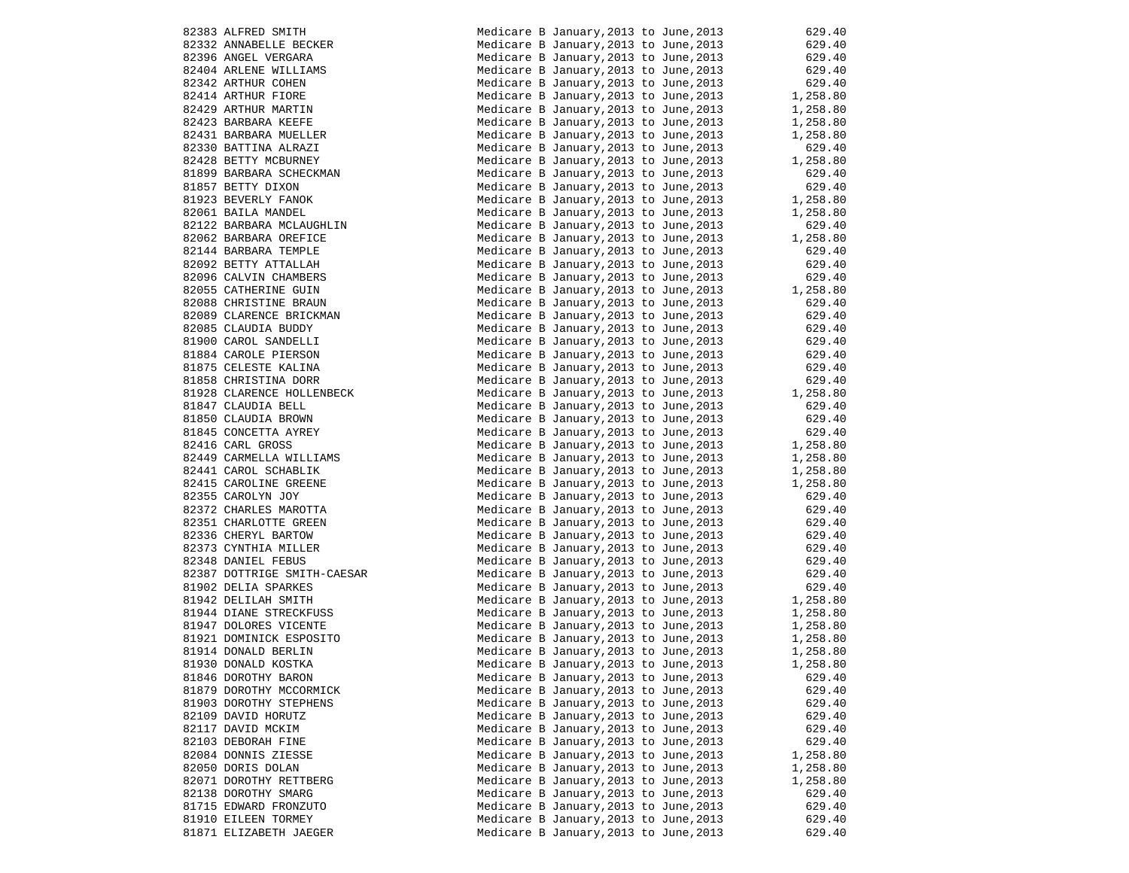| 82383 ALFRED SMITH                              | Medicare B January, 2013 to June, 2013                                           | 629.40           |
|-------------------------------------------------|----------------------------------------------------------------------------------|------------------|
| 82383 ALFRED SMIIH<br>82332 ANNABELLE BECKER    | Medicare B January, 2013 to June, 2013                                           | 629.40           |
| 82396 ANGEL VERGARA                             | Medicare B January, 2013 to June, 2013                                           | 629.40           |
| 82404 ARLENE WILLIAMS                           | Medicare B January, 2013 to June, 2013                                           | 629.40           |
| 82342 ARTHUR COHEN                              | Medicare B January, 2013 to June, 2013                                           | 629.40           |
| 82414 ARTHUR FIORE                              | Medicare B January, 2013 to June, 2013                                           | 1,258.80         |
| 82429 ARTHUR MARTIN                             | Medicare B January, 2013 to June, 2013                                           | 1,258.80         |
| 82423 BARBARA KEEFE                             | Medicare B January, 2013 to June, 2013                                           | 1,258.80         |
| 82431 BARBARA MUELLER                           | Medicare B January, 2013 to June, 2013                                           | 1,258.80         |
| 82330 BATTINA ALRAZI                            | Medicare B January, 2013 to June, 2013                                           | 629.40           |
| 82428 BETTY MCBURNEY                            | Medicare B January, 2013 to June, 2013                                           | 1,258.80         |
| 81899 BARBARA SCHECKMAN                         | Medicare B January, 2013 to June, 2013                                           | 629.40           |
| 81857 BETTY DIXON                               | Medicare B January, 2013 to June, 2013                                           | 629.40           |
| 81923 BEVERLY FANOK                             | Medicare B January, 2013 to June, 2013                                           | 1,258.80         |
| 82061 BAILA MANDEL                              | Medicare B January, 2013 to June, 2013                                           | 1,258.80         |
| 82122 BARBARA MCLAUGHLIN                        | Medicare B January, 2013 to June, 2013                                           | 629.40           |
| 82062 BARBARA OREFICE                           | Medicare B January, 2013 to June, 2013                                           | 1,258.80         |
| 82144 BARBARA TEMPLE                            | Medicare B January, 2013 to June, 2013                                           | 629.40           |
| 82092 BETTY ATTALLAH                            | Medicare B January, 2013 to June, 2013                                           | 629.40           |
| 82096 CALVIN CHAMBERS                           | Medicare B January, 2013 to June, 2013                                           | 629.40           |
| 82055 CATHERINE GUIN                            | Medicare B January, 2013 to June, 2013                                           | 1,258.80         |
| 82088 CHRISTINE BRAUN                           | Medicare B January, 2013 to June, 2013                                           | 629.40           |
| 82089 CLARENCE BRICKMAN                         | Medicare B January, 2013 to June, 2013                                           | 629.40           |
| 82085 CLAUDIA BUDDY                             | Medicare B January, 2013 to June, 2013                                           | 629.40           |
| 81900 CAROL SANDELLI                            | Medicare B January, 2013 to June, 2013                                           | 629.40           |
| 81884 CAROLE PIERSON<br>81875 CELESTE KALINA    | Medicare B January, 2013 to June, 2013<br>Medicare B January, 2013 to June, 2013 | 629.40<br>629.40 |
| 81858 CHRISTINA DORR                            | Medicare B January, 2013 to June, 2013                                           | 629.40           |
| 81928 CLARENCE HOLLENBECK                       | Medicare B January, 2013 to June, 2013                                           | 1,258.80         |
| 81847 CLAUDIA BELL                              | Medicare B January, 2013 to June, 2013                                           | 629.40           |
| 81850 CLAUDIA BROWN                             | Medicare B January, 2013 to June, 2013                                           | 629.40           |
| 81845 CONCETTA AYREY                            | Medicare B January, 2013 to June, 2013                                           | 629.40           |
| 82416 CARL GROSS                                | Medicare B January, 2013 to June, 2013                                           | 1,258.80         |
|                                                 | Medicare B January, 2013 to June, 2013                                           | 1,258.80         |
| 82449 CARMELLA WILLIAMS<br>82441 CAROL SCHABLIK | Medicare B January, 2013 to June, 2013                                           | 1,258.80         |
| 82415 CAROLINE GREENE                           | Medicare B January, 2013 to June, 2013                                           | 1,258.80         |
| 82355 CAROLYN JOY                               | Medicare B January, 2013 to June, 2013                                           | 629.40           |
| 82372 CHARLES MAROTTA                           | Medicare B January, 2013 to June, 2013                                           | 629.40           |
| 82351 CHARLOTTE GREEN                           | Medicare B January, 2013 to June, 2013                                           | 629.40           |
| 82336 CHERYL BARTOW                             | Medicare B January, 2013 to June, 2013                                           | 629.40           |
| 82373 CYNTHIA MILLER                            | Medicare B January, 2013 to June, 2013                                           | 629.40           |
| 82348 DANIEL FEBUS                              | Medicare B January, 2013 to June, 2013                                           | 629.40           |
| 82387 DOTTRIGE SMITH-CAESAR                     | Medicare B January, 2013 to June, 2013                                           | 629.40           |
| 81902 DELIA SPARKES                             | Medicare B January, 2013 to June, 2013                                           | 629.40           |
| 81942 DELILAH SMITH                             | Medicare B January, 2013 to June, 2013                                           | 1,258.80         |
| 81944 DIANE STRECKFUSS                          | Medicare B January, 2013 to June, 2013                                           | 1,258.80         |
| 81947 DOLORES VICENTE                           | Medicare B January, 2013 to June, 2013                                           | 1,258.80         |
| 81921 DOMINICK ESPOSITO                         | Medicare B January, 2013 to June, 2013                                           | 1,258.80         |
| 81914 DONALD BERLIN                             | Medicare B January, 2013 to June, 2013                                           | 1,258.80         |
| 81930 DONALD KOSTKA                             | Medicare B January, 2013 to June, 2013                                           | 1,258.80         |
| 81846 DOROTHY BARON                             | Medicare B January, 2013 to June, 2013                                           | 629.40           |
| 81879 DOROTHY MCCORMICK                         | Medicare B January, 2013 to June, 2013                                           | 629.40           |
| 81903 DOROTHY STEPHENS                          | Medicare B January, 2013 to June, 2013                                           | 629.40           |
| 82109 DAVID HORUTZ                              | Medicare B January, 2013 to June, 2013                                           | 629.40           |
| 82117 DAVID MCKIM                               | Medicare B January, 2013 to June, 2013                                           | 629.40           |
| 82103 DEBORAH FINE                              | Medicare B January, 2013 to June, 2013                                           | 629.40           |
| 82084 DONNIS ZIESSE                             | Medicare B January, 2013 to June, 2013                                           | 1,258.80         |
| 82050 DORIS DOLAN                               | Medicare B January, 2013 to June, 2013                                           | 1,258.80         |
| 82071 DOROTHY RETTBERG                          | Medicare B January, 2013 to June, 2013                                           | 1,258.80         |
| 82138 DOROTHY SMARG                             | Medicare B January, 2013 to June, 2013                                           | 629.40           |
| 81715 EDWARD FRONZUTO                           | Medicare B January, 2013 to June, 2013<br>Medicare B January, 2013 to June, 2013 | 629.40           |
| 81910 EILEEN TORMEY<br>81871 ELIZABETH JAEGER   | Medicare B January, 2013 to June, 2013                                           | 629.40<br>629.40 |
|                                                 |                                                                                  |                  |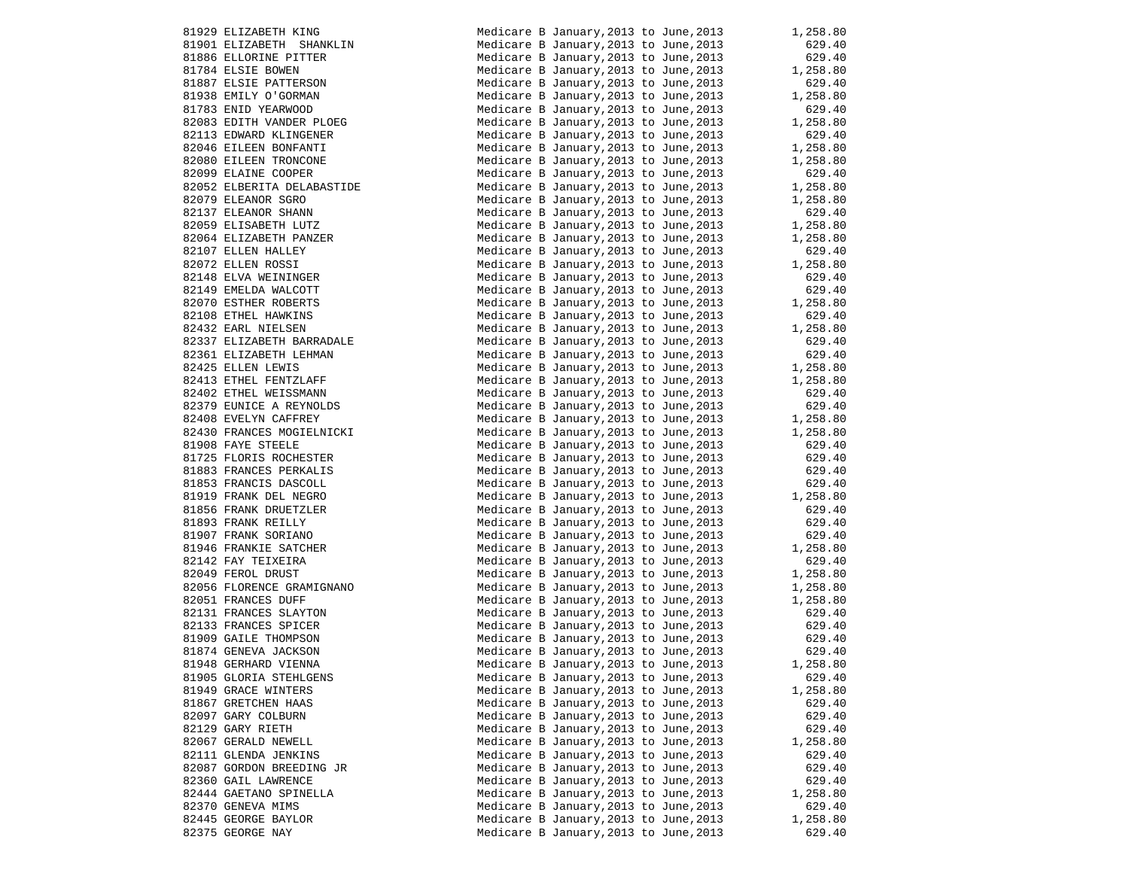| 81929 ELIZABETH KING                                                                                                                                                                                                                                         | Medicare B January, 2013 to June, 2013                                                                                                                                                                                                   | 1,258.80             |
|--------------------------------------------------------------------------------------------------------------------------------------------------------------------------------------------------------------------------------------------------------------|------------------------------------------------------------------------------------------------------------------------------------------------------------------------------------------------------------------------------------------|----------------------|
| 91901 ELIZABETH SHANKLIN<br>81901 ELIZABETH SHANKLIN<br>81886 ELLORINE PITTER<br>81784 ELSIE BOWEN<br>81887 ELSIE PATTERSON<br>81938 EMILY O'GORMAN<br>81783 ENID YEARWOOD<br>82083 EDITH VANDER PLOEG                                                       | Medicare B January, 2013 to June, 2013                                                                                                                                                                                                   | 629.40               |
|                                                                                                                                                                                                                                                              | Medicare B January, 2013 to June, 2013                                                                                                                                                                                                   | 629.40               |
|                                                                                                                                                                                                                                                              | Medicare B January, 2013 to June, 2013                                                                                                                                                                                                   | 1,258.80             |
|                                                                                                                                                                                                                                                              | Medicare B January, 2013 to June, 2013                                                                                                                                                                                                   | 629.40               |
|                                                                                                                                                                                                                                                              | Medicare B January, 2013 to June, 2013                                                                                                                                                                                                   | 1,258.80             |
|                                                                                                                                                                                                                                                              | Medicare B January, 2013 to June, 2013                                                                                                                                                                                                   | 629.40               |
|                                                                                                                                                                                                                                                              |                                                                                                                                                                                                                                          | 1,258.80             |
| 82083 EDITH VANDER PLOEG<br>82113 EDWARD KLINGENER                                                                                                                                                                                                           | Medicare B January, 2013 to June, 2013<br>Medicare B January, 2013 to June, 2013                                                                                                                                                         |                      |
|                                                                                                                                                                                                                                                              |                                                                                                                                                                                                                                          | 629.40               |
|                                                                                                                                                                                                                                                              | Medicare B January, 2013 to June, 2013                                                                                                                                                                                                   | 1,258.80             |
|                                                                                                                                                                                                                                                              | Medicare B January, 2013 to June, 2013                                                                                                                                                                                                   | 1,258.80             |
|                                                                                                                                                                                                                                                              | Medicare B January, 2013 to June, 2013                                                                                                                                                                                                   | 629.40               |
| 82046 EILEEN BONFANTI<br>82080 EILEEN TRONCONE<br>82099 ELAINE COOPER<br>82052 ELBERITA DELABASTIDE                                                                                                                                                          | Medicare B January, 2013 to June, 2013 1, 258.80                                                                                                                                                                                         |                      |
| 82052 ELBERITA DELABASTIDE<br>82079 ELEANOR SGRO<br>82137 ELEANOR SHANN<br>82059 ELISABETH LUTZ<br>82064 ELIZABETH PANZER<br>82107 ELLEN HALLEY<br>82072 ELLEN ROSSI<br>82148 ELVA WEININGER<br>82149 EMELDA WALCOTT<br>82070 ESTHER ROBERTS<br>82432 EARL H | Medicare B January, 2013 to June, 2013                                                                                                                                                                                                   | 1,258.80             |
|                                                                                                                                                                                                                                                              | Medicare B January, 2013 to June, 2013                                                                                                                                                                                                   | 629.40               |
|                                                                                                                                                                                                                                                              | Medicare B January, 2013 to June, 2013                                                                                                                                                                                                   | 1,258.80<br>1,258.80 |
|                                                                                                                                                                                                                                                              | Medicare B January, 2013 to June, 2013                                                                                                                                                                                                   |                      |
|                                                                                                                                                                                                                                                              | Medicare B January, 2013 to June, 2013                                                                                                                                                                                                   | 629.40               |
|                                                                                                                                                                                                                                                              | Medicare B January, 2013 to June, 2013                                                                                                                                                                                                   | 1,258.80             |
|                                                                                                                                                                                                                                                              |                                                                                                                                                                                                                                          |                      |
|                                                                                                                                                                                                                                                              | Medicare B January, 2013 to June, 2013<br>Medicare B January, 2013 to June, 2013                                                                                                                                                         | 629.40<br>629.40     |
|                                                                                                                                                                                                                                                              |                                                                                                                                                                                                                                          |                      |
|                                                                                                                                                                                                                                                              | Medicare B January, 2013 to June, 2013 $1,258.80$                                                                                                                                                                                        |                      |
|                                                                                                                                                                                                                                                              | Medicare B January, 2013 to June, 2013                                                                                                                                                                                                   | 629.40               |
|                                                                                                                                                                                                                                                              | Medicare B January, 2013 to June, 2013 1, 258.80<br>Medicare B January, 2013 to June, 2013 629.40                                                                                                                                        |                      |
| 82337 ELIZABETH BARRADALE                                                                                                                                                                                                                                    |                                                                                                                                                                                                                                          |                      |
| 82337 ELIZABETH LEHMAN                                                                                                                                                                                                                                       | Medicare B January, 2013 to June, 2013 629.40<br>Medicare B January, 2013 to June, 2013 1, 258.80                                                                                                                                        |                      |
| 82425 ELLEN LEWIS                                                                                                                                                                                                                                            |                                                                                                                                                                                                                                          |                      |
| 82425 ELLEN LEWIS<br>82413 ETHEL FENTZLAFF<br>82402 ETHEL WEISSMANN                                                                                                                                                                                          | Medicare B January, 2013 to June, 2013                                                                                                                                                                                                   | 1,258.80             |
|                                                                                                                                                                                                                                                              | Medicare B January, 2013 to June, 2013                                                                                                                                                                                                   | 629.40               |
|                                                                                                                                                                                                                                                              | Medicare B January, 2013 to June, 2013                                                                                                                                                                                                   | 629.40               |
| 82379 EUNICE A REYNOLDS<br>82408 EVELYN CAFFREY                                                                                                                                                                                                              | Medicare B January,2013 to June,2013                                                                                                                                                                                                     | 029.40<br>1,258.80   |
|                                                                                                                                                                                                                                                              |                                                                                                                                                                                                                                          |                      |
| 82430 FRANCES MOGIELNICKI<br>81908 FAYE STEELE                                                                                                                                                                                                               | Medicare B January, 2013 to June, 2013 1, 258.80                                                                                                                                                                                         | 629.40               |
| 81908 FAYE STEELE<br>81725 FLORIS ROCHESTER<br>8183 FRANCES PERKALIS<br>81853 FRANCES PERCOLL<br>81919 FRANK DEL NEGRO<br>81856 FRANK DEL NEGRO<br>81893 FRANK REILLY<br>81907 FRANK SORIANO<br>81946 FRANKIE SATCHER<br>82142 FAY TEIXEIRA<br>82049 FEROL D | Medicare B January,2013 to June,2013                                                                                                                                                                                                     |                      |
|                                                                                                                                                                                                                                                              | Medicare B January, 2013 to June, 2013<br>Medicare B January, 2013 to June, 2013                                                                                                                                                         | 629.40<br>629.40     |
|                                                                                                                                                                                                                                                              |                                                                                                                                                                                                                                          |                      |
|                                                                                                                                                                                                                                                              | Medicare B January, 2013 to June, 2013                                                                                                                                                                                                   | $629.40$<br>1,258.80 |
|                                                                                                                                                                                                                                                              | Medicare B January, 2013 to June, 2013                                                                                                                                                                                                   |                      |
|                                                                                                                                                                                                                                                              | Medicare B January, 2013 to June, 2013<br>Medicare B January, 2013 to June, 2013 (629.40                                                                                                                                                 |                      |
|                                                                                                                                                                                                                                                              |                                                                                                                                                                                                                                          |                      |
|                                                                                                                                                                                                                                                              | Medicare B January, 2013 to June, 2013                                                                                                                                                                                                   | 629.40               |
|                                                                                                                                                                                                                                                              | Medicare B January, 2013 to June, 2013                                                                                                                                                                                                   | 1,258.80             |
|                                                                                                                                                                                                                                                              | Medicare B January, 2013 to June, 2013                                                                                                                                                                                                   | 629.40               |
|                                                                                                                                                                                                                                                              | Medicare B January, 2013 to June, 2013                                                                                                                                                                                                   | 1,258.80             |
|                                                                                                                                                                                                                                                              | Medicare B January, 2013 to June, 2013                                                                                                                                                                                                   | 1,258.80             |
| 82051 FRANCES DUFF                                                                                                                                                                                                                                           |                                                                                                                                                                                                                                          |                      |
|                                                                                                                                                                                                                                                              |                                                                                                                                                                                                                                          |                      |
| 2231 FRANCES SLAYTON<br>82133 FRANCES SPICER<br>81909 GAILE THOMPSON<br>81874 GENEVA JACKSON<br>81948 GERHARD VIENNA                                                                                                                                         | Medicare B January, 2013 to June, 2013<br>Medicare B January, 2013 to June, 2013 629.40<br>Medicare B January, 2013 to June, 2013 629.40<br>Medicare B January, 2013 to June, 2013 629.40<br>Tanuary 2013 to June, 2013 629.40<br>10.11. |                      |
|                                                                                                                                                                                                                                                              |                                                                                                                                                                                                                                          |                      |
|                                                                                                                                                                                                                                                              |                                                                                                                                                                                                                                          |                      |
|                                                                                                                                                                                                                                                              |                                                                                                                                                                                                                                          |                      |
| 81948 GERHARD VIENNA                                                                                                                                                                                                                                         | Medicare B January, 2013 to June, 2013                                                                                                                                                                                                   | 1,258.80             |
| 81905 GLORIA STEHLGENS                                                                                                                                                                                                                                       | Medicare B January, 2013 to June, 2013                                                                                                                                                                                                   | 629.40               |
| 81949 GRACE WINTERS                                                                                                                                                                                                                                          | Medicare B January, 2013 to June, 2013                                                                                                                                                                                                   | 1,258.80             |
| 81867 GRETCHEN HAAS                                                                                                                                                                                                                                          | Medicare B January, 2013 to June, 2013                                                                                                                                                                                                   | 629.40               |
| 82097 GARY COLBURN                                                                                                                                                                                                                                           | Medicare B January, 2013 to June, 2013                                                                                                                                                                                                   | 629.40               |
| 82129 GARY RIETH                                                                                                                                                                                                                                             | Medicare B January, 2013 to June, 2013                                                                                                                                                                                                   | 629.40               |
| 82067 GERALD NEWELL                                                                                                                                                                                                                                          | Medicare B January, 2013 to June, 2013                                                                                                                                                                                                   | 1,258.80             |
|                                                                                                                                                                                                                                                              |                                                                                                                                                                                                                                          |                      |
| 82111 GLENDA JENKINS                                                                                                                                                                                                                                         | Medicare B January, 2013 to June, 2013                                                                                                                                                                                                   | 629.40               |
| 82087 GORDON BREEDING JR                                                                                                                                                                                                                                     | Medicare B January, 2013 to June, 2013                                                                                                                                                                                                   | 629.40               |
| 82360 GAIL LAWRENCE                                                                                                                                                                                                                                          | Medicare B January, 2013 to June, 2013                                                                                                                                                                                                   | 629.40               |
| 82444 GAETANO SPINELLA                                                                                                                                                                                                                                       | Medicare B January, 2013 to June, 2013                                                                                                                                                                                                   | 1,258.80             |
| 82370 GENEVA MIMS                                                                                                                                                                                                                                            | Medicare B January, 2013 to June, 2013                                                                                                                                                                                                   | 629.40               |
| 82445 GEORGE BAYLOR                                                                                                                                                                                                                                          | Medicare B January, 2013 to June, 2013                                                                                                                                                                                                   | 1,258.80             |
| 82375 GEORGE NAY                                                                                                                                                                                                                                             | Medicare B January, 2013 to June, 2013                                                                                                                                                                                                   | 629.40               |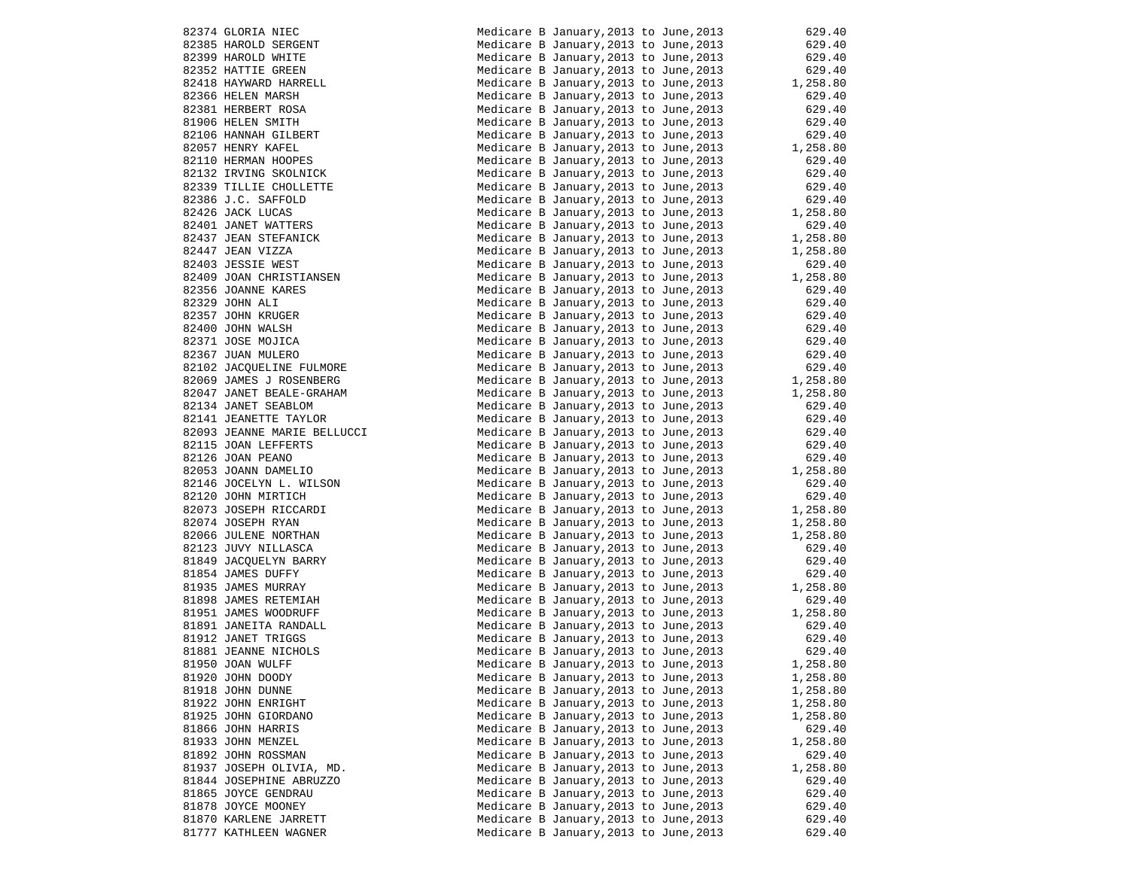|                                                                                                                                                                                                                                                                                     | Medicare B January, 2013 to June, 2013                                                                                                                                                              | 629.40               |
|-------------------------------------------------------------------------------------------------------------------------------------------------------------------------------------------------------------------------------------------------------------------------------------|-----------------------------------------------------------------------------------------------------------------------------------------------------------------------------------------------------|----------------------|
|                                                                                                                                                                                                                                                                                     | Medicare B January, 2013 to June, 2013                                                                                                                                                              | 629.40               |
|                                                                                                                                                                                                                                                                                     | Medicare B January, 2013 to June, 2013                                                                                                                                                              | 629.40               |
|                                                                                                                                                                                                                                                                                     | Medicare B January, 2013 to June, 2013                                                                                                                                                              | 629.40               |
|                                                                                                                                                                                                                                                                                     | Medicare B January, 2013 to June, 2013                                                                                                                                                              | 1,258.80             |
| 82374 GLORIA NIEC<br>82385 HAROLD SERGENT<br>82399 HAROLD WHITE<br>82352 HATTIE GREEN<br>82418 HAYWARD HARRELL<br>82366 HELEN MARSH<br>82381 HERBERT ROSA<br>81906 HELEN SMITH<br>82106 HANNAH GILBERT<br>82057 HENRY KAFEL<br>82110 HERMAH NOOPES<br>82132 IRV                     |                                                                                                                                                                                                     |                      |
|                                                                                                                                                                                                                                                                                     | Medicare B January, 2013 to June, 2013                                                                                                                                                              | 629.40               |
|                                                                                                                                                                                                                                                                                     | Medicare B January, 2013 to June, 2013                                                                                                                                                              | 629.40               |
|                                                                                                                                                                                                                                                                                     | Medicare B January, 2013 to June, 2013                                                                                                                                                              | 629.40               |
|                                                                                                                                                                                                                                                                                     | Medicare B January, 2013 to June, 2013                                                                                                                                                              | 629.40<br>1,258.80   |
|                                                                                                                                                                                                                                                                                     | Medicare B January, 2013 to June, 2013                                                                                                                                                              |                      |
|                                                                                                                                                                                                                                                                                     | Medicare B January, 2013 to June, 2013                                                                                                                                                              | 629.40               |
|                                                                                                                                                                                                                                                                                     | Medicare B January, 2013 to June, 2013                                                                                                                                                              | 629.40               |
| 82339 TILLIE CHOLLETTE                                                                                                                                                                                                                                                              | Medicare B January, 2013 to June, 2013                                                                                                                                                              |                      |
| 82386 J.C. SAFFOLD                                                                                                                                                                                                                                                                  | Medicare B January, 2013 to June, 2013                                                                                                                                                              | 629.40<br>629.40     |
|                                                                                                                                                                                                                                                                                     | Medicare B January, 2013 to June, 2013                                                                                                                                                              | 1,258.80             |
|                                                                                                                                                                                                                                                                                     | Medicare B January, 2013 to June, 2013                                                                                                                                                              | 629.40               |
|                                                                                                                                                                                                                                                                                     |                                                                                                                                                                                                     |                      |
| 82426 JACK LUCAS<br>82426 JACK LUCAS<br>82437 JEAN STEFANICK<br>82447 JEAN VIZZA<br>82403 JESSIE WEST<br>82409 JOAN CHRISTIANSEN                                                                                                                                                    | Medicare B January, 2013 to June, 2013                                                                                                                                                              | 1,258.80             |
|                                                                                                                                                                                                                                                                                     | Medicare B January, 2013 to June, 2013                                                                                                                                                              | 1,258.80             |
|                                                                                                                                                                                                                                                                                     | Medicare B January, 2013 to June, 2013                                                                                                                                                              | 629.40               |
|                                                                                                                                                                                                                                                                                     | Medicare B January, 2013 to June, 2013                                                                                                                                                              | 1,258.80             |
| 82356 JOANNE KARES                                                                                                                                                                                                                                                                  | Medicare B January, 2013 to June, 2013                                                                                                                                                              | 629.40               |
| 82329 JOHN ALI                                                                                                                                                                                                                                                                      | Medicare B January, 2013 to June, 2013                                                                                                                                                              | 629.40               |
| 82357 JOHN KRUGER                                                                                                                                                                                                                                                                   | Medicare B January, 2013 to June, 2013                                                                                                                                                              | 629.40               |
| 82400 JOHN WALSH                                                                                                                                                                                                                                                                    | Medicare B January, 2013 to June, 2013                                                                                                                                                              | 629.40               |
| 82371 JOSE MOJICA                                                                                                                                                                                                                                                                   | Medicare B January, 2013 to June, 2013                                                                                                                                                              | 629.40               |
| 82367 JUAN MULERO                                                                                                                                                                                                                                                                   | Medicare B January, 2013 to June, 2013                                                                                                                                                              | 629.40               |
| 82102 JACQUELINE FULMORE                                                                                                                                                                                                                                                            | Medicare B January, 2013 to June, 2013 629.40                                                                                                                                                       |                      |
| 82069 JAMES J ROSENBERG                                                                                                                                                                                                                                                             | Medicare B January, 2013 to June, 2013                                                                                                                                                              | 1,258.80             |
| 82047 JANET BEALE-GRAHAM                                                                                                                                                                                                                                                            | Medicare B January, 2013 to June, 2013                                                                                                                                                              | 1,258.80             |
| 82134 JANET SEABLOM                                                                                                                                                                                                                                                                 | Medicare B January, 2013 to June, 2013                                                                                                                                                              | 629.40               |
| 82141 JEANETTE TAYLOR                                                                                                                                                                                                                                                               | Medicare B January, 2013 to June, 2013                                                                                                                                                              | 629.40               |
|                                                                                                                                                                                                                                                                                     |                                                                                                                                                                                                     | 629.40               |
|                                                                                                                                                                                                                                                                                     | Medicare B January, 2013 to June, 2013<br>Medicare B January, 2013 to June, 2013                                                                                                                    | 629.40               |
| 82093 JEANNE MARIE BELLUCCI<br>82115 JOAN LEFFERTS<br>82126 JOAN PEANO                                                                                                                                                                                                              |                                                                                                                                                                                                     |                      |
| 82126 JOAN PEANO<br>82126 JOAN PEANO<br>82053 JOANN DAMELIO<br>82146 JOCELYN L. WILSON<br>82120 JOHN MIRTICH<br>82073 JOSEPH RICCARDI<br>82073 JOSEPH RICCARDI<br>82074 JOSEPH RYAN<br>82066 JULENE NORTHAN<br>81223 JUVY NILLASCA<br>81849 JAQUES DUFFY<br>81935 JAMES DUFFY<br>81 | Medicare B January, 2013 to June, 2013                                                                                                                                                              | 629.40               |
|                                                                                                                                                                                                                                                                                     | Medicare B January, 2013 to June, 2013                                                                                                                                                              | 1,258.80             |
|                                                                                                                                                                                                                                                                                     | Medicare B January, 2013 to June, 2013                                                                                                                                                              | 629.40               |
|                                                                                                                                                                                                                                                                                     | Medicare B January, 2013 to June, 2013                                                                                                                                                              | 629.40               |
|                                                                                                                                                                                                                                                                                     | Medicare B January, 2013 to June, 2013                                                                                                                                                              | 1,258.80<br>1,258.80 |
|                                                                                                                                                                                                                                                                                     | Medicare B January, 2013 to June, 2013                                                                                                                                                              |                      |
|                                                                                                                                                                                                                                                                                     | Medicare B January, 2013 to June, 2013                                                                                                                                                              | 1,258.80             |
|                                                                                                                                                                                                                                                                                     | Medicare B January, 2013 to June, 2013                                                                                                                                                              | 629.40               |
|                                                                                                                                                                                                                                                                                     | Medicare B January, 2013 to June, 2013 629.40<br>Medicare B January, 2013 to June, 2013 629.40                                                                                                      |                      |
|                                                                                                                                                                                                                                                                                     |                                                                                                                                                                                                     |                      |
|                                                                                                                                                                                                                                                                                     | Medicare B January, 2013 to June, 2013 1, 258.80<br>Medicare B January 2013 to June 2012                                                                                                            |                      |
|                                                                                                                                                                                                                                                                                     | Medicare B January, 2013 to June, 2013                                                                                                                                                              | 629.40               |
| 81951 JAMES WOODRUFF                                                                                                                                                                                                                                                                |                                                                                                                                                                                                     |                      |
| 81891 JANEITA RANDALL                                                                                                                                                                                                                                                               |                                                                                                                                                                                                     |                      |
| 81912 JANET TRIGGS                                                                                                                                                                                                                                                                  |                                                                                                                                                                                                     |                      |
| 81881 JEANNE NICHOLS                                                                                                                                                                                                                                                                | Medicare B January, 2013 to June, 2013 1, 258.80<br>Medicare B January, 2013 to June, 2013 629.40<br>Medicare B January, 2013 to June, 2013 629.40<br>Medicare B January, 2013 to June, 2013 629.40 |                      |
| 81950 JOAN WULFF                                                                                                                                                                                                                                                                    | Medicare B January, 2013 to June, 2013                                                                                                                                                              | 1,258.80             |
| 81920 JOHN DOODY                                                                                                                                                                                                                                                                    | Medicare B January, 2013 to June, 2013                                                                                                                                                              | 1,258.80             |
| 81918 JOHN DUNNE                                                                                                                                                                                                                                                                    | Medicare B January, 2013 to June, 2013                                                                                                                                                              | 1,258.80             |
| 81922 JOHN ENRIGHT                                                                                                                                                                                                                                                                  | Medicare B January, 2013 to June, 2013                                                                                                                                                              | 1,258.80             |
| 81925 JOHN GIORDANO                                                                                                                                                                                                                                                                 | Medicare B January, 2013 to June, 2013                                                                                                                                                              | 1,258.80             |
| 81866 JOHN HARRIS                                                                                                                                                                                                                                                                   | Medicare B January, 2013 to June, 2013                                                                                                                                                              | 629.40               |
| 81933 JOHN MENZEL                                                                                                                                                                                                                                                                   | Medicare B January, 2013 to June, 2013                                                                                                                                                              | 1,258.80             |
| 81892 JOHN ROSSMAN                                                                                                                                                                                                                                                                  | Medicare B January, 2013 to June, 2013                                                                                                                                                              | 629.40               |
| 81937 JOSEPH OLIVIA, MD.                                                                                                                                                                                                                                                            | Medicare B January, 2013 to June, 2013                                                                                                                                                              | 1,258.80             |
| 81844 JOSEPHINE ABRUZZO                                                                                                                                                                                                                                                             | Medicare B January, 2013 to June, 2013                                                                                                                                                              | 629.40               |
| 81865 JOYCE GENDRAU                                                                                                                                                                                                                                                                 | Medicare B January, 2013 to June, 2013                                                                                                                                                              | 629.40               |
| 81878 JOYCE MOONEY                                                                                                                                                                                                                                                                  |                                                                                                                                                                                                     |                      |
|                                                                                                                                                                                                                                                                                     | Medicare B January, 2013 to June, 2013                                                                                                                                                              | 629.40               |
| 81870 KARLENE JARRETT                                                                                                                                                                                                                                                               | Medicare B January, 2013 to June, 2013                                                                                                                                                              | 629.40               |
| 81777 KATHLEEN WAGNER                                                                                                                                                                                                                                                               | Medicare B January, 2013 to June, 2013                                                                                                                                                              | 629.40               |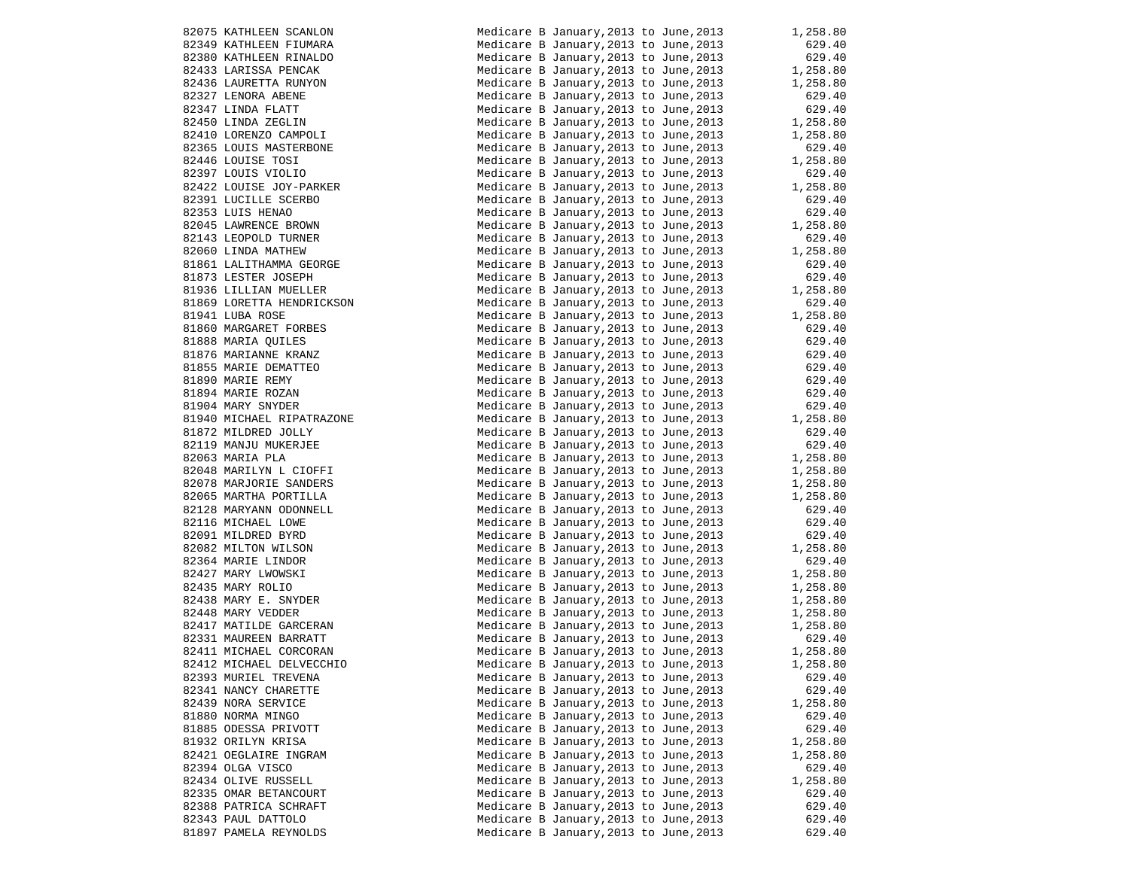| 82075 KATHLEEN SCANLON                                                                                                                                                                                                                          | Medicare B January, 2013 to June, 2013            | 1,258.80             |
|-------------------------------------------------------------------------------------------------------------------------------------------------------------------------------------------------------------------------------------------------|---------------------------------------------------|----------------------|
|                                                                                                                                                                                                                                                 | Medicare B January, 2013 to June, 2013            | 629.40               |
|                                                                                                                                                                                                                                                 | Medicare B January, 2013 to June, 2013            | 629.40               |
|                                                                                                                                                                                                                                                 |                                                   |                      |
| 82075 KATHLEEN SCANLON<br>82349 KATHLEEN FIUMARA<br>82380 KATHLEEN RINALDO<br>82433 LARISSA PENCAK<br>82436 LAURETTA RUNYON<br>82327 LENORA ABENE<br>82347 LINDA FLATT<br>82450 LINDA ZEGLIN<br>82410 LORENZO CAMPOLI<br>82365 LOUIS MASTERBONE | Medicare B January, 2013 to June, 2013            | 1,258.80             |
|                                                                                                                                                                                                                                                 | Medicare B January, 2013 to June, 2013            | 1,258.80             |
|                                                                                                                                                                                                                                                 | Medicare B January, 2013 to June, 2013            | 629.40               |
|                                                                                                                                                                                                                                                 |                                                   |                      |
|                                                                                                                                                                                                                                                 | Medicare B January, 2013 to June, 2013            | 629.40               |
|                                                                                                                                                                                                                                                 | Medicare B January, 2013 to June, 2013            | 1,258.80             |
|                                                                                                                                                                                                                                                 | Medicare B January, 2013 to June, 2013            | 1,258.80             |
|                                                                                                                                                                                                                                                 |                                                   |                      |
| 82365 LOUIS MASTERBONE                                                                                                                                                                                                                          | Medicare B January, 2013 to June, 2013            | 629.40               |
| 82446 LOUISE TOSI                                                                                                                                                                                                                               | Medicare B January, 2013 to June, 2013            | 1,258.80             |
| 82397 LOUIS VIOLIO                                                                                                                                                                                                                              | Medicare B January,2013 to June,2013              | 629.40               |
|                                                                                                                                                                                                                                                 |                                                   |                      |
| 82422 LOUISE JOY-PARKER                                                                                                                                                                                                                         | Medicare B January, 2013 to June, 2013            | 1,258.80             |
| 82391 LUCILLE SCERBO                                                                                                                                                                                                                            | Medicare B January, 2013 to June, 2013            | 629.40               |
| 82353 LUIS HENAO                                                                                                                                                                                                                                | Medicare B January, 2013 to June, 2013            | 629.40               |
| 82353 LUIS HENAO<br>82045 LAWRENCE BROWN                                                                                                                                                                                                        | Medicare B January, 2013 to June, 2013            | 1,258.80             |
|                                                                                                                                                                                                                                                 |                                                   |                      |
| 82143 LEOPOLD TURNER                                                                                                                                                                                                                            | Medicare B January, 2013 to June, 2013            | 629.40               |
| 82060 LINDA MATHEW                                                                                                                                                                                                                              | Medicare B January,2013 to June,2013              | 1,258.80             |
| 81861 LALITHAMMA GEORGE                                                                                                                                                                                                                         | Medicare B January, 2013 to June, 2013            | 629.40               |
|                                                                                                                                                                                                                                                 |                                                   |                      |
| 81873 LESTER JOSEPH                                                                                                                                                                                                                             | Medicare B January,2013 to June,2013              | 629.40               |
| 81936 LILLIAN MUELLER                                                                                                                                                                                                                           | Medicare B January, 2013 to June, 2013 $1,258.80$ |                      |
| 81869 LORETTA HENDRICKSON                                                                                                                                                                                                                       | Medicare B January, 2013 to June, 2013            | 629.40               |
|                                                                                                                                                                                                                                                 |                                                   |                      |
| 81941 LUBA ROSE                                                                                                                                                                                                                                 | Medicare B January, 2013 to June, 2013            | 1,258.80             |
|                                                                                                                                                                                                                                                 | Medicare B January, 2013 to June, 2013            | 629.40               |
|                                                                                                                                                                                                                                                 | Medicare B January, 2013 to June, 2013            |                      |
|                                                                                                                                                                                                                                                 |                                                   | 629.40<br>629.40     |
| 81860 MARGARET FORBES<br>81888 MARIA QUILES<br>81876 MARIANNE KRANZ                                                                                                                                                                             | Medicare B January, 2013 to June, 2013            |                      |
| 81855 MARIE DEMATTEO                                                                                                                                                                                                                            | Medicare B January, 2013 to June, 2013            | $629.40$<br>$629.40$ |
| 81890 MARIE REMY                                                                                                                                                                                                                                | Medicare B January, 2013 to June, 2013            |                      |
|                                                                                                                                                                                                                                                 | Medicare B January, 2013 to June, 2013            |                      |
| 81894 MARIE ROZAN                                                                                                                                                                                                                               |                                                   | 629.40               |
| 81904 MARY SNYDER                                                                                                                                                                                                                               | Medicare B January, 2013 to June, 2013            | 629.40               |
| 81940 MICHAEL RIPATRAZONE                                                                                                                                                                                                                       | Medicare B January, 2013 to June, 2013 $1,258.80$ |                      |
| 81872 MILDRED JOLLY                                                                                                                                                                                                                             | Medicare B January, 2013 to June, 2013            | 629.40               |
|                                                                                                                                                                                                                                                 |                                                   |                      |
| 81872 MILDRED JOLLY<br>82119 MANJU MUKERJEE<br>82063 MARIA PLA                                                                                                                                                                                  | Medicare B January, 2013 to June, 2013            | 629.40               |
| 82063 MARIA PLA                                                                                                                                                                                                                                 | Medicare B January, 2013 to June, 2013            | 1,258.80             |
| 82048 MARILYN L CIOFFI                                                                                                                                                                                                                          | Medicare B January, 2013 to June, 2013            | 1,258.80             |
|                                                                                                                                                                                                                                                 |                                                   |                      |
| 82048 MARILIN L CICI<br>82078 MARJORIE SANDERS<br>82065 MARTHA PORTILLA                                                                                                                                                                         | Medicare B January, 2013 to June, 2013            | 1,258.80             |
|                                                                                                                                                                                                                                                 | Medicare B January, 2013 to June, 2013            | 1,258.80             |
|                                                                                                                                                                                                                                                 | Medicare B January, 2013 to June, 2013            | 629.40               |
| 82070<br>82065 MARTHA PORTIBLE<br>82128 MARYANN ODONNELL<br>116 MICHAEL LOWE                                                                                                                                                                    |                                                   |                      |
|                                                                                                                                                                                                                                                 | Medicare B January, 2013 to June, 2013            | 629.40               |
|                                                                                                                                                                                                                                                 | Medicare B January, 2013 to June, 2013            | 629.40               |
| 82091 MILDRED BYRD<br>82082 MILTON WILSON<br>82364 MARIE LINDOR<br>82427 MARY LWOWSKI<br>82435 MARY ROLIO<br>82438 MARY E. SNYDER<br>82448 MARY VEDDER                                                                                          | Medicare B January, 2013 to June, 2013            | 1,258.80             |
|                                                                                                                                                                                                                                                 |                                                   |                      |
|                                                                                                                                                                                                                                                 | Medicare B January, 2013 to June, 2013            | 629.40               |
|                                                                                                                                                                                                                                                 | Medicare B January, 2013 to June, 2013            | 1,258.80             |
|                                                                                                                                                                                                                                                 | Medicare B January, 2013 to June, 2013            | 1,258.80             |
|                                                                                                                                                                                                                                                 | Medicare B January, 2013 to June, 2013            | 1,258.80             |
|                                                                                                                                                                                                                                                 |                                                   |                      |
|                                                                                                                                                                                                                                                 | Medicare B January, 2013 to June, 2013            | 1,258.80             |
| 82417 MATILDE GARCERAN                                                                                                                                                                                                                          | Medicare B January, 2013 to June, 2013            | 1,258.80             |
|                                                                                                                                                                                                                                                 | Medicare B January, 2013 to June, 2013            | 629.40               |
| 82417 MATILLE GARRATT<br>82331 MAUREEN BARRATT<br>1111 MICHARI, CORCORAN                                                                                                                                                                        |                                                   |                      |
|                                                                                                                                                                                                                                                 | Medicare B January, 2013 to June, 2013            | 1,258.80             |
| 82412 MICHAEL DELVECCHIO                                                                                                                                                                                                                        | Medicare B January, 2013 to June, 2013            | 1,258.80             |
| 82393 MURIEL TREVENA                                                                                                                                                                                                                            | Medicare B January, 2013 to June, 2013            | 629.40               |
|                                                                                                                                                                                                                                                 |                                                   |                      |
| 82341 NANCY CHARETTE                                                                                                                                                                                                                            | Medicare B January, 2013 to June, 2013            | 629.40               |
| 82439 NORA SERVICE                                                                                                                                                                                                                              | Medicare B January, 2013 to June, 2013            | 1,258.80             |
| 81880 NORMA MINGO                                                                                                                                                                                                                               | Medicare B January, 2013 to June, 2013            | 629.40               |
| 81885 ODESSA PRIVOTT                                                                                                                                                                                                                            | Medicare B January, 2013 to June, 2013            | 629.40               |
|                                                                                                                                                                                                                                                 |                                                   |                      |
| 81932 ORILYN KRISA                                                                                                                                                                                                                              | Medicare B January, 2013 to June, 2013            | 1,258.80             |
| 82421 OEGLAIRE INGRAM                                                                                                                                                                                                                           | Medicare B January, 2013 to June, 2013            | 1,258.80             |
| 82394 OLGA VISCO                                                                                                                                                                                                                                | Medicare B January, 2013 to June, 2013            | 629.40               |
|                                                                                                                                                                                                                                                 |                                                   |                      |
| 82434 OLIVE RUSSELL                                                                                                                                                                                                                             | Medicare B January, 2013 to June, 2013            | 1,258.80             |
| 82335 OMAR BETANCOURT                                                                                                                                                                                                                           | Medicare B January, 2013 to June, 2013            | 629.40               |
| 82388 PATRICA SCHRAFT                                                                                                                                                                                                                           | Medicare B January, 2013 to June, 2013            | 629.40               |
| 82343 PAUL DATTOLO                                                                                                                                                                                                                              |                                                   |                      |
|                                                                                                                                                                                                                                                 | Medicare B January, 2013 to June, 2013            | 629.40               |
| 81897 PAMELA REYNOLDS                                                                                                                                                                                                                           | Medicare B January, 2013 to June, 2013            | 629.40               |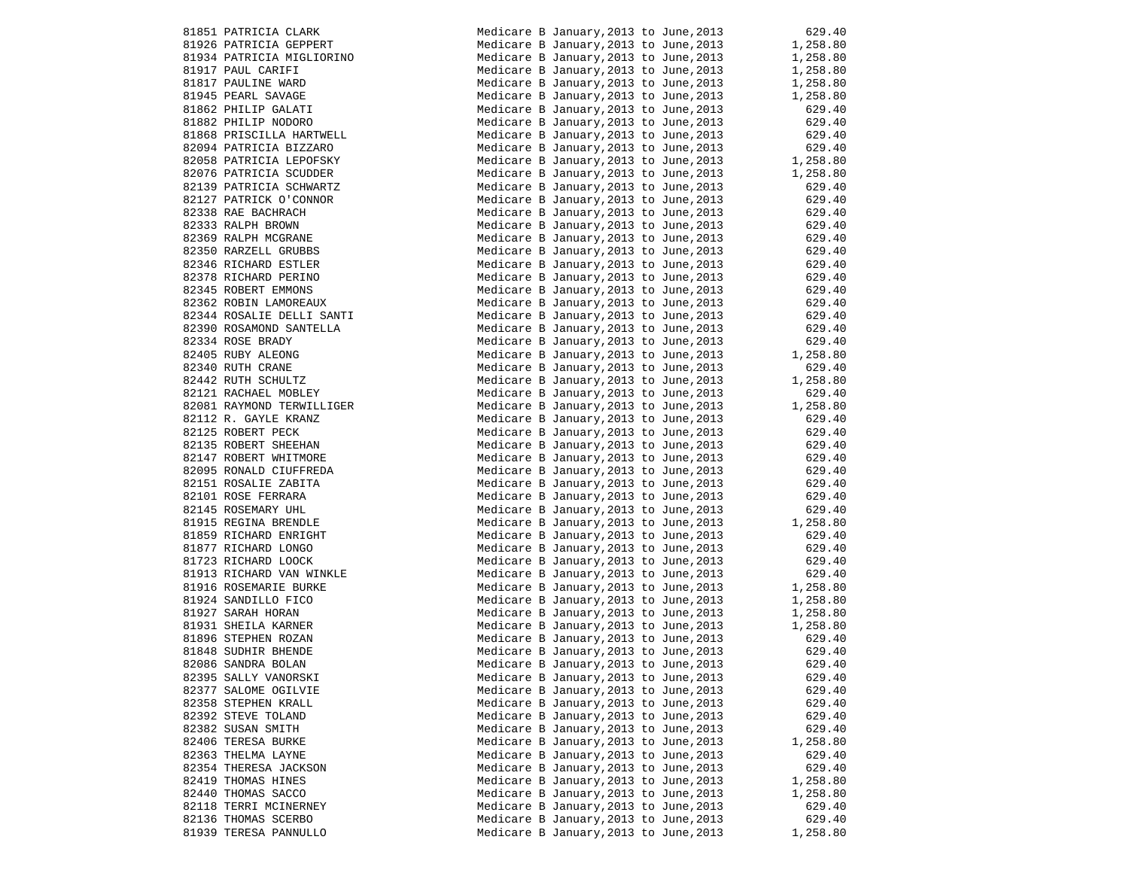|                                                                                                                                                                                                                                                                                                                                                                                                                                                                                     | Medicare B January, 2013 to June, 2013                                           | 629.40                                                                                                 |
|-------------------------------------------------------------------------------------------------------------------------------------------------------------------------------------------------------------------------------------------------------------------------------------------------------------------------------------------------------------------------------------------------------------------------------------------------------------------------------------|----------------------------------------------------------------------------------|--------------------------------------------------------------------------------------------------------|
| 81851 PATRICIA CLARK<br>81926 PATRICIA GEPPERT                                                                                                                                                                                                                                                                                                                                                                                                                                      | Medicare B January, 2013 to June, 2013                                           | 1,258.80                                                                                               |
| 81934 PATRICIA MIGLIORINO                                                                                                                                                                                                                                                                                                                                                                                                                                                           | Medicare B January, 2013 to June, 2013                                           | 1,258.80                                                                                               |
| 81917 PAUL CARIFI<br>$\begin{array}{c} \mathbf{r} \\ \mathbf{r} \\ \mathbf{r} \\ \mathbf{r} \\ \mathbf{r} \\ \mathbf{r} \\ \mathbf{r} \\ \mathbf{r} \\ \mathbf{r} \\ \mathbf{r} \\ \mathbf{r} \\ \mathbf{r} \\ \mathbf{r} \\ \mathbf{r} \\ \mathbf{r} \\ \mathbf{r} \\ \mathbf{r} \\ \mathbf{r} \\ \mathbf{r} \\ \mathbf{r} \\ \mathbf{r} \\ \mathbf{r} \\ \mathbf{r} \\ \mathbf{r} \\ \mathbf{r} \\ \mathbf{r} \\ \mathbf{r} \\ \mathbf{r} \\ \mathbf{r} \\ \mathbf{r} \\ \mathbf$ | Medicare B January, 2013 to June, 2013                                           | 1,258.80                                                                                               |
| 81817 PAULINE WARD                                                                                                                                                                                                                                                                                                                                                                                                                                                                  | Medicare B January, 2013 to June, 2013                                           | 1,258.80                                                                                               |
| 81945 PEARL SAVAGE                                                                                                                                                                                                                                                                                                                                                                                                                                                                  | Medicare B January, 2013 to June, 2013                                           | 1,258.80                                                                                               |
| 81862 PHILIP GALATI                                                                                                                                                                                                                                                                                                                                                                                                                                                                 | Medicare B January, 2013 to June, 2013                                           | 629.40                                                                                                 |
| 81882 PHILIP NODORO                                                                                                                                                                                                                                                                                                                                                                                                                                                                 | Medicare B January, 2013 to June, 2013                                           | 629.40<br>629.40                                                                                       |
| 81868 PRISCILLA HARTWELL                                                                                                                                                                                                                                                                                                                                                                                                                                                            | Medicare B January, 2013 to June, 2013                                           |                                                                                                        |
| 82094 PATRICIA BIZZARO                                                                                                                                                                                                                                                                                                                                                                                                                                                              | Medicare B January, 2013 to June, 2013                                           | 629.40                                                                                                 |
| 82058 PATRICIA LEPOFSKY                                                                                                                                                                                                                                                                                                                                                                                                                                                             | Medicare B January, 2013 to June, 2013                                           | 1,258.80                                                                                               |
| 82076 PATRICIA SCUDDER                                                                                                                                                                                                                                                                                                                                                                                                                                                              | Medicare B January, 2013 to June, 2013                                           | 1,258.80                                                                                               |
| 82139 PATRICIA SCHWARTZ                                                                                                                                                                                                                                                                                                                                                                                                                                                             | Medicare B January, 2013 to June, 2013                                           |                                                                                                        |
| 82139 PATRICIA SCHWARTZ<br>82127 PATRICK O'CONNOR<br>82338 RAE BACHRACH<br>82333 RALPH BROWN<br>82369 RALPH MCGRANE<br>82350 RARZELL GRUBBS<br>82346 RICHARD ESTLER<br>82378 RICHARD PERINO<br>82345 ROBERT EMMONS<br>82362 ROBIN LAMOREAUX                                                                                                                                                                                                                                         | Medicare B January, 2013 to June, 2013                                           | $629.40$<br>$629.40$<br>$629.40$<br>$629.40$<br>$629.40$<br>$629.40$<br>$629.40$                       |
|                                                                                                                                                                                                                                                                                                                                                                                                                                                                                     | Medicare B January, 2013 to June, 2013                                           |                                                                                                        |
|                                                                                                                                                                                                                                                                                                                                                                                                                                                                                     | Medicare B January, 2013 to June, 2013                                           |                                                                                                        |
|                                                                                                                                                                                                                                                                                                                                                                                                                                                                                     | Medicare B January, 2013 to June, 2013                                           |                                                                                                        |
|                                                                                                                                                                                                                                                                                                                                                                                                                                                                                     | Medicare B January, 2013 to June, 2013                                           |                                                                                                        |
|                                                                                                                                                                                                                                                                                                                                                                                                                                                                                     | Medicare B January, 2013 to June, 2013                                           |                                                                                                        |
|                                                                                                                                                                                                                                                                                                                                                                                                                                                                                     | Medicare B January, 2013 to June, 2013                                           |                                                                                                        |
|                                                                                                                                                                                                                                                                                                                                                                                                                                                                                     | Medicare B January, 2013 to June, 2013                                           |                                                                                                        |
|                                                                                                                                                                                                                                                                                                                                                                                                                                                                                     | Medicare B January, 2013 to June, 2013                                           |                                                                                                        |
| 82344 ROSALIE DELLI SANTI<br>82390 ROSAMOND SANTELLA                                                                                                                                                                                                                                                                                                                                                                                                                                | Medicare B January, 2013 to June, 2013<br>Medicare B January, 2013 to June, 2013 |                                                                                                        |
| 82334 ROSE BRADY                                                                                                                                                                                                                                                                                                                                                                                                                                                                    | Medicare B January, 2013 to June, 2013                                           | $629.40$<br>$629.40$<br>$629.40$<br>$629.40$<br>$629.40$<br>$629.40$<br>$629.40$<br>$629.40$<br>629.40 |
| 82405 RUBY ALEONG                                                                                                                                                                                                                                                                                                                                                                                                                                                                   | Medicare B January, 2013 to June, 2013                                           | 1,258.80                                                                                               |
| 82340 RUTH CRANE                                                                                                                                                                                                                                                                                                                                                                                                                                                                    | Medicare B January, 2013 to June, 2013                                           | 629.40                                                                                                 |
| 82442 RUTH SCHULTZ                                                                                                                                                                                                                                                                                                                                                                                                                                                                  | Medicare B January, 2013 to June, 2013                                           | 1,258.80                                                                                               |
| 82121 RACHAEL MOBLEY                                                                                                                                                                                                                                                                                                                                                                                                                                                                | Medicare B January, 2013 to June, 2013                                           | 629.40                                                                                                 |
| 82081 RAYMOND TERWILLIGER                                                                                                                                                                                                                                                                                                                                                                                                                                                           | Medicare B January, 2013 to June, 2013                                           | 1,258.80                                                                                               |
| <b>S2112 R. GAYLE KRANZ<br/> S2112 R. GAYLE KRANZ<br/> S2125 ROBERT PECK<br/> S2135 ROBERT SHEEHAN<br/> S2147 ROBERT WHITMORE<br/> S2095 RONALD CIUFFREDA<br/> S2151 ROSALIE ZABITA<br/> S2101 ROSE FERRARA<br/> S2145 ROSEMARY UHL<br/> S1859 RICHARD ENRIGHT<br/> S185</b>                                                                                                                                                                                                        | Medicare B January, 2013 to June, 2013                                           |                                                                                                        |
|                                                                                                                                                                                                                                                                                                                                                                                                                                                                                     | Medicare B January, 2013 to June, 2013                                           | 629.40<br>629.40                                                                                       |
|                                                                                                                                                                                                                                                                                                                                                                                                                                                                                     | Medicare B January, 2013 to June, 2013                                           |                                                                                                        |
|                                                                                                                                                                                                                                                                                                                                                                                                                                                                                     | Medicare B January, 2013 to June, 2013                                           | 629.40<br>629.40                                                                                       |
|                                                                                                                                                                                                                                                                                                                                                                                                                                                                                     | Medicare B January, 2013 to June, 2013                                           |                                                                                                        |
|                                                                                                                                                                                                                                                                                                                                                                                                                                                                                     | Medicare B January, 2013 to June, 2013                                           | 629.40<br>629.40                                                                                       |
|                                                                                                                                                                                                                                                                                                                                                                                                                                                                                     | Medicare B January, 2013 to June, 2013                                           | 629.40                                                                                                 |
|                                                                                                                                                                                                                                                                                                                                                                                                                                                                                     | Medicare B January, 2013 to June, 2013                                           | 629.40                                                                                                 |
|                                                                                                                                                                                                                                                                                                                                                                                                                                                                                     | Medicare B January, 2013 to June, 2013                                           | 1,258.80                                                                                               |
|                                                                                                                                                                                                                                                                                                                                                                                                                                                                                     | Medicare B January, 2013 to June, 2013                                           | 629.40                                                                                                 |
| 81877 RICHARD LONGO                                                                                                                                                                                                                                                                                                                                                                                                                                                                 | Medicare B January, 2013 to June, 2013                                           | 629.40<br>629.40                                                                                       |
| 81723 RICHARD LOOCK                                                                                                                                                                                                                                                                                                                                                                                                                                                                 | Medicare B January, 2013 to June, 2013                                           |                                                                                                        |
| 81913 RICHARD VAN WINKLE                                                                                                                                                                                                                                                                                                                                                                                                                                                            | Medicare B January, 2013 to June, 2013                                           | 629.40<br>1,258.80                                                                                     |
| 81916 ROSEMARIE BURKE                                                                                                                                                                                                                                                                                                                                                                                                                                                               | Medicare B January, 2013 to June, 2013                                           |                                                                                                        |
| 81924 SANDILLO FICO                                                                                                                                                                                                                                                                                                                                                                                                                                                                 | Medicare B January, 2013 to June, 2013                                           | 1,258.80                                                                                               |
| 81927 SARAH HORAN                                                                                                                                                                                                                                                                                                                                                                                                                                                                   | Medicare B January, 2013 to June, 2013                                           | 1,258.80                                                                                               |
| 81931 SHEILA KARNER                                                                                                                                                                                                                                                                                                                                                                                                                                                                 | Medicare B January, 2013 to June, 2013                                           | 1,258.80                                                                                               |
| 81896 STEPHEN ROZAN                                                                                                                                                                                                                                                                                                                                                                                                                                                                 | Medicare B January, 2013 to June, 2013                                           | 629.40                                                                                                 |
| 81848 SUDHIR BHENDE                                                                                                                                                                                                                                                                                                                                                                                                                                                                 | Medicare B January, 2013 to June, 2013                                           | 629.40                                                                                                 |
| 82086 SANDRA BOLAN                                                                                                                                                                                                                                                                                                                                                                                                                                                                  | Medicare B January, 2013 to June, 2013                                           | 629.40                                                                                                 |
| 82395 SALLY VANORSKI<br>82377 SALOME OGILVIE                                                                                                                                                                                                                                                                                                                                                                                                                                        | Medicare B January, 2013 to June, 2013<br>Medicare B January, 2013 to June, 2013 | 629.40                                                                                                 |
| 82358 STEPHEN KRALL                                                                                                                                                                                                                                                                                                                                                                                                                                                                 | Medicare B January, 2013 to June, 2013                                           | 629.40<br>629.40                                                                                       |
| 82392 STEVE TOLAND                                                                                                                                                                                                                                                                                                                                                                                                                                                                  | Medicare B January, 2013 to June, 2013                                           | 629.40                                                                                                 |
| 82382 SUSAN SMITH                                                                                                                                                                                                                                                                                                                                                                                                                                                                   | Medicare B January, 2013 to June, 2013                                           | 629.40                                                                                                 |
| 82406 TERESA BURKE                                                                                                                                                                                                                                                                                                                                                                                                                                                                  | Medicare B January, 2013 to June, 2013                                           | 1,258.80                                                                                               |
| 82363 THELMA LAYNE                                                                                                                                                                                                                                                                                                                                                                                                                                                                  | Medicare B January, 2013 to June, 2013                                           | 629.40                                                                                                 |
| 82354 THERESA JACKSON                                                                                                                                                                                                                                                                                                                                                                                                                                                               | Medicare B January, 2013 to June, 2013                                           | 629.40                                                                                                 |
| 82419 THOMAS HINES                                                                                                                                                                                                                                                                                                                                                                                                                                                                  | Medicare B January, 2013 to June, 2013                                           | 1,258.80                                                                                               |
| 82440 THOMAS SACCO                                                                                                                                                                                                                                                                                                                                                                                                                                                                  | Medicare B January, 2013 to June, 2013                                           | 1,258.80                                                                                               |
| 82118 TERRI MCINERNEY                                                                                                                                                                                                                                                                                                                                                                                                                                                               | Medicare B January, 2013 to June, 2013                                           | 629.40                                                                                                 |
| 82136 THOMAS SCERBO                                                                                                                                                                                                                                                                                                                                                                                                                                                                 | Medicare B January, 2013 to June, 2013                                           | 629.40                                                                                                 |
| 81939 TERESA PANNULLO                                                                                                                                                                                                                                                                                                                                                                                                                                                               | Medicare B January, 2013 to June, 2013                                           | 1,258.80                                                                                               |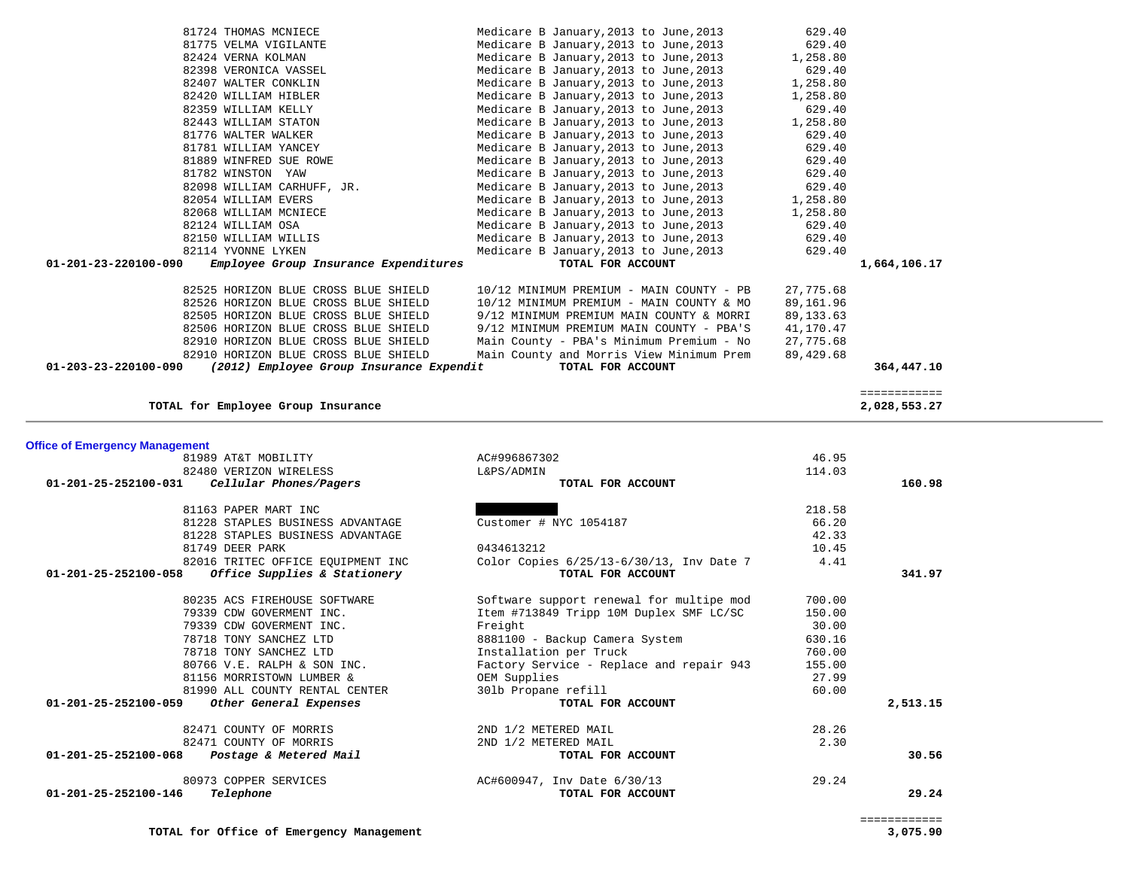| 01-201-25-252100-031<br>01-201-25-252100-058<br>01-201-25-252100-059<br>01-201-25-252100-068<br>01-201-25-252100-146 | Cellular Phones/Pagers<br>81163 PAPER MART INC<br>81228 STAPLES BUSINESS ADVANTAGE<br>81228 STAPLES BUSINESS ADVANTAGE<br>81749 DEER PARK<br>82016 TRITEC OFFICE EQUIPMENT INC<br>Office Supplies & Stationery<br>80235 ACS FIREHOUSE SOFTWARE<br>79339 CDW GOVERMENT INC.<br>79339 CDW GOVERMENT INC.<br>78718 TONY SANCHEZ LTD<br>78718 TONY SANCHEZ LTD<br>80766 V.E. RALPH & SON INC.<br>81156 MORRISTOWN LUMBER &<br>81990 ALL COUNTY RENTAL CENTER<br>Other General Expenses<br>82471 COUNTY OF MORRIS<br>82471 COUNTY OF MORRIS<br>Postage & Metered Mail<br>80973 COPPER SERVICES<br>Telephone | TOTAL FOR ACCOUNT<br>Customer # NYC 1054187<br>0434613212<br>Color Copies 6/25/13-6/30/13, Inv Date 7<br>TOTAL FOR ACCOUNT<br>Software support renewal for multipe mod<br>Item #713849 Tripp 10M Duplex SMF LC/SC<br>Freight<br>8881100 - Backup Camera System<br>Installation per Truck<br>Factory Service - Replace and repair 943<br>OEM Supplies<br>301b Propane refill<br>TOTAL FOR ACCOUNT<br>2ND 1/2 METERED MAIL<br>2ND 1/2 METERED MAIL<br>TOTAL FOR ACCOUNT<br>AC#600947, Inv Date 6/30/13<br>TOTAL FOR ACCOUNT | 218.58<br>66.20<br>42.33<br>10.45<br>4.41<br>700.00<br>150.00<br>30.00<br>630.16<br>760.00<br>155.00<br>27.99<br>60.00<br>28.26<br>2.30<br>29.24 | 160.98<br>341.97<br>2,513.15<br>30.56<br>29.24 |
|----------------------------------------------------------------------------------------------------------------------|--------------------------------------------------------------------------------------------------------------------------------------------------------------------------------------------------------------------------------------------------------------------------------------------------------------------------------------------------------------------------------------------------------------------------------------------------------------------------------------------------------------------------------------------------------------------------------------------------------|---------------------------------------------------------------------------------------------------------------------------------------------------------------------------------------------------------------------------------------------------------------------------------------------------------------------------------------------------------------------------------------------------------------------------------------------------------------------------------------------------------------------------|--------------------------------------------------------------------------------------------------------------------------------------------------|------------------------------------------------|
|                                                                                                                      |                                                                                                                                                                                                                                                                                                                                                                                                                                                                                                                                                                                                        |                                                                                                                                                                                                                                                                                                                                                                                                                                                                                                                           |                                                                                                                                                  |                                                |
|                                                                                                                      |                                                                                                                                                                                                                                                                                                                                                                                                                                                                                                                                                                                                        |                                                                                                                                                                                                                                                                                                                                                                                                                                                                                                                           |                                                                                                                                                  |                                                |
|                                                                                                                      |                                                                                                                                                                                                                                                                                                                                                                                                                                                                                                                                                                                                        |                                                                                                                                                                                                                                                                                                                                                                                                                                                                                                                           |                                                                                                                                                  |                                                |
|                                                                                                                      |                                                                                                                                                                                                                                                                                                                                                                                                                                                                                                                                                                                                        |                                                                                                                                                                                                                                                                                                                                                                                                                                                                                                                           |                                                                                                                                                  |                                                |
|                                                                                                                      |                                                                                                                                                                                                                                                                                                                                                                                                                                                                                                                                                                                                        |                                                                                                                                                                                                                                                                                                                                                                                                                                                                                                                           |                                                                                                                                                  |                                                |
|                                                                                                                      |                                                                                                                                                                                                                                                                                                                                                                                                                                                                                                                                                                                                        |                                                                                                                                                                                                                                                                                                                                                                                                                                                                                                                           |                                                                                                                                                  |                                                |
|                                                                                                                      |                                                                                                                                                                                                                                                                                                                                                                                                                                                                                                                                                                                                        |                                                                                                                                                                                                                                                                                                                                                                                                                                                                                                                           |                                                                                                                                                  |                                                |
|                                                                                                                      |                                                                                                                                                                                                                                                                                                                                                                                                                                                                                                                                                                                                        |                                                                                                                                                                                                                                                                                                                                                                                                                                                                                                                           |                                                                                                                                                  |                                                |
|                                                                                                                      |                                                                                                                                                                                                                                                                                                                                                                                                                                                                                                                                                                                                        |                                                                                                                                                                                                                                                                                                                                                                                                                                                                                                                           |                                                                                                                                                  |                                                |
|                                                                                                                      |                                                                                                                                                                                                                                                                                                                                                                                                                                                                                                                                                                                                        |                                                                                                                                                                                                                                                                                                                                                                                                                                                                                                                           |                                                                                                                                                  |                                                |
|                                                                                                                      |                                                                                                                                                                                                                                                                                                                                                                                                                                                                                                                                                                                                        |                                                                                                                                                                                                                                                                                                                                                                                                                                                                                                                           |                                                                                                                                                  |                                                |
|                                                                                                                      |                                                                                                                                                                                                                                                                                                                                                                                                                                                                                                                                                                                                        |                                                                                                                                                                                                                                                                                                                                                                                                                                                                                                                           |                                                                                                                                                  |                                                |
|                                                                                                                      |                                                                                                                                                                                                                                                                                                                                                                                                                                                                                                                                                                                                        |                                                                                                                                                                                                                                                                                                                                                                                                                                                                                                                           |                                                                                                                                                  |                                                |
|                                                                                                                      |                                                                                                                                                                                                                                                                                                                                                                                                                                                                                                                                                                                                        |                                                                                                                                                                                                                                                                                                                                                                                                                                                                                                                           |                                                                                                                                                  |                                                |
|                                                                                                                      |                                                                                                                                                                                                                                                                                                                                                                                                                                                                                                                                                                                                        |                                                                                                                                                                                                                                                                                                                                                                                                                                                                                                                           |                                                                                                                                                  |                                                |
|                                                                                                                      |                                                                                                                                                                                                                                                                                                                                                                                                                                                                                                                                                                                                        |                                                                                                                                                                                                                                                                                                                                                                                                                                                                                                                           |                                                                                                                                                  |                                                |
|                                                                                                                      |                                                                                                                                                                                                                                                                                                                                                                                                                                                                                                                                                                                                        |                                                                                                                                                                                                                                                                                                                                                                                                                                                                                                                           |                                                                                                                                                  |                                                |
|                                                                                                                      |                                                                                                                                                                                                                                                                                                                                                                                                                                                                                                                                                                                                        |                                                                                                                                                                                                                                                                                                                                                                                                                                                                                                                           |                                                                                                                                                  |                                                |
|                                                                                                                      |                                                                                                                                                                                                                                                                                                                                                                                                                                                                                                                                                                                                        |                                                                                                                                                                                                                                                                                                                                                                                                                                                                                                                           |                                                                                                                                                  |                                                |
|                                                                                                                      |                                                                                                                                                                                                                                                                                                                                                                                                                                                                                                                                                                                                        |                                                                                                                                                                                                                                                                                                                                                                                                                                                                                                                           |                                                                                                                                                  |                                                |
|                                                                                                                      |                                                                                                                                                                                                                                                                                                                                                                                                                                                                                                                                                                                                        |                                                                                                                                                                                                                                                                                                                                                                                                                                                                                                                           |                                                                                                                                                  |                                                |
|                                                                                                                      | 82480 VERIZON WIRELESS                                                                                                                                                                                                                                                                                                                                                                                                                                                                                                                                                                                 | L&PS/ADMIN                                                                                                                                                                                                                                                                                                                                                                                                                                                                                                                | 114.03                                                                                                                                           |                                                |
| <b>Office of Emergency Management</b>                                                                                | 81989 AT&T MOBILITY                                                                                                                                                                                                                                                                                                                                                                                                                                                                                                                                                                                    | AC#996867302                                                                                                                                                                                                                                                                                                                                                                                                                                                                                                              | 46.95                                                                                                                                            |                                                |
|                                                                                                                      |                                                                                                                                                                                                                                                                                                                                                                                                                                                                                                                                                                                                        |                                                                                                                                                                                                                                                                                                                                                                                                                                                                                                                           |                                                                                                                                                  |                                                |
|                                                                                                                      | TOTAL for Employee Group Insurance                                                                                                                                                                                                                                                                                                                                                                                                                                                                                                                                                                     |                                                                                                                                                                                                                                                                                                                                                                                                                                                                                                                           |                                                                                                                                                  | ============<br>2,028,553.27                   |
| 01-203-23-220100-090                                                                                                 | (2012) Employee Group Insurance Expendit                                                                                                                                                                                                                                                                                                                                                                                                                                                                                                                                                               | TOTAL FOR ACCOUNT                                                                                                                                                                                                                                                                                                                                                                                                                                                                                                         |                                                                                                                                                  | 364,447.10                                     |
|                                                                                                                      | 82910 HORIZON BLUE CROSS BLUE SHIELD                                                                                                                                                                                                                                                                                                                                                                                                                                                                                                                                                                   | Main County and Morris View Minimum Prem                                                                                                                                                                                                                                                                                                                                                                                                                                                                                  | 89,429.68                                                                                                                                        |                                                |
|                                                                                                                      | 82910 HORIZON BLUE CROSS BLUE SHIELD                                                                                                                                                                                                                                                                                                                                                                                                                                                                                                                                                                   | Main County - PBA's Minimum Premium - No                                                                                                                                                                                                                                                                                                                                                                                                                                                                                  | 27,775.68                                                                                                                                        |                                                |
|                                                                                                                      | 82506 HORIZON BLUE CROSS BLUE SHIELD                                                                                                                                                                                                                                                                                                                                                                                                                                                                                                                                                                   | 9/12 MINIMUM PREMIUM MAIN COUNTY - PBA'S                                                                                                                                                                                                                                                                                                                                                                                                                                                                                  | 41,170.47                                                                                                                                        |                                                |
|                                                                                                                      | 82505 HORIZON BLUE CROSS BLUE SHIELD                                                                                                                                                                                                                                                                                                                                                                                                                                                                                                                                                                   | 9/12 MINIMUM PREMIUM MAIN COUNTY & MORRI                                                                                                                                                                                                                                                                                                                                                                                                                                                                                  | 89, 133.63                                                                                                                                       |                                                |
|                                                                                                                      | 82526 HORIZON BLUE CROSS BLUE SHIELD                                                                                                                                                                                                                                                                                                                                                                                                                                                                                                                                                                   | 10/12 MINIMUM PREMIUM - MAIN COUNTY & MO                                                                                                                                                                                                                                                                                                                                                                                                                                                                                  | 89,161.96                                                                                                                                        |                                                |
|                                                                                                                      | 82525 HORIZON BLUE CROSS BLUE SHIELD                                                                                                                                                                                                                                                                                                                                                                                                                                                                                                                                                                   | 10/12 MINIMUM PREMIUM - MAIN COUNTY - PB                                                                                                                                                                                                                                                                                                                                                                                                                                                                                  | 27,775.68                                                                                                                                        |                                                |
|                                                                                                                      |                                                                                                                                                                                                                                                                                                                                                                                                                                                                                                                                                                                                        |                                                                                                                                                                                                                                                                                                                                                                                                                                                                                                                           |                                                                                                                                                  |                                                |
| 01-201-23-220100-090                                                                                                 | Employee Group Insurance Expenditures                                                                                                                                                                                                                                                                                                                                                                                                                                                                                                                                                                  | TOTAL FOR ACCOUNT                                                                                                                                                                                                                                                                                                                                                                                                                                                                                                         |                                                                                                                                                  | 1,664,106.17                                   |
|                                                                                                                      | 82150 WILLIAM WILLIS<br>82114 YVONNE LYKEN                                                                                                                                                                                                                                                                                                                                                                                                                                                                                                                                                             | Medicare B January, 2013 to June, 2013<br>Medicare B January, 2013 to June, 2013                                                                                                                                                                                                                                                                                                                                                                                                                                          | 629.40<br>629.40                                                                                                                                 |                                                |
|                                                                                                                      | 82124 WILLIAM OSA                                                                                                                                                                                                                                                                                                                                                                                                                                                                                                                                                                                      | Medicare B January, 2013 to June, 2013                                                                                                                                                                                                                                                                                                                                                                                                                                                                                    | 629.40                                                                                                                                           |                                                |
|                                                                                                                      | 82068 WILLIAM MCNIECE                                                                                                                                                                                                                                                                                                                                                                                                                                                                                                                                                                                  | Medicare B January, 2013 to June, 2013                                                                                                                                                                                                                                                                                                                                                                                                                                                                                    | 1,258.80                                                                                                                                         |                                                |
|                                                                                                                      | 82054 WILLIAM EVERS                                                                                                                                                                                                                                                                                                                                                                                                                                                                                                                                                                                    | Medicare B January, 2013 to June, 2013                                                                                                                                                                                                                                                                                                                                                                                                                                                                                    | 1,258.80                                                                                                                                         |                                                |
|                                                                                                                      | 82098 WILLIAM CARHUFF, JR.                                                                                                                                                                                                                                                                                                                                                                                                                                                                                                                                                                             | Medicare B January, 2013 to June, 2013                                                                                                                                                                                                                                                                                                                                                                                                                                                                                    | 629.40                                                                                                                                           |                                                |
|                                                                                                                      | 81782 WINSTON YAW                                                                                                                                                                                                                                                                                                                                                                                                                                                                                                                                                                                      | Medicare B January, 2013 to June, 2013                                                                                                                                                                                                                                                                                                                                                                                                                                                                                    | 629.40                                                                                                                                           |                                                |
|                                                                                                                      | 81889 WINFRED SUE ROWE                                                                                                                                                                                                                                                                                                                                                                                                                                                                                                                                                                                 | Medicare B January, 2013 to June, 2013                                                                                                                                                                                                                                                                                                                                                                                                                                                                                    | 629.40                                                                                                                                           |                                                |
|                                                                                                                      | 81781 WILLIAM YANCEY                                                                                                                                                                                                                                                                                                                                                                                                                                                                                                                                                                                   | Medicare B January, 2013 to June, 2013                                                                                                                                                                                                                                                                                                                                                                                                                                                                                    | 629.40                                                                                                                                           |                                                |
|                                                                                                                      | 81776 WALTER WALKER                                                                                                                                                                                                                                                                                                                                                                                                                                                                                                                                                                                    | Medicare B January, 2013 to June, 2013                                                                                                                                                                                                                                                                                                                                                                                                                                                                                    | 629.40                                                                                                                                           |                                                |
|                                                                                                                      | 82443 WILLIAM STATON                                                                                                                                                                                                                                                                                                                                                                                                                                                                                                                                                                                   | Medicare B January, 2013 to June, 2013                                                                                                                                                                                                                                                                                                                                                                                                                                                                                    | 1,258.80                                                                                                                                         |                                                |
|                                                                                                                      |                                                                                                                                                                                                                                                                                                                                                                                                                                                                                                                                                                                                        | Medicare B January, 2013 to June, 2013                                                                                                                                                                                                                                                                                                                                                                                                                                                                                    | 629.40                                                                                                                                           |                                                |
|                                                                                                                      | 82359 WILLIAM KELLY                                                                                                                                                                                                                                                                                                                                                                                                                                                                                                                                                                                    |                                                                                                                                                                                                                                                                                                                                                                                                                                                                                                                           |                                                                                                                                                  |                                                |
|                                                                                                                      | 82420 WILLIAM HIBLER                                                                                                                                                                                                                                                                                                                                                                                                                                                                                                                                                                                   | Medicare B January, 2013 to June, 2013                                                                                                                                                                                                                                                                                                                                                                                                                                                                                    | 1,258.80                                                                                                                                         |                                                |

 81724 THOMAS MCNIECE Medicare B January,2013 to June,2013 629.40 81775 VELMA VIGILANTE Medicare B January,2013 to June,2013 629.40 82424 VERNA KOLMAN MEDICARY Medicare B January, 2013 to June, 2013 1,258.80<br>82398 VERONICA VASSEL Medicare B January, 2013 to June, 2013 629.40 82398 VERONICA VASSEL Medicare B January,2013 to June,2013 629.40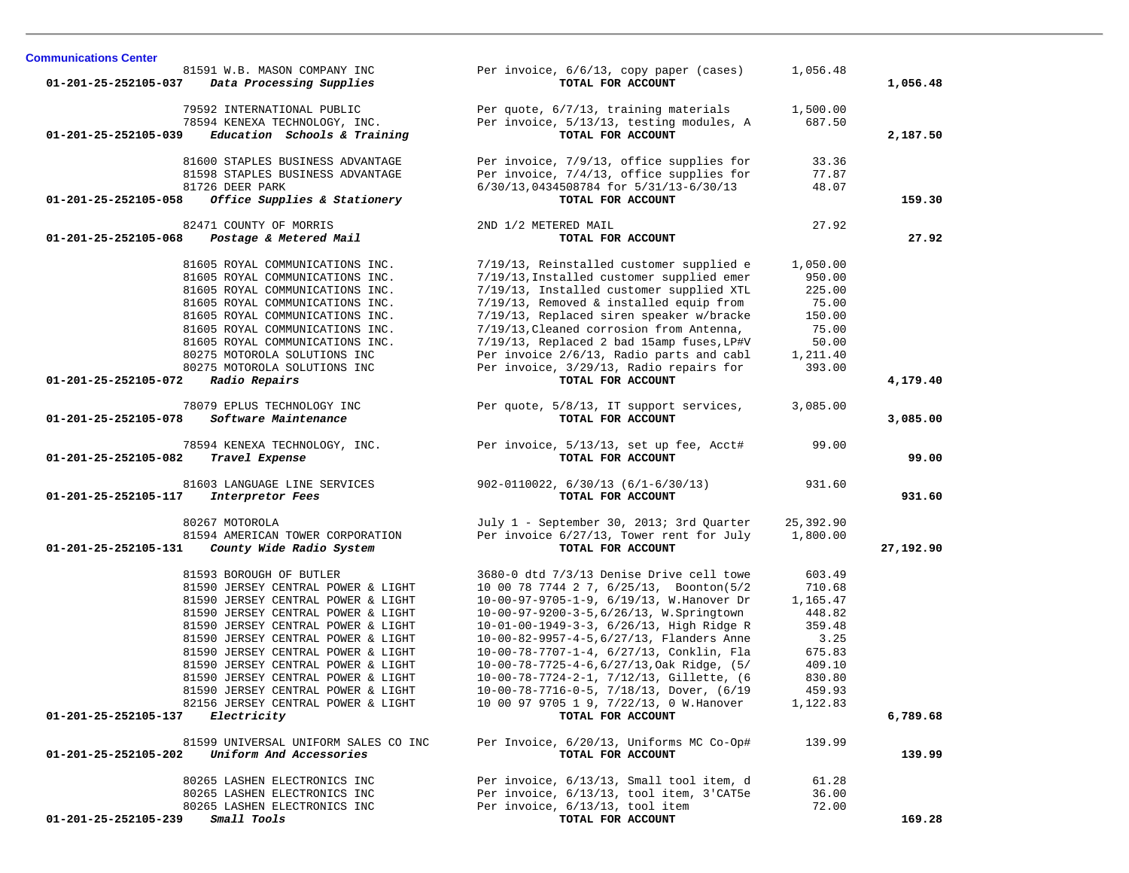| 81591 W.B. MASON COMPANY INC<br>Data Processing Supplies<br>01-201-25-252105-037     | Per invoice, 6/6/13, copy paper (cases)<br>TOTAL FOR ACCOUNT                          | 1,056.48           | 1,056.48  |
|--------------------------------------------------------------------------------------|---------------------------------------------------------------------------------------|--------------------|-----------|
| 79592 INTERNATIONAL PUBLIC<br>78594 KENEXA TECHNOLOGY, INC.                          | Per quote, 6/7/13, training materials<br>Per invoice, 5/13/13, testing modules, A     | 1,500.00<br>687.50 |           |
| Education Schools & Training<br>01-201-25-252105-039                                 | TOTAL FOR ACCOUNT                                                                     |                    | 2,187.50  |
| 81600 STAPLES BUSINESS ADVANTAGE                                                     | Per invoice, 7/9/13, office supplies for                                              | 33.36              |           |
| 81598 STAPLES BUSINESS ADVANTAGE                                                     | Per invoice, 7/4/13, office supplies for                                              | 77.87              |           |
| 81726 DEER PARK<br>Office Supplies & Stationery<br>01-201-25-252105-058              | 6/30/13,0434508784 for 5/31/13-6/30/13<br>TOTAL FOR ACCOUNT                           | 48.07              | 159.30    |
|                                                                                      |                                                                                       |                    |           |
| 82471 COUNTY OF MORRIS                                                               | 2ND 1/2 METERED MAIL                                                                  | 27.92              |           |
| 01-201-25-252105-068<br>Postage & Metered Mail                                       | TOTAL FOR ACCOUNT                                                                     |                    | 27.92     |
| 81605 ROYAL COMMUNICATIONS INC.                                                      | 7/19/13, Reinstalled customer supplied e                                              | 1,050.00           |           |
| 81605 ROYAL COMMUNICATIONS INC.                                                      | 7/19/13, Installed customer supplied emer                                             | 950.00             |           |
| 81605 ROYAL COMMUNICATIONS INC.                                                      | 7/19/13, Installed customer supplied XTL                                              | 225.00             |           |
| 81605 ROYAL COMMUNICATIONS INC.                                                      | $7/19/13$ , Removed & installed equip from                                            | 75.00              |           |
| 81605 ROYAL COMMUNICATIONS INC.                                                      | 7/19/13, Replaced siren speaker w/bracke                                              | 150.00             |           |
| 81605 ROYAL COMMUNICATIONS INC.<br>81605 ROYAL COMMUNICATIONS INC.                   | 7/19/13, Cleaned corrosion from Antenna,<br>7/19/13, Replaced 2 bad 15amp fuses, LP#V | 75.00<br>50.00     |           |
| 80275 MOTOROLA SOLUTIONS INC                                                         | Per invoice 2/6/13, Radio parts and cabl                                              | 1,211.40           |           |
| 80275 MOTOROLA SOLUTIONS INC                                                         | Per invoice, 3/29/13, Radio repairs for                                               | 393.00             |           |
| 01-201-25-252105-072<br>Radio Repairs                                                | TOTAL FOR ACCOUNT                                                                     |                    | 4,179.40  |
| 78079 EPLUS TECHNOLOGY INC                                                           | Per quote, 5/8/13, IT support services,                                               | 3,085.00           |           |
| Software Maintenance<br>01-201-25-252105-078                                         | TOTAL FOR ACCOUNT                                                                     |                    | 3,085.00  |
| 78594 KENEXA TECHNOLOGY, INC.                                                        | Per invoice, 5/13/13, set up fee, Acct#                                               | 99.00              |           |
| 01-201-25-252105-082<br>Travel Expense                                               | TOTAL FOR ACCOUNT                                                                     |                    | 99.00     |
|                                                                                      |                                                                                       | 931.60             |           |
| 81603 LANGUAGE LINE SERVICES<br>01-201-25-252105-117<br>Interpretor Fees             | $902 - 0110022, 6/30/13 (6/1 - 6/30/13)$<br>TOTAL FOR ACCOUNT                         |                    | 931.60    |
|                                                                                      |                                                                                       |                    |           |
| 80267 MOTOROLA                                                                       | July 1 - September 30, 2013; 3rd Quarter                                              | 25,392.90          |           |
| 81594 AMERICAN TOWER CORPORATION<br>01-201-25-252105-131<br>County Wide Radio System | Per invoice 6/27/13, Tower rent for July<br>TOTAL FOR ACCOUNT                         | 1,800.00           | 27,192.90 |
|                                                                                      |                                                                                       |                    |           |
| 81593 BOROUGH OF BUTLER                                                              | 3680-0 dtd 7/3/13 Denise Drive cell towe                                              | 603.49             |           |
| 81590 JERSEY CENTRAL POWER & LIGHT                                                   | 10 00 78 7744 2 7, 6/25/13, Boonton(5/2                                               | 710.68             |           |
| 81590 JERSEY CENTRAL POWER & LIGHT                                                   | 10-00-97-9705-1-9, 6/19/13, W.Hanover Dr                                              | 1,165.47           |           |
| 81590 JERSEY CENTRAL POWER & LIGHT<br>81590 JERSEY CENTRAL POWER & LIGHT             | 10-00-97-9200-3-5,6/26/13, W.Springtown<br>10-01-00-1949-3-3, 6/26/13, High Ridge R   | 448.82<br>359.48   |           |
| 81590 JERSEY CENTRAL POWER & LIGHT                                                   | 10-00-82-9957-4-5,6/27/13, Flanders Anne                                              | 3.25               |           |
| 81590 JERSEY CENTRAL POWER & LIGHT                                                   | 10-00-78-7707-1-4, 6/27/13, Conklin, Fla                                              | 675.83             |           |
| 81590 JERSEY CENTRAL POWER & LIGHT                                                   | 10-00-78-7725-4-6,6/27/13,0ak Ridge, (5/                                              | 409.10             |           |
| 81590 JERSEY CENTRAL POWER & LIGHT                                                   | 10-00-78-7724-2-1, 7/12/13, Gillette, (6                                              | 830.80             |           |
| 81590 JERSEY CENTRAL POWER & LIGHT                                                   | 10-00-78-7716-0-5, 7/18/13, Dover, (6/19                                              | 459.93             |           |
| 82156 JERSEY CENTRAL POWER & LIGHT                                                   | 10 00 97 9705 1 9, 7/22/13, 0 W. Hanover                                              | 1,122.83           |           |
| Electricity<br>01-201-25-252105-137                                                  | TOTAL FOR ACCOUNT                                                                     |                    | 6,789.68  |
| 81599 UNIVERSAL UNIFORM SALES CO INC                                                 | Per Invoice, 6/20/13, Uniforms MC Co-Op#                                              | 139.99             |           |
| Uniform And Accessories<br>01-201-25-252105-202                                      | TOTAL FOR ACCOUNT                                                                     |                    | 139.99    |
| 80265 LASHEN ELECTRONICS INC                                                         | Per invoice, 6/13/13, Small tool item, d                                              | 61.28              |           |
| 80265 LASHEN ELECTRONICS INC                                                         | Per invoice, 6/13/13, tool item, 3'CAT5e                                              | 36.00              |           |
| 80265 LASHEN ELECTRONICS INC                                                         | Per invoice, 6/13/13, tool item                                                       | 72.00              |           |
| $01 - 201 - 25 - 252105 - 239$ Small Tools                                           | TOTAL FOR ACCOUNT                                                                     |                    | 169.28    |

**Communications Center**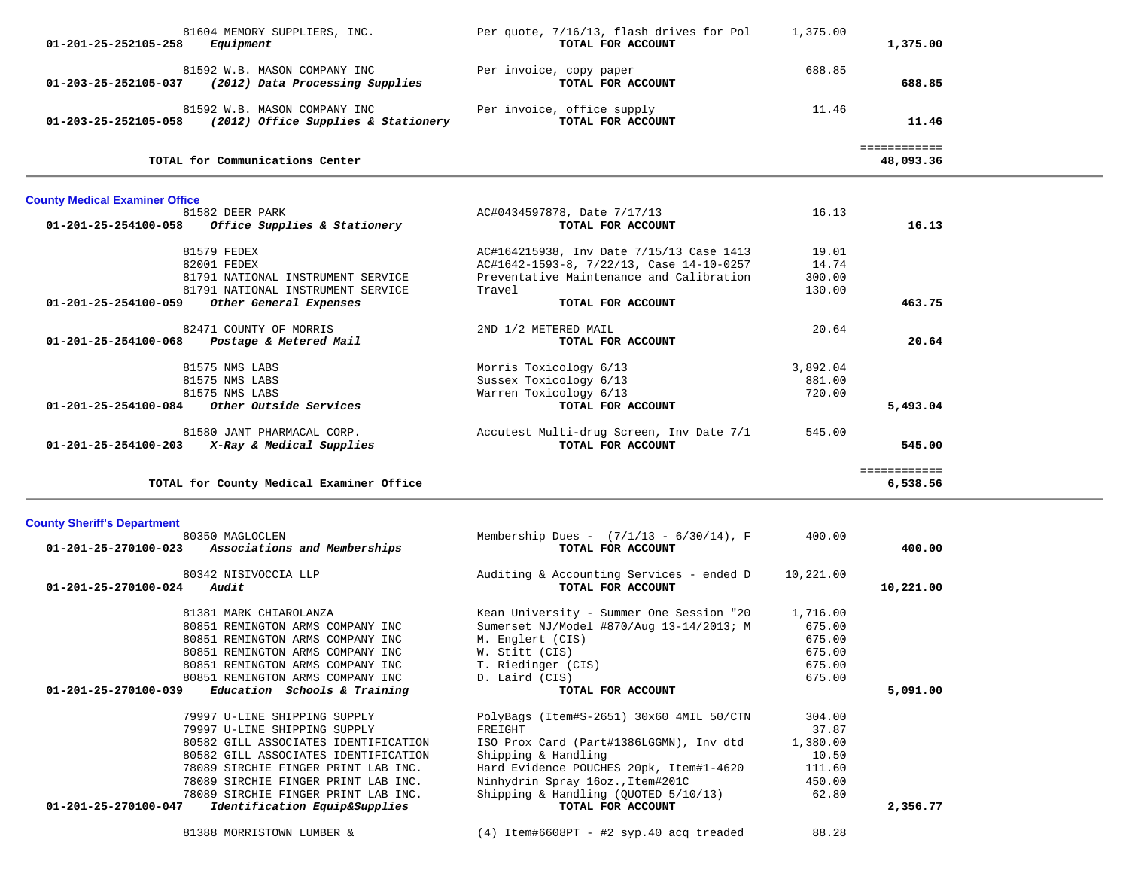| 01-201-25-252105-258                  | 81604 MEMORY SUPPLIERS, INC.<br>Equipment                                                | Per quote, 7/16/13, flash drives for Pol<br>TOTAL FOR ACCOUNT   | 1,375.00  | 1,375.00                  |  |
|---------------------------------------|------------------------------------------------------------------------------------------|-----------------------------------------------------------------|-----------|---------------------------|--|
|                                       | 81592 W.B. MASON COMPANY INC<br>01-203-25-252105-037 (2012) Data Processing Supplies     | Per invoice, copy paper<br>TOTAL FOR ACCOUNT                    | 688.85    | 688.85                    |  |
|                                       | 81592 W.B. MASON COMPANY INC<br>01-203-25-252105-058 (2012) Office Supplies & Stationery | Per invoice, office supply<br>TOTAL FOR ACCOUNT                 | 11.46     | 11.46                     |  |
|                                       | TOTAL for Communications Center                                                          |                                                                 |           | ============<br>48,093.36 |  |
| <b>County Medical Examiner Office</b> |                                                                                          |                                                                 |           |                           |  |
|                                       | 81582 DEER PARK                                                                          | AC#0434597878, Date 7/17/13                                     | 16.13     |                           |  |
|                                       | $01-201-25-254100-058$ Office Supplies & Stationery                                      | TOTAL FOR ACCOUNT                                               |           | 16.13                     |  |
|                                       | 81579 FEDEX                                                                              | AC#164215938, Inv Date 7/15/13 Case 1413                        | 19.01     |                           |  |
|                                       | 82001 FEDEX                                                                              | AC#1642-1593-8, 7/22/13, Case 14-10-0257                        | 14.74     |                           |  |
|                                       | 81791 NATIONAL INSTRUMENT SERVICE                                                        | Preventative Maintenance and Calibration                        | 300.00    |                           |  |
|                                       | 81791 NATIONAL INSTRUMENT SERVICE                                                        | Travel                                                          | 130.00    |                           |  |
| 01-201-25-254100-059                  | Other General Expenses                                                                   | TOTAL FOR ACCOUNT                                               |           | 463.75                    |  |
|                                       |                                                                                          |                                                                 |           |                           |  |
|                                       | 82471 COUNTY OF MORRIS                                                                   | 2ND 1/2 METERED MAIL                                            | 20.64     |                           |  |
| 01-201-25-254100-068                  | Postage & Metered Mail                                                                   | TOTAL FOR ACCOUNT                                               |           | 20.64                     |  |
|                                       | 81575 NMS LABS                                                                           | Morris Toxicology 6/13                                          | 3,892.04  |                           |  |
|                                       | 81575 NMS LABS                                                                           | Sussex Toxicology 6/13                                          | 881.00    |                           |  |
|                                       | 81575 NMS LABS                                                                           | Warren Toxicology 6/13                                          | 720.00    |                           |  |
|                                       | 01-201-25-254100-084 Other Outside Services                                              | TOTAL FOR ACCOUNT                                               |           | 5,493.04                  |  |
|                                       |                                                                                          |                                                                 |           |                           |  |
|                                       | 81580 JANT PHARMACAL CORP.                                                               | Accutest Multi-drug Screen, Inv Date 7/1                        | 545.00    |                           |  |
|                                       | $01-201-25-254100-203$ X-Ray & Medical Supplies                                          | TOTAL FOR ACCOUNT                                               |           | 545.00                    |  |
|                                       | TOTAL for County Medical Examiner Office                                                 |                                                                 |           | ============<br>6,538.56  |  |
|                                       |                                                                                          |                                                                 |           |                           |  |
| <b>County Sheriff's Department</b>    |                                                                                          |                                                                 |           |                           |  |
|                                       | 80350 MAGLOCLEN<br>01-201-25-270100-023 Associations and Memberships                     | Membership Dues - $(7/1/13 - 6/30/14)$ , F<br>TOTAL FOR ACCOUNT | 400.00    | 400.00                    |  |
|                                       | 80342 NISIVOCCIA LLP                                                                     | Auditing & Accounting Services - ended D                        | 10,221.00 |                           |  |
| 01-201-25-270100-024                  | Audit                                                                                    | TOTAL FOR ACCOUNT                                               |           | 10,221.00                 |  |
|                                       |                                                                                          |                                                                 |           |                           |  |
|                                       | 81381 MARK CHIAROLANZA                                                                   | Kean University - Summer One Session "20                        | 1,716.00  |                           |  |
|                                       | 80851 REMINGTON ARMS COMPANY INC                                                         | Sumerset NJ/Model #870/Aug 13-14/2013; M                        | 675.00    |                           |  |
|                                       | 80851 REMINGTON ARMS COMPANY INC                                                         | M. Englert (CIS)                                                | 675.00    |                           |  |
|                                       | 80851 REMINGTON ARMS COMPANY INC                                                         | W. Stitt (CIS)                                                  | 675.00    |                           |  |
|                                       | 80851 REMINGTON ARMS COMPANY INC                                                         | T. Riedinger (CIS)                                              | 675.00    |                           |  |
|                                       | 80851 REMINGTON ARMS COMPANY INC                                                         | D. Laird (CIS)                                                  | 675.00    |                           |  |
| 01-201-25-270100-039                  | Education Schools & Training                                                             | TOTAL FOR ACCOUNT                                               |           | 5,091.00                  |  |
|                                       | 79997 U-LINE SHIPPING SUPPLY                                                             | PolyBags (Item#S-2651) 30x60 4MIL 50/CTN                        | 304.00    |                           |  |
|                                       | 79997 U-LINE SHIPPING SUPPLY                                                             | FREIGHT                                                         | 37.87     |                           |  |
|                                       |                                                                                          |                                                                 |           |                           |  |
|                                       | 80582 GILL ASSOCIATES IDENTIFICATION                                                     | ISO Prox Card (Part#1386LGGMN), Inv dtd                         | 1,380.00  |                           |  |
|                                       | 80582 GILL ASSOCIATES IDENTIFICATION                                                     | Shipping & Handling                                             | 10.50     |                           |  |
|                                       | 78089 SIRCHIE FINGER PRINT LAB INC.                                                      | Hard Evidence POUCHES 20pk, Item#1-4620                         | 111.60    |                           |  |
|                                       | 78089 SIRCHIE FINGER PRINT LAB INC.                                                      | Ninhydrin Spray 16oz., Item#201C                                | 450.00    |                           |  |
|                                       | 78089 SIRCHIE FINGER PRINT LAB INC.                                                      | Shipping & Handling (QUOTED $5/10/13$ )                         | 62.80     |                           |  |
| 01-201-25-270100-047                  | Identification Equip&Supplies                                                            | TOTAL FOR ACCOUNT                                               |           | 2,356.77                  |  |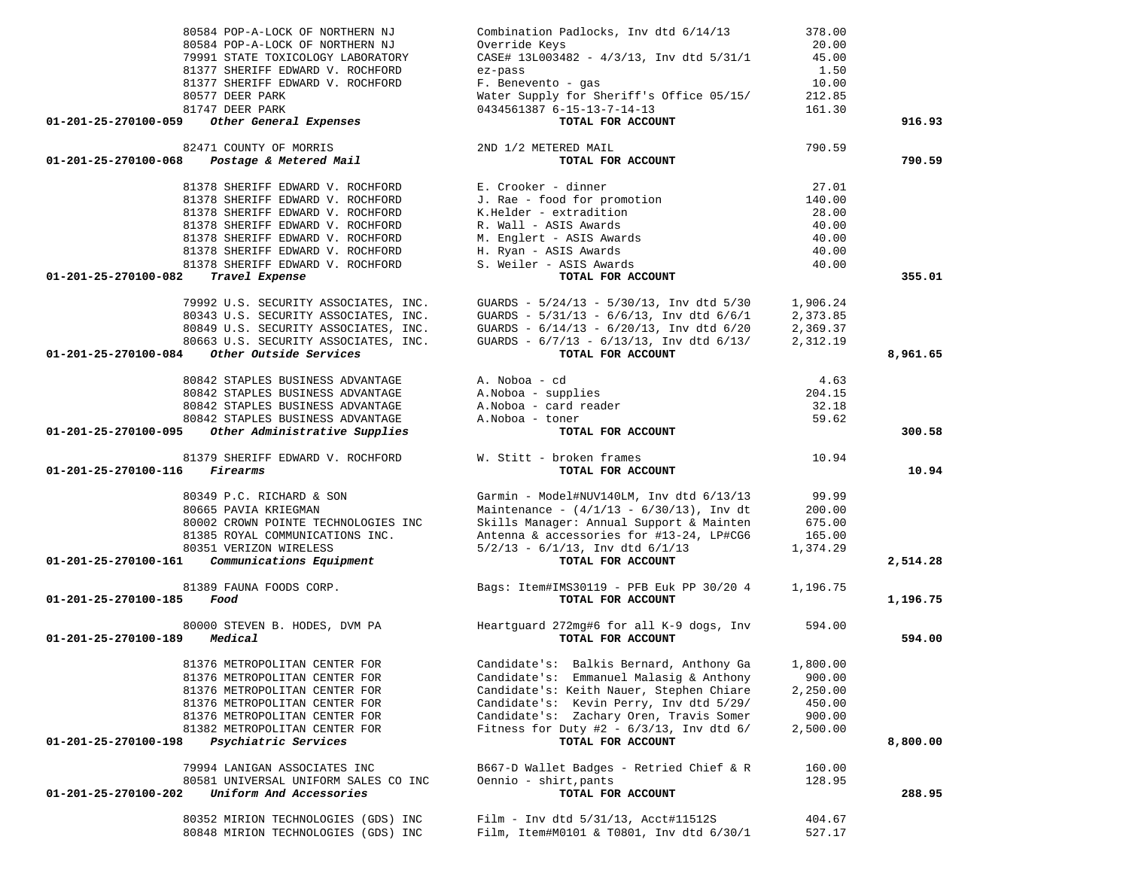| 80584 POP-A-LOCK OF NORTHERN NJ<br>80584 POP-A-LOCK OF NORTHERN NJ<br>79991 STATE TOXICOLOGY LABORATORY<br>81377 SHERIFF EDWARD V. ROCHFORD<br>81377 SHERIFF EDWARD V. ROCHFORD<br>80577 DEER PARK | Combination Padlocks, Inv dtd 6/14/13<br>Override Keys<br>CASE# 13L003482 - 4/3/13, Inv dtd 5/31/1<br>ez-pass<br>F. Benevento - gas<br>Water Supply for Sheriff's Office 05/15/ | 378.00<br>20.00<br>45.00<br>1.50<br>10.00<br>212.85 |          |
|----------------------------------------------------------------------------------------------------------------------------------------------------------------------------------------------------|---------------------------------------------------------------------------------------------------------------------------------------------------------------------------------|-----------------------------------------------------|----------|
| 81747 DEER PARK<br>Other General Expenses<br>01-201-25-270100-059                                                                                                                                  | 0434561387 6-15-13-7-14-13<br>TOTAL FOR ACCOUNT                                                                                                                                 | 161.30                                              | 916.93   |
|                                                                                                                                                                                                    |                                                                                                                                                                                 |                                                     |          |
| 82471 COUNTY OF MORRIS<br>01-201-25-270100-068 Postage & Metered Mail                                                                                                                              | 2ND 1/2 METERED MAIL<br>TOTAL FOR ACCOUNT                                                                                                                                       | 790.59                                              | 790.59   |
| 81378 SHERIFF EDWARD V. ROCHFORD                                                                                                                                                                   | E. Crooker - dinner                                                                                                                                                             | 27.01                                               |          |
| 81378 SHERIFF EDWARD V. ROCHFORD                                                                                                                                                                   | J. Rae - food for promotion                                                                                                                                                     | 140.00                                              |          |
| 81378 SHERIFF EDWARD V. ROCHFORD                                                                                                                                                                   | K.Helder - extradition                                                                                                                                                          | 28.00                                               |          |
| 81378 SHERIFF EDWARD V. ROCHFORD                                                                                                                                                                   | R. Wall - ASIS Awards                                                                                                                                                           | 40.00                                               |          |
| 81378 SHERIFF EDWARD V. ROCHFORD                                                                                                                                                                   | M. Englert - ASIS Awards                                                                                                                                                        | 40.00                                               |          |
| 81378 SHERIFF EDWARD V. ROCHFORD                                                                                                                                                                   | H. Ryan - ASIS Awards                                                                                                                                                           | 40.00                                               |          |
| 81378 SHERIFF EDWARD V. ROCHFORD                                                                                                                                                                   | S. Weiler - ASIS Awards                                                                                                                                                         | 40.00                                               |          |
| Travel Expense<br>01-201-25-270100-082                                                                                                                                                             | TOTAL FOR ACCOUNT                                                                                                                                                               |                                                     | 355.01   |
|                                                                                                                                                                                                    | 79992 U.S. SECURITY ASSOCIATES, INC. GUARDS - $5/24/13$ - $5/30/13$ , Inv dtd $5/30$                                                                                            | 1,906.24                                            |          |
|                                                                                                                                                                                                    |                                                                                                                                                                                 | 2,373.85                                            |          |
|                                                                                                                                                                                                    | 80343 U.S. SECURITY ASSOCIATES, INC.<br>80343 U.S. SECURITY ASSOCIATES, INC.<br>80849 U.S. SECURITY ASSOCIATES, INC. GUARDS - $6/14/13$ - $6/20/13$ , Inv dtd $6/20$            | 2,369.37                                            |          |
|                                                                                                                                                                                                    | 80663 U.S. SECURITY ASSOCIATES, INC. GUARDS - $6/7/13$ - $6/13/13$ , Inv dtd $6/13/$                                                                                            | 2,312.19                                            |          |
| 01-201-25-270100-084 Other Outside Services                                                                                                                                                        | TOTAL FOR ACCOUNT                                                                                                                                                               |                                                     | 8,961.65 |
|                                                                                                                                                                                                    |                                                                                                                                                                                 |                                                     |          |
| 80842 STAPLES BUSINESS ADVANTAGE<br>80842 STAPLES BUSINESS ADVANTAGE                                                                                                                               | A. Noboa - cd<br>A. NODOa - cd<br>A.Noboa - supplies                                                                                                                            | 4.63<br>204.15                                      |          |
| 80842 STAPLES BUSINESS ADVANTAGE                                                                                                                                                                   |                                                                                                                                                                                 | 32.18                                               |          |
| 80842 STAPLES BUSINESS ADVANTAGE                                                                                                                                                                   | A.Noboa - card reader<br>A Noboa - toner<br>A. Noboa - toner                                                                                                                    | 59.62                                               |          |
| 01-201-25-270100-095 Other Administrative Supplies                                                                                                                                                 | TOTAL FOR ACCOUNT                                                                                                                                                               |                                                     | 300.58   |
|                                                                                                                                                                                                    |                                                                                                                                                                                 |                                                     |          |
| 81379 SHERIFF EDWARD V. ROCHFORD W. Stitt - broken frames<br>Firearms<br>01-201-25-270100-116                                                                                                      | TOTAL FOR ACCOUNT                                                                                                                                                               | 10.94                                               | 10.94    |
|                                                                                                                                                                                                    |                                                                                                                                                                                 |                                                     |          |
| 80349 P.C. RICHARD & SON                                                                                                                                                                           | Garmin - Model#NUV140LM, Inv dtd $6/13/13$ 99.99                                                                                                                                |                                                     |          |
| 80665 PAVIA KRIEGMAN                                                                                                                                                                               | Maintenance - $(4/1/13 - 6/30/13)$ , Inv dt                                                                                                                                     | 200.00                                              |          |
| 80002 CROWN POINTE TECHNOLOGIES INC                                                                                                                                                                | Skills Manager: Annual Support & Mainten                                                                                                                                        | 675.00                                              |          |
| 81385 ROYAL COMMUNICATIONS INC.                                                                                                                                                                    | Antenna & accessories for #13-24, LP#CG6                                                                                                                                        | 165.00                                              |          |
| 80351 VERIZON WIRELESS                                                                                                                                                                             | $5/2/13$ - $6/1/13$ , Inv dtd $6/1/13$                                                                                                                                          | 1,374.29                                            |          |
| 01-201-25-270100-161 Communications Equipment                                                                                                                                                      | TOTAL FOR ACCOUNT                                                                                                                                                               |                                                     | 2,514.28 |
| 81389 FAUNA FOODS CORP.                                                                                                                                                                            | Bags: Item#IMS30119 - PFB Euk PP 30/20 4 1,196.75                                                                                                                               |                                                     |          |
| 01-201-25-270100-185<br>Food                                                                                                                                                                       | TOTAL FOR ACCOUNT                                                                                                                                                               |                                                     | 1,196.75 |
|                                                                                                                                                                                                    |                                                                                                                                                                                 |                                                     |          |
| Medical<br>01-201-25-270100-189                                                                                                                                                                    | TOTAL FOR ACCOUNT                                                                                                                                                               |                                                     | 594.00   |
|                                                                                                                                                                                                    |                                                                                                                                                                                 |                                                     |          |
| 81376 METROPOLITAN CENTER FOR                                                                                                                                                                      | Candidate's: Balkis Bernard, Anthony Ga                                                                                                                                         | 1,800.00                                            |          |
| 81376 METROPOLITAN CENTER FOR                                                                                                                                                                      | Candidate's: Emmanuel Malasig & Anthony                                                                                                                                         | 900.00                                              |          |
| 81376 METROPOLITAN CENTER FOR                                                                                                                                                                      | Candidate's: Keith Nauer, Stephen Chiare                                                                                                                                        | 2,250.00                                            |          |
| 81376 METROPOLITAN CENTER FOR                                                                                                                                                                      | Candidate's: Kevin Perry, Inv dtd 5/29/                                                                                                                                         | 450.00                                              |          |
| 81376 METROPOLITAN CENTER FOR                                                                                                                                                                      | Candidate's: Zachary Oren, Travis Somer                                                                                                                                         | 900.00                                              |          |
| 81382 METROPOLITAN CENTER FOR                                                                                                                                                                      | Fitness for Duty #2 - $6/3/13$ , Inv dtd $6/$                                                                                                                                   | 2,500.00                                            |          |
| 01-201-25-270100-198<br>Psychiatric Services                                                                                                                                                       | TOTAL FOR ACCOUNT                                                                                                                                                               |                                                     | 8,800.00 |
| 79994 LANIGAN ASSOCIATES INC                                                                                                                                                                       | B667-D Wallet Badges - Retried Chief & R                                                                                                                                        | 160.00                                              |          |
| 80581 UNIVERSAL UNIFORM SALES CO INC                                                                                                                                                               | Oennio - shirt, pants                                                                                                                                                           | 128.95                                              |          |
| Uniform And Accessories<br>01-201-25-270100-202                                                                                                                                                    | TOTAL FOR ACCOUNT                                                                                                                                                               |                                                     | 288.95   |
|                                                                                                                                                                                                    |                                                                                                                                                                                 |                                                     |          |
| 80352 MIRION TECHNOLOGIES (GDS) INC                                                                                                                                                                | Film - Inv dtd 5/31/13, Acct#11512S                                                                                                                                             | 404.67                                              |          |
| 80848 MIRION TECHNOLOGIES (GDS) INC                                                                                                                                                                | Film, Item#M0101 & T0801, Inv dtd 6/30/1                                                                                                                                        | 527.17                                              |          |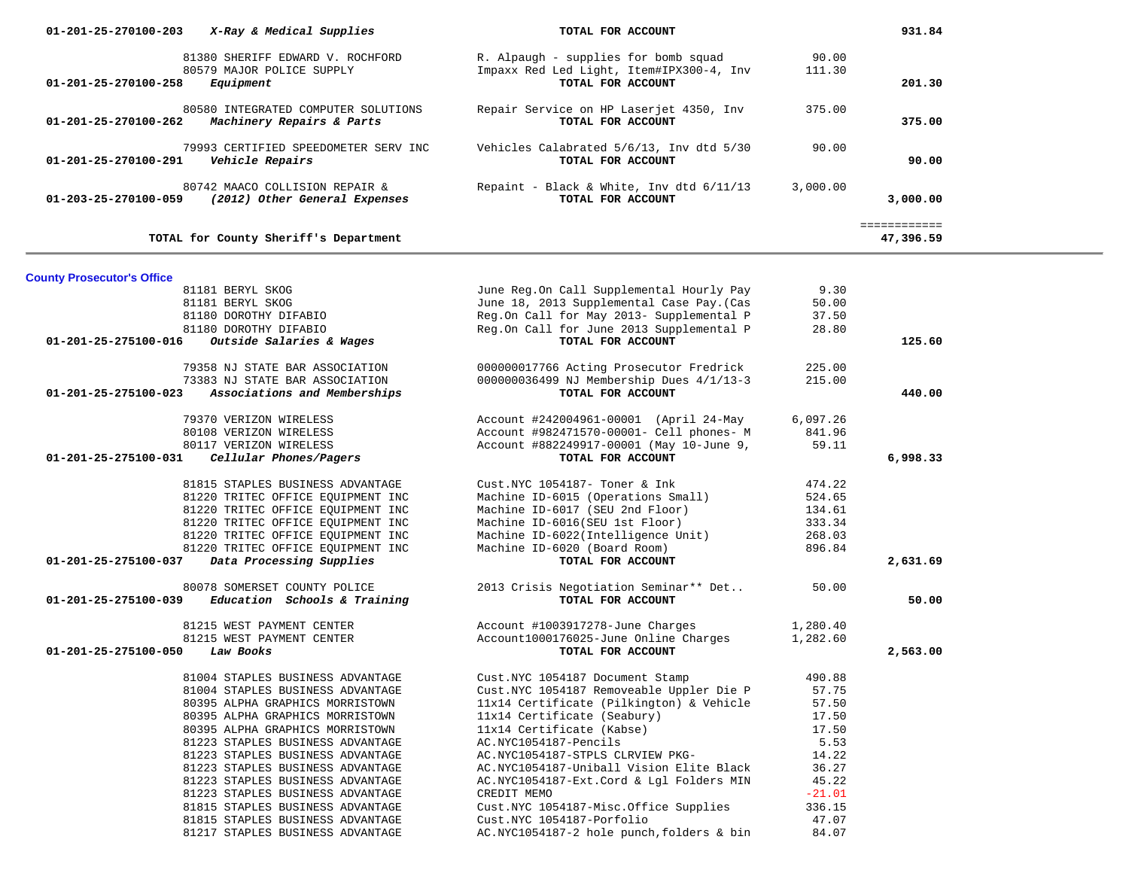| 01-201-25-270100-203              | X-Ray & Medical Supplies                                                   | TOTAL FOR ACCOUNT                                                                                     |                 | 931.84                    |  |
|-----------------------------------|----------------------------------------------------------------------------|-------------------------------------------------------------------------------------------------------|-----------------|---------------------------|--|
| 01-201-25-270100-258              | 81380 SHERIFF EDWARD V. ROCHFORD<br>80579 MAJOR POLICE SUPPLY<br>Equipment | R. Alpaugh - supplies for bomb squad<br>Impaxx Red Led Light, Item#IPX300-4, Inv<br>TOTAL FOR ACCOUNT | 90.00<br>111.30 | 201.30                    |  |
| 01-201-25-270100-262              | 80580 INTEGRATED COMPUTER SOLUTIONS<br>Machinery Repairs & Parts           | Repair Service on HP Laserjet 4350, Inv<br>TOTAL FOR ACCOUNT                                          | 375.00          | 375.00                    |  |
| 01-201-25-270100-291              | 79993 CERTIFIED SPEEDOMETER SERV INC<br>Vehicle Repairs                    | Vehicles Calabrated 5/6/13, Inv dtd 5/30<br>TOTAL FOR ACCOUNT                                         | 90.00           | 90.00                     |  |
| 01-203-25-270100-059              | 80742 MAACO COLLISION REPAIR &<br>(2012) Other General Expenses            | Repaint - Black & White, Inv dtd 6/11/13<br>TOTAL FOR ACCOUNT                                         | 3,000.00        | 3,000.00                  |  |
|                                   | TOTAL for County Sheriff's Department                                      |                                                                                                       |                 | ============<br>47,396.59 |  |
|                                   |                                                                            |                                                                                                       |                 |                           |  |
| <b>County Prosecutor's Office</b> |                                                                            |                                                                                                       | 9.30            |                           |  |
|                                   | 81181 BERYL SKOG<br>81181 BERYL SKOG                                       | June Reg.On Call Supplemental Hourly Pay<br>June 18, 2013 Supplemental Case Pay. (Cas                 | 50.00           |                           |  |
|                                   | 81180 DOROTHY DIFABIO                                                      | Reg.On Call for May 2013- Supplemental P                                                              | 37.50           |                           |  |
|                                   | 81180 DOROTHY DIFABIO                                                      | Reg.On Call for June 2013 Supplemental P                                                              | 28.80           |                           |  |
| 01-201-25-275100-016              | Outside Salaries & Wages                                                   | TOTAL FOR ACCOUNT                                                                                     |                 | 125.60                    |  |
|                                   |                                                                            |                                                                                                       |                 |                           |  |
|                                   | 79358 NJ STATE BAR ASSOCIATION                                             | 000000017766 Acting Prosecutor Fredrick                                                               | 225.00          |                           |  |
|                                   | 73383 NJ STATE BAR ASSOCIATION                                             | 000000036499 NJ Membership Dues 4/1/13-3                                                              | 215.00          |                           |  |
| 01-201-25-275100-023              | Associations and Memberships                                               | TOTAL FOR ACCOUNT                                                                                     |                 | 440.00                    |  |
|                                   |                                                                            |                                                                                                       |                 |                           |  |
|                                   | 79370 VERIZON WIRELESS                                                     | Account #242004961-00001 (April 24-May                                                                | 6,097.26        |                           |  |
|                                   | 80108 VERIZON WIRELESS<br>80117 VERIZON WIRELESS                           | Account #982471570-00001- Cell phones- M                                                              | 841.96<br>59.11 |                           |  |
| 01-201-25-275100-031              | Cellular Phones/Pagers                                                     | Account #882249917-00001 (May 10-June 9,<br>TOTAL FOR ACCOUNT                                         |                 | 6,998.33                  |  |
|                                   |                                                                            |                                                                                                       |                 |                           |  |
|                                   | 81815 STAPLES BUSINESS ADVANTAGE                                           | Cust.NYC 1054187- Toner & Ink                                                                         | 474.22          |                           |  |
|                                   | 81220 TRITEC OFFICE EQUIPMENT INC                                          | Machine ID-6015 (Operations Small)                                                                    | 524.65          |                           |  |
|                                   | 81220 TRITEC OFFICE EQUIPMENT INC                                          | Machine ID-6017 (SEU 2nd Floor)                                                                       | 134.61          |                           |  |
|                                   | 81220 TRITEC OFFICE EQUIPMENT INC                                          | Machine ID-6016(SEU 1st Floor)                                                                        | 333.34          |                           |  |
|                                   | 81220 TRITEC OFFICE EQUIPMENT INC                                          | Machine ID-6022(Intelligence Unit)                                                                    | 268.03          |                           |  |
|                                   | 81220 TRITEC OFFICE EQUIPMENT INC                                          | Machine ID-6020 (Board Room)                                                                          | 896.84          |                           |  |
| 01-201-25-275100-037              | Data Processing Supplies                                                   | TOTAL FOR ACCOUNT                                                                                     |                 | 2,631.69                  |  |
|                                   |                                                                            |                                                                                                       |                 |                           |  |
|                                   | 80078 SOMERSET COUNTY POLICE                                               | 2013 Crisis Negotiation Seminar** Det<br>TOTAL FOR ACCOUNT                                            | 50.00           |                           |  |
| 01-201-25-275100-039              | Education Schools & Training                                               |                                                                                                       |                 | 50.00                     |  |
|                                   | 81215 WEST PAYMENT CENTER                                                  | Account #1003917278-June Charges                                                                      | 1,280.40        |                           |  |
|                                   | 81215 WEST PAYMENT CENTER                                                  | Account1000176025-June Online Charges                                                                 | 1,282.60        |                           |  |
| 01-201-25-275100-050              | Law Books                                                                  | TOTAL FOR ACCOUNT                                                                                     |                 | 2,563.00                  |  |
|                                   |                                                                            |                                                                                                       |                 |                           |  |
|                                   | 81004 STAPLES BUSINESS ADVANTAGE                                           | Cust.NYC 1054187 Document Stamp                                                                       | 490.88          |                           |  |
|                                   | 81004 STAPLES BUSINESS ADVANTAGE                                           | Cust.NYC 1054187 Removeable Uppler Die P                                                              | 57.75           |                           |  |
|                                   | 80395 ALPHA GRAPHICS MORRISTOWN                                            | 11x14 Certificate (Pilkington) & Vehicle                                                              | 57.50           |                           |  |
|                                   | 80395 ALPHA GRAPHICS MORRISTOWN                                            | 11x14 Certificate (Seabury)                                                                           | 17.50           |                           |  |
|                                   | 80395 ALPHA GRAPHICS MORRISTOWN                                            | 11x14 Certificate (Kabse)                                                                             | 17.50           |                           |  |
|                                   | 81223 STAPLES BUSINESS ADVANTAGE                                           | AC.NYC1054187-Pencils                                                                                 | 5.53            |                           |  |
|                                   | 81223 STAPLES BUSINESS ADVANTAGE                                           | AC.NYC1054187-STPLS CLRVIEW PKG-                                                                      | 14.22           |                           |  |
|                                   | 81223 STAPLES BUSINESS ADVANTAGE                                           | AC.NYC1054187-Uniball Vision Elite Black                                                              | 36.27           |                           |  |
|                                   | 81223 STAPLES BUSINESS ADVANTAGE                                           | AC.NYC1054187-Ext.Cord & Lgl Folders MIN                                                              | 45.22           |                           |  |
|                                   | 81223 STAPLES BUSINESS ADVANTAGE                                           | CREDIT MEMO                                                                                           | $-21.01$        |                           |  |
|                                   | 81815 STAPLES BUSINESS ADVANTAGE                                           | Cust.NYC 1054187-Misc.Office Supplies                                                                 | 336.15          |                           |  |
|                                   | 81815 STAPLES BUSINESS ADVANTAGE                                           | Cust.NYC 1054187-Porfolio                                                                             | 47.07           |                           |  |
|                                   | 81217 STAPLES BUSINESS ADVANTAGE                                           | AC.NYC1054187-2 hole punch, folders & bin                                                             | 84.07           |                           |  |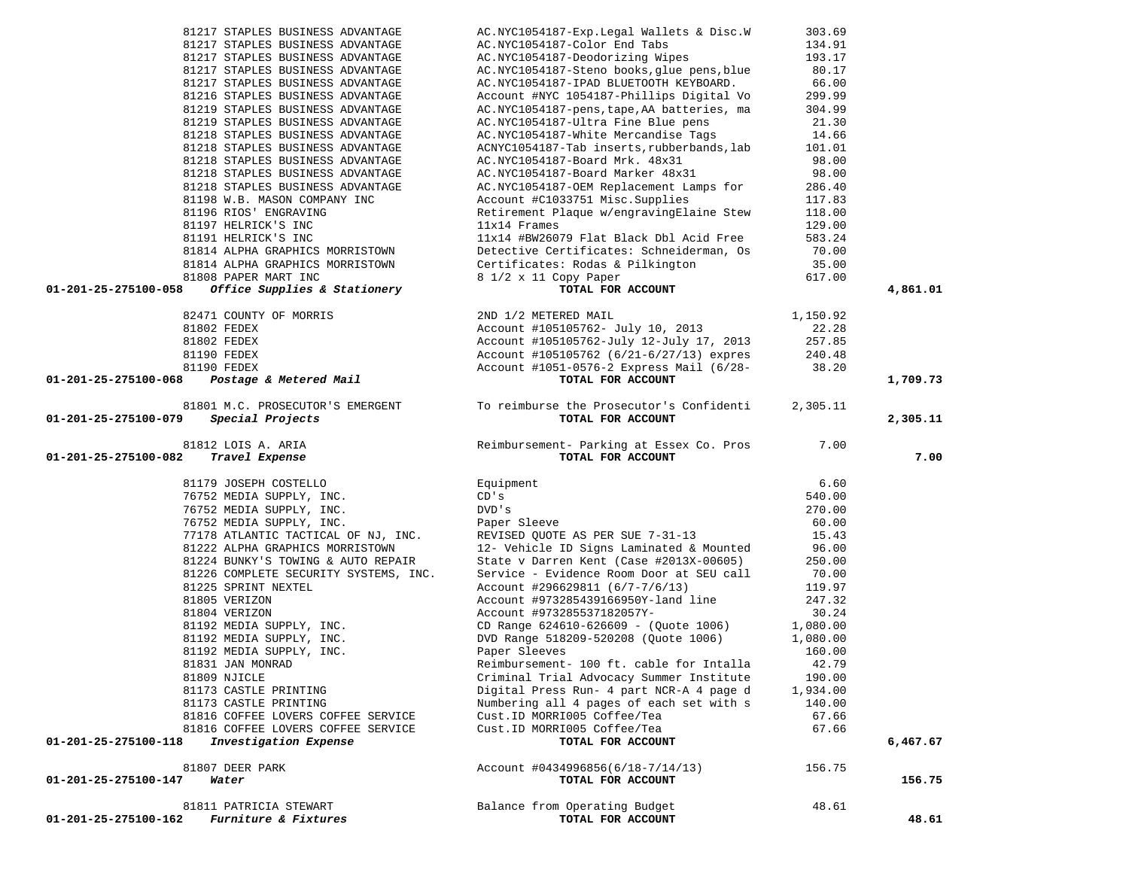| AC.NYC1054187-Exp.Legal Wallets & Disc.W   | 303.69                                                                                                                                                                                                                                                                                                                                                                                                                                                                              |                                                                                                                                                                                 |
|--------------------------------------------|-------------------------------------------------------------------------------------------------------------------------------------------------------------------------------------------------------------------------------------------------------------------------------------------------------------------------------------------------------------------------------------------------------------------------------------------------------------------------------------|---------------------------------------------------------------------------------------------------------------------------------------------------------------------------------|
| AC.NYC1054187-Color End Tabs               | 134.91                                                                                                                                                                                                                                                                                                                                                                                                                                                                              |                                                                                                                                                                                 |
| AC.NYC1054187-Deodorizing Wipes            | 193.17                                                                                                                                                                                                                                                                                                                                                                                                                                                                              |                                                                                                                                                                                 |
| AC.NYC1054187-Steno books, glue pens, blue | 80.17                                                                                                                                                                                                                                                                                                                                                                                                                                                                               |                                                                                                                                                                                 |
| AC.NYC1054187-IPAD BLUETOOTH KEYBOARD.     | 66.00                                                                                                                                                                                                                                                                                                                                                                                                                                                                               |                                                                                                                                                                                 |
| Account #NYC 1054187-Phillips Digital Vo   | 299.99                                                                                                                                                                                                                                                                                                                                                                                                                                                                              |                                                                                                                                                                                 |
| AC.NYC1054187-pens, tape, AA batteries, ma | 304.99                                                                                                                                                                                                                                                                                                                                                                                                                                                                              |                                                                                                                                                                                 |
| AC.NYC1054187-Ultra Fine Blue pens         | 21.30                                                                                                                                                                                                                                                                                                                                                                                                                                                                               |                                                                                                                                                                                 |
| AC.NYC1054187-White Mercandise Tags        | 14.66                                                                                                                                                                                                                                                                                                                                                                                                                                                                               |                                                                                                                                                                                 |
| ACNYC1054187-Tab inserts, rubberbands, lab | 101.01                                                                                                                                                                                                                                                                                                                                                                                                                                                                              |                                                                                                                                                                                 |
| AC.NYC1054187-Board Mrk. 48x31             | 98.00                                                                                                                                                                                                                                                                                                                                                                                                                                                                               |                                                                                                                                                                                 |
| AC.NYC1054187-Board Marker 48x31           | 98.00                                                                                                                                                                                                                                                                                                                                                                                                                                                                               |                                                                                                                                                                                 |
| AC.NYC1054187-OEM Replacement Lamps for    | 286.40                                                                                                                                                                                                                                                                                                                                                                                                                                                                              |                                                                                                                                                                                 |
| Account #C1033751 Misc.Supplies            | 117.83                                                                                                                                                                                                                                                                                                                                                                                                                                                                              |                                                                                                                                                                                 |
| Retirement Plaque w/engravingElaine Stew   | 118.00                                                                                                                                                                                                                                                                                                                                                                                                                                                                              |                                                                                                                                                                                 |
| 11x14 Frames                               | 129.00                                                                                                                                                                                                                                                                                                                                                                                                                                                                              |                                                                                                                                                                                 |
| 11x14 #BW26079 Flat Black Dbl Acid Free    | 583.24                                                                                                                                                                                                                                                                                                                                                                                                                                                                              |                                                                                                                                                                                 |
| Detective Certificates: Schneiderman, Os   | 70.00                                                                                                                                                                                                                                                                                                                                                                                                                                                                               |                                                                                                                                                                                 |
|                                            | 35.00                                                                                                                                                                                                                                                                                                                                                                                                                                                                               |                                                                                                                                                                                 |
|                                            | 617.00                                                                                                                                                                                                                                                                                                                                                                                                                                                                              |                                                                                                                                                                                 |
| TOTAL FOR ACCOUNT                          |                                                                                                                                                                                                                                                                                                                                                                                                                                                                                     | 4,861.01                                                                                                                                                                        |
|                                            |                                                                                                                                                                                                                                                                                                                                                                                                                                                                                     |                                                                                                                                                                                 |
|                                            |                                                                                                                                                                                                                                                                                                                                                                                                                                                                                     |                                                                                                                                                                                 |
|                                            |                                                                                                                                                                                                                                                                                                                                                                                                                                                                                     |                                                                                                                                                                                 |
|                                            |                                                                                                                                                                                                                                                                                                                                                                                                                                                                                     |                                                                                                                                                                                 |
|                                            |                                                                                                                                                                                                                                                                                                                                                                                                                                                                                     |                                                                                                                                                                                 |
|                                            |                                                                                                                                                                                                                                                                                                                                                                                                                                                                                     | 1,709.73                                                                                                                                                                        |
|                                            |                                                                                                                                                                                                                                                                                                                                                                                                                                                                                     |                                                                                                                                                                                 |
|                                            | 2,305.11                                                                                                                                                                                                                                                                                                                                                                                                                                                                            |                                                                                                                                                                                 |
| TOTAL FOR ACCOUNT                          |                                                                                                                                                                                                                                                                                                                                                                                                                                                                                     | 2,305.11                                                                                                                                                                        |
|                                            |                                                                                                                                                                                                                                                                                                                                                                                                                                                                                     |                                                                                                                                                                                 |
|                                            |                                                                                                                                                                                                                                                                                                                                                                                                                                                                                     | 7.00                                                                                                                                                                            |
|                                            |                                                                                                                                                                                                                                                                                                                                                                                                                                                                                     |                                                                                                                                                                                 |
| Equipment                                  | 6.60                                                                                                                                                                                                                                                                                                                                                                                                                                                                                |                                                                                                                                                                                 |
| CD's                                       | 540.00                                                                                                                                                                                                                                                                                                                                                                                                                                                                              |                                                                                                                                                                                 |
| DVD's                                      | 270.00                                                                                                                                                                                                                                                                                                                                                                                                                                                                              |                                                                                                                                                                                 |
| Paper Sleeve                               | 60.00                                                                                                                                                                                                                                                                                                                                                                                                                                                                               |                                                                                                                                                                                 |
|                                            | 15.43                                                                                                                                                                                                                                                                                                                                                                                                                                                                               |                                                                                                                                                                                 |
| 12- Vehicle ID Signs Laminated & Mounted   | 96.00                                                                                                                                                                                                                                                                                                                                                                                                                                                                               |                                                                                                                                                                                 |
| State v Darren Kent (Case #2013X-00605)    | 250.00                                                                                                                                                                                                                                                                                                                                                                                                                                                                              |                                                                                                                                                                                 |
| Service - Evidence Room Door at SEU call   | 70.00                                                                                                                                                                                                                                                                                                                                                                                                                                                                               |                                                                                                                                                                                 |
| Account #296629811 (6/7-7/6/13)            | 119.97                                                                                                                                                                                                                                                                                                                                                                                                                                                                              |                                                                                                                                                                                 |
| Account #973285439166950Y-land line        | 247.32                                                                                                                                                                                                                                                                                                                                                                                                                                                                              |                                                                                                                                                                                 |
| Account #973285537182057Y-                 | 30.24                                                                                                                                                                                                                                                                                                                                                                                                                                                                               |                                                                                                                                                                                 |
| CD Range 624610-626609 - (Quote 1006)      | 1,080.00                                                                                                                                                                                                                                                                                                                                                                                                                                                                            |                                                                                                                                                                                 |
| DVD Range 518209-520208 (Ouote 1006)       | 1,080.00                                                                                                                                                                                                                                                                                                                                                                                                                                                                            |                                                                                                                                                                                 |
| Paper Sleeves                              | 160.00                                                                                                                                                                                                                                                                                                                                                                                                                                                                              |                                                                                                                                                                                 |
| Reimbursement- 100 ft. cable for Intalla   | 42.79                                                                                                                                                                                                                                                                                                                                                                                                                                                                               |                                                                                                                                                                                 |
| Criminal Trial Advocacy Summer Institute   | 190.00                                                                                                                                                                                                                                                                                                                                                                                                                                                                              |                                                                                                                                                                                 |
| Digital Press Run- 4 part NCR-A 4 page d   | 1,934.00                                                                                                                                                                                                                                                                                                                                                                                                                                                                            |                                                                                                                                                                                 |
| Numbering all 4 pages of each set with s   | 140.00                                                                                                                                                                                                                                                                                                                                                                                                                                                                              |                                                                                                                                                                                 |
| Cust. ID MORRI005 Coffee/Tea               | 67.66                                                                                                                                                                                                                                                                                                                                                                                                                                                                               |                                                                                                                                                                                 |
| Cust. ID MORRI005 Coffee/Tea               | 67.66                                                                                                                                                                                                                                                                                                                                                                                                                                                                               |                                                                                                                                                                                 |
|                                            |                                                                                                                                                                                                                                                                                                                                                                                                                                                                                     | 6,467.67                                                                                                                                                                        |
|                                            |                                                                                                                                                                                                                                                                                                                                                                                                                                                                                     |                                                                                                                                                                                 |
|                                            |                                                                                                                                                                                                                                                                                                                                                                                                                                                                                     |                                                                                                                                                                                 |
| $Account$ #0434996856(6/18-7/14/13)        | 156.75                                                                                                                                                                                                                                                                                                                                                                                                                                                                              |                                                                                                                                                                                 |
| TOTAL FOR ACCOUNT                          |                                                                                                                                                                                                                                                                                                                                                                                                                                                                                     | 156.75                                                                                                                                                                          |
| Balance from Operating Budget              | 48.61                                                                                                                                                                                                                                                                                                                                                                                                                                                                               |                                                                                                                                                                                 |
|                                            | Detective Certificates: Rodas & Pilkington<br>Q 1/9 x 11 Copy Paper<br>2ND 1/2 METERED MAIL<br>Account #105105762- July 10, 2013<br>71 COUNTY OF MORRIS<br>02 FEDEX<br>02 FEDEX<br>90 FEDEX<br>90 FEDEX<br><b>Postage &amp; Metered Mail</b><br>Account #105105762-July 12-July 17, 2013<br>Account #105105762 (6/21-6/27/13) expres<br>Account #1051-0576-2 Express Mail (6/28-<br>TOTAL FOR ACCOUNT<br>TOTAL FOR ACCOUNT<br>REVISED QUOTE AS PER SUE 7-31-13<br>TOTAL FOR ACCOUNT | 1,150.92<br>22.28<br>257.85<br>240.48<br>38.20<br>81801 M.C. PROSECUTOR'S EMERGENT To reimburse the Prosecutor's Confidenti<br>7.00<br>Reimbursement- Parking at Essex Co. Pros |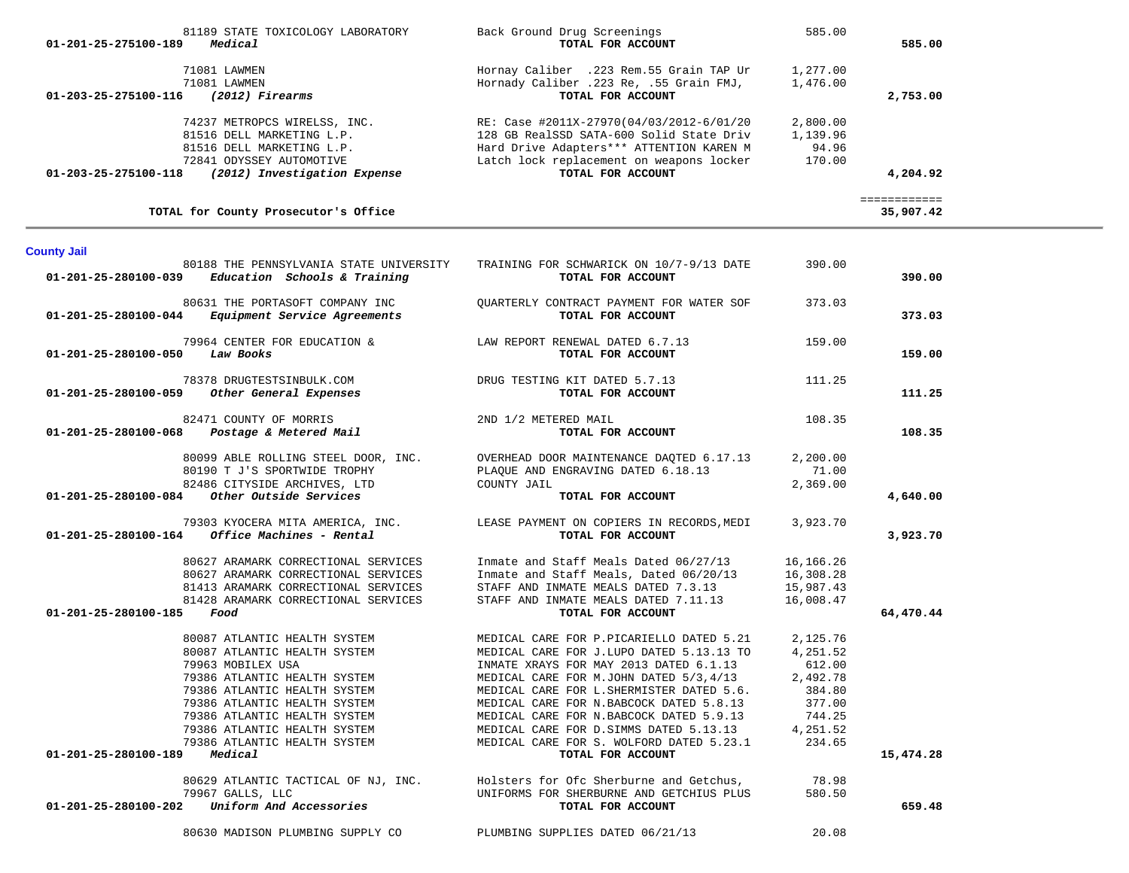| 81189 STATE TOXICOLOGY LABORATORY                    | Back Ground Drug Screenings               | 585.00   |           |
|------------------------------------------------------|-------------------------------------------|----------|-----------|
| Medical<br>01-201-25-275100-189                      | TOTAL FOR ACCOUNT                         |          | 585.00    |
| 71081 LAWMEN                                         | Hornay Caliber .223 Rem.55 Grain TAP Ur   | 1,277.00 |           |
| 71081 LAWMEN                                         | Hornady Caliber .223 Re, .55 Grain FMJ,   | 1,476.00 |           |
| 01-203-25-275100-116<br>(2012) Firearms              | TOTAL FOR ACCOUNT                         |          | 2,753.00  |
| 74237 METROPCS WIRELSS, INC.                         | RE: Case #2011X-27970(04/03/2012-6/01/20  | 2,800.00 |           |
| 81516 DELL MARKETING L.P.                            | 128 GB RealSSD SATA-600 Solid State Driv  | 1,139.96 |           |
| 81516 DELL MARKETING L.P.                            | Hard Drive Adapters *** ATTENTION KAREN M | 94.96    |           |
| 72841 ODYSSEY AUTOMOTIVE                             | Latch lock replacement on weapons locker  | 170.00   |           |
| 01-203-25-275100-118<br>(2012) Investigation Expense | TOTAL FOR ACCOUNT                         |          | 4,204.92  |
|                                                      |                                           |          |           |
| TOTAL for County Prosecutor's Office                 |                                           |          | 35,907.42 |

# **County Jail**

|                                        | 01-201-25-280100-039 Education Schools & Training                                                                                                                                                                                                                                                                                                                                                                | 80188 THE PENNSYLVANIA STATE UNIVERSITY TRAINING FOR SCHWARICK ON 10/7-9/13 DATE<br>TOTAL FOR ACCOUNT                                                                                                                                  | 390.00                        | 390.00    |
|----------------------------------------|------------------------------------------------------------------------------------------------------------------------------------------------------------------------------------------------------------------------------------------------------------------------------------------------------------------------------------------------------------------------------------------------------------------|----------------------------------------------------------------------------------------------------------------------------------------------------------------------------------------------------------------------------------------|-------------------------------|-----------|
|                                        | 80631 THE PORTASOFT COMPANY INC<br>01-201-25-280100-044 Equipment Service Agreements                                                                                                                                                                                                                                                                                                                             | QUARTERLY CONTRACT PAYMENT FOR WATER SOF 373.03<br>TOTAL FOR ACCOUNT                                                                                                                                                                   |                               | 373.03    |
| 01-201-25-280100-050 Law Books         |                                                                                                                                                                                                                                                                                                                                                                                                                  | 79964 CENTER FOR EDUCATION & LAW REPORT RENEWAL DATED 6.7.13 159.00<br>TOTAL FOR ACCOUNT                                                                                                                                               |                               | 159.00    |
|                                        | 78378 DRUGTESTSINBULK.COM DRUG TESTING KIT DATED 5.7.13<br>01-201-25-280100-059 Other General Expenses                                                                                                                                                                                                                                                                                                           | TOTAL FOR ACCOUNT                                                                                                                                                                                                                      | 111.25                        | 111.25    |
|                                        | $82471 \quad \text{COUNTY OF MORRIS} \qquad \qquad 2 \text{ND} \quad 1/2 \quad \text{METERED MAIL} \\ \textbf{01-201-25-280100-068} \qquad \text{Postage} \quad \text{A} \quad \text{Metered Mail} \\ \textbf{021-201-25-280100-068} \qquad \text{Postage} \quad \text{A} \quad \text{Metered Mail} \\ \textbf{03-201-25-280100-068} \qquad \text{Postage} \quad \text{Metered Mail} \\ \text{04-201-25-280100-$ | TOTAL FOR ACCOUNT                                                                                                                                                                                                                      | 108.35                        | 108.35    |
|                                        |                                                                                                                                                                                                                                                                                                                                                                                                                  | 80099 ABLE ROLLING STEEL DOOR, INC. OVERHEAD DOOR MAINTENANCE DAQTED 6.17.13<br>80190 T J'S SPORTWIDE TROPHY<br>82486 CITYSIDE ARCHIVES, LTD COUNTY JAIL<br>82486 CITYSIDE ARCHIVES, LTD COUNTY JAIL<br><b>COUNTY JAIL</b> FOR ACCOUNT | 2,200.00<br>71.00<br>2,369.00 |           |
|                                        |                                                                                                                                                                                                                                                                                                                                                                                                                  |                                                                                                                                                                                                                                        |                               | 4,640.00  |
|                                        | $01 - 201 - 25 - 280100 - 164$ Office Machines - Rental                                                                                                                                                                                                                                                                                                                                                          |                                                                                                                                                                                                                                        |                               | 3,923.70  |
|                                        | 80627 ARAMARK CORRECTIONAL SERVICES                                                                                                                                                                                                                                                                                                                                                                              | Inmate and Staff Meals Dated 06/27/13 16,166.26                                                                                                                                                                                        |                               |           |
|                                        | 80627 ARAMARK CORRECTIONAL SERVICES                                                                                                                                                                                                                                                                                                                                                                              | Inmate and Staff Meals, Dated 06/20/13 16,308.28<br>STAFF AND INMATE MEALS DATED 7.3.13 15,987.43                                                                                                                                      |                               |           |
|                                        | 81413 ARAMARK CORRECTIONAL SERVICES                                                                                                                                                                                                                                                                                                                                                                              |                                                                                                                                                                                                                                        |                               |           |
|                                        | 81428 ARAMARK CORRECTIONAL SERVICES                                                                                                                                                                                                                                                                                                                                                                              | STAFF AND INMATE MEALS DATED 7.11.13 16,008.47                                                                                                                                                                                         |                               |           |
| 01-201-25-280100-185 Food              |                                                                                                                                                                                                                                                                                                                                                                                                                  | TOTAL FOR ACCOUNT                                                                                                                                                                                                                      |                               | 64,470.44 |
|                                        | 80087 ATLANTIC HEALTH SYSTEM                                                                                                                                                                                                                                                                                                                                                                                     | MEDICAL CARE FOR P.PICARIELLO DATED 5.21                                                                                                                                                                                               | 2,125.76                      |           |
|                                        | 80087 ATLANTIC HEALTH SYSTEM                                                                                                                                                                                                                                                                                                                                                                                     | MEDICAL CARE FOR J.LUPO DATED 5.13.13 TO                                                                                                                                                                                               | 4,251.52                      |           |
|                                        | 79963 MOBILEX USA                                                                                                                                                                                                                                                                                                                                                                                                | INMATE XRAYS FOR MAY 2013 DATED 6.1.13                                                                                                                                                                                                 | 612.00                        |           |
|                                        | 79386 ATLANTIC HEALTH SYSTEM                                                                                                                                                                                                                                                                                                                                                                                     | MEDICAL CARE FOR M.JOHN DATED 5/3,4/13                                                                                                                                                                                                 | 2,492.78                      |           |
|                                        | 79386 ATLANTIC HEALTH SYSTEM                                                                                                                                                                                                                                                                                                                                                                                     | MEDICAL CARE FOR L. SHERMISTER DATED 5.6. 384.80                                                                                                                                                                                       |                               |           |
|                                        | 79386 ATLANTIC HEALTH SYSTEM<br>79386 ATLANTIC HEALTH SYSTEM                                                                                                                                                                                                                                                                                                                                                     | MEDICAL CARE FOR N.BABCOCK DATED 5.8.13                                                                                                                                                                                                | 377.00                        |           |
|                                        |                                                                                                                                                                                                                                                                                                                                                                                                                  | MEDICAL CARE FOR N.BABCOCK DATED 5.9.13                                                                                                                                                                                                | 744.25                        |           |
|                                        | 79386 ATLANTIC HEALTH SYSTEM<br>79386 ATLANTIC HEALTH SYSTEM                                                                                                                                                                                                                                                                                                                                                     | MEDICAL CARE FOR D. SIMMS DATED 5.13.13 4,251.52                                                                                                                                                                                       |                               |           |
|                                        |                                                                                                                                                                                                                                                                                                                                                                                                                  | MEDICAL CARE FOR S. WOLFORD DATED 5.23.1 234.65                                                                                                                                                                                        |                               |           |
| $01 - 201 - 25 - 280100 - 189$ Medical |                                                                                                                                                                                                                                                                                                                                                                                                                  | TOTAL FOR ACCOUNT                                                                                                                                                                                                                      |                               | 15,474.28 |
|                                        |                                                                                                                                                                                                                                                                                                                                                                                                                  |                                                                                                                                                                                                                                        |                               |           |
|                                        |                                                                                                                                                                                                                                                                                                                                                                                                                  | 80629 ATLANTIC TACTICAL OF NJ, INC.<br>T9967 GALLS, LLC<br>T9967 GALLS, LLC<br>2 <b>Uniform And Accessories</b><br>2 <b>Uniform And Accessories</b><br>2 <b>Uniform And Accessories</b>                                                |                               |           |
| 01-201-25-280100-202                   |                                                                                                                                                                                                                                                                                                                                                                                                                  | TOTAL FOR ACCOUNT                                                                                                                                                                                                                      |                               | 659.48    |
|                                        |                                                                                                                                                                                                                                                                                                                                                                                                                  |                                                                                                                                                                                                                                        |                               |           |

80630 MADISON PLUMBING SUPPLY CO PLUMBING SUPPLIES DATED 06/21/13 20.08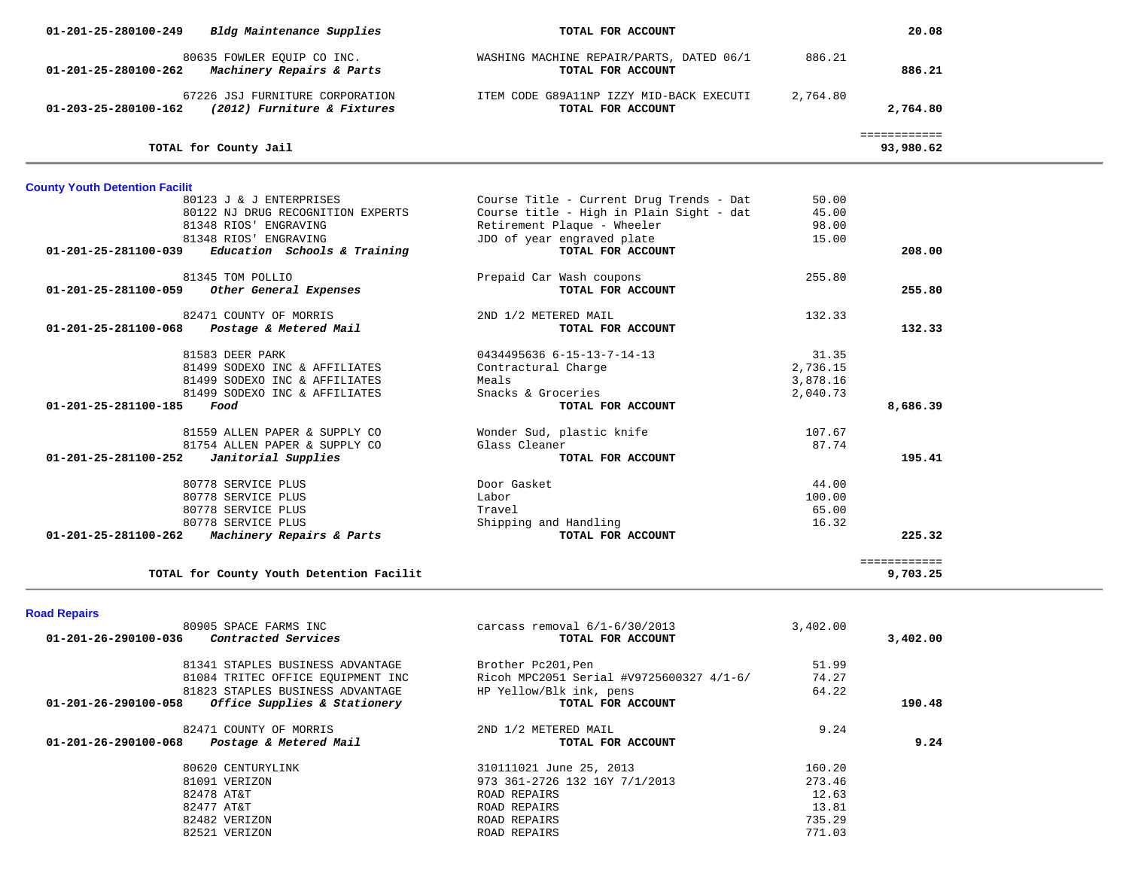| 01-201-25-280100-249                  | Bldg Maintenance Supplies                                      | TOTAL FOR ACCOUNT                                             |          | 20.08                     |  |
|---------------------------------------|----------------------------------------------------------------|---------------------------------------------------------------|----------|---------------------------|--|
| 01-201-25-280100-262                  | 80635 FOWLER EQUIP CO INC.<br>Machinery Repairs & Parts        | WASHING MACHINE REPAIR/PARTS, DATED 06/1<br>TOTAL FOR ACCOUNT | 886.21   | 886.21                    |  |
| 01-203-25-280100-162                  | 67226 JSJ FURNITURE CORPORATION<br>(2012) Furniture & Fixtures | ITEM CODE G89A11NP IZZY MID-BACK EXECUTI<br>TOTAL FOR ACCOUNT | 2,764.80 | 2,764.80                  |  |
|                                       | TOTAL for County Jail                                          |                                                               |          | ============<br>93,980.62 |  |
| <b>County Youth Detention Facilit</b> |                                                                |                                                               |          |                           |  |
|                                       | 80123 J & J ENTERPRISES                                        | Course Title - Current Drug Trends - Dat                      | 50.00    |                           |  |
|                                       | 80122 NJ DRUG RECOGNITION EXPERTS                              | Course title - High in Plain Sight - dat                      | 45.00    |                           |  |
|                                       | 81348 RIOS' ENGRAVING                                          | Retirement Plaque - Wheeler                                   | 98.00    |                           |  |
|                                       | 81348 RIOS' ENGRAVING                                          | JDO of year engraved plate                                    | 15.00    |                           |  |
| 01-201-25-281100-039                  | Education Schools & Training                                   | TOTAL FOR ACCOUNT                                             |          | 208.00                    |  |
|                                       | 81345 TOM POLLIO                                               | Prepaid Car Wash coupons                                      | 255.80   |                           |  |
| 01-201-25-281100-059                  | Other General Expenses                                         | TOTAL FOR ACCOUNT                                             |          | 255.80                    |  |
|                                       | 82471 COUNTY OF MORRIS                                         | 2ND 1/2 METERED MAIL                                          | 132.33   |                           |  |
| 01-201-25-281100-068                  | Postage & Metered Mail                                         | TOTAL FOR ACCOUNT                                             |          | 132.33                    |  |
|                                       | 81583 DEER PARK                                                | $04344956366 -15-13-7-14-13$                                  | 31.35    |                           |  |
|                                       | 81499 SODEXO INC & AFFILIATES                                  | Contractural Charge                                           | 2,736.15 |                           |  |
|                                       | 81499 SODEXO INC & AFFILIATES                                  | Meals                                                         | 3,878.16 |                           |  |
|                                       | 81499 SODEXO INC & AFFILIATES                                  | Snacks & Groceries                                            | 2,040.73 |                           |  |
| 01-201-25-281100-185                  | Food                                                           | TOTAL FOR ACCOUNT                                             |          | 8,686.39                  |  |
|                                       | 81559 ALLEN PAPER & SUPPLY CO                                  | Wonder Sud, plastic knife                                     | 107.67   |                           |  |
|                                       | 81754 ALLEN PAPER & SUPPLY CO                                  | Glass Cleaner                                                 | 87.74    |                           |  |
| 01-201-25-281100-252                  | Janitorial Supplies                                            | TOTAL FOR ACCOUNT                                             |          | 195.41                    |  |
|                                       | 80778 SERVICE PLUS                                             | Door Gasket                                                   | 44.00    |                           |  |
|                                       | 80778 SERVICE PLUS                                             | Labor                                                         | 100.00   |                           |  |
|                                       | 80778 SERVICE PLUS                                             | Travel                                                        | 65.00    |                           |  |
|                                       | 80778 SERVICE PLUS                                             | Shipping and Handling                                         | 16.32    |                           |  |
|                                       | 01-201-25-281100-262 Machinery Repairs & Parts                 | TOTAL FOR ACCOUNT                                             |          | 225.32                    |  |
|                                       |                                                                |                                                               |          | ============              |  |
|                                       | TOTAL for County Youth Detention Facilit                       |                                                               |          | 9,703.25                  |  |
|                                       |                                                                |                                                               |          |                           |  |
| <b>Road Repairs</b>                   |                                                                |                                                               |          |                           |  |
| 01-201-26-290100-036                  | 80905 SPACE FARMS INC                                          | carcass removal $6/1-6/30/2013$                               | 3,402.00 |                           |  |
|                                       | <i>Contracted Services</i>                                     | TOTAL FOR ACCOUNT                                             |          | 3,402.00                  |  |
|                                       | 81341 STAPLES BUSINESS ADVANTAGE                               | Brother Pc201, Pen                                            | 51.99    |                           |  |
|                                       | 81084 TRITEC OFFICE EQUIPMENT INC                              | Ricoh MPC2051 Serial #V9725600327 4/1-6/                      | 74.27    |                           |  |
|                                       | 81823 STAPLES BUSINESS ADVANTAGE                               | HP Yellow/Blk ink, pens                                       | 64.22    |                           |  |
| 01-201-26-290100-058                  | Office Supplies & Stationery                                   | TOTAL FOR ACCOUNT                                             |          | 190.48                    |  |
|                                       | 82471 COUNTY OF MORRIS                                         | 2ND 1/2 METERED MAIL                                          | 9.24     |                           |  |
| 01-201-26-290100-068                  | Postage & Metered Mail                                         | TOTAL FOR ACCOUNT                                             |          | 9.24                      |  |
|                                       | 80620 CENTURYLINK                                              | 310111021 June 25, 2013                                       | 160.20   |                           |  |
|                                       | 81091 VERIZON                                                  | 973 361-2726 132 16Y 7/1/2013                                 | 273.46   |                           |  |
|                                       | 82478 AT&T                                                     | ROAD REPAIRS                                                  | 12.63    |                           |  |
|                                       | 82477 AT&T                                                     | ROAD REPAIRS                                                  | 13.81    |                           |  |
|                                       | 82482 VERIZON                                                  | ROAD REPAIRS                                                  | 735.29   |                           |  |
|                                       | 82521 VERIZON                                                  | ROAD REPAIRS                                                  | 771.03   |                           |  |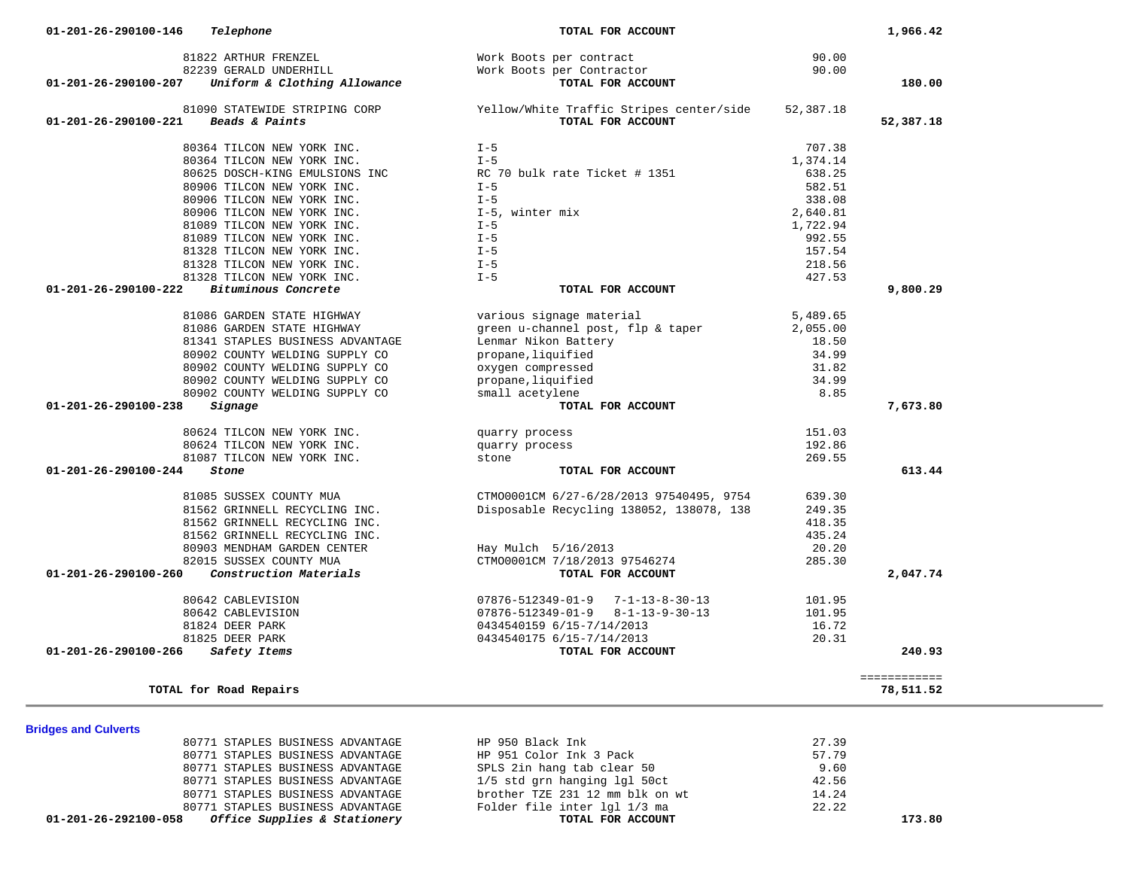| 01-201-26-292100-058           | Office Supplies & Stationery                                         | TOTAL FOR ACCOUNT                                    |                  | 173.80       |
|--------------------------------|----------------------------------------------------------------------|------------------------------------------------------|------------------|--------------|
|                                | 80771 STAPLES BUSINESS ADVANTAGE                                     | Folder file inter 1g1 1/3 ma                         | 22.22            |              |
|                                | 80771 STAPLES BUSINESS ADVANTAGE                                     | brother TZE 231 12 mm blk on wt                      | 14.24            |              |
|                                | 80771 STAPLES BUSINESS ADVANTAGE                                     | 1/5 std grn hanging lgl 50ct                         | 42.56            |              |
|                                | 80771 STAPLES BUSINESS ADVANTAGE                                     | SPLS 2in hang tab clear 50                           | 9.60             |              |
|                                | 80771 STAPLES BUSINESS ADVANTAGE<br>80771 STAPLES BUSINESS ADVANTAGE | HP 950 Black Ink<br>HP 951 Color Ink 3 Pack          | 27.39<br>57.79   |              |
| <b>Bridges and Culverts</b>    |                                                                      |                                                      |                  |              |
|                                |                                                                      |                                                      |                  |              |
|                                | TOTAL for Road Repairs                                               |                                                      |                  | 78,511.52    |
|                                |                                                                      |                                                      |                  | ============ |
| 01-201-26-290100-266           | Safety Items                                                         | TOTAL FOR ACCOUNT                                    |                  | 240.93       |
|                                | 81825 DEER PARK                                                      | 0434540175 6/15-7/14/2013                            | 20.31            |              |
|                                | 81824 DEER PARK                                                      | 0434540159 6/15-7/14/2013                            | 16.72            |              |
|                                | 80642 CABLEVISION                                                    | $07876 - 512349 - 01 - 9$ $8 - 1 - 13 - 9 - 30 - 13$ | 101.95           |              |
|                                | 80642 CABLEVISION                                                    | $07876 - 512349 - 01 - 9$ $7 - 1 - 13 - 8 - 30 - 13$ | 101.95           |              |
|                                |                                                                      |                                                      |                  |              |
| $01 - 201 - 26 - 290100 - 260$ | Construction Materials                                               | TOTAL FOR ACCOUNT                                    |                  | 2,047.74     |
|                                | 82015 SUSSEX COUNTY MUA                                              | CTM00001CM 7/18/2013 97546274                        | 285.30           |              |
|                                | 80903 MENDHAM GARDEN CENTER                                          | Hay Mulch 5/16/2013                                  | 20.20            |              |
|                                | 81562 GRINNELL RECYCLING INC.                                        |                                                      | 435.24           |              |
|                                | 81562 GRINNELL RECYCLING INC.                                        |                                                      | 418.35           |              |
|                                | 81562 GRINNELL RECYCLING INC.                                        | Disposable Recycling 138052, 138078, 138             | 249.35           |              |
|                                | 81085 SUSSEX COUNTY MUA                                              | CTMO0001CM 6/27-6/28/2013 97540495, 9754             | 639.30           |              |
|                                |                                                                      |                                                      |                  |              |
| $01 - 201 - 26 - 290100 - 244$ | Stone                                                                | TOTAL FOR ACCOUNT                                    |                  | 613.44       |
|                                | 81087 TILCON NEW YORK INC.                                           | stone                                                | 269.55           |              |
|                                | 80624 TILCON NEW YORK INC.                                           | quarry process                                       |                  |              |
|                                |                                                                      | quarry process                                       | 192.86           |              |
|                                | 80624 TILCON NEW YORK INC.                                           |                                                      | 151.03           |              |
|                                |                                                                      |                                                      |                  |              |
| $01 - 201 - 26 - 290100 - 238$ | Signage                                                              | TOTAL FOR ACCOUNT                                    |                  | 7,673.80     |
|                                | 80902 COUNTY WELDING SUPPLY CO                                       | small acetylene                                      | 8.85             |              |
|                                | 80902 COUNTY WELDING SUPPLY CO                                       | propane, liquified                                   | 34.99            |              |
|                                | 80902 COUNTY WELDING SUPPLY CO                                       | oxygen compressed                                    | 31.82            |              |
|                                | 80902 COUNTY WELDING SUPPLY CO                                       | propane, liquified                                   | 34.99            |              |
|                                | 81341 STAPLES BUSINESS ADVANTAGE                                     | Lenmar Nikon Battery                                 | 18.50            |              |
|                                | 81086 GARDEN STATE HIGHWAY                                           | green u-channel post, flp & taper                    | 2,055.00         |              |
|                                | 81086 GARDEN STATE HIGHWAY                                           | various signage material                             | 5,489.65         |              |
|                                |                                                                      |                                                      |                  |              |
| 01-201-26-290100-222           | Bituminous Concrete                                                  | TOTAL FOR ACCOUNT                                    |                  | 9,800.29     |
|                                | 81328 TILCON NEW YORK INC.                                           | $I - 5$                                              | 427.53           |              |
|                                | 81328 TILCON NEW YORK INC.<br>81328 TILCON NEW YORK INC.             | $I - 5$                                              | 218.56           |              |
|                                | 81089 TILCON NEW YORK INC.                                           | $I - 5$<br>$I - 5$                                   | 992.55<br>157.54 |              |
|                                | 81089 TILCON NEW YORK INC.                                           | $I - 5$                                              | 1,722.94         |              |
|                                | 80906 TILCON NEW YORK INC.                                           | I-5, winter mix                                      | 2,640.81         |              |
|                                | 80906 TILCON NEW YORK INC.                                           | $I - 5$                                              | 338.08           |              |
|                                | 80906 TILCON NEW YORK INC.                                           | $I - 5$                                              | 582.51           |              |
|                                | 80625 DOSCH-KING EMULSIONS INC                                       | RC 70 bulk rate Ticket # 1351                        | 638.25           |              |
|                                | 80364 TILCON NEW YORK INC.                                           | $I - 5$                                              | 1,374.14         |              |
|                                |                                                                      |                                                      |                  |              |

 **01-201-26-290100-146** *Telephone* **TOTAL FOR ACCOUNT 1,966.42**

 **01-201-26-290100-207** *Uniform & Clothing Allowance* **TOTAL FOR ACCOUNT 180.00**

81822 ARTHUR FRENZEL Work Boots per contract 90.00

81090 STATEWIDE STRIPING CORP Tellow/White Traffic Stripes center/side 52,387.18<br>1 Beads & Paints  **01-201-26-290100-221** *Beads & Paints* **TOTAL FOR ACCOUNT 52,387.18**

Work Boots per Contractor<br>TOTAL FOR ACCOUNT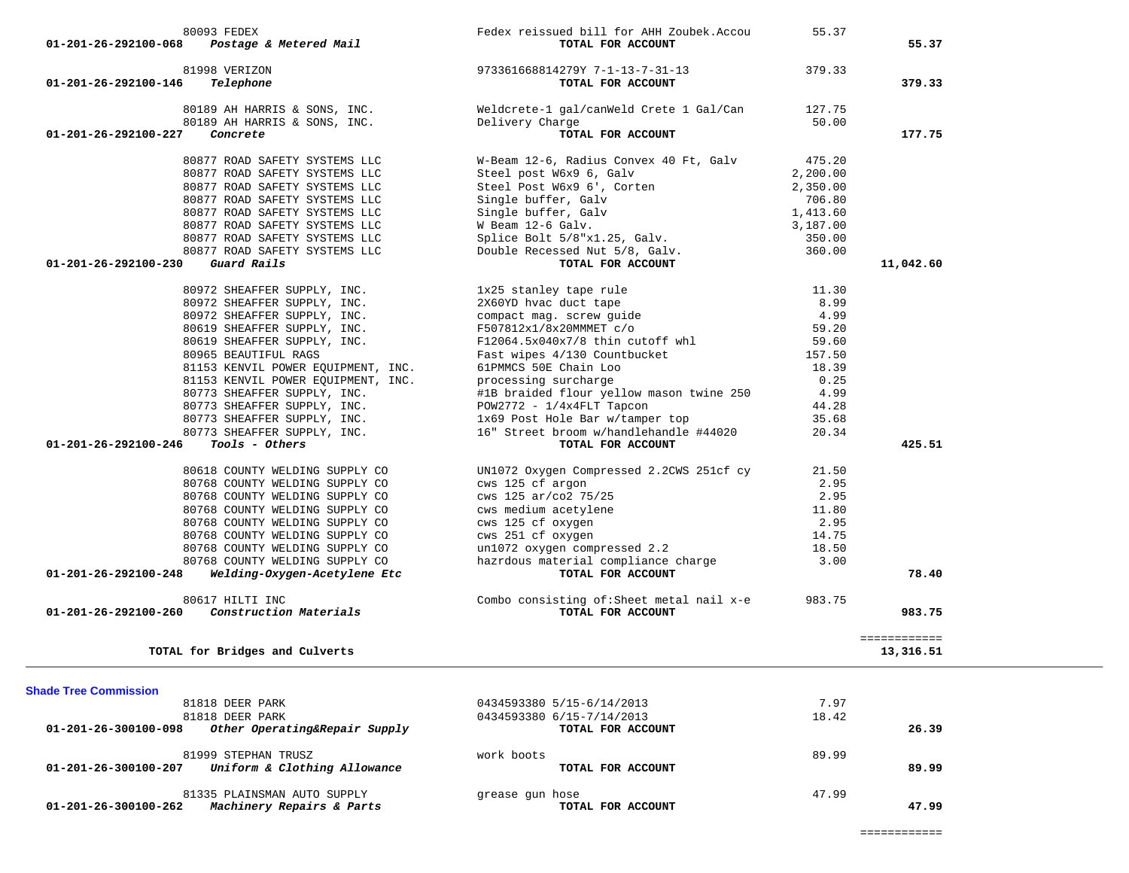| 80877 ROAD SAFETY SYSTEMS LLC                                | Steel Post W6x9 6', Corten                                     | 2,350.00 |                           |
|--------------------------------------------------------------|----------------------------------------------------------------|----------|---------------------------|
| 80877 ROAD SAFETY SYSTEMS LLC                                | Single buffer, Galv                                            | 706.80   |                           |
| 80877 ROAD SAFETY SYSTEMS LLC                                | Single buffer, Galv                                            | 1,413.60 |                           |
| 80877 ROAD SAFETY SYSTEMS LLC                                | W Beam 12-6 Galv.                                              | 3,187.00 |                           |
| 80877 ROAD SAFETY SYSTEMS LLC                                | Splice Bolt 5/8"x1.25, Galv.                                   | 350.00   |                           |
| 80877 ROAD SAFETY SYSTEMS LLC                                | Splice Bolt 5/8"x1.25, Galv.<br>Double Recessed Nut 5/8, Galv. | 360.00   |                           |
| 01-201-26-292100-230<br>Guard Rails                          | TOTAL FOR ACCOUNT                                              |          | 11,042.60                 |
|                                                              |                                                                |          |                           |
| 80972 SHEAFFER SUPPLY, INC.                                  | 1x25 stanley tape rule                                         | 11.30    |                           |
| 80972 SHEAFFER SUPPLY, INC.                                  | 2X60YD hvac duct tape                                          | 8.99     |                           |
| 80972 SHEAFFER SUPPLY, INC.                                  | compact mag. screw guide                                       | 4.99     |                           |
| 80619 SHEAFFER SUPPLY, INC.                                  | F507812x1/8x20MMMET c/o                                        | 59.20    |                           |
| 80619 SHEAFFER SUPPLY, INC.                                  | F12064.5x040x7/8 thin cutoff whl                               | 59.60    |                           |
| 80965 BEAUTIFUL RAGS                                         | Fast wipes 4/130 Countbucket                                   | 157.50   |                           |
| 81153 KENVIL POWER EOUIPMENT, INC.                           | 61PMMCS 50E Chain Loo                                          | 18.39    |                           |
| 81153 KENVIL POWER EOUIPMENT, INC.                           | processing surcharge                                           | 0.25     |                           |
|                                                              |                                                                |          |                           |
| 80773 SHEAFFER SUPPLY, INC.                                  | #1B braided flour yellow mason twine 250                       | 4.99     |                           |
| 80773 SHEAFFER SUPPLY, INC.                                  | $POW2772 - 1/4x4FLT$ Tapcon                                    | 44.28    |                           |
| 80773 SHEAFFER SUPPLY, INC.                                  | 1x69 Post Hole Bar w/tamper top                                | 35.68    |                           |
| 80773 SHEAFFER SUPPLY, INC.                                  | 16" Street broom w/handlehandle #44020                         | 20.34    |                           |
| 01-201-26-292100-246<br>Tools - Others                       | TOTAL FOR ACCOUNT                                              |          | 425.51                    |
| 80618 COUNTY WELDING SUPPLY CO                               | UN1072 Oxygen Compressed 2.2CWS 251cf cy                       | 21.50    |                           |
| 80768 COUNTY WELDING SUPPLY CO                               | cws 125 cf argon                                               | 2.95     |                           |
| 80768 COUNTY WELDING SUPPLY CO                               | cws 125 ar/co2 75/25                                           | 2.95     |                           |
| 80768 COUNTY WELDING SUPPLY CO                               | cws medium acetylene                                           | 11.80    |                           |
|                                                              |                                                                |          |                           |
| 80768 COUNTY WELDING SUPPLY CO                               | cws 125 cf oxygen                                              | 2.95     |                           |
| 80768 COUNTY WELDING SUPPLY CO                               | cws 251 cf oxygen                                              | 14.75    |                           |
| 80768 COUNTY WELDING SUPPLY CO                               | un1072 oxygen compressed 2.2                                   | 18.50    |                           |
| 80768 COUNTY WELDING SUPPLY CO                               | hazrdous material compliance charge                            | 3.00     |                           |
| 01-201-26-292100-248<br>Welding-Oxygen-Acetylene Etc         | TOTAL FOR ACCOUNT                                              |          | 78.40                     |
| 80617 HILTI INC                                              | Combo consisting of: Sheet metal nail x-e                      | 983.75   |                           |
| Construction Materials<br>01-201-26-292100-260               | TOTAL FOR ACCOUNT                                              |          | 983.75                    |
|                                                              |                                                                |          |                           |
| TOTAL for Bridges and Culverts                               |                                                                |          | ============<br>13,316.51 |
|                                                              |                                                                |          |                           |
|                                                              |                                                                |          |                           |
| <b>Shade Tree Commission</b>                                 |                                                                | 7.97     |                           |
| 81818 DEER PARK                                              | 0434593380 5/15-6/14/2013                                      |          |                           |
| 81818 DEER PARK                                              | 0434593380 6/15-7/14/2013                                      | 18.42    |                           |
| Other Operating&Repair Supply<br>01-201-26-300100-098        | TOTAL FOR ACCOUNT                                              |          | 26.39                     |
| 81999 STEPHAN TRUSZ                                          | work boots                                                     | 89.99    |                           |
| Uniform & Clothing Allowance<br>01-201-26-300100-207         | TOTAL FOR ACCOUNT                                              |          | 89.99                     |
| 81335 PLAINSMAN AUTO SUPPLY                                  | grease gun hose                                                | 47.99    |                           |
| 01-201-26-300100-262<br><i>Machinery Repairs &amp; Parts</i> | TOTAL FOR ACCOUNT                                              |          | 47.99                     |
|                                                              |                                                                |          |                           |
|                                                              |                                                                |          | ============              |
|                                                              |                                                                |          |                           |
|                                                              |                                                                |          |                           |
|                                                              |                                                                |          |                           |

 80093 FEDEX Fedex reissued bill for AHH Zoubek.Accou 55.37  **01-201-26-292100-068** *Postage & Metered Mail* **TOTAL FOR ACCOUNT 55.37**

 81998 VERIZON 973361668814279Y 7-1-13-7-31-13 379.33  **01-201-26-292100-146** *Telephone* **TOTAL FOR ACCOUNT 379.33**

80189 AH HARRIS & SONS, INC.<br>80189 AH HARRIS & SONS, INC. Delivery Charge 60.00 80189 AH HARRIS & SONS, INC.<br>
Subset of the Delivery Charge **10TAL FOR ACCOUNT** 50.00  **01-201-26-292100-227** *Concrete* **TOTAL FOR ACCOUNT 177.75**

> 80877 ROAD SAFETY SYSTEMS LLC W-Beam 12-6, Radius Convex 40 Ft, Galv 475.20 80877 ROAD SAFETY SYSTEMS LLC Steel post W6x9 6, Galv 2,200.00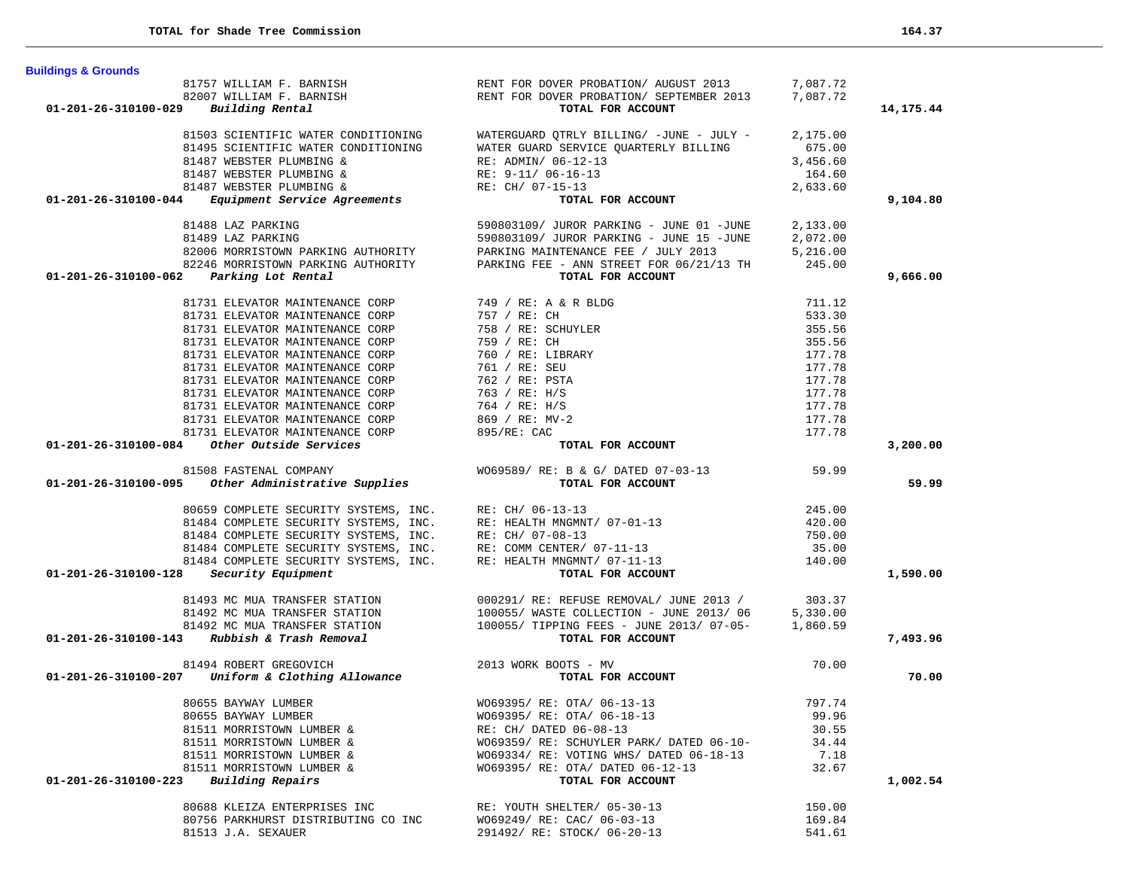| <b>Buildings &amp; Grounds</b>                                                                              |                                                                                                                                                                                   |          |             |
|-------------------------------------------------------------------------------------------------------------|-----------------------------------------------------------------------------------------------------------------------------------------------------------------------------------|----------|-------------|
|                                                                                                             | 81757 WILLIAM F. BARNISH RENT FOR DOVER PROBATION/AUGUST 2013 7,087.72<br>82007 WILLIAM F. BARNISH RENT FOR DOVER PROBATION/SEPTEMBER 2013 7,087.72                               |          |             |
|                                                                                                             |                                                                                                                                                                                   |          |             |
| Building Rental<br>01-201-26-310100-029                                                                     | TOTAL FOR ACCOUNT                                                                                                                                                                 |          | 14, 175. 44 |
|                                                                                                             |                                                                                                                                                                                   |          |             |
| 81503 SCIENTIFIC WATER CONDITIONING<br>81495 SCIENTIFIC WATER CONDITIONING                                  | WATERGUARD QTRLY BILLING/ $-JUNE - JULY - 2,175.00$<br>WATER GUARD SERVICE OUARTERLY BILLING                                                                                      | 675.00   |             |
| 81487 WEBSTER PLUMBING &                                                                                    |                                                                                                                                                                                   | 3,456.60 |             |
| 81487 WEBSTER PLUMBING &                                                                                    |                                                                                                                                                                                   | 164.60   |             |
| 81487 WEBSTER PLUMBING &                                                                                    |                                                                                                                                                                                   | 2,633.60 |             |
| Equipment Service Agreements<br>01-201-26-310100-044                                                        | TOTAL FOR ACCOUNT                                                                                                                                                                 |          | 9,104.80    |
| 81488 LAZ PARKING                                                                                           | 590803109/ JUROR PARKING - JUNE 01 -JUNE 2,133.00                                                                                                                                 |          |             |
| 81489 LAZ PARKING                                                                                           | 590803109/ JUROR PARKING - JUNE 15 -JUNE                                                                                                                                          |          |             |
| 82006 MORRISTOWN PARKING AUTHORITY                                                                          | PARKING MAINTENANCE FEE / JULY 2013                                                                                                                                               |          |             |
| 82246 MORRISTOWN PARKING AUTHORITY                                                                          | PARKING FEE - ANN STREET FOR 06/21/13 TH 245.00                                                                                                                                   |          |             |
| 01-201-26-310100-062<br>Parking Lot Rental                                                                  | TOTAL FOR ACCOUNT                                                                                                                                                                 |          | 9,666.00    |
|                                                                                                             | $1/13$ TH 5,<br>$1/13$ TH 2.<br>711.12<br>533.30<br>355<br>Y                                                                                                                      |          |             |
| 81731 ELEVATOR MAINTENANCE CORP                                                                             | 749 / RE: A & R BLDG                                                                                                                                                              |          |             |
| 81731 ELEVATOR MAINTENANCE CORP                                                                             | 757 / RE: CH                                                                                                                                                                      |          |             |
| 81731 ELEVATOR MAINTENANCE CORP                                                                             | 758 / RE: SCHUYLER                                                                                                                                                                |          |             |
| 81731 ELEVATOR MAINTENANCE CORP                                                                             | 759 / RE: CH                                                                                                                                                                      |          |             |
| 81731 ELEVATOR MAINTENANCE CORP                                                                             | 760 / RE: LIBRARY                                                                                                                                                                 |          |             |
| 81731 ELEVATOR MAINTENANCE CORP                                                                             | 761 / RE: SEU                                                                                                                                                                     |          |             |
| 81731 ELEVATOR MAINTENANCE CORP                                                                             | 762 / RE: PSTA                                                                                                                                                                    |          |             |
| 81731 ELEVATOR MAINTENANCE CORP                                                                             | 763 / RE: H/S                                                                                                                                                                     |          |             |
| 81731 ELEVATOR MAINTENANCE CORP                                                                             | 764 / RE: H/S                                                                                                                                                                     |          |             |
| 81731 ELEVATOR MAINTENANCE CORP                                                                             | $869 / RE: MV-2$                                                                                                                                                                  | 177.78   |             |
| 81731 ELEVATOR MAINTENANCE CORP                                                                             | 895/RE: CAC                                                                                                                                                                       | 177.78   |             |
| 01-201-26-310100-084 Other Outside Services                                                                 | TOTAL FOR ACCOUNT                                                                                                                                                                 |          | 3,200.00    |
| 81508 FASTENAL COMPANY                                                                                      | WO69589/ RE: B & G/ DATED 07-03-13 59.99                                                                                                                                          |          |             |
| 01-201-26-310100-095 Other Administrative Supplies                                                          | TOTAL FOR ACCOUNT                                                                                                                                                                 |          | 59.99       |
|                                                                                                             |                                                                                                                                                                                   |          |             |
| 80659 COMPLETE SECURITY SYSTEMS, INC. RE: CH/ 06-13-13                                                      |                                                                                                                                                                                   | 245.00   |             |
|                                                                                                             |                                                                                                                                                                                   | 420.00   |             |
|                                                                                                             | 81484 COMPLETE SECURITY SYSTEMS, INC. RE: HEALTH MNGMNT/ 07-01-13<br>81484 COMPLETE SECURITY SYSTEMS, INC. RE: CH/ 07-08-13                                                       | 750.00   |             |
|                                                                                                             | 81484 COMPLETE SECURITY SYSTEMS, INC. THE: COMM CENTER/ 07-11-13<br>81484 COMPLETE SECURITY SYSTEMS, INC. RE: HEALTH MNGMNT/ 07-11-13                                             | 35.00    |             |
|                                                                                                             |                                                                                                                                                                                   | 140.00   |             |
| Security Equipment<br>01-201-26-310100-128                                                                  | TOTAL FOR ACCOUNT                                                                                                                                                                 |          | 1,590.00    |
|                                                                                                             |                                                                                                                                                                                   |          |             |
|                                                                                                             | 81493 MC MUA TRANSFER STATION $000291/RE: REFUSE REMOVAL/JUNE 2013 / 303.37$<br>81492 MC MUA TRANSFER STATION $100055/ WASTE \hspace{0.05cm} COLLECTION - JUNE 2013/ 06$ 5,330.00 |          |             |
|                                                                                                             |                                                                                                                                                                                   |          |             |
| $01-201-26-310100-143$ Rubbish & Trash Removal                                                              | TOTAL FOR ACCOUNT                                                                                                                                                                 |          | 7,493.96    |
| 81494 ROBERT GREGOVICH                                                                                      |                                                                                                                                                                                   | 70.00    |             |
| 94 ROBERT GREGOVICH<br><b>Uniform &amp; Clothing Allowance</b> 2013 WORK BOOTS - MV<br>01-201-26-310100-207 | TOTAL FOR ACCOUNT                                                                                                                                                                 |          | 70.00       |
|                                                                                                             |                                                                                                                                                                                   |          |             |
| 80655 BAYWAY LUMBER                                                                                         | WO69395/ RE: OTA/ 06-13-13                                                                                                                                                        | 797.74   |             |
| 80655 BAYWAY LUMBER                                                                                         | WO69395/ RE: OTA/ 06-18-13                                                                                                                                                        | 99.96    |             |
| 81511 MORRISTOWN LUMBER &                                                                                   | RE: CH/ DATED 06-08-13                                                                                                                                                            | 30.55    |             |
| 81511 MORRISTOWN LUMBER &                                                                                   | WO69359/ RE: SCHUYLER PARK/ DATED 06-10-                                                                                                                                          | 34.44    |             |
| 81511 MORRISTOWN LUMBER &                                                                                   | WO69334/ RE: VOTING WHS/ DATED 06-18-13                                                                                                                                           | 7.18     |             |
| 81511 MORRISTOWN LUMBER &                                                                                   | WO69395/ RE: OTA/ DATED 06-12-13                                                                                                                                                  | 32.67    |             |
| Building Repairs<br>01-201-26-310100-223                                                                    | TOTAL FOR ACCOUNT                                                                                                                                                                 |          | 1,002.54    |
| 80688 KLEIZA ENTERPRISES INC                                                                                | RE: YOUTH SHELTER/ 05-30-13                                                                                                                                                       | 150.00   |             |
| 80756 PARKHURST DISTRIBUTING CO INC                                                                         | WO69249/ RE: CAC/ 06-03-13                                                                                                                                                        | 169.84   |             |
| 81513 J.A. SEXAUER                                                                                          | 291492/ RE: STOCK/ 06-20-13                                                                                                                                                       | 541.61   |             |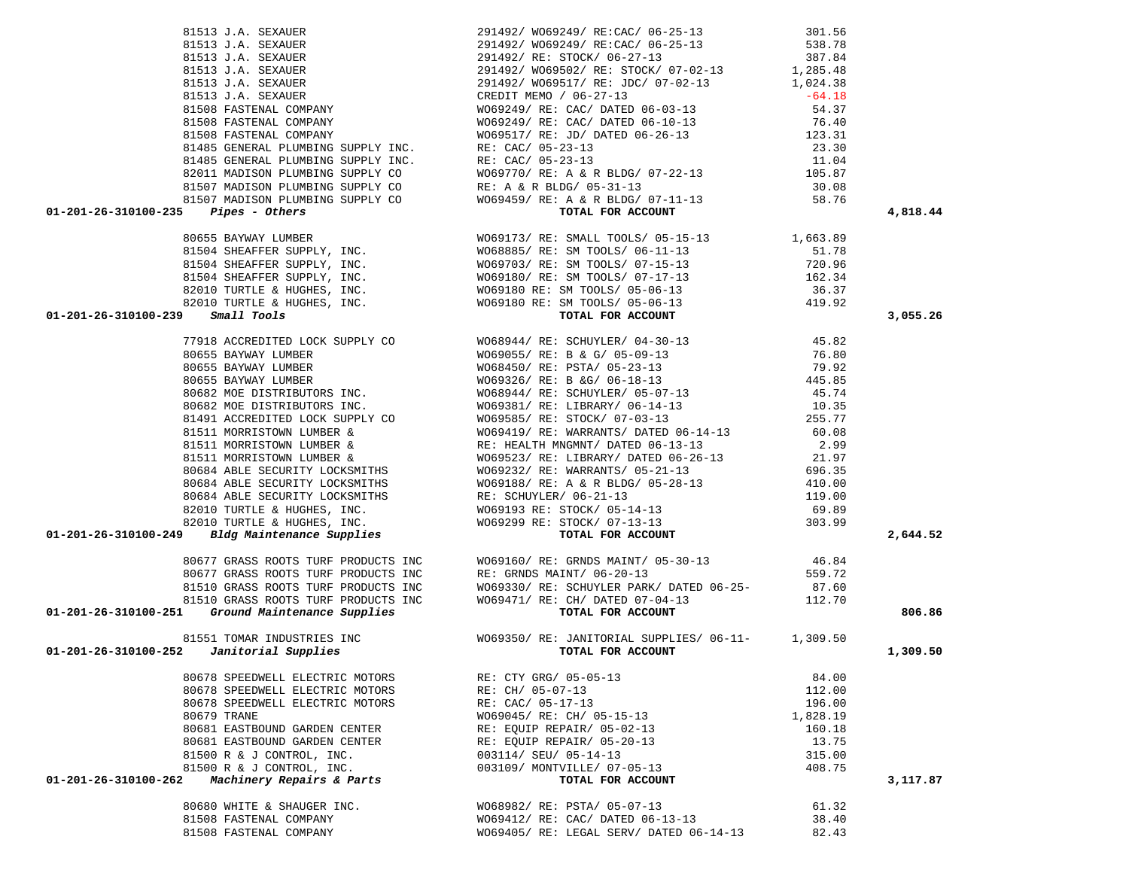| 1913) 3.1.4.5 2022/02<br>1913) 3.4.5 2022/02<br>1913) 3.4.5 2022/02<br>1913) 3.4.5 2022/12<br>1913) 3.4.5 2022/12<br>1913) 3.4.5 2022/12<br>1923) 2.3.1<br>1923) 3.6 2022/12<br>1923) 3.6 2022/12<br>1923) 3.6 2022/12<br>1923) 3.6 2022/12<br>1923                                                                                                                                                |                                                                                                                                                                                                                                                  |                | 4,818.44 |
|----------------------------------------------------------------------------------------------------------------------------------------------------------------------------------------------------------------------------------------------------------------------------------------------------------------------------------------------------------------------------------------------------|--------------------------------------------------------------------------------------------------------------------------------------------------------------------------------------------------------------------------------------------------|----------------|----------|
|                                                                                                                                                                                                                                                                                                                                                                                                    |                                                                                                                                                                                                                                                  |                |          |
|                                                                                                                                                                                                                                                                                                                                                                                                    |                                                                                                                                                                                                                                                  |                |          |
|                                                                                                                                                                                                                                                                                                                                                                                                    |                                                                                                                                                                                                                                                  |                |          |
|                                                                                                                                                                                                                                                                                                                                                                                                    |                                                                                                                                                                                                                                                  |                |          |
|                                                                                                                                                                                                                                                                                                                                                                                                    |                                                                                                                                                                                                                                                  |                |          |
|                                                                                                                                                                                                                                                                                                                                                                                                    |                                                                                                                                                                                                                                                  |                |          |
|                                                                                                                                                                                                                                                                                                                                                                                                    |                                                                                                                                                                                                                                                  |                |          |
|                                                                                                                                                                                                                                                                                                                                                                                                    |                                                                                                                                                                                                                                                  |                | 3,055.26 |
|                                                                                                                                                                                                                                                                                                                                                                                                    |                                                                                                                                                                                                                                                  |                |          |
|                                                                                                                                                                                                                                                                                                                                                                                                    |                                                                                                                                                                                                                                                  |                |          |
|                                                                                                                                                                                                                                                                                                                                                                                                    |                                                                                                                                                                                                                                                  |                |          |
|                                                                                                                                                                                                                                                                                                                                                                                                    |                                                                                                                                                                                                                                                  |                |          |
|                                                                                                                                                                                                                                                                                                                                                                                                    |                                                                                                                                                                                                                                                  |                |          |
|                                                                                                                                                                                                                                                                                                                                                                                                    |                                                                                                                                                                                                                                                  |                |          |
|                                                                                                                                                                                                                                                                                                                                                                                                    |                                                                                                                                                                                                                                                  |                |          |
|                                                                                                                                                                                                                                                                                                                                                                                                    |                                                                                                                                                                                                                                                  |                |          |
|                                                                                                                                                                                                                                                                                                                                                                                                    |                                                                                                                                                                                                                                                  |                |          |
|                                                                                                                                                                                                                                                                                                                                                                                                    |                                                                                                                                                                                                                                                  |                |          |
|                                                                                                                                                                                                                                                                                                                                                                                                    |                                                                                                                                                                                                                                                  |                |          |
|                                                                                                                                                                                                                                                                                                                                                                                                    |                                                                                                                                                                                                                                                  |                |          |
|                                                                                                                                                                                                                                                                                                                                                                                                    |                                                                                                                                                                                                                                                  |                |          |
|                                                                                                                                                                                                                                                                                                                                                                                                    |                                                                                                                                                                                                                                                  |                |          |
|                                                                                                                                                                                                                                                                                                                                                                                                    |                                                                                                                                                                                                                                                  |                |          |
|                                                                                                                                                                                                                                                                                                                                                                                                    |                                                                                                                                                                                                                                                  |                |          |
|                                                                                                                                                                                                                                                                                                                                                                                                    |                                                                                                                                                                                                                                                  |                | 2,644.52 |
|                                                                                                                                                                                                                                                                                                                                                                                                    |                                                                                                                                                                                                                                                  |                |          |
|                                                                                                                                                                                                                                                                                                                                                                                                    |                                                                                                                                                                                                                                                  |                |          |
|                                                                                                                                                                                                                                                                                                                                                                                                    |                                                                                                                                                                                                                                                  |                |          |
|                                                                                                                                                                                                                                                                                                                                                                                                    |                                                                                                                                                                                                                                                  |                |          |
| $\begin{array}{cccc} 80677 \text{ GRASS ROOT}} & \text{TURF PRODUCTS INC} & \text{W069160/ RE: GRNDS MAINT/ 05-30-13} & 46.84 \\ 80677 \text{ GRASS ROOTS TURF PRODUCTS INC} & \text{RE: GRNDS MAINT/ 06-20-13} & 559.72 \\ 81510 \text{ GRASS ROOTS TURF PRODUCTS INC} & \text{W069330/ RE: SCHUVLER PARK/ DATED 06-25-} & 87.60 \\ 81510 \text{ GRASS ROOTS TURF PRODUCTS INC} & \text{W069471/$ |                                                                                                                                                                                                                                                  |                | 806.86   |
| 81551 TOMAR INDUSTRIES INC<br>01-201-26-310100-252 <i>Janitorial Supplies</i><br>059350/RE: JANITORIAL SUPPLIES/06-11-<br><b>1,309.50</b> TOTAL FOR ACCOUNT                                                                                                                                                                                                                                        |                                                                                                                                                                                                                                                  |                |          |
|                                                                                                                                                                                                                                                                                                                                                                                                    |                                                                                                                                                                                                                                                  |                | 1,309.50 |
|                                                                                                                                                                                                                                                                                                                                                                                                    | 80678 SPEEDWELL ELECTRIC MOTORS<br>80678 SPEEDWELL ELECTRIC MOTORS<br>80678 SPEEDWELL ELECTRIC MOTORS<br>80678 SPEEDWELL ELECTRIC MOTORS<br>80679 TRANE<br>80679 TRANE<br>8069045/ RE: CAC/ 05-17-13<br>80679 TRANE<br>80679 TRANE<br>80679 TRAN |                |          |
|                                                                                                                                                                                                                                                                                                                                                                                                    |                                                                                                                                                                                                                                                  |                |          |
|                                                                                                                                                                                                                                                                                                                                                                                                    |                                                                                                                                                                                                                                                  |                |          |
|                                                                                                                                                                                                                                                                                                                                                                                                    |                                                                                                                                                                                                                                                  |                |          |
| 80681 EASTBOUND GARDEN CENTER                                                                                                                                                                                                                                                                                                                                                                      | RE: EQUIP REPAIR/ 05-02-13                                                                                                                                                                                                                       | 160.18         |          |
| 80681 EASTBOUND GARDEN CENTER                                                                                                                                                                                                                                                                                                                                                                      | RE: EQUIP REPAIR/ 05-20-13                                                                                                                                                                                                                       | 13.75          |          |
| 81500 R & J CONTROL, INC.                                                                                                                                                                                                                                                                                                                                                                          | 003114/ SEU/ 05-14-13                                                                                                                                                                                                                            | 315.00         |          |
|                                                                                                                                                                                                                                                                                                                                                                                                    | 003109/ MONTVILLE/ 07-05-13                                                                                                                                                                                                                      | 408.75         |          |
|                                                                                                                                                                                                                                                                                                                                                                                                    |                                                                                                                                                                                                                                                  |                | 3,117.87 |
| 81500 R & J CONTROL, INC.<br>Machinery Repairs & Parts                                                                                                                                                                                                                                                                                                                                             | TOTAL FOR ACCOUNT                                                                                                                                                                                                                                |                |          |
|                                                                                                                                                                                                                                                                                                                                                                                                    |                                                                                                                                                                                                                                                  |                |          |
| 01-201-26-310100-262<br>80680 WHITE & SHAUGER INC.                                                                                                                                                                                                                                                                                                                                                 | WO68982/ RE: PSTA/ 05-07-13                                                                                                                                                                                                                      | 61.32          |          |
| 81508 FASTENAL COMPANY<br>81508 FASTENAL COMPANY                                                                                                                                                                                                                                                                                                                                                   | WO69412/ RE: CAC/ DATED 06-13-13<br>WO69405/ RE: LEGAL SERV/ DATED 06-14-13                                                                                                                                                                      | 38.40<br>82.43 |          |

 81513 J.A. SEXAUER 291492/ WO69249/ RE:CAC/ 06-25-13 301.56 81513 J.A. SEXAUER<br>81513 J.A. SEXAUER 291492/ WO69249/ RE:CAC/ 06-25-13 538.78<br>297.94 81513 J.A. SEXAUER 291492/ RE: STOCK/ 06-27-13 387.84

81513 J.A. SEXAUER 291492/ WO69502/ RE: STOCK/ 07-02-13 1,285.48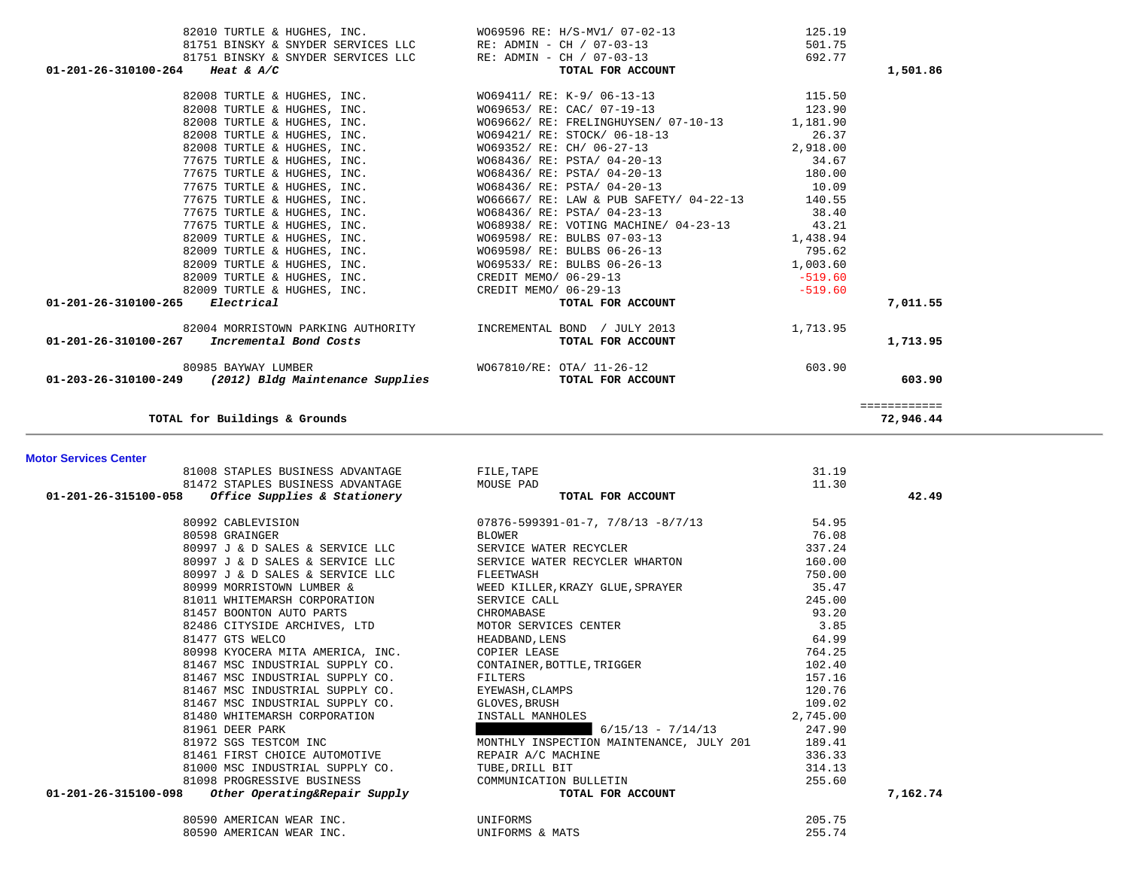|                                                                                                                             |                                                                                                                                                                           | 125.19    |              |
|-----------------------------------------------------------------------------------------------------------------------------|---------------------------------------------------------------------------------------------------------------------------------------------------------------------------|-----------|--------------|
|                                                                                                                             | 82010 TURTLE & HUGHES, INC.<br>81751 BINSKY & SNYDER SERVICES LLC RE: ADMIN - CH / 07-03-13                                                                               | 501.75    |              |
|                                                                                                                             | 81751 BINSKY & SNYDER SERVICES LLC RE: ADMIN - CH / 07-03-13                                                                                                              | 692.77    |              |
| 01-201-26-310100-264 Heat & A/C                                                                                             | TOTAL FOR ACCOUNT                                                                                                                                                         |           | 1,501.86     |
|                                                                                                                             | 82008 TURTLE & HUGHES, INC. WO69411/ RE: K-9/ 06-13-13 115.50                                                                                                             |           |              |
|                                                                                                                             |                                                                                                                                                                           | 123.90    |              |
|                                                                                                                             | 82008 TURTLE & HUGHES, INC.<br>82008 TURTLE & HUGHES, INC.<br>82008 TURTLE & HUGHES, INC.<br>82008 TURTLE & HUGHES, INC.<br>WO69662/ RE: FRELINGHUYSEN/ 07-10-13 1,181.90 |           |              |
|                                                                                                                             |                                                                                                                                                                           | 26.37     |              |
| 82008 TURTLE & HUGHES, INC.                                                                                                 | WO69352/RE: CH/ 06-27-13 2,918.00                                                                                                                                         |           |              |
|                                                                                                                             |                                                                                                                                                                           |           |              |
|                                                                                                                             |                                                                                                                                                                           |           |              |
|                                                                                                                             | WO68436/ RE: PSTA/ 04-20-13                                                                                                                                               | 10.09     |              |
| 77675 TURTLE & HUGHES, INC.<br>77675 TURTLE & HUGHES, INC.                                                                  | WO66667/ RE: LAW & PUB SAFETY/ 04-22-13 140.55                                                                                                                            |           |              |
| 77675 TURTLE & HUGHES, INC.                                                                                                 | W068436/ RE: PSTA/ 04-23-13                                                                                                                                               | 38.40     |              |
|                                                                                                                             | 77675 TURTLE & HUGHES, INC. WO68938/RE: VOTING MACHINE/ 04-23-13 43.21                                                                                                    |           |              |
|                                                                                                                             | 82009 TURTLE & HUGHES, INC. WO69598/ RE: BULBS 07-03-13                                                                                                                   | 1,438.94  |              |
|                                                                                                                             |                                                                                                                                                                           |           |              |
|                                                                                                                             |                                                                                                                                                                           |           |              |
| 82009 TURTLE & HUGHES, INC. THE READ CREDIT MEMO/ 06-29-13                                                                  | $-519.60$                                                                                                                                                                 |           |              |
| 82009 TURTLE & HUGHES, INC. CREDIT MEMO/ 06-29-13                                                                           |                                                                                                                                                                           | $-519.60$ |              |
| 01-201-26-310100-265 Electrical                                                                                             | TOTAL FOR ACCOUNT                                                                                                                                                         |           | 7,011.55     |
|                                                                                                                             | 82004 MORRISTOWN PARKING AUTHORITY   INCREMENTAL BOND / JULY 2013                                                                                                         | 1,713.95  |              |
| $01-201-26-310100-267$ Incremental Bond Costs                                                                               | TOTAL FOR ACCOUNT                                                                                                                                                         |           | 1,713.95     |
|                                                                                                                             |                                                                                                                                                                           | 603.90    |              |
| $0.985 BAYWAY LUMBER$ wo 67810/RE: OTA/ 11-26-12<br>01-203-26-310100-249 (2012) Bldg Maintenance Supplies TOTAL FOR ACCOUNT |                                                                                                                                                                           |           | 603.90       |
|                                                                                                                             |                                                                                                                                                                           |           | ============ |
| TOTAL for Buildings & Grounds                                                                                               |                                                                                                                                                                           |           | 72,946.44    |

**Motor Services Center** 

| 81008 STAPLES BUSINESS ADVANTAGE                             | FILE, TAPE                                                                                                                                                                                                                                                                                                                                                                                                              | 31.19    |          |
|--------------------------------------------------------------|-------------------------------------------------------------------------------------------------------------------------------------------------------------------------------------------------------------------------------------------------------------------------------------------------------------------------------------------------------------------------------------------------------------------------|----------|----------|
| 81472 STAPLES BUSINESS ADVANTAGE MOUSE PAD                   |                                                                                                                                                                                                                                                                                                                                                                                                                         | 11.30    |          |
| Office Supplies & Stationery<br>01-201-26-315100-058         | TOTAL FOR ACCOUNT                                                                                                                                                                                                                                                                                                                                                                                                       |          | 42.49    |
| 80992 CABLEVISION                                            | $07876 - 599391 - 01 - 7$ , $7/8/13$ $-8/7/13$<br>BLOWER                                                                                                                                                                                                                                                                                                                                                                | 54.95    |          |
| 80598 GRAINGER                                               |                                                                                                                                                                                                                                                                                                                                                                                                                         | 76.08    |          |
| 80997 J & D SALES & SERVICE LLC                              | SERVICE WATER RECYCLER                                                                                                                                                                                                                                                                                                                                                                                                  | 337.24   |          |
|                                                              | 80997 J & D SALES & SERVICE LLC SERVICE WATER RECYCLER WHARTON                                                                                                                                                                                                                                                                                                                                                          | 160.00   |          |
|                                                              | $\begin{tabular}{lllllllllllllllllllll} \multicolumn{4.5cm}{0.5cm} \multicolumn{4.5cm}{0.5cm} \multicolumn{4.5cm}{0.5cm} \multicolumn{4.5cm}{0.5cm} \multicolumn{4.5cm}{0.5cm} \multicolumn{4.5cm}{0.5cm} \multicolumn{4.5cm}{0.5cm} \multicolumn{4.5cm}{0.5cm} \multicolumn{4.5cm}{0.5cm} \multicolumn{4.5cm}{0.5cm} \multicolumn{4.5cm}{0.5cm} \multicolumn{4.5cm}{0.5cm} \multicolumn{4.5cm}{0.5cm} \multicolumn{4.$ |          |          |
|                                                              |                                                                                                                                                                                                                                                                                                                                                                                                                         |          |          |
|                                                              |                                                                                                                                                                                                                                                                                                                                                                                                                         |          |          |
|                                                              | CHROMABASE<br>82486 CITYSIDE ARCHIVES, LTD MOTOR SERVICES CENTER<br>81477 GTS WELCO HEADBAND, LENS<br>80998 KYOCERA MITA AMERICA, INC. COPIER LEASE<br>91467 MSC INDUSTRIAL SUPPLY CO. CONTAINER, BOTTLE TRIGGED<br>1467 MSC INDUSTRIAL                                                                                                                                                                                 |          |          |
|                                                              |                                                                                                                                                                                                                                                                                                                                                                                                                         |          |          |
|                                                              |                                                                                                                                                                                                                                                                                                                                                                                                                         | 64.99    |          |
|                                                              |                                                                                                                                                                                                                                                                                                                                                                                                                         | 764.25   |          |
|                                                              | CONTAINER, BOTTLE, TRIGGER<br>————————————————————                                                                                                                                                                                                                                                                                                                                                                      | 102.40   |          |
| 81467 MSC INDUSTRIAL SUPPLY CO.                              | FILTERS<br>FILTERS<br>EYEWASH, CLAMPS<br>GLOVES, BRUSH                                                                                                                                                                                                                                                                                                                                                                  | 157.16   |          |
| 81467 MSC INDUSTRIAL SUPPLY CO.                              |                                                                                                                                                                                                                                                                                                                                                                                                                         | 120.76   |          |
| 81467 MSC INDUSTRIAL SUPPLY CO. GLOVES, BRUSH                |                                                                                                                                                                                                                                                                                                                                                                                                                         | 109.02   |          |
|                                                              |                                                                                                                                                                                                                                                                                                                                                                                                                         | 2,745.00 |          |
|                                                              | 91480 WHITEMARSH CORPORATION<br>81961 DEER PARK 6/15/13 - 7/14/13<br>81972 SGS TESTCOM INC MONTHLY INSPECTION MAINTENANCE, JULY 201<br>$6/15/13 - 7/14/13$                                                                                                                                                                                                                                                              | 247.90   |          |
|                                                              |                                                                                                                                                                                                                                                                                                                                                                                                                         | 189.41   |          |
| 81461 FIRST CHOICE AUTOMOTIVE THE REPAIR A/C MACHINE         | INE THE TERM OF THE STATE OF THE STATE OF THE STATE OF THE STATE OF THE STATE OF THE STATE OF THE STATE OF THE                                                                                                                                                                                                                                                                                                          | 336.33   |          |
| 81000 MSC INDUSTRIAL SUPPLY CO. TUBE, DRILL BIT              |                                                                                                                                                                                                                                                                                                                                                                                                                         | 314.13   |          |
|                                                              |                                                                                                                                                                                                                                                                                                                                                                                                                         | 255.60   |          |
| 01-201-26-315100-098                                         | 91098 PROGRESSIVE BUSINESS<br>3 Other Operating&Repair Supply<br>3 Other Operating&Repair Supply<br>TOTAL FOR ACCOUNT                                                                                                                                                                                                                                                                                                   |          | 7,162.74 |
| 80590 AMERICAN WEAR INC. THE CONTROL ONLY ONLY ONLY UNIFORMS |                                                                                                                                                                                                                                                                                                                                                                                                                         | 205.75   |          |
| 80590 AMERICAN WEAR INC. THE UNIFORMS & MATS                 |                                                                                                                                                                                                                                                                                                                                                                                                                         | 255.74   |          |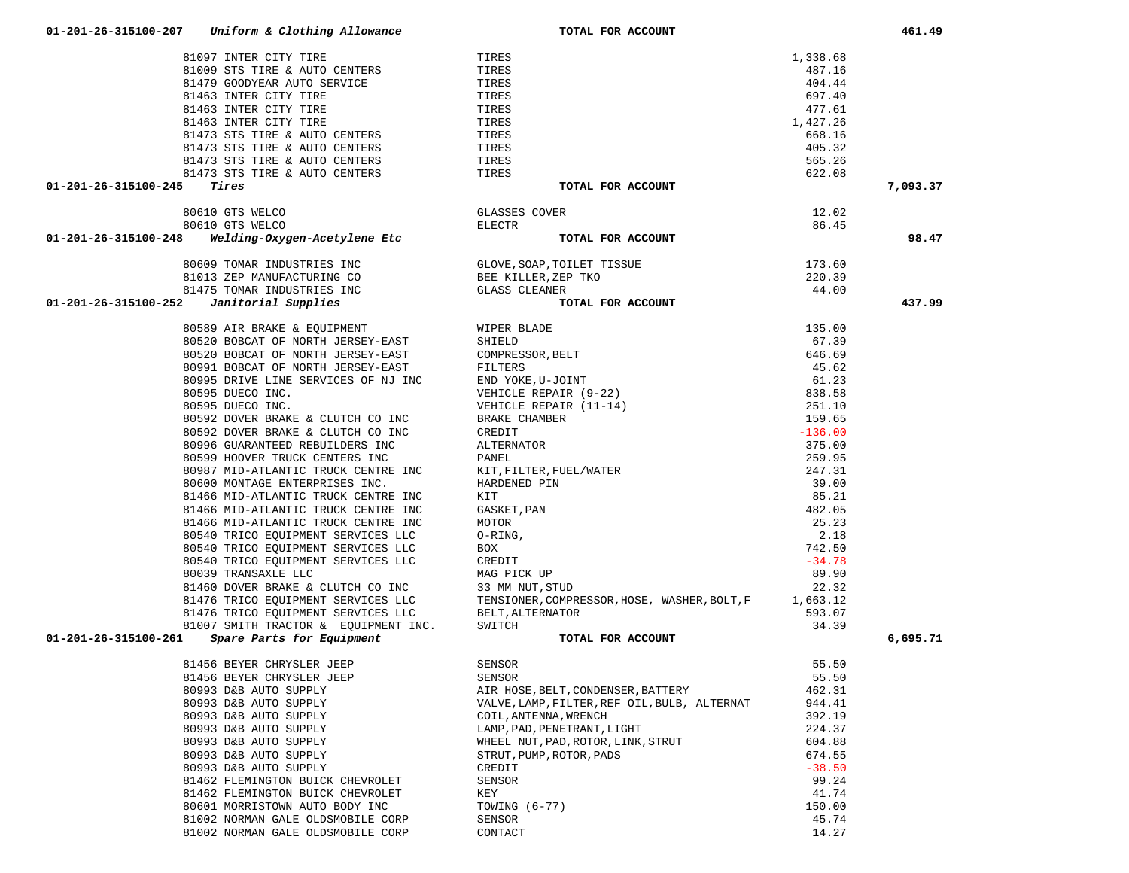| 81097 INTER CITY TIRE                                                                                                         | TIRES                                                                                                                                                                                                                                                                             | 1,338.68       |          |
|-------------------------------------------------------------------------------------------------------------------------------|-----------------------------------------------------------------------------------------------------------------------------------------------------------------------------------------------------------------------------------------------------------------------------------|----------------|----------|
| 81009 STS TIRE & AUTO CENTERS                                                                                                 | TIRES                                                                                                                                                                                                                                                                             | 487.16         |          |
| 81479 GOODYEAR AUTO SERVICE                                                                                                   | TIRES                                                                                                                                                                                                                                                                             | 404.44         |          |
| 81463 INTER CITY TIRE                                                                                                         | TIRES                                                                                                                                                                                                                                                                             | 697.40         |          |
| 81463 INTER CITY TIRE                                                                                                         | TIRES                                                                                                                                                                                                                                                                             | 477.61         |          |
| 81463 INTER CITY TIRE                                                                                                         | TIRES                                                                                                                                                                                                                                                                             | 1,427.26       |          |
| 81473 STS TIRE & AUTO CENTERS                                                                                                 | TIRES                                                                                                                                                                                                                                                                             | 668.16         |          |
| 81473 STS TIRE & AUTO CENTERS                                                                                                 | TIRES                                                                                                                                                                                                                                                                             | 405.32         |          |
| 81473 STS TIRE & AUTO CENTERS<br>81473 STS TIRE & AUTO CENTERS TIRES<br>81473 STS TIRE & AUTO CENTERS TIRES                   |                                                                                                                                                                                                                                                                                   | 565.26         |          |
|                                                                                                                               |                                                                                                                                                                                                                                                                                   | 622.08         |          |
| Tires<br>01-201-26-315100-245                                                                                                 | TOTAL FOR ACCOUNT                                                                                                                                                                                                                                                                 |                | 7,093.37 |
| 80610 GTS WELCO                                                                                                               | GLASSES COVER                                                                                                                                                                                                                                                                     | 12.02          |          |
| 80610 GTS WELCO                                                                                                               | ELECTR                                                                                                                                                                                                                                                                            | 86.45          |          |
| 01-201-26-315100-248 Welding-Oxygen-Acetylene Etc                                                                             | TOTAL FOR ACCOUNT                                                                                                                                                                                                                                                                 |                | 98.47    |
|                                                                                                                               |                                                                                                                                                                                                                                                                                   |                |          |
| 80609 TOMAR INDUSTRIES INC                                                                                                    |                                                                                                                                                                                                                                                                                   | 173.60         |          |
| 81013 ZEP MANUFACTURING CO                                                                                                    | GLOVE,SOAP,TOILET TISSUE<br>BEE KILLER,ZEP TKO<br>GLASS CLEANER<br>BEE KILLER, ZEP TKO                                                                                                                                                                                            | 220.39         |          |
| 81475 TOMAR INDUSTRIES INC<br>01-201-26-315100-252<br>Janitorial Supplies                                                     | <b>GLASS CLEANER</b><br>TOTAL FOR ACCOUNT                                                                                                                                                                                                                                         | 44.00          | 437.99   |
|                                                                                                                               |                                                                                                                                                                                                                                                                                   |                |          |
| 80589 AIR BRAKE & EQUIPMENT                                                                                                   | WIPER BLADE<br>WIPER BLADE<br>SHIELD<br>COMPRESSOR, BELT<br>FILTERS<br>END YOKE, U-JOINT<br>VEHICLE REPAIR (9-22)<br>VEHICLE REPAIR (11-14)<br>BRAKE CHAMBER<br>CREDIT<br>ALTERNATOR<br>PANEL<br>PATEL<br>HARDENED PIN<br>KIT<br>GASKET, PAN<br>MOTOR<br>O-RING,<br>BOX<br>CREDIT | 135.00         |          |
| 80520 BOBCAT OF NORTH JERSEY-EAST                                                                                             |                                                                                                                                                                                                                                                                                   | 67.39          |          |
| 80520 BOBCAT OF NORTH JERSEY-EAST                                                                                             |                                                                                                                                                                                                                                                                                   | 646.69         |          |
| 80991 BOBCAT OF NORTH JERSEY-EAST                                                                                             |                                                                                                                                                                                                                                                                                   | 45.62          |          |
| 80995 DRIVE LINE SERVICES OF NJ INC                                                                                           |                                                                                                                                                                                                                                                                                   | 61.23          |          |
| 80595 DUECO INC.                                                                                                              |                                                                                                                                                                                                                                                                                   | 838.58         |          |
| 80595 DUECO INC.                                                                                                              |                                                                                                                                                                                                                                                                                   | 251.10         |          |
| 80592 DOVER BRAKE & CLUTCH CO INC                                                                                             |                                                                                                                                                                                                                                                                                   | 159.65         |          |
| 80592 DOVER BRAKE & CLUTCH CO INC                                                                                             |                                                                                                                                                                                                                                                                                   | $-136.00$      |          |
| 80996 GUARANTEED REBUILDERS INC                                                                                               |                                                                                                                                                                                                                                                                                   | 375.00         |          |
| 80599 HOOVER TRUCK CENTERS INC                                                                                                |                                                                                                                                                                                                                                                                                   | 259.95         |          |
| 80987 MID-ATLANTIC TRUCK CENTRE INC                                                                                           |                                                                                                                                                                                                                                                                                   | 247.31         |          |
| 80600 MONTAGE ENTERPRISES INC.<br>81466 MID-ATLANTIC TRUCK CENTRE INC                                                         |                                                                                                                                                                                                                                                                                   | 39.00<br>85.21 |          |
| 81466 MID-ATLANTIC TRUCK CENTRE INC                                                                                           |                                                                                                                                                                                                                                                                                   | 482.05         |          |
| 81466 MID-ATLANTIC TRUCK CENTRE INC                                                                                           |                                                                                                                                                                                                                                                                                   | 25.23          |          |
| 80540 TRICO EQUIPMENT SERVICES LLC                                                                                            |                                                                                                                                                                                                                                                                                   | 2.18           |          |
| 80540 TRICO EQUIPMENT SERVICES LLC                                                                                            |                                                                                                                                                                                                                                                                                   | 742.50         |          |
| 80540 TRICO EQUIPMENT SERVICES LLC                                                                                            | CREDIT                                                                                                                                                                                                                                                                            | $-34.78$       |          |
| 80039 TRANSAXLE LLC                                                                                                           | MAG PICK UP                                                                                                                                                                                                                                                                       | 89.90          |          |
| 81460 DOVER BRAKE & CLUTCH CO INC                                                                                             | 33 MM NUT,STUD                                                                                                                                                                                                                                                                    | 22.32          |          |
| 81476 TRICO EQUIPMENT SERVICES LLC          TENSIONER, COMPRI<br>81476 TRICO EQUIPMENT SERVICES LLC          BELT, ALTERNATOR | TENSIONER, COMPRESSOR, HOSE, WASHER, BOLT, F 1, 663.12                                                                                                                                                                                                                            |                |          |
|                                                                                                                               |                                                                                                                                                                                                                                                                                   | 593.07         |          |
| 81007 SMITH TRACTOR & EQUIPMENT INC.                                                                                          | SWITCH                                                                                                                                                                                                                                                                            | 34.39          |          |
| 01-201-26-315100-261<br>Spare Parts for Equipment                                                                             | TOTAL FOR ACCOUNT                                                                                                                                                                                                                                                                 |                | 6.695.71 |
| 81456 BEYER CHRYSLER JEEP                                                                                                     | SENSOR                                                                                                                                                                                                                                                                            | 55.50          |          |
| 81456 BEYER CHRYSLER JEEP                                                                                                     | <b>SENSOR</b>                                                                                                                                                                                                                                                                     | 55.50          |          |
| 80993 D&B AUTO SUPPLY                                                                                                         | AIR HOSE, BELT, CONDENSER, BATTERY                                                                                                                                                                                                                                                | 462.31         |          |
| 80993 D&B AUTO SUPPLY                                                                                                         | VALVE, LAMP, FILTER, REF OIL, BULB, ALTERNAT                                                                                                                                                                                                                                      | 944.41         |          |
| 80993 D&B AUTO SUPPLY                                                                                                         | COIL, ANTENNA, WRENCH                                                                                                                                                                                                                                                             | 392.19         |          |
| 80993 D&B AUTO SUPPLY                                                                                                         | LAMP, PAD, PENETRANT, LIGHT                                                                                                                                                                                                                                                       | 224.37         |          |
| 80993 D&B AUTO SUPPLY                                                                                                         | WHEEL NUT, PAD, ROTOR, LINK, STRUT                                                                                                                                                                                                                                                | 604.88         |          |
| 80993 D&B AUTO SUPPLY                                                                                                         | STRUT, PUMP, ROTOR, PADS                                                                                                                                                                                                                                                          | 674.55         |          |
| 80993 D&B AUTO SUPPLY                                                                                                         | CREDIT                                                                                                                                                                                                                                                                            | $-38.50$       |          |
| 81462 FLEMINGTON BUICK CHEVROLET                                                                                              | SENSOR                                                                                                                                                                                                                                                                            | 99.24          |          |
| 81462 FLEMINGTON BUICK CHEVROLET                                                                                              | KEY                                                                                                                                                                                                                                                                               | 41.74          |          |
| 80601 MORRISTOWN AUTO BODY INC                                                                                                | TOWING (6-77)                                                                                                                                                                                                                                                                     | 150.00         |          |
| 81002 NORMAN GALE OLDSMOBILE CORP                                                                                             | SENSOR                                                                                                                                                                                                                                                                            | 45.74          |          |
| 81002 NORMAN GALE OLDSMOBILE CORP                                                                                             | CONTACT                                                                                                                                                                                                                                                                           | 14.27          |          |

 **01-201-26-315100-207** *Uniform & Clothing Allowance* **TOTAL FOR ACCOUNT 461.49**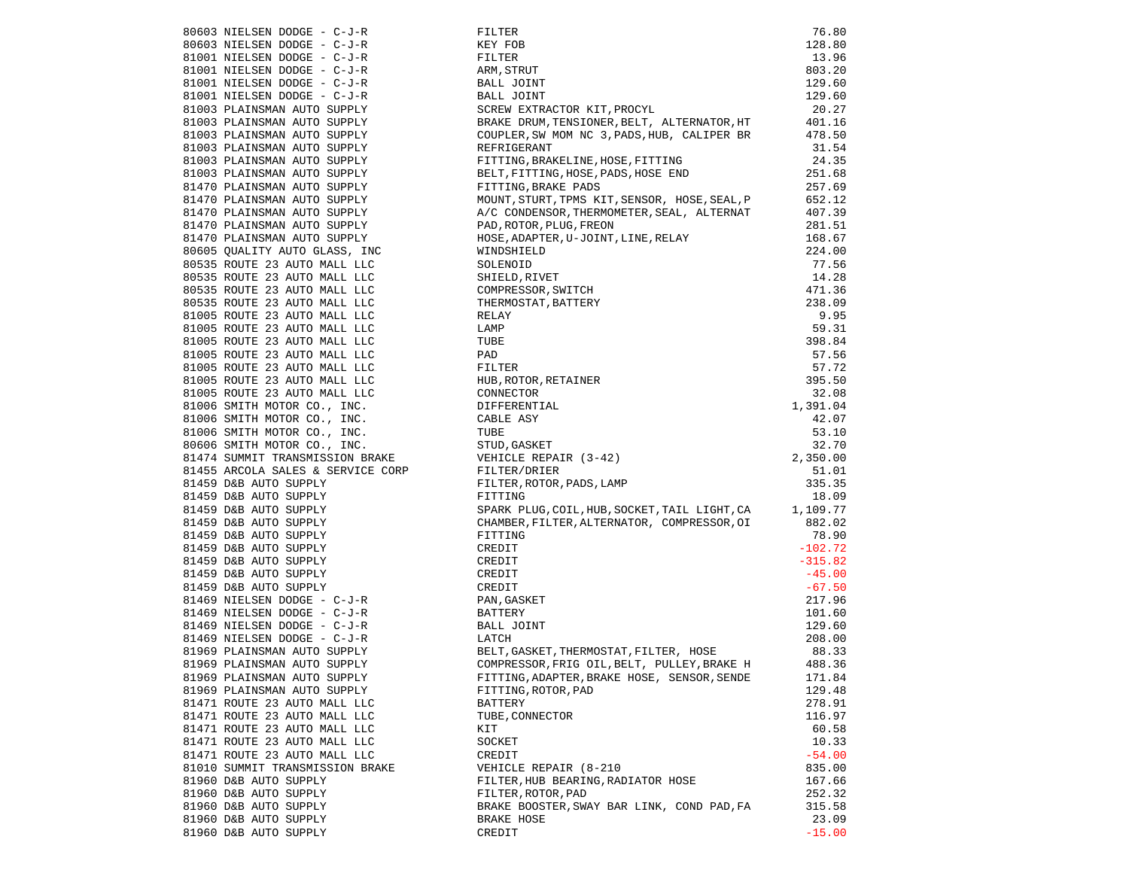|                                                                                                                          | FILTER<br>KEY FOB<br>FILTER<br>ARM, STRUT<br>BALL JOINT<br>SCREW EXTRACTOR KIT, PROCYL<br>SCREW EXTRACTOR KIT, PROCYL                                                                                                            | 76.80    |
|--------------------------------------------------------------------------------------------------------------------------|----------------------------------------------------------------------------------------------------------------------------------------------------------------------------------------------------------------------------------|----------|
|                                                                                                                          |                                                                                                                                                                                                                                  | 128.80   |
|                                                                                                                          |                                                                                                                                                                                                                                  | 13.96    |
|                                                                                                                          |                                                                                                                                                                                                                                  | 803.20   |
|                                                                                                                          |                                                                                                                                                                                                                                  | 129.60   |
|                                                                                                                          |                                                                                                                                                                                                                                  | 129.60   |
|                                                                                                                          |                                                                                                                                                                                                                                  | 20.27    |
|                                                                                                                          | BRAKE DRUM, TENSIONER, BELT, ALTERNATOR, HT<br>COUPLER, SW MOM NC 3, PADS, HUB, CALIPER BR                                                                                                                                       | 401.16   |
|                                                                                                                          |                                                                                                                                                                                                                                  | 478.50   |
|                                                                                                                          |                                                                                                                                                                                                                                  |          |
|                                                                                                                          |                                                                                                                                                                                                                                  |          |
|                                                                                                                          |                                                                                                                                                                                                                                  |          |
| 81003 PLAINSMAN AUTO SUPPLY<br>81003 PLAINSMAN AUTO SUPPLY<br>81003 PLAINSMAN AUTO SUPPLY<br>81470 PLAINSMAN AUTO SUPPLY | REFRIGERANT 31.54<br>FITTING, BRAKELINE, HOSE, FITTING 24.35<br>BELT, FITTING, HOSE, PADS, HOSE END 251.68<br>FITTING, BRAKE PADS 257.69                                                                                         |          |
| 81470 PLAINSMAN AUTO SUPPLY<br>01470 PLAINSMAN AUTO SUPPLY                                                               |                                                                                                                                                                                                                                  | 652.12   |
|                                                                                                                          |                                                                                                                                                                                                                                  | 407.39   |
|                                                                                                                          |                                                                                                                                                                                                                                  | 281.51   |
| 81470 PLAINSMAN AUTO SUPPLY<br>81470 PLAINSMAN AUTO SUPPLY<br>81470 PLAINSMAN AUTO SUPPLY                                |                                                                                                                                                                                                                                  | 168.67   |
|                                                                                                                          | A/C CONDENSOR, THERMOMETER, SEAL, ALTERNAT<br>PAD, ROTOR, PLUG, FREON<br>HOSE, ADAPTER, U-JOINT, LINE, RELAY<br>WINDSHIELD                                                                                                       |          |
|                                                                                                                          |                                                                                                                                                                                                                                  |          |
|                                                                                                                          |                                                                                                                                                                                                                                  |          |
|                                                                                                                          |                                                                                                                                                                                                                                  |          |
|                                                                                                                          |                                                                                                                                                                                                                                  |          |
|                                                                                                                          |                                                                                                                                                                                                                                  |          |
|                                                                                                                          |                                                                                                                                                                                                                                  |          |
|                                                                                                                          |                                                                                                                                                                                                                                  |          |
|                                                                                                                          |                                                                                                                                                                                                                                  |          |
|                                                                                                                          |                                                                                                                                                                                                                                  |          |
|                                                                                                                          |                                                                                                                                                                                                                                  |          |
|                                                                                                                          |                                                                                                                                                                                                                                  |          |
|                                                                                                                          |                                                                                                                                                                                                                                  |          |
|                                                                                                                          |                                                                                                                                                                                                                                  |          |
|                                                                                                                          |                                                                                                                                                                                                                                  |          |
|                                                                                                                          |                                                                                                                                                                                                                                  |          |
|                                                                                                                          |                                                                                                                                                                                                                                  |          |
|                                                                                                                          |                                                                                                                                                                                                                                  |          |
|                                                                                                                          |                                                                                                                                                                                                                                  |          |
|                                                                                                                          |                                                                                                                                                                                                                                  |          |
|                                                                                                                          | 81470 PLAINSMAR ANTO SUPERLY (AD. PAD. PAD. PAD. PLAIN (PRESE), ANDERE, PRESENT AND 201.51<br>81470 PLAINSMAR ANTO SUPERLY (ADSE), INC. WAS PARTICLE (ADDITITY AND COMPASSION COMPASSION (224.00)<br>8053 ROUTE 21 AUTO MALL LEC |          |
|                                                                                                                          |                                                                                                                                                                                                                                  |          |
|                                                                                                                          |                                                                                                                                                                                                                                  |          |
|                                                                                                                          |                                                                                                                                                                                                                                  |          |
|                                                                                                                          |                                                                                                                                                                                                                                  |          |
|                                                                                                                          |                                                                                                                                                                                                                                  |          |
|                                                                                                                          |                                                                                                                                                                                                                                  |          |
|                                                                                                                          |                                                                                                                                                                                                                                  |          |
|                                                                                                                          |                                                                                                                                                                                                                                  |          |
|                                                                                                                          |                                                                                                                                                                                                                                  |          |
|                                                                                                                          |                                                                                                                                                                                                                                  |          |
|                                                                                                                          |                                                                                                                                                                                                                                  |          |
|                                                                                                                          |                                                                                                                                                                                                                                  |          |
|                                                                                                                          |                                                                                                                                                                                                                                  |          |
| 81969 PLAINSMAN AUTO SUPPLY                                                                                              | FITTING, ADAPTER, BRAKE HOSE, SENSOR, SENDE                                                                                                                                                                                      | 171.84   |
| 81969 PLAINSMAN AUTO SUPPLY                                                                                              | FITTING, ROTOR, PAD                                                                                                                                                                                                              | 129.48   |
| 81471 ROUTE 23 AUTO MALL LLC                                                                                             | BATTERY                                                                                                                                                                                                                          | 278.91   |
| 81471 ROUTE 23 AUTO MALL LLC                                                                                             | TUBE, CONNECTOR                                                                                                                                                                                                                  | 116.97   |
| 81471 ROUTE 23 AUTO MALL LLC                                                                                             | KIT                                                                                                                                                                                                                              | 60.58    |
| 81471 ROUTE 23 AUTO MALL LLC                                                                                             | SOCKET                                                                                                                                                                                                                           | 10.33    |
| 81471 ROUTE 23 AUTO MALL LLC                                                                                             | CREDIT                                                                                                                                                                                                                           | $-54.00$ |
| 81010 SUMMIT TRANSMISSION BRAKE                                                                                          | VEHICLE REPAIR (8-210                                                                                                                                                                                                            | 835.00   |
| 81960 D&B AUTO SUPPLY                                                                                                    | FILTER, HUB BEARING, RADIATOR HOSE                                                                                                                                                                                               | 167.66   |
| 81960 D&B AUTO SUPPLY                                                                                                    | FILTER, ROTOR, PAD                                                                                                                                                                                                               | 252.32   |
| 81960 D&B AUTO SUPPLY                                                                                                    | BRAKE BOOSTER, SWAY BAR LINK, COND PAD, FA                                                                                                                                                                                       | 315.58   |
| 81960 D&B AUTO SUPPLY                                                                                                    | BRAKE HOSE                                                                                                                                                                                                                       | 23.09    |
| 81960 D&B AUTO SUPPLY                                                                                                    | CREDIT                                                                                                                                                                                                                           | $-15.00$ |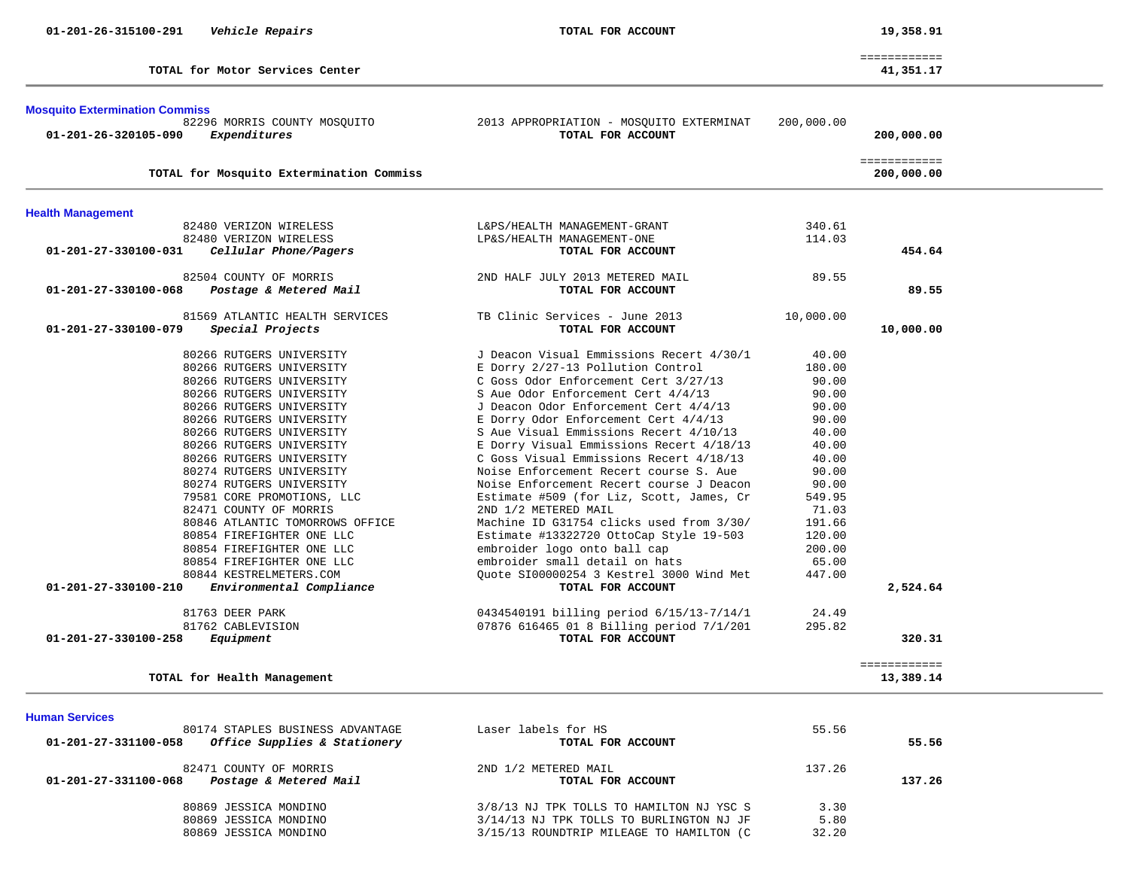|                                 | _____________<br>_____________ |
|---------------------------------|--------------------------------|
|                                 |                                |
| TOTAL for Motor Services Center | $+1,351.17$                    |

|  |  | TOTAL for Motor Services Center |  |
|--|--|---------------------------------|--|
|  |  |                                 |  |

# **Mosquito Extermination Commiss**

| <b>MUSQUILU LAIGHIMHALIUH UUMMIISS</b><br>82296 MORRIS COUNTY MOSQUITO<br>Expenditures<br>01-201-26-320105-090 | 2013 APPROPRIATION - MOSQUITO EXTERMINAT<br>TOTAL FOR ACCOUNT | 200,000.00 | 200,000.00                 |
|----------------------------------------------------------------------------------------------------------------|---------------------------------------------------------------|------------|----------------------------|
| TOTAL for Mosquito Extermination Commiss                                                                       |                                                               |            | ============<br>200,000.00 |
| <b>Health Management</b>                                                                                       |                                                               |            |                            |
| 82480 VERIZON WIRELESS                                                                                         | L&PS/HEALTH MANAGEMENT-GRANT                                  | 340.61     |                            |
| 82480 VERIZON WIRELESS                                                                                         | LP&S/HEALTH MANAGEMENT-ONE                                    | 114.03     |                            |
| 01-201-27-330100-031<br>Cellular Phone/Pagers                                                                  | TOTAL FOR ACCOUNT                                             |            | 454.64                     |
| 82504 COUNTY OF MORRIS                                                                                         | 2ND HALF JULY 2013 METERED MAIL                               | 89.55      |                            |
| Postage & Metered Mail<br>01-201-27-330100-068                                                                 | TOTAL FOR ACCOUNT                                             |            | 89.55                      |
| 81569 ATLANTIC HEALTH SERVICES                                                                                 | TB Clinic Services - June 2013                                | 10,000.00  |                            |
| 01-201-27-330100-079<br>Special Projects                                                                       | TOTAL FOR ACCOUNT                                             |            | 10,000.00                  |
| 80266 RUTGERS UNIVERSITY                                                                                       | J Deacon Visual Emmissions Recert 4/30/1                      | 40.00      |                            |
| 80266 RUTGERS UNIVERSITY                                                                                       | E Dorry 2/27-13 Pollution Control                             | 180.00     |                            |
| 80266 RUTGERS UNIVERSITY                                                                                       | C Goss Odor Enforcement Cert 3/27/13                          | 90.00      |                            |
| 80266 RUTGERS UNIVERSITY                                                                                       | S Aue Odor Enforcement Cert 4/4/13                            | 90.00      |                            |
| 80266 RUTGERS UNIVERSITY                                                                                       | J Deacon Odor Enforcement Cert 4/4/13                         | 90.00      |                            |
| 80266 RUTGERS UNIVERSITY                                                                                       | E Dorry Odor Enforcement Cert 4/4/13                          | 90.00      |                            |
| 80266 RUTGERS UNIVERSITY                                                                                       | S Aue Visual Emmissions Recert 4/10/13                        | 40.00      |                            |
| 80266 RUTGERS UNIVERSITY                                                                                       | E Dorry Visual Emmissions Recert 4/18/13                      | 40.00      |                            |
| 80266 RUTGERS UNIVERSITY                                                                                       | C Goss Visual Emmissions Recert 4/18/13                       | 40.00      |                            |
| 80274 RUTGERS UNIVERSITY                                                                                       | Noise Enforcement Recert course S. Aue                        | 90.00      |                            |
| 80274 RUTGERS UNIVERSITY                                                                                       | Noise Enforcement Recert course J Deacon                      | 90.00      |                            |
| 79581 CORE PROMOTIONS, LLC                                                                                     | Estimate #509 (for Liz, Scott, James, Cr                      | 549.95     |                            |
| 82471 COUNTY OF MORRIS                                                                                         | 2ND 1/2 METERED MAIL                                          | 71.03      |                            |
| 80846 ATLANTIC TOMORROWS OFFICE                                                                                | Machine ID G31754 clicks used from 3/30/                      | 191.66     |                            |
| 80854 FIREFIGHTER ONE LLC                                                                                      | Estimate #13322720 OttoCap Style 19-503                       | 120.00     |                            |
| 80854 FIREFIGHTER ONE LLC                                                                                      | embroider logo onto ball cap                                  | 200.00     |                            |
| 80854 FIREFIGHTER ONE LLC                                                                                      | embroider small detail on hats                                | 65.00      |                            |
| 80844 KESTRELMETERS.COM                                                                                        | Ouote SI00000254 3 Kestrel 3000 Wind Met                      | 447.00     |                            |
| 01-201-27-330100-210<br>Environmental Compliance                                                               | TOTAL FOR ACCOUNT                                             |            | 2,524.64                   |
| 81763 DEER PARK                                                                                                | 0434540191 billing period 6/15/13-7/14/1                      | 24.49      |                            |
| 81762 CABLEVISION                                                                                              | 07876 616465 01 8 Billing period 7/1/201                      | 295.82     |                            |
| Equipment<br>01-201-27-330100-258                                                                              | TOTAL FOR ACCOUNT                                             |            | 320.31                     |
|                                                                                                                |                                                               |            | ============               |
| TOTAL for Health Management                                                                                    |                                                               |            | 13,389.14                  |

#### **Human Services**

| 80174 STAPLES BUSINESS ADVANTAGE<br>Office Supplies & Stationery<br>01-201-27-331100-058 | Laser labels for HS<br>TOTAL FOR ACCOUNT  | 55.56  | 55.56  |
|------------------------------------------------------------------------------------------|-------------------------------------------|--------|--------|
| 82471 COUNTY OF MORRIS<br>01-201-27-331100-068<br>Postage & Metered Mail                 | 2ND 1/2 METERED MAIL<br>TOTAL FOR ACCOUNT | 137.26 | 137.26 |
| 80869 JESSICA MONDINO                                                                    | 3/8/13 NJ TPK TOLLS TO HAMILTON NJ YSC S  | 3.30   |        |
| 80869 JESSICA MONDINO                                                                    | 3/14/13 NJ TPK TOLLS TO BURLINGTON NJ JF  | 5.80   |        |
| 80869 JESSICA MONDINO                                                                    | 3/15/13 ROUNDTRIP MILEAGE TO HAMILTON (C  | 32.20  |        |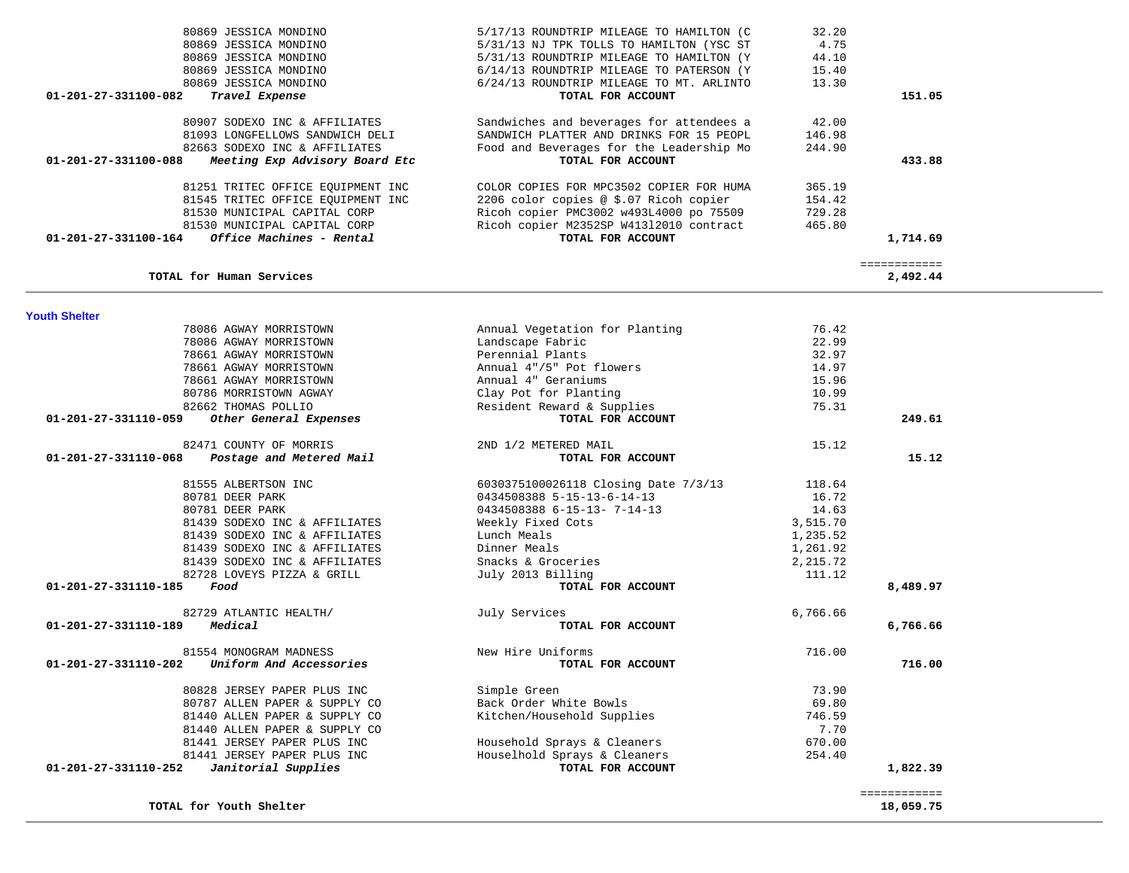| 80869 JESSICA MONDINO                                  | 5/31/13 NJ TPK TOLLS TO HAMILTON (YSC ST | 4.75     |              |  |
|--------------------------------------------------------|------------------------------------------|----------|--------------|--|
| 80869 JESSICA MONDINO                                  | 5/31/13 ROUNDTRIP MILEAGE TO HAMILTON (Y | 44.10    |              |  |
| 80869 JESSICA MONDINO                                  | 6/14/13 ROUNDTRIP MILEAGE TO PATERSON (Y | 15.40    |              |  |
| 80869 JESSICA MONDINO                                  | 6/24/13 ROUNDTRIP MILEAGE TO MT. ARLINTO | 13.30    |              |  |
| 01-201-27-331100-082<br>Travel Expense                 | TOTAL FOR ACCOUNT                        |          | 151.05       |  |
|                                                        |                                          |          |              |  |
| 80907 SODEXO INC & AFFILIATES                          | Sandwiches and beverages for attendees a | 42.00    |              |  |
| 81093 LONGFELLOWS SANDWICH DELI                        | SANDWICH PLATTER AND DRINKS FOR 15 PEOPL | 146.98   |              |  |
| 82663 SODEXO INC & AFFILIATES                          | Food and Beverages for the Leadership Mo | 244.90   |              |  |
| 01-201-27-331100-088<br>Meeting Exp Advisory Board Etc | TOTAL FOR ACCOUNT                        |          | 433.88       |  |
| 81251 TRITEC OFFICE EQUIPMENT INC                      | COLOR COPIES FOR MPC3502 COPIER FOR HUMA | 365.19   |              |  |
| 81545 TRITEC OFFICE EQUIPMENT INC                      | 2206 color copies @ \$.07 Ricoh copier   | 154.42   |              |  |
| 81530 MUNICIPAL CAPITAL CORP                           | Ricoh copier PMC3002 w493L4000 po 75509  | 729.28   |              |  |
| 81530 MUNICIPAL CAPITAL CORP                           | Ricoh copier M2352SP W41312010 contract  | 465.80   |              |  |
| Office Machines - Rental<br>01-201-27-331100-164       | TOTAL FOR ACCOUNT                        |          | 1,714.69     |  |
|                                                        |                                          |          |              |  |
|                                                        |                                          |          | ============ |  |
| TOTAL for Human Services                               |                                          |          | 2,492.44     |  |
|                                                        |                                          |          |              |  |
| <b>Youth Shelter</b>                                   |                                          |          |              |  |
| 78086 AGWAY MORRISTOWN                                 | Annual Vegetation for Planting           | 76.42    |              |  |
| 78086 AGWAY MORRISTOWN                                 | Landscape Fabric                         | 22.99    |              |  |
| 78661 AGWAY MORRISTOWN                                 | Perennial Plants                         | 32.97    |              |  |
| 78661 AGWAY MORRISTOWN                                 | Annual 4"/5" Pot flowers                 | 14.97    |              |  |
| 78661 AGWAY MORRISTOWN                                 | Annual 4" Geraniums                      | 15.96    |              |  |
| 80786 MORRISTOWN AGWAY                                 | Clay Pot for Planting                    | 10.99    |              |  |
| 82662 THOMAS POLLIO                                    | Resident Reward & Supplies               | 75.31    |              |  |
| Other General Expenses<br>01-201-27-331110-059         | TOTAL FOR ACCOUNT                        |          | 249.61       |  |
|                                                        |                                          | 15.12    |              |  |
| 82471 COUNTY OF MORRIS                                 | 2ND 1/2 METERED MAIL                     |          |              |  |
| 01-201-27-331110-068<br>Postage and Metered Mail       | TOTAL FOR ACCOUNT                        |          | 15.12        |  |
| 81555 ALBERTSON INC                                    | 6030375100026118 Closing Date 7/3/13     | 118.64   |              |  |
| 80781 DEER PARK                                        | 0434508388 5-15-13-6-14-13               | 16.72    |              |  |
| 80781 DEER PARK                                        | 0434508388 6-15-13- 7-14-13              | 14.63    |              |  |
| 81439 SODEXO INC & AFFILIATES                          | Weekly Fixed Cots                        | 3,515.70 |              |  |
| 81439 SODEXO INC & AFFILIATES                          | Lunch Meals                              | 1,235.52 |              |  |
| 81439 SODEXO INC & AFFILIATES                          | Dinner Meals                             | 1,261.92 |              |  |
| 81439 SODEXO INC & AFFILIATES                          | Snacks & Groceries                       | 2,215.72 |              |  |
|                                                        |                                          |          |              |  |
| 82728 LOVEYS PIZZA & GRILL                             | July 2013 Billing                        | 111.12   |              |  |
| 01-201-27-331110-185<br>Food                           | TOTAL FOR ACCOUNT                        |          | 8,489.97     |  |
| 82729 ATLANTIC HEALTH/                                 | July Services                            | 6,766.66 |              |  |
| Medical<br>01-201-27-331110-189                        | TOTAL FOR ACCOUNT                        |          | 6,766.66     |  |
| 81554 MONOGRAM MADNESS                                 | New Hire Uniforms                        | 716.00   |              |  |
| 01-201-27-331110-202<br>Uniform And Accessories        | TOTAL FOR ACCOUNT                        |          | 716.00       |  |
|                                                        |                                          |          |              |  |
| 80828 JERSEY PAPER PLUS INC                            | Simple Green                             | 73.90    |              |  |
| 80787 ALLEN PAPER & SUPPLY CO                          | Back Order White Bowls                   | 69.80    |              |  |
| 81440 ALLEN PAPER & SUPPLY CO                          | Kitchen/Household Supplies               | 746.59   |              |  |
| 81440 ALLEN PAPER & SUPPLY CO                          |                                          | 7.70     |              |  |
| 81441 JERSEY PAPER PLUS INC                            | Household Sprays & Cleaners              | 670.00   |              |  |
| 81441 JERSEY PAPER PLUS INC                            | Houselhold Sprays & Cleaners             | 254.40   |              |  |
| Janitorial Supplies<br>01-201-27-331110-252            | TOTAL FOR ACCOUNT                        |          | 1,822.39     |  |
|                                                        |                                          |          |              |  |
|                                                        |                                          |          | ============ |  |
| TOTAL for Youth Shelter                                |                                          |          | 18,059.75    |  |

80869 JESSICA MONDINO 5/17/13 ROUNDTRIP MILEAGE TO HAMILTON (C 32.20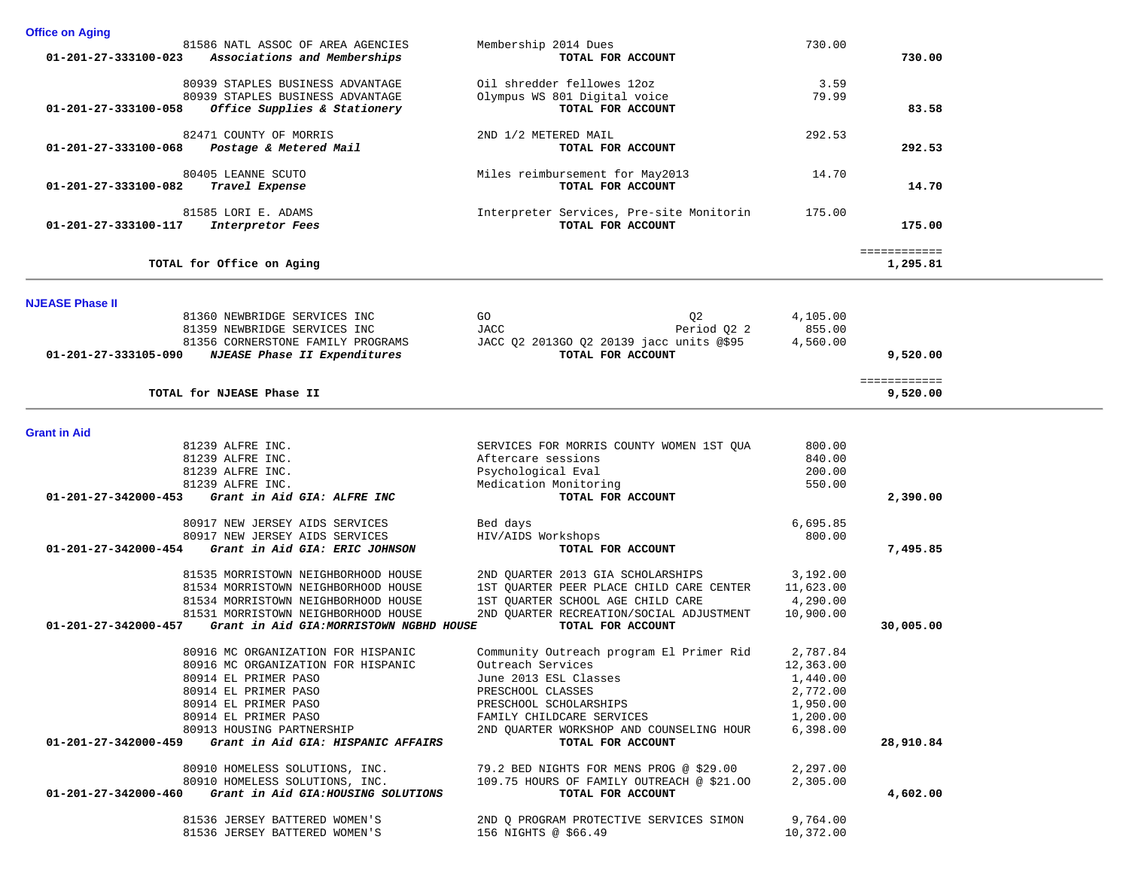|                                | 81586 NATL ASSOC OF AREA AGENCIES                | Membership 2014 Dues                      | 730.00    |              |  |
|--------------------------------|--------------------------------------------------|-------------------------------------------|-----------|--------------|--|
| $01 - 201 - 27 - 333100 - 023$ | Associations and Memberships                     | TOTAL FOR ACCOUNT                         |           | 730.00       |  |
|                                |                                                  |                                           |           |              |  |
|                                | 80939 STAPLES BUSINESS ADVANTAGE                 | Oil shredder fellowes 12oz                | 3.59      |              |  |
|                                | 80939 STAPLES BUSINESS ADVANTAGE                 | Olympus WS 801 Digital voice              | 79.99     |              |  |
| 01-201-27-333100-058           | Office Supplies & Stationery                     | TOTAL FOR ACCOUNT                         |           | 83.58        |  |
|                                |                                                  |                                           |           |              |  |
| 01-201-27-333100-068           | 82471 COUNTY OF MORRIS<br>Postage & Metered Mail | 2ND 1/2 METERED MAIL<br>TOTAL FOR ACCOUNT | 292.53    | 292.53       |  |
|                                |                                                  |                                           |           |              |  |
|                                | 80405 LEANNE SCUTO                               | Miles reimbursement for May2013           | 14.70     |              |  |
| 01-201-27-333100-082           | Travel Expense                                   | TOTAL FOR ACCOUNT                         |           | 14.70        |  |
|                                |                                                  |                                           |           |              |  |
|                                | 81585 LORI E. ADAMS                              | Interpreter Services, Pre-site Monitorin  | 175.00    |              |  |
| 01-201-27-333100-117           | Interpretor Fees                                 | TOTAL FOR ACCOUNT                         |           | 175.00       |  |
|                                |                                                  |                                           |           | ============ |  |
|                                | TOTAL for Office on Aging                        |                                           |           | 1,295.81     |  |
|                                |                                                  |                                           |           |              |  |
|                                |                                                  |                                           |           |              |  |
| <b>NJEASE Phase II</b>         | 81360 NEWBRIDGE SERVICES INC                     | GO<br>Q <sub>2</sub>                      | 4,105.00  |              |  |
|                                | 81359 NEWBRIDGE SERVICES INC                     | JACC<br>Period 02 2                       | 855.00    |              |  |
|                                | 81356 CORNERSTONE FAMILY PROGRAMS                | JACC Q2 2013GO Q2 20139 jacc units @\$95  | 4,560.00  |              |  |
| 01-201-27-333105-090           | NJEASE Phase II Expenditures                     | TOTAL FOR ACCOUNT                         |           | 9,520.00     |  |
|                                |                                                  |                                           |           |              |  |
|                                |                                                  |                                           |           | ============ |  |
|                                | TOTAL for NJEASE Phase II                        |                                           |           | 9,520.00     |  |
|                                |                                                  |                                           |           |              |  |
| <b>Grant in Aid</b>            |                                                  |                                           |           |              |  |
|                                | 81239 ALFRE INC.                                 | SERVICES FOR MORRIS COUNTY WOMEN 1ST OUA  | 800.00    |              |  |
|                                | 81239 ALFRE INC.                                 | Aftercare sessions                        | 840.00    |              |  |
|                                | 81239 ALFRE INC.                                 | Psychological Eval                        | 200.00    |              |  |
|                                | 81239 ALFRE INC.                                 | Medication Monitoring                     | 550.00    |              |  |
| 01-201-27-342000-453           | Grant in Aid GIA: ALFRE INC                      | TOTAL FOR ACCOUNT                         |           | 2,390.00     |  |
|                                | 80917 NEW JERSEY AIDS SERVICES                   | Bed days                                  | 6,695.85  |              |  |
|                                | 80917 NEW JERSEY AIDS SERVICES                   | HIV/AIDS Workshops                        | 800.00    |              |  |
| 01-201-27-342000-454           | Grant in Aid GIA: ERIC JOHNSON                   | TOTAL FOR ACCOUNT                         |           | 7,495.85     |  |
|                                |                                                  |                                           |           |              |  |
|                                | 81535 MORRISTOWN NEIGHBORHOOD HOUSE              | 2ND QUARTER 2013 GIA SCHOLARSHIPS         | 3,192.00  |              |  |
|                                | 81534 MORRISTOWN NEIGHBORHOOD HOUSE              | 1ST OUARTER PEER PLACE CHILD CARE CENTER  | 11,623.00 |              |  |
|                                | 81534 MORRISTOWN NEIGHBORHOOD HOUSE              | 1ST QUARTER SCHOOL AGE CHILD CARE         | 4,290.00  |              |  |
|                                | 81531 MORRISTOWN NEIGHBORHOOD HOUSE              | 2ND QUARTER RECREATION/SOCIAL ADJUSTMENT  | 10,900.00 |              |  |
| 01-201-27-342000-457           | Grant in Aid GIA: MORRISTOWN NGBHD HOUSE         | TOTAL FOR ACCOUNT                         |           | 30,005.00    |  |
|                                | 80916 MC ORGANIZATION FOR HISPANIC               | Community Outreach program El Primer Rid  | 2,787.84  |              |  |
|                                | 80916 MC ORGANIZATION FOR HISPANIC               | Outreach Services                         | 12,363.00 |              |  |
|                                | 80914 EL PRIMER PASO                             | June 2013 ESL Classes                     | 1,440.00  |              |  |
|                                |                                                  |                                           |           |              |  |
|                                | 80914 EL PRIMER PASO<br>80914 EL PRIMER PASO     | PRESCHOOL CLASSES                         | 2,772.00  |              |  |
|                                |                                                  | PRESCHOOL SCHOLARSHIPS                    | 1,950.00  |              |  |
|                                | 80914 EL PRIMER PASO                             | FAMILY CHILDCARE SERVICES                 | 1,200.00  |              |  |
|                                | 80913 HOUSING PARTNERSHIP                        | 2ND OUARTER WORKSHOP AND COUNSELING HOUR  | 6,398.00  |              |  |
| 01-201-27-342000-459           | Grant in Aid GIA: HISPANIC AFFAIRS               | TOTAL FOR ACCOUNT                         |           | 28,910.84    |  |
|                                | 80910 HOMELESS SOLUTIONS, INC.                   | 79.2 BED NIGHTS FOR MENS PROG @ \$29.00   | 2,297.00  |              |  |
|                                | 80910 HOMELESS SOLUTIONS, INC.                   | 109.75 HOURS OF FAMILY OUTREACH @ \$21.00 | 2,305.00  |              |  |
| 01-201-27-342000-460           | Grant in Aid GIA: HOUSING SOLUTIONS              | TOTAL FOR ACCOUNT                         |           | 4,602.00     |  |
|                                |                                                  |                                           |           |              |  |
|                                | 81536 JERSEY BATTERED WOMEN'S                    | 2ND Q PROGRAM PROTECTIVE SERVICES SIMON   | 9,764.00  |              |  |
|                                | 81536 JERSEY BATTERED WOMEN'S                    | 156 NIGHTS @ \$66.49                      | 10,372.00 |              |  |

**Office on Aging**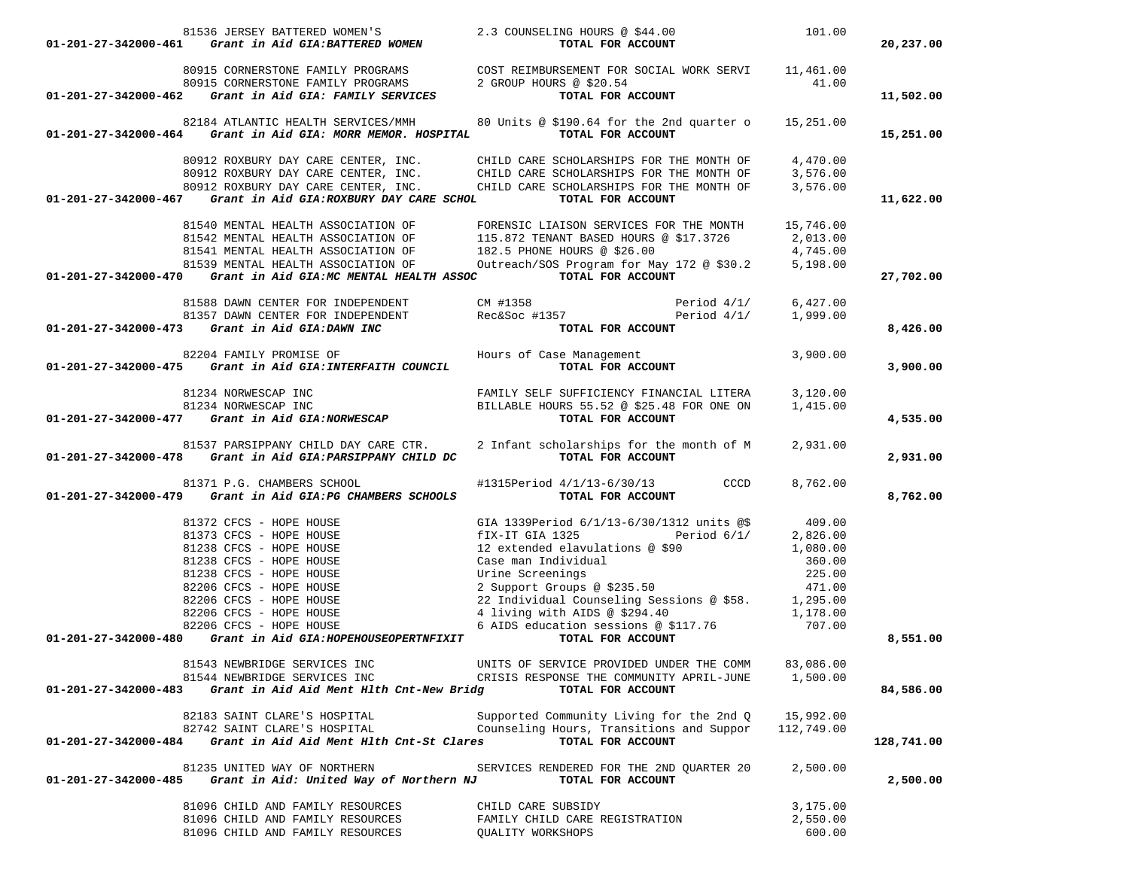|                      | 81536 JERSEY BATTERED WOMEN'S<br>01-201-27-342000-461 Grant in Aid GIA:BATTERED WOMEN           | 2.3 COUNSELING HOURS @ \$44.00<br>TOTAL FOR ACCOUNT                                                                                                                                                                                                                                                                                                  | 101.00     | 20,237.00  |
|----------------------|-------------------------------------------------------------------------------------------------|------------------------------------------------------------------------------------------------------------------------------------------------------------------------------------------------------------------------------------------------------------------------------------------------------------------------------------------------------|------------|------------|
|                      | 80915 CORNERSTONE FAMILY PROGRAMS<br>80915 CORNERSTONE FAMILY PROGRAMS 2 GROUP HOURS @ $$20.54$ | COST REIMBURSEMENT FOR SOCIAL WORK SERVI 11,461.00                                                                                                                                                                                                                                                                                                   | 41.00      |            |
|                      | 01-201-27-342000-462 Grant in Aid GIA: FAMILY SERVICES                                          | TOTAL FOR ACCOUNT                                                                                                                                                                                                                                                                                                                                    |            | 11,502.00  |
|                      |                                                                                                 | 82184 ATLANTIC HEALTH SERVICES/MMH 80 Units @ \$190.64 for the 2nd quarter o 15,251.00                                                                                                                                                                                                                                                               |            |            |
|                      | $01-201-27-342000-464$ Grant in Aid GIA: MORR MEMOR. HOSPITAL                                   | TOTAL FOR ACCOUNT                                                                                                                                                                                                                                                                                                                                    |            | 15,251.00  |
|                      |                                                                                                 | 80912 ROXBURY DAY CARE CENTER, INC. CHILD CARE SCHOLARSHIPS FOR THE MONTH OF 4,470.00<br>80912 ROXBURY DAY CARE CENTER, INC. CHILD CARE SCHOLARSHIPS FOR THE MONTH OF 3,576.00<br>80912 ROXBURY DAY CARE CENTER, INC. CHILD CARE SCH                                                                                                                 |            |            |
|                      |                                                                                                 |                                                                                                                                                                                                                                                                                                                                                      |            |            |
|                      | 01-201-27-342000-467 Grant in Aid GIA:ROXBURY DAY CARE SCHOL                                    | TOTAL FOR ACCOUNT                                                                                                                                                                                                                                                                                                                                    |            | 11,622.00  |
|                      | 81540 MENTAL HEALTH ASSOCIATION OF                                                              | FORENSIC LIAISON SERVICES FOR THE MONTH 15,746.00                                                                                                                                                                                                                                                                                                    |            |            |
|                      | 81542 MENTAL HEALTH ASSOCIATION OF                                                              | 115.872 TENANT BASED HOURS @ \$17.3726 2,013.00                                                                                                                                                                                                                                                                                                      |            |            |
|                      | 81541 MENTAL HEALTH ASSOCIATION OF                                                              | 182.5 PHONE HOURS @ \$26.00                                                                                                                                                                                                                                                                                                                          | 4,745.00   |            |
|                      |                                                                                                 | 81539 MENTAL HEALTH ASSOCIATION OF Outreach/SOS Program for May 172 @ \$30.2 5,198.00                                                                                                                                                                                                                                                                |            |            |
|                      | $01-201-27-342000-470$ Grant in Aid GIA:MC MENTAL HEALTH ASSOC                                  | TOTAL FOR ACCOUNT                                                                                                                                                                                                                                                                                                                                    |            | 27,702.00  |
|                      |                                                                                                 | 81588 DAWN CENTER FOR INDEPENDENT CM #1358 Period 4/1/ 6,427.00<br>81357 DAWN CENTER FOR INDEPENDENT Rec&Soc #1357 Period 4/1/ 1,999.00<br>Period 4/1/ 6,427.00                                                                                                                                                                                      |            |            |
|                      |                                                                                                 |                                                                                                                                                                                                                                                                                                                                                      |            |            |
|                      | 01-201-27-342000-473 Grant in Aid GIA:DAWN INC                                                  | TOTAL FOR ACCOUNT                                                                                                                                                                                                                                                                                                                                    |            | 8,426.00   |
|                      | 01-201-27-342000-475 Grant in Aid GIA:INTERFAITH COUNCIL                                        |                                                                                                                                                                                                                                                                                                                                                      | 3,900.00   | 3,900.00   |
|                      |                                                                                                 |                                                                                                                                                                                                                                                                                                                                                      |            |            |
|                      |                                                                                                 | $\begin{array}{cccc} & 81234& \text{NORMESCAP INC} & \text{FAMILY SELF SUFFICIENCY FINANCIAL LITERA} & 3,120.00 \\ 81234& \text{NORMESCAP INC} & \text{BILLABLE HOURS 55.52 @ $25.48 FOR ONE ON} & 1,415.00 \\ \text{D1-201-27-342000-477} & \text{Grant in Aid GIA: NORMESCAP} & \text{SICAP} & \text{TOTAL FOR ACCOUNT} & \end{array}$             |            |            |
|                      |                                                                                                 |                                                                                                                                                                                                                                                                                                                                                      |            |            |
|                      |                                                                                                 |                                                                                                                                                                                                                                                                                                                                                      |            | 4,535.00   |
|                      | 81537 PARSIPPANY CHILD DAY CARE CTR.                                                            | 2 Infant scholarships for the month of M 2,931.00                                                                                                                                                                                                                                                                                                    |            |            |
|                      | 01-201-27-342000-478 Grant in Aid GIA: PARSIPPANY CHILD DC                                      | TOTAL FOR ACCOUNT                                                                                                                                                                                                                                                                                                                                    |            | 2,931.00   |
|                      | 81371 P.G. CHAMBERS SCHOOL                                                                      | #1315Period 4/1/13-6/30/13 CCCD                                                                                                                                                                                                                                                                                                                      | 8,762.00   |            |
|                      | 01-201-27-342000-479 Grant in Aid GIA:PG CHAMBERS SCHOOLS                                       | TOTAL FOR ACCOUNT                                                                                                                                                                                                                                                                                                                                    |            | 8,762.00   |
|                      |                                                                                                 |                                                                                                                                                                                                                                                                                                                                                      |            |            |
|                      |                                                                                                 |                                                                                                                                                                                                                                                                                                                                                      |            |            |
|                      |                                                                                                 |                                                                                                                                                                                                                                                                                                                                                      |            |            |
|                      |                                                                                                 |                                                                                                                                                                                                                                                                                                                                                      |            |            |
|                      | 82206 CFCS - HOPE HOUSE                                                                         |                                                                                                                                                                                                                                                                                                                                                      |            |            |
|                      | 82206 CFCS - HOPE HOUSE                                                                         |                                                                                                                                                                                                                                                                                                                                                      |            |            |
|                      | 82206 CFCS - HOPE HOUSE                                                                         |                                                                                                                                                                                                                                                                                                                                                      |            |            |
|                      | 82206 CFCS - HOPE HOUSE<br>01-201-27-342000-480 Grant in Aid GIA: HOPEHOUSEOPERTNFIXIT          | 2,826.00<br>Case man Individual 1,080.00<br>Urine Screenings 225.00<br>2 Support Groups @ \$235.50<br>22 Individual Counseling Sessions @ \$58. 1,295.00<br>4 living with AIDS @ \$294.40 1,178.00<br>6 AIDS education sessions 2.111100<br>4 living with AIDS @ \$294.40<br>6 AIDS education sessions @ \$117.76 707.00<br><b>TOTAL FOR ACCOUNT</b> |            |            |
|                      |                                                                                                 |                                                                                                                                                                                                                                                                                                                                                      |            | 8,551.00   |
|                      | 81543 NEWBRIDGE SERVICES INC                                                                    | UNITS OF SERVICE PROVIDED UNDER THE COMM                                                                                                                                                                                                                                                                                                             | 83,086.00  |            |
| 01-201-27-342000-483 | 81544 NEWBRIDGE SERVICES INC<br>Grant in Aid Aid Ment Hlth Cnt-New Bridg                        | CRISIS RESPONSE THE COMMUNITY APRIL-JUNE<br>TOTAL FOR ACCOUNT                                                                                                                                                                                                                                                                                        | 1,500.00   | 84,586.00  |
|                      |                                                                                                 |                                                                                                                                                                                                                                                                                                                                                      |            |            |
|                      | 82183 SAINT CLARE'S HOSPITAL                                                                    | Supported Community Living for the 2nd 0                                                                                                                                                                                                                                                                                                             | 15,992.00  |            |
| 01-201-27-342000-484 | 82742 SAINT CLARE'S HOSPITAL<br>Grant in Aid Aid Ment Hlth Cnt-St Clares                        | Counseling Hours, Transitions and Suppor<br>TOTAL FOR ACCOUNT                                                                                                                                                                                                                                                                                        | 112,749.00 | 128,741.00 |
|                      | 81235 UNITED WAY OF NORTHERN                                                                    | SERVICES RENDERED FOR THE 2ND OUARTER 20                                                                                                                                                                                                                                                                                                             | 2,500.00   |            |
| 01-201-27-342000-485 | Grant in Aid: United Way of Northern NJ                                                         | TOTAL FOR ACCOUNT                                                                                                                                                                                                                                                                                                                                    |            | 2,500.00   |
|                      | 81096 CHILD AND FAMILY RESOURCES                                                                | CHILD CARE SUBSIDY                                                                                                                                                                                                                                                                                                                                   | 3,175.00   |            |
|                      | 81096 CHILD AND FAMILY RESOURCES                                                                | FAMILY CHILD CARE REGISTRATION                                                                                                                                                                                                                                                                                                                       | 2,550.00   |            |
|                      | 81096 CHILD AND FAMILY RESOURCES                                                                | QUALITY WORKSHOPS                                                                                                                                                                                                                                                                                                                                    | 600.00     |            |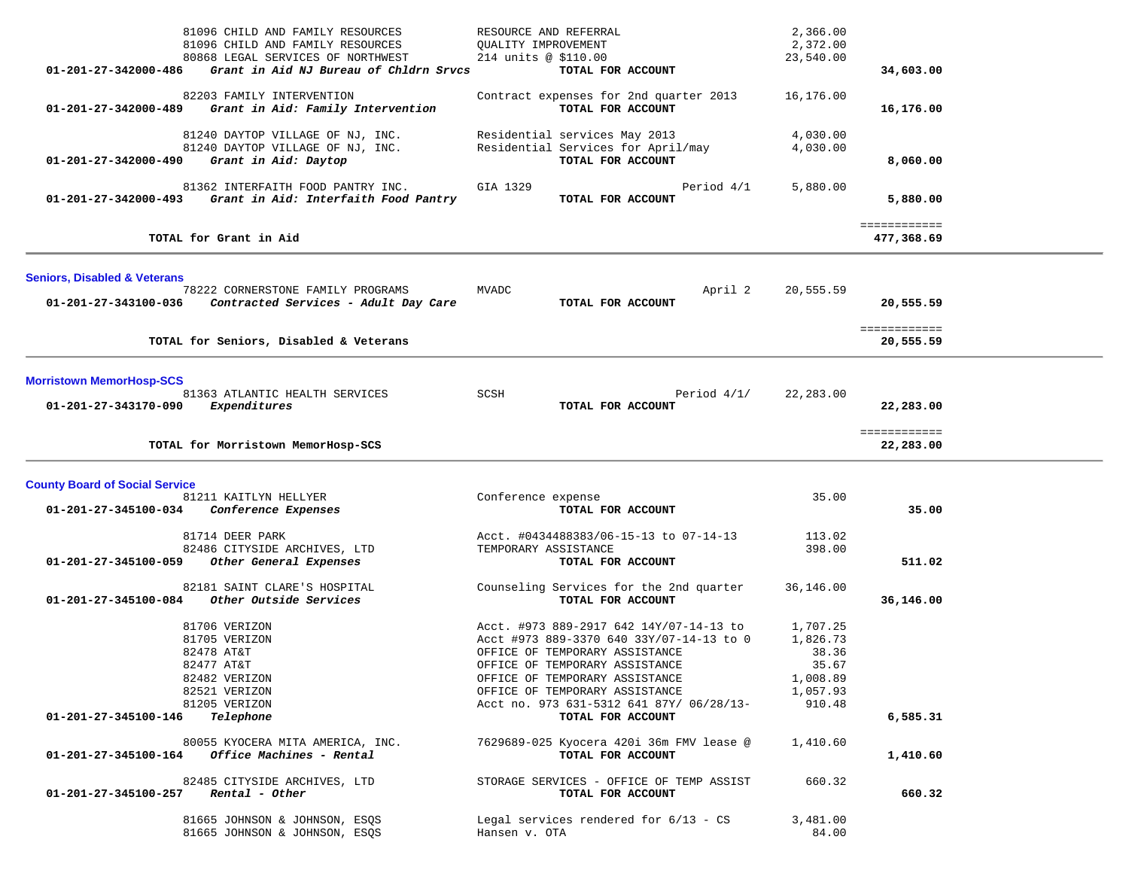| 81096 CHILD AND FAMILY RESOURCES<br>81096 CHILD AND FAMILY RESOURCES<br>80868 LEGAL SERVICES OF NORTHWEST<br>01-201-27-342000-486<br>Grant in Aid NJ Bureau of Chldrn Srvcs | RESOURCE AND REFERRAL<br>QUALITY IMPROVEMENT<br>214 units @ \$110.00<br>TOTAL FOR ACCOUNT                                                                                                                                                                               | 2,366.00<br>2,372.00<br>23,540.00                                        | 34,603.00                  |  |
|-----------------------------------------------------------------------------------------------------------------------------------------------------------------------------|-------------------------------------------------------------------------------------------------------------------------------------------------------------------------------------------------------------------------------------------------------------------------|--------------------------------------------------------------------------|----------------------------|--|
| 82203 FAMILY INTERVENTION<br>Grant in Aid: Family Intervention<br>01-201-27-342000-489                                                                                      | Contract expenses for 2nd quarter 2013<br>TOTAL FOR ACCOUNT                                                                                                                                                                                                             | 16,176.00                                                                | 16,176.00                  |  |
| 81240 DAYTOP VILLAGE OF NJ, INC.<br>81240 DAYTOP VILLAGE OF NJ, INC.<br>Grant in Aid: Daytop<br>01-201-27-342000-490                                                        | Residential services May 2013<br>Residential Services for April/may<br>TOTAL FOR ACCOUNT                                                                                                                                                                                | 4,030.00<br>4,030.00                                                     | 8,060.00                   |  |
| 81362 INTERFAITH FOOD PANTRY INC.<br>$01 - 201 - 27 - 342000 - 493$<br>Grant in Aid: Interfaith Food Pantry                                                                 | GIA 1329<br>TOTAL FOR ACCOUNT                                                                                                                                                                                                                                           | Period 4/1<br>5,880.00                                                   | 5,880.00                   |  |
| TOTAL for Grant in Aid                                                                                                                                                      |                                                                                                                                                                                                                                                                         |                                                                          | ============<br>477,368.69 |  |
| <b>Seniors, Disabled &amp; Veterans</b>                                                                                                                                     |                                                                                                                                                                                                                                                                         |                                                                          |                            |  |
| 78222 CORNERSTONE FAMILY PROGRAMS<br>Contracted Services - Adult Day Care<br>01-201-27-343100-036                                                                           | <b>MVADC</b><br>TOTAL FOR ACCOUNT                                                                                                                                                                                                                                       | April 2<br>20,555.59                                                     | 20,555.59                  |  |
| TOTAL for Seniors, Disabled & Veterans                                                                                                                                      |                                                                                                                                                                                                                                                                         |                                                                          | ============<br>20,555.59  |  |
| <b>Morristown MemorHosp-SCS</b><br>81363 ATLANTIC HEALTH SERVICES<br>Expenditures<br>01-201-27-343170-090                                                                   | SCSH<br>TOTAL FOR ACCOUNT                                                                                                                                                                                                                                               | Period $4/1/$<br>22,283.00                                               | 22,283.00                  |  |
| TOTAL for Morristown MemorHosp-SCS                                                                                                                                          |                                                                                                                                                                                                                                                                         |                                                                          | ============<br>22,283.00  |  |
| <b>County Board of Social Service</b><br>81211 KAITLYN HELLYER<br>01-201-27-345100-034<br>Conference Expenses                                                               | Conference expense<br>TOTAL FOR ACCOUNT                                                                                                                                                                                                                                 | 35.00                                                                    | 35.00                      |  |
| 81714 DEER PARK<br>82486 CITYSIDE ARCHIVES, LTD<br>01-201-27-345100-059<br>Other General Expenses                                                                           | Acct. #0434488383/06-15-13 to 07-14-13<br>TEMPORARY ASSISTANCE<br>TOTAL FOR ACCOUNT                                                                                                                                                                                     | 113.02<br>398.00                                                         | 511.02                     |  |
| 82181 SAINT CLARE'S HOSPITAL<br>01-201-27-345100-084<br>Other Outside Services                                                                                              | Counseling Services for the 2nd quarter<br>TOTAL FOR ACCOUNT                                                                                                                                                                                                            | 36,146.00                                                                | 36,146.00                  |  |
| 81706 VERIZON<br>81705 VERIZON<br>82478 AT&T<br>82477 AT&T<br>82482 VERIZON<br>82521 VERIZON<br>81205 VERIZON                                                               | Acct. #973 889-2917 642 14Y/07-14-13 to<br>Acct #973 889-3370 640 33Y/07-14-13 to 0<br>OFFICE OF TEMPORARY ASSISTANCE<br>OFFICE OF TEMPORARY ASSISTANCE<br>OFFICE OF TEMPORARY ASSISTANCE<br>OFFICE OF TEMPORARY ASSISTANCE<br>Acct no. 973 631-5312 641 87Y/ 06/28/13- | 1,707.25<br>1,826.73<br>38.36<br>35.67<br>1,008.89<br>1,057.93<br>910.48 |                            |  |
| Telephone<br>01-201-27-345100-146<br>80055 KYOCERA MITA AMERICA, INC.                                                                                                       | TOTAL FOR ACCOUNT<br>7629689-025 Kyocera 420i 36m FMV lease @                                                                                                                                                                                                           | 1,410.60                                                                 | 6,585.31                   |  |
| 01-201-27-345100-164<br><i>Office Machines - Rental</i>                                                                                                                     | TOTAL FOR ACCOUNT                                                                                                                                                                                                                                                       |                                                                          | 1,410.60                   |  |
| 82485 CITYSIDE ARCHIVES, LTD<br>01-201-27-345100-257<br>Rental - Other                                                                                                      | STORAGE SERVICES - OFFICE OF TEMP ASSIST<br>TOTAL FOR ACCOUNT                                                                                                                                                                                                           | 660.32                                                                   | 660.32                     |  |
| 81665 JOHNSON & JOHNSON, ESQS<br>81665 JOHNSON & JOHNSON, ESQS                                                                                                              | Legal services rendered for $6/13$ - CS<br>Hansen v. OTA                                                                                                                                                                                                                | 3,481.00<br>84.00                                                        |                            |  |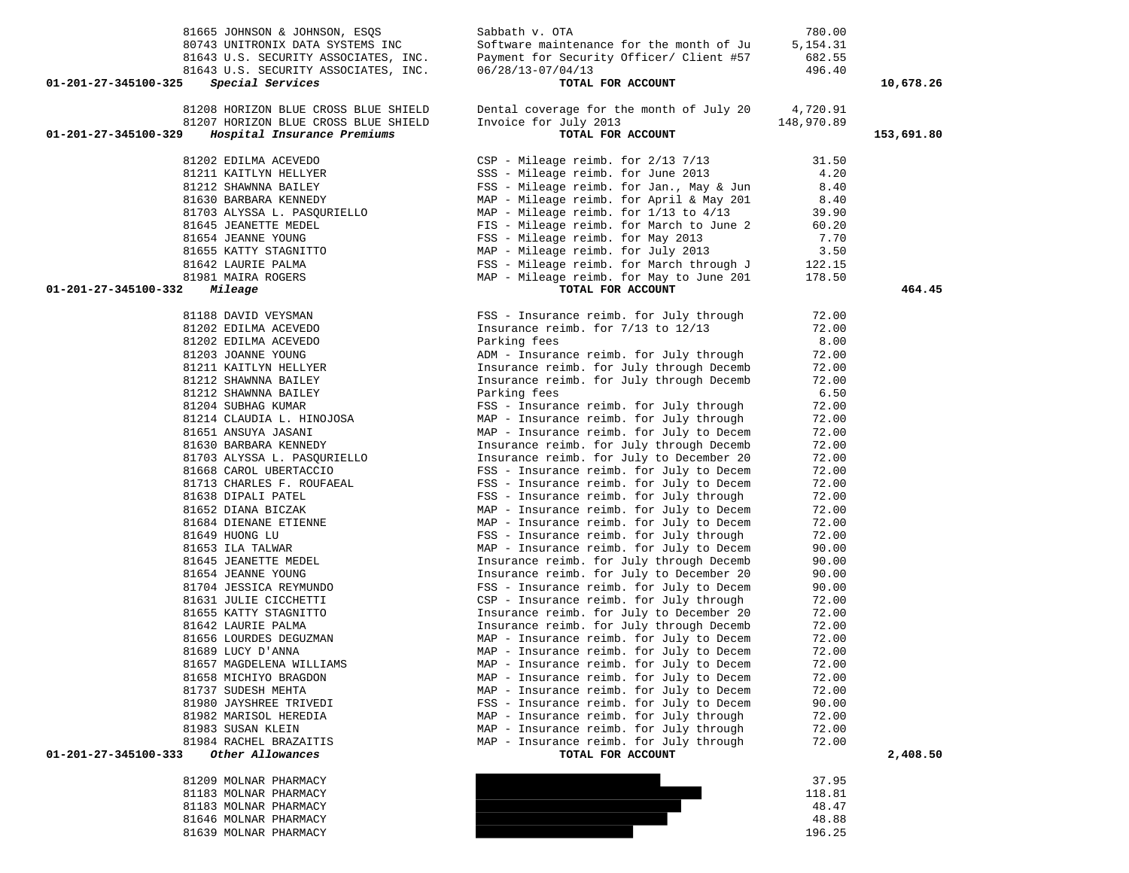|                      | 80743 UNITRONIX DATA SYSTEMS INC                                             | Software maintenance for the month of Ju                                             | 5, 154. 31             |            |
|----------------------|------------------------------------------------------------------------------|--------------------------------------------------------------------------------------|------------------------|------------|
|                      | 81643 U.S. SECURITY ASSOCIATES, INC.                                         | Payment for Security Officer/ Client #57                                             | 682.55                 |            |
|                      | 81643 U.S. SECURITY ASSOCIATES, INC.                                         | $06/28/13 - 07/04/13$                                                                | 496.40                 |            |
| 01-201-27-345100-325 | Special Services                                                             | TOTAL FOR ACCOUNT                                                                    |                        | 10,678.26  |
|                      |                                                                              |                                                                                      |                        |            |
|                      | 81208 HORIZON BLUE CROSS BLUE SHIELD<br>81207 HORIZON BLUE CROSS BLUE SHIELD | Dental coverage for the month of July 20<br>Invoice for July 2013                    | 4,720.91<br>148,970.89 |            |
| 01-201-27-345100-329 | Hospital Insurance Premiums                                                  | TOTAL FOR ACCOUNT                                                                    |                        | 153,691.80 |
|                      |                                                                              |                                                                                      |                        |            |
|                      | 81202 EDILMA ACEVEDO                                                         | $CSP - Mileage$ reimb. for $2/13$ 7/13                                               | 31.50                  |            |
|                      | 81211 KAITLYN HELLYER                                                        | SSS - Mileage reimb. for June 2013                                                   | 4.20                   |            |
|                      | 81212 SHAWNNA BAILEY                                                         | FSS - Mileage reimb. for Jan., May & Jun                                             | 8.40                   |            |
|                      | 81630 BARBARA KENNEDY                                                        | MAP - Mileage reimb. for April & May 201                                             | 8.40                   |            |
|                      | 81703 ALYSSA L. PASQURIELLO                                                  | MAP - Mileage reimb. for $1/13$ to $4/13$                                            | 39.90                  |            |
|                      | 81645 JEANETTE MEDEL                                                         | FIS - Mileage reimb. for March to June 2                                             | 60.20                  |            |
|                      | 81654 JEANNE YOUNG                                                           | FSS - Mileage reimb. for May 2013                                                    | 7.70                   |            |
|                      | 81655 KATTY STAGNITTO                                                        | MAP - Mileage reimb. for July 2013                                                   | 3.50                   |            |
|                      | 81642 LAURIE PALMA                                                           | FSS - Mileage reimb. for March through J                                             | 122.15                 |            |
|                      | 81981 MAIRA ROGERS                                                           | MAP - Mileage reimb. for May to June 201                                             | 178.50                 | 464.45     |
| 01-201-27-345100-332 | Mileage                                                                      | TOTAL FOR ACCOUNT                                                                    |                        |            |
|                      | 81188 DAVID VEYSMAN                                                          | FSS - Insurance reimb. for July through                                              | 72.00                  |            |
|                      | 81202 EDILMA ACEVEDO                                                         | Insurance reimb. for 7/13 to 12/13                                                   | 72.00                  |            |
|                      | 81202 EDILMA ACEVEDO                                                         | Parking fees                                                                         | 8.00                   |            |
|                      | 81203 JOANNE YOUNG                                                           | ADM - Insurance reimb. for July through                                              | 72.00                  |            |
|                      | 81211 KAITLYN HELLYER                                                        | Insurance reimb. for July through Decemb                                             | 72.00                  |            |
|                      | 81212 SHAWNNA BAILEY                                                         | Insurance reimb. for July through Decemb                                             | 72.00                  |            |
|                      | 81212 SHAWNNA BAILEY                                                         | Parking fees                                                                         | 6.50                   |            |
|                      | 81204 SUBHAG KUMAR                                                           | FSS - Insurance reimb. for July through                                              | 72.00                  |            |
|                      | 81214 CLAUDIA L. HINOJOSA                                                    | MAP - Insurance reimb. for July through                                              | 72.00                  |            |
|                      | 81651 ANSUYA JASANI                                                          | MAP - Insurance reimb. for July to Decem                                             | 72.00                  |            |
|                      | 81630 BARBARA KENNEDY                                                        | Insurance reimb. for July through Decemb                                             | 72.00                  |            |
|                      | 81703 ALYSSA L. PASQURIELLO                                                  | Insurance reimb. for July to December 20                                             | 72.00                  |            |
|                      | 81668 CAROL UBERTACCIO                                                       | FSS - Insurance reimb. for July to Decem                                             | 72.00                  |            |
|                      | 81713 CHARLES F. ROUFAEAL                                                    | FSS - Insurance reimb. for July to Decem                                             | 72.00                  |            |
|                      | 81638 DIPALI PATEL<br>81652 DIANA BICZAK                                     | FSS - Insurance reimb. for July through                                              | 72.00<br>72.00         |            |
|                      | 81684 DIENANE ETIENNE                                                        | MAP - Insurance reimb. for July to Decem<br>MAP - Insurance reimb. for July to Decem | 72.00                  |            |
|                      | 81649 HUONG LU                                                               | FSS - Insurance reimb. for July through                                              | 72.00                  |            |
|                      | 81653 ILA TALWAR                                                             | MAP - Insurance reimb. for July to Decem                                             | 90.00                  |            |
|                      | 81645 JEANETTE MEDEL                                                         | Insurance reimb. for July through Decemb                                             | 90.00                  |            |
|                      | 81654 JEANNE YOUNG                                                           | Insurance reimb. for July to December 20                                             | 90.00                  |            |
|                      | 81704 JESSICA REYMUNDO                                                       | FSS - Insurance reimb. for July to Decem                                             | 90.00                  |            |
|                      | 81631 JULIE CICCHETTI                                                        | CSP - Insurance reimb. for July through                                              | 72.00                  |            |
|                      | 81655 KATTY STAGNITTO                                                        | Insurance reimb. for July to December 20                                             | 72.00                  |            |
|                      | 81642 LAURIE PALMA                                                           | Insurance reimb. for July through Decemb                                             | 72.00                  |            |
|                      | 81656 LOURDES DEGUZMAN                                                       | MAP - Insurance reimb. for July to Decem                                             | 72.00                  |            |
|                      | 81689 LUCY D'ANNA                                                            | MAP - Insurance reimb. for July to Decem                                             | 72.00                  |            |
|                      | 81657 MAGDELENA WILLIAMS                                                     | MAP - Insurance reimb. for July to Decem                                             | 72.00                  |            |
|                      | 81658 MICHIYO BRAGDON                                                        | MAP - Insurance reimb. for July to Decem                                             | 72.00                  |            |
|                      | 81737 SUDESH MEHTA                                                           | MAP - Insurance reimb. for July to Decem                                             | 72.00                  |            |
|                      | 81980 JAYSHREE TRIVEDI                                                       | FSS - Insurance reimb. for July to Decem                                             | 90.00                  |            |
|                      | 81982 MARISOL HEREDIA<br>81983 SUSAN KLEIN                                   | MAP - Insurance reimb. for July through<br>MAP - Insurance reimb. for July through   | 72.00<br>72.00         |            |
|                      | 81984 RACHEL BRAZAITIS                                                       | MAP - Insurance reimb. for July through                                              | 72.00                  |            |
| 01-201-27-345100-333 | Other Allowances                                                             | TOTAL FOR ACCOUNT                                                                    |                        | 2,408.50   |
|                      |                                                                              |                                                                                      |                        |            |
|                      | 81209 MOLNAR PHARMACY                                                        |                                                                                      | 37.95                  |            |
|                      | 81183 MOLNAR PHARMACY                                                        |                                                                                      | 118.81                 |            |
|                      | 81183 MOLNAR PHARMACY                                                        |                                                                                      | 48.47                  |            |
|                      | 81646 MOLNAR PHARMACY                                                        |                                                                                      | 48.88                  |            |
|                      | 81639 MOLNAR PHARMACY                                                        |                                                                                      | 196.25                 |            |

81665 JOHNSON & JOHNSON, ESQS Sabbath v. OTA 780.00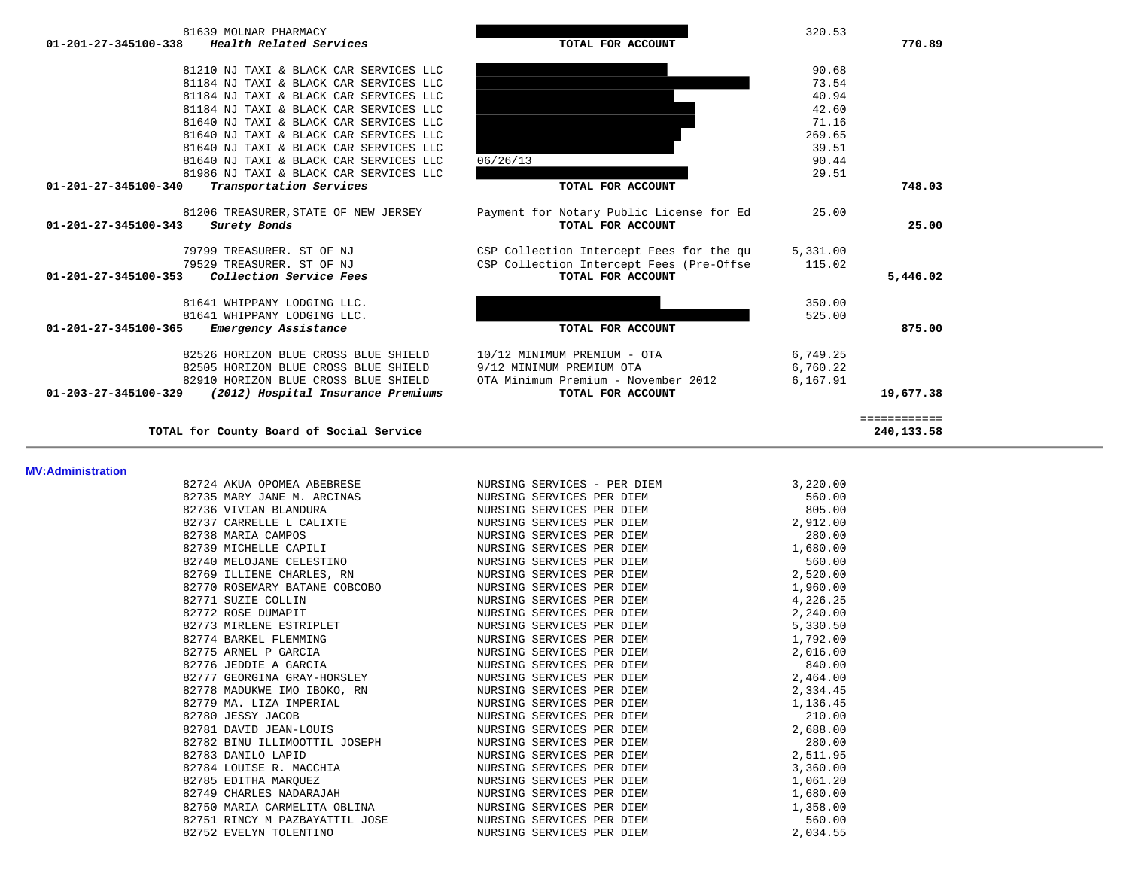| 81639 MOLNAR PHARMACY<br>Health Related Services<br>01-201-27-345100-338 | TOTAL FOR ACCOUNT                        | 320.53   | 770.89       |
|--------------------------------------------------------------------------|------------------------------------------|----------|--------------|
| 81210 NJ TAXI & BLACK CAR SERVICES LLC                                   |                                          | 90.68    |              |
| 81184 NJ TAXI & BLACK CAR SERVICES LLC                                   |                                          | 73.54    |              |
| 81184 NJ TAXI & BLACK CAR SERVICES LLC                                   |                                          | 40.94    |              |
| 81184 NJ TAXI & BLACK CAR SERVICES LLC                                   |                                          | 42.60    |              |
| 81640 NJ TAXI & BLACK CAR SERVICES LLC                                   |                                          | 71.16    |              |
| 81640 NJ TAXI & BLACK CAR SERVICES LLC                                   |                                          | 269.65   |              |
| 81640 NJ TAXI & BLACK CAR SERVICES LLC                                   |                                          | 39.51    |              |
| 81640 NJ TAXI & BLACK CAR SERVICES LLC                                   | 06/26/13                                 | 90.44    |              |
| 81986 NJ TAXI & BLACK CAR SERVICES LLC                                   |                                          | 29.51    |              |
| 01-201-27-345100-340<br>Transportation Services                          | TOTAL FOR ACCOUNT                        |          | 748.03       |
| 81206 TREASURER, STATE OF NEW JERSEY                                     | Payment for Notary Public License for Ed | 25.00    |              |
| 01-201-27-345100-343<br>Surety Bonds                                     | TOTAL FOR ACCOUNT                        |          | 25.00        |
| 79799 TREASURER. ST OF NJ                                                | CSP Collection Intercept Fees for the qu | 5,331.00 |              |
| 79529 TREASURER. ST OF NJ                                                | CSP Collection Intercept Fees (Pre-Offse | 115.02   |              |
| $01 - 201 - 27 - 345100 - 353$<br>Collection Service Fees                | TOTAL FOR ACCOUNT                        |          | 5,446.02     |
| 81641 WHIPPANY LODGING LLC.                                              |                                          | 350.00   |              |
| 81641 WHIPPANY LODGING LLC.                                              |                                          | 525.00   |              |
| 01-201-27-345100-365<br>Emergency Assistance                             | TOTAL FOR ACCOUNT                        |          | 875.00       |
| 82526 HORIZON BLUE CROSS BLUE SHIELD                                     | 10/12 MINIMUM PREMIUM - OTA              | 6,749.25 |              |
| 82505 HORIZON BLUE CROSS BLUE SHIELD                                     | 9/12 MINIMUM PREMIUM OTA                 | 6,760.22 |              |
| 82910 HORIZON BLUE CROSS BLUE SHIELD                                     | OTA Minimum Premium - November 2012      | 6,167.91 |              |
| 01-203-27-345100-329<br>(2012) Hospital Insurance Premiums               | TOTAL FOR ACCOUNT                        |          | 19,677.38    |
|                                                                          |                                          |          | ============ |
| TOTAL for County Board of Social Service                                 |                                          |          | 240,133.58   |

#### **MV:Administration**

|                                                                                                                                            | 82724 AKUA OPOMEA ABEBRESE NA SURSING SERVICES - PER DIEM                                                        | 3,220.00 |
|--------------------------------------------------------------------------------------------------------------------------------------------|------------------------------------------------------------------------------------------------------------------|----------|
| 82735 MARY JANE M. ARCINAS                                                                                                                 |                                                                                                                  |          |
| 82736 VIVIAN BLANDURA                                                                                                                      | TRAS MURSING SERVICES PER DIEM<br>NURSING SERVICES PER DIEM                                                      |          |
|                                                                                                                                            | 82737 CARRELLE L CALIXTE NURSING SERVICES PER DIEM                                                               | 2,912.00 |
|                                                                                                                                            |                                                                                                                  | 280.00   |
|                                                                                                                                            |                                                                                                                  | 1,680.00 |
| 82738 MARIA CAMPOS<br>82739 MICHELLE CAPILI MURSING SERVICES PER DIEM<br>82740 MELOJANE CELESTINO NURSING SERVICES PER DIEM                |                                                                                                                  |          |
|                                                                                                                                            |                                                                                                                  |          |
| 82770 ROSEMARY BATANE COBCOBO NURSING SERVICES PER DIEM                                                                                    |                                                                                                                  | 1,960.00 |
| 82771 SUZIE COLLIN                                                                                                                         | NURSING SERVICES PER DIEM                                                                                        | 4,226.25 |
|                                                                                                                                            | $82772$ ROSE DUMAPIT $$\tt NURSING$ SERVICES PER DIEM $82773$ MIRLENE ESTRIPLET $$\tt NURSING$ SERVICES PER DIEM | 2,240.00 |
|                                                                                                                                            |                                                                                                                  | 5,330.50 |
| % 82774 BARKEL FLEMMING<br>% 82775 ARNEL P GARCIA (% ) NURSING SERVICES PER DIEM<br>% 82776 JEDDIE A GARCIA (% ) NURSING SERVICES PER DIEM |                                                                                                                  | 1,792.00 |
|                                                                                                                                            |                                                                                                                  | 2,016.00 |
|                                                                                                                                            |                                                                                                                  | 840.00   |
| 82777 GEORGINA GRAY-HORSLEY NURSING SERVICES PER DIEM                                                                                      |                                                                                                                  | 2,464.00 |
| 82778 MADUKWE IMO IBOKO, RN NURSING SERVICES PER DIEM                                                                                      |                                                                                                                  | 2,334.45 |
| 82779 MA. LIZA IMPERIAL CONTROL NURSING SERVICES PER DIEM                                                                                  |                                                                                                                  | 1,136.45 |
|                                                                                                                                            |                                                                                                                  | 210.00   |
| 82780 JESSY JACOB<br>82781 DAVID JEAN-LOUIS CONTROL TO MURSING SERVICES PER DIEM                                                           |                                                                                                                  | 2,688.00 |
| 82782 BINU ILLIMOOTTIL JOSEPH NURSING SERVICES PER DIEM                                                                                    |                                                                                                                  | 280.00   |
| 82783 DANILO LAPID                                                                                                                         | NURSING SERVICES PER DIEM                                                                                        | 2,511.95 |
| 82784 LOUISE R. MACCHIA NURSING SERVICES PER DIEM                                                                                          |                                                                                                                  | 3,360.00 |
| 82785 EDITHA MARQUEZ                                                                                                                       | NURSING SERVICES PER DIEM                                                                                        | 1,061.20 |
| 82749 CHARLES NADARAJAH NURSING SERVICES PER DIEM                                                                                          |                                                                                                                  | 1,680.00 |
| 82750 MARIA CARMELITA OBLINA TERRIT NURSING SERVICES PER DIEM                                                                              |                                                                                                                  | 1,358.00 |
| 82751 RINCY M PAZBAYATTIL JOSE NURSING SERVICES PER DIEM                                                                                   |                                                                                                                  | 560.00   |
| 82752 EVELYN TOLENTINO                                                                                                                     | NURSING SERVICES PER DIEM                                                                                        | 2,034.55 |

the control of the control of the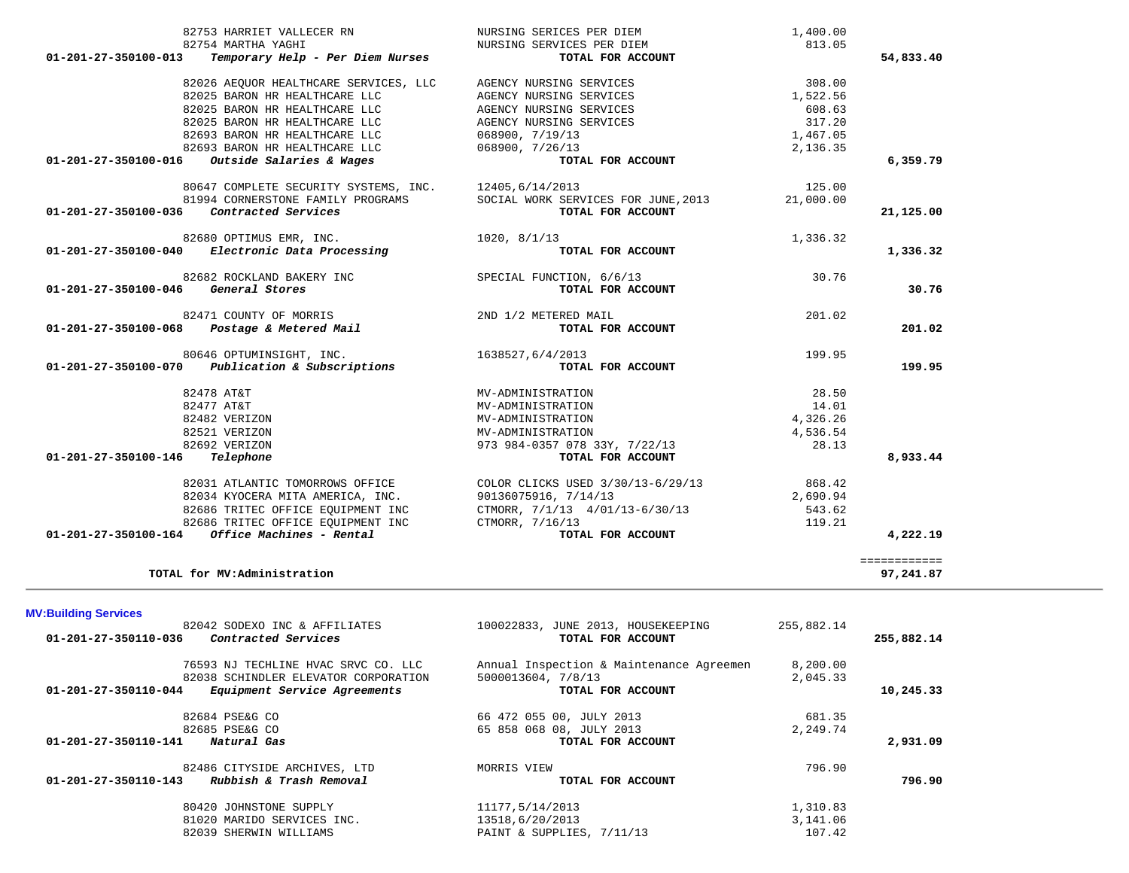|                                | 82753 HARRIET VALLECER RN                                                                                  | NURSING SERICES PER DIEM                                                                             | 1,400.00   |              |
|--------------------------------|------------------------------------------------------------------------------------------------------------|------------------------------------------------------------------------------------------------------|------------|--------------|
| 01-201-27-350100-013           | 82754 MARTHA YAGHI<br>Temporary Help - Per Diem Nurses                                                     | NURSING SERVICES PER DIEM<br>TOTAL FOR ACCOUNT                                                       | 813.05     | 54,833.40    |
|                                |                                                                                                            |                                                                                                      |            |              |
|                                | 82026 AEQUOR HEALTHCARE SERVICES, LLC                                                                      | AGENCY NURSING SERVICES                                                                              | 308.00     |              |
|                                | 82025 BARON HR HEALTHCARE LLC                                                                              | AGENCY NURSING SERVICES                                                                              | 1,522.56   |              |
|                                | 82025 BARON HR HEALTHCARE LLC                                                                              | AGENCY NURSING SERVICES                                                                              | 608.63     |              |
|                                | 82025 BARON HR HEALTHCARE LLC                                                                              | AGENCY NURSING SERVICES                                                                              | 317.20     |              |
|                                | 82693 BARON HR HEALTHCARE LLC                                                                              | 068900, 7/19/13                                                                                      | 1,467.05   |              |
|                                | 82693 BARON HR HEALTHCARE LLC                                                                              | 068900, 7/26/13                                                                                      | 2,136.35   |              |
|                                | 01-201-27-350100-016 Outside Salaries & Wages                                                              | TOTAL FOR ACCOUNT                                                                                    |            | 6,359.79     |
|                                | 80647 COMPLETE SECURITY SYSTEMS, INC. 12405,6/14/2013<br>81994 CORNERSTONE FAMILY PROGRAMS SOCIAL WORK SER |                                                                                                      | 125.00     |              |
|                                |                                                                                                            | SOCIAL WORK SERVICES FOR JUNE, 2013                                                                  | 21,000.00  |              |
| 01-201-27-350100-036           | Contracted Services                                                                                        | TOTAL FOR ACCOUNT                                                                                    |            | 21,125.00    |
|                                |                                                                                                            | 1020, 8/1/13                                                                                         | 1,336.32   |              |
|                                | 82680 OPTIMUS EMR, INC.<br>01-201-27-350100-040 Electronic Data Processing                                 | TOTAL FOR ACCOUNT                                                                                    |            | 1,336.32     |
|                                | 82682 ROCKLAND BAKERY INC                                                                                  | SPECIAL FUNCTION, 6/6/13                                                                             | 30.76      |              |
| 01-201-27-350100-046           | General Stores                                                                                             | TOTAL FOR ACCOUNT                                                                                    |            | 30.76        |
|                                |                                                                                                            | 2ND 1/2 METERED MAIL                                                                                 | 201.02     |              |
|                                | 82471 COUNTY OF MORRIS<br>01-201-27-350100-068    Postage & Metered Mail                                   | TOTAL FOR ACCOUNT                                                                                    |            | 201.02       |
|                                |                                                                                                            |                                                                                                      |            |              |
|                                | 80646 OPTUMINSIGHT, INC.                                                                                   | 1638527,6/4/2013                                                                                     | 199.95     |              |
|                                | 01-201-27-350100-070 Publication & Subscriptions                                                           | TOTAL FOR ACCOUNT                                                                                    |            | 199.95       |
|                                | 82478 AT&T                                                                                                 | MV-ADMINISTRATION                                                                                    | 28.50      |              |
|                                | 82477 AT&T                                                                                                 | MV-ADMINISTRATION                                                                                    | 14.01      |              |
|                                | 82482 VERIZON                                                                                              | MV-ADMINISTRATION                                                                                    | 4,326.26   |              |
|                                | 82521 VERIZON                                                                                              | MV-ADMINISTRATION                                                                                    | 4,536.54   |              |
|                                | 82692 VERIZON                                                                                              | 973 984-0357 078 33Y, 7/22/13                                                                        | 28.13      |              |
| 01-201-27-350100-146 Telephone |                                                                                                            | TOTAL FOR ACCOUNT                                                                                    |            | 8,933.44     |
|                                |                                                                                                            | 82031 ATLANTIC TOMORROWS OFFICE COLOR CLICKS USED 3/30/13-6/29/13                                    | 868.42     |              |
|                                |                                                                                                            |                                                                                                      | 2,690.94   |              |
|                                |                                                                                                            | 82034 KYOCERA MITA AMERICA, INC.<br>82686 TRITEC OFFICE EQUIPMENT INC CTMORR, 7/1/13 4/01/13-6/30/13 | 543.62     |              |
|                                | 82686 TRITEC OFFICE EQUIPMENT INC CTMORR, 7/16/13                                                          |                                                                                                      | 119.21     |              |
|                                | 01-201-27-350100-164 Office Machines - Rental                                                              | TOTAL FOR ACCOUNT                                                                                    |            | 4,222.19     |
|                                |                                                                                                            |                                                                                                      |            | ============ |
|                                | TOTAL for MV:Administration                                                                                |                                                                                                      |            | 97,241.87    |
|                                |                                                                                                            |                                                                                                      |            |              |
| <b>MV:Building Services</b>    |                                                                                                            |                                                                                                      |            |              |
|                                |                                                                                                            | 82042 SODEXO INC & AFFILIATES 100022833, JUNE 2013, HOUSEKEEPING                                     | 255,882.14 |              |
| 01-201-27-350110-036           | <i>Contracted Services</i>                                                                                 | TOTAL FOR ACCOUNT                                                                                    |            | 255,882.14   |
|                                | 76593 NJ TECHLINE HVAC SRVC CO. LLC                                                                        | Annual Inspection & Maintenance Agreemen                                                             | 8,200.00   |              |
|                                | 82038 SCHINDLER ELEVATOR CORPORATION                                                                       | 5000013604, 7/8/13                                                                                   | 2,045.33   |              |
| 01-201-27-350110-044           | Equipment Service Agreements                                                                               | TOTAL FOR ACCOUNT                                                                                    |            | 10,245.33    |
|                                | 82684 PSE&G CO                                                                                             | 66 472 055 00, JULY 2013                                                                             | 681.35     |              |
|                                | 82685 PSE&G CO                                                                                             | 65 858 068 08, JULY 2013                                                                             | 2,249.74   |              |
| 01-201-27-350110-141           | Natural Gas                                                                                                | TOTAL FOR ACCOUNT                                                                                    |            | 2,931.09     |
|                                |                                                                                                            |                                                                                                      |            |              |
|                                | 82486 CITYSIDE ARCHIVES, LTD                                                                               | MORRIS VIEW                                                                                          | 796.90     |              |
|                                | $01-201-27-350110-143$ Rubbish & Trash Removal                                                             | TOTAL FOR ACCOUNT                                                                                    |            | 796.90       |

| 80420 JOHNSTONE SUPPLY     | 11177,5/14/2013           | 1,310.83 |
|----------------------------|---------------------------|----------|
| 81020 MARIDO SERVICES INC. | 13518,6/20/2013           | 3,141.06 |
| 82039 SHERWIN WILLIAMS     | PAINT & SUPPLIES, 7/11/13 | 107.42   |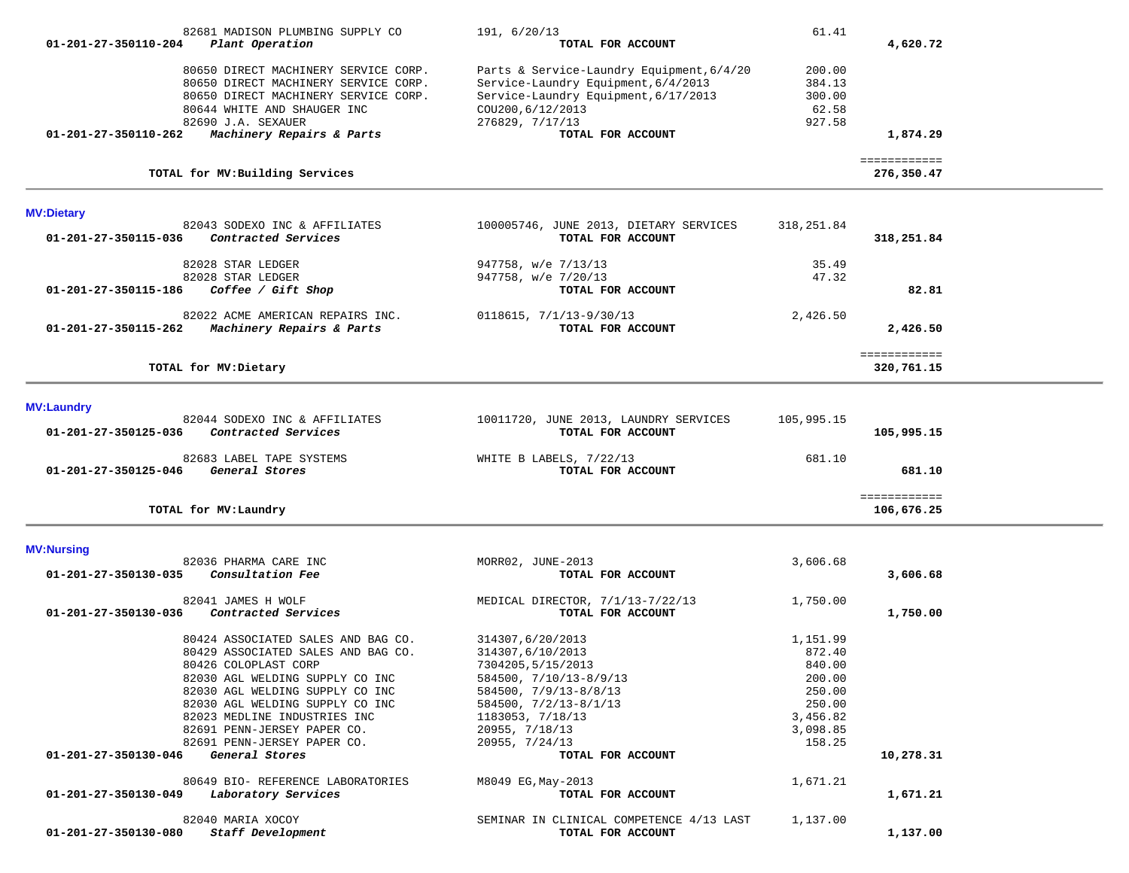|                      | 82681 MADISON PLUMBING SUPPLY CO                              | 191, 6/20/13                                                | 61.41      |              |  |
|----------------------|---------------------------------------------------------------|-------------------------------------------------------------|------------|--------------|--|
| 01-201-27-350110-204 | Plant Operation                                               | TOTAL FOR ACCOUNT                                           |            | 4,620.72     |  |
|                      |                                                               |                                                             |            |              |  |
|                      | 80650 DIRECT MACHINERY SERVICE CORP.                          | Parts & Service-Laundry Equipment, 6/4/20                   | 200.00     |              |  |
|                      | 80650 DIRECT MACHINERY SERVICE CORP.                          | Service-Laundry Equipment, 6/4/2013                         | 384.13     |              |  |
|                      | 80650 DIRECT MACHINERY SERVICE CORP.                          | Service-Laundry Equipment, 6/17/2013                        | 300.00     |              |  |
|                      | 80644 WHITE AND SHAUGER INC                                   | COU200, 6/12/2013                                           | 62.58      |              |  |
|                      | 82690 J.A. SEXAUER                                            | 276829, 7/17/13                                             | 927.58     |              |  |
| 01-201-27-350110-262 | Machinery Repairs & Parts                                     | TOTAL FOR ACCOUNT                                           |            | 1,874.29     |  |
|                      |                                                               |                                                             |            | ============ |  |
|                      | TOTAL for MV: Building Services                               |                                                             |            | 276,350.47   |  |
| <b>MV:Dietary</b>    |                                                               |                                                             |            |              |  |
| 01-201-27-350115-036 | 82043 SODEXO INC & AFFILIATES<br>Contracted Services          | 100005746, JUNE 2013, DIETARY SERVICES<br>TOTAL FOR ACCOUNT | 318,251.84 | 318,251.84   |  |
|                      | 82028 STAR LEDGER                                             | 947758, w/e 7/13/13                                         | 35.49      |              |  |
|                      | 82028 STAR LEDGER                                             | 947758, w/e 7/20/13                                         | 47.32      |              |  |
| 01-201-27-350115-186 | Coffee / Gift Shop                                            | TOTAL FOR ACCOUNT                                           |            | 82.81        |  |
|                      |                                                               |                                                             |            |              |  |
| 01-201-27-350115-262 | 82022 ACME AMERICAN REPAIRS INC.<br>Machinery Repairs & Parts | $0118615, 7/1/13-9/30/13$<br>TOTAL FOR ACCOUNT              | 2,426.50   | 2,426.50     |  |
|                      |                                                               |                                                             |            |              |  |
|                      |                                                               |                                                             |            | ============ |  |
|                      | TOTAL for MV: Dietary                                         |                                                             |            | 320,761.15   |  |
| <b>MV:Laundry</b>    |                                                               |                                                             |            |              |  |
|                      | 82044 SODEXO INC & AFFILIATES                                 | 10011720, JUNE 2013, LAUNDRY SERVICES                       | 105,995.15 |              |  |
| 01-201-27-350125-036 | Contracted Services                                           | TOTAL FOR ACCOUNT                                           |            | 105,995.15   |  |
|                      | 82683 LABEL TAPE SYSTEMS                                      | WHITE B LABELS, 7/22/13                                     | 681.10     |              |  |
| 01-201-27-350125-046 | General Stores                                                | TOTAL FOR ACCOUNT                                           |            | 681.10       |  |
|                      |                                                               |                                                             |            | ============ |  |
|                      | TOTAL for MV: Laundry                                         |                                                             |            | 106,676.25   |  |
| <b>MV:Nursing</b>    |                                                               |                                                             |            |              |  |
|                      | 82036 PHARMA CARE INC                                         | MORR02, JUNE-2013                                           | 3,606.68   |              |  |
| 01-201-27-350130-035 | Consultation Fee                                              | TOTAL FOR ACCOUNT                                           |            | 3,606.68     |  |
|                      | 82041 JAMES H WOLF                                            | MEDICAL DIRECTOR, 7/1/13-7/22/13                            | 1,750.00   |              |  |
| 01-201-27-350130-036 | Contracted Services                                           | TOTAL FOR ACCOUNT                                           |            | 1,750.00     |  |
|                      |                                                               |                                                             |            |              |  |
|                      | 80424 ASSOCIATED SALES AND BAG CO.                            | 314307,6/20/2013                                            | 1,151.99   |              |  |
|                      | 80429 ASSOCIATED SALES AND BAG CO.                            | 314307,6/10/2013                                            | 872.40     |              |  |
|                      | 80426 COLOPLAST CORP                                          | 7304205, 5/15/2013                                          | 840.00     |              |  |
|                      | 82030 AGL WELDING SUPPLY CO INC                               | 584500, 7/10/13-8/9/13                                      | 200.00     |              |  |
|                      | 82030 AGL WELDING SUPPLY CO INC                               | $584500, 7/9/13 - 8/8/13$                                   | 250.00     |              |  |
|                      | 82030 AGL WELDING SUPPLY CO INC                               | $584500, 7/2/13 - 8/1/13$                                   | 250.00     |              |  |
|                      | 82023 MEDLINE INDUSTRIES INC                                  | 1183053, 7/18/13                                            | 3,456.82   |              |  |
|                      | 82691 PENN-JERSEY PAPER CO.                                   | 20955, 7/18/13                                              | 3,098.85   |              |  |
|                      | 82691 PENN-JERSEY PAPER CO.                                   | 20955, 7/24/13                                              | 158.25     |              |  |
| 01-201-27-350130-046 | General Stores                                                | TOTAL FOR ACCOUNT                                           |            | 10,278.31    |  |
|                      |                                                               |                                                             |            |              |  |
| 01-201-27-350130-049 | 80649 BIO- REFERENCE LABORATORIES<br>Laboratory Services      | M8049 EG, May-2013<br>TOTAL FOR ACCOUNT                     | 1,671.21   |              |  |
|                      |                                                               |                                                             |            | 1,671.21     |  |
|                      | 82040 MARIA XOCOY                                             | SEMINAR IN CLINICAL COMPETENCE 4/13 LAST                    | 1,137.00   |              |  |
| 01-201-27-350130-080 | Staff Development                                             | TOTAL FOR ACCOUNT                                           |            | 1,137.00     |  |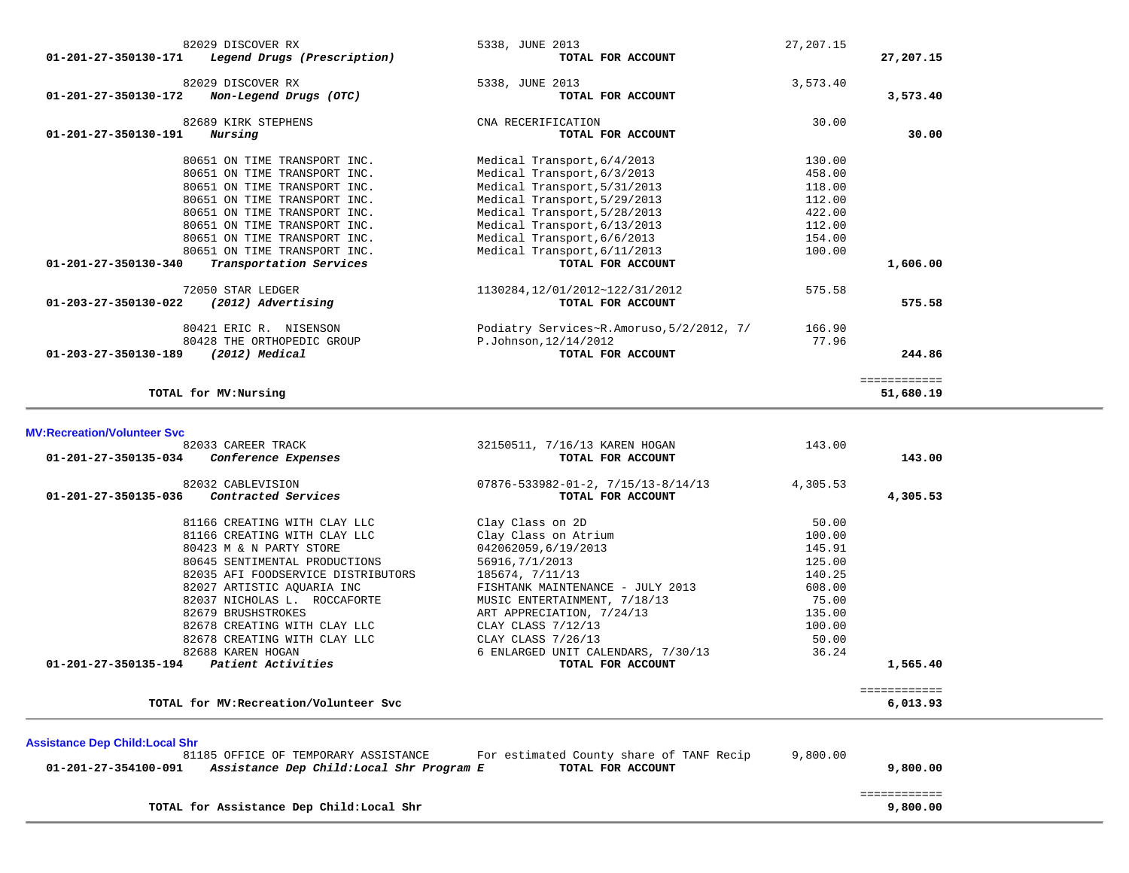| 82029 DISCOVER RX<br>Legend Drugs (Prescription)<br>01-201-27-350130-171 | 5338, JUNE 2013<br>TOTAL FOR ACCOUNT      | 27, 207. 15 | 27,207.15    |
|--------------------------------------------------------------------------|-------------------------------------------|-------------|--------------|
| 82029 DISCOVER RX<br>01-201-27-350130-172<br>Non-Legend Drugs (OTC)      | 5338, JUNE 2013<br>TOTAL FOR ACCOUNT      | 3,573.40    | 3,573.40     |
|                                                                          |                                           |             |              |
| 82689 KIRK STEPHENS<br>Nursing<br>01-201-27-350130-191                   | CNA RECERIFICATION<br>TOTAL FOR ACCOUNT   | 30.00       | 30.00        |
| 80651 ON TIME TRANSPORT INC.                                             | Medical Transport, 6/4/2013               | 130.00      |              |
| 80651 ON TIME TRANSPORT INC.                                             | Medical Transport, 6/3/2013               | 458.00      |              |
| 80651 ON TIME TRANSPORT INC.                                             | Medical Transport, 5/31/2013              | 118.00      |              |
| 80651 ON TIME TRANSPORT INC.                                             | Medical Transport, 5/29/2013              | 112.00      |              |
| 80651 ON TIME TRANSPORT INC.                                             | Medical Transport, 5/28/2013              | 422.00      |              |
| 80651 ON TIME TRANSPORT INC.                                             | Medical Transport, 6/13/2013              | 112.00      |              |
| 80651 ON TIME TRANSPORT INC.                                             | Medical Transport, 6/6/2013               | 154.00      |              |
| 80651 ON TIME TRANSPORT INC.                                             | Medical Transport, 6/11/2013              | 100.00      |              |
| 01-201-27-350130-340<br>Transportation Services                          | TOTAL FOR ACCOUNT                         |             | 1,606.00     |
| 72050 STAR LEDGER                                                        | 1130284, 12/01/2012~122/31/2012           | 575.58      |              |
| 01-203-27-350130-022<br>(2012) Advertising                               | TOTAL FOR ACCOUNT                         |             | 575.58       |
| 80421 ERIC R. NISENSON                                                   | Podiatry Services~R.Amoruso, 5/2/2012, 7/ | 166.90      |              |
| 80428 THE ORTHOPEDIC GROUP                                               | P.Johnson, 12/14/2012                     | 77.96       |              |
| (2012) Medical<br>01-203-27-350130-189                                   | TOTAL FOR ACCOUNT                         |             | 244.86       |
|                                                                          |                                           |             | ============ |
| TOTAL for MV: Nursing                                                    |                                           |             | 51,680.19    |

## **MV:Recreation/Volunteer Svc**

| 82033 CAREER TRACK                                                                                                                                  | 32150511, 7/16/13 KAREN HOGAN                                 | 143.00   |                          |  |
|-----------------------------------------------------------------------------------------------------------------------------------------------------|---------------------------------------------------------------|----------|--------------------------|--|
| 01-201-27-350135-034<br>Conference Expenses                                                                                                         | TOTAL FOR ACCOUNT                                             |          | 143.00                   |  |
| 82032 CABLEVISION                                                                                                                                   | $07876 - 533982 - 01 - 2, 7/15/13 - 8/14/13$                  | 4,305.53 |                          |  |
| 01-201-27-350135-036<br>Contracted Services                                                                                                         | TOTAL FOR ACCOUNT                                             |          | 4,305.53                 |  |
| 81166 CREATING WITH CLAY LLC                                                                                                                        | Clay Class on 2D                                              | 50.00    |                          |  |
| 81166 CREATING WITH CLAY LLC                                                                                                                        | Clay Class on Atrium                                          | 100.00   |                          |  |
| 80423 M & N PARTY STORE                                                                                                                             | 042062059,6/19/2013                                           | 145.91   |                          |  |
| 80645 SENTIMENTAL PRODUCTIONS                                                                                                                       | 56916, 7/1/2013                                               | 125.00   |                          |  |
| 82035 AFI FOODSERVICE DISTRIBUTORS                                                                                                                  | 185674, 7/11/13                                               | 140.25   |                          |  |
| 82027 ARTISTIC AOUARIA INC                                                                                                                          | FISHTANK MAINTENANCE - JULY 2013                              | 608.00   |                          |  |
| 82037 NICHOLAS L. ROCCAFORTE                                                                                                                        | MUSIC ENTERTAINMENT, 7/18/13                                  | 75.00    |                          |  |
| 82679 BRUSHSTROKES                                                                                                                                  | ART APPRECIATION, 7/24/13                                     | 135.00   |                          |  |
| 82678 CREATING WITH CLAY LLC                                                                                                                        | CLAY CLASS 7/12/13                                            | 100.00   |                          |  |
| 82678 CREATING WITH CLAY LLC                                                                                                                        | CLAY CLASS 7/26/13                                            | 50.00    |                          |  |
| 82688 KAREN HOGAN                                                                                                                                   | 6 ENLARGED UNIT CALENDARS, 7/30/13                            | 36.24    |                          |  |
| 01-201-27-350135-194<br>Patient Activities                                                                                                          | TOTAL FOR ACCOUNT                                             |          | 1,565.40                 |  |
|                                                                                                                                                     |                                                               |          | ============             |  |
| TOTAL for MV: Recreation/Volunteer Svc                                                                                                              |                                                               |          | 6,013.93                 |  |
| <b>Assistance Dep Child: Local Shr</b><br>81185 OFFICE OF TEMPORARY ASSISTANCE<br>01-201-27-354100-091<br>Assistance Dep Child: Local Shr Program E | For estimated County share of TANF Recip<br>TOTAL FOR ACCOUNT | 9,800.00 | 9,800,00                 |  |
| TOTAL for Assistance Dep Child: Local Shr                                                                                                           |                                                               |          | ============<br>9,800.00 |  |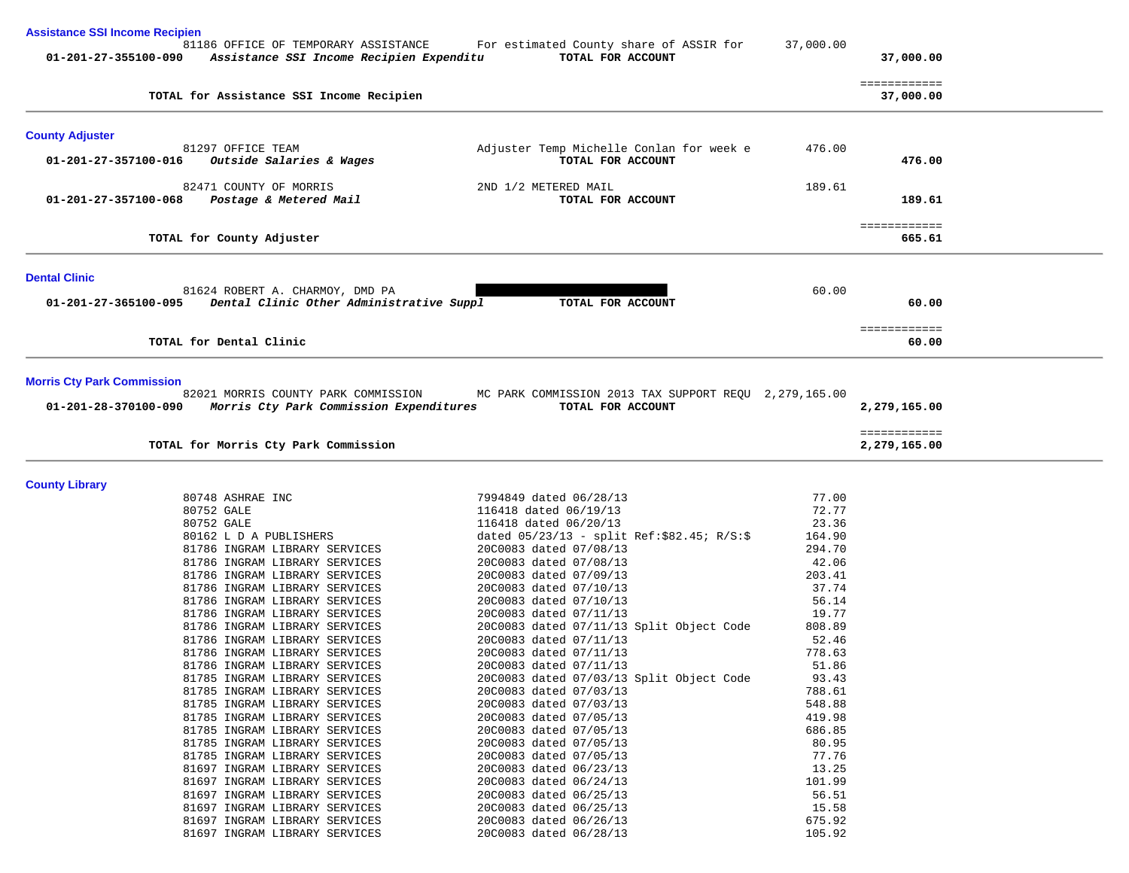| <b>Assistance SSI Income Recipien</b> |                                                                                                       |                                                                    |                 |                           |
|---------------------------------------|-------------------------------------------------------------------------------------------------------|--------------------------------------------------------------------|-----------------|---------------------------|
|                                       | 81186 OFFICE OF TEMPORARY ASSISTANCE<br>01-201-27-355100-090 Assistance SSI Income Recipien Expenditu | For estimated County share of ASSIR for<br>TOTAL FOR ACCOUNT       | 37,000.00       | 37,000.00                 |
|                                       | TOTAL for Assistance SSI Income Recipien                                                              |                                                                    |                 | ============<br>37,000.00 |
| <b>County Adjuster</b>                |                                                                                                       |                                                                    |                 |                           |
| 01-201-27-357100-016                  | 81297 OFFICE TEAM<br>Outside Salaries & Wages                                                         | Adjuster Temp Michelle Conlan for week e<br>TOTAL FOR ACCOUNT      | 476.00          | 476.00                    |
| 01-201-27-357100-068                  | 82471 COUNTY OF MORRIS<br>Postage & Metered Mail                                                      | 2ND 1/2 METERED MAIL<br>TOTAL FOR ACCOUNT                          | 189.61          | 189.61                    |
|                                       | TOTAL for County Adjuster                                                                             |                                                                    |                 | ============<br>665.61    |
| <b>Dental Clinic</b>                  |                                                                                                       |                                                                    |                 |                           |
| 01-201-27-365100-095                  | 81624 ROBERT A. CHARMOY, DMD PA<br>Dental Clinic Other Administrative Suppl                           | TOTAL FOR ACCOUNT                                                  | 60.00           | 60.00                     |
|                                       | TOTAL for Dental Clinic                                                                               |                                                                    |                 | ============<br>60.00     |
|                                       | TOTAL for Morris Cty Park Commission                                                                  |                                                                    |                 | 2,279,165.00              |
| <b>County Library</b>                 |                                                                                                       |                                                                    |                 |                           |
|                                       | 80748 ASHRAE INC<br>80752 GALE                                                                        | 7994849 dated 06/28/13<br>116418 dated 06/19/13                    | 77.00<br>72.77  |                           |
|                                       | 80752 GALE                                                                                            | 116418 dated 06/20/13                                              | 23.36           |                           |
|                                       | 80162 L D A PUBLISHERS                                                                                | dated $05/23/13$ - split Ref:\$82.45; R/S:\$                       | 164.90          |                           |
|                                       | 81786 INGRAM LIBRARY SERVICES                                                                         | 20C0083 dated 07/08/13                                             | 294.70          |                           |
|                                       | 81786 INGRAM LIBRARY SERVICES                                                                         | 20C0083 dated 07/08/13                                             | 42.06           |                           |
|                                       | 81786 INGRAM LIBRARY SERVICES                                                                         | 20C0083 dated 07/09/13                                             | 203.41          |                           |
|                                       | 81786 INGRAM LIBRARY SERVICES                                                                         | 20C0083 dated 07/10/13                                             | 37.74           |                           |
|                                       | 81786 INGRAM LIBRARY SERVICES                                                                         | 20C0083 dated 07/10/13                                             | 56.14           |                           |
|                                       | 81786 INGRAM LIBRARY SERVICES                                                                         | 20C0083 dated 07/11/13                                             | 19.77           |                           |
|                                       | 81786 INGRAM LIBRARY SERVICES<br>81786 INGRAM LIBRARY SERVICES                                        | 20C0083 dated 07/11/13 Split Object Code<br>20C0083 dated 07/11/13 | 808.89<br>52.46 |                           |
|                                       | 81786 INGRAM LIBRARY SERVICES                                                                         | 20C0083 dated 07/11/13                                             | 778.63          |                           |
|                                       | 81786 INGRAM LIBRARY SERVICES                                                                         | 20C0083 dated 07/11/13                                             | 51.86           |                           |
|                                       | 81785 INGRAM LIBRARY SERVICES                                                                         | 20C0083 dated 07/03/13 Split Object Code                           | 93.43           |                           |
|                                       | 81785 INGRAM LIBRARY SERVICES                                                                         | 20C0083 dated 07/03/13                                             | 788.61          |                           |
|                                       | 81785 INGRAM LIBRARY SERVICES                                                                         | 20C0083 dated 07/03/13                                             | 548.88          |                           |
|                                       | 81785 INGRAM LIBRARY SERVICES                                                                         | 20C0083 dated 07/05/13                                             | 419.98          |                           |
|                                       | 81785 INGRAM LIBRARY SERVICES                                                                         | 20C0083 dated 07/05/13                                             | 686.85          |                           |
|                                       | 81785 INGRAM LIBRARY SERVICES<br>81785 INGRAM LIBRARY SERVICES                                        | 20C0083 dated 07/05/13<br>20C0083 dated 07/05/13                   | 80.95<br>77.76  |                           |
|                                       | 81697 INGRAM LIBRARY SERVICES                                                                         | 20C0083 dated 06/23/13                                             | 13.25           |                           |
|                                       | 81697 INGRAM LIBRARY SERVICES                                                                         | 20C0083 dated 06/24/13                                             | 101.99          |                           |
|                                       | 81697 INGRAM LIBRARY SERVICES                                                                         | 20C0083 dated 06/25/13                                             | 56.51           |                           |
|                                       | 81697 INGRAM LIBRARY SERVICES                                                                         | 20C0083 dated 06/25/13                                             | 15.58           |                           |
|                                       | 81697 INGRAM LIBRARY SERVICES                                                                         | 20C0083 dated 06/26/13                                             | 675.92          |                           |
|                                       | 81697 INGRAM LIBRARY SERVICES                                                                         | 20C0083 dated 06/28/13                                             | 105.92          |                           |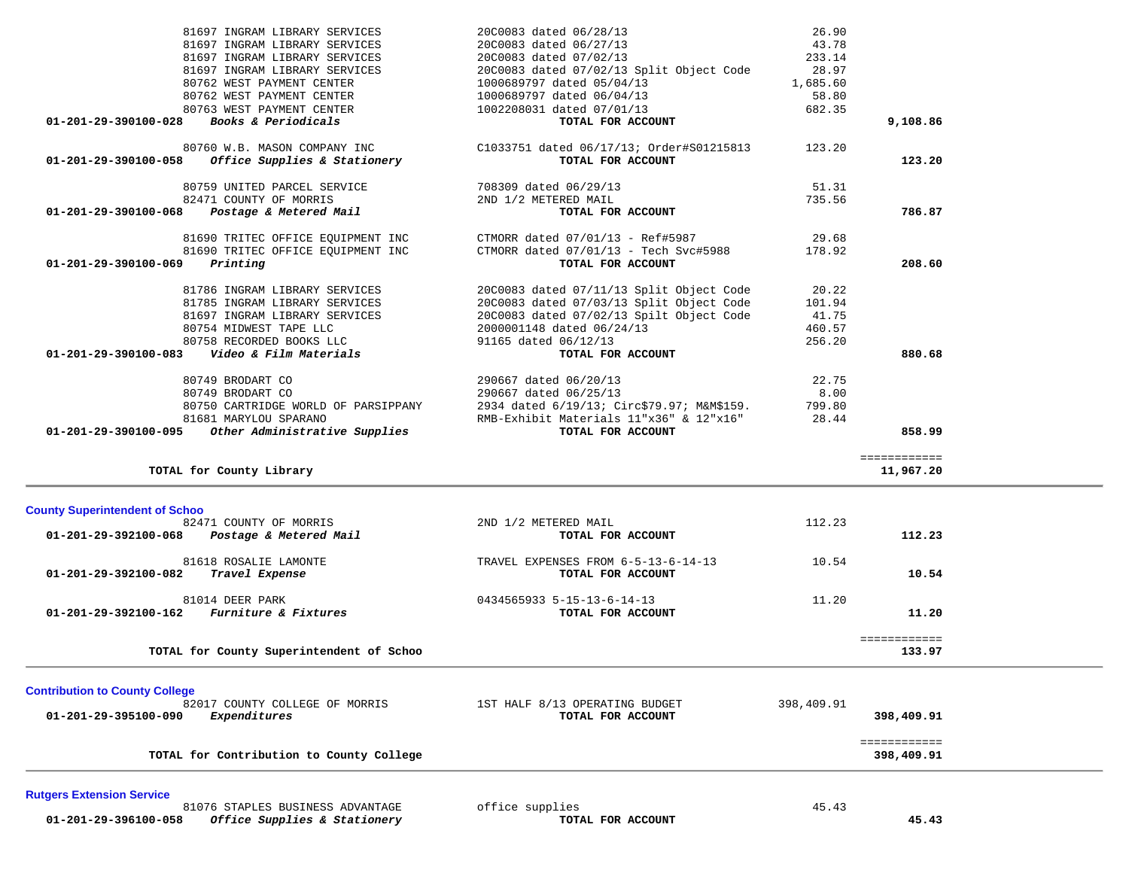| 80760 W.B. MASON COMPANY INC<br>$01 - 201 - 29 - 390100 - 058$<br>Office Supplies & Stationery                    | C1033751 dated 06/17/13; Order#S01215813<br>TOTAL FOR ACCOUNT | 123.20     | 123.20                     |
|-------------------------------------------------------------------------------------------------------------------|---------------------------------------------------------------|------------|----------------------------|
| 80759 UNITED PARCEL SERVICE                                                                                       | 708309 dated 06/29/13                                         | 51.31      |                            |
| 82471 COUNTY OF MORRIS                                                                                            | 2ND 1/2 METERED MAIL                                          | 735.56     |                            |
| Postage & Metered Mail<br>01-201-29-390100-068                                                                    | TOTAL FOR ACCOUNT                                             |            | 786.87                     |
| 81690 TRITEC OFFICE EQUIPMENT INC                                                                                 | CTMORR dated 07/01/13 - Ref#5987                              | 29.68      |                            |
| 81690 TRITEC OFFICE EQUIPMENT INC                                                                                 | CTMORR dated 07/01/13 - Tech Svc#5988                         | 178.92     |                            |
| Printing<br>01-201-29-390100-069                                                                                  | TOTAL FOR ACCOUNT                                             |            | 208.60                     |
| 81786 INGRAM LIBRARY SERVICES                                                                                     | 20C0083 dated 07/11/13 Split Object Code                      | 20.22      |                            |
| 81785 INGRAM LIBRARY SERVICES                                                                                     | 20C0083 dated 07/03/13 Split Object Code                      | 101.94     |                            |
| 81697 INGRAM LIBRARY SERVICES                                                                                     | 20C0083 dated 07/02/13 Spilt Object Code                      | 41.75      |                            |
| 80754 MIDWEST TAPE LLC                                                                                            | 2000001148 dated 06/24/13                                     | 460.57     |                            |
| 80758 RECORDED BOOKS LLC                                                                                          | 91165 dated 06/12/13                                          | 256.20     |                            |
| Video & Film Materials<br>01-201-29-390100-083                                                                    | TOTAL FOR ACCOUNT                                             |            | 880.68                     |
| 80749 BRODART CO                                                                                                  | 290667 dated 06/20/13                                         | 22.75      |                            |
| 80749 BRODART CO                                                                                                  | 290667 dated 06/25/13                                         | 8.00       |                            |
| 80750 CARTRIDGE WORLD OF PARSIPPANY                                                                               | 2934 dated 6/19/13; Circ\$79.97; M&M\$159.                    | 799.80     |                            |
| 81681 MARYLOU SPARANO                                                                                             | RMB-Exhibit Materials 11"x36" & 12"x16"                       | 28.44      |                            |
| Other Administrative Supplies<br>01-201-29-390100-095                                                             | TOTAL FOR ACCOUNT                                             |            | 858.99                     |
| TOTAL for County Library                                                                                          |                                                               |            | ============<br>11,967.20  |
| <b>County Superintendent of Schoo</b><br>82471 COUNTY OF MORRIS<br>01-201-29-392100-068<br>Postage & Metered Mail | 2ND 1/2 METERED MAIL<br>TOTAL FOR ACCOUNT                     | 112.23     | 112.23                     |
| 81618 ROSALIE LAMONTE<br>01-201-29-392100-082<br>Travel Expense                                                   | TRAVEL EXPENSES FROM 6-5-13-6-14-13<br>TOTAL FOR ACCOUNT      | 10.54      | 10.54                      |
| 81014 DEER PARK                                                                                                   | 0434565933 5-15-13-6-14-13                                    | 11.20      |                            |
| 01-201-29-392100-162 Furniture & Fixtures                                                                         | TOTAL FOR ACCOUNT                                             |            | 11.20                      |
|                                                                                                                   |                                                               |            | ============               |
| TOTAL for County Superintendent of Schoo                                                                          |                                                               |            | 133.97                     |
| <b>Contribution to County College</b>                                                                             |                                                               |            |                            |
| 82017 COUNTY COLLEGE OF MORRIS                                                                                    | 1ST HALF 8/13 OPERATING BUDGET                                | 398,409.91 |                            |
| Expenditures<br>01-201-29-395100-090                                                                              | TOTAL FOR ACCOUNT                                             |            | 398,409.91                 |
| TOTAL for Contribution to County College                                                                          |                                                               |            | ============<br>398,409.91 |
|                                                                                                                   |                                                               |            |                            |
| <b>Rutgers Extension Service</b><br>81076 STAPLES BUSINESS ADVANTAGE                                              | office supplies                                               | 45.43      |                            |
| Office Supplies & Stationery<br>01-201-29-396100-058                                                              | TOTAL FOR ACCOUNT                                             |            | 45.43                      |

| 80762 WEST PAYMENT CENTER<br>80763 WEST PAYMENT CENTER<br><b>Books &amp; Periodicals</b><br>80760 W.B. MASON COMPANY INC<br>Office Supplies & Stationery<br>80759 UNITED PARCEL SERVICE<br>82471 COUNTY OF MORRIS<br>Postage & Metered Mail | 1002208031 dated 07/01/13<br>TOTAL FOR ACCOUNT<br>C1033751 dated 06/17/13; Order#S01215813<br>TOTAL FOR ACCOUNT<br>708309 dated 06/29/13<br>2ND 1/2 METERED MAIL | 682.35<br>123.20<br>51.31<br>735.56 | 9,108.86<br>123.20<br>786.87 |
|---------------------------------------------------------------------------------------------------------------------------------------------------------------------------------------------------------------------------------------------|------------------------------------------------------------------------------------------------------------------------------------------------------------------|-------------------------------------|------------------------------|
|                                                                                                                                                                                                                                             |                                                                                                                                                                  |                                     |                              |
|                                                                                                                                                                                                                                             |                                                                                                                                                                  |                                     |                              |
|                                                                                                                                                                                                                                             |                                                                                                                                                                  |                                     |                              |
|                                                                                                                                                                                                                                             |                                                                                                                                                                  |                                     |                              |
|                                                                                                                                                                                                                                             |                                                                                                                                                                  |                                     |                              |
|                                                                                                                                                                                                                                             | 1000689797 dated 06/04/13                                                                                                                                        | 58.80                               |                              |
| 80762 WEST PAYMENT CENTER                                                                                                                                                                                                                   | 1000689797 dated 05/04/13                                                                                                                                        | 1,685.60                            |                              |
| 81697 INGRAM LIBRARY SERVICES                                                                                                                                                                                                               | 20C0083 dated 07/02/13 Split Object Code                                                                                                                         | 28.97                               |                              |
| 81697 INGRAM LIBRARY SERVICES                                                                                                                                                                                                               | 20C0083 dated 07/02/13                                                                                                                                           | 233.14                              |                              |
| 81697 INGRAM LIBRARY SERVICES                                                                                                                                                                                                               | 20C0083 dated 06/27/13                                                                                                                                           | 43.78                               |                              |
| 81697 INGRAM LIBRARY SERVICES                                                                                                                                                                                                               | 20C0083 dated 06/28/13                                                                                                                                           | 26.90                               |                              |
|                                                                                                                                                                                                                                             |                                                                                                                                                                  |                                     |                              |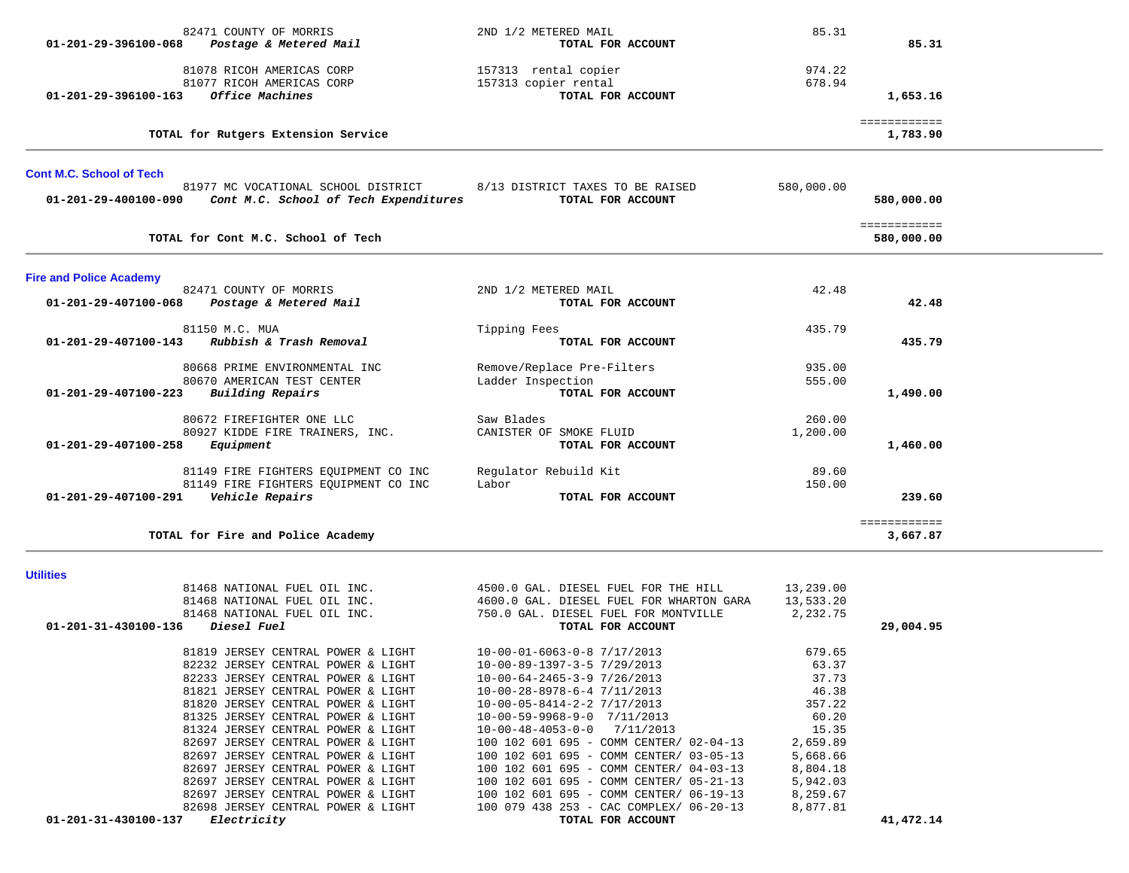| 01-201-29-396100-068                    | Postage & Metered Mail                                     | TOTAL FOR ACCOUNT                                         |            | 85.31                      |  |
|-----------------------------------------|------------------------------------------------------------|-----------------------------------------------------------|------------|----------------------------|--|
|                                         | 81078 RICOH AMERICAS CORP                                  | 157313 rental copier                                      | 974.22     |                            |  |
|                                         | 81077 RICOH AMERICAS CORP                                  | 157313 copier rental                                      | 678.94     |                            |  |
| 01-201-29-396100-163                    | Office Machines                                            | TOTAL FOR ACCOUNT                                         |            | 1,653.16                   |  |
|                                         |                                                            |                                                           |            |                            |  |
|                                         | TOTAL for Rutgers Extension Service                        |                                                           |            | ============<br>1,783.90   |  |
| <b>Cont M.C. School of Tech</b>         |                                                            |                                                           |            |                            |  |
|                                         | 81977 MC VOCATIONAL SCHOOL DISTRICT                        | 8/13 DISTRICT TAXES TO BE RAISED                          | 580,000.00 |                            |  |
|                                         | 01-201-29-400100-090 Cont M.C. School of Tech Expenditures | TOTAL FOR ACCOUNT                                         |            | 580,000.00                 |  |
|                                         | TOTAL for Cont M.C. School of Tech                         |                                                           |            | ============<br>580,000.00 |  |
|                                         |                                                            |                                                           |            |                            |  |
| <b>Fire and Police Academy</b>          |                                                            |                                                           |            |                            |  |
|                                         | 82471 COUNTY OF MORRIS                                     | 2ND 1/2 METERED MAIL<br>TOTAL FOR ACCOUNT                 | 42.48      | 42.48                      |  |
|                                         | 01-201-29-407100-068 Postage & Metered Mail                |                                                           |            |                            |  |
|                                         | 81150 M.C. MUA                                             | Tipping Fees                                              | 435.79     |                            |  |
|                                         | 01-201-29-407100-143 Rubbish & Trash Removal               | TOTAL FOR ACCOUNT                                         |            | 435.79                     |  |
|                                         | 80668 PRIME ENVIRONMENTAL INC                              | Remove/Replace Pre-Filters                                | 935.00     |                            |  |
|                                         | 80670 AMERICAN TEST CENTER                                 | Ladder Inspection                                         | 555.00     |                            |  |
| 01-201-29-407100-223                    | Building Repairs                                           | TOTAL FOR ACCOUNT                                         |            | 1,490.00                   |  |
|                                         | 80672 FIREFIGHTER ONE LLC                                  | Saw Blades                                                | 260.00     |                            |  |
|                                         | 80927 KIDDE FIRE TRAINERS, INC.                            | CANISTER OF SMOKE FLUID                                   | 1,200.00   |                            |  |
| 01-201-29-407100-258                    | Equipment                                                  | TOTAL FOR ACCOUNT                                         |            | 1,460.00                   |  |
|                                         | 81149 FIRE FIGHTERS EQUIPMENT CO INC                       | Regulator Rebuild Kit                                     | 89.60      |                            |  |
|                                         | 81149 FIRE FIGHTERS EQUIPMENT CO INC                       | Labor                                                     | 150.00     |                            |  |
| 01-201-29-407100-291    Vehicle Repairs |                                                            | TOTAL FOR ACCOUNT                                         |            | 239.60                     |  |
|                                         |                                                            |                                                           |            | ============               |  |
|                                         | TOTAL for Fire and Police Academy                          |                                                           |            | 3,667.87                   |  |
| <b>Utilities</b>                        |                                                            |                                                           |            |                            |  |
|                                         | 81468 NATIONAL FUEL OIL INC.                               | 4500.0 GAL. DIESEL FUEL FOR THE HILL                      | 13,239.00  |                            |  |
|                                         | 81468 NATIONAL FUEL OIL INC.                               | 4600.0 GAL. DIESEL FUEL FOR WHARTON GARA                  | 13,533.20  |                            |  |
| 01-201-31-430100-136                    | 81468 NATIONAL FUEL OIL INC.                               | 750.0 GAL. DIESEL FUEL FOR MONTVILLE<br>TOTAL FOR ACCOUNT | 2,232.75   |                            |  |
|                                         | <i>Diesel Fuel</i>                                         |                                                           |            | 29,004.95                  |  |
|                                         | 81819 JERSEY CENTRAL POWER & LIGHT                         | $10-00-01-6063-0-8$ 7/17/2013                             | 679.65     |                            |  |
|                                         | 82232 JERSEY CENTRAL POWER & LIGHT                         | 10-00-89-1397-3-5 7/29/2013                               | 63.37      |                            |  |
|                                         | 82233 JERSEY CENTRAL POWER & LIGHT                         | $10-00-64-2465-3-97/26/2013$                              | 37.73      |                            |  |
|                                         | 81821 JERSEY CENTRAL POWER & LIGHT                         | $10 - 00 - 28 - 8978 - 6 - 47/11/2013$                    | 46.38      |                            |  |
|                                         | 81820 JERSEY CENTRAL POWER & LIGHT                         | $10-00-05-8414-2-2$ 7/17/2013                             | 357.22     |                            |  |
|                                         | 81325 JERSEY CENTRAL POWER & LIGHT                         | $10-00-59-9968-9-0$ $7/11/2013$                           | 60.20      |                            |  |
|                                         | 81324 JERSEY CENTRAL POWER & LIGHT                         | $10-00-48-4053-0-0$ 7/11/2013                             | 15.35      |                            |  |
|                                         | 82697 JERSEY CENTRAL POWER & LIGHT                         | 100 102 601 695 - COMM CENTER/ 02-04-13                   | 2,659.89   |                            |  |
|                                         | 82697 JERSEY CENTRAL POWER & LIGHT                         | 100 102 601 695 - COMM CENTER/ 03-05-13                   | 5,668.66   |                            |  |
|                                         | 82697 JERSEY CENTRAL POWER & LIGHT                         | 100 102 601 695 - COMM CENTER/ 04-03-13                   | 8,804.18   |                            |  |
|                                         | 82697 JERSEY CENTRAL POWER & LIGHT                         | 100 102 601 695 - COMM CENTER/ 05-21-13                   | 5,942.03   |                            |  |
|                                         | 82697 JERSEY CENTRAL POWER & LIGHT                         | 100 102 601 695 - COMM CENTER/ 06-19-13                   | 8,259.67   |                            |  |
|                                         | 82698 JERSEY CENTRAL POWER & LIGHT                         | 100 079 438 253 - CAC COMPLEX/ 06-20-13                   | 8,877.81   |                            |  |
| 01-201-31-430100-137                    | Electricity                                                | TOTAL FOR ACCOUNT                                         |            | 41,472.14                  |  |

82471 COUNTY OF MORRIS 65.31 2ND 1/2 METERED MAIL 65.31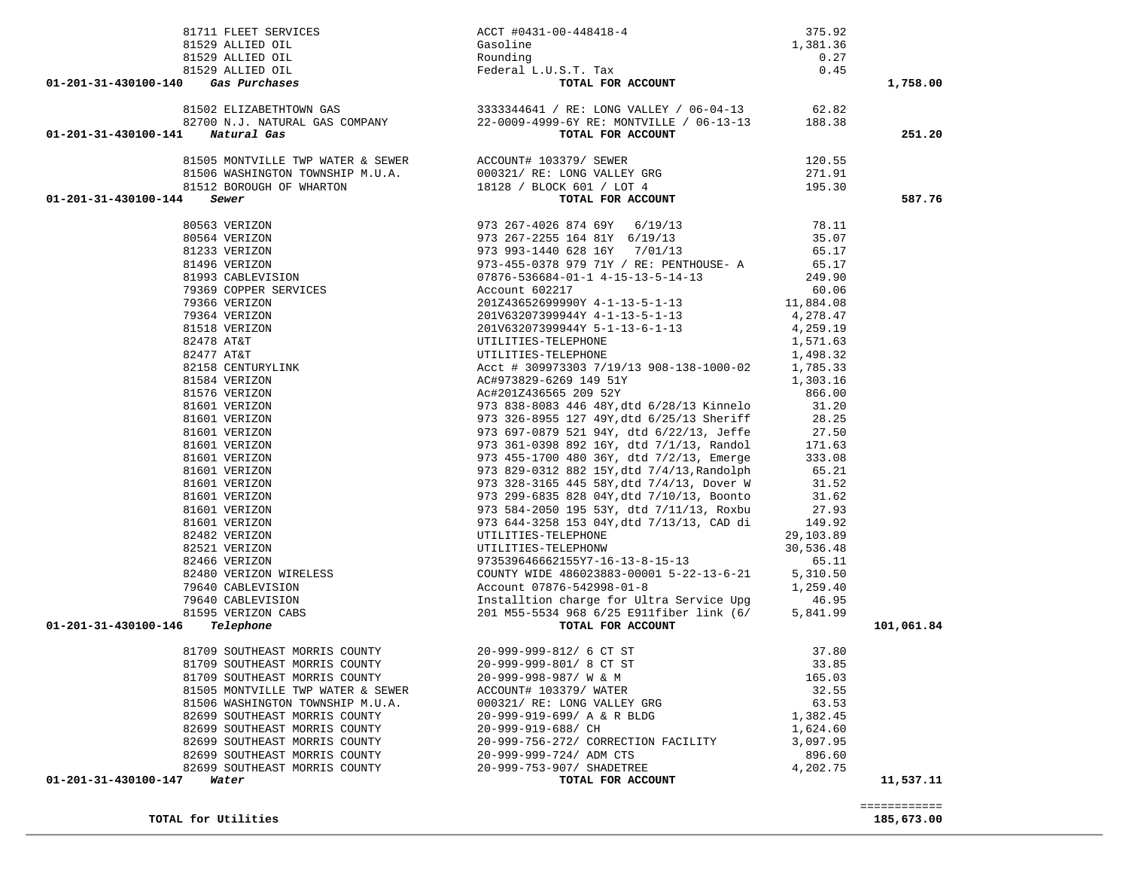**TOTAL for Utilities 185,673.00**

 ============ 

|                                                                    |                                                 |                 | 1,758.00   |
|--------------------------------------------------------------------|-------------------------------------------------|-----------------|------------|
|                                                                    |                                                 |                 |            |
|                                                                    |                                                 |                 |            |
|                                                                    |                                                 |                 | 251.20     |
|                                                                    |                                                 |                 |            |
|                                                                    |                                                 |                 |            |
|                                                                    |                                                 |                 |            |
|                                                                    |                                                 |                 | 587.76     |
|                                                                    |                                                 |                 |            |
|                                                                    |                                                 |                 |            |
|                                                                    |                                                 |                 |            |
|                                                                    |                                                 |                 |            |
|                                                                    |                                                 |                 |            |
|                                                                    |                                                 |                 |            |
|                                                                    |                                                 |                 |            |
|                                                                    |                                                 |                 |            |
|                                                                    |                                                 |                 |            |
|                                                                    |                                                 |                 |            |
|                                                                    |                                                 |                 |            |
|                                                                    |                                                 |                 |            |
|                                                                    |                                                 |                 |            |
|                                                                    |                                                 |                 |            |
|                                                                    |                                                 |                 |            |
|                                                                    |                                                 |                 |            |
|                                                                    |                                                 |                 |            |
|                                                                    |                                                 |                 |            |
|                                                                    |                                                 |                 |            |
|                                                                    |                                                 |                 |            |
|                                                                    |                                                 |                 |            |
|                                                                    |                                                 |                 |            |
|                                                                    |                                                 |                 |            |
|                                                                    |                                                 |                 |            |
|                                                                    |                                                 |                 |            |
|                                                                    |                                                 |                 |            |
|                                                                    |                                                 |                 |            |
|                                                                    |                                                 |                 |            |
|                                                                    |                                                 |                 |            |
|                                                                    |                                                 |                 |            |
|                                                                    |                                                 |                 |            |
| 01-201-31-430100-146 Telephone                                     |                                                 |                 | 101,061.84 |
| 81709 SOUTHEAST MORRIS COUNTY 20-999-999-812/ 6 CT ST              |                                                 |                 |            |
|                                                                    |                                                 | 37.80           |            |
| 81709 SOUTHEAST MORRIS COUNTY                                      | 20-999-999-801/ 8 CT ST                         | 33.85<br>165.03 |            |
| 81709 SOUTHEAST MORRIS COUNTY<br>81505 MONTVILLE TWP WATER & SEWER | 20-999-998-987/ W & M<br>ACCOUNT# 103379/ WATER | 32.55           |            |
| 81506 WASHINGTON TOWNSHIP M.U.A.                                   | 000321/ RE: LONG VALLEY GRG                     | 63.53           |            |
| 82699 SOUTHEAST MORRIS COUNTY                                      | 20-999-919-699/ A & R BLDG                      | 1,382.45        |            |
| 82699 SOUTHEAST MORRIS COUNTY                                      | 20-999-919-688/ CH                              | 1,624.60        |            |
| 82699 SOUTHEAST MORRIS COUNTY                                      | 20-999-756-272/ CORRECTION FACILITY             | 3,097.95        |            |
| 82699 SOUTHEAST MORRIS COUNTY                                      | 20-999-999-724/ ADM CTS                         | 896.60          |            |
| 82699 SOUTHEAST MORRIS COUNTY                                      | 20-999-753-907/ SHADETREE                       | 4,202.75        |            |
| 01-201-31-430100-147 Water                                         | TOTAL FOR ACCOUNT                               |                 | 11,537.11  |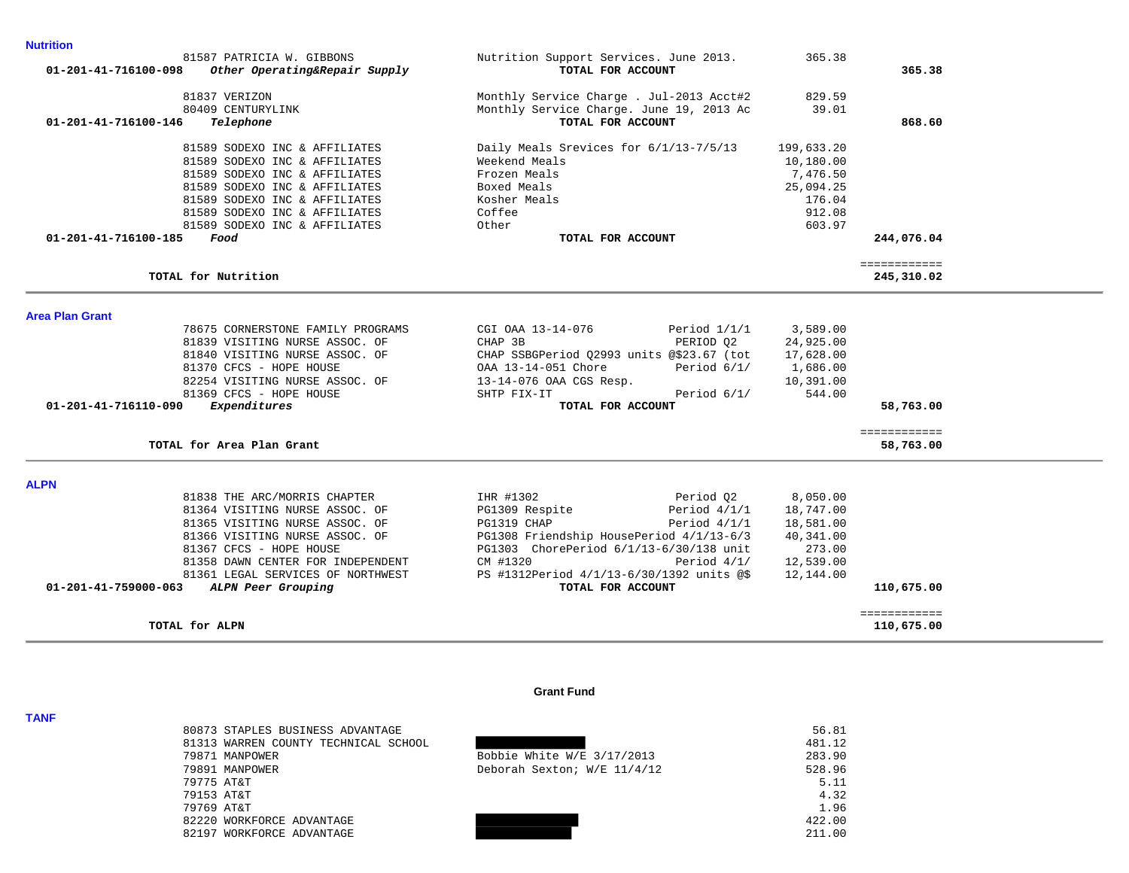| 81837 VERIZON                              | Monthly Service Charge . Jul-2013 Acct#2  | 829.59     |              |
|--------------------------------------------|-------------------------------------------|------------|--------------|
| 80409 CENTURYLINK                          | Monthly Service Charge. June 19, 2013 Ac  | 39.01      |              |
| 01-201-41-716100-146<br>Telephone          | TOTAL FOR ACCOUNT                         |            | 868.60       |
|                                            |                                           |            |              |
| 81589 SODEXO INC & AFFILIATES              | Daily Meals Srevices for 6/1/13-7/5/13    | 199,633.20 |              |
| 81589 SODEXO INC & AFFILIATES              | Weekend Meals                             | 10,180.00  |              |
| 81589 SODEXO INC & AFFILIATES              | Frozen Meals                              | 7,476.50   |              |
| 81589 SODEXO INC & AFFILIATES              | Boxed Meals                               | 25,094.25  |              |
| 81589 SODEXO INC & AFFILIATES              | Kosher Meals                              | 176.04     |              |
| 81589 SODEXO INC & AFFILIATES              | Coffee                                    | 912.08     |              |
| 81589 SODEXO INC & AFFILIATES              | Other                                     | 603.97     |              |
| 01-201-41-716100-185<br>Food               | TOTAL FOR ACCOUNT                         |            | 244,076.04   |
|                                            |                                           |            |              |
|                                            |                                           |            | ============ |
| TOTAL for Nutrition                        |                                           |            | 245,310.02   |
|                                            |                                           |            |              |
| <b>Area Plan Grant</b>                     |                                           |            |              |
| 78675 CORNERSTONE FAMILY PROGRAMS          | CGI OAA 13-14-076<br>Period $1/1/1$       | 3,589.00   |              |
| 81839 VISITING NURSE ASSOC. OF             | CHAP 3B<br>PERIOD Q2                      | 24,925.00  |              |
| 81840 VISITING NURSE ASSOC. OF             | CHAP SSBGPeriod Q2993 units @\$23.67 (tot | 17,628.00  |              |
| 81370 CFCS - HOPE HOUSE                    | OAA 13-14-051 Chore<br>Period 6/1/        | 1,686.00   |              |
| 82254 VISITING NURSE ASSOC. OF             | 13-14-076 OAA CGS Resp.                   | 10,391.00  |              |
| 81369 CFCS - HOPE HOUSE                    | Period 6/1/<br>SHTP FIX-IT                | 544.00     |              |
| 01-201-41-716110-090<br>Expenditures       | TOTAL FOR ACCOUNT                         |            | 58,763.00    |
|                                            |                                           |            | ============ |
| TOTAL for Area Plan Grant                  |                                           |            | 58,763.00    |
|                                            |                                           |            |              |
| <b>ALPN</b>                                |                                           |            |              |
| 81838 THE ARC/MORRIS CHAPTER               | IHR #1302<br>Period Q2                    | 8,050.00   |              |
| 81364 VISITING NURSE ASSOC. OF             | PG1309 Respite<br>Period $4/1/1$          | 18,747.00  |              |
| 81365 VISITING NURSE ASSOC. OF             | PG1319 CHAP<br>Period $4/1/1$             | 18,581.00  |              |
| 81366 VISITING NURSE ASSOC. OF             | PG1308 Friendship HousePeriod 4/1/13-6/3  | 40,341.00  |              |
| 81367 CFCS - HOPE HOUSE                    | PG1303 ChorePeriod 6/1/13-6/30/138 unit   | 273.00     |              |
| 81358 DAWN CENTER FOR INDEPENDENT          | CM #1320<br>Period $4/1/$                 | 12,539.00  |              |
| 81361 LEGAL SERVICES OF NORTHWEST          | PS #1312Period 4/1/13-6/30/1392 units @\$ | 12,144.00  |              |
| 01-201-41-759000-063<br>ALPN Peer Grouping | TOTAL FOR ACCOUNT                         |            | 110,675.00   |
|                                            |                                           |            | ============ |
| TOTAL for ALPN                             |                                           |            | 110,675.00   |

81587 PATRICIA W. GIBBONS Nutrition Support Services. June 2013. 365.38

 **01-201-41-716100-098** *Other Operating&Repair Supply* **TOTAL FOR ACCOUNT 365.38**

### **Grant Fund**

|            | 80873 STAPLES BUSINESS ADVANTAGE     |                              | 56.81  |
|------------|--------------------------------------|------------------------------|--------|
|            | 81313 WARREN COUNTY TECHNICAL SCHOOL |                              | 481.12 |
|            | 79871 MANPOWER                       | Bobbie White $W/E$ 3/17/2013 | 283.90 |
|            | 79891 MANPOWER                       | Deborah Sexton; W/E 11/4/12  | 528.96 |
| 79775 AT&T |                                      |                              | 5.11   |
| 79153 AT&T |                                      |                              | 4.32   |
| 79769 AT&T |                                      |                              | 1.96   |
|            | 82220 WORKFORCE ADVANTAGE            |                              | 422.00 |
|            | 82197 WORKFORCE ADVANTAGE            |                              | 211.00 |

## **TANF**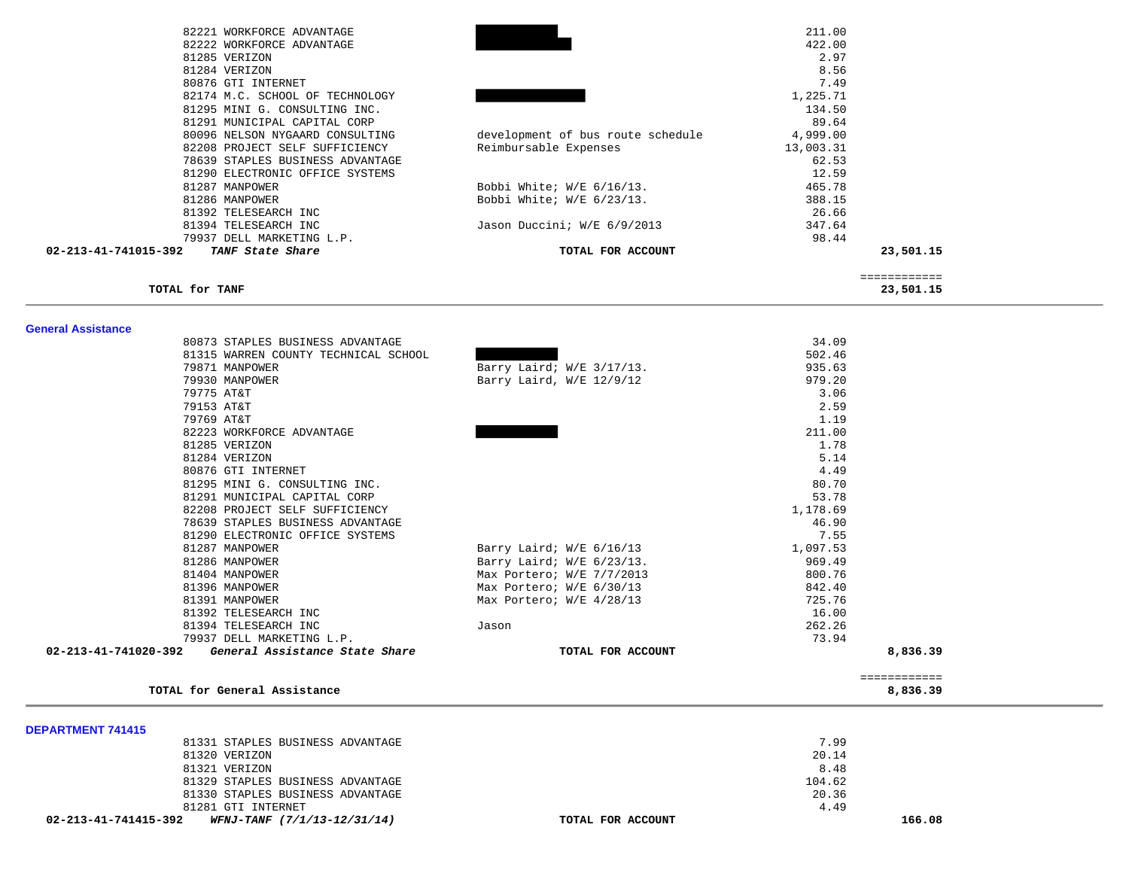| 82221 WORKFORCE ADVANTAGE                |                                   | 211.00    |
|------------------------------------------|-----------------------------------|-----------|
| 82222 WORKFORCE ADVANTAGE                |                                   | 422.00    |
| 81285 VERIZON                            |                                   | 2.97      |
| 81284 VERIZON                            |                                   | 8.56      |
| 80876 GTI INTERNET                       |                                   | 7.49      |
| 82174 M.C. SCHOOL OF TECHNOLOGY          |                                   | 1,225.71  |
| 81295 MINI G. CONSULTING INC.            |                                   | 134.50    |
| 81291 MUNICIPAL CAPITAL CORP             |                                   | 89.64     |
| 80096 NELSON NYGAARD CONSULTING          | development of bus route schedule | 4,999.00  |
| 82208 PROJECT SELF SUFFICIENCY           | Reimbursable Expenses             | 13,003.31 |
| 78639 STAPLES BUSINESS ADVANTAGE         |                                   | 62.53     |
| 81290 ELECTRONIC OFFICE SYSTEMS          |                                   | 12.59     |
| 81287 MANPOWER                           | Bobbi White; $W/E$ 6/16/13.       | 465.78    |
| 81286 MANPOWER                           | Bobbi White; $W/E$ 6/23/13.       | 388.15    |
| 81392 TELESEARCH INC                     |                                   | 26.66     |
| 81394 TELESEARCH INC                     | Jason Duccini; W/E 6/9/2013       | 347.64    |
| 79937 DELL MARKETING L.P.                |                                   | 98.44     |
| 02-213-41-741015-392<br>TANF State Share | TOTAL FOR ACCOUNT                 | 23,501.15 |

 ============ **TOTAL for TANF 23,501.15**

| -------<br>$\sim$ | $\sim$ | ----- |
|-------------------|--------|-------|
|                   |        |       |
|                   |        |       |

| <b>General Assistance</b>                              |                             |          |              |
|--------------------------------------------------------|-----------------------------|----------|--------------|
| 80873 STAPLES BUSINESS ADVANTAGE                       |                             | 34.09    |              |
| 81315 WARREN COUNTY TECHNICAL SCHOOL                   |                             | 502.46   |              |
| 79871 MANPOWER                                         | Barry Laird; W/E 3/17/13.   | 935.63   |              |
| 79930 MANPOWER                                         | Barry Laird, W/E 12/9/12    | 979.20   |              |
| 79775 AT&T                                             |                             | 3.06     |              |
| 79153 AT&T                                             |                             | 2.59     |              |
| 79769 AT&T                                             |                             | 1.19     |              |
| 82223 WORKFORCE ADVANTAGE                              |                             | 211.00   |              |
| 81285 VERIZON                                          |                             | 1.78     |              |
| 81284 VERIZON                                          |                             | 5.14     |              |
| 80876 GTI INTERNET                                     |                             | 4.49     |              |
| 81295 MINI G. CONSULTING INC.                          |                             | 80.70    |              |
| 81291 MUNICIPAL CAPITAL CORP                           |                             | 53.78    |              |
| 82208 PROJECT SELF SUFFICIENCY                         |                             | 1,178.69 |              |
| 78639 STAPLES BUSINESS ADVANTAGE                       |                             | 46.90    |              |
| 81290 ELECTRONIC OFFICE SYSTEMS                        |                             | 7.55     |              |
| 81287 MANPOWER                                         | Barry Laird; W/E 6/16/13    | 1,097.53 |              |
| 81286 MANPOWER                                         | Barry Laird; $W/E$ 6/23/13. | 969.49   |              |
| 81404 MANPOWER                                         | Max Portero; W/E 7/7/2013   | 800.76   |              |
| 81396 MANPOWER                                         | Max Portero; W/E 6/30/13    | 842.40   |              |
| 81391 MANPOWER                                         | Max Portero; W/E 4/28/13    | 725.76   |              |
| 81392 TELESEARCH INC                                   |                             | 16.00    |              |
| 81394 TELESEARCH INC                                   | Jason                       | 262.26   |              |
| 79937 DELL MARKETING L.P.                              |                             | 73.94    |              |
| 02-213-41-741020-392<br>General Assistance State Share | TOTAL FOR ACCOUNT           |          | 8,836.39     |
|                                                        |                             |          | ============ |
| TOTAL for General Assistance                           |                             |          | 8,836.39     |

| WFNJ-TANF (7/1/13-12/31/14)<br>02-213-41-741415-392 | TOTAL FOR ACCOUNT | 166.08 |
|-----------------------------------------------------|-------------------|--------|
| 81281 GTI INTERNET                                  | 4.49              |        |
| 81330 STAPLES BUSINESS ADVANTAGE                    | 20.36             |        |
| 81329 STAPLES BUSINESS ADVANTAGE                    | 104.62            |        |
| 81321 VERIZON                                       | 8.48              |        |
| 81320 VERIZON                                       | 20.14             |        |
| 81331 STAPLES BUSINESS ADVANTAGE                    | 7.99              |        |
| <b>DEPARTMENT 741415</b>                            |                   |        |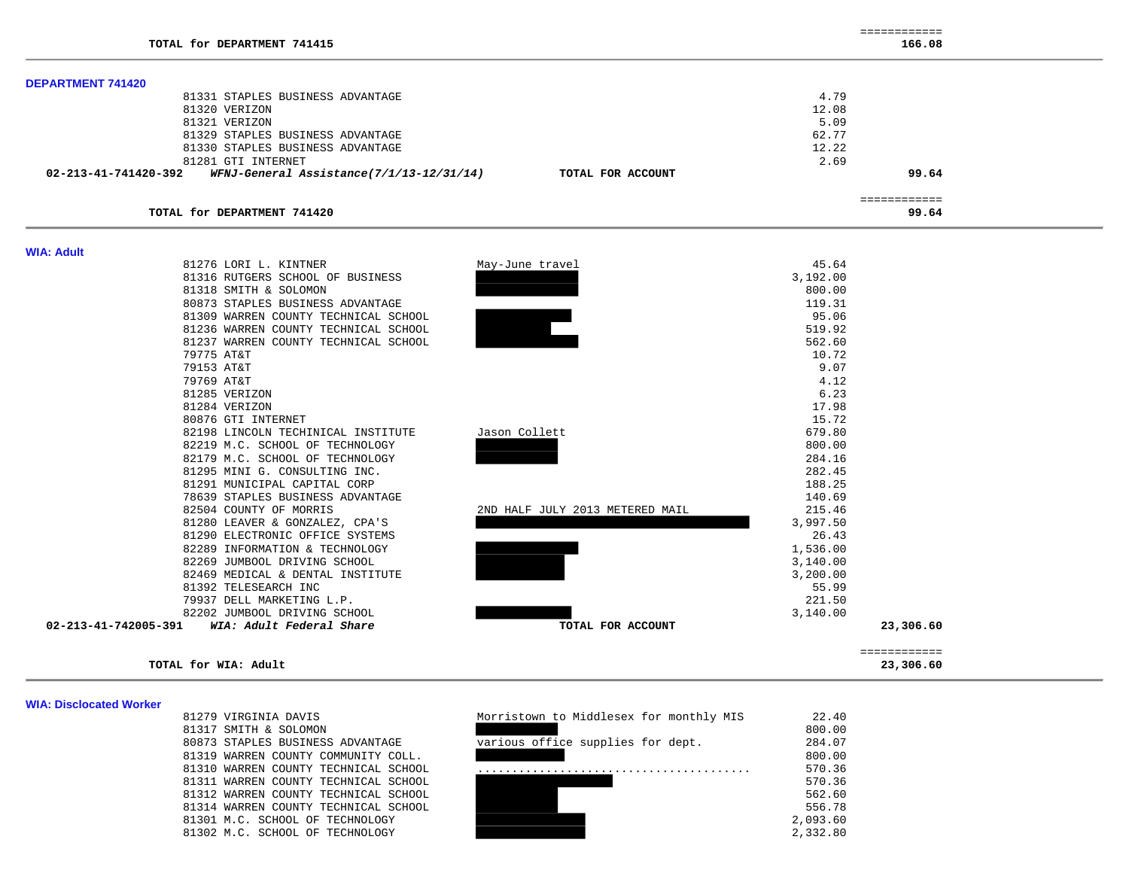| TOTAL for DEPARTMENT 741415                                      |                   | 166.08       |
|------------------------------------------------------------------|-------------------|--------------|
| <b>DEPARTMENT 741420</b>                                         |                   |              |
| 81331 STAPLES BUSINESS ADVANTAGE                                 |                   | 4.79         |
| 81320 VERIZON                                                    |                   | 12.08        |
| 81321 VERIZON                                                    |                   | 5.09         |
| 81329 STAPLES BUSINESS ADVANTAGE                                 |                   | 62.77        |
| 81330 STAPLES BUSINESS ADVANTAGE                                 |                   | 12.22        |
| 81281 GTI INTERNET                                               |                   | 2.69         |
| 02-213-41-741420-392<br>WFNJ-General Assistance(7/1/13-12/31/14) | TOTAL FOR ACCOUNT | 99.64        |
|                                                                  |                   | ------------ |
| TOTAL for DEPARTMENT 741420                                      |                   | 99.64        |

============

| <b>WIA: Adult</b>    |                                      |                                 |          |                           |
|----------------------|--------------------------------------|---------------------------------|----------|---------------------------|
|                      | 81276 LORI L. KINTNER                | May-June travel                 | 45.64    |                           |
|                      | 81316 RUTGERS SCHOOL OF BUSINESS     |                                 | 3,192.00 |                           |
|                      | 81318 SMITH & SOLOMON                |                                 | 800.00   |                           |
|                      | 80873 STAPLES BUSINESS ADVANTAGE     |                                 | 119.31   |                           |
|                      | 81309 WARREN COUNTY TECHNICAL SCHOOL |                                 | 95.06    |                           |
|                      | 81236 WARREN COUNTY TECHNICAL SCHOOL |                                 | 519.92   |                           |
|                      | 81237 WARREN COUNTY TECHNICAL SCHOOL |                                 | 562.60   |                           |
|                      | 79775 AT&T                           |                                 | 10.72    |                           |
|                      | 79153 AT&T                           |                                 | 9.07     |                           |
|                      | 79769 AT&T                           |                                 | 4.12     |                           |
|                      | 81285 VERIZON                        |                                 | 6.23     |                           |
|                      | 81284 VERIZON                        |                                 | 17.98    |                           |
|                      | 80876 GTI INTERNET                   |                                 | 15.72    |                           |
|                      | 82198 LINCOLN TECHINICAL INSTITUTE   | Jason Collett                   | 679.80   |                           |
|                      | 82219 M.C. SCHOOL OF TECHNOLOGY      |                                 | 800.00   |                           |
|                      | 82179 M.C. SCHOOL OF TECHNOLOGY      |                                 | 284.16   |                           |
|                      | 81295 MINI G. CONSULTING INC.        |                                 | 282.45   |                           |
|                      | 81291 MUNICIPAL CAPITAL CORP         |                                 | 188.25   |                           |
|                      | 78639 STAPLES BUSINESS ADVANTAGE     |                                 | 140.69   |                           |
|                      | 82504 COUNTY OF MORRIS               | 2ND HALF JULY 2013 METERED MAIL | 215.46   |                           |
|                      | 81280 LEAVER & GONZALEZ, CPA'S       |                                 | 3,997.50 |                           |
|                      | 81290 ELECTRONIC OFFICE SYSTEMS      |                                 | 26.43    |                           |
|                      | 82289 INFORMATION & TECHNOLOGY       |                                 | 1,536.00 |                           |
|                      | 82269 JUMBOOL DRIVING SCHOOL         |                                 | 3,140.00 |                           |
|                      | 82469 MEDICAL & DENTAL INSTITUTE     |                                 | 3,200.00 |                           |
|                      | 81392 TELESEARCH INC                 |                                 | 55.99    |                           |
|                      | 79937 DELL MARKETING L.P.            |                                 | 221.50   |                           |
|                      | 82202 JUMBOOL DRIVING SCHOOL         |                                 | 3,140.00 |                           |
| 02-213-41-742005-391 | WIA: Adult Federal Share             | TOTAL FOR ACCOUNT               |          | 23,306.60                 |
|                      | TOTAL for WIA: Adult                 |                                 |          | ============<br>23,306.60 |

#### **WIA: Disclocated Worker**

| 1279 VIRGINIA DAVIS                 |
|-------------------------------------|
| 1317 SMITH & SOLOMON                |
| 0873 STAPLES BUSINESS ADVANTAGE     |
| 1319 WARREN COUNTY COMMUNITY COLL.  |
| 1310 WARREN COUNTY TECHNICAL SCHOOL |
| 1311 WARREN COUNTY TECHNICAL SCHOOL |
| 1312 WARREN COUNTY TECHNICAL SCHOOL |
| 1314 WARREN COUNTY TECHNICAL SCHOOL |
| 1301 M.C. SCHOOL OF TECHNOLOGY      |
| 1302 M.C. SCHOOL OF TECHNOLOGY      |

| 81279 VIRGINIA DAVIS                 | Morristown to Middlesex for monthly MIS | 22.40    |
|--------------------------------------|-----------------------------------------|----------|
| 81317 SMITH & SOLOMON                |                                         | 800.00   |
| 80873 STAPLES BUSINESS ADVANTAGE     | various office supplies for dept.       | 284.07   |
| 81319 WARREN COUNTY COMMUNITY COLL.  |                                         | 800.00   |
| 81310 WARREN COUNTY TECHNICAL SCHOOL |                                         | 570.36   |
| 81311 WARREN COUNTY TECHNICAL SCHOOL |                                         | 570.36   |
| 81312 WARREN COUNTY TECHNICAL SCHOOL |                                         | 562.60   |
| 81314 WARREN COUNTY TECHNICAL SCHOOL |                                         | 556.78   |
| 81301 M.C. SCHOOL OF TECHNOLOGY      |                                         | 2,093.60 |
| 81302 M.C. SCHOOL OF TECHNOLOGY      |                                         | 2,332.80 |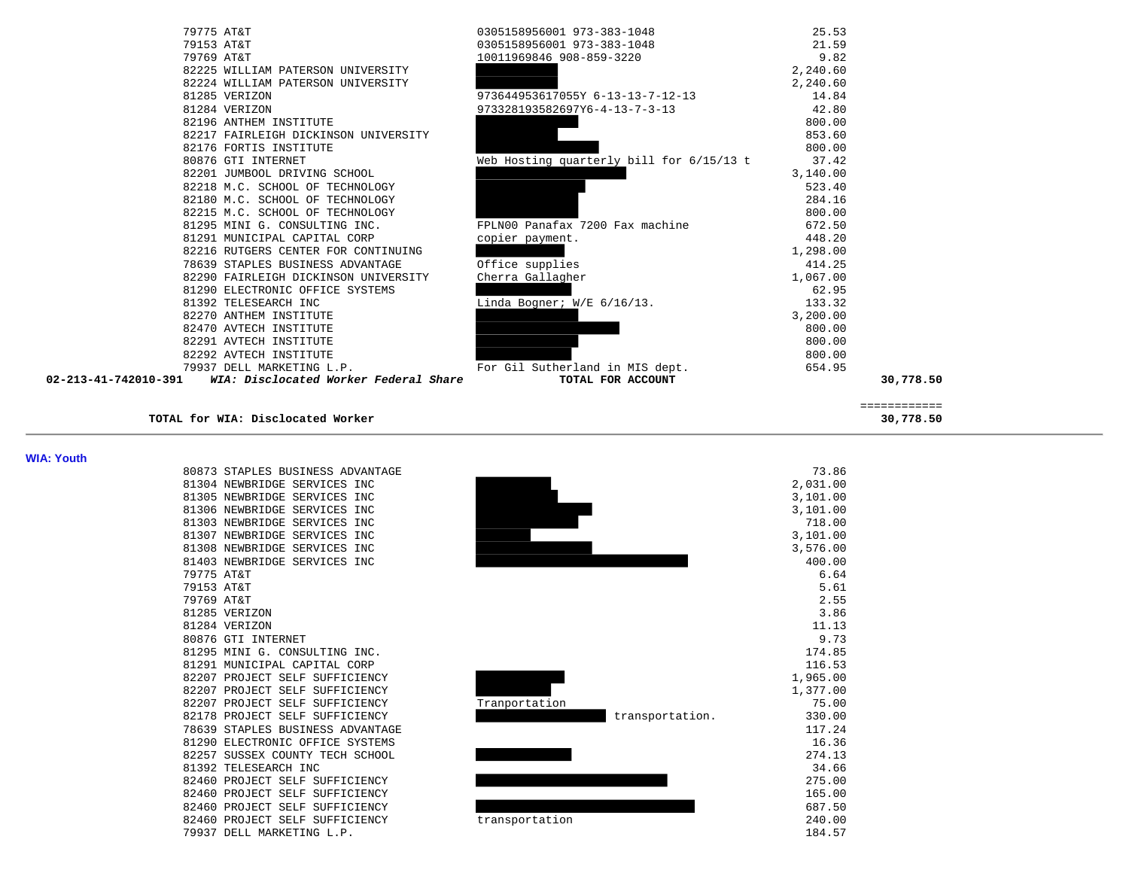| 79775 AT&T                                                              | 0305158956001 973-383-1048               | 25.53    |           |
|-------------------------------------------------------------------------|------------------------------------------|----------|-----------|
| 79153 AT&T                                                              | 0305158956001 973-383-1048               | 21.59    |           |
| 79769 AT&T                                                              | 10011969846 908-859-3220                 | 9.82     |           |
| 82225 WILLIAM PATERSON UNIVERSITY                                       |                                          | 2,240.60 |           |
| 82224 WILLIAM PATERSON UNIVERSITY                                       |                                          | 2,240.60 |           |
| 81285 VERIZON                                                           | 973644953617055Y 6-13-13-7-12-13         | 14.84    |           |
| 81284 VERIZON                                                           | 973328193582697Y6-4-13-7-3-13            | 42.80    |           |
| 82196 ANTHEM INSTITUTE                                                  |                                          | 800.00   |           |
| 82217 FAIRLEIGH DICKINSON UNIVERSITY                                    |                                          | 853.60   |           |
| 82176 FORTIS INSTITUTE                                                  |                                          | 800.00   |           |
| 80876 GTI INTERNET                                                      | Web Hosting quarterly bill for 6/15/13 t | 37.42    |           |
| 82201 JUMBOOL DRIVING SCHOOL                                            |                                          | 3,140.00 |           |
| 82218 M.C. SCHOOL OF TECHNOLOGY                                         |                                          | 523.40   |           |
| 82180 M.C. SCHOOL OF TECHNOLOGY                                         |                                          | 284.16   |           |
| 82215 M.C. SCHOOL OF TECHNOLOGY                                         |                                          | 800.00   |           |
| 81295 MINI G. CONSULTING INC.                                           | FPLN00 Panafax 7200 Fax machine          | 672.50   |           |
| 81291 MUNICIPAL CAPITAL CORP                                            | copier payment.                          | 448.20   |           |
| 82216 RUTGERS CENTER FOR CONTINUING                                     |                                          | 1,298.00 |           |
| 78639 STAPLES BUSINESS ADVANTAGE                                        | Office supplies                          | 414.25   |           |
| 82290 FAIRLEIGH DICKINSON UNIVERSITY                                    | Cherra Gallagher                         | 1,067.00 |           |
| 81290 ELECTRONIC OFFICE SYSTEMS                                         |                                          | 62.95    |           |
| 81392 TELESEARCH INC                                                    | Linda Bogner; W/E 6/16/13.               | 133.32   |           |
| 82270 ANTHEM INSTITUTE                                                  |                                          | 3,200.00 |           |
| 82470 AVTECH INSTITUTE                                                  |                                          | 800.00   |           |
| 82291 AVTECH INSTITUTE                                                  |                                          | 800.00   |           |
| 82292 AVTECH INSTITUTE                                                  |                                          | 800.00   |           |
| 79937 DELL MARKETING L.P.                                               | For Gil Sutherland in MIS dept.          | 654.95   |           |
| $02 - 213 - 41 - 742010 - 391$<br>WIA: Disclocated Worker Federal Share | TOTAL FOR ACCOUNT                        |          | 30,778.50 |
|                                                                         |                                          |          |           |

**TOTAL for WIA: Disclocated Worker 30,778.50**

 ============ 

**WIA: Youth** 

|            | 80873 STAPLES BUSINESS ADVANTAGE |
|------------|----------------------------------|
| 81304      | NEWBRIDGE SERVICES INC           |
| 81305      | NEWBRIDGE SERVICES<br><b>INC</b> |
|            | 81306 NEWBRIDGE SERVICES INC     |
| 81303      | NEWBRIDGE SERVICES INC           |
|            | 81307 NEWBRIDGE SERVICES INC     |
| 81308      | NEWBRIDGE SERVICES INC           |
| 81403      | NEWBRIDGE SERVICES INC           |
| 79775 AT&T |                                  |
| 79153      | AT&T                             |
| 79769 AT&T |                                  |
|            | 81285 VERIZON                    |
|            | 81284 VERIZON                    |
|            | 80876 GTI INTERNET               |
| 81295      | MINI G. CONSULTING INC.          |
| 81291      | MUNICIPAL CAPITAL CORP           |
| 82207      | PROJECT SELF SUFFICIENCY         |
|            | 82207 PROJECT SELF SUFFICIENCY   |
| 82207      | PROJECT SELF SUFFICIENCY         |
| 82178      | PROJECT SELF SUFFICIENCY         |
| 78639      | STAPLES BUSINESS ADVANTAGE       |
| 81290      | ELECTRONIC OFFICE SYSTEMS        |
| 82257      | SUSSEX COUNTY TECH SCHOOL        |
| 81392      | TELESEARCH INC                   |
| 82460      | PROJECT SELF SUFFICIENCY         |
| 82460      | PROJECT SELF SUFFICIENCY         |
| 82460      | PROJECT SELF SUFFICIENCY         |
|            | 82460 PROJECT SELF SUFFICIENCY   |
| 79937      | DELL MARKETING L.P.              |

| WIA: YOUth |                                  |                 |          |
|------------|----------------------------------|-----------------|----------|
|            | 80873 STAPLES BUSINESS ADVANTAGE |                 | 73.86    |
|            | 81304 NEWBRIDGE SERVICES INC     |                 | 2,031.00 |
|            | 81305 NEWBRIDGE SERVICES INC     |                 | 3,101.00 |
|            | 81306 NEWBRIDGE SERVICES INC     |                 | 3,101.00 |
|            | 81303 NEWBRIDGE SERVICES INC     |                 | 718.00   |
|            | 81307 NEWBRIDGE SERVICES INC     |                 | 3,101.00 |
|            | 81308 NEWBRIDGE SERVICES INC     |                 | 3,576.00 |
|            | 81403 NEWBRIDGE SERVICES INC     |                 | 400.00   |
|            | 79775 AT&T                       |                 | 6.64     |
|            | 79153 AT&T                       |                 | 5.61     |
|            | 79769 AT&T                       |                 | 2.55     |
|            | 81285 VERIZON                    |                 | 3.86     |
|            | 81284 VERIZON                    |                 | 11.13    |
|            | 80876 GTI INTERNET               |                 | 9.73     |
|            | 81295 MINI G. CONSULTING INC.    |                 | 174.85   |
|            | 81291 MUNICIPAL CAPITAL CORP     |                 | 116.53   |
|            | 82207 PROJECT SELF SUFFICIENCY   |                 | 1,965.00 |
|            | 82207 PROJECT SELF SUFFICIENCY   |                 | 1,377.00 |
|            | 82207 PROJECT SELF SUFFICIENCY   | Tranportation   | 75.00    |
|            | 82178 PROJECT SELF SUFFICIENCY   | transportation. | 330.00   |
|            | 78639 STAPLES BUSINESS ADVANTAGE |                 | 117.24   |
|            | 81290 ELECTRONIC OFFICE SYSTEMS  |                 | 16.36    |
|            | 82257 SUSSEX COUNTY TECH SCHOOL  |                 | 274.13   |
|            | 81392 TELESEARCH INC             |                 | 34.66    |
|            | 82460 PROJECT SELF SUFFICIENCY   |                 | 275.00   |
|            | 82460 PROJECT SELF SUFFICIENCY   |                 | 165.00   |
|            | 82460 PROJECT SELF SUFFICIENCY   |                 | 687.50   |
|            | 82460 PROJECT SELF SUFFICIENCY   | transportation  | 240.00   |
|            | 79937 DELL MARKETING L.P.        |                 | 184.57   |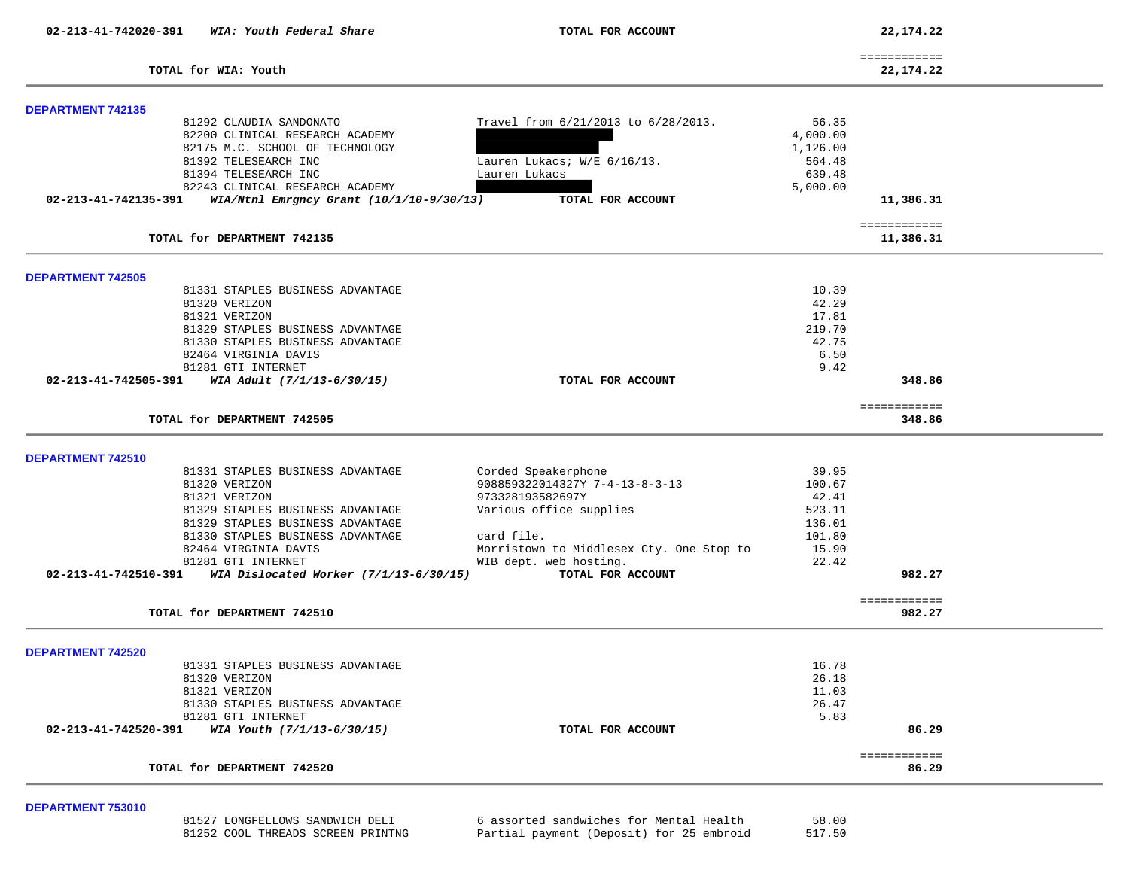**02-213-41-742020-391** *WIA: Youth Federal Share* **TOTAL FOR ACCOUNT 22,174.22**

|                            | _____________<br>------------- |
|----------------------------|--------------------------------|
| TOTAL<br>Youth<br>for WIA: | 22 174 22<br>44 J J<br>7.44    |

| <b>DEPARTMENT 742135</b> |                                          |                                          |          |                        |  |
|--------------------------|------------------------------------------|------------------------------------------|----------|------------------------|--|
|                          | 81292 CLAUDIA SANDONATO                  | Travel from 6/21/2013 to 6/28/2013.      | 56.35    |                        |  |
|                          | 82200 CLINICAL RESEARCH ACADEMY          |                                          | 4,000.00 |                        |  |
|                          | 82175 M.C. SCHOOL OF TECHNOLOGY          |                                          | 1,126.00 |                        |  |
|                          | 81392 TELESEARCH INC                     | Lauren Lukacs; W/E 6/16/13.              | 564.48   |                        |  |
|                          | 81394 TELESEARCH INC                     | Lauren Lukacs                            | 639.48   |                        |  |
|                          | 82243 CLINICAL RESEARCH ACADEMY          |                                          | 5,000.00 |                        |  |
| 02-213-41-742135-391     | WIA/Ntnl Emrgncy Grant (10/1/10-9/30/13) | TOTAL FOR ACCOUNT                        |          | 11,386.31              |  |
|                          |                                          |                                          |          | ============           |  |
|                          | TOTAL for DEPARTMENT 742135              |                                          |          | 11,386.31              |  |
| <b>DEPARTMENT 742505</b> |                                          |                                          |          |                        |  |
|                          | 81331 STAPLES BUSINESS ADVANTAGE         |                                          | 10.39    |                        |  |
|                          | 81320 VERIZON                            |                                          | 42.29    |                        |  |
|                          | 81321 VERIZON                            |                                          | 17.81    |                        |  |
|                          | 81329 STAPLES BUSINESS ADVANTAGE         |                                          | 219.70   |                        |  |
|                          | 81330 STAPLES BUSINESS ADVANTAGE         |                                          | 42.75    |                        |  |
|                          | 82464 VIRGINIA DAVIS                     |                                          | 6.50     |                        |  |
|                          | 81281 GTI INTERNET                       |                                          | 9.42     |                        |  |
| 02-213-41-742505-391     | WIA Adult (7/1/13-6/30/15)               | TOTAL FOR ACCOUNT                        |          | 348.86                 |  |
|                          |                                          |                                          |          |                        |  |
|                          | TOTAL for DEPARTMENT 742505              |                                          |          | ============<br>348.86 |  |
|                          |                                          |                                          |          |                        |  |
| <b>DEPARTMENT 742510</b> |                                          |                                          |          |                        |  |
|                          | 81331 STAPLES BUSINESS ADVANTAGE         | Corded Speakerphone                      | 39.95    |                        |  |
|                          | 81320 VERIZON                            | 908859322014327Y 7-4-13-8-3-13           | 100.67   |                        |  |
|                          | 81321 VERIZON                            | 973328193582697Y                         | 42.41    |                        |  |
|                          | 81329 STAPLES BUSINESS ADVANTAGE         | Various office supplies                  | 523.11   |                        |  |
|                          | 81329 STAPLES BUSINESS ADVANTAGE         |                                          | 136.01   |                        |  |
|                          | 81330 STAPLES BUSINESS ADVANTAGE         | card file.                               | 101.80   |                        |  |
|                          | 82464 VIRGINIA DAVIS                     | Morristown to Middlesex Cty. One Stop to | 15.90    |                        |  |
|                          | 81281 GTI INTERNET                       | WIB dept. web hosting.                   | 22.42    |                        |  |
| 02-213-41-742510-391     | WIA Dislocated Worker $(7/1/13-6/30/15)$ | TOTAL FOR ACCOUNT                        |          | 982.27                 |  |
|                          |                                          |                                          |          | ============           |  |
|                          | TOTAL for DEPARTMENT 742510              |                                          |          | 982.27                 |  |
|                          |                                          |                                          |          |                        |  |
|                          |                                          |                                          |          |                        |  |
|                          | 81331 STAPLES BUSINESS ADVANTAGE         |                                          | 16.78    |                        |  |
|                          | 81320 VERIZON                            |                                          | 26.18    |                        |  |
|                          | 81321 VERIZON                            |                                          | 11.03    |                        |  |
|                          | 81330 STAPLES BUSINESS ADVANTAGE         |                                          | 26.47    |                        |  |
|                          | 81281 GTI INTERNET                       |                                          | 5.83     |                        |  |
| 02-213-41-742520-391     | WIA Youth (7/1/13-6/30/15)               | TOTAL FOR ACCOUNT                        |          | 86.29                  |  |
| <b>DEPARTMENT 742520</b> | TOTAL for DEPARTMENT 742520              |                                          |          | ============<br>86.29  |  |

# **DEPARTMENT 753010**

 81527 LONGFELLOWS SANDWICH DELI 6 assorted sandwiches for Mental Health 58.00 81252 COOL THREADS SCREEN PRINTNG Partial payment (Deposit) for 25 embroid

517.50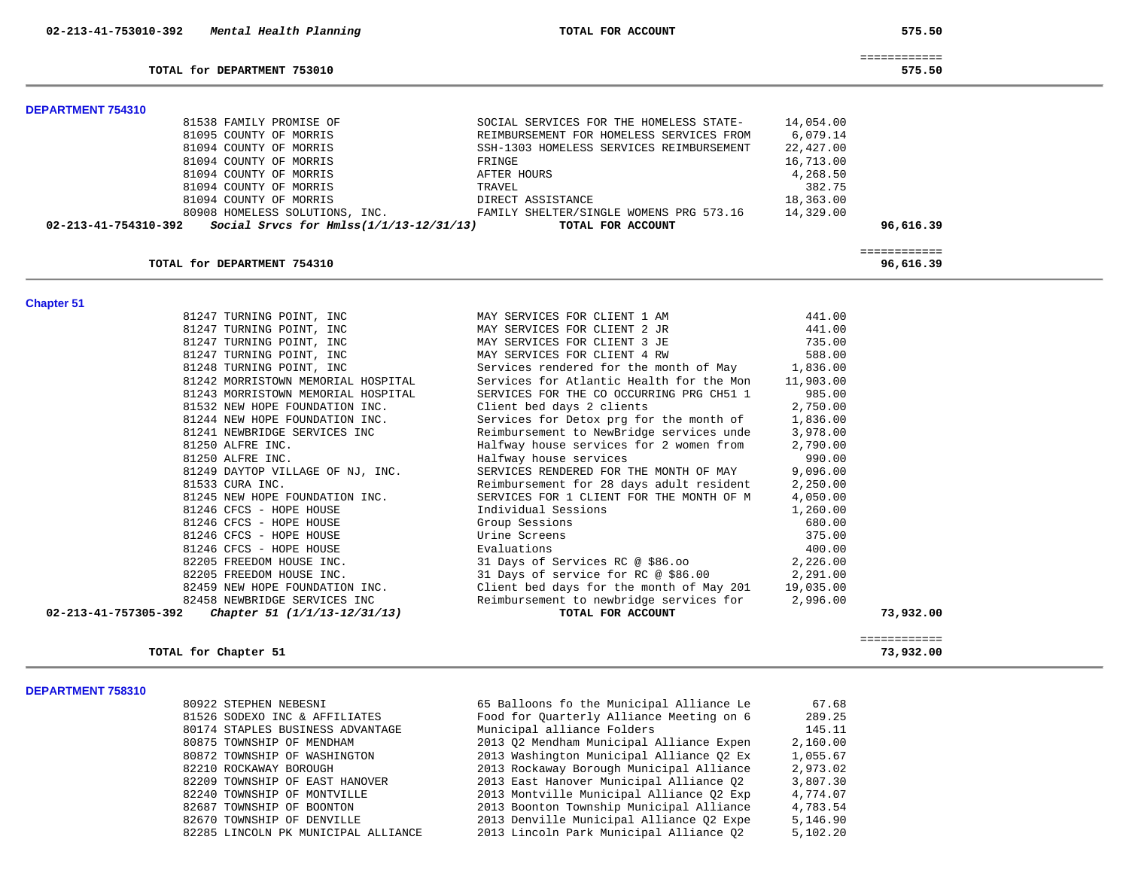| 02-213-41-753010-392     | Mental Health Planning                    | TOTAL FOR ACCOUNT                        |           | 575.50       |
|--------------------------|-------------------------------------------|------------------------------------------|-----------|--------------|
|                          |                                           |                                          |           | ============ |
|                          | TOTAL for DEPARTMENT 753010               |                                          |           | 575.50       |
| <b>DEPARTMENT 754310</b> |                                           |                                          |           |              |
|                          | 81538 FAMILY PROMISE OF                   | SOCIAL SERVICES FOR THE HOMELESS STATE-  | 14,054.00 |              |
|                          | 81095 COUNTY OF MORRIS                    | REIMBURSEMENT FOR HOMELESS SERVICES FROM | 6,079.14  |              |
|                          | 81094 COUNTY OF MORRIS                    | SSH-1303 HOMELESS SERVICES REIMBURSEMENT | 22,427.00 |              |
|                          | 81094 COUNTY OF MORRIS                    | FRINGE                                   | 16,713.00 |              |
|                          | 81094 COUNTY OF MORRIS                    | AFTER HOURS                              | 4,268.50  |              |
|                          | 81094 COUNTY OF MORRIS                    | TRAVEL                                   | 382.75    |              |
|                          | 81094 COUNTY OF MORRIS                    | DIRECT ASSISTANCE                        | 18,363.00 |              |
|                          | 80908 HOMELESS SOLUTIONS, INC.            | FAMILY SHELTER/SINGLE WOMENS PRG 573.16  | 14,329.00 |              |
| 02-213-41-754310-392     | Social Srvcs for $Hmlss(1/1/13-12/31/13)$ | TOTAL FOR ACCOUNT                        |           | 96,616.39    |
|                          |                                           |                                          |           |              |
|                          |                                           |                                          |           | ============ |
|                          | TOTAL for DEPARTMENT 754310               |                                          |           | 96,616.39    |
|                          |                                           |                                          |           |              |
| <b>Chapter 51</b>        |                                           |                                          |           |              |
|                          | 81247 TURNING POINT, INC                  | MAY SERVICES FOR CLIENT 1 AM             | 441.00    |              |
|                          | 81247 TURNING POINT, INC                  | MAY SERVICES FOR CLIENT 2 JR             | 441.00    |              |
|                          | 81247 TURNING POINT, INC                  | MAY SERVICES FOR CLIENT 3 JE             | 735.00    |              |
|                          | 81247 TURNING POINT, INC                  | MAY SERVICES FOR CLIENT 4 RW             | 588.00    |              |
|                          | 81248 TURNING POINT, INC                  | Services rendered for the month of May   | 1,836.00  |              |
|                          | 81242 MORRISTOWN MEMORIAL HOSPITAL        | Services for Atlantic Health for the Mon | 11,903.00 |              |
|                          | 81243 MORRISTOWN MEMORIAL HOSPITAL        | SERVICES FOR THE CO OCCURRING PRG CH51 1 | 985.00    |              |
|                          | 81532 NEW HOPE FOUNDATION INC.            | Client bed days 2 clients                | 2,750.00  |              |
|                          | 81244 NEW HOPE FOUNDATION INC.            | Services for Detox prg for the month of  | 1,836.00  |              |
|                          | 81241 NEWBRIDGE SERVICES INC              | Reimbursement to NewBridge services unde | 3,978.00  |              |
|                          | 81250 ALFRE INC.                          | Halfway house services for 2 women from  | 2,790.00  |              |
|                          | 81250 ALFRE INC.                          | Halfway house services                   | 990.00    |              |
|                          | 81249 DAYTOP VILLAGE OF NJ, INC.          | SERVICES RENDERED FOR THE MONTH OF MAY   | 9,096.00  |              |
|                          | 81533 CURA INC.                           | Reimbursement for 28 days adult resident | 2,250.00  |              |
|                          | 81245 NEW HOPE FOUNDATION INC.            | SERVICES FOR 1 CLIENT FOR THE MONTH OF M | 4,050.00  |              |
|                          | 81246 CFCS - HOPE HOUSE                   | Individual Sessions                      | 1,260.00  |              |
|                          | 81246 CFCS - HOPE HOUSE                   | Group Sessions                           | 680.00    |              |
|                          | 81246 CFCS - HOPE HOUSE                   | Urine Screens                            | 375.00    |              |
|                          | 81246 CFCS - HOPE HOUSE                   | Evaluations                              | 400.00    |              |
|                          | 82205 FREEDOM HOUSE INC.                  | 31 Days of Services RC @ \$86.00         | 2,226.00  |              |
|                          | 82205 FREEDOM HOUSE INC.                  | 31 Days of service for RC @ \$86.00      | 2,291.00  |              |
|                          | 82459 NEW HOPE FOUNDATION INC.            | Client bed days for the month of May 201 | 19,035.00 |              |
|                          | 82458 NEWBRIDGE SERVICES INC              | Reimbursement to newbridge services for  | 2,996.00  |              |
| 02-213-41-757305-392     | Chapter 51 (1/1/13-12/31/13)              | TOTAL FOR ACCOUNT                        |           | 73,932.00    |
|                          |                                           |                                          |           |              |
|                          |                                           |                                          |           | ============ |
|                          | TOTAL for Chapter 51                      |                                          |           | 73,932.00    |

### **DEPARTMENT 758310**

| 80922 STEPHEN NEBESNI               | 65 Ballo |
|-------------------------------------|----------|
| 81526 SODEXO INC & AFFILIATES       | Food for |
| 80174 STAPLES BUSINESS ADVANTAGE    | Municipa |
| 80875 TOWNSHIP OF MENDHAM           | 2013 02  |
| 80872 TOWNSHIP OF WASHINGTON        | 2013 Was |
| 82210 ROCKAWAY BOROUGH              | 2013 Roo |
| 82209 TOWNSHIP OF EAST HANOVER      | 2013 Eas |
| 82240 TOWNSHIP OF MONTVILLE         | 2013 Mor |
| 82687 TOWNSHIP OF BOONTON           | 2013 Bog |
| 82670 TOWNSHIP OF DENVILLE          | 2013 Der |
| 82285 LINCOLN PK MUNICIPAL ALLIANCE | 2013 Lin |

| 80922 STEPHEN NEBESNI               | 65 Balloons fo the Municipal Alliance Le | 67.68    |
|-------------------------------------|------------------------------------------|----------|
| 81526 SODEXO INC & AFFILIATES       | Food for Ouarterly Alliance Meeting on 6 | 289.25   |
| 80174 STAPLES BUSINESS ADVANTAGE    | Municipal alliance Folders               | 145.11   |
| 80875 TOWNSHIP OF MENDHAM           | 2013 O2 Mendham Municipal Alliance Expen | 2,160.00 |
| 80872 TOWNSHIP OF WASHINGTON        | 2013 Washington Municipal Alliance 02 Ex | 1,055.67 |
| 82210 ROCKAWAY BOROUGH              | 2013 Rockaway Borough Municipal Alliance | 2,973.02 |
| 82209 TOWNSHIP OF EAST HANOVER      | 2013 East Hanover Municipal Alliance 02  | 3,807.30 |
| 82240 TOWNSHIP OF MONTVILLE         | 2013 Montville Municipal Alliance 02 Exp | 4,774.07 |
| 82687 TOWNSHIP OF BOONTON           | 2013 Boonton Township Municipal Alliance | 4,783.54 |
| 82670 TOWNSHIP OF DENVILLE          | 2013 Denville Municipal Alliance 02 Expe | 5,146.90 |
| 82285 LINCOLN PK MUNICIPAL ALLIANCE | 2013 Lincoln Park Municipal Alliance 02  | 5,102.20 |
|                                     |                                          |          |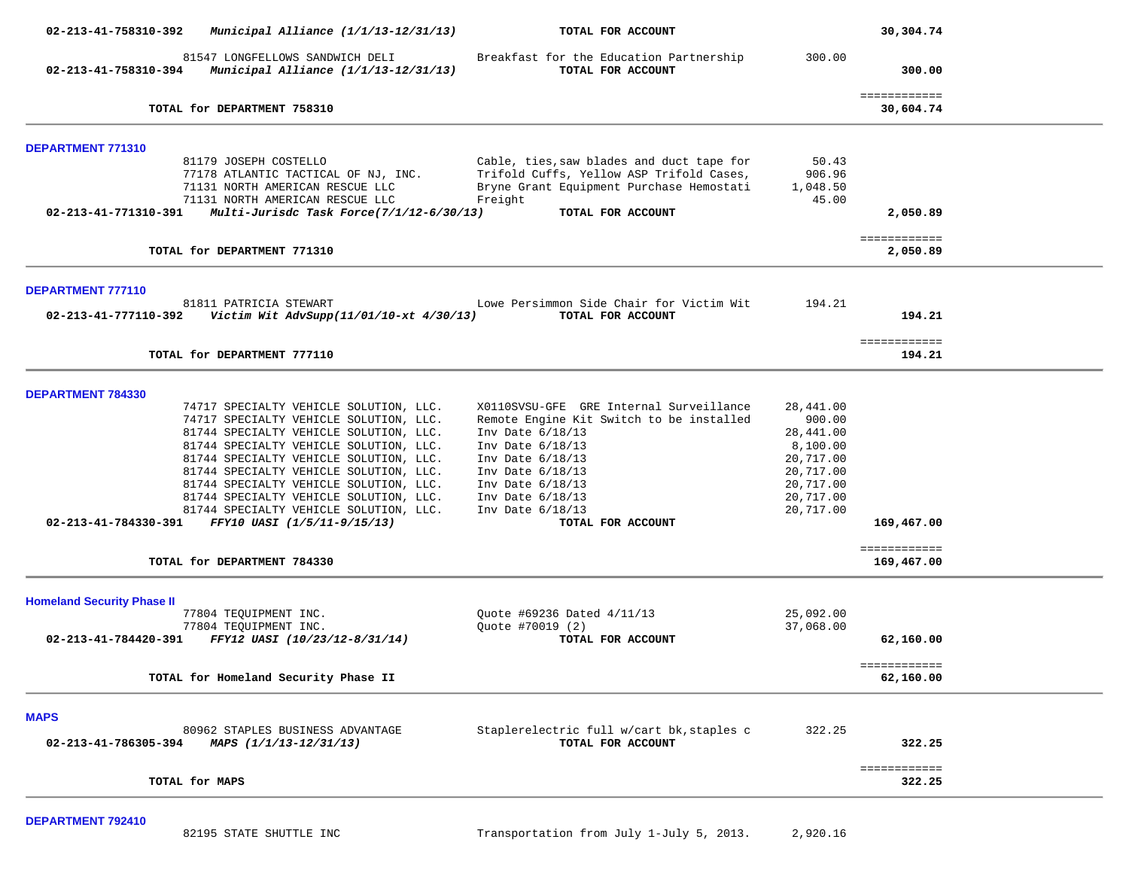| 02-213-41-758310-392                                                                                                                                       | Municipal Alliance $(1/1/13-12/31/13)$   | TOTAL FOR ACCOUNT                                                                                                                                                 |                                      | 30,304.74                  |  |
|------------------------------------------------------------------------------------------------------------------------------------------------------------|------------------------------------------|-------------------------------------------------------------------------------------------------------------------------------------------------------------------|--------------------------------------|----------------------------|--|
| $02 - 213 - 41 - 758310 - 394$ Municipal Alliance (1/1/13-12/31/13)                                                                                        | 81547 LONGFELLOWS SANDWICH DELI          | Breakfast for the Education Partnership<br>TOTAL FOR ACCOUNT                                                                                                      | 300.00                               | 300.00                     |  |
| TOTAL for DEPARTMENT 758310                                                                                                                                |                                          |                                                                                                                                                                   |                                      | ============<br>30,604.74  |  |
| <b>DEPARTMENT 771310</b>                                                                                                                                   |                                          |                                                                                                                                                                   |                                      |                            |  |
| 81179 JOSEPH COSTELLO<br>77178 ATLANTIC TACTICAL OF NJ, INC.<br>71131 NORTH AMERICAN RESCUE LLC<br>71131 NORTH AMERICAN RESCUE LLC<br>02-213-41-771310-391 | Multi-Jurisdc Task Force(7/1/12-6/30/13) | Cable, ties, saw blades and duct tape for<br>Trifold Cuffs, Yellow ASP Trifold Cases,<br>Bryne Grant Equipment Purchase Hemostati<br>Freight<br>TOTAL FOR ACCOUNT | 50.43<br>906.96<br>1,048.50<br>45.00 | 2,050.89                   |  |
| TOTAL for DEPARTMENT 771310                                                                                                                                |                                          |                                                                                                                                                                   |                                      | ============<br>2,050.89   |  |
|                                                                                                                                                            |                                          |                                                                                                                                                                   |                                      |                            |  |
| <b>DEPARTMENT 777110</b><br>81811 PATRICIA STEWART<br>02-213-41-777110-392                                                                                 | Victim Wit AdvSupp(11/01/10-xt 4/30/13)  | Lowe Persimmon Side Chair for Victim Wit<br>TOTAL FOR ACCOUNT                                                                                                     | 194.21                               | 194.21                     |  |
| TOTAL for DEPARTMENT 777110                                                                                                                                |                                          |                                                                                                                                                                   |                                      | ============<br>194.21     |  |
| <b>DEPARTMENT 784330</b>                                                                                                                                   |                                          |                                                                                                                                                                   |                                      |                            |  |
| 74717 SPECIALTY VEHICLE SOLUTION, LLC.                                                                                                                     |                                          | X0110SVSU-GFE GRE Internal Surveillance                                                                                                                           | 28,441.00                            |                            |  |
| 74717 SPECIALTY VEHICLE SOLUTION, LLC.                                                                                                                     |                                          | Remote Engine Kit Switch to be installed                                                                                                                          | 900.00                               |                            |  |
| 81744 SPECIALTY VEHICLE SOLUTION, LLC.                                                                                                                     |                                          | Inv Date 6/18/13                                                                                                                                                  | 28,441.00                            |                            |  |
| 81744 SPECIALTY VEHICLE SOLUTION, LLC.                                                                                                                     |                                          | Inv Date 6/18/13                                                                                                                                                  | 8,100.00                             |                            |  |
| 81744 SPECIALTY VEHICLE SOLUTION, LLC.                                                                                                                     |                                          | Inv Date $6/18/13$                                                                                                                                                | 20,717.00                            |                            |  |
| 81744 SPECIALTY VEHICLE SOLUTION, LLC.                                                                                                                     |                                          | Inv Date $6/18/13$                                                                                                                                                | 20,717.00                            |                            |  |
| 81744 SPECIALTY VEHICLE SOLUTION, LLC.                                                                                                                     |                                          | Inv Date $6/18/13$                                                                                                                                                | 20,717.00                            |                            |  |
| 81744 SPECIALTY VEHICLE SOLUTION, LLC.                                                                                                                     |                                          | Inv Date $6/18/13$                                                                                                                                                | 20,717.00                            |                            |  |
|                                                                                                                                                            |                                          |                                                                                                                                                                   |                                      |                            |  |
| 81744 SPECIALTY VEHICLE SOLUTION, LLC.<br>02-213-41-784330-391 FFY10 UASI (1/5/11-9/15/13)                                                                 |                                          | Inv Date 6/18/13<br>TOTAL FOR ACCOUNT                                                                                                                             | 20,717.00                            | 169,467.00                 |  |
| TOTAL for DEPARTMENT 784330                                                                                                                                |                                          |                                                                                                                                                                   |                                      | ============<br>169,467.00 |  |
| <b>Homeland Security Phase II</b>                                                                                                                          |                                          |                                                                                                                                                                   |                                      |                            |  |
| 77804 TEQUIPMENT INC.                                                                                                                                      |                                          | Quote #69236 Dated 4/11/13                                                                                                                                        | 25,092.00                            |                            |  |
| 77804 TEQUIPMENT INC.                                                                                                                                      |                                          | Quote #70019 (2)                                                                                                                                                  | 37,068.00                            |                            |  |
| FFY12 UASI (10/23/12-8/31/14)<br>02-213-41-784420-391                                                                                                      |                                          | TOTAL FOR ACCOUNT                                                                                                                                                 |                                      | 62,160.00                  |  |
| TOTAL for Homeland Security Phase II                                                                                                                       |                                          |                                                                                                                                                                   |                                      | ============<br>62,160.00  |  |
| <b>MAPS</b>                                                                                                                                                |                                          |                                                                                                                                                                   |                                      |                            |  |
| 80962 STAPLES BUSINESS ADVANTAGE<br>02-213-41-786305-394<br>MAPS (1/1/13-12/31/13)                                                                         |                                          | Staplerelectric full w/cart bk, staples c<br>TOTAL FOR ACCOUNT                                                                                                    | 322.25                               | 322.25                     |  |
| TOTAL for MAPS                                                                                                                                             |                                          |                                                                                                                                                                   |                                      | ============<br>322.25     |  |
|                                                                                                                                                            |                                          |                                                                                                                                                                   |                                      |                            |  |

**DEPARTMENT 792410**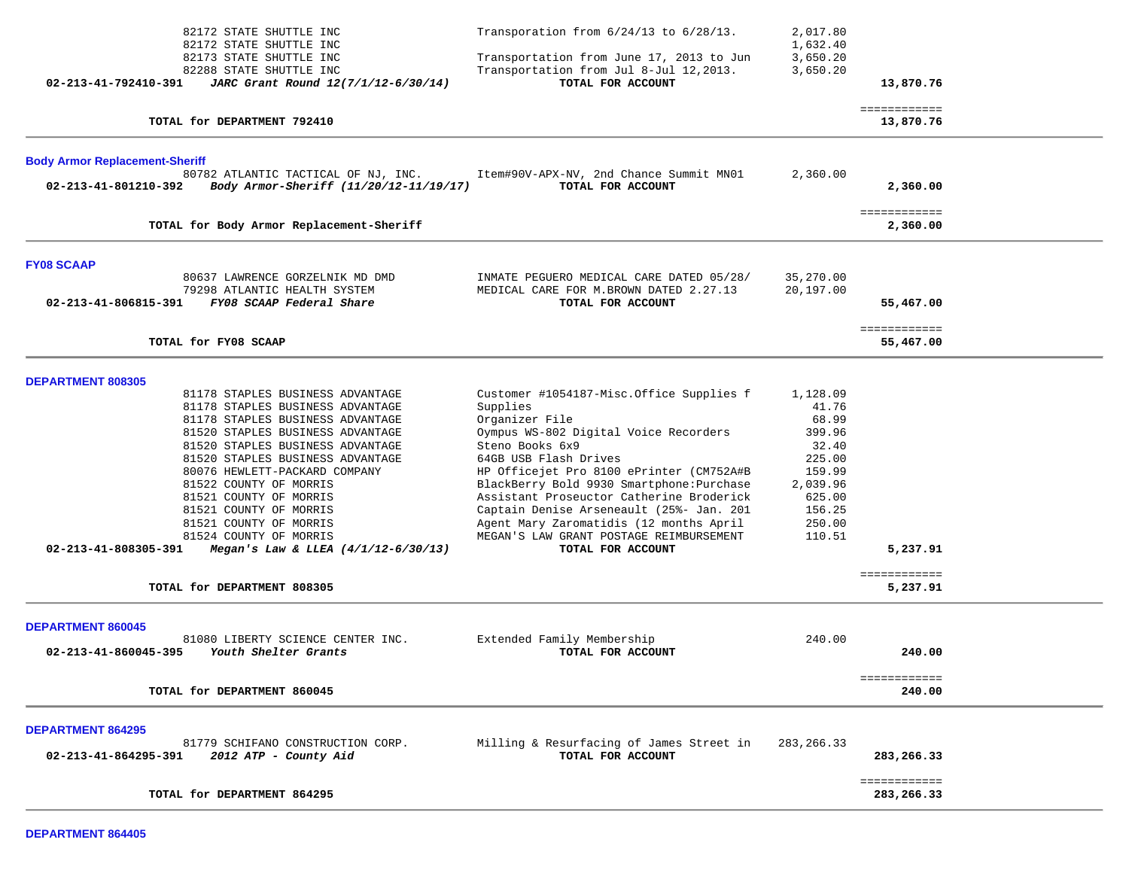| 82172 STATE SHUTTLE INC<br>82172 STATE SHUTTLE INC<br>82173 STATE SHUTTLE INC<br>82288 STATE SHUTTLE INC<br>02-213-41-792410-391<br>JARC Grant Round 12(7/1/12-6/30/14)                                                                                                                                                                                                                                                                                                                                             | Transporation from 6/24/13 to 6/28/13.<br>Transportation from June 17, 2013 to Jun<br>Transportation from Jul 8-Jul 12,2013.<br>TOTAL FOR ACCOUNT                                                                                                                                                                                                                                                                                                       | 2,017.80<br>1,632.40<br>3,650.20<br>3,650.20                                                                          | 13,870.76                              |  |
|---------------------------------------------------------------------------------------------------------------------------------------------------------------------------------------------------------------------------------------------------------------------------------------------------------------------------------------------------------------------------------------------------------------------------------------------------------------------------------------------------------------------|---------------------------------------------------------------------------------------------------------------------------------------------------------------------------------------------------------------------------------------------------------------------------------------------------------------------------------------------------------------------------------------------------------------------------------------------------------|-----------------------------------------------------------------------------------------------------------------------|----------------------------------------|--|
| TOTAL for DEPARTMENT 792410                                                                                                                                                                                                                                                                                                                                                                                                                                                                                         |                                                                                                                                                                                                                                                                                                                                                                                                                                                         |                                                                                                                       | ============<br>13,870.76              |  |
| <b>Body Armor Replacement-Sheriff</b><br>80782 ATLANTIC TACTICAL OF NJ, INC.<br>Body Armor-Sheriff (11/20/12-11/19/17)<br>02-213-41-801210-392                                                                                                                                                                                                                                                                                                                                                                      | Item#90V-APX-NV, 2nd Chance Summit MN01<br>TOTAL FOR ACCOUNT                                                                                                                                                                                                                                                                                                                                                                                            | 2,360.00                                                                                                              | 2,360.00                               |  |
| TOTAL for Body Armor Replacement-Sheriff                                                                                                                                                                                                                                                                                                                                                                                                                                                                            |                                                                                                                                                                                                                                                                                                                                                                                                                                                         |                                                                                                                       | ============<br>2,360.00               |  |
| <b>FY08 SCAAP</b><br>80637 LAWRENCE GORZELNIK MD DMD<br>79298 ATLANTIC HEALTH SYSTEM<br>02-213-41-806815-391<br>FY08 SCAAP Federal Share<br>TOTAL for FY08 SCAAP                                                                                                                                                                                                                                                                                                                                                    | INMATE PEGUERO MEDICAL CARE DATED 05/28/<br>MEDICAL CARE FOR M.BROWN DATED 2.27.13<br>TOTAL FOR ACCOUNT                                                                                                                                                                                                                                                                                                                                                 | 35,270.00<br>20,197.00                                                                                                | 55,467.00<br>============<br>55,467.00 |  |
| <b>DEPARTMENT 808305</b><br>81178 STAPLES BUSINESS ADVANTAGE<br>81178 STAPLES BUSINESS ADVANTAGE<br>81178 STAPLES BUSINESS ADVANTAGE<br>81520 STAPLES BUSINESS ADVANTAGE<br>81520 STAPLES BUSINESS ADVANTAGE<br>81520 STAPLES BUSINESS ADVANTAGE<br>80076 HEWLETT-PACKARD COMPANY<br>81522 COUNTY OF MORRIS<br>81521 COUNTY OF MORRIS<br>81521 COUNTY OF MORRIS<br>81521 COUNTY OF MORRIS<br>81524 COUNTY OF MORRIS<br>02-213-41-808305-391<br>Megan's Law & LLEA $(4/1/12-6/30/13)$<br>TOTAL for DEPARTMENT 808305 | Customer #1054187-Misc.Office Supplies f<br>Supplies<br>Organizer File<br>Oympus WS-802 Digital Voice Recorders<br>Steno Books 6x9<br>64GB USB Flash Drives<br>HP Officejet Pro 8100 ePrinter (CM752A#B<br>BlackBerry Bold 9930 Smartphone: Purchase<br>Assistant Proseuctor Catherine Broderick<br>Captain Denise Arseneault (25%- Jan. 201<br>Agent Mary Zaromatidis (12 months April<br>MEGAN'S LAW GRANT POSTAGE REIMBURSEMENT<br>TOTAL FOR ACCOUNT | 1,128.09<br>41.76<br>68.99<br>399.96<br>32.40<br>225.00<br>159.99<br>2,039.96<br>625.00<br>156.25<br>250.00<br>110.51 | 5,237.91<br>============<br>5,237.91   |  |
| <b>DEPARTMENT 860045</b><br>81080 LIBERTY SCIENCE CENTER INC.<br>02-213-41-860045-395<br>Youth Shelter Grants<br>TOTAL for DEPARTMENT 860045                                                                                                                                                                                                                                                                                                                                                                        | Extended Family Membership<br>TOTAL FOR ACCOUNT                                                                                                                                                                                                                                                                                                                                                                                                         | 240.00                                                                                                                | 240.00<br>============<br>240.00       |  |
| <b>DEPARTMENT 864295</b><br>81779 SCHIFANO CONSTRUCTION CORP.<br>02-213-41-864295-391<br>2012 ATP - County Aid                                                                                                                                                                                                                                                                                                                                                                                                      | Milling & Resurfacing of James Street in<br>TOTAL FOR ACCOUNT                                                                                                                                                                                                                                                                                                                                                                                           | 283, 266.33                                                                                                           | 283,266.33<br>============             |  |
| TOTAL for DEPARTMENT 864295                                                                                                                                                                                                                                                                                                                                                                                                                                                                                         |                                                                                                                                                                                                                                                                                                                                                                                                                                                         |                                                                                                                       | 283,266.33                             |  |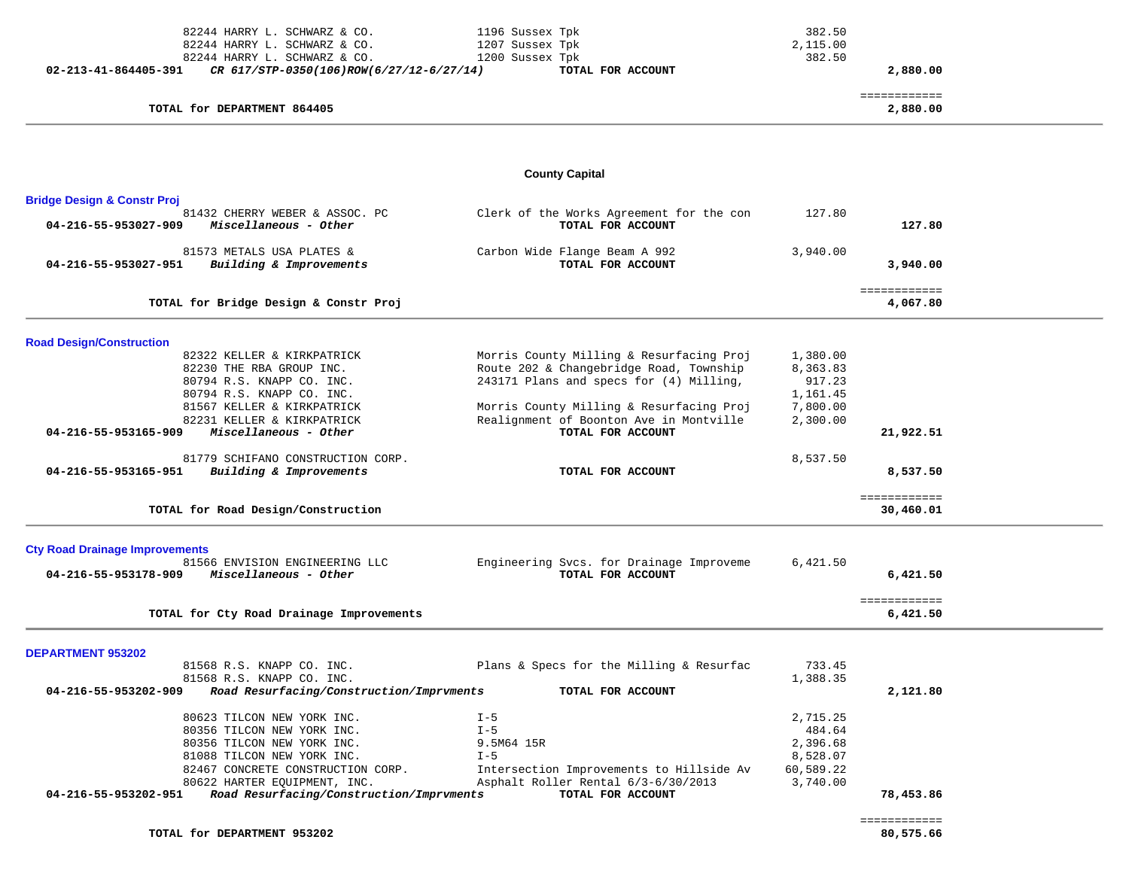| 82244 HARRY L. SCHWARZ & CO.                                                    | 1196 Sussex Tpk                                               | 382.50                   |                           |  |
|---------------------------------------------------------------------------------|---------------------------------------------------------------|--------------------------|---------------------------|--|
| 82244 HARRY L. SCHWARZ & CO.                                                    | 1207 Sussex Tpk                                               | 2,115.00                 |                           |  |
| 82244 HARRY L. SCHWARZ & CO.                                                    | 1200 Sussex Tpk                                               | 382.50                   |                           |  |
| 02-213-41-864405-391<br>CR 617/STP-0350(106)ROW(6/27/12-6/27/14)                | TOTAL FOR ACCOUNT                                             |                          | 2,880.00                  |  |
| TOTAL for DEPARTMENT 864405                                                     |                                                               | ============<br>2,880.00 |                           |  |
|                                                                                 |                                                               |                          |                           |  |
|                                                                                 |                                                               |                          |                           |  |
|                                                                                 | <b>County Capital</b>                                         |                          |                           |  |
| <b>Bridge Design &amp; Constr Proj</b>                                          |                                                               |                          |                           |  |
| 81432 CHERRY WEBER & ASSOC. PC<br>04-216-55-953027-909<br>Miscellaneous - Other | Clerk of the Works Agreement for the con<br>TOTAL FOR ACCOUNT | 127.80                   | 127.80                    |  |
| 81573 METALS USA PLATES &                                                       | Carbon Wide Flange Beam A 992                                 | 3,940.00                 |                           |  |
| 04-216-55-953027-951<br>Building & Improvements                                 | TOTAL FOR ACCOUNT                                             |                          | 3,940.00                  |  |
| TOTAL for Bridge Design & Constr Proj                                           |                                                               |                          | ============<br>4,067.80  |  |
|                                                                                 |                                                               |                          |                           |  |
| <b>Road Design/Construction</b>                                                 |                                                               |                          |                           |  |
| 82322 KELLER & KIRKPATRICK                                                      | Morris County Milling & Resurfacing Proj                      | 1,380.00                 |                           |  |
| 82230 THE RBA GROUP INC.                                                        | Route 202 & Changebridge Road, Township                       | 8,363.83                 |                           |  |
| 80794 R.S. KNAPP CO. INC.                                                       | 243171 Plans and specs for (4) Milling,                       | 917.23                   |                           |  |
| 80794 R.S. KNAPP CO. INC.                                                       |                                                               | 1,161.45                 |                           |  |
| 81567 KELLER & KIRKPATRICK                                                      | Morris County Milling & Resurfacing Proj                      | 7,800.00                 |                           |  |
| 82231 KELLER & KIRKPATRICK                                                      | Realignment of Boonton Ave in Montville                       | 2,300.00                 |                           |  |
| 04-216-55-953165-909<br>Miscellaneous - Other                                   | TOTAL FOR ACCOUNT                                             |                          | 21,922.51                 |  |
| 81779 SCHIFANO CONSTRUCTION CORP.                                               |                                                               | 8,537.50                 |                           |  |
| 04-216-55-953165-951<br>Building & Improvements                                 | TOTAL FOR ACCOUNT                                             |                          | 8,537.50                  |  |
| TOTAL for Road Design/Construction                                              |                                                               |                          | ============<br>30,460.01 |  |
|                                                                                 |                                                               |                          |                           |  |
| <b>Cty Road Drainage Improvements</b><br>81566 ENVISION ENGINEERING LLC         | Engineering Svcs. for Drainage Improveme                      | 6,421.50                 |                           |  |
| Miscellaneous - Other<br>04-216-55-953178-909                                   | TOTAL FOR ACCOUNT                                             |                          | 6,421.50                  |  |
| TOTAL for Cty Road Drainage Improvements                                        |                                                               |                          | ============<br>6,421.50  |  |
|                                                                                 |                                                               |                          |                           |  |
| <b>DEPARTMENT 953202</b>                                                        |                                                               |                          |                           |  |
| 81568 R.S. KNAPP CO. INC.                                                       | Plans & Specs for the Milling & Resurfac                      | 733.45                   |                           |  |
| 81568 R.S. KNAPP CO. INC.                                                       |                                                               | 1,388.35                 |                           |  |
| 04-216-55-953202-909<br>Road Resurfacing/Construction/Imprvments                | TOTAL FOR ACCOUNT                                             |                          | 2,121.80                  |  |
| 80623 TILCON NEW YORK INC.                                                      | $I - 5$                                                       | 2,715.25                 |                           |  |
| 80356 TILCON NEW YORK INC.                                                      | $I - 5$                                                       | 484.64                   |                           |  |
| 80356 TILCON NEW YORK INC.                                                      | 9.5M64 15R                                                    | 2,396.68                 |                           |  |
| 81088 TILCON NEW YORK INC.                                                      | $I - 5$                                                       | 8,528.07                 |                           |  |
| 82467 CONCRETE CONSTRUCTION CORP.                                               | Intersection Improvements to Hillside Av                      | 60,589.22                |                           |  |
| 80622 HARTER EQUIPMENT, INC.                                                    | Asphalt Roller Rental 6/3-6/30/2013                           | 3,740.00                 |                           |  |
| 04-216-55-953202-951<br>Road Resurfacing/Construction/Imprvments                | TOTAL FOR ACCOUNT                                             |                          | 78,453.86                 |  |
|                                                                                 |                                                               |                          |                           |  |
|                                                                                 |                                                               |                          | ============              |  |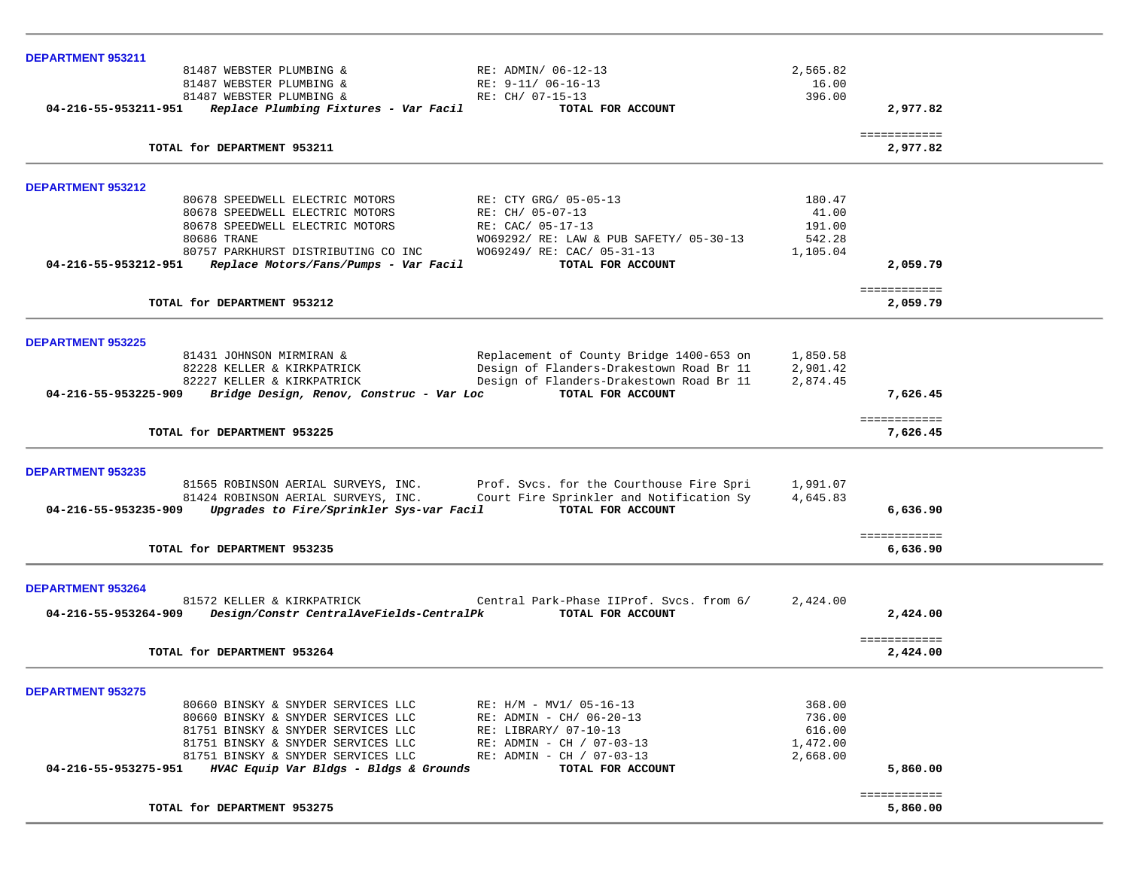| <b>DEPARTMENT 953211</b>                                                                             |                                                                                       |                          |                          |  |
|------------------------------------------------------------------------------------------------------|---------------------------------------------------------------------------------------|--------------------------|--------------------------|--|
| 81487 WEBSTER PLUMBING &                                                                             | RE: ADMIN/ 06-12-13                                                                   | 2,565.82                 |                          |  |
| 81487 WEBSTER PLUMBING &                                                                             | RE: 9-11/ 06-16-13                                                                    | 16.00                    |                          |  |
| 81487 WEBSTER PLUMBING &                                                                             | RE: CH/ 07-15-13                                                                      | 396.00                   |                          |  |
| 04-216-55-953211-951 Replace Plumbing Fixtures - Var Facil                                           | TOTAL FOR ACCOUNT                                                                     |                          | 2,977.82                 |  |
|                                                                                                      |                                                                                       |                          |                          |  |
| TOTAL for DEPARTMENT 953211                                                                          |                                                                                       |                          | ============<br>2,977.82 |  |
|                                                                                                      |                                                                                       |                          |                          |  |
| DEPARTMENT 953212                                                                                    |                                                                                       |                          |                          |  |
| 80678 SPEEDWELL ELECTRIC MOTORS                                                                      | RE: CTY GRG/ 05-05-13                                                                 | 180.47                   |                          |  |
| 80678 SPEEDWELL ELECTRIC MOTORS                                                                      | RE: CH/ 05-07-13                                                                      | 41.00                    |                          |  |
| 80678 SPEEDWELL ELECTRIC MOTORS                                                                      | RE: CAC/ 05-17-13                                                                     | 191.00                   |                          |  |
| 80686 TRANE                                                                                          | W069292/ RE: LAW & PUB SAFETY/ 05-30-13                                               | 542.28                   |                          |  |
| 80757 PARKHURST DISTRIBUTING CO INC                                                                  | W069249/ RE: CAC/ 05-31-13                                                            | 1,105.04                 |                          |  |
| 04-216-55-953212-951<br>Replace Motors/Fans/Pumps - Var Facil                                        | TOTAL FOR ACCOUNT                                                                     |                          | 2,059.79                 |  |
|                                                                                                      |                                                                                       |                          | ============             |  |
| TOTAL for DEPARTMENT 953212                                                                          |                                                                                       |                          | 2,059.79                 |  |
| <b>DEPARTMENT 953225</b>                                                                             |                                                                                       |                          |                          |  |
| 81431 JOHNSON MIRMIRAN &                                                                             | Replacement of County Bridge 1400-653 on 1,850.58                                     |                          |                          |  |
| 82228 KELLER & KIRKPATRICK                                                                           | Design of Flanders-Drakestown Road Br 11                                              | 2,901.42                 |                          |  |
| 82227 KELLER & KIRKPATRICK                                                                           | Design of Flanders-Drakestown Road Br 11                                              | 2,874.45                 |                          |  |
| 04-216-55-953225-909<br>Bridge Design, Renov, Construc - Var Loc                                     | TOTAL FOR ACCOUNT                                                                     |                          | 7,626.45                 |  |
|                                                                                                      |                                                                                       |                          |                          |  |
| TOTAL for DEPARTMENT 953225                                                                          |                                                                                       | ============<br>7,626.45 |                          |  |
|                                                                                                      |                                                                                       |                          |                          |  |
| <b>DEPARTMENT 953235</b>                                                                             |                                                                                       |                          |                          |  |
|                                                                                                      | 81565 ROBINSON AERIAL SURVEYS, INC. Prof. Svcs. for the Courthouse Fire Spri 1,991.07 |                          |                          |  |
| 81424 ROBINSON AERIAL SURVEYS, INC.                                                                  | Court Fire Sprinkler and Notification Sy                                              | 4,645.83                 |                          |  |
| 04-216-55-953235-909 Upgrades to Fire/Sprinkler Sys-var Facil                                        | TOTAL FOR ACCOUNT                                                                     |                          | 6,636.90                 |  |
|                                                                                                      |                                                                                       |                          | ============             |  |
| TOTAL for DEPARTMENT 953235                                                                          |                                                                                       |                          | 6,636.90                 |  |
| <b>DEPARTMENT 953264</b>                                                                             |                                                                                       |                          |                          |  |
| 81572 KELLER & KIRKPATRICK                                                                           | Central Park-Phase IIProf. Svcs. from 6/                                              | 2,424.00                 |                          |  |
| 04-216-55-953264-909 Design/Constr CentralAveFields-CentralPk TOTAL FOR ACCOUNT                      |                                                                                       |                          | 2,424.00                 |  |
|                                                                                                      |                                                                                       |                          |                          |  |
|                                                                                                      |                                                                                       |                          | ============             |  |
| TOTAL for DEPARTMENT 953264                                                                          |                                                                                       |                          | 2,424.00                 |  |
| <b>DEPARTMENT 953275</b>                                                                             |                                                                                       |                          |                          |  |
| 80660 BINSKY & SNYDER SERVICES LLC                                                                   | RE: $H/M - MVI / 05-16-13$                                                            | 368.00                   |                          |  |
| 80660 BINSKY & SNYDER SERVICES LLC                                                                   | RE: ADMIN - CH/ 06-20-13                                                              | 736.00                   |                          |  |
| 81751 BINSKY & SNYDER SERVICES LLC                                                                   | RE: LIBRARY/ 07-10-13                                                                 | 616.00                   |                          |  |
| 81751 BINSKY & SNYDER SERVICES LLC                                                                   |                                                                                       |                          |                          |  |
|                                                                                                      | RE: ADMIN - CH / 07-03-13                                                             | 1,472.00                 |                          |  |
| 81751 BINSKY & SNYDER SERVICES LLC<br>04-216-55-953275-951<br>HVAC Equip Var Bldgs - Bldgs & Grounds | RE: ADMIN - CH / 07-03-13                                                             | 2,668.00                 | 5,860.00                 |  |
|                                                                                                      | TOTAL FOR ACCOUNT                                                                     |                          |                          |  |
|                                                                                                      |                                                                                       |                          | ============             |  |
| TOTAL for DEPARTMENT 953275                                                                          |                                                                                       |                          | 5,860.00                 |  |
|                                                                                                      |                                                                                       |                          |                          |  |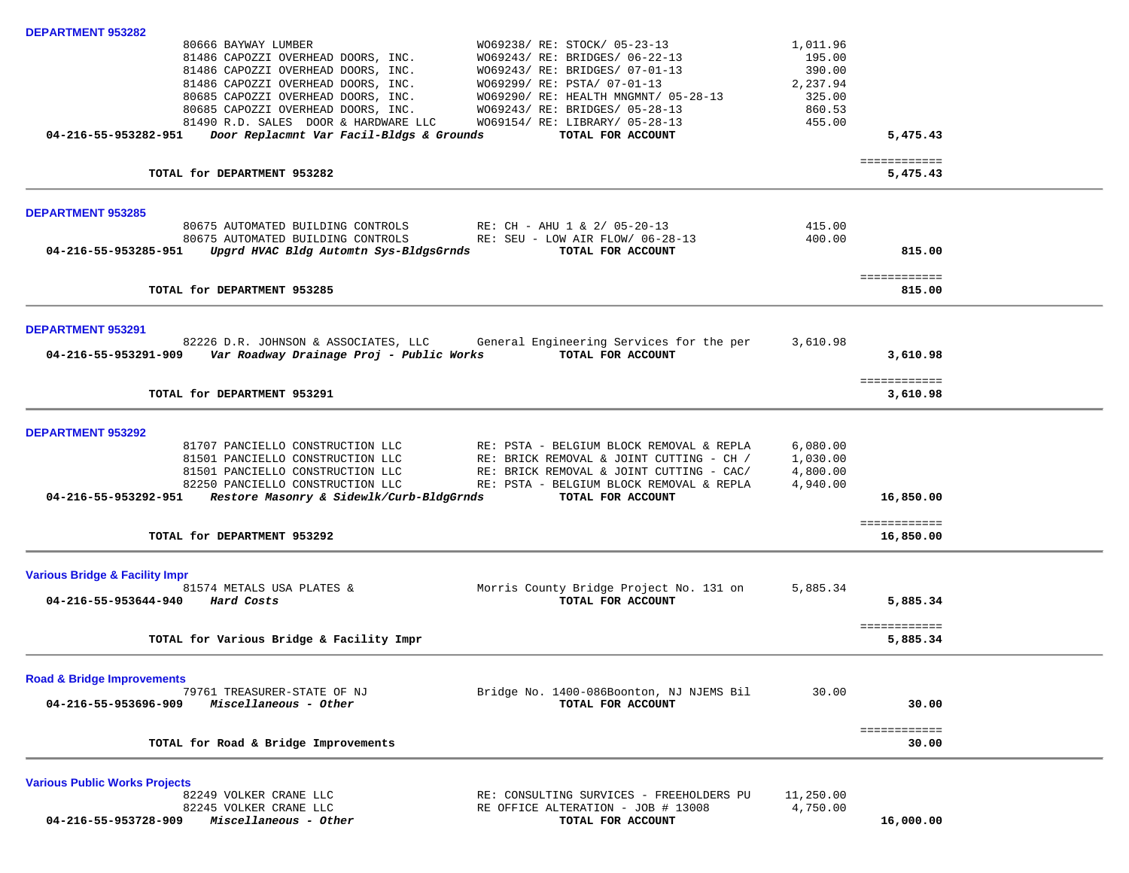| <b>DEPARTMENT 953282</b>                                                                                                                                                                                                                                               |           |                        |  |
|------------------------------------------------------------------------------------------------------------------------------------------------------------------------------------------------------------------------------------------------------------------------|-----------|------------------------|--|
| W069238/ RE: STOCK/ 05-23-13<br>80666 BAYWAY LUMBER                                                                                                                                                                                                                    | 1,011.96  |                        |  |
| 81486 CAPOZZI OVERHEAD DOORS, INC.<br>W069243/ RE: BRIDGES/ 06-22-13                                                                                                                                                                                                   | 195.00    |                        |  |
| 81486 CAPOZZI OVERHEAD DOORS, INC.<br>81486 CAPOZZI OVERHEAD DOORS, INC.<br>80685 CAPOZZI OVERHEAD DOORS, INC.<br>80685 CAPOZZI OVERHEAD DOORS, INC.<br>81490 R.D. SALES DOOR & HARDWARE LLC<br>81490 R.D. SALES DOOR & HARDWARE LLC<br>W069243/ RE: BRIDGES/ 07-01-13 | 390.00    |                        |  |
| W069299/ RE: PSTA/ 07-01-13                                                                                                                                                                                                                                            | 2,237.94  |                        |  |
| WO69290/ RE: HEALTH MNGMNT/ 05-28-13                                                                                                                                                                                                                                   | 325.00    |                        |  |
| W069243/ RE: BRIDGES/ 05-28-13                                                                                                                                                                                                                                         | 860.53    |                        |  |
| W069154/ RE: LIBRARY/ 05-28-13                                                                                                                                                                                                                                         | 455.00    |                        |  |
| 04-216-55-953282-951 Door Replacmnt Var Facil-Bldgs & Grounds<br>TOTAL FOR ACCOUNT                                                                                                                                                                                     |           | 5,475.43               |  |
|                                                                                                                                                                                                                                                                        |           | ============           |  |
| TOTAL for DEPARTMENT 953282                                                                                                                                                                                                                                            |           | 5,475.43               |  |
| <b>DEPARTMENT 953285</b>                                                                                                                                                                                                                                               |           |                        |  |
| 80675 AUTOMATED BUILDING CONTROLS<br>RE: CH - AHU 1 & 2/ 05-20-13                                                                                                                                                                                                      | 415.00    |                        |  |
| 80675 AUTOMATED BUILDING CONTROLS<br>RE: SEU - LOW AIR FLOW/ 06-28-13                                                                                                                                                                                                  | 400.00    |                        |  |
| Upgrd HVAC Bldg Automtn Sys-BldgsGrnds<br>TOTAL FOR ACCOUNT<br>04-216-55-953285-951                                                                                                                                                                                    |           | 815.00                 |  |
|                                                                                                                                                                                                                                                                        |           |                        |  |
| TOTAL for DEPARTMENT 953285                                                                                                                                                                                                                                            |           | ============<br>815.00 |  |
|                                                                                                                                                                                                                                                                        |           |                        |  |
| <b>DEPARTMENT 953291</b>                                                                                                                                                                                                                                               |           |                        |  |
| 82226 D.R. JOHNSON & ASSOCIATES, LLC<br>General Engineering Services for the per                                                                                                                                                                                       | 3,610.98  |                        |  |
| TOTAL FOR ACCOUNT<br>04-216-55-953291-909 Var Roadway Drainage Proj - Public Works                                                                                                                                                                                     |           | 3,610.98               |  |
|                                                                                                                                                                                                                                                                        |           |                        |  |
|                                                                                                                                                                                                                                                                        |           | ============           |  |
| TOTAL for DEPARTMENT 953291                                                                                                                                                                                                                                            |           | 3,610.98               |  |
| <b>DEPARTMENT 953292</b>                                                                                                                                                                                                                                               |           |                        |  |
| 81707 PANCIELLO CONSTRUCTION LLC<br>RE: PSTA - BELGIUM BLOCK REMOVAL & REPLA                                                                                                                                                                                           | 6,080.00  |                        |  |
| 81501 PANCIELLO CONSTRUCTION LLC<br>RE: BRICK REMOVAL & JOINT CUTTING - CH /                                                                                                                                                                                           | 1,030.00  |                        |  |
| 81501 PANCIELLO CONSTRUCTION LLC<br>RE: BRICK REMOVAL & JOINT CUTTING - CAC/                                                                                                                                                                                           | 4,800.00  |                        |  |
| 82250 PANCIELLO CONSTRUCTION LLC<br>RE: PSTA - BELGIUM BLOCK REMOVAL & REPLA                                                                                                                                                                                           | 4,940.00  |                        |  |
| 04-216-55-953292-951 Restore Masonry & Sidewlk/Curb-BldgGrnds<br>TOTAL FOR ACCOUNT                                                                                                                                                                                     |           | 16,850.00              |  |
|                                                                                                                                                                                                                                                                        |           | ============           |  |
| TOTAL for DEPARTMENT 953292                                                                                                                                                                                                                                            |           | 16,850.00              |  |
|                                                                                                                                                                                                                                                                        |           |                        |  |
| <b>Various Bridge &amp; Facility Impr</b><br>Morris County Bridge Project No. 131 on<br>81574 METALS USA PLATES &                                                                                                                                                      | 5,885.34  |                        |  |
| TOTAL FOR ACCOUNT<br>04-216-55-953644-940 Hard Costs                                                                                                                                                                                                                   |           | 5,885.34               |  |
|                                                                                                                                                                                                                                                                        |           |                        |  |
|                                                                                                                                                                                                                                                                        |           | ============           |  |
| TOTAL for Various Bridge & Facility Impr                                                                                                                                                                                                                               |           | 5,885.34               |  |
| <b>Road &amp; Bridge Improvements</b>                                                                                                                                                                                                                                  |           |                        |  |
| 79761 TREASURER-STATE OF NJ<br>Bridge No. 1400-086Boonton, NJ NJEMS Bil                                                                                                                                                                                                | 30.00     |                        |  |
| 04-216-55-953696-909<br>Miscellaneous - Other<br>TOTAL FOR ACCOUNT                                                                                                                                                                                                     |           | 30.00                  |  |
|                                                                                                                                                                                                                                                                        |           |                        |  |
| TOTAL for Road & Bridge Improvements                                                                                                                                                                                                                                   |           | ============<br>30.00  |  |
|                                                                                                                                                                                                                                                                        |           |                        |  |
| <b>Various Public Works Projects</b>                                                                                                                                                                                                                                   |           |                        |  |
| 82249 VOLKER CRANE LLC<br>RE: CONSULTING SURVICES - FREEHOLDERS PU                                                                                                                                                                                                     | 11,250.00 |                        |  |
| 82245 VOLKER CRANE LLC<br>RE OFFICE ALTERATION - JOB # 13008                                                                                                                                                                                                           | 4,750.00  |                        |  |
| Miscellaneous - Other<br>04-216-55-953728-909<br>TOTAL FOR ACCOUNT                                                                                                                                                                                                     |           | 16,000.00              |  |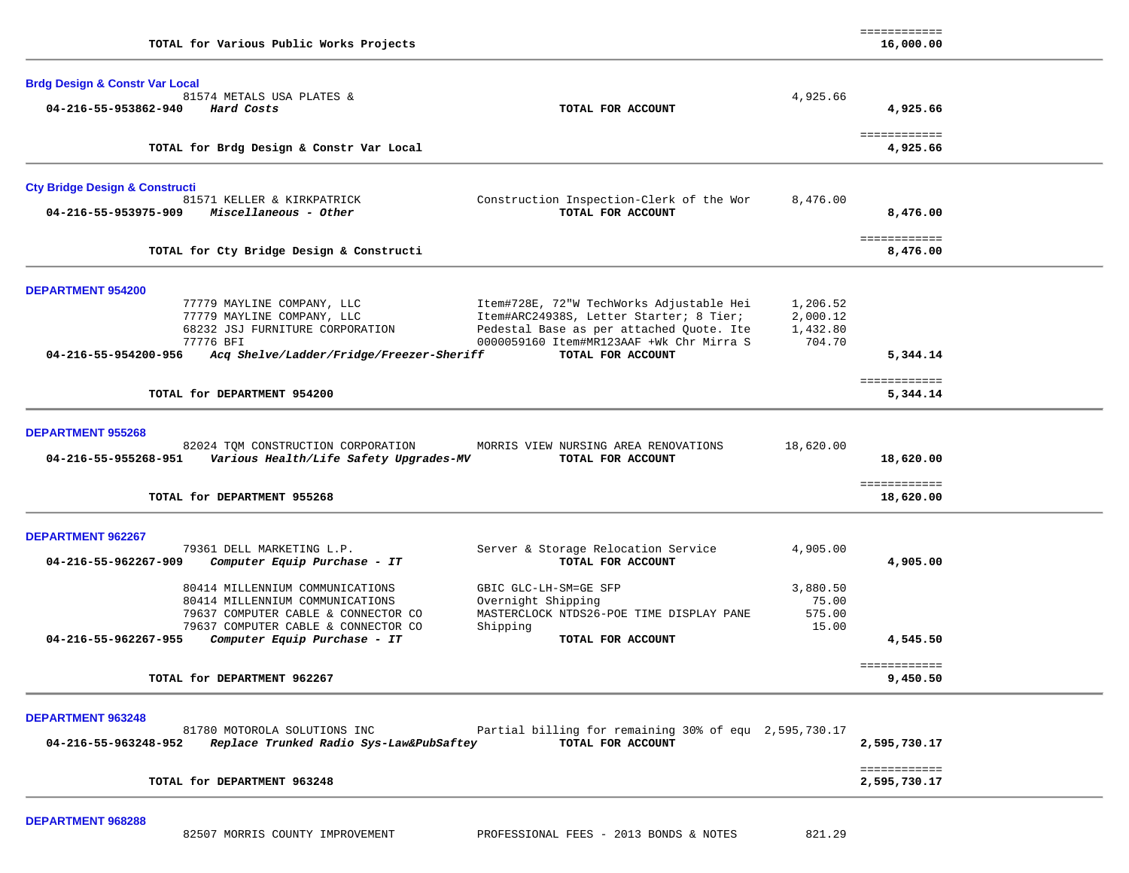| TOTAL for Various Public Works Projects                                                                                                                                                                  |                                                                                                                                                                                                  |                                            | 16,000.00                              |  |
|----------------------------------------------------------------------------------------------------------------------------------------------------------------------------------------------------------|--------------------------------------------------------------------------------------------------------------------------------------------------------------------------------------------------|--------------------------------------------|----------------------------------------|--|
| <b>Brdg Design &amp; Constr Var Local</b><br>81574 METALS USA PLATES &<br>04-216-55-953862-940<br>Hard Costs                                                                                             | TOTAL FOR ACCOUNT                                                                                                                                                                                | 4,925.66                                   | 4,925.66<br>============               |  |
| TOTAL for Brdg Design & Constr Var Local                                                                                                                                                                 |                                                                                                                                                                                                  |                                            | 4,925.66                               |  |
| <b>Cty Bridge Design &amp; Constructi</b><br>81571 KELLER & KIRKPATRICK<br>Miscellaneous - Other<br>04-216-55-953975-909                                                                                 | Construction Inspection-Clerk of the Wor<br>TOTAL FOR ACCOUNT                                                                                                                                    | 8,476.00                                   | 8,476.00                               |  |
| TOTAL for Cty Bridge Design & Constructi                                                                                                                                                                 |                                                                                                                                                                                                  |                                            | ============<br>8,476.00               |  |
| <b>DEPARTMENT 954200</b><br>77779 MAYLINE COMPANY, LLC<br>77779 MAYLINE COMPANY, LLC<br>68232 JSJ FURNITURE CORPORATION<br>77776 BFI<br>04-216-55-954200-956<br>Acq Shelve/Ladder/Fridge/Freezer-Sheriff | Item#728E, 72"W TechWorks Adjustable Hei<br>Item#ARC24938S, Letter Starter; 8 Tier;<br>Pedestal Base as per attached Quote. Ite<br>0000059160 Item#MR123AAF +Wk Chr Mirra S<br>TOTAL FOR ACCOUNT | 1,206.52<br>2,000.12<br>1,432.80<br>704.70 | 5,344.14<br>============               |  |
| TOTAL for DEPARTMENT 954200                                                                                                                                                                              |                                                                                                                                                                                                  |                                            | 5,344.14                               |  |
| <b>DEPARTMENT 955268</b><br>82024 TOM CONSTRUCTION CORPORATION<br>04-216-55-955268-951<br>Various Health/Life Safety Upgrades-MV<br>TOTAL for DEPARTMENT 955268                                          | MORRIS VIEW NURSING AREA RENOVATIONS<br>TOTAL FOR ACCOUNT                                                                                                                                        | 18,620.00                                  | 18,620.00<br>============<br>18,620.00 |  |
| <b>DEPARTMENT 962267</b><br>79361 DELL MARKETING L.P.<br>04-216-55-962267-909<br>Computer Equip Purchase - IT                                                                                            | Server & Storage Relocation Service<br>TOTAL FOR ACCOUNT                                                                                                                                         | 4,905.00                                   | 4,905.00                               |  |
| 80414 MILLENNIUM COMMUNICATIONS<br>80414 MILLENNIUM COMMUNICATIONS<br>79637 COMPUTER CABLE & CONNECTOR CO<br>79637 COMPUTER CABLE & CONNECTOR CO<br>04-216-55-962267-955<br>Computer Equip Purchase - IT | GBIC GLC-LH-SM=GE SFP<br>Overnight Shipping<br>MASTERCLOCK NTDS26-POE TIME DISPLAY PANE<br>Shipping<br>TOTAL FOR ACCOUNT                                                                         | 3,880.50<br>75.00<br>575.00<br>15.00       | 4,545.50                               |  |
| TOTAL for DEPARTMENT 962267                                                                                                                                                                              | ============<br>9,450.50                                                                                                                                                                         |                                            |                                        |  |
| <b>DEPARTMENT 963248</b><br>81780 MOTOROLA SOLUTIONS INC<br>Replace Trunked Radio Sys-Law&PubSaftey<br>04-216-55-963248-952                                                                              | Partial billing for remaining 30% of equ 2,595,730.17<br>TOTAL FOR ACCOUNT                                                                                                                       |                                            | 2,595,730.17                           |  |
| TOTAL for DEPARTMENT 963248                                                                                                                                                                              |                                                                                                                                                                                                  |                                            | ============<br>2,595,730.17           |  |

============

**DEPARTMENT 968288**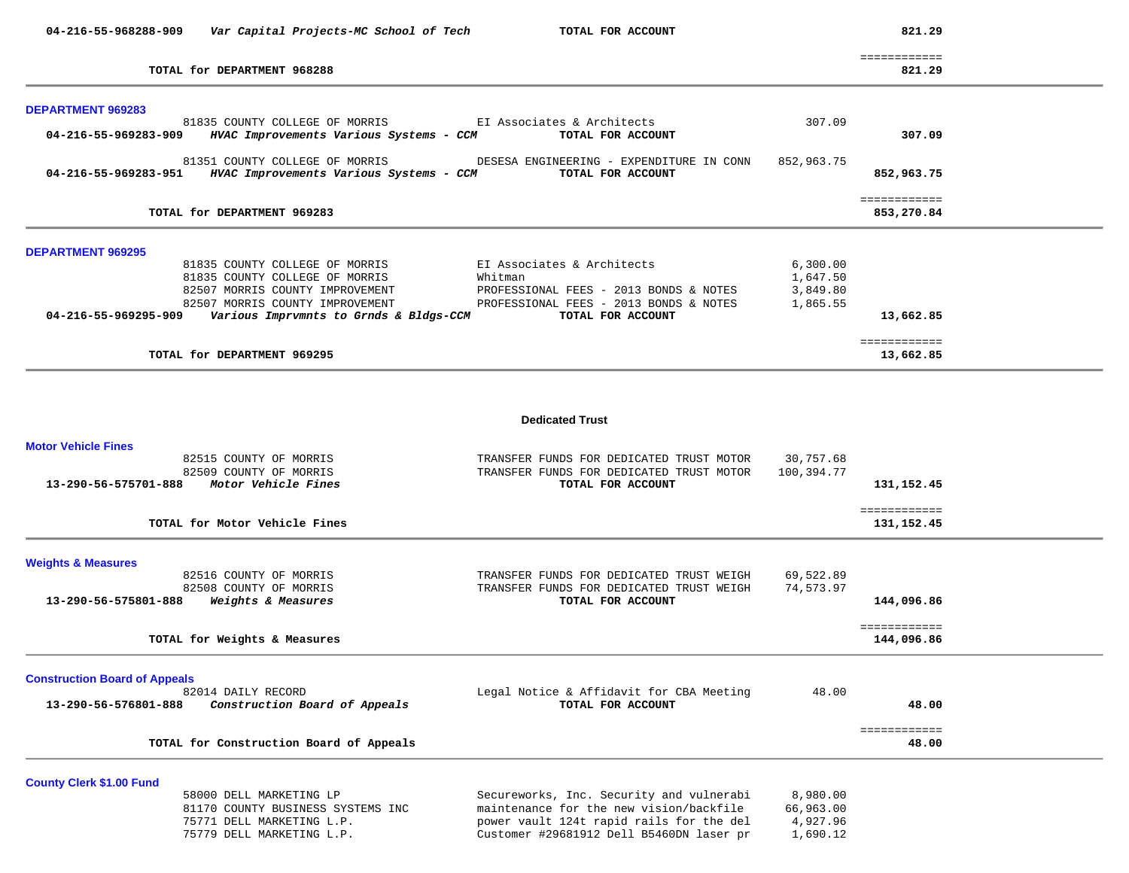| 04-216-55-968288-909<br>Var Capital Projects-MC School of Tech        | TOTAL FOR ACCOUNT                                             |             | 821.29                 |  |
|-----------------------------------------------------------------------|---------------------------------------------------------------|-------------|------------------------|--|
| TOTAL for DEPARTMENT 968288                                           |                                                               |             | ============<br>821.29 |  |
| <b>DEPARTMENT 969283</b>                                              |                                                               |             |                        |  |
| 81835 COUNTY COLLEGE OF MORRIS                                        | EI Associates & Architects                                    | 307.09      |                        |  |
| HVAC Improvements Various Systems - CCM<br>04-216-55-969283-909       | TOTAL FOR ACCOUNT                                             |             | 307.09                 |  |
| 81351 COUNTY COLLEGE OF MORRIS                                        | DESESA ENGINEERING - EXPENDITURE IN CONN                      | 852,963.75  |                        |  |
| 04-216-55-969283-951<br>HVAC Improvements Various Systems - CCM       | TOTAL FOR ACCOUNT                                             |             | 852,963.75             |  |
|                                                                       |                                                               |             | ============           |  |
| TOTAL for DEPARTMENT 969283                                           |                                                               |             | 853,270.84             |  |
|                                                                       |                                                               |             |                        |  |
| <b>DEPARTMENT 969295</b><br>81835 COUNTY COLLEGE OF MORRIS            | EI Associates & Architects                                    | 6,300.00    |                        |  |
| 81835 COUNTY COLLEGE OF MORRIS                                        | Whitman                                                       | 1,647.50    |                        |  |
| 82507 MORRIS COUNTY IMPROVEMENT                                       | PROFESSIONAL FEES - 2013 BONDS & NOTES                        | 3,849.80    |                        |  |
| 82507 MORRIS COUNTY IMPROVEMENT                                       | PROFESSIONAL FEES - 2013 BONDS & NOTES                        | 1,865.55    |                        |  |
| 04-216-55-969295-909<br>Various Imprvmnts to Grnds & Bldgs-CCM        | TOTAL FOR ACCOUNT                                             |             | 13,662.85              |  |
|                                                                       |                                                               |             | ============           |  |
| TOTAL for DEPARTMENT 969295                                           |                                                               |             | 13,662.85              |  |
|                                                                       | <b>Dedicated Trust</b>                                        |             |                        |  |
| <b>Motor Vehicle Fines</b>                                            |                                                               |             |                        |  |
| 82515 COUNTY OF MORRIS                                                | TRANSFER FUNDS FOR DEDICATED TRUST MOTOR                      | 30,757.68   |                        |  |
| 82509 COUNTY OF MORRIS<br>Motor Vehicle Fines<br>13-290-56-575701-888 | TRANSFER FUNDS FOR DEDICATED TRUST MOTOR<br>TOTAL FOR ACCOUNT | 100,394.77  | 131,152.45             |  |
|                                                                       |                                                               |             |                        |  |
|                                                                       |                                                               |             | ============           |  |
| TOTAL for Motor Vehicle Fines                                         |                                                               |             | 131,152.45             |  |
| <b>Weights &amp; Measures</b>                                         |                                                               |             |                        |  |
| 82516 COUNTY OF MORRIS                                                | TRANSFER FUNDS FOR DEDICATED TRUST WEIGH                      | 69,522.89   |                        |  |
| 82508 COUNTY OF MORRIS                                                | TRANSFER FUNDS FOR DEDICATED TRUST WEIGH                      | 74,573.97   |                        |  |
| 13-290-56-575801-888<br>Weights & Measures                            | TOTAL FOR ACCOUNT                                             |             | 144,096.86             |  |
| TOTAL for Weights & Measures                                          |                                                               |             | ============           |  |
|                                                                       |                                                               |             | 144,096.86             |  |
| <b>Construction Board of Appeals</b>                                  |                                                               |             |                        |  |
| 82014 DAILY RECORD                                                    | Legal Notice & Affidavit for CBA Meeting                      | 48.00       |                        |  |
| 13-290-56-576801-888<br>Construction Board of Appeals                 | TOTAL FOR ACCOUNT                                             |             | 48.00                  |  |
|                                                                       |                                                               |             | ============           |  |
| TOTAL for Construction Board of Appeals                               |                                                               |             | 48.00                  |  |
|                                                                       |                                                               |             |                        |  |
| <b>County Clerk \$1.00 Fund</b><br>58000 DELL MARKETING LP            | Secureworks, Inc. Security and vulnerabi                      | 8,980.00    |                        |  |
| 81170 COUNTY BUSINESS SYSTEMS INC                                     | maintenance for the new vision/backfile                       | 66,963.00   |                        |  |
| 75771 DELL MARKETING L D                                              | nower vault 124t rapid rails for the del                      | 4 9 2 7 9 6 |                        |  |

|  | 779 DELL MARKETING L.P. |  |
|--|-------------------------|--|

 75771 DELL MARKETING L.P. power vault 124t rapid rails for the del 4,927.96 Tunder #29681912 Dell B5460DN laser pr